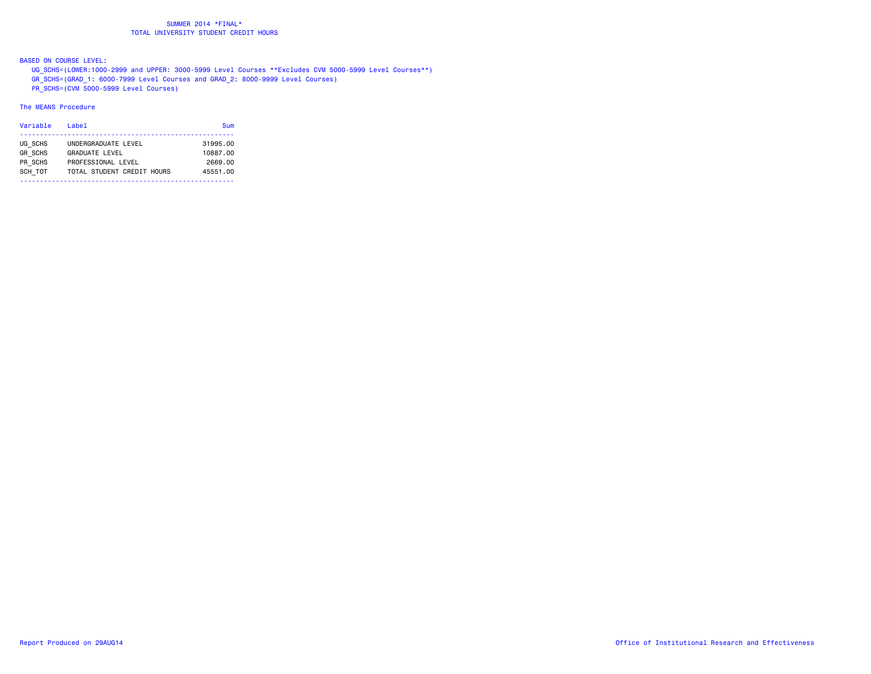BASED ON COURSE LEVEL:

UG\_SCHS=(LOWER:1000-2999 and UPPER: 3000-5999 Level Courses \*\*Excludes CVM 5000-5999 Level Courses\*\*)

GR\_SCHS=(GRAD\_1: 6000-7999 Level Courses and GRAD\_2: 8000-9999 Level Courses)

PR\_SCHS=(CVM 5000-5999 Level Courses)

### The MEANS Procedure

| Variable                                        | Labe <sub>1</sub>                                                                                | Sum                                         |
|-------------------------------------------------|--------------------------------------------------------------------------------------------------|---------------------------------------------|
| UG SCHS<br><b>GR SCHS</b><br>PR SCHS<br>SCH TOT | UNDERGRADUATE LEVEL<br><b>GRADUATE LEVEL</b><br>PROFESSIONAL LEVEL<br>TOTAL STUDENT CREDIT HOURS | 31995.00<br>10887.00<br>2669.00<br>45551.00 |
|                                                 |                                                                                                  |                                             |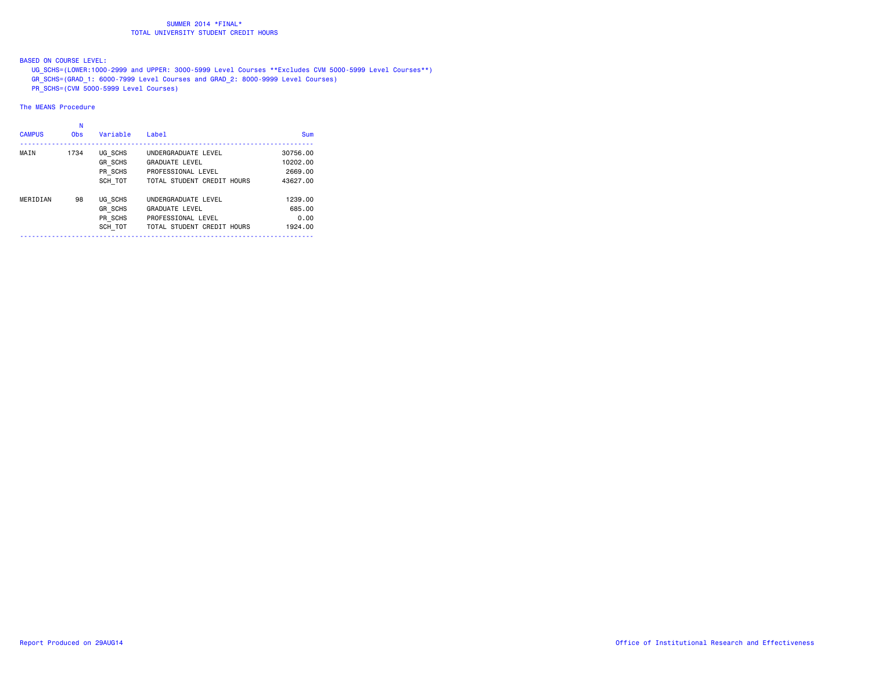BASED ON COURSE LEVEL:

UG\_SCHS=(LOWER:1000-2999 and UPPER: 3000-5999 Level Courses \*\*Excludes CVM 5000-5999 Level Courses\*\*)

- GR\_SCHS=(GRAD\_1: 6000-7999 Level Courses and GRAD\_2: 8000-9999 Level Courses)
- PR\_SCHS=(CVM 5000-5999 Level Courses)

### The MEANS Procedure

| <b>CAMPUS</b> | Ν<br><b>Obs</b> | Variable       | Label                      | Sum      |
|---------------|-----------------|----------------|----------------------------|----------|
| MAIN          | 1734            | UG SCHS        | UNDERGRADUATE LEVEL        | 30756.00 |
|               |                 | <b>GR SCHS</b> | <b>GRADUATE LEVEL</b>      | 10202.00 |
|               |                 | PR SCHS        | PROFESSIONAL LEVEL         | 2669.00  |
|               |                 | SCH TOT        | TOTAL STUDENT CREDIT HOURS | 43627.00 |
| MERIDIAN      | 98              | UG SCHS        | UNDERGRADUATE LEVEL        | 1239.00  |
|               |                 | GR SCHS        | <b>GRADUATE LEVEL</b>      | 685,00   |
|               |                 | PR_SCHS        | PROFESSIONAL LEVEL         | 0.00     |
|               |                 | SCH TOT        | TOTAL STUDENT CREDIT HOURS | 1924.00  |
|               |                 |                |                            |          |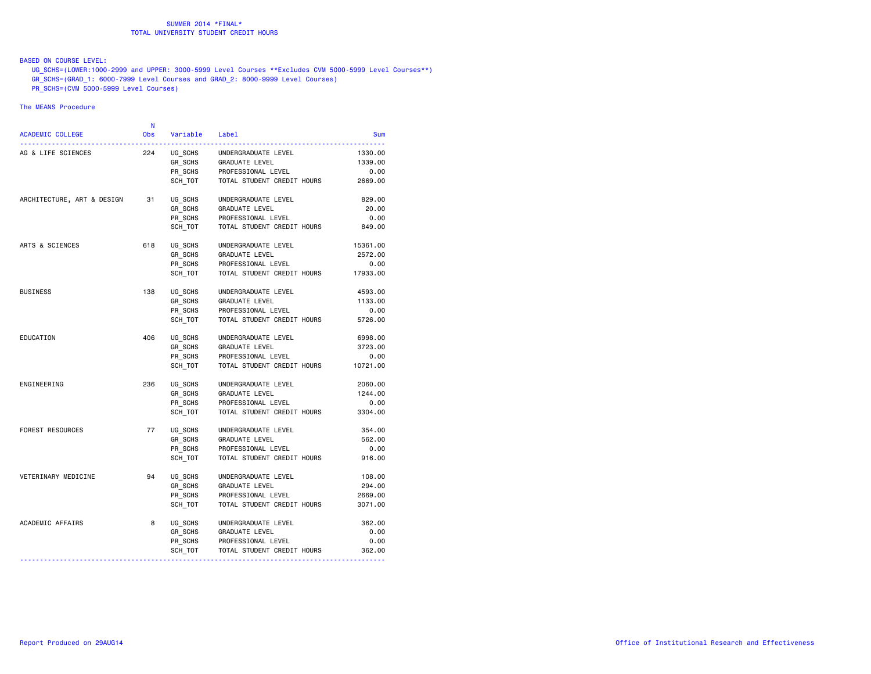### BASED ON COURSE LEVEL:

UG\_SCHS=(LOWER:1000-2999 and UPPER: 3000-5999 Level Courses \*\*Excludes CVM 5000-5999 Level Courses\*\*)

GR\_SCHS=(GRAD\_1: 6000-7999 Level Courses and GRAD\_2: 8000-9999 Level Courses)

PR\_SCHS=(CVM 5000-5999 Level Courses)

### The MEANS Procedure

| 224<br>UG SCHS<br>UNDERGRADUATE LEVEL<br>1330,00<br>AG & LIFE SCIENCES<br>GR SCHS<br>GRADUATE LEVEL<br>1339.00<br>PR_SCHS<br>SCH TOT<br>PROFESSIONAL LEVEL<br>0.00<br>SCH TOT<br>TOTAL STUDENT CREDIT HOURS<br>2669.00<br>ARCHITECTURE, ART & DESIGN<br>31<br>UG SCHS<br>UNDERGRADUATE LEVEL<br>829.00<br>GR SCHS<br><b>GRADUATE LEVEL</b><br>20.00<br>PR_SCHS<br>PROFESSIONAL LEVEL<br>0.00<br>SCH TOT<br>TOTAL STUDENT CREDIT HOURS<br>849.00<br>ARTS & SCIENCES<br>618<br>UG SCHS<br>UNDERGRADUATE LEVEL<br>15361.00<br>GR SCHS<br>2572.00<br><b>GRADUATE LEVEL</b><br>PR SCHS<br>PROFESSIONAL LEVEL<br>0.00<br>17933.00<br>SCH TOT<br>TOTAL STUDENT CREDIT HOURS<br><b>BUSINESS</b><br>138<br>UG SCHS<br>UNDERGRADUATE LEVEL<br>4593.00<br>GR SCHS<br>1133.00<br>GRADUATE LEVEL<br>PR SCHS<br>PROFESSIONAL LEVEL<br>0.00<br>SCH TOT<br>TOTAL STUDENT CREDIT HOURS<br>5726.00<br>406<br>EDUCATION<br>UG SCHS<br>UNDERGRADUATE LEVEL<br>6998.00<br>GR_SCHS<br>3723.00<br><b>GRADUATE LEVEL</b><br>PR SCHS<br>PROFESSIONAL LEVEL<br>0.00<br>TOTAL STUDENT CREDIT HOURS<br>SCH TOT<br>10721.00<br>236<br>ENGINEERING<br>UG SCHS<br>UNDERGRADUATE LEVEL<br>2060.00<br>GR SCHS<br>1244.00<br><b>GRADUATE LEVEL</b><br>PR_SCHS<br>PROFESSIONAL LEVEL<br>0.00<br>SCH_TOT<br>TOTAL STUDENT CREDIT HOURS<br>3304.00<br><b>FOREST RESOURCES</b><br>77<br>UG SCHS<br>UNDERGRADUATE LEVEL<br>354.00<br>GR SCHS<br><b>GRADUATE LEVEL</b><br>562.00<br>PR SCHS<br>PROFESSIONAL LEVEL<br>0.00<br>SCH TOT<br>TOTAL STUDENT CREDIT HOURS<br>916.00<br>VETERINARY MEDICINE<br>94<br>UG SCHS<br>UNDERGRADUATE LEVEL<br>108.00<br>GR SCHS<br><b>GRADUATE LEVEL</b><br>294.00<br>PR SCHS<br>PROFESSIONAL LEVEL<br>2669.00<br>SCH TOT<br>TOTAL STUDENT CREDIT HOURS<br>3071.00<br>ACADEMIC AFFAIRS<br>8<br>UG_SCHS<br>362.00<br>UNDERGRADUATE LEVEL<br>GR_SCHS<br><b>GRADUATE LEVEL</b><br>0.00<br>PR_SCHS<br>0.00<br>PROFESSIONAL LEVEL<br>SCH_TOT<br>TOTAL STUDENT CREDIT HOURS<br>362.00 | <b>ACADEMIC COLLEGE</b> | N<br><b>Obs</b> | Variable | Label | Sum |
|--------------------------------------------------------------------------------------------------------------------------------------------------------------------------------------------------------------------------------------------------------------------------------------------------------------------------------------------------------------------------------------------------------------------------------------------------------------------------------------------------------------------------------------------------------------------------------------------------------------------------------------------------------------------------------------------------------------------------------------------------------------------------------------------------------------------------------------------------------------------------------------------------------------------------------------------------------------------------------------------------------------------------------------------------------------------------------------------------------------------------------------------------------------------------------------------------------------------------------------------------------------------------------------------------------------------------------------------------------------------------------------------------------------------------------------------------------------------------------------------------------------------------------------------------------------------------------------------------------------------------------------------------------------------------------------------------------------------------------------------------------------------------------------------------------------------------------------------------------------------------------------------------------------------------------------------------------------------------|-------------------------|-----------------|----------|-------|-----|
|                                                                                                                                                                                                                                                                                                                                                                                                                                                                                                                                                                                                                                                                                                                                                                                                                                                                                                                                                                                                                                                                                                                                                                                                                                                                                                                                                                                                                                                                                                                                                                                                                                                                                                                                                                                                                                                                                                                                                                          |                         |                 |          |       |     |
|                                                                                                                                                                                                                                                                                                                                                                                                                                                                                                                                                                                                                                                                                                                                                                                                                                                                                                                                                                                                                                                                                                                                                                                                                                                                                                                                                                                                                                                                                                                                                                                                                                                                                                                                                                                                                                                                                                                                                                          |                         |                 |          |       |     |
|                                                                                                                                                                                                                                                                                                                                                                                                                                                                                                                                                                                                                                                                                                                                                                                                                                                                                                                                                                                                                                                                                                                                                                                                                                                                                                                                                                                                                                                                                                                                                                                                                                                                                                                                                                                                                                                                                                                                                                          |                         |                 |          |       |     |
|                                                                                                                                                                                                                                                                                                                                                                                                                                                                                                                                                                                                                                                                                                                                                                                                                                                                                                                                                                                                                                                                                                                                                                                                                                                                                                                                                                                                                                                                                                                                                                                                                                                                                                                                                                                                                                                                                                                                                                          |                         |                 |          |       |     |
|                                                                                                                                                                                                                                                                                                                                                                                                                                                                                                                                                                                                                                                                                                                                                                                                                                                                                                                                                                                                                                                                                                                                                                                                                                                                                                                                                                                                                                                                                                                                                                                                                                                                                                                                                                                                                                                                                                                                                                          |                         |                 |          |       |     |
|                                                                                                                                                                                                                                                                                                                                                                                                                                                                                                                                                                                                                                                                                                                                                                                                                                                                                                                                                                                                                                                                                                                                                                                                                                                                                                                                                                                                                                                                                                                                                                                                                                                                                                                                                                                                                                                                                                                                                                          |                         |                 |          |       |     |
|                                                                                                                                                                                                                                                                                                                                                                                                                                                                                                                                                                                                                                                                                                                                                                                                                                                                                                                                                                                                                                                                                                                                                                                                                                                                                                                                                                                                                                                                                                                                                                                                                                                                                                                                                                                                                                                                                                                                                                          |                         |                 |          |       |     |
|                                                                                                                                                                                                                                                                                                                                                                                                                                                                                                                                                                                                                                                                                                                                                                                                                                                                                                                                                                                                                                                                                                                                                                                                                                                                                                                                                                                                                                                                                                                                                                                                                                                                                                                                                                                                                                                                                                                                                                          |                         |                 |          |       |     |
|                                                                                                                                                                                                                                                                                                                                                                                                                                                                                                                                                                                                                                                                                                                                                                                                                                                                                                                                                                                                                                                                                                                                                                                                                                                                                                                                                                                                                                                                                                                                                                                                                                                                                                                                                                                                                                                                                                                                                                          |                         |                 |          |       |     |
|                                                                                                                                                                                                                                                                                                                                                                                                                                                                                                                                                                                                                                                                                                                                                                                                                                                                                                                                                                                                                                                                                                                                                                                                                                                                                                                                                                                                                                                                                                                                                                                                                                                                                                                                                                                                                                                                                                                                                                          |                         |                 |          |       |     |
|                                                                                                                                                                                                                                                                                                                                                                                                                                                                                                                                                                                                                                                                                                                                                                                                                                                                                                                                                                                                                                                                                                                                                                                                                                                                                                                                                                                                                                                                                                                                                                                                                                                                                                                                                                                                                                                                                                                                                                          |                         |                 |          |       |     |
|                                                                                                                                                                                                                                                                                                                                                                                                                                                                                                                                                                                                                                                                                                                                                                                                                                                                                                                                                                                                                                                                                                                                                                                                                                                                                                                                                                                                                                                                                                                                                                                                                                                                                                                                                                                                                                                                                                                                                                          |                         |                 |          |       |     |
|                                                                                                                                                                                                                                                                                                                                                                                                                                                                                                                                                                                                                                                                                                                                                                                                                                                                                                                                                                                                                                                                                                                                                                                                                                                                                                                                                                                                                                                                                                                                                                                                                                                                                                                                                                                                                                                                                                                                                                          |                         |                 |          |       |     |
|                                                                                                                                                                                                                                                                                                                                                                                                                                                                                                                                                                                                                                                                                                                                                                                                                                                                                                                                                                                                                                                                                                                                                                                                                                                                                                                                                                                                                                                                                                                                                                                                                                                                                                                                                                                                                                                                                                                                                                          |                         |                 |          |       |     |
|                                                                                                                                                                                                                                                                                                                                                                                                                                                                                                                                                                                                                                                                                                                                                                                                                                                                                                                                                                                                                                                                                                                                                                                                                                                                                                                                                                                                                                                                                                                                                                                                                                                                                                                                                                                                                                                                                                                                                                          |                         |                 |          |       |     |
|                                                                                                                                                                                                                                                                                                                                                                                                                                                                                                                                                                                                                                                                                                                                                                                                                                                                                                                                                                                                                                                                                                                                                                                                                                                                                                                                                                                                                                                                                                                                                                                                                                                                                                                                                                                                                                                                                                                                                                          |                         |                 |          |       |     |
|                                                                                                                                                                                                                                                                                                                                                                                                                                                                                                                                                                                                                                                                                                                                                                                                                                                                                                                                                                                                                                                                                                                                                                                                                                                                                                                                                                                                                                                                                                                                                                                                                                                                                                                                                                                                                                                                                                                                                                          |                         |                 |          |       |     |
|                                                                                                                                                                                                                                                                                                                                                                                                                                                                                                                                                                                                                                                                                                                                                                                                                                                                                                                                                                                                                                                                                                                                                                                                                                                                                                                                                                                                                                                                                                                                                                                                                                                                                                                                                                                                                                                                                                                                                                          |                         |                 |          |       |     |
|                                                                                                                                                                                                                                                                                                                                                                                                                                                                                                                                                                                                                                                                                                                                                                                                                                                                                                                                                                                                                                                                                                                                                                                                                                                                                                                                                                                                                                                                                                                                                                                                                                                                                                                                                                                                                                                                                                                                                                          |                         |                 |          |       |     |
|                                                                                                                                                                                                                                                                                                                                                                                                                                                                                                                                                                                                                                                                                                                                                                                                                                                                                                                                                                                                                                                                                                                                                                                                                                                                                                                                                                                                                                                                                                                                                                                                                                                                                                                                                                                                                                                                                                                                                                          |                         |                 |          |       |     |
|                                                                                                                                                                                                                                                                                                                                                                                                                                                                                                                                                                                                                                                                                                                                                                                                                                                                                                                                                                                                                                                                                                                                                                                                                                                                                                                                                                                                                                                                                                                                                                                                                                                                                                                                                                                                                                                                                                                                                                          |                         |                 |          |       |     |
|                                                                                                                                                                                                                                                                                                                                                                                                                                                                                                                                                                                                                                                                                                                                                                                                                                                                                                                                                                                                                                                                                                                                                                                                                                                                                                                                                                                                                                                                                                                                                                                                                                                                                                                                                                                                                                                                                                                                                                          |                         |                 |          |       |     |
|                                                                                                                                                                                                                                                                                                                                                                                                                                                                                                                                                                                                                                                                                                                                                                                                                                                                                                                                                                                                                                                                                                                                                                                                                                                                                                                                                                                                                                                                                                                                                                                                                                                                                                                                                                                                                                                                                                                                                                          |                         |                 |          |       |     |
|                                                                                                                                                                                                                                                                                                                                                                                                                                                                                                                                                                                                                                                                                                                                                                                                                                                                                                                                                                                                                                                                                                                                                                                                                                                                                                                                                                                                                                                                                                                                                                                                                                                                                                                                                                                                                                                                                                                                                                          |                         |                 |          |       |     |
|                                                                                                                                                                                                                                                                                                                                                                                                                                                                                                                                                                                                                                                                                                                                                                                                                                                                                                                                                                                                                                                                                                                                                                                                                                                                                                                                                                                                                                                                                                                                                                                                                                                                                                                                                                                                                                                                                                                                                                          |                         |                 |          |       |     |
|                                                                                                                                                                                                                                                                                                                                                                                                                                                                                                                                                                                                                                                                                                                                                                                                                                                                                                                                                                                                                                                                                                                                                                                                                                                                                                                                                                                                                                                                                                                                                                                                                                                                                                                                                                                                                                                                                                                                                                          |                         |                 |          |       |     |
|                                                                                                                                                                                                                                                                                                                                                                                                                                                                                                                                                                                                                                                                                                                                                                                                                                                                                                                                                                                                                                                                                                                                                                                                                                                                                                                                                                                                                                                                                                                                                                                                                                                                                                                                                                                                                                                                                                                                                                          |                         |                 |          |       |     |
|                                                                                                                                                                                                                                                                                                                                                                                                                                                                                                                                                                                                                                                                                                                                                                                                                                                                                                                                                                                                                                                                                                                                                                                                                                                                                                                                                                                                                                                                                                                                                                                                                                                                                                                                                                                                                                                                                                                                                                          |                         |                 |          |       |     |
|                                                                                                                                                                                                                                                                                                                                                                                                                                                                                                                                                                                                                                                                                                                                                                                                                                                                                                                                                                                                                                                                                                                                                                                                                                                                                                                                                                                                                                                                                                                                                                                                                                                                                                                                                                                                                                                                                                                                                                          |                         |                 |          |       |     |
|                                                                                                                                                                                                                                                                                                                                                                                                                                                                                                                                                                                                                                                                                                                                                                                                                                                                                                                                                                                                                                                                                                                                                                                                                                                                                                                                                                                                                                                                                                                                                                                                                                                                                                                                                                                                                                                                                                                                                                          |                         |                 |          |       |     |
|                                                                                                                                                                                                                                                                                                                                                                                                                                                                                                                                                                                                                                                                                                                                                                                                                                                                                                                                                                                                                                                                                                                                                                                                                                                                                                                                                                                                                                                                                                                                                                                                                                                                                                                                                                                                                                                                                                                                                                          |                         |                 |          |       |     |
|                                                                                                                                                                                                                                                                                                                                                                                                                                                                                                                                                                                                                                                                                                                                                                                                                                                                                                                                                                                                                                                                                                                                                                                                                                                                                                                                                                                                                                                                                                                                                                                                                                                                                                                                                                                                                                                                                                                                                                          |                         |                 |          |       |     |
|                                                                                                                                                                                                                                                                                                                                                                                                                                                                                                                                                                                                                                                                                                                                                                                                                                                                                                                                                                                                                                                                                                                                                                                                                                                                                                                                                                                                                                                                                                                                                                                                                                                                                                                                                                                                                                                                                                                                                                          |                         |                 |          |       |     |
|                                                                                                                                                                                                                                                                                                                                                                                                                                                                                                                                                                                                                                                                                                                                                                                                                                                                                                                                                                                                                                                                                                                                                                                                                                                                                                                                                                                                                                                                                                                                                                                                                                                                                                                                                                                                                                                                                                                                                                          |                         |                 |          |       |     |
|                                                                                                                                                                                                                                                                                                                                                                                                                                                                                                                                                                                                                                                                                                                                                                                                                                                                                                                                                                                                                                                                                                                                                                                                                                                                                                                                                                                                                                                                                                                                                                                                                                                                                                                                                                                                                                                                                                                                                                          |                         |                 |          |       |     |
|                                                                                                                                                                                                                                                                                                                                                                                                                                                                                                                                                                                                                                                                                                                                                                                                                                                                                                                                                                                                                                                                                                                                                                                                                                                                                                                                                                                                                                                                                                                                                                                                                                                                                                                                                                                                                                                                                                                                                                          |                         |                 |          |       |     |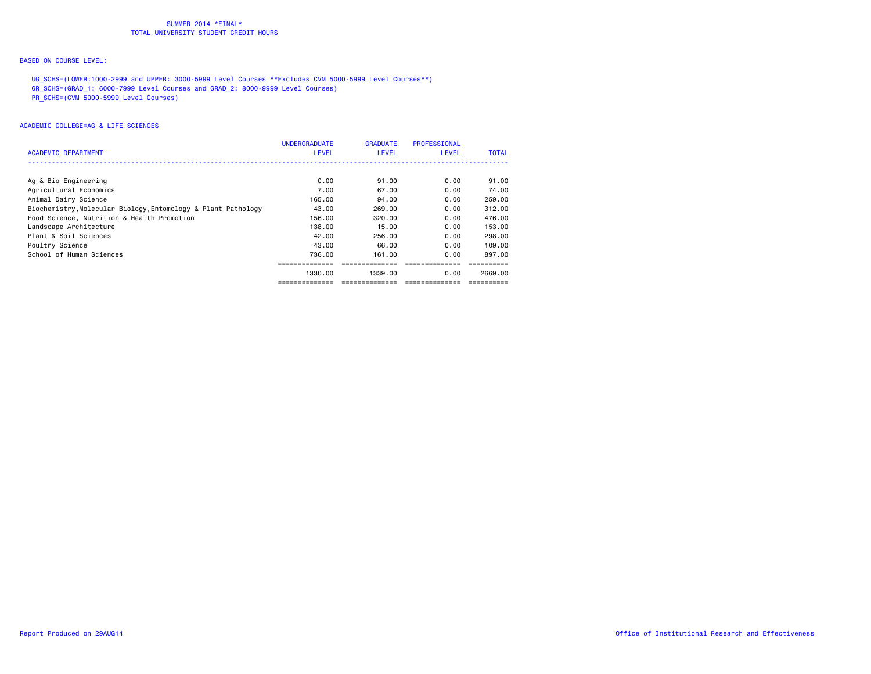## BASED ON COURSE LEVEL:

UG\_SCHS=(LOWER:1000-2999 and UPPER: 3000-5999 Level Courses \*\*Excludes CVM 5000-5999 Level Courses\*\*)

GR\_SCHS=(GRAD\_1: 6000-7999 Level Courses and GRAD\_2: 8000-9999 Level Courses)

PR\_SCHS=(CVM 5000-5999 Level Courses)

| ACADEMIC DEPARTMENT                                           | <b>UNDERGRADUATE</b><br><b>LEVEL</b> | <b>GRADUATE</b><br>LEVEL | <b>PROFESSIONAL</b><br><b>LEVEL</b> | <b>TOTAL</b> |
|---------------------------------------------------------------|--------------------------------------|--------------------------|-------------------------------------|--------------|
|                                                               |                                      |                          |                                     |              |
| Ag & Bio Engineering                                          | 0.00                                 | 91.00                    | 0.00                                | 91.00        |
| Agricultural Economics                                        | 7.00                                 | 67.00                    | 0.00                                | 74.00        |
| Animal Dairy Science                                          | 165.00                               | 94.00                    | 0.00                                | 259.00       |
| Biochemistry, Molecular Biology, Entomology & Plant Pathology | 43.00                                | 269,00                   | 0.00                                | 312,00       |
| Food Science, Nutrition & Health Promotion                    | 156.00                               | 320.00                   | 0.00                                | 476.00       |
| Landscape Architecture                                        | 138.00                               | 15.00                    | 0.00                                | 153,00       |
| Plant & Soil Sciences                                         | 42.00                                | 256,00                   | 0.00                                | 298,00       |
| Poultry Science                                               | 43.00                                | 66.00                    | 0.00                                | 109.00       |
| School of Human Sciences                                      | 736.00                               | 161.00                   | 0.00                                | 897.00       |
|                                                               |                                      |                          |                                     |              |
|                                                               | 1330.00                              | 1339.00                  | 0.00                                | 2669.00      |
|                                                               |                                      |                          |                                     |              |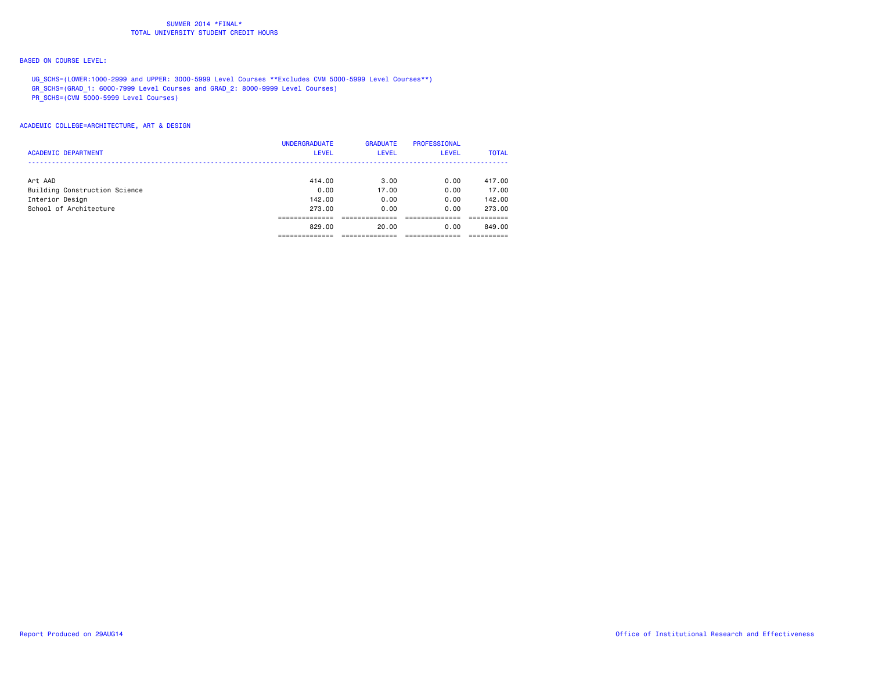## BASED ON COURSE LEVEL:

UG\_SCHS=(LOWER:1000-2999 and UPPER: 3000-5999 Level Courses \*\*Excludes CVM 5000-5999 Level Courses\*\*)

GR\_SCHS=(GRAD\_1: 6000-7999 Level Courses and GRAD\_2: 8000-9999 Level Courses)

PR\_SCHS=(CVM 5000-5999 Level Courses)

|                               | <b>UNDERGRADUATE</b> | <b>GRADUATE</b> | PROFESSIONAL |              |
|-------------------------------|----------------------|-----------------|--------------|--------------|
| <b>ACADEMIC DEPARTMENT</b>    | <b>LEVEL</b>         | <b>LEVEL</b>    | <b>LEVEL</b> | <b>TOTAL</b> |
|                               |                      |                 |              |              |
| Art AAD                       | 414.00               | 3.00            | 0.00         | 417.00       |
| Building Construction Science | 0.00                 | 17.00           | 0.00         | 17.00        |
| Interior Design               | 142,00               | 0.00            | 0.00         | 142,00       |
| School of Architecture        | 273.00               | 0.00            | 0.00         | 273.00       |
|                               |                      |                 |              |              |
|                               | 829.00               | 20.00           | 0.00         | 849.00       |
|                               |                      |                 |              |              |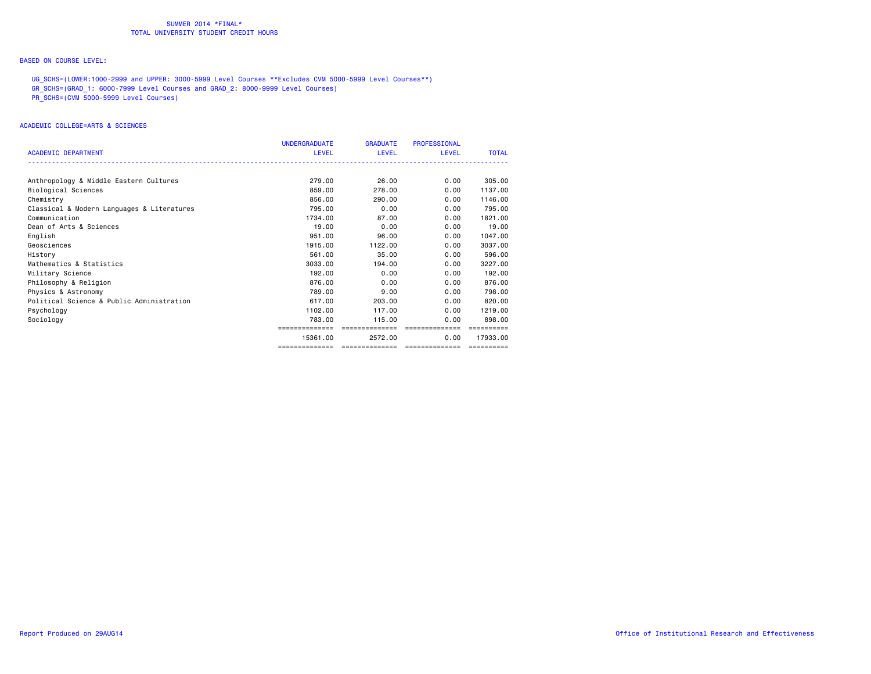## BASED ON COURSE LEVEL:

UG\_SCHS=(LOWER:1000-2999 and UPPER: 3000-5999 Level Courses \*\*Excludes CVM 5000-5999 Level Courses\*\*)

GR\_SCHS=(GRAD\_1: 6000-7999 Level Courses and GRAD\_2: 8000-9999 Level Courses)

PR\_SCHS=(CVM 5000-5999 Level Courses)

|                                            | <b>UNDERGRADUATE</b> | <b>GRADUATE</b>                      | <b>PROFESSIONAL</b> |              |
|--------------------------------------------|----------------------|--------------------------------------|---------------------|--------------|
| <b>ACADEMIC DEPARTMENT</b>                 | LEVEL                | <b>LEVEL</b>                         | <b>LEVEL</b>        | <b>TOTAL</b> |
|                                            |                      |                                      |                     |              |
| Anthropology & Middle Eastern Cultures     | 279.00               | 26.00                                | 0.00                | 305,00       |
| Biological Sciences                        | 859.00               | 278.00                               | 0.00                | 1137.00      |
| Chemistry                                  | 856.00               | 290.00                               | 0.00                | 1146.00      |
| Classical & Modern Languages & Literatures | 795.00               | 0.00                                 | 0.00                | 795.00       |
| Communication                              | 1734.00              | 87.00                                | 0.00                | 1821.00      |
| Dean of Arts & Sciences                    | 19.00                | 0.00                                 | 0.00                | 19.00        |
| English                                    | 951.00               | 96.00                                | 0.00                | 1047.00      |
| Geosciences                                | 1915,00              | 1122.00                              | 0.00                | 3037.00      |
| History                                    | 561.00               | 35.00                                | 0.00                | 596.00       |
| Mathematics & Statistics                   | 3033.00              | 194.00                               | 0.00                | 3227.00      |
| Military Science                           | 192.00               | 0.00                                 | 0.00                | 192.00       |
| Philosophy & Religion                      | 876.00               | 0.00                                 | 0.00                | 876.00       |
| Physics & Astronomy                        | 789.00               | 9.00                                 | 0.00                | 798,00       |
| Political Science & Public Administration  | 617.00               | 203,00                               | 0.00                | 820.00       |
| Psychology                                 | 1102.00              | 117.00                               | 0.00                | 1219,00      |
| Sociology                                  | 783,00               | 115,00                               | 0.00                | 898,00       |
|                                            | ============         | ==============                       | ==============      | ==========   |
|                                            | 15361.00             | 2572.00                              | 0.00                | 17933.00     |
|                                            | ==============       | ____________________________________ |                     | ==========   |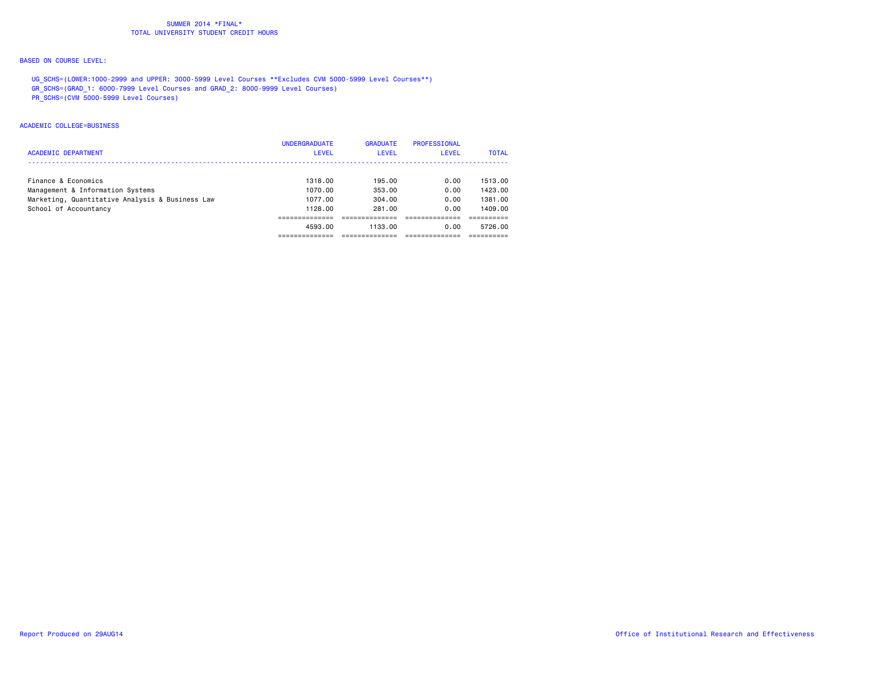## BASED ON COURSE LEVEL:

UG\_SCHS=(LOWER:1000-2999 and UPPER: 3000-5999 Level Courses \*\*Excludes CVM 5000-5999 Level Courses\*\*)

GR\_SCHS=(GRAD\_1: 6000-7999 Level Courses and GRAD\_2: 8000-9999 Level Courses)

PR\_SCHS=(CVM 5000-5999 Level Courses)

#### ACADEMIC COLLEGE=BUSINESS

|                                                 | <b>UNDERGRADUATE</b> | <b>GRADUATE</b> | PROFESSIONAL |              |
|-------------------------------------------------|----------------------|-----------------|--------------|--------------|
| <b>ACADEMIC DEPARTMENT</b>                      | <b>LEVEL</b>         | <b>LEVEL</b>    | LEVEL        | <b>TOTAL</b> |
|                                                 |                      |                 |              |              |
| Finance & Economics                             | 1318.00              | 195.00          | 0.00         | 1513.00      |
| Management & Information Systems                | 1070.00              | 353.00          | 0.00         | 1423.00      |
| Marketing, Quantitative Analysis & Business Law | 1077.00              | 304.00          | 0.00         | 1381.00      |
| School of Accountancy                           | 1128.00              | 281.00          | 0.00         | 1409.00      |
|                                                 |                      |                 |              |              |
|                                                 | 4593.00              | 1133.00         | 0.00         | 5726.00      |
|                                                 |                      |                 |              |              |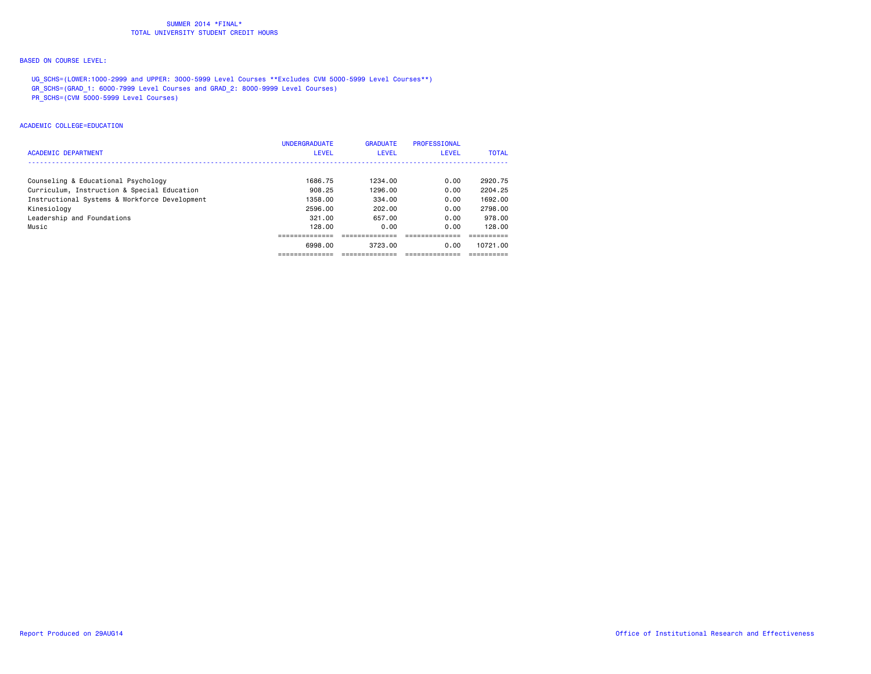## BASED ON COURSE LEVEL:

UG\_SCHS=(LOWER:1000-2999 and UPPER: 3000-5999 Level Courses \*\*Excludes CVM 5000-5999 Level Courses\*\*)

GR\_SCHS=(GRAD\_1: 6000-7999 Level Courses and GRAD\_2: 8000-9999 Level Courses)

PR\_SCHS=(CVM 5000-5999 Level Courses)

#### ACADEMIC COLLEGE=EDUCATION

|                                               | <b>UNDERGRADUATE</b> | <b>GRADUATE</b> | PROFESSIONAL |              |
|-----------------------------------------------|----------------------|-----------------|--------------|--------------|
| <b>ACADEMIC DEPARTMENT</b>                    | <b>LEVEL</b>         | <b>LEVEL</b>    | LEVEL        | <b>TOTAL</b> |
| Counseling & Educational Psychology           | 1686.75              | 1234.00         | 0.00         | 2920.75      |
| Curriculum, Instruction & Special Education   | 908.25               | 1296.00         | 0.00         | 2204.25      |
| Instructional Systems & Workforce Development | 1358.00              | 334.00          | 0.00         | 1692.00      |
| Kinesiology                                   | 2596.00              | 202.00          | 0.00         | 2798.00      |
| Leadership and Foundations                    | 321.00               | 657.00          | 0.00         | 978.00       |
| Music                                         | 128.00               | 0.00            | 0.00         | 128.00       |
|                                               |                      |                 |              |              |
|                                               | 6998.00              | 3723.00         | 0.00         | 10721.00     |
|                                               |                      |                 |              |              |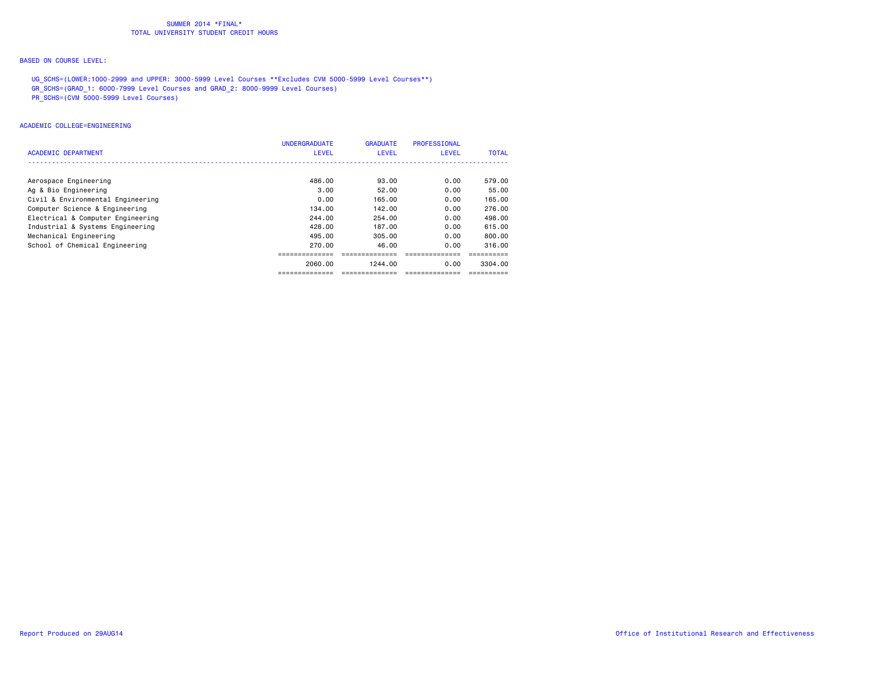## BASED ON COURSE LEVEL:

UG\_SCHS=(LOWER:1000-2999 and UPPER: 3000-5999 Level Courses \*\*Excludes CVM 5000-5999 Level Courses\*\*)

GR\_SCHS=(GRAD\_1: 6000-7999 Level Courses and GRAD\_2: 8000-9999 Level Courses)

PR\_SCHS=(CVM 5000-5999 Level Courses)

#### ACADEMIC COLLEGE=ENGINEERING

| ACADEMIC DEPARTMENT               | <b>UNDERGRADUATE</b><br><b>LEVEL</b> | <b>GRADUATE</b><br><b>LEVEL</b> | PROFESSIONAL<br>LEVEL | <b>TOTAL</b> |
|-----------------------------------|--------------------------------------|---------------------------------|-----------------------|--------------|
|                                   |                                      |                                 |                       |              |
| Aerospace Engineering             | 486.00                               | 93.00                           | 0.00                  | 579.00       |
| Ag & Bio Engineering              | 3.00                                 | 52.00                           | 0.00                  | 55.00        |
| Civil & Environmental Engineering | 0.00                                 | 165.00                          | 0.00                  | 165.00       |
| Computer Science & Engineering    | 134.00                               | 142.00                          | 0.00                  | 276.00       |
| Electrical & Computer Engineering | 244.00                               | 254.00                          | 0.00                  | 498.00       |
| Industrial & Systems Engineering  | 428.00                               | 187.00                          | 0.00                  | 615,00       |
| Mechanical Engineering            | 495.00                               | 305.00                          | 0.00                  | 800.00       |
| School of Chemical Engineering    | 270.00                               | 46.00                           | 0.00                  | 316.00       |
|                                   | -----------                          |                                 |                       |              |
|                                   | 2060,00                              | 1244.00                         | 0.00                  | 3304.00      |
|                                   | -----------                          |                                 |                       |              |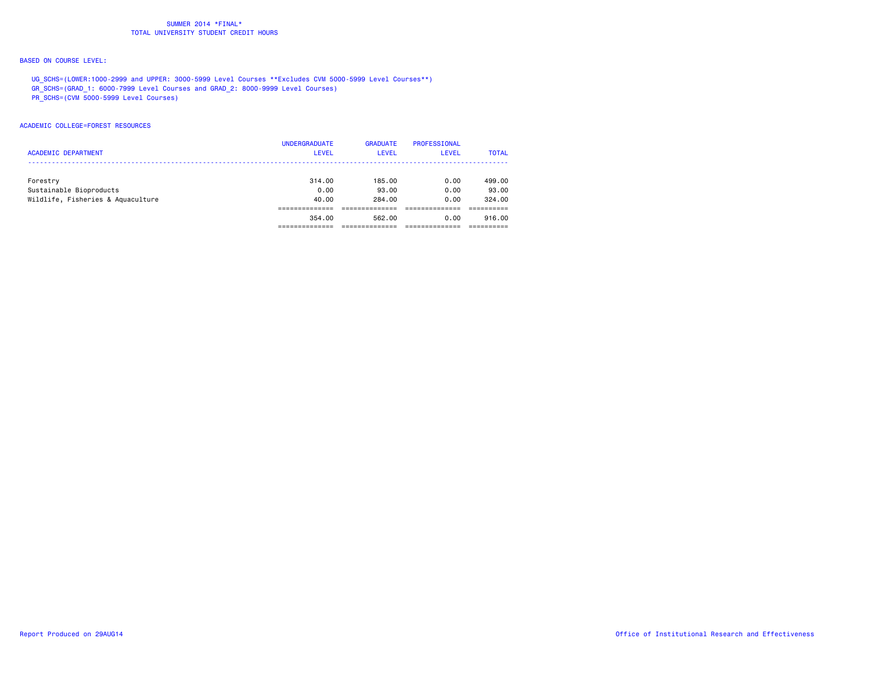# BASED ON COURSE LEVEL:

UG\_SCHS=(LOWER:1000-2999 and UPPER: 3000-5999 Level Courses \*\*Excludes CVM 5000-5999 Level Courses\*\*)

GR\_SCHS=(GRAD\_1: 6000-7999 Level Courses and GRAD\_2: 8000-9999 Level Courses)

PR\_SCHS=(CVM 5000-5999 Level Courses)

#### ACADEMIC COLLEGE=FOREST RESOURCES

|                                   | <b>UNDERGRADUATE</b> | <b>GRADUATE</b> | PROFESSIONAL |              |
|-----------------------------------|----------------------|-----------------|--------------|--------------|
| <b>ACADEMIC DEPARTMENT</b>        | <b>LEVEL</b>         | <b>LEVEL</b>    | <b>LEVEL</b> | <b>TOTAL</b> |
|                                   |                      |                 |              |              |
| Forestry                          | 314.00               | 185.00          | 0.00         | 499,00       |
| Sustainable Bioproducts           | 0.00                 | 93.00           | 0.00         | 93.00        |
| Wildlife, Fisheries & Aquaculture | 40.00                | 284.00          | 0.00         | 324.00       |
|                                   |                      |                 |              |              |
|                                   | 354.00               | 562.00          | 0.00         | 916.00       |
|                                   |                      |                 |              |              |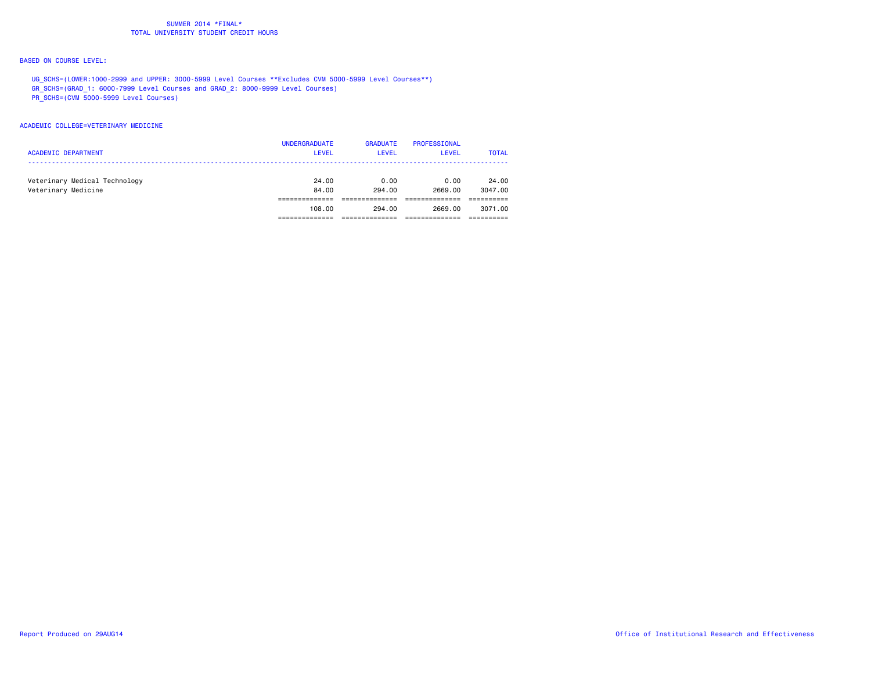## BASED ON COURSE LEVEL:

UG\_SCHS=(LOWER:1000-2999 and UPPER: 3000-5999 Level Courses \*\*Excludes CVM 5000-5999 Level Courses\*\*)

GR\_SCHS=(GRAD\_1: 6000-7999 Level Courses and GRAD\_2: 8000-9999 Level Courses)

PR\_SCHS=(CVM 5000-5999 Level Courses)

#### ACADEMIC COLLEGE=VETERINARY MEDICINE

| <b>ACADEMIC DEPARTMENT</b>                           | <b>UNDERGRADUATE</b><br><b>LEVEL</b> | <b>GRADUATE</b><br>LEVEL | PROFESSIONAL<br><b>LEVEL</b> | <b>TOTAL</b>     |
|------------------------------------------------------|--------------------------------------|--------------------------|------------------------------|------------------|
| Veterinary Medical Technology<br>Veterinary Medicine | 24.00<br>84.00                       | 0.00<br>294.00           | 0.00<br>2669.00              | 24.00<br>3047.00 |
|                                                      | 108.00                               | 294.00                   | 2669.00                      | 3071.00          |
|                                                      |                                      |                          |                              |                  |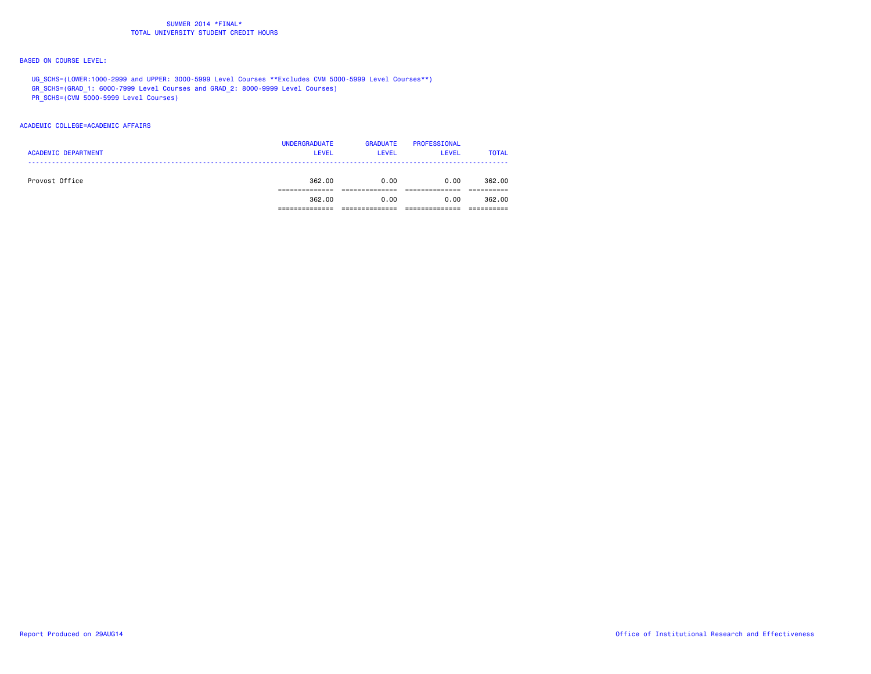## BASED ON COURSE LEVEL:

UG\_SCHS=(LOWER:1000-2999 and UPPER: 3000-5999 Level Courses \*\*Excludes CVM 5000-5999 Level Courses\*\*)

GR\_SCHS=(GRAD\_1: 6000-7999 Level Courses and GRAD\_2: 8000-9999 Level Courses)

PR\_SCHS=(CVM 5000-5999 Level Courses)

#### ACADEMIC COLLEGE=ACADEMIC AFFAIRS

| <b>ACADEMIC DEPARTMENT</b> | <b>UNDERGRADUATE</b><br><b>LEVEL</b> | <b>GRADUATE</b><br><b>LEVEL</b> | PROFESSIONAL<br><b>LEVEL</b> | <b>TOTAL</b> |
|----------------------------|--------------------------------------|---------------------------------|------------------------------|--------------|
| Provost Office             | 362,00                               | 0.00                            | 0.00                         | 362,00       |
|                            |                                      |                                 |                              |              |
|                            | 362.00                               | 0.00                            | 0.00                         | 362,00       |
|                            |                                      |                                 |                              |              |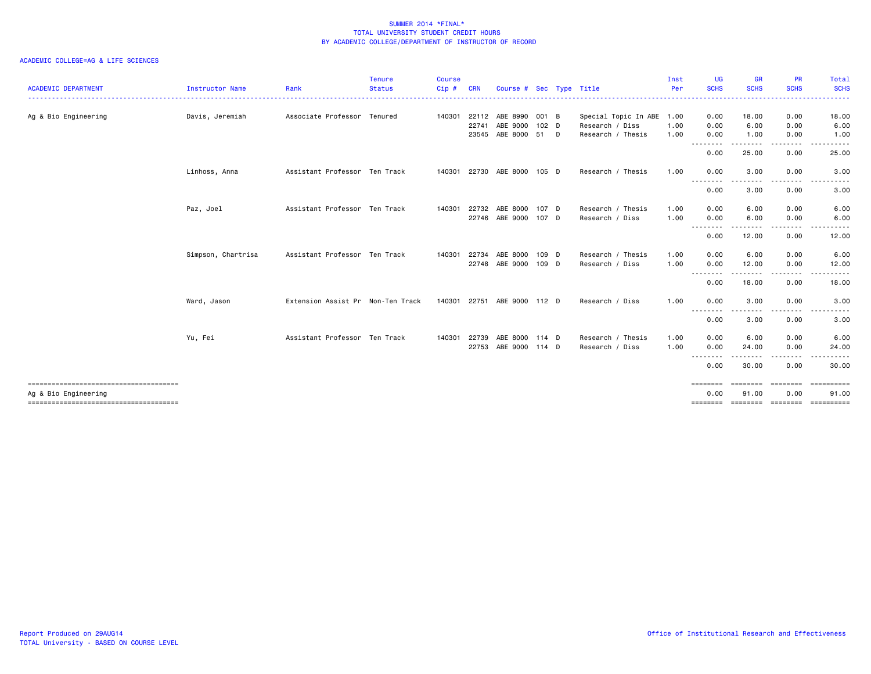| <b>ACADEMIC DEPARTMENT</b>            | Instructor Name    | Rank                              | Tenure<br><b>Status</b> | <b>Course</b><br>Cip# | <b>CRN</b>     | Course # Sec Type Title |               |                                      | Inst<br>Per  | <b>UG</b><br><b>SCHS</b> | <b>GR</b><br><b>SCHS</b> | <b>PR</b><br><b>SCHS</b>                                                                                                          | Total<br><b>SCHS</b>      |
|---------------------------------------|--------------------|-----------------------------------|-------------------------|-----------------------|----------------|-------------------------|---------------|--------------------------------------|--------------|--------------------------|--------------------------|-----------------------------------------------------------------------------------------------------------------------------------|---------------------------|
|                                       |                    |                                   |                         |                       |                |                         |               |                                      |              |                          |                          |                                                                                                                                   |                           |
| Ag & Bio Engineering                  | Davis, Jeremiah    | Associate Professor Tenured       |                         | 140301                | 22112          | ABE 8990                | 001 B         | Special Topic In ABE 1.00            |              | 0.00                     | 18.00                    | 0.00                                                                                                                              | 18.00                     |
|                                       |                    |                                   |                         |                       | 22741<br>23545 | ABE 9000<br>ABE 8000    | 102 D<br>51 D | Research / Diss<br>Research / Thesis | 1.00<br>1.00 | 0.00<br>0.00             | 6.00<br>1.00             | 0.00<br>0.00                                                                                                                      | 6.00<br>1.00              |
|                                       |                    |                                   |                         |                       |                |                         |               |                                      |              | .<br>0.00                | . <b>.</b><br>25.00      | $\frac{1}{2} \left( \frac{1}{2} \right) \left( \frac{1}{2} \right) \left( \frac{1}{2} \right) \left( \frac{1}{2} \right)$<br>0.00 | .<br>25.00                |
|                                       | Linhoss, Anna      | Assistant Professor Ten Track     |                         | 140301                | 22730          | ABE 8000                | 105 D         | Research / Thesis                    | 1.00         | 0.00                     | 3.00                     | 0.00                                                                                                                              | 3.00                      |
|                                       |                    |                                   |                         |                       |                |                         |               |                                      |              | .<br>0.00                | 3.00                     | $\cdots$<br>0.00                                                                                                                  | .<br>3.00                 |
|                                       | Paz, Joel          | Assistant Professor Ten Track     |                         | 140301                | 22732          | ABE 8000                | 107 D         | Research / Thesis                    | 1.00         | 0.00                     | 6.00                     | 0.00                                                                                                                              | 6.00                      |
|                                       |                    |                                   |                         |                       | 22746          | ABE 9000                | 107 D         | Research / Diss                      | 1.00         | 0.00<br>--------         | 6.00                     | 0.00<br>.                                                                                                                         | 6.00<br>.                 |
|                                       |                    |                                   |                         |                       |                |                         |               |                                      |              | 0.00                     | 12.00                    | 0.00                                                                                                                              | 12.00                     |
|                                       | Simpson, Chartrisa | Assistant Professor Ten Track     |                         | 140301                | 22734          | ABE 8000                | 109 D         | Research / Thesis                    | 1.00         | 0.00                     | 6.00                     | 0.00                                                                                                                              | 6.00                      |
|                                       |                    |                                   |                         |                       | 22748          | ABE 9000                | 109 D         | Research / Diss                      | 1.00         | 0.00<br>-----            | 12.00                    | 0.00<br>.                                                                                                                         | 12.00<br>.                |
|                                       |                    |                                   |                         |                       |                |                         |               |                                      |              | 0.00                     | 18.00                    | 0.00                                                                                                                              | 18.00                     |
|                                       | Ward, Jason        | Extension Assist Pr Non-Ten Track |                         | 140301                | 22751          | ABE 9000 112 D          |               | Research / Diss                      | 1.00         | 0.00<br><u>.</u>         | 3.00                     | 0.00<br>$\frac{1}{2}$                                                                                                             | 3.00<br>$\frac{1}{2}$     |
|                                       |                    |                                   |                         |                       |                |                         |               |                                      |              | 0.00                     | ----<br>3.00             | 0.00                                                                                                                              | 3.00                      |
|                                       | Yu, Fei            | Assistant Professor Ten Track     |                         | 140301                | 22739          | ABE 8000                | $114$ D       | Research / Thesis                    | 1.00         | 0.00                     | 6.00                     | 0.00                                                                                                                              | 6.00                      |
|                                       |                    |                                   |                         |                       | 22753          | ABE 9000 114 D          |               | Research / Diss                      | 1.00         | 0.00<br>--------         | 24.00<br>. <b>.</b>      | 0.00<br>$- - - -$                                                                                                                 | 24.00                     |
|                                       |                    |                                   |                         |                       |                |                         |               |                                      |              | 0.00                     | 30.00                    | 0.00                                                                                                                              | 30.00                     |
| Ag & Bio Engineering                  |                    |                                   |                         |                       |                |                         |               |                                      |              | <b>EEEEEEE</b><br>0.00   | ======<br>91.00          | ========<br>0.00                                                                                                                  | <b>ESSESSEES</b><br>91,00 |
| ------------------------------------- |                    |                                   |                         |                       |                |                         |               |                                      |              | ========                 |                          | ========= ========= ==========                                                                                                    |                           |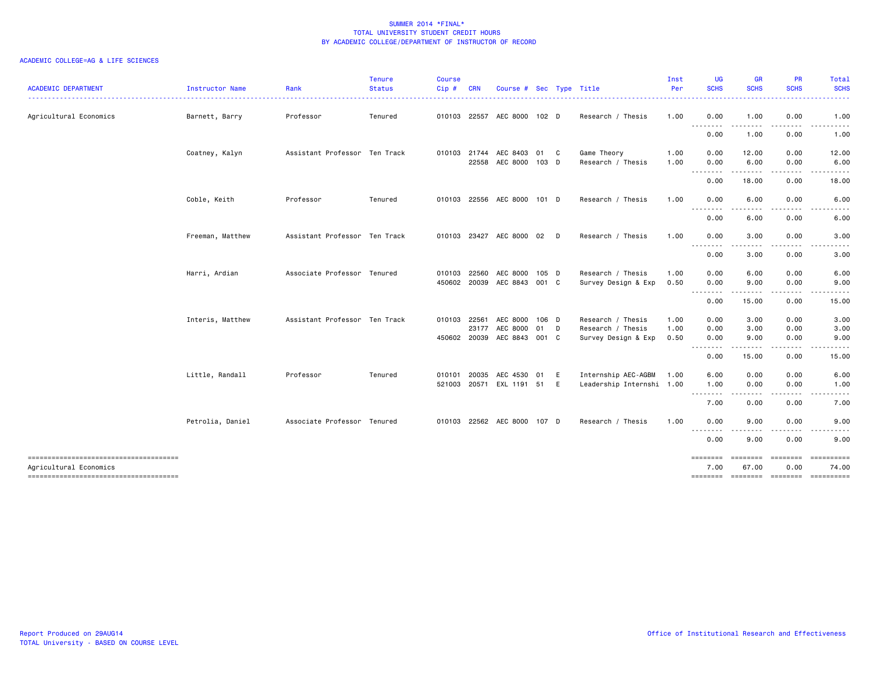| <b>ACADEMIC DEPARTMENT</b>                                       | Instructor Name  | Rank                          | <b>Tenure</b><br><b>Status</b> | <b>Course</b><br>Cip# | <b>CRN</b> | Course # Sec Type Title  |       |     |                           | Inst<br>Per | <b>UG</b><br><b>SCHS</b>                                                                                                                                     | <b>GR</b><br><b>SCHS</b> | <b>PR</b><br><b>SCHS</b> | Total<br><b>SCHS</b>                                                                                                                                                                                                                                                                                                                                                                                                                                                                            |
|------------------------------------------------------------------|------------------|-------------------------------|--------------------------------|-----------------------|------------|--------------------------|-------|-----|---------------------------|-------------|--------------------------------------------------------------------------------------------------------------------------------------------------------------|--------------------------|--------------------------|-------------------------------------------------------------------------------------------------------------------------------------------------------------------------------------------------------------------------------------------------------------------------------------------------------------------------------------------------------------------------------------------------------------------------------------------------------------------------------------------------|
| Agricultural Economics                                           | Barnett, Barry   | Professor                     | Tenured                        | 010103 22557          |            | AEC 8000 102 D           |       |     | Research / Thesis         | 1.00        | 0.00                                                                                                                                                         | 1.00                     | 0.00                     | 1.00                                                                                                                                                                                                                                                                                                                                                                                                                                                                                            |
|                                                                  |                  |                               |                                |                       |            |                          |       |     |                           |             | ---------<br>0.00                                                                                                                                            | $\cdots$<br>1.00         | 0.00                     | 1.00                                                                                                                                                                                                                                                                                                                                                                                                                                                                                            |
|                                                                  | Coatney, Kalyn   | Assistant Professor Ten Track |                                | 010103                | 21744      | AEC 8403                 | 01 C  |     | Game Theory               | 1.00        | 0.00                                                                                                                                                         | 12.00                    | 0.00                     | 12.00                                                                                                                                                                                                                                                                                                                                                                                                                                                                                           |
|                                                                  |                  |                               |                                |                       | 22558      | AEC 8000 103 D           |       |     | Research / Thesis         | 1.00        | 0.00                                                                                                                                                         | 6.00<br>.                | 0.00                     | 6.00                                                                                                                                                                                                                                                                                                                                                                                                                                                                                            |
|                                                                  |                  |                               |                                |                       |            |                          |       |     |                           |             | 0.00                                                                                                                                                         | 18.00                    | 0.00                     | 18.00                                                                                                                                                                                                                                                                                                                                                                                                                                                                                           |
|                                                                  | Coble, Keith     | Professor                     | Tenured                        | 010103                |            | 22556 AEC 8000 101 D     |       |     | Research / Thesis         | 1.00        | 0.00                                                                                                                                                         | 6.00                     | 0.00                     | 6.00                                                                                                                                                                                                                                                                                                                                                                                                                                                                                            |
|                                                                  |                  |                               |                                |                       |            |                          |       |     |                           |             | $\frac{1}{2} \left( \frac{1}{2} \right) \left( \frac{1}{2} \right) \left( \frac{1}{2} \right) \left( \frac{1}{2} \right) \left( \frac{1}{2} \right)$<br>0.00 | 6.00                     | 0.00                     | 6.00                                                                                                                                                                                                                                                                                                                                                                                                                                                                                            |
|                                                                  | Freeman, Matthew | Assistant Professor Ten Track |                                | 010103 23427          |            | AEC 8000 02              |       | D   | Research / Thesis         | 1.00        | 0.00                                                                                                                                                         | 3.00                     | 0.00                     | 3.00                                                                                                                                                                                                                                                                                                                                                                                                                                                                                            |
|                                                                  |                  |                               |                                |                       |            |                          |       |     |                           |             | ---------<br>0.00                                                                                                                                            | 3.00                     | 0.00                     | 3.00                                                                                                                                                                                                                                                                                                                                                                                                                                                                                            |
|                                                                  | Harri, Ardian    | Associate Professor Tenured   |                                | 010103                | 22560      | AEC 8000                 | 105 D |     | Research / Thesis         | 1.00        | 0.00                                                                                                                                                         | 6.00                     | 0.00                     | 6.00                                                                                                                                                                                                                                                                                                                                                                                                                                                                                            |
|                                                                  |                  |                               |                                | 450602                | 20039      | AEC 8843 001 C           |       |     | Survey Design & Exp       | 0.50        | 0.00<br>.                                                                                                                                                    | 9.00<br>.                | 0.00                     | 9.00                                                                                                                                                                                                                                                                                                                                                                                                                                                                                            |
|                                                                  |                  |                               |                                |                       |            |                          |       |     |                           |             | 0.00                                                                                                                                                         | 15.00                    | 0.00                     | 15.00                                                                                                                                                                                                                                                                                                                                                                                                                                                                                           |
|                                                                  | Interis, Matthew | Assistant Professor Ten Track |                                | 010103                | 22561      | AEC 8000 106 D           |       |     | Research / Thesis         | 1.00        | 0.00                                                                                                                                                         | 3.00                     | 0.00                     | 3.00                                                                                                                                                                                                                                                                                                                                                                                                                                                                                            |
|                                                                  |                  |                               |                                |                       | 23177      | AEC 8000                 | 01    | - D | Research / Thesis         | 1.00        | 0.00                                                                                                                                                         | 3.00                     | 0.00                     | 3.00                                                                                                                                                                                                                                                                                                                                                                                                                                                                                            |
|                                                                  |                  |                               |                                | 450602 20039          |            | AEC 8843 001 C           |       |     | Survey Design & Exp       | 0.50        | 0.00<br>$\sim$ $\sim$                                                                                                                                        | 9.00                     | 0.00                     | 9.00                                                                                                                                                                                                                                                                                                                                                                                                                                                                                            |
|                                                                  |                  |                               |                                |                       |            |                          |       |     |                           |             | 0.00                                                                                                                                                         | 15.00                    | 0.00                     | 15.00                                                                                                                                                                                                                                                                                                                                                                                                                                                                                           |
|                                                                  | Little, Randall  | Professor                     | Tenured                        | 010101                | 20035      | AEC 4530 01              |       | E   | Internship AEC-AGBM       | 1.00        | 6.00                                                                                                                                                         | 0.00                     | 0.00                     | 6.00                                                                                                                                                                                                                                                                                                                                                                                                                                                                                            |
|                                                                  |                  |                               |                                |                       |            | 521003 20571 EXL 1191 51 |       | E   | Leadership Internshi 1.00 |             | 1.00<br>---------                                                                                                                                            | 0.00<br>.                | 0.00<br>.                | 1.00                                                                                                                                                                                                                                                                                                                                                                                                                                                                                            |
|                                                                  |                  |                               |                                |                       |            |                          |       |     |                           |             | 7.00                                                                                                                                                         | 0.00                     | 0.00                     | 7.00                                                                                                                                                                                                                                                                                                                                                                                                                                                                                            |
|                                                                  | Petrolia, Daniel | Associate Professor Tenured   |                                | 010103                |            | 22562 AEC 8000 107 D     |       |     | Research / Thesis         | 1.00        | 0.00                                                                                                                                                         | 9.00                     | 0.00                     | 9.00                                                                                                                                                                                                                                                                                                                                                                                                                                                                                            |
|                                                                  |                  |                               |                                |                       |            |                          |       |     |                           |             | --------<br>0.00                                                                                                                                             | - - -<br>9.00            | 0.00                     | 9.00                                                                                                                                                                                                                                                                                                                                                                                                                                                                                            |
| --------------------------------------<br>Agricultural Economics |                  |                               |                                |                       |            |                          |       |     |                           |             | ========<br>7.00                                                                                                                                             | ========<br>67.00        | ========<br>0.00         | $\begin{array}{cccccccccc} \multicolumn{2}{c}{} & \multicolumn{2}{c}{} & \multicolumn{2}{c}{} & \multicolumn{2}{c}{} & \multicolumn{2}{c}{} & \multicolumn{2}{c}{} & \multicolumn{2}{c}{} & \multicolumn{2}{c}{} & \multicolumn{2}{c}{} & \multicolumn{2}{c}{} & \multicolumn{2}{c}{} & \multicolumn{2}{c}{} & \multicolumn{2}{c}{} & \multicolumn{2}{c}{} & \multicolumn{2}{c}{} & \multicolumn{2}{c}{} & \multicolumn{2}{c}{} & \multicolumn{2}{c}{} & \multicolumn{2}{c}{} & \mult$<br>74.00 |
| -------------------------------------                            |                  |                               |                                |                       |            |                          |       |     |                           |             | $= 10000000000$                                                                                                                                              | ========                 | ========                 | ==========                                                                                                                                                                                                                                                                                                                                                                                                                                                                                      |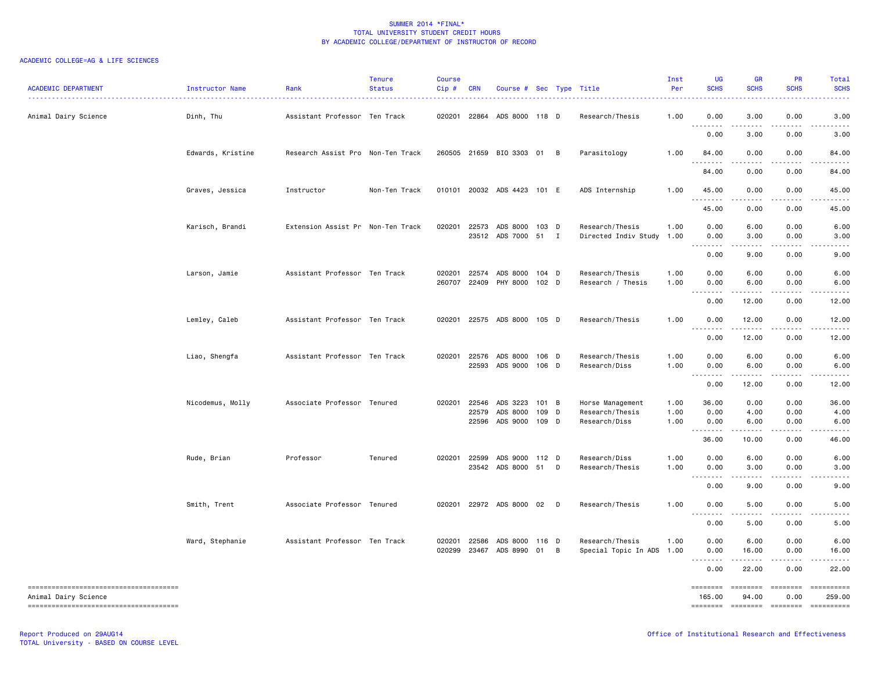| <b>ACADEMIC DEPARTMENT</b>             | Instructor Name   | Rank                              | <b>Tenure</b><br><b>Status</b> | Course<br>Cip#   | <b>CRN</b>     | Course # Sec Type Title               |                |   |                                              | Inst<br>Per  | UG<br><b>SCHS</b>                                                                                                                                                                                                                                                                                                                                                                                                                                                                                                                                                    | <b>GR</b><br><b>SCHS</b>                                                                                                                                     | PR<br><b>SCHS</b>         | Total<br><b>SCHS</b>                 |
|----------------------------------------|-------------------|-----------------------------------|--------------------------------|------------------|----------------|---------------------------------------|----------------|---|----------------------------------------------|--------------|----------------------------------------------------------------------------------------------------------------------------------------------------------------------------------------------------------------------------------------------------------------------------------------------------------------------------------------------------------------------------------------------------------------------------------------------------------------------------------------------------------------------------------------------------------------------|--------------------------------------------------------------------------------------------------------------------------------------------------------------|---------------------------|--------------------------------------|
| Animal Dairy Science                   | Dinh, Thu         | Assistant Professor Ten Track     |                                | 020201           | 22864          | ADS 8000 118 D                        |                |   | Research/Thesis                              | 1.00         | 0.00                                                                                                                                                                                                                                                                                                                                                                                                                                                                                                                                                                 | 3.00                                                                                                                                                         | 0.00                      | 3.00                                 |
|                                        |                   |                                   |                                |                  |                |                                       |                |   |                                              |              | 0.00                                                                                                                                                                                                                                                                                                                                                                                                                                                                                                                                                                 | 3.00                                                                                                                                                         | 0.00                      | 3.00                                 |
|                                        | Edwards, Kristine | Research Assist Pro Non-Ten Track |                                | 260505           |                | 21659 BIO 3303 01 B                   |                |   | Parasitology                                 | 1.00         | 84.00                                                                                                                                                                                                                                                                                                                                                                                                                                                                                                                                                                | 0.00                                                                                                                                                         | 0.00                      | 84.00                                |
|                                        |                   |                                   |                                |                  |                |                                       |                |   |                                              |              | 84.00                                                                                                                                                                                                                                                                                                                                                                                                                                                                                                                                                                | 0.00                                                                                                                                                         | 0.00                      | 84.00                                |
|                                        | Graves, Jessica   | Instructor                        | Non-Ten Track                  |                  |                | 010101 20032 ADS 4423 101 E           |                |   | ADS Internship                               | 1.00         | 45.00<br>.                                                                                                                                                                                                                                                                                                                                                                                                                                                                                                                                                           | 0.00                                                                                                                                                         | 0.00                      | 45.00                                |
|                                        |                   |                                   |                                |                  |                |                                       |                |   |                                              |              | 45.00                                                                                                                                                                                                                                                                                                                                                                                                                                                                                                                                                                | 0.00                                                                                                                                                         | 0.00                      | 45.00                                |
|                                        | Karisch, Brandi   | Extension Assist Pr Non-Ten Track |                                | 020201           | 22573          | ADS 8000 103 D<br>23512 ADS 7000 51 I |                |   | Research/Thesis<br>Directed Indiv Study      | 1.00<br>1.00 | 0.00<br>0.00                                                                                                                                                                                                                                                                                                                                                                                                                                                                                                                                                         | 6.00<br>3.00                                                                                                                                                 | 0.00<br>0.00              | 6.00<br>3.00                         |
|                                        |                   |                                   |                                |                  |                |                                       |                |   |                                              |              | 0.00                                                                                                                                                                                                                                                                                                                                                                                                                                                                                                                                                                 | 9.00                                                                                                                                                         | 0.00                      | 9.00                                 |
|                                        | Larson, Jamie     | Assistant Professor Ten Track     |                                | 020201<br>260707 | 22574<br>22409 | ADS 8000<br>PHY 8000                  | 104 D<br>102 D |   | Research/Thesis<br>Research / Thesis         | 1.00<br>1.00 | 0.00<br>0.00                                                                                                                                                                                                                                                                                                                                                                                                                                                                                                                                                         | 6.00<br>6.00                                                                                                                                                 | 0.00<br>0.00              | 6.00<br>6.00                         |
|                                        |                   |                                   |                                |                  |                |                                       |                |   |                                              |              | بالمحاد<br>$\sim$ $\sim$ .<br>0.00                                                                                                                                                                                                                                                                                                                                                                                                                                                                                                                                   | .<br>12.00                                                                                                                                                   | .<br>0.00                 | $\sim$ $\sim$ $\sim$ $\sim$<br>12.00 |
|                                        | Lemley, Caleb     | Assistant Professor Ten Track     |                                | 020201           |                | 22575 ADS 8000 105 D                  |                |   | Research/Thesis                              | 1.00         | 0.00                                                                                                                                                                                                                                                                                                                                                                                                                                                                                                                                                                 | 12.00<br>.                                                                                                                                                   | 0.00                      | 12.00                                |
|                                        |                   |                                   |                                |                  |                |                                       |                |   |                                              |              | 0.00                                                                                                                                                                                                                                                                                                                                                                                                                                                                                                                                                                 | 12.00                                                                                                                                                        | 0.00                      | 12.00                                |
|                                        | Liao, Shengfa     | Assistant Professor Ten Track     |                                | 020201           | 22576<br>22593 | ADS 8000 106 D<br>ADS 9000 106 D      |                |   | Research/Thesis<br>Research/Diss             | 1.00<br>1.00 | 0.00<br>0.00                                                                                                                                                                                                                                                                                                                                                                                                                                                                                                                                                         | 6.00<br>6.00                                                                                                                                                 | 0.00<br>0.00              | 6.00<br>6.00                         |
|                                        |                   |                                   |                                |                  |                |                                       |                |   |                                              |              | .<br>$\frac{1}{2} \frac{1}{2} \frac{1}{2} \frac{1}{2} \frac{1}{2} \frac{1}{2} \frac{1}{2} \frac{1}{2} \frac{1}{2} \frac{1}{2} \frac{1}{2} \frac{1}{2} \frac{1}{2} \frac{1}{2} \frac{1}{2} \frac{1}{2} \frac{1}{2} \frac{1}{2} \frac{1}{2} \frac{1}{2} \frac{1}{2} \frac{1}{2} \frac{1}{2} \frac{1}{2} \frac{1}{2} \frac{1}{2} \frac{1}{2} \frac{1}{2} \frac{1}{2} \frac{1}{2} \frac{1}{2} \frac{$<br>0.00                                                                                                                                                            | 12.00                                                                                                                                                        | 0.00                      | 12.00                                |
|                                        | Nicodemus, Molly  | Associate Professor Tenured       |                                | 020201           | 22546          | ADS 3223                              | $101 \quad B$  |   | Horse Management                             | 1.00         | 36.00                                                                                                                                                                                                                                                                                                                                                                                                                                                                                                                                                                | 0.00                                                                                                                                                         | 0.00                      | 36.00                                |
|                                        |                   |                                   |                                |                  | 22579          | ADS 8000                              | 109 D          |   | Research/Thesis                              | 1.00         | 0.00                                                                                                                                                                                                                                                                                                                                                                                                                                                                                                                                                                 | 4.00                                                                                                                                                         | 0.00                      | 4.00                                 |
|                                        |                   |                                   |                                |                  | 22596          | ADS 9000 109 D                        |                |   | Research/Diss                                | 1.00         | 0.00<br>$\sim$ $\sim$ $\sim$<br>-----                                                                                                                                                                                                                                                                                                                                                                                                                                                                                                                                | 6.00<br>$\frac{1}{2} \left( \frac{1}{2} \right) \left( \frac{1}{2} \right) \left( \frac{1}{2} \right) \left( \frac{1}{2} \right) \left( \frac{1}{2} \right)$ | 0.00<br>.                 | 6.00<br>. <b>.</b> .                 |
|                                        |                   |                                   |                                |                  |                |                                       |                |   |                                              |              | 36.00                                                                                                                                                                                                                                                                                                                                                                                                                                                                                                                                                                | 10.00                                                                                                                                                        | 0.00                      | 46.00                                |
|                                        | Rude, Brian       | Professor                         | Tenured                        | 020201           | 22599          | ADS 9000 112 D                        |                |   | Research/Diss                                | 1.00         | 0.00                                                                                                                                                                                                                                                                                                                                                                                                                                                                                                                                                                 | 6.00                                                                                                                                                         | 0.00                      | 6.00                                 |
|                                        |                   |                                   |                                |                  | 23542          | ADS 8000 51                           |                | D | Research/Thesis                              | 1.00         | 0.00<br>$\sim$ $\sim$ $\sim$ $\sim$<br>$\sim$ $\sim$                                                                                                                                                                                                                                                                                                                                                                                                                                                                                                                 | 3.00<br>.                                                                                                                                                    | 0.00<br>.                 | 3.00<br>----                         |
|                                        |                   |                                   |                                |                  |                |                                       |                |   |                                              |              | 0.00                                                                                                                                                                                                                                                                                                                                                                                                                                                                                                                                                                 | 9.00                                                                                                                                                         | 0.00                      | 9.00                                 |
|                                        | Smith, Trent      | Associate Professor Tenured       |                                | 020201           |                | 22972 ADS 8000 02 D                   |                |   | Research/Thesis                              | 1.00         | 0.00<br>$\sim$ $\sim$<br>$- - - -$                                                                                                                                                                                                                                                                                                                                                                                                                                                                                                                                   | 5.00<br>.                                                                                                                                                    | 0.00<br>.                 | 5.00<br>$\frac{1}{2}$                |
|                                        |                   |                                   |                                |                  |                |                                       |                |   |                                              |              | 0.00                                                                                                                                                                                                                                                                                                                                                                                                                                                                                                                                                                 | 5.00                                                                                                                                                         | 0.00                      | 5.00                                 |
|                                        | Ward, Stephanie   | Assistant Professor Ten Track     |                                | 020201<br>020299 | 22586<br>23467 | ADS 8000 116 D<br>ADS 8990 01         |                | B | Research/Thesis<br>Special Topic In ADS 1.00 | 1.00         | 0.00<br>0.00                                                                                                                                                                                                                                                                                                                                                                                                                                                                                                                                                         | 6.00<br>16.00                                                                                                                                                | 0.00<br>0.00              | 6.00<br>16.00                        |
|                                        |                   |                                   |                                |                  |                |                                       |                |   |                                              |              | $\sim$ $\sim$                                                                                                                                                                                                                                                                                                                                                                                                                                                                                                                                                        |                                                                                                                                                              |                           |                                      |
|                                        |                   |                                   |                                |                  |                |                                       |                |   |                                              |              | 0.00                                                                                                                                                                                                                                                                                                                                                                                                                                                                                                                                                                 | 22.00                                                                                                                                                        | 0.00                      | 22.00                                |
| Animal Dairy Science                   |                   |                                   |                                |                  |                |                                       |                |   |                                              |              | $\begin{tabular}{ll} \multicolumn{3}{l}{{\color{red}\boldsymbol{=}}} & \multicolumn{3}{l}{\color{blue}\boldsymbol{=}} & \multicolumn{3}{l}{\color{blue}\boldsymbol{=}} & \multicolumn{3}{l}{\color{blue}\boldsymbol{=}} & \multicolumn{3}{l}{\color{blue}\boldsymbol{=}} & \multicolumn{3}{l}{\color{blue}\boldsymbol{=}} & \multicolumn{3}{l}{\color{blue}\boldsymbol{=}} & \multicolumn{3}{l}{\color{blue}\boldsymbol{=}} & \multicolumn{3}{l}{\color{blue}\boldsymbol{=}} & \multicolumn{3}{l}{\color{blue}\boldsymbol{=}} & \multicolumn{3}{l}{\color$<br>165.00 | $\qquad \qquad \equiv \equiv \equiv \equiv \equiv \equiv \equiv \equiv$<br>94.00                                                                             | $= = = = = = = =$<br>0.00 | EEEEEEEE<br>259.00                   |
| -------------------------------------- |                   |                                   |                                |                  |                |                                       |                |   |                                              |              |                                                                                                                                                                                                                                                                                                                                                                                                                                                                                                                                                                      |                                                                                                                                                              | -------- -------- ------- | $-$ ==========                       |
|                                        |                   |                                   |                                |                  |                |                                       |                |   |                                              |              |                                                                                                                                                                                                                                                                                                                                                                                                                                                                                                                                                                      |                                                                                                                                                              |                           |                                      |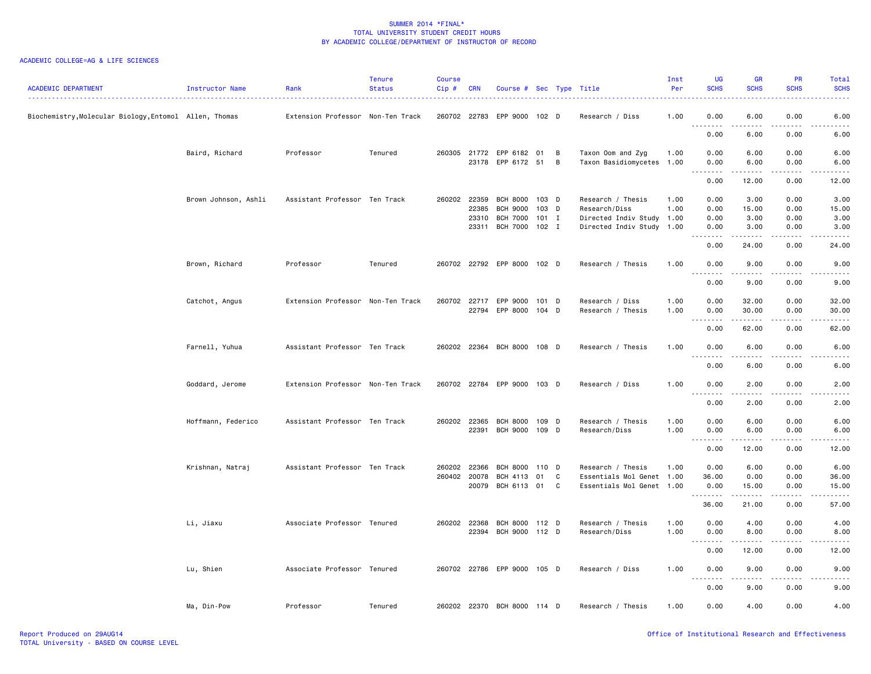| <b>ACADEMIC DEPARTMENT</b>                             | Instructor Name      | Rank                              | <b>Tenure</b><br><b>Status</b> | <b>Course</b><br>$Cip \#$ | <b>CRN</b>            | Course # Sec Type Title          |         |                |                                      | Inst<br>Per  | UG<br><b>SCHS</b>                 | <b>GR</b><br><b>SCHS</b> | <b>PR</b><br><b>SCHS</b> | Total<br><b>SCHS</b>                |
|--------------------------------------------------------|----------------------|-----------------------------------|--------------------------------|---------------------------|-----------------------|----------------------------------|---------|----------------|--------------------------------------|--------------|-----------------------------------|--------------------------|--------------------------|-------------------------------------|
| Biochemistry, Molecular Biology, Entomol Allen, Thomas |                      | Extension Professor Non-Ten Track |                                |                           | 260702 22783          | EPP 9000 102 D                   |         |                | Research / Diss                      | 1.00         | 0.00                              | 6.00                     | 0.00                     | 6.00                                |
|                                                        |                      |                                   |                                |                           |                       |                                  |         |                |                                      |              | $\sim$ $\sim$ $\sim$<br>.<br>0.00 | 6.00                     | 0.00                     | 6.00                                |
|                                                        | Baird, Richard       | Professor                         | Tenured                        |                           |                       | 260305 21772 EPP 6182 01         |         | $\overline{B}$ | Taxon Oom and Zyg                    | 1.00         | 0.00                              | 6.00                     | 0.00                     | 6.00                                |
|                                                        |                      |                                   |                                |                           |                       | 23178 EPP 6172 51                |         | $\overline{B}$ | Taxon Basidiomycetes 1.00            |              | 0.00<br>. <u>.</u> .              | 6.00<br>.                | 0.00<br>.                | 6.00<br>.                           |
|                                                        |                      |                                   |                                |                           |                       |                                  |         |                |                                      |              | 0.00                              | 12.00                    | 0.00                     | 12.00                               |
|                                                        | Brown Johnson, Ashli | Assistant Professor Ten Track     |                                |                           | 260202 22359          | BCH 8000 103 D                   |         |                | Research / Thesis                    | 1.00         | 0.00                              | 3.00                     | 0.00                     | 3.00                                |
|                                                        |                      |                                   |                                |                           | 22385                 | <b>BCH 9000</b>                  | 103     | D              | Research/Diss                        | 1.00         | 0.00                              | 15.00                    | 0.00                     | 15.00                               |
|                                                        |                      |                                   |                                |                           | 23310                 | <b>BCH 7000</b>                  | $101$ I |                | Directed Indiv Study 1.00            |              | 0.00                              | 3.00                     | 0.00                     | 3.00                                |
|                                                        |                      |                                   |                                |                           |                       | 23311 BCH 7000 102 I             |         |                | Directed Indiv Study 1.00            |              | 0.00<br>.                         | 3.00<br>.                | 0.00<br>.                | 3.00<br>.                           |
|                                                        |                      |                                   |                                |                           |                       |                                  |         |                |                                      |              | 0.00                              | 24.00                    | 0.00                     | 24.00                               |
|                                                        | Brown, Richard       | Professor                         | Tenured                        |                           |                       | 260702 22792 EPP 8000 102 D      |         |                | Research / Thesis                    | 1.00         | 0.00<br>.                         | 9.00<br>$- - - - -$      | 0.00<br>.                | 9.00<br>$\sim$ $\sim$ $\sim$ $\sim$ |
|                                                        |                      |                                   |                                |                           |                       |                                  |         |                |                                      |              | 0.00                              | 9.00                     | 0.00                     | 9.00                                |
|                                                        |                      |                                   |                                |                           |                       |                                  |         |                |                                      |              |                                   |                          |                          |                                     |
|                                                        | Catchot, Angus       | Extension Professor Non-Ten Track |                                |                           | 260702 22717<br>22794 | EPP 9000 101 D<br>EPP 8000 104 D |         |                | Research / Diss<br>Research / Thesis | 1.00<br>1.00 | 0.00<br>0.00                      | 32.00<br>30.00           | 0.00<br>0.00             | 32.00<br>30.00                      |
|                                                        |                      |                                   |                                |                           |                       |                                  |         |                |                                      |              | .<br>$\sim$ $\sim$ $\sim$         |                          | .                        |                                     |
|                                                        |                      |                                   |                                |                           |                       |                                  |         |                |                                      |              | 0.00                              | 62.00                    | 0.00                     | 62.00                               |
|                                                        | Farnell, Yuhua       | Assistant Professor Ten Track     |                                |                           |                       | 260202 22364 BCH 8000 108 D      |         |                | Research / Thesis                    | 1.00         | 0.00                              | 6.00                     | 0.00                     | 6.00                                |
|                                                        |                      |                                   |                                |                           |                       |                                  |         |                |                                      |              | 0.00                              | 6.00                     | 0.00                     | 6.00                                |
|                                                        | Goddard, Jerome      | Extension Professor Non-Ten Track |                                |                           |                       | 260702 22784 EPP 9000 103 D      |         |                | Research / Diss                      | 1.00         | 0.00                              | 2.00                     | 0.00                     | 2.00                                |
|                                                        |                      |                                   |                                |                           |                       |                                  |         |                |                                      |              | 0.00                              | 2.00                     | 0.00                     | 2.00                                |
|                                                        |                      |                                   |                                |                           |                       |                                  |         |                |                                      |              |                                   |                          |                          |                                     |
|                                                        | Hoffmann, Federico   | Assistant Professor Ten Track     |                                |                           | 260202 22365          | BCH 8000                         | 109 D   |                | Research / Thesis                    | 1.00         | 0.00                              | 6.00                     | 0.00                     | 6.00                                |
|                                                        |                      |                                   |                                |                           | 22391                 | BCH 9000 109 D                   |         |                | Research/Diss                        | 1.00         | 0.00<br>.<br>$\frac{1}{2}$        | 6.00<br>. <u>.</u>       | 0.00<br>.                | 6.00<br>.                           |
|                                                        |                      |                                   |                                |                           |                       |                                  |         |                |                                      |              | 0.00                              | 12.00                    | 0.00                     | 12.00                               |
|                                                        | Krishnan, Natraj     | Assistant Professor Ten Track     |                                | 260202                    | 22366                 | <b>BCH 8000</b>                  | 110 D   |                | Research / Thesis                    | 1.00         | 0.00                              | 6.00                     | 0.00                     | 6.00                                |
|                                                        |                      |                                   |                                |                           | 260402 20078          | <b>BCH 4113</b>                  | 01      | C              | Essentials Mol Genet                 | 1.00         | 36.00                             | 0.00                     | 0.00                     | 36.00                               |
|                                                        |                      |                                   |                                |                           |                       | 20079 BCH 6113 01                |         | C              | Essentials Mol Genet 1.00            |              | 0.00<br>.                         | 15.00<br>.               | 0.00<br>.                | 15.00<br>.                          |
|                                                        |                      |                                   |                                |                           |                       |                                  |         |                |                                      |              | 36.00                             | 21.00                    | 0.00                     | 57.00                               |
|                                                        | Li, Jiaxu            | Associate Professor Tenured       |                                |                           | 260202 22368          | BCH 8000 112 D                   |         |                | Research / Thesis                    | 1.00         | 0.00                              | 4.00                     | 0.00                     | 4.00                                |
|                                                        |                      |                                   |                                |                           | 22394                 | BCH 9000 112 D                   |         |                | Research/Diss                        | 1.00         | 0.00                              | 8.00                     | 0.00                     | 8.00                                |
|                                                        |                      |                                   |                                |                           |                       |                                  |         |                |                                      |              | .<br>$\sim$ $\sim$<br>0.00        | .<br>12.00               | .<br>0.00                | .<br>12.00                          |
|                                                        |                      |                                   |                                |                           |                       |                                  |         |                |                                      |              |                                   |                          |                          |                                     |
|                                                        | Lu, Shien            | Associate Professor Tenured       |                                |                           |                       | 260702 22786 EPP 9000 105 D      |         |                | Research / Diss                      | 1.00         | 0.00<br>$\sim$ $\sim$             | 9.00<br>.                | 0.00                     | 9.00                                |
|                                                        |                      |                                   |                                |                           |                       |                                  |         |                |                                      |              | 0.00                              | 9.00                     | 0.00                     | 9.00                                |
|                                                        | Ma, Din-Pow          | Professor                         | Tenured                        |                           |                       | 260202 22370 BCH 8000 114 D      |         |                | Research / Thesis                    | 1.00         | 0.00                              | 4.00                     | 0.00                     | 4.00                                |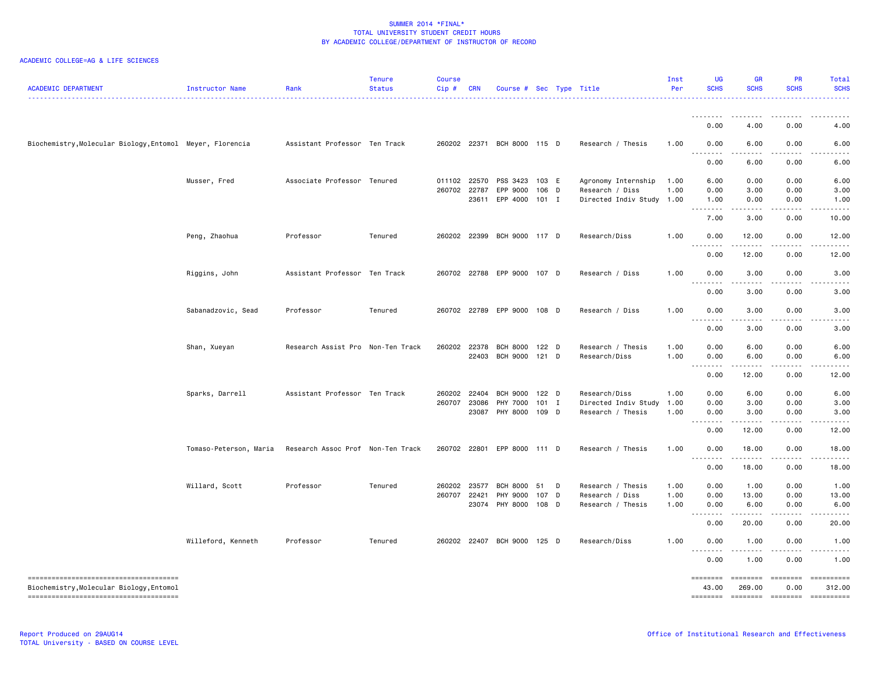| <b>ACADEMIC DEPARTMENT</b>                                                        | <b>Instructor Name</b> | Rank                              | <b>Tenure</b><br><b>Status</b> | Course<br>Cip# | <b>CRN</b>     | Course # Sec Type Title          |                |   |                                           | Inst<br>Per  | UG<br><b>SCHS</b>           | GR<br><b>SCHS</b>       | PR<br><b>SCHS</b>     | <b>Total</b><br><b>SCHS</b> |
|-----------------------------------------------------------------------------------|------------------------|-----------------------------------|--------------------------------|----------------|----------------|----------------------------------|----------------|---|-------------------------------------------|--------------|-----------------------------|-------------------------|-----------------------|-----------------------------|
|                                                                                   |                        |                                   |                                |                |                |                                  |                |   |                                           |              | .                           | .                       |                       |                             |
|                                                                                   |                        |                                   |                                |                |                |                                  |                |   |                                           |              | 0.00                        | 4.00                    | 0.00                  | 4.00                        |
| Biochemistry, Molecular Biology, Entomol Meyer, Florencia                         |                        | Assistant Professor Ten Track     |                                |                |                | 260202 22371 BCH 8000 115 D      |                |   | Research / Thesis                         | 1.00         | 0.00                        | 6.00                    | 0.00                  | 6.00                        |
|                                                                                   |                        |                                   |                                |                |                |                                  |                |   |                                           |              | 0.00                        | 6.00                    | 0.00                  | 6.00                        |
|                                                                                   | Musser, Fred           | Associate Professor Tenured       |                                | 011102 22570   |                | PSS 3423                         | 103 E          |   | Agronomy Internship                       | 1.00         | 6.00                        | 0.00                    | 0.00                  | 6.00                        |
|                                                                                   |                        |                                   |                                | 260702 22787   |                | EPP 9000<br>23611 EPP 4000 101 I | 106 D          |   | Research / Diss<br>Directed Indiv Study   | 1.00<br>1.00 | 0.00<br>1.00                | 3.00<br>0.00            | 0.00<br>0.00          | 3.00<br>1.00                |
|                                                                                   |                        |                                   |                                |                |                |                                  |                |   |                                           |              | .<br>7.00                   | 3.00                    | 0.00                  | 10.00                       |
|                                                                                   | Peng, Zhaohua          | Professor                         | Tenured                        |                |                | 260202 22399 BCH 9000 117 D      |                |   | Research/Diss                             | 1.00         | 0.00<br>.                   | 12.00                   | 0.00                  | 12.00                       |
|                                                                                   |                        |                                   |                                |                |                |                                  |                |   |                                           |              | 0.00                        | 12.00                   | 0.00                  | 12.00                       |
|                                                                                   | Riggins, John          | Assistant Professor Ten Track     |                                |                |                | 260702 22788 EPP 9000 107 D      |                |   | Research / Diss                           | 1.00         | 0.00<br>.                   | 3.00<br>$- - -$         | 0.00                  | 3.00                        |
|                                                                                   |                        |                                   |                                |                |                |                                  |                |   |                                           |              | 0.00                        | 3.00                    | 0.00                  | 3.00                        |
|                                                                                   | Sabanadzovic, Sead     | Professor                         | Tenured                        |                |                | 260702 22789 EPP 9000 108 D      |                |   | Research / Diss                           | 1.00         | 0.00<br>$\frac{1}{2}$       | 3.00<br>.               | 0.00                  | 3.00                        |
|                                                                                   |                        |                                   |                                |                |                |                                  |                |   |                                           |              | 0.00                        | 3.00                    | 0.00                  | 3.00                        |
|                                                                                   | Shan, Xueyan           | Research Assist Pro Non-Ten Track |                                | 260202 22378   |                | BCH 8000 122 D                   |                |   | Research / Thesis                         | 1.00         | 0.00                        | 6.00                    | 0.00                  | 6.00                        |
|                                                                                   |                        |                                   |                                |                | 22403          | BCH 9000 121 D                   |                |   | Research/Diss                             | 1.00         | 0.00<br><u>.</u>            | 6.00                    | 0.00                  | 6.00                        |
|                                                                                   |                        |                                   |                                |                |                |                                  |                |   |                                           |              | 0.00                        | 12.00                   | 0.00                  | 12.00                       |
|                                                                                   | Sparks, Darrell        | Assistant Professor Ten Track     |                                | 260202         | 22404          | BCH 9000                         | 122 D          |   | Research/Diss                             | 1.00         | 0.00                        | 6.00                    | 0.00                  | 6.00                        |
|                                                                                   |                        |                                   |                                | 260707         | 23086<br>23087 | PHY 7000<br>PHY 8000             | 101 I<br>109 D |   | Directed Indiv Study<br>Research / Thesis | 1.00<br>1.00 | 0.00<br>0.00                | 3.00<br>3.00            | 0.00<br>0.00          | 3.00<br>3.00                |
|                                                                                   |                        |                                   |                                |                |                |                                  |                |   |                                           |              | .                           | .                       | .                     |                             |
|                                                                                   |                        |                                   |                                |                |                |                                  |                |   |                                           |              | 0.00                        | 12.00                   | 0.00                  | 12.00                       |
|                                                                                   | Tomaso-Peterson, Maria | Research Assoc Prof Non-Ten Track |                                |                |                | 260702 22801 EPP 8000 111 D      |                |   | Research / Thesis                         | 1.00         | 0.00                        | 18.00                   | 0.00                  | 18.00                       |
|                                                                                   |                        |                                   |                                |                |                |                                  |                |   |                                           |              | 0.00                        | 18.00                   | 0.00                  | 18.00                       |
|                                                                                   | Willard, Scott         | Professor                         | Tenured                        | 260202 23577   |                | BCH 8000 51                      |                | D | Research / Thesis                         | 1.00         | 0.00                        | 1.00                    | 0.00                  | 1.00                        |
|                                                                                   |                        |                                   |                                | 260707         | 22421          | PHY 9000                         | 107            | D | Research / Diss                           | 1.00         | 0.00                        | 13.00                   | 0.00                  | 13.00                       |
|                                                                                   |                        |                                   |                                |                |                | 23074 PHY 8000 108 D             |                |   | Research / Thesis                         | 1.00         | 0.00<br><u>.</u><br>$- - -$ | 6.00<br>.               | 0.00<br>.             | 6.00                        |
|                                                                                   |                        |                                   |                                |                |                |                                  |                |   |                                           |              | 0.00                        | 20.00                   | 0.00                  | 20.00                       |
|                                                                                   | Willeford, Kenneth     | Professor                         | Tenured                        |                |                | 260202 22407 BCH 9000 125 D      |                |   | Research/Diss                             | 1.00         | 0.00<br>.                   | 1.00                    | 0.00                  | 1.00                        |
|                                                                                   |                        |                                   |                                |                |                |                                  |                |   |                                           |              | 0.00                        | 1.00                    | 0.00                  | 1.00                        |
| -------------------------------------<br>Biochemistry, Molecular Biology, Entomol |                        |                                   |                                |                |                |                                  |                |   |                                           |              | ========<br>43.00           | $= 222222222$<br>269.00 | $= 222222222$<br>0.00 | ==========<br>312.00        |
|                                                                                   |                        |                                   |                                |                |                |                                  |                |   |                                           |              | <b>SEBSEBED</b>             |                         | --------- -------     | ==========                  |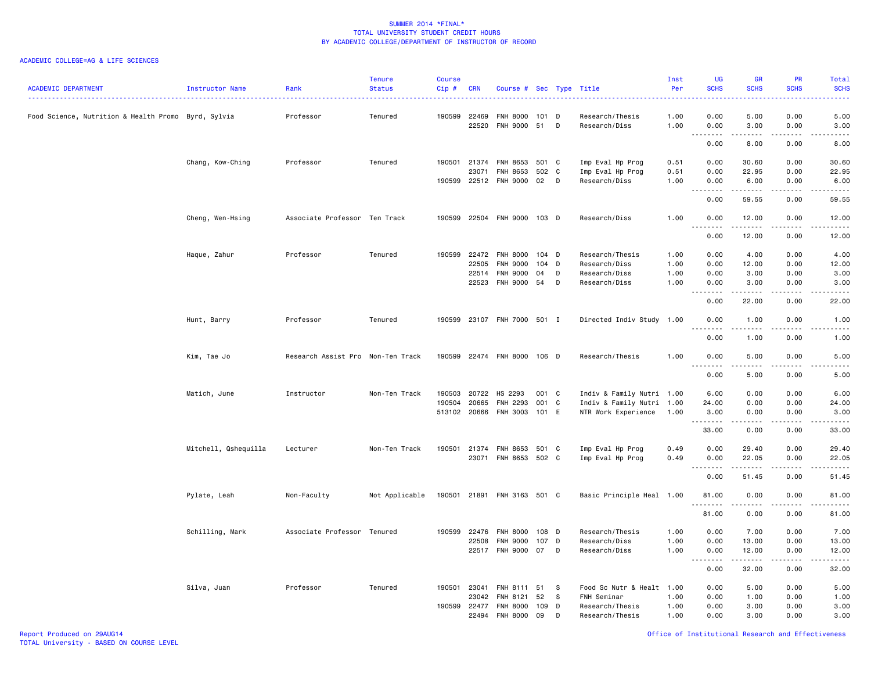| <b>ACADEMIC DEPARTMENT</b>                          | Instructor Name      | Rank                              | <b>Tenure</b><br><b>Status</b> | <b>Course</b><br>Cip# | <b>CRN</b>            | Course # Sec Type Title            |               |     |                                  | Inst<br>Per  | UG<br><b>SCHS</b>                                                                                                                                            | <b>GR</b><br><b>SCHS</b> | PR<br><b>SCHS</b>                   | Total<br><b>SCHS</b>                                                                                                                                          |
|-----------------------------------------------------|----------------------|-----------------------------------|--------------------------------|-----------------------|-----------------------|------------------------------------|---------------|-----|----------------------------------|--------------|--------------------------------------------------------------------------------------------------------------------------------------------------------------|--------------------------|-------------------------------------|---------------------------------------------------------------------------------------------------------------------------------------------------------------|
| Food Science, Nutrition & Health Promo Byrd, Sylvia |                      | Professor                         | Tenured                        |                       | 190599 22469<br>22520 | <b>FNH 8000</b><br><b>FNH 9000</b> | 101 D<br>51 D |     | Research/Thesis<br>Research/Diss | 1.00<br>1.00 | 0.00<br>0.00                                                                                                                                                 | 5.00<br>3.00             | 0.00<br>0.00                        | 5.00<br>3.00                                                                                                                                                  |
|                                                     |                      |                                   |                                |                       |                       |                                    |               |     |                                  |              | <b>.</b><br>0.00                                                                                                                                             | 8.00                     | 0.00                                | .<br>8.00                                                                                                                                                     |
|                                                     | Chang, Kow-Ching     | Professor                         | Tenured                        |                       | 190501 21374          | FNH 8653                           | 501 C         |     | Imp Eval Hp Prog                 | 0.51         | 0.00                                                                                                                                                         | 30.60                    | 0.00                                | 30.60                                                                                                                                                         |
|                                                     |                      |                                   |                                |                       | 23071                 | FNH 8653                           | 502 C         |     | Imp Eval Hp Prog                 | 0.51         | 0.00                                                                                                                                                         | 22.95                    | 0.00                                | 22.95                                                                                                                                                         |
|                                                     |                      |                                   |                                |                       |                       | 190599 22512 FNH 9000              | 02            | D   | Research/Diss                    | 1.00         | 0.00                                                                                                                                                         | 6.00                     | 0.00                                | 6.00                                                                                                                                                          |
|                                                     |                      |                                   |                                |                       |                       |                                    |               |     |                                  |              | .<br>0.00                                                                                                                                                    | .<br>59.55               | $\frac{1}{2}$<br>0.00               | $\frac{1}{2}$<br>59.55                                                                                                                                        |
|                                                     | Cheng, Wen-Hsing     | Associate Professor Ten Track     |                                | 190599                |                       | 22504 FNH 9000 103 D               |               |     | Research/Diss                    | 1.00         | 0.00                                                                                                                                                         | 12.00                    | 0.00                                | 12.00                                                                                                                                                         |
|                                                     |                      |                                   |                                |                       |                       |                                    |               |     |                                  |              | $- - - - -$<br>- - -<br>0.00                                                                                                                                 | .<br>12.00               | $\frac{1}{2}$<br>0.00               | . <u>.</u> .<br>12.00                                                                                                                                         |
|                                                     | Haque, Zahur         | Professor                         | Tenured                        | 190599                | 22472                 | <b>FNH 8000</b>                    | 104 D         |     | Research/Thesis                  | 1.00         | 0.00                                                                                                                                                         | 4.00                     | 0.00                                | 4.00                                                                                                                                                          |
|                                                     |                      |                                   |                                |                       | 22505                 | <b>FNH 9000</b>                    | $104$ D       |     | Research/Diss                    | 1.00         | 0.00                                                                                                                                                         | 12.00                    | 0.00                                | 12.00                                                                                                                                                         |
|                                                     |                      |                                   |                                |                       | 22514                 | <b>FNH 9000</b>                    | 04            | D   | Research/Diss                    | 1.00         | 0.00                                                                                                                                                         | 3.00                     | 0.00                                | 3.00                                                                                                                                                          |
|                                                     |                      |                                   |                                |                       | 22523                 | <b>FNH 9000</b>                    | 54            | D   | Research/Diss                    | 1.00         | 0.00                                                                                                                                                         | 3.00                     | 0.00                                | 3.00                                                                                                                                                          |
|                                                     |                      |                                   |                                |                       |                       |                                    |               |     |                                  |              | .<br>0.00                                                                                                                                                    | .<br>22.00               | .<br>0.00                           | $\omega$ is $\omega$ in .<br>22.00                                                                                                                            |
|                                                     | Hunt, Barry          | Professor                         | Tenured                        | 190599                |                       | 23107 FNH 7000 501 I               |               |     | Directed Indiv Study 1.00        |              | 0.00                                                                                                                                                         | 1.00                     | 0.00                                | 1.00                                                                                                                                                          |
|                                                     |                      |                                   |                                |                       |                       |                                    |               |     |                                  |              | د د د د<br>0.00                                                                                                                                              | المستمد<br>1.00          | 0.00                                | .<br>1.00                                                                                                                                                     |
|                                                     | Kim, Tae Jo          | Research Assist Pro Non-Ten Track |                                | 190599                |                       | 22474 FNH 8000 106 D               |               |     | Research/Thesis                  | 1.00         | 0.00                                                                                                                                                         | 5.00                     | 0.00                                | 5.00                                                                                                                                                          |
|                                                     |                      |                                   |                                |                       |                       |                                    |               |     |                                  |              | .<br>0.00                                                                                                                                                    | .<br>5.00                | $\sim$ $\sim$ $\sim$ $\sim$<br>0.00 | .<br>5.00                                                                                                                                                     |
|                                                     | Matich, June         | Instructor                        | Non-Ten Track                  | 190503                | 20722                 | HS 2293                            | 001 C         |     | Indiv & Family Nutri 1.00        |              | 6.00                                                                                                                                                         | 0.00                     | 0.00                                | 6.00                                                                                                                                                          |
|                                                     |                      |                                   |                                | 190504                | 20665                 | FNH 2293                           | 001 C         |     | Indiv & Family Nutri 1.00        |              | 24.00                                                                                                                                                        | 0.00                     | 0.00                                | 24.00                                                                                                                                                         |
|                                                     |                      |                                   |                                |                       | 513102 20666          | FNH 3003 101 E                     |               |     | NTR Work Experience              | 1.00         | 3.00                                                                                                                                                         | 0.00                     | 0.00                                | 3.00                                                                                                                                                          |
|                                                     |                      |                                   |                                |                       |                       |                                    |               |     |                                  |              | <u>.</u><br>33.00                                                                                                                                            | .<br>0.00                | $\frac{1}{2}$<br>0.00               | $\frac{1}{2}$<br>33.00                                                                                                                                        |
|                                                     | Mitchell, Qshequilla | Lecturer                          | Non-Ten Track                  |                       | 190501 21374          | FNH 8653                           | 501 C         |     | Imp Eval Hp Prog                 | 0.49         | 0.00                                                                                                                                                         | 29.40                    | 0.00                                | 29.40                                                                                                                                                         |
|                                                     |                      |                                   |                                |                       | 23071                 | FNH 8653 502 C                     |               |     | Imp Eval Hp Prog                 | 0.49         | 0.00                                                                                                                                                         | 22.05                    | 0.00                                | 22.05                                                                                                                                                         |
|                                                     |                      |                                   |                                |                       |                       |                                    |               |     |                                  |              | -----<br>$\sim$ $\sim$ $\sim$                                                                                                                                | .                        | .                                   | .                                                                                                                                                             |
|                                                     |                      |                                   |                                |                       |                       |                                    |               |     |                                  |              | 0.00                                                                                                                                                         | 51.45                    | 0.00                                | 51.45                                                                                                                                                         |
|                                                     | Pylate, Leah         | Non-Faculty                       | Not Applicable                 |                       |                       | 190501 21891 FNH 3163 501 C        |               |     | Basic Principle Heal 1.00        |              | 81.00<br>. <b>.</b>                                                                                                                                          | 0.00                     | 0.00<br>$\frac{1}{2}$               | 81.00<br>.                                                                                                                                                    |
|                                                     |                      |                                   |                                |                       |                       |                                    |               |     |                                  |              | 81.00                                                                                                                                                        | 0.00                     | 0.00                                | 81.00                                                                                                                                                         |
|                                                     | Schilling, Mark      | Associate Professor Tenured       |                                | 190599                | 22476                 | <b>FNH 8000</b>                    | 108 D         |     | Research/Thesis                  | 1.00         | 0.00                                                                                                                                                         | 7.00                     | 0.00                                | 7.00                                                                                                                                                          |
|                                                     |                      |                                   |                                |                       | 22508                 | <b>FNH 9000</b>                    | 107 D         |     | Research/Diss                    | 1.00         | 0.00                                                                                                                                                         | 13.00                    | 0.00                                | 13.00                                                                                                                                                         |
|                                                     |                      |                                   |                                |                       |                       | 22517 FNH 9000 07                  |               | D   | Research/Diss                    | 1.00         | 0.00<br>$\frac{1}{2} \left( \frac{1}{2} \right) \left( \frac{1}{2} \right) \left( \frac{1}{2} \right) \left( \frac{1}{2} \right) \left( \frac{1}{2} \right)$ | 12.00<br>.               | 0.00                                | 12.00<br>$\frac{1}{2} \left( \frac{1}{2} \right) \left( \frac{1}{2} \right) \left( \frac{1}{2} \right) \left( \frac{1}{2} \right) \left( \frac{1}{2} \right)$ |
|                                                     |                      |                                   |                                |                       |                       |                                    |               |     |                                  |              | 0.00                                                                                                                                                         | 32.00                    | 0.00                                | 32.00                                                                                                                                                         |
|                                                     | Silva, Juan          | Professor                         | Tenured                        |                       | 190501 23041          | FNH 8111                           | 51            | - S | Food Sc Nutr & Healt 1.00        |              | 0.00                                                                                                                                                         | 5.00                     | 0.00                                | 5.00                                                                                                                                                          |
|                                                     |                      |                                   |                                |                       | 23042                 | FNH 8121                           | 52            | - S | FNH Seminar                      | 1.00         | 0.00                                                                                                                                                         | 1.00                     | 0.00                                | 1.00                                                                                                                                                          |
|                                                     |                      |                                   |                                | 190599                | 22477                 | <b>FNH 8000</b>                    | 109           | D   | Research/Thesis                  | 1.00         | 0.00                                                                                                                                                         | 3.00                     | 0.00                                | 3.00                                                                                                                                                          |
|                                                     |                      |                                   |                                |                       | 22494                 | <b>FNH 8000</b>                    | 09            | D   | Research/Thesis                  | 1.00         | 0.00                                                                                                                                                         | 3.00                     | 0.00                                | 3.00                                                                                                                                                          |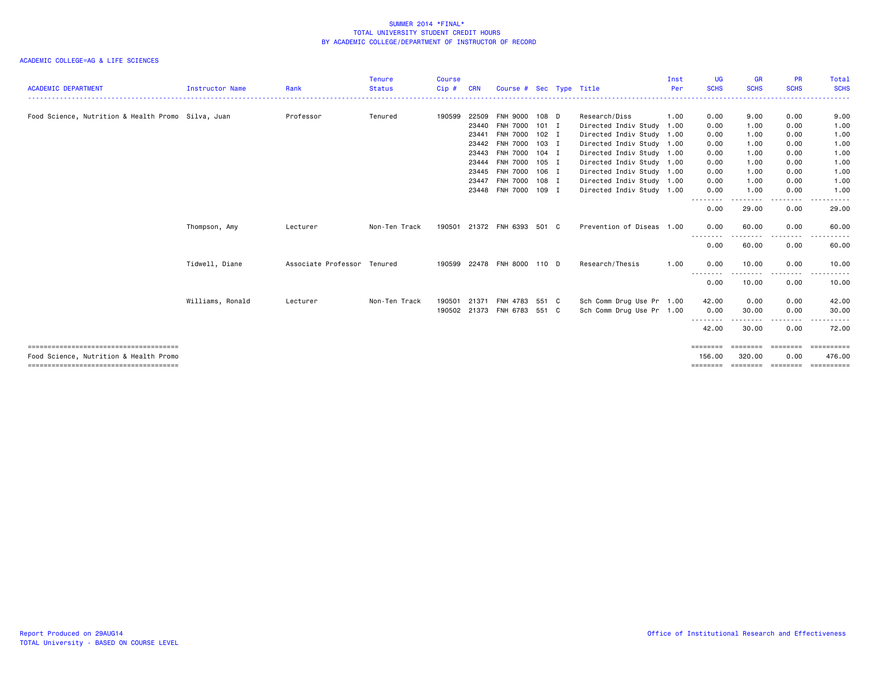| <b>ACADEMIC DEPARTMENT</b>                         | <b>Instructor Name</b> | Rank                        | <b>Tenure</b><br><b>Status</b> | <b>Course</b><br>Cip# | <b>CRN</b> | Course # Sec Type Title     |         |                           | Inst<br>Per | <b>UG</b><br><b>SCHS</b> | <b>GR</b><br><b>SCHS</b> | <b>PR</b><br><b>SCHS</b> | <b>Total</b><br><b>SCHS</b> |
|----------------------------------------------------|------------------------|-----------------------------|--------------------------------|-----------------------|------------|-----------------------------|---------|---------------------------|-------------|--------------------------|--------------------------|--------------------------|-----------------------------|
|                                                    |                        |                             |                                |                       |            |                             |         |                           |             |                          |                          |                          |                             |
| Food Science, Nutrition & Health Promo Silva, Juan |                        | Professor                   | Tenured                        | 190599                | 22509      | FNH 9000 108 D              |         | Research/Diss             | 1.00        | 0.00                     | 9.00                     | 0.00                     | 9.00                        |
|                                                    |                        |                             |                                |                       | 23440      | <b>FNH 7000</b>             | $101$ I | Directed Indiv Study 1.00 |             | 0.00                     | 1.00                     | 0.00                     | 1.00                        |
|                                                    |                        |                             |                                |                       | 23441      | <b>FNH 7000</b>             | $102$ I | Directed Indiv Study 1.00 |             | 0.00                     | 1.00                     | 0.00                     | 1.00                        |
|                                                    |                        |                             |                                |                       | 23442      | <b>FNH 7000</b>             | 103 I   | Directed Indiv Study 1.00 |             | 0.00                     | 1.00                     | 0.00                     | 1.00                        |
|                                                    |                        |                             |                                |                       | 23443      | FNH 7000 104 I              |         | Directed Indiv Study 1.00 |             | 0.00                     | 1.00                     | 0.00                     | 1.00                        |
|                                                    |                        |                             |                                |                       | 23444      | <b>FNH 7000</b>             | $105$ I | Directed Indiv Study 1.00 |             | 0.00                     | 1.00                     | 0.00                     | 1.00                        |
|                                                    |                        |                             |                                |                       | 23445      | <b>FNH 7000</b>             | 106 I   | Directed Indiv Study 1.00 |             | 0.00                     | 1.00                     | 0.00                     | 1.00                        |
|                                                    |                        |                             |                                |                       | 23447      | <b>FNH 7000</b>             | 108 I   | Directed Indiv Study 1.00 |             | 0.00                     | 1.00                     | 0.00                     | 1.00                        |
|                                                    |                        |                             |                                |                       |            | 23448 FNH 7000 109 I        |         | Directed Indiv Study 1.00 |             | 0.00                     | 1.00                     | 0.00                     | 1.00                        |
|                                                    |                        |                             |                                |                       |            |                             |         |                           |             | .<br>0.00                | . <u>.</u><br>29.00      | -----<br>0.00            | .<br>29.00                  |
|                                                    | Thompson, Amy          | Lecturer                    | Non-Ten Track                  |                       |            | 190501 21372 FNH 6393 501 C |         | Prevention of Diseas 1.00 |             | 0.00                     | 60.00                    | 0.00                     | 60.00                       |
|                                                    |                        |                             |                                |                       |            |                             |         |                           |             | --------<br>0.00         | 60.00                    | .<br>0.00                | 60.00                       |
|                                                    | Tidwell, Diane         | Associate Professor Tenured |                                | 190599                |            | 22478 FNH 8000 110 D        |         | Research/Thesis           | 1.00        | 0.00                     | 10.00<br>------          | 0.00<br>-----            | 10.00<br>.                  |
|                                                    |                        |                             |                                |                       |            |                             |         |                           |             | --------<br>0.00         | 10.00                    | 0.00                     | 10.00                       |
|                                                    | Williams, Ronald       | Lecturer                    | Non-Ten Track                  | 190501                | 21371      | FNH 4783                    | 551 C   | Sch Comm Drug Use Pr 1.00 |             | 42.00                    | 0.00                     | 0.00                     | 42.00                       |
|                                                    |                        |                             |                                |                       |            | 190502 21373 FNH 6783 551 C |         | Sch Comm Drug Use Pr 1.00 |             | 0.00                     | 30.00                    | 0.00                     | 30.00                       |
|                                                    |                        |                             |                                |                       |            |                             |         |                           |             | --------<br>42.00        | 30.00                    | 0.00                     | 72.00                       |
|                                                    |                        |                             |                                |                       |            |                             |         |                           |             | ========                 | ========                 | <b>EEEEEEE</b>           | EEEEEEEE                    |
| Food Science, Nutrition & Health Promo             |                        |                             |                                |                       |            |                             |         |                           |             | 156,00<br>========       | 320.00<br>========       | 0.00<br>---------        | 476.00<br>==========        |
|                                                    |                        |                             |                                |                       |            |                             |         |                           |             |                          |                          |                          |                             |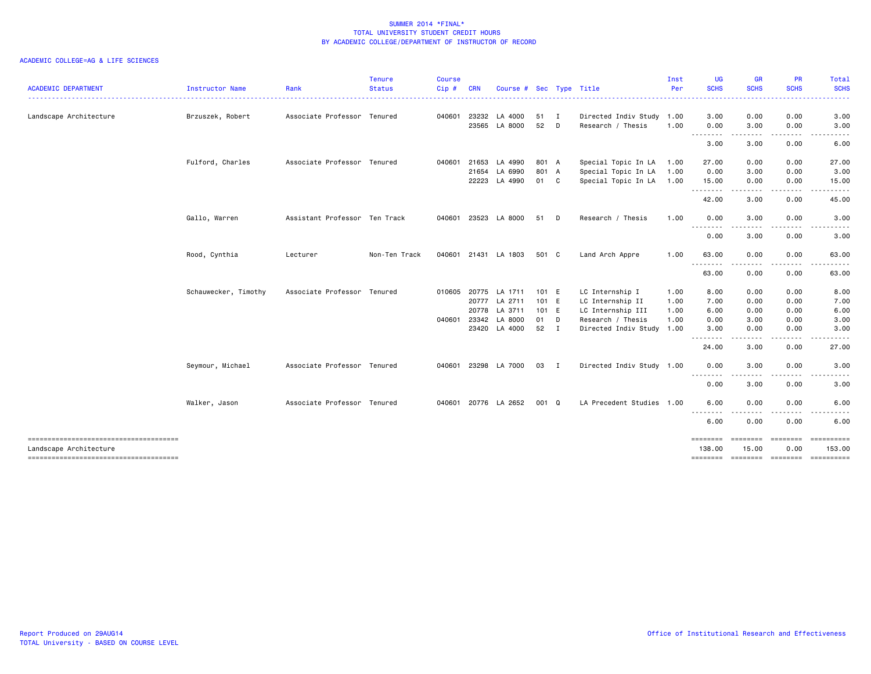| <b>ACADEMIC DEPARTMENT</b>            | Instructor Name      | Rank                          | <b>Tenure</b><br><b>Status</b> | <b>Course</b><br>Cip# | <b>CRN</b>   | Course # Sec Type Title |       |              |                           | Inst<br>Per | <b>UG</b><br><b>SCHS</b>            | <b>GR</b><br><b>SCHS</b> | <b>PR</b><br><b>SCHS</b>                                                                                                                                                                | Total<br><b>SCHS</b> |
|---------------------------------------|----------------------|-------------------------------|--------------------------------|-----------------------|--------------|-------------------------|-------|--------------|---------------------------|-------------|-------------------------------------|--------------------------|-----------------------------------------------------------------------------------------------------------------------------------------------------------------------------------------|----------------------|
|                                       |                      |                               |                                |                       |              |                         |       |              |                           |             | . <b>.</b>                          | -----                    |                                                                                                                                                                                         | .                    |
| Landscape Architecture                | Brzuszek, Robert     | Associate Professor Tenured   |                                | 040601                | 23232        | LA 4000                 | 51    | $\mathbf{I}$ | Directed Indiv Study 1.00 |             | 3.00                                | 0.00                     | 0.00                                                                                                                                                                                    | 3.00                 |
|                                       |                      |                               |                                |                       | 23565        | LA 8000                 | 52    | D            | Research / Thesis         | 1.00        | 0.00<br>--------                    | 3.00<br>.                | 0.00<br>$\frac{1}{2} \left( \frac{1}{2} \right) \left( \frac{1}{2} \right) \left( \frac{1}{2} \right) \left( \frac{1}{2} \right) \left( \frac{1}{2} \right) \left( \frac{1}{2} \right)$ | 3.00<br>.<br>$  -$   |
|                                       |                      |                               |                                |                       |              |                         |       |              |                           |             | 3.00                                | 3.00                     | 0.00                                                                                                                                                                                    | 6.00                 |
|                                       | Fulford, Charles     | Associate Professor Tenured   |                                |                       | 040601 21653 | LA 4990                 | 801 A |              | Special Topic In LA       | 1.00        | 27.00                               | 0.00                     | 0.00                                                                                                                                                                                    | 27.00                |
|                                       |                      |                               |                                |                       | 21654        | LA 6990                 | 801 A |              | Special Topic In LA       | 1.00        | 0.00                                | 3.00                     | 0.00                                                                                                                                                                                    | 3.00                 |
|                                       |                      |                               |                                |                       | 22223        | LA 4990                 | 01 C  |              | Special Topic In LA       | 1.00        | 15.00                               | 0.00                     | 0.00                                                                                                                                                                                    | 15.00                |
|                                       |                      |                               |                                |                       |              |                         |       |              |                           |             | .<br>42.00                          | .<br>3.00                | .<br>0.00                                                                                                                                                                               | .<br>45.00           |
|                                       | Gallo, Warren        | Assistant Professor Ten Track |                                | 040601                | 23523        | LA 8000                 | 51    | D            | Research / Thesis         | 1.00        | 0.00                                | 3.00                     | 0.00                                                                                                                                                                                    | 3.00                 |
|                                       |                      |                               |                                |                       |              |                         |       |              |                           |             | .<br>0.00                           | 3.00                     | $\frac{1}{2} \frac{1}{2} \frac{1}{2} \frac{1}{2} \frac{1}{2} \frac{1}{2}$<br>0.00                                                                                                       | 3.00                 |
|                                       | Rood, Cynthia        | Lecturer                      | Non-Ten Track                  | 040601                |              | 21431 LA 1803           | 501 C |              | Land Arch Appre           | 1.00        | 63.00                               | 0.00                     | 0.00                                                                                                                                                                                    | 63.00                |
|                                       |                      |                               |                                |                       |              |                         |       |              |                           |             | --------<br>63.00                   | - - - -<br>0.00          | . <b>.</b><br>0.00                                                                                                                                                                      | .<br>63.00           |
|                                       | Schauwecker, Timothy | Associate Professor Tenured   |                                |                       | 010605 20775 | LA 1711                 | 101 E |              | LC Internship I           | 1.00        | 8.00                                | 0.00                     | 0.00                                                                                                                                                                                    | 8.00                 |
|                                       |                      |                               |                                |                       | 20777        | LA 2711                 | 101 E |              | LC Internship II          | 1.00        | 7.00                                | 0.00                     | 0.00                                                                                                                                                                                    | 7.00                 |
|                                       |                      |                               |                                |                       | 20778        | LA 3711                 | 101 E |              | LC Internship III         | 1.00        | 6.00                                | 0.00                     | 0.00                                                                                                                                                                                    | 6.00                 |
|                                       |                      |                               |                                |                       | 040601 23342 | LA 8000                 | 01    | D            | Research / Thesis         | 1.00        | 0.00                                | 3.00                     | 0.00                                                                                                                                                                                    | 3.00                 |
|                                       |                      |                               |                                |                       |              | 23420 LA 4000           | 52    | $\mathbf{I}$ | Directed Indiv Study 1.00 |             | 3.00<br>----                        | 0.00<br>----             | 0.00<br>$\frac{1}{2} \left( \frac{1}{2} \right) \left( \frac{1}{2} \right) \left( \frac{1}{2} \right) \left( \frac{1}{2} \right)$                                                       | 3.00                 |
|                                       |                      |                               |                                |                       |              |                         |       |              |                           |             | 24.00                               | 3.00                     | 0.00                                                                                                                                                                                    | 27.00                |
|                                       | Seymour, Michael     | Associate Professor Tenured   |                                |                       |              | 040601 23298 LA 7000    | 03    | <b>I</b>     | Directed Indiv Study 1.00 |             | 0.00                                | 3.00                     | 0.00                                                                                                                                                                                    | 3.00                 |
|                                       |                      |                               |                                |                       |              |                         |       |              |                           |             | --------<br>0.00                    | $\frac{1}{2}$<br>3.00    | .<br>0.00                                                                                                                                                                               | .<br>3.00            |
|                                       | Walker, Jason        | Associate Professor Tenured   |                                | 040601                |              | 20776 LA 2652           | 001 Q |              | LA Precedent Studies 1.00 |             | 6.00                                | 0.00                     | 0.00                                                                                                                                                                                    | 6.00                 |
|                                       |                      |                               |                                |                       |              |                         |       |              |                           |             | $\cdots \cdots \cdots$<br>.<br>6.00 | 0.00                     | 0.00                                                                                                                                                                                    | 6.00                 |
|                                       |                      |                               |                                |                       |              |                         |       |              |                           |             |                                     |                          | ---------                                                                                                                                                                               | ==========           |
| Landscape Architecture                |                      |                               |                                |                       |              |                         |       |              |                           |             | ========<br>138.00                  | ========<br>15.00        | 0.00                                                                                                                                                                                    | 153.00               |
| ------------------------------------- |                      |                               |                                |                       |              |                         |       |              |                           |             |                                     |                          | ======== ======== ======== ==========                                                                                                                                                   |                      |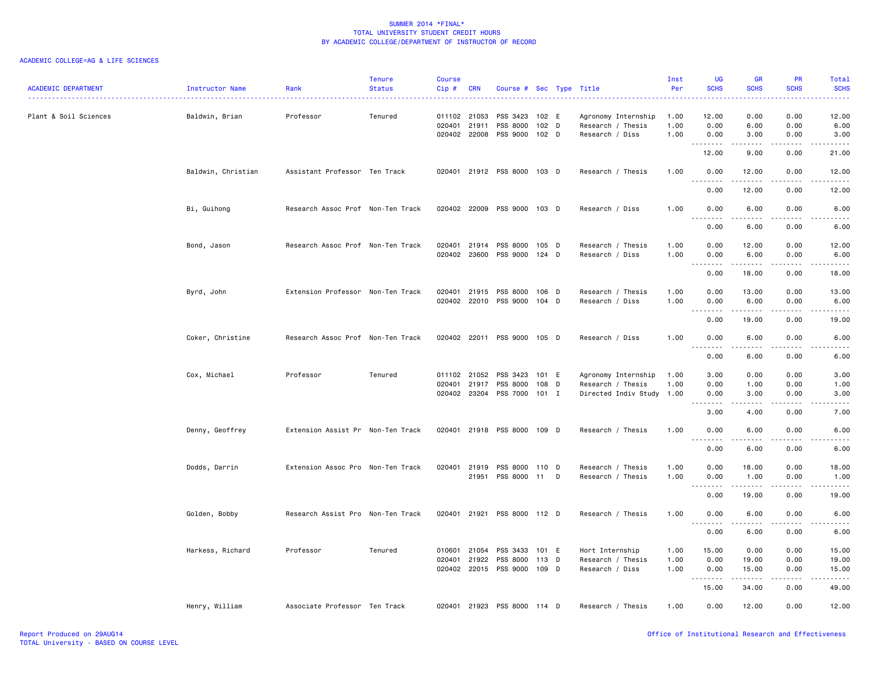| <b>ACADEMIC DEPARTMENT</b> | Instructor Name    | Rank                              | <b>Tenure</b><br><b>Status</b> | Course<br>Cip#         | <b>CRN</b>            | Course # Sec Type Title                             |                                      |   |                                                                       | Inst<br>Per          | UG<br><b>SCHS</b>                                                                                                                                                                                                                                  | <b>GR</b><br><b>SCHS</b>   | <b>PR</b><br><b>SCHS</b>     | Total<br><b>SCHS</b><br>$\frac{1}{2} \left( \frac{1}{2} \right) \left( \frac{1}{2} \right) \left( \frac{1}{2} \right) \left( \frac{1}{2} \right)$ |
|----------------------------|--------------------|-----------------------------------|--------------------------------|------------------------|-----------------------|-----------------------------------------------------|--------------------------------------|---|-----------------------------------------------------------------------|----------------------|----------------------------------------------------------------------------------------------------------------------------------------------------------------------------------------------------------------------------------------------------|----------------------------|------------------------------|---------------------------------------------------------------------------------------------------------------------------------------------------|
| Plant & Soil Sciences      | Baldwin, Brian     | Professor                         | Tenured                        | 011102 21053<br>020401 | 21911<br>020402 22008 | PSS 3423<br>PSS 8000<br>PSS 9000                    | 102 E<br>102 <sub>D</sub><br>$102$ D |   | Agronomy Internship<br>Research / Thesis<br>Research / Diss           | 1.00<br>1.00<br>1.00 | 12.00<br>0.00<br>0.00                                                                                                                                                                                                                              | 0.00<br>6.00<br>3.00       | 0.00<br>0.00<br>0.00         | 12.00<br>6.00<br>3.00                                                                                                                             |
|                            |                    |                                   |                                |                        |                       |                                                     |                                      |   |                                                                       |                      | 12.00                                                                                                                                                                                                                                              | .<br>9.00                  | -----<br>0.00                | .<br>21.00                                                                                                                                        |
|                            | Baldwin, Christian | Assistant Professor Ten Track     |                                |                        |                       | 020401 21912 PSS 8000 103 D                         |                                      |   | Research / Thesis                                                     | 1.00                 | 0.00<br>.                                                                                                                                                                                                                                          | 12.00<br>.                 | 0.00<br>.                    | 12.00<br>.                                                                                                                                        |
|                            |                    |                                   |                                |                        |                       |                                                     |                                      |   |                                                                       |                      | 0.00                                                                                                                                                                                                                                               | 12.00                      | 0.00                         | 12.00                                                                                                                                             |
|                            | Bi, Guihong        | Research Assoc Prof Non-Ten Track |                                |                        |                       | 020402 22009 PSS 9000 103 D                         |                                      |   | Research / Diss                                                       | 1.00                 | 0.00<br>.                                                                                                                                                                                                                                          | 6.00<br>.                  | 0.00<br>.                    | 6.00<br>$\frac{1}{2}$                                                                                                                             |
|                            |                    |                                   |                                |                        |                       |                                                     |                                      |   |                                                                       |                      | 0.00                                                                                                                                                                                                                                               | 6.00                       | 0.00                         | 6.00                                                                                                                                              |
|                            | Bond, Jason        | Research Assoc Prof Non-Ten Track |                                | 020401<br>020402       | 21914<br>23600        | PSS 8000<br>PSS 9000 124 D                          | 105 D                                |   | Research / Thesis<br>Research / Diss                                  | 1.00<br>1.00         | 0.00<br>0.00<br>.                                                                                                                                                                                                                                  | 12.00<br>6.00<br>د د د د د | 0.00<br>0.00<br>.            | 12.00<br>6.00<br>$\omega_{\rm c} = \omega_{\rm c} = \omega_{\rm c}$                                                                               |
|                            |                    |                                   |                                |                        |                       |                                                     |                                      |   |                                                                       |                      | 0.00                                                                                                                                                                                                                                               | 18.00                      | 0.00                         | 18.00                                                                                                                                             |
|                            | Byrd, John         | Extension Professor Non-Ten Track |                                |                        | 020401 21915          | PSS 8000<br>020402 22010 PSS 9000 104 D             | 106 D                                |   | Research / Thesis<br>Research / Diss                                  | 1.00<br>1.00         | 0.00<br>0.00<br>$\sim$ $\sim$ $\sim$<br>$\frac{1}{2} \left( \frac{1}{2} \right) \left( \frac{1}{2} \right) \left( \frac{1}{2} \right) \left( \frac{1}{2} \right) \left( \frac{1}{2} \right) \left( \frac{1}{2} \right) \left( \frac{1}{2} \right)$ | 13.00<br>6.00<br>.         | 0.00<br>0.00<br>.            | 13.00<br>6.00<br>.                                                                                                                                |
|                            |                    |                                   |                                |                        |                       |                                                     |                                      |   |                                                                       |                      | 0.00                                                                                                                                                                                                                                               | 19.00                      | 0.00                         | 19.00                                                                                                                                             |
|                            | Coker, Christine   | Research Assoc Prof Non-Ten Track |                                |                        |                       | 020402 22011 PSS 9000 105 D                         |                                      |   | Research / Diss                                                       | 1.00                 | 0.00<br>$- - - - -$<br>$\sim$ $\sim$ $\sim$                                                                                                                                                                                                        | 6.00<br>$- - - - -$        | 0.00<br>.                    | 6.00<br>-----                                                                                                                                     |
|                            |                    |                                   |                                |                        |                       |                                                     |                                      |   |                                                                       |                      | 0.00                                                                                                                                                                                                                                               | 6.00                       | 0.00                         | 6.00                                                                                                                                              |
|                            | Cox, Michael       | Professor                         | Tenured                        | 020401 21917           | 011102 21052          | PSS 3423<br>PSS 8000<br>020402 23204 PSS 7000 101 I | 101 E<br>108 D                       |   | Agronomy Internship<br>Research / Thesis<br>Directed Indiv Study 1.00 | 1.00<br>1.00         | 3.00<br>0.00<br>0.00                                                                                                                                                                                                                               | 0.00<br>1.00<br>3.00       | 0.00<br>0.00<br>0.00         | 3.00<br>1.00<br>3.00                                                                                                                              |
|                            |                    |                                   |                                |                        |                       |                                                     |                                      |   |                                                                       |                      | .<br>3.00                                                                                                                                                                                                                                          | -----<br>4.00              | $\sim$ $\sim$ $\sim$<br>0.00 | -----<br>7.00                                                                                                                                     |
|                            | Denny, Geoffrey    | Extension Assist Pr Non-Ten Track |                                |                        |                       | 020401 21918 PSS 8000 109 D                         |                                      |   | Research / Thesis                                                     | 1.00                 | 0.00<br>$\sim$ $\sim$ $\sim$                                                                                                                                                                                                                       | 6.00<br>----               | 0.00                         | 6.00                                                                                                                                              |
|                            |                    |                                   |                                |                        |                       |                                                     |                                      |   |                                                                       |                      | 0.00                                                                                                                                                                                                                                               | 6.00                       | 0.00                         | 6.00                                                                                                                                              |
|                            | Dodds, Darrin      | Extension Assoc Pro Non-Ten Track |                                | 020401 21919           | 21951                 | PSS 8000 110 D<br>PSS 8000 11                       |                                      | D | Research / Thesis<br>Research / Thesis                                | 1.00<br>1.00         | 0.00<br>0.00                                                                                                                                                                                                                                       | 18.00<br>1.00<br>.         | 0.00<br>0.00<br>.            | 18.00<br>1.00<br>.                                                                                                                                |
|                            |                    |                                   |                                |                        |                       |                                                     |                                      |   |                                                                       |                      | 0.00                                                                                                                                                                                                                                               | 19.00                      | 0.00                         | 19.00                                                                                                                                             |
|                            | Golden, Bobby      | Research Assist Pro Non-Ten Track |                                | 020401                 | 21921                 | PSS 8000 112 D                                      |                                      |   | Research / Thesis                                                     | 1.00                 | 0.00<br>.                                                                                                                                                                                                                                          | 6.00<br>.                  | 0.00<br>$\sim$ $\sim$ $\sim$ | 6.00<br>$\frac{1}{2}$                                                                                                                             |
|                            |                    |                                   |                                |                        |                       |                                                     |                                      |   |                                                                       |                      | 0.00                                                                                                                                                                                                                                               | 6.00                       | 0.00                         | 6.00                                                                                                                                              |
|                            | Harkess, Richard   | Professor                         | Tenured                        | 010601                 | 21054                 | PSS 3433                                            | 101 E                                |   | Hort Internship                                                       | 1.00                 | 15.00                                                                                                                                                                                                                                              | 0.00                       | 0.00                         | 15.00                                                                                                                                             |
|                            |                    |                                   |                                | 020401 21922           |                       | PSS 8000<br>020402 22015 PSS 9000 109 D             | 113 D                                |   | Research / Thesis<br>Research / Diss                                  | 1.00<br>1.00         | 0.00<br>0.00                                                                                                                                                                                                                                       | 19.00<br>15.00             | 0.00<br>0.00                 | 19.00<br>15.00                                                                                                                                    |
|                            |                    |                                   |                                |                        |                       |                                                     |                                      |   |                                                                       |                      | .<br>15.00                                                                                                                                                                                                                                         | .<br>34.00                 | .<br>0.00                    | 49.00                                                                                                                                             |
|                            | Henry, William     | Associate Professor Ten Track     |                                |                        |                       | 020401 21923 PSS 8000 114 D                         |                                      |   | Research / Thesis                                                     | 1.00                 | 0.00                                                                                                                                                                                                                                               | 12.00                      | 0.00                         | 12.00                                                                                                                                             |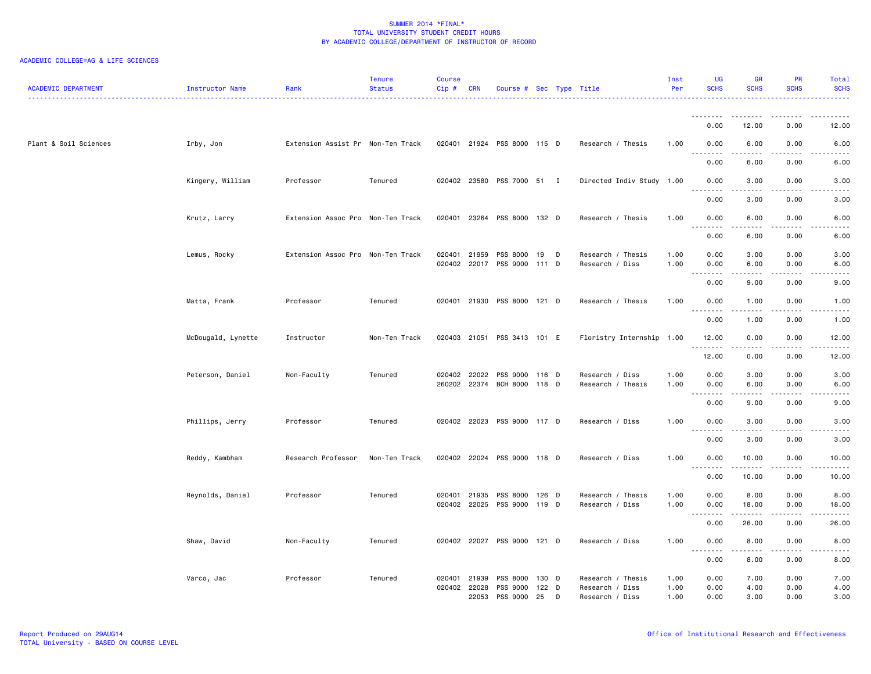| <b>ACADEMIC DEPARTMENT</b> | Instructor Name    | Rank                              | <b>Tenure</b><br><b>Status</b> | <b>Course</b><br>Cip# | <b>CRN</b>                     | Course # Sec Type Title                 |                      |   |                                                         | Inst<br>Per          | <b>UG</b><br><b>SCHS</b>                 | <b>GR</b><br><b>SCHS</b> | <b>PR</b><br><b>SCHS</b> | Total<br><b>SCHS</b>                |
|----------------------------|--------------------|-----------------------------------|--------------------------------|-----------------------|--------------------------------|-----------------------------------------|----------------------|---|---------------------------------------------------------|----------------------|------------------------------------------|--------------------------|--------------------------|-------------------------------------|
|                            |                    |                                   |                                |                       |                                |                                         |                      |   |                                                         |                      |                                          |                          |                          |                                     |
|                            |                    |                                   |                                |                       |                                |                                         |                      |   |                                                         |                      | 0.00                                     | 12.00                    | 0.00                     | 12.00                               |
| Plant & Soil Sciences      | Irby, Jon          | Extension Assist Pr Non-Ten Track |                                |                       |                                | 020401 21924 PSS 8000 115 D             |                      |   | Research / Thesis                                       | 1.00                 | 0.00<br>.                                | 6.00<br>$- - - - -$      | 0.00                     | 6.00                                |
|                            |                    |                                   |                                |                       |                                |                                         |                      |   |                                                         |                      | 0.00                                     | 6.00                     | 0.00                     | 6.00                                |
|                            | Kingery, William   | Professor                         | Tenured                        |                       |                                | 020402 23580 PSS 7000 51 I              |                      |   | Directed Indiv Study 1.00                               |                      | 0.00<br>.                                | 3.00<br>----             | 0.00<br>. <b>.</b> .     | 3.00                                |
|                            |                    |                                   |                                |                       |                                |                                         |                      |   |                                                         |                      | 0.00                                     | 3.00                     | 0.00                     | 3.00                                |
|                            | Krutz, Larry       | Extension Assoc Pro Non-Ten Track |                                | 020401                | 23264                          | PSS 8000 132 D                          |                      |   | Research / Thesis                                       | 1.00                 | 0.00<br>.                                | 6.00<br>22222            | 0.00<br>.                | 6.00<br>.                           |
|                            |                    |                                   |                                |                       |                                |                                         |                      |   |                                                         |                      | 0.00                                     | 6.00                     | 0.00                     | 6.00                                |
|                            | Lemus, Rocky       | Extension Assoc Pro Non-Ten Track |                                | 020401                | 21959<br>020402 22017          | PSS 8000<br>PSS 9000 111 D              | 19                   | D | Research / Thesis<br>Research / Diss                    | 1.00<br>1.00         | 0.00<br>0.00                             | 3.00<br>6.00             | 0.00<br>0.00             | 3.00<br>6.00                        |
|                            |                    |                                   |                                |                       |                                |                                         |                      |   |                                                         |                      | $\sim$ $\sim$ $\sim$<br>.<br>0.00        | .<br>9.00                | .<br>0.00                | .<br>9.00                           |
|                            | Matta, Frank       | Professor                         | Tenured                        |                       |                                | 020401 21930 PSS 8000 121 D             |                      |   | Research / Thesis                                       | 1.00                 | 0.00                                     | 1.00                     | 0.00                     | 1.00                                |
|                            |                    |                                   |                                |                       |                                |                                         |                      |   |                                                         |                      | .<br>0.00                                | .<br>1.00                | -----<br>0.00            | $\sim$ $\sim$ $\sim$ $\sim$<br>1.00 |
|                            | McDougald, Lynette | Instructor                        | Non-Ten Track                  | 020403                |                                | 21051 PSS 3413 101 E                    |                      |   | Floristry Internship 1.00                               |                      | 12.00                                    | 0.00                     | 0.00                     | 12.00                               |
|                            |                    |                                   |                                |                       |                                |                                         |                      |   |                                                         |                      | .<br>12.00                               | .<br>0.00                | .<br>0.00                | .<br>12.00                          |
|                            | Peterson, Daniel   | Non-Faculty                       | Tenured                        |                       | 020402 22022                   | PSS 9000<br>260202 22374 BCH 8000 118 D | 116 D                |   | Research / Diss<br>Research / Thesis                    | 1.00<br>1.00         | 0.00<br>0.00                             | 3.00<br>6.00             | 0.00<br>0.00             | 3.00<br>6.00                        |
|                            |                    |                                   |                                |                       |                                |                                         |                      |   |                                                         |                      | .<br>0.00                                | .<br>9.00                | .<br>0.00                | ----<br>9.00                        |
|                            | Phillips, Jerry    | Professor                         | Tenured                        |                       |                                | 020402 22023 PSS 9000 117 D             |                      |   | Research / Diss                                         | 1.00                 | 0.00                                     | 3.00                     | 0.00                     | 3.00                                |
|                            |                    |                                   |                                |                       |                                |                                         |                      |   |                                                         |                      | $\sim$ $\sim$ $\sim$<br><u>.</u><br>0.00 | -----<br>3.00            | . <u>.</u> .<br>0.00     | $- - - -$<br>3.00                   |
|                            | Reddy, Kambham     | Research Professor                | Non-Ten Track                  |                       |                                | 020402 22024 PSS 9000 118 D             |                      |   | Research / Diss                                         | 1.00                 | 0.00                                     | 10.00                    | 0.00                     | 10.00                               |
|                            |                    |                                   |                                |                       |                                |                                         |                      |   |                                                         |                      | <u>.</u><br>0.00                         | .<br>10.00               | .<br>0.00                | $- - - -$<br>10.00                  |
|                            | Reynolds, Daniel   | Professor                         | Tenured                        | 020401                | 21935                          | PSS 8000                                | 126 D                |   | Research / Thesis                                       | 1.00                 | 0.00                                     | 8.00                     | 0.00                     | 8.00                                |
|                            |                    |                                   |                                |                       | 020402 22025                   | PSS 9000 119 D                          |                      |   | Research / Diss                                         | 1.00                 | 0.00<br>.<br>$\sim$ $\sim$ $\sim$        | 18.00                    | 0.00<br>$\frac{1}{2}$    | 18.00                               |
|                            |                    |                                   |                                |                       |                                |                                         |                      |   |                                                         |                      | 0.00                                     | 26.00                    | 0.00                     | 26.00                               |
|                            | Shaw, David        | Non-Faculty                       | Tenured                        |                       |                                | 020402 22027 PSS 9000 121 D             |                      |   | Research / Diss                                         | 1.00                 | 0.00<br>$\sim$ $\sim$ .<br>.             | 8.00<br>$- - - - -$      | 0.00<br>.                | 8.00<br>----                        |
|                            |                    |                                   |                                |                       |                                |                                         |                      |   |                                                         |                      | 0.00                                     | 8.00                     | 0.00                     | 8.00                                |
|                            | Varco, Jac         | Professor                         | Tenured                        | 020401                | 21939<br>020402 22028<br>22053 | <b>PSS 8000</b><br>PSS 9000<br>PSS 9000 | 130 D<br>122 D<br>25 | D | Research / Thesis<br>Research / Diss<br>Research / Diss | 1.00<br>1.00<br>1.00 | 0.00<br>0.00<br>0.00                     | 7.00<br>4.00<br>3.00     | 0.00<br>0.00<br>0.00     | 7.00<br>4.00<br>3.00                |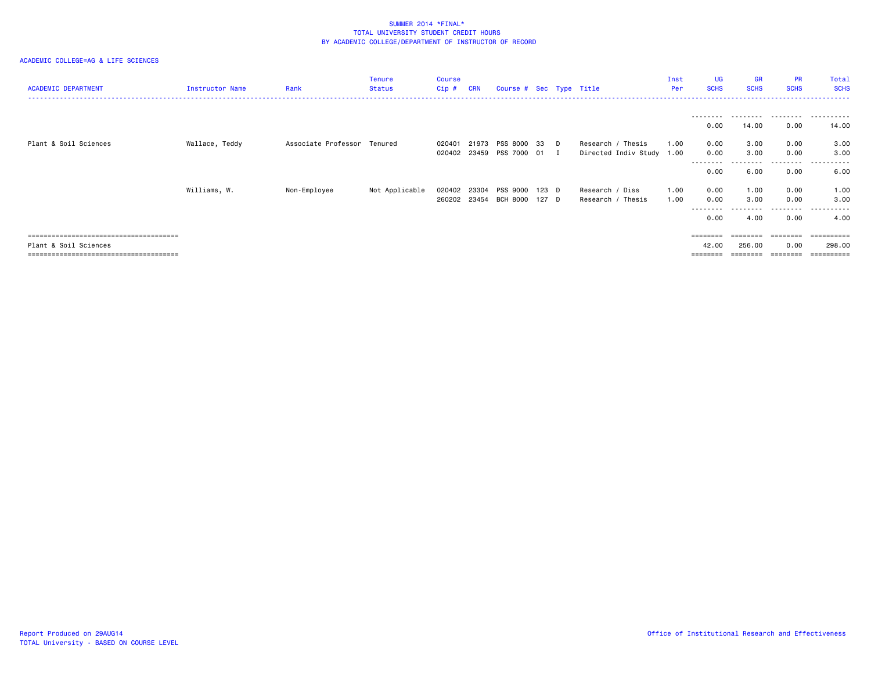| <b>ACADEMIC DEPARTMENT</b> | Instructor Name | Rank                        | <b>Tenure</b><br><b>Status</b> | <b>Course</b><br>$Cip$ # | <b>CRN</b> | Course # Sec Type Title                       |  |                                                | Inst<br>Per  | <b>UG</b><br><b>SCHS</b>         | <b>GR</b><br><b>SCHS</b>  | <b>PR</b><br><b>SCHS</b>          | Total<br><b>SCHS</b>             |
|----------------------------|-----------------|-----------------------------|--------------------------------|--------------------------|------------|-----------------------------------------------|--|------------------------------------------------|--------------|----------------------------------|---------------------------|-----------------------------------|----------------------------------|
|                            |                 |                             |                                |                          |            |                                               |  |                                                |              | --------<br>0.00                 | 14.00                     | 0.00                              | <br>14.00                        |
| Plant & Soil Sciences      | Wallace, Teddy  | Associate Professor Tenured |                                | 020401<br>020402         |            | 21973 PSS 8000 33 D<br>23459 PSS 7000 01 I    |  | Research / Thesis<br>Directed Indiv Study 1.00 | 1.00         | 0.00<br>0.00<br>--------<br>0.00 | 3.00<br>3.00<br>6.00      | 0.00<br>0.00<br>----<br>0.00      | 3.00<br>3.00<br>.<br>.<br>6.00   |
|                            | Williams, W.    | Non-Employee                | Not Applicable                 | 020402 23304             |            | PSS 9000 123 D<br>260202 23454 BCH 8000 127 D |  | Research / Diss<br>Research / Thesis           | 1.00<br>1.00 | 0.00<br>0.00<br>--------<br>0.00 | 1.00<br>3.00<br>.<br>4.00 | 0.00<br>0.00<br>---------<br>0.00 | 1.00<br>3.00<br>.<br>4.00        |
| Plant & Soil Sciences      |                 |                             |                                |                          |            |                                               |  |                                                |              | 42.00                            | 256.00                    | 0.00<br>========                  | eeeeeeee<br>298,00<br>========== |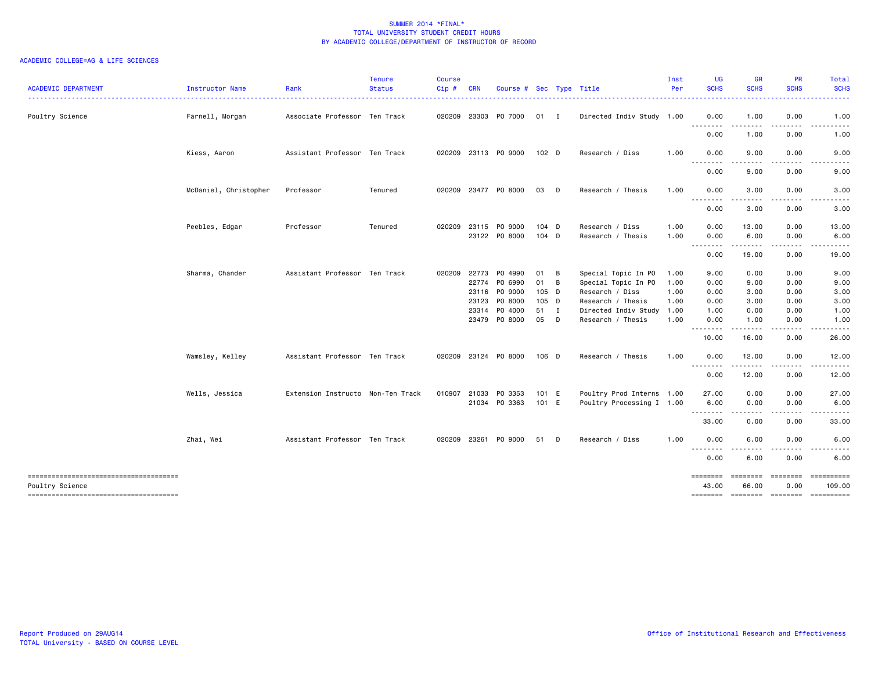| <b>ACADEMIC DEPARTMENT</b>                               | Instructor Name       | Rank                              | <b>Tenure</b><br><b>Status</b> | <b>Course</b><br>Cip# | <b>CRN</b>     | Course # Sec Type Title  |                    |        |                                            | Inst<br>Per  | UG<br><b>SCHS</b>              | <b>GR</b><br><b>SCHS</b>                                                                                                          | <b>PR</b><br><b>SCHS</b> | Total<br><b>SCHS</b>                                                                                                                                                                                                                                                                                                                                                                                                                                                                   |
|----------------------------------------------------------|-----------------------|-----------------------------------|--------------------------------|-----------------------|----------------|--------------------------|--------------------|--------|--------------------------------------------|--------------|--------------------------------|-----------------------------------------------------------------------------------------------------------------------------------|--------------------------|----------------------------------------------------------------------------------------------------------------------------------------------------------------------------------------------------------------------------------------------------------------------------------------------------------------------------------------------------------------------------------------------------------------------------------------------------------------------------------------|
| Poultry Science                                          | Farnell, Morgan       | Associate Professor Ten Track     |                                | 020209                |                | 23303 PO 7000            | 01 I               |        | Directed Indiv Study 1.00                  |              | 0.00<br>. <b>.</b>             | 1.00                                                                                                                              | 0.00                     | 1.00                                                                                                                                                                                                                                                                                                                                                                                                                                                                                   |
|                                                          |                       |                                   |                                |                       |                |                          |                    |        |                                            |              | 0.00                           | - - -<br>1.00                                                                                                                     | 0.00                     | 1.00                                                                                                                                                                                                                                                                                                                                                                                                                                                                                   |
|                                                          | Kiess, Aaron          | Assistant Professor Ten Track     |                                | 020209                |                | 23113 PO 9000            | 102 D              |        | Research / Diss                            | 1.00         | 0.00<br>.                      | 9.00                                                                                                                              | 0.00                     | 9.00                                                                                                                                                                                                                                                                                                                                                                                                                                                                                   |
|                                                          |                       |                                   |                                |                       |                |                          |                    |        |                                            |              | 0.00                           | 9.00                                                                                                                              | 0.00                     | 9.00                                                                                                                                                                                                                                                                                                                                                                                                                                                                                   |
|                                                          | McDaniel, Christopher | Professor                         | Tenured                        |                       |                | 020209 23477 PO 8000     | 03                 | D      | Research / Thesis                          | 1.00         | 0.00<br>.                      | 3.00<br>.                                                                                                                         | 0.00                     | 3.00                                                                                                                                                                                                                                                                                                                                                                                                                                                                                   |
|                                                          |                       |                                   |                                |                       |                |                          |                    |        |                                            |              | 0.00                           | 3.00                                                                                                                              | 0.00                     | 3.00                                                                                                                                                                                                                                                                                                                                                                                                                                                                                   |
|                                                          | Peebles, Edgar        | Professor                         | Tenured                        | 020209                | 23115          | PO 9000<br>23122 PO 8000 | $104$ D<br>$104$ D |        | Research / Diss<br>Research / Thesis       | 1.00<br>1.00 | 0.00<br>0.00<br><u>.</u>       | 13.00<br>6.00<br>.                                                                                                                | 0.00<br>0.00<br>.        | 13.00<br>6.00                                                                                                                                                                                                                                                                                                                                                                                                                                                                          |
|                                                          |                       |                                   |                                |                       |                |                          |                    |        |                                            |              | 0.00                           | 19.00                                                                                                                             | 0.00                     | 19.00                                                                                                                                                                                                                                                                                                                                                                                                                                                                                  |
|                                                          | Sharma, Chander       | Assistant Professor Ten Track     |                                | 020209                | 22773<br>22774 | P0 4990<br>PO 6990       | 01<br>01           | B<br>B | Special Topic In PO<br>Special Topic In PO | 1.00<br>1.00 | 9.00<br>0.00                   | 0.00<br>9.00                                                                                                                      | 0.00<br>0.00             | 9.00<br>9.00                                                                                                                                                                                                                                                                                                                                                                                                                                                                           |
|                                                          |                       |                                   |                                |                       | 23116          | PO 9000                  | 105 D              |        | Research / Diss                            | 1.00         | 0.00                           | 3.00                                                                                                                              | 0.00                     | 3.00                                                                                                                                                                                                                                                                                                                                                                                                                                                                                   |
|                                                          |                       |                                   |                                |                       | 23123<br>23314 | P0 8000<br>P0 4000       | 105 D<br>51 I      |        | Research / Thesis<br>Directed Indiv Study  | 1.00<br>1.00 | 0.00<br>1.00                   | 3.00<br>0.00                                                                                                                      | 0.00<br>0.00             | 3.00<br>1.00                                                                                                                                                                                                                                                                                                                                                                                                                                                                           |
|                                                          |                       |                                   |                                |                       |                | 23479 PO 8000            | 05                 | D      | Research / Thesis                          | 1.00         | 0.00<br><u>- - - - - - - -</u> | 1.00<br>.                                                                                                                         | 0.00                     | 1.00                                                                                                                                                                                                                                                                                                                                                                                                                                                                                   |
|                                                          |                       |                                   |                                |                       |                |                          |                    |        |                                            |              | 10.00                          | 16.00                                                                                                                             | 0.00                     | 26.00                                                                                                                                                                                                                                                                                                                                                                                                                                                                                  |
|                                                          | Wamsley, Kelley       | Assistant Professor Ten Track     |                                | 020209                |                | 23124 PO 8000            | 106 D              |        | Research / Thesis                          | 1.00         | 0.00<br>--------               | 12.00                                                                                                                             | 0.00                     | 12.00                                                                                                                                                                                                                                                                                                                                                                                                                                                                                  |
|                                                          |                       |                                   |                                |                       |                |                          |                    |        |                                            |              | 0.00                           | 12.00                                                                                                                             | 0.00                     | 12.00                                                                                                                                                                                                                                                                                                                                                                                                                                                                                  |
|                                                          | Wells, Jessica        | Extension Instructo Non-Ten Track |                                | 010907                | 21033          | PO 3353                  | 101 E              |        | Poultry Prod Interns 1.00                  |              | 27.00                          | 0.00                                                                                                                              | 0.00                     | 27.00                                                                                                                                                                                                                                                                                                                                                                                                                                                                                  |
|                                                          |                       |                                   |                                |                       |                | 21034 PO 3363            | 101 E              |        | Poultry Processing I 1.00                  |              | 6.00<br>الماليات المالية       | 0.00<br>$\frac{1}{2} \left( \frac{1}{2} \right) \left( \frac{1}{2} \right) \left( \frac{1}{2} \right) \left( \frac{1}{2} \right)$ | 0.00                     | 6.00                                                                                                                                                                                                                                                                                                                                                                                                                                                                                   |
|                                                          |                       |                                   |                                |                       |                |                          |                    |        |                                            |              | 33.00                          | 0.00                                                                                                                              | 0.00                     | 33.00                                                                                                                                                                                                                                                                                                                                                                                                                                                                                  |
|                                                          | Zhai, Wei             | Assistant Professor Ten Track     |                                | 020209                | 23261          | PO 9000                  | 51                 | D      | Research / Diss                            | 1.00         | 0.00<br><u>.</u>               | 6.00                                                                                                                              | 0.00                     | 6.00                                                                                                                                                                                                                                                                                                                                                                                                                                                                                   |
|                                                          |                       |                                   |                                |                       |                |                          |                    |        |                                            |              | 0.00                           | 6.00                                                                                                                              | 0.00                     | 6.00                                                                                                                                                                                                                                                                                                                                                                                                                                                                                   |
| --------------------------------------                   |                       |                                   |                                |                       |                |                          |                    |        |                                            |              | ========                       | ========                                                                                                                          | ========                 | $\begin{array}{cccccccccc} \multicolumn{2}{c}{} & \multicolumn{2}{c}{} & \multicolumn{2}{c}{} & \multicolumn{2}{c}{} & \multicolumn{2}{c}{} & \multicolumn{2}{c}{} & \multicolumn{2}{c}{} & \multicolumn{2}{c}{} & \multicolumn{2}{c}{} & \multicolumn{2}{c}{} & \multicolumn{2}{c}{} & \multicolumn{2}{c}{} & \multicolumn{2}{c}{} & \multicolumn{2}{c}{} & \multicolumn{2}{c}{} & \multicolumn{2}{c}{} & \multicolumn{2}{c}{} & \multicolumn{2}{c}{} & \multicolumn{2}{c}{} & \mult$ |
| Poultry Science<br>------------------------------------- |                       |                                   |                                |                       |                |                          |                    |        |                                            |              | 43.00                          | 66.00                                                                                                                             | 0.00                     | 109.00<br>======== ======== ======== =========                                                                                                                                                                                                                                                                                                                                                                                                                                         |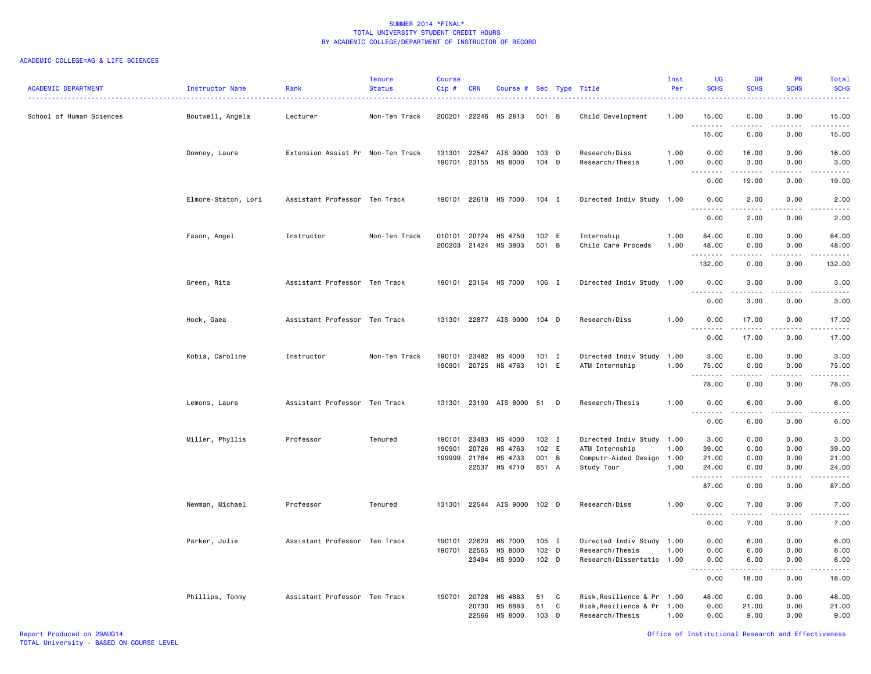| <b>ACADEMIC DEPARTMENT</b> | Instructor Name     | Rank                              | <b>Tenure</b><br><b>Status</b> | <b>Course</b><br>Cip# | <b>CRN</b>                              | Course # Sec Type Title                  |                                    |                |                                                                                        | Inst<br>Per  | UG<br><b>SCHS</b>                                        | <b>GR</b><br><b>SCHS</b>                                                                                                                                     | <b>PR</b><br><b>SCHS</b>             | Total<br><b>SCHS</b>            |
|----------------------------|---------------------|-----------------------------------|--------------------------------|-----------------------|-----------------------------------------|------------------------------------------|------------------------------------|----------------|----------------------------------------------------------------------------------------|--------------|----------------------------------------------------------|--------------------------------------------------------------------------------------------------------------------------------------------------------------|--------------------------------------|---------------------------------|
| School of Human Sciences   | Boutwell, Angela    | Lecturer                          | Non-Ten Track                  | 200201                | 22246                                   | HS 2813                                  | 501 B                              |                | Child Development                                                                      | 1.00         | 15.00<br>.                                               | 0.00                                                                                                                                                         | 0.00<br>$\frac{1}{2}$                | 15.00<br>.                      |
|                            |                     |                                   |                                |                       |                                         |                                          |                                    |                |                                                                                        |              | 15.00                                                    | 0.00                                                                                                                                                         | 0.00                                 | 15.00                           |
|                            | Downey, Laura       | Extension Assist Pr Non-Ten Track |                                | 131301<br>190701      | 22547<br>23155                          | AIS 9000<br>HS 8000                      | 103 D<br>$104$ D                   |                | Research/Diss<br>Research/Thesis                                                       | 1.00<br>1.00 | 0.00<br>0.00                                             | 16.00<br>3.00                                                                                                                                                | 0.00<br>0.00                         | 16.00<br>3.00                   |
|                            |                     |                                   |                                |                       |                                         |                                          |                                    |                |                                                                                        |              | $\sim$ $\sim$ $\sim$<br>. <u>.</u> .<br>0.00             | $- - - - -$<br>19.00                                                                                                                                         | $   -$<br>0.00                       | .<br>19.00                      |
|                            | Elmore-Staton, Lori | Assistant Professor Ten Track     |                                | 190101                |                                         | 22618 HS 7000                            | 104 I                              |                | Directed Indiv Study 1.00                                                              |              | 0.00<br>.                                                | 2.00<br>.                                                                                                                                                    | 0.00<br>$   -$                       | 2.00<br>-----                   |
|                            |                     |                                   |                                |                       |                                         |                                          |                                    |                |                                                                                        |              | 0.00                                                     | 2.00                                                                                                                                                         | 0.00                                 | 2.00                            |
|                            | Fason, Angel        | Instructor                        | Non-Ten Track                  | 010101<br>200203      | 20724<br>21424                          | HS 4750<br>HS 3803                       | 102 E<br>501                       | $\overline{B}$ | Internship<br>Child Care Proceds                                                       | 1.00<br>1.00 | 84.00<br>48.00<br>.                                      | 0.00<br>0.00<br>-----                                                                                                                                        | 0.00<br>0.00<br>$\sim$ $\sim$ $\sim$ | 84.00<br>48.00<br>.             |
|                            |                     |                                   |                                |                       |                                         |                                          |                                    |                |                                                                                        |              | 132.00                                                   | 0.00                                                                                                                                                         | 0.00                                 | 132.00                          |
|                            | Green, Rita         | Assistant Professor Ten Track     |                                | 190101                |                                         | 23154 HS 7000                            | 106 I                              |                | Directed Indiv Study 1.00                                                              |              | 0.00<br>.                                                | 3.00<br>$\frac{1}{2} \left( \frac{1}{2} \right) \left( \frac{1}{2} \right) \left( \frac{1}{2} \right) \left( \frac{1}{2} \right) \left( \frac{1}{2} \right)$ | 0.00<br>.                            | 3.00<br>.                       |
|                            |                     |                                   |                                |                       |                                         |                                          |                                    |                |                                                                                        |              | 0.00                                                     | 3.00                                                                                                                                                         | 0.00                                 | 3.00                            |
|                            | Hock, Gaea          | Assistant Professor Ten Track     |                                | 131301                |                                         | 22877 AIS 9000 104 D                     |                                    |                | Research/Diss                                                                          | 1.00         | 0.00<br>د د د د<br>$\sim$                                | 17.00<br>.                                                                                                                                                   | 0.00                                 | 17.00<br>.                      |
|                            |                     |                                   |                                |                       |                                         |                                          |                                    |                |                                                                                        |              | 0.00                                                     | 17.00                                                                                                                                                        | 0.00                                 | 17.00                           |
|                            | Kobia, Caroline     | Instructor                        | Non-Ten Track                  | 190101<br>190901      | 23482<br>20725                          | HS 4000<br>HS 4763                       | $101$ I<br>101 E                   |                | Directed Indiv Study 1.00<br>ATM Internship                                            | 1.00         | 3.00<br>75.00                                            | 0.00<br>0.00                                                                                                                                                 | 0.00<br>0.00                         | 3.00<br>75.00                   |
|                            |                     |                                   |                                |                       |                                         |                                          |                                    |                |                                                                                        |              | .<br>78.00                                               | 0.00                                                                                                                                                         | $\frac{1}{2}$<br>0.00                | .<br>78.00                      |
|                            | Lemons, Laura       | Assistant Professor Ten Track     |                                | 131301                |                                         | 23190 AIS 8000 51 D                      |                                    |                | Research/Thesis                                                                        | 1.00         | 0.00<br>$\sim$                                           | 6.00                                                                                                                                                         | 0.00                                 | 6.00                            |
|                            |                     |                                   |                                |                       |                                         |                                          |                                    |                |                                                                                        |              | 0.00                                                     | 6.00                                                                                                                                                         | 0.00                                 | 6.00                            |
|                            | Miller, Phyllis     | Professor                         | Tenured                        | 190101<br>190901      | 23483<br>20726<br>199999 21784<br>22537 | HS 4000<br>HS 4763<br>HS 4733<br>HS 4710 | $102$ I<br>102 E<br>001 B<br>851 A |                | Directed Indiv Study 1.00<br>ATM Internship<br>Computr-Aided Design 1.00<br>Study Tour | 1.00<br>1.00 | 3.00<br>39.00<br>21.00<br>24.00                          | 0.00<br>0.00<br>0.00<br>0.00                                                                                                                                 | 0.00<br>0.00<br>0.00<br>0.00         | 3.00<br>39.00<br>21.00<br>24.00 |
|                            |                     |                                   |                                |                       |                                         |                                          |                                    |                |                                                                                        |              | .                                                        | .                                                                                                                                                            | $\frac{1}{2}$                        | د د د د د                       |
|                            |                     |                                   |                                |                       |                                         |                                          |                                    |                |                                                                                        |              | 87.00                                                    | 0.00                                                                                                                                                         | 0.00                                 | 87.00                           |
|                            | Newman, Michael     | Professor                         | Tenured                        | 131301                |                                         | 22544 AIS 9000 102 D                     |                                    |                | Research/Diss                                                                          | 1.00         | 0.00<br>$\overline{\phantom{a}}$<br>$\sim$ $\sim$ $\sim$ | 7.00                                                                                                                                                         | 0.00<br>- - - -                      | 7.00                            |
|                            |                     |                                   |                                |                       |                                         |                                          |                                    |                |                                                                                        |              | 0.00                                                     | 7.00                                                                                                                                                         | 0.00                                 | 7.00                            |
|                            | Parker, Julie       | Assistant Professor Ten Track     |                                | 190101                | 22620                                   | HS 7000                                  | $105$ I                            |                | Directed Indiv Study                                                                   | 1.00         | 0.00                                                     | 6.00                                                                                                                                                         | 0.00                                 | 6.00                            |
|                            |                     |                                   |                                | 190701                | 22565<br>23494                          | HS 8000<br>HS 9000                       | 102 D<br>102 D                     |                | Research/Thesis<br>Research/Dissertatio 1.00                                           | 1.00         | 0.00<br>0.00                                             | 6.00<br>6.00                                                                                                                                                 | 0.00<br>0.00                         | 6.00<br>6.00                    |
|                            |                     |                                   |                                |                       |                                         |                                          |                                    |                |                                                                                        |              | $\sim$ $\sim$<br>.<br>0.00                               | 18.00                                                                                                                                                        | 0.00                                 | 18.00                           |
|                            | Phillips, Tommy     | Assistant Professor Ten Track     |                                |                       | 190701 20728<br>20730<br>22566          | HS 4883<br>HS 6883<br>HS 8000            | 51<br>51<br>103                    | C<br>C<br>D    | Risk, Resilience & Pr 1.00<br>Risk, Resilience & Pr 1.00<br>Research/Thesis            | 1.00         | 48.00<br>0.00<br>0.00                                    | 0.00<br>21.00<br>9.00                                                                                                                                        | 0.00<br>0.00<br>0.00                 | 48.00<br>21.00<br>9.00          |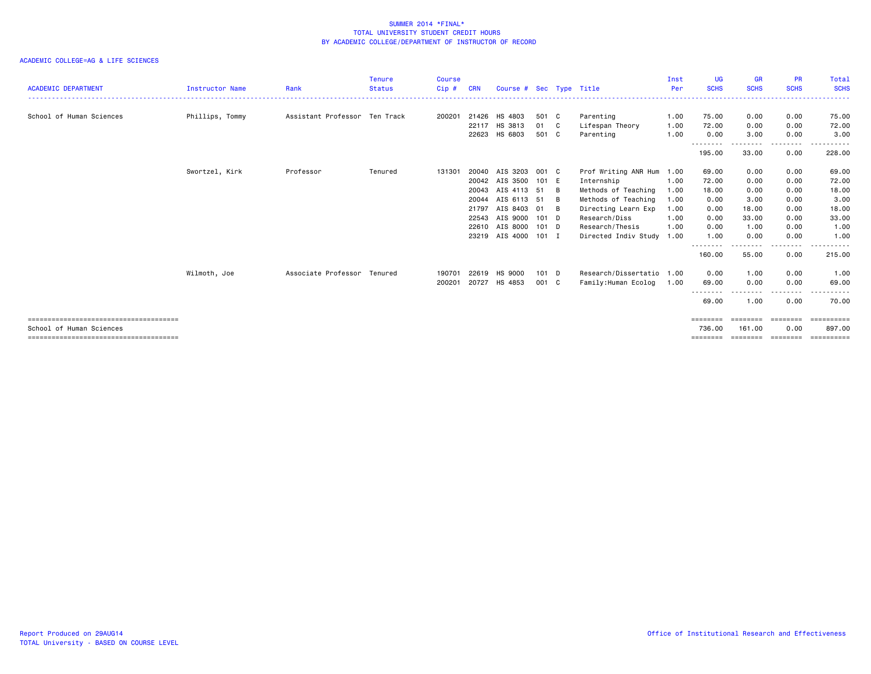| <b>ACADEMIC DEPARTMENT</b> | <b>Instructor Name</b> | Rank                          | <b>Tenure</b><br><b>Status</b> | <b>Course</b><br>Cip# | CRN   | Course # Sec Type Title |         |    |                           | Inst<br>Per | UG<br><b>SCHS</b>  | <b>GR</b><br><b>SCHS</b> | <b>PR</b><br><b>SCHS</b> | <b>Total</b><br><b>SCHS</b> |
|----------------------------|------------------------|-------------------------------|--------------------------------|-----------------------|-------|-------------------------|---------|----|---------------------------|-------------|--------------------|--------------------------|--------------------------|-----------------------------|
| School of Human Sciences   | Phillips, Tommy        | Assistant Professor Ten Track |                                | 200201                | 21426 | HS 4803                 | 501 C   |    | Parenting                 | 1.00        | 75.00              | 0.00                     | 0.00                     | 75.00                       |
|                            |                        |                               |                                |                       | 22117 | HS 3813                 | 01      | C. | Lifespan Theory           | 1.00        | 72.00              | 0.00                     | 0.00                     | 72.00                       |
|                            |                        |                               |                                |                       | 22623 | HS 6803                 | 501 C   |    | Parenting                 | 1.00        | 0.00               | 3.00                     | 0.00                     | 3.00                        |
|                            |                        |                               |                                |                       |       |                         |         |    |                           |             | --------<br>195.00 | 33.00                    | $- - -$<br>0.00          | 228.00                      |
|                            | Swortzel, Kirk         | Professor                     | Tenured                        | 131301                | 20040 | AIS 3203                | 001 C   |    | Prof Writing ANR Hum 1.00 |             | 69.00              | 0.00                     | 0.00                     | 69,00                       |
|                            |                        |                               |                                |                       | 20042 | AIS 3500                | 101 E   |    | Internship                | 1.00        | 72.00              | 0.00                     | 0.00                     | 72.00                       |
|                            |                        |                               |                                |                       | 20043 | AIS 4113 51             |         | B  | Methods of Teaching       | 1.00        | 18.00              | 0.00                     | 0.00                     | 18.00                       |
|                            |                        |                               |                                |                       | 20044 | AIS 6113 51             |         | B  | Methods of Teaching       | 1.00        | 0.00               | 3.00                     | 0.00                     | 3.00                        |
|                            |                        |                               |                                |                       | 21797 | AIS 8403 01 B           |         |    | Directing Learn Exp       | 1.00        | 0.00               | 18.00                    | 0.00                     | 18.00                       |
|                            |                        |                               |                                |                       | 22543 | AIS 9000 101 D          |         |    | Research/Diss             | 1.00        | 0.00               | 33.00                    | 0.00                     | 33.00                       |
|                            |                        |                               |                                |                       | 22610 | AIS 8000                | 101 D   |    | Research/Thesis           | 1.00        | 0.00               | 1.00                     | 0.00                     | 1.00                        |
|                            |                        |                               |                                |                       |       | 23219 AIS 4000 101 I    |         |    | Directed Indiv Study 1.00 |             | 1.00<br>--------   | 0.00<br>- - - - - -      | 0.00<br>. <u>.</u> .     | 1.00<br>- - - - - <b>-</b>  |
|                            |                        |                               |                                |                       |       |                         |         |    |                           |             | 160.00             | 55.00                    | 0.00                     | 215.00                      |
|                            | Wilmoth, Joe           | Associate Professor Tenured   |                                | 190701                | 22619 | HS 9000                 | $101$ D |    | Research/Dissertatio 1.00 |             | 0.00               | 1.00                     | 0.00                     | 1.00                        |
|                            |                        |                               |                                | 200201                | 20727 | HS 4853                 | 001 C   |    | Family:Human Ecolog       | 1.00        | 69.00              | 0.00                     | 0.00                     | 69.00                       |
|                            |                        |                               |                                |                       |       |                         |         |    |                           |             | --------<br>69.00  | 1.00                     | $- - -$<br>0.00          | 70.00                       |
| School of Human Sciences   |                        |                               |                                |                       |       |                         |         |    |                           |             | ========           | ========                 | ---------<br>0.00        | -----------<br>897.00       |
|                            |                        |                               |                                |                       |       |                         |         |    |                           |             | 736.00             | 161.00                   | ========                 | ==========                  |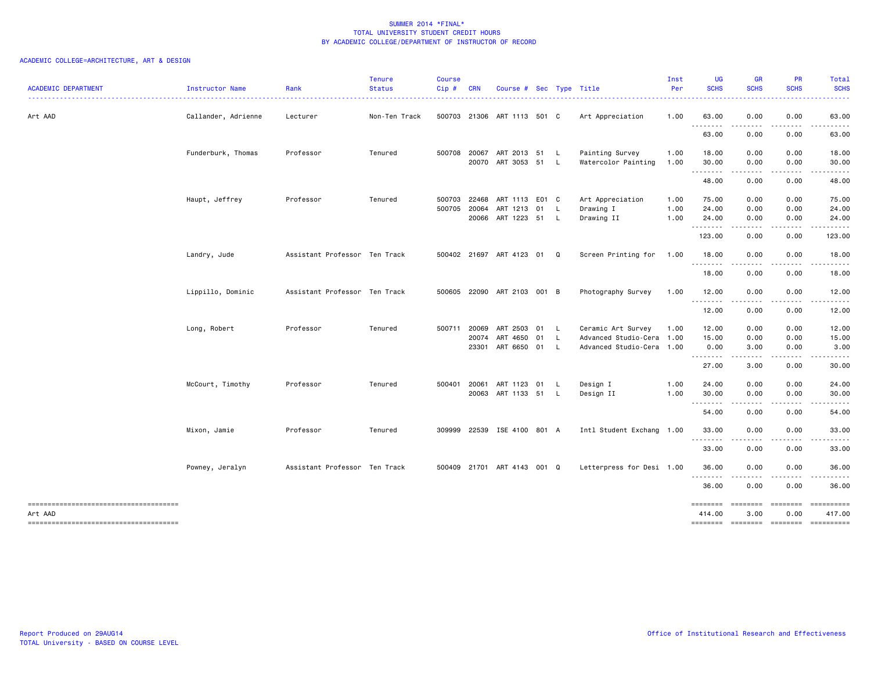| <b>ACADEMIC DEPARTMENT</b>                       | Instructor Name     | Rank                          | <b>Tenure</b><br><b>Status</b> | <b>Course</b><br>Cip# | <b>CRN</b>   | Course # Sec Type Title          |              |                                                        | Inst<br>Per  | UG<br><b>SCHS</b>  | <b>GR</b><br><b>SCHS</b>                                                                                                          | <b>PR</b><br><b>SCHS</b> | <b>Total</b><br><b>SCHS</b>                                                                                                                                   |
|--------------------------------------------------|---------------------|-------------------------------|--------------------------------|-----------------------|--------------|----------------------------------|--------------|--------------------------------------------------------|--------------|--------------------|-----------------------------------------------------------------------------------------------------------------------------------|--------------------------|---------------------------------------------------------------------------------------------------------------------------------------------------------------|
| Art AAD                                          | Callander, Adrienne | Lecturer                      | Non-Ten Track                  |                       |              | 500703 21306 ART 1113 501 C      |              | Art Appreciation                                       | 1.00         | 63.00              | 0.00                                                                                                                              | 0.00                     | 63.00                                                                                                                                                         |
|                                                  |                     |                               |                                |                       |              |                                  |              |                                                        |              | .<br>63.00         | $\sim$ $\sim$ $\sim$ $\sim$<br>0.00                                                                                               | .<br>0.00                | 63.00                                                                                                                                                         |
|                                                  | Funderburk, Thomas  | Professor                     | Tenured                        |                       |              | 500708 20067 ART 2013 51 L       |              | Painting Survey                                        | 1.00         | 18.00              | 0.00                                                                                                                              | 0.00                     | 18.00                                                                                                                                                         |
|                                                  |                     |                               |                                |                       |              | 20070 ART 3053 51                | $\mathsf{L}$ | Watercolor Painting                                    | 1.00         | 30.00<br>.         | 0.00<br>.                                                                                                                         | 0.00<br>.                | 30.00<br>.                                                                                                                                                    |
|                                                  |                     |                               |                                |                       |              |                                  |              |                                                        |              | 48.00              | 0.00                                                                                                                              | 0.00                     | 48.00                                                                                                                                                         |
|                                                  | Haupt, Jeffrey      | Professor                     | Tenured                        |                       | 500703 22468 | ART 1113 E01 C                   |              | Art Appreciation                                       | 1.00         | 75.00              | 0.00                                                                                                                              | 0.00                     | 75.00                                                                                                                                                         |
|                                                  |                     |                               |                                | 500705                | 20064        | ART 1213 01<br>20066 ART 1223 51 | L.<br>L.     | Drawing I<br>Drawing II                                | 1.00<br>1.00 | 24.00<br>24.00     | 0.00<br>0.00                                                                                                                      | 0.00<br>0.00             | 24.00<br>24.00                                                                                                                                                |
|                                                  |                     |                               |                                |                       |              |                                  |              |                                                        |              | .<br>123.00        | .<br>0.00                                                                                                                         | 0.00                     | 123.00                                                                                                                                                        |
|                                                  | Landry, Jude        | Assistant Professor Ten Track |                                |                       |              | 500402 21697 ART 4123 01         | Q            | Screen Printing for 1.00                               |              | 18.00              | 0.00                                                                                                                              | 0.00                     | 18.00                                                                                                                                                         |
|                                                  |                     |                               |                                |                       |              |                                  |              |                                                        |              | .<br>18.00         | $\frac{1}{2} \left( \frac{1}{2} \right) \left( \frac{1}{2} \right) \left( \frac{1}{2} \right) \left( \frac{1}{2} \right)$<br>0.00 | .<br>0.00                | 18.00                                                                                                                                                         |
|                                                  | Lippillo, Dominic   | Assistant Professor Ten Track |                                |                       |              | 500605 22090 ART 2103 001 B      |              | Photography Survey                                     | 1.00         | 12.00              | 0.00                                                                                                                              | 0.00                     | 12.00                                                                                                                                                         |
|                                                  |                     |                               |                                |                       |              |                                  |              |                                                        |              | .<br>12.00         | $\frac{1}{2}$<br>0.00                                                                                                             | -----<br>0.00            | .<br>12.00                                                                                                                                                    |
|                                                  | Long, Robert        | Professor                     | Tenured                        | 500711                | 20069        | ART 2503 01                      | $\mathsf{L}$ | Ceramic Art Survey                                     | 1.00         | 12.00              | 0.00                                                                                                                              | 0.00                     | 12.00                                                                                                                                                         |
|                                                  |                     |                               |                                |                       | 20074        | ART 4650 01<br>23301 ART 6650 01 | L.<br>L.     | Advanced Studio-Cera 1.00<br>Advanced Studio-Cera 1.00 |              | 15.00<br>0.00      | 0.00<br>3.00                                                                                                                      | 0.00<br>0.00             | 15.00<br>3.00                                                                                                                                                 |
|                                                  |                     |                               |                                |                       |              |                                  |              |                                                        |              | .<br>27.00         | $\sim$ $\sim$ $\sim$ $\sim$<br>3.00                                                                                               | .<br>0.00                | $\frac{1}{2} \left( \frac{1}{2} \right) \left( \frac{1}{2} \right) \left( \frac{1}{2} \right) \left( \frac{1}{2} \right) \left( \frac{1}{2} \right)$<br>30.00 |
|                                                  | McCourt, Timothy    | Professor                     | Tenured                        |                       | 500401 20061 | ART 1123 01                      | L.           | Design I                                               | 1.00         | 24.00              | 0.00                                                                                                                              | 0.00                     | 24.00                                                                                                                                                         |
|                                                  |                     |                               |                                |                       |              | 20063 ART 1133 51                | L.           | Design II                                              | 1.00         | 30.00              | 0.00                                                                                                                              | 0.00                     | 30.00                                                                                                                                                         |
|                                                  |                     |                               |                                |                       |              |                                  |              |                                                        |              | ---------<br>54.00 | $\frac{1}{2} \left( \frac{1}{2} \right) \left( \frac{1}{2} \right) \left( \frac{1}{2} \right) \left( \frac{1}{2} \right)$<br>0.00 | -----<br>0.00            | .<br>54.00                                                                                                                                                    |
|                                                  | Mixon, Jamie        | Professor                     | Tenured                        | 309999                |              | 22539 ISE 4100 801 A             |              | Intl Student Exchang 1.00                              |              | 33.00<br>.         | 0.00                                                                                                                              | 0.00                     | 33.00                                                                                                                                                         |
|                                                  |                     |                               |                                |                       |              |                                  |              |                                                        |              | 33.00              | $\cdots$<br>0.00                                                                                                                  | 0.00                     | 33.00                                                                                                                                                         |
|                                                  | Powney, Jeralyn     | Assistant Professor Ten Track |                                |                       |              | 500409 21701 ART 4143 001 Q      |              | Letterpress for Desi 1.00                              |              | 36.00              | 0.00                                                                                                                              | 0.00                     | 36.00                                                                                                                                                         |
|                                                  |                     |                               |                                |                       |              |                                  |              |                                                        |              | .<br>36.00         | $\cdots$<br>0.00                                                                                                                  | 0.00                     | 36.00                                                                                                                                                         |
| -------------------------------------<br>Art AAD |                     |                               |                                |                       |              |                                  |              |                                                        |              | ========<br>414.00 | ========<br>3.00                                                                                                                  | <b>EBBBBBBB</b><br>0.00  | ==========<br>417.00                                                                                                                                          |
| -------------------------------------            |                     |                               |                                |                       |              |                                  |              |                                                        |              | ======== ========  |                                                                                                                                   | $=$ ========             | ==========                                                                                                                                                    |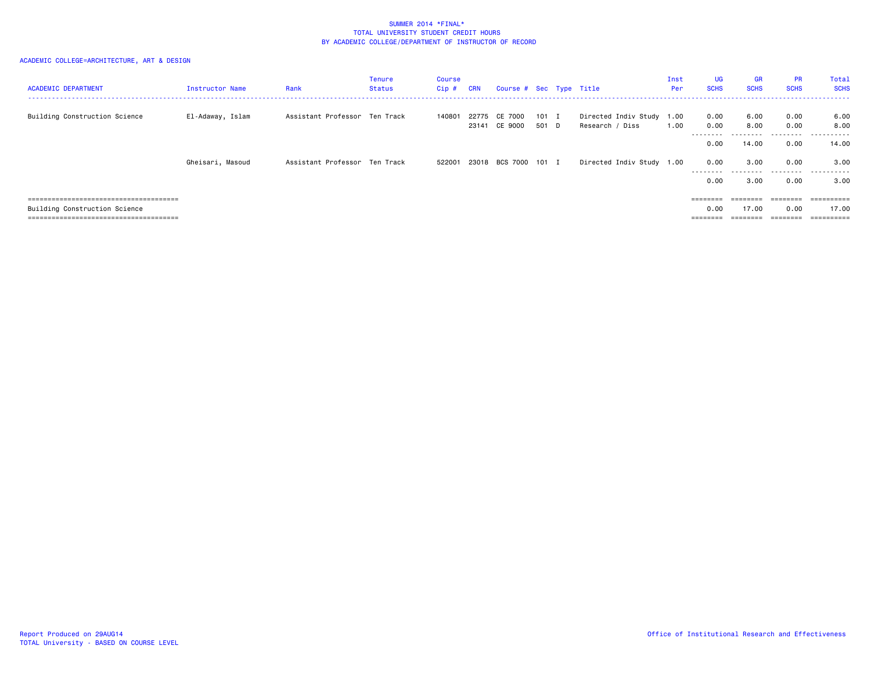| <b>ACADEMIC DEPARTMENT</b>    | Instructor Name  | Rank                          | Tenure<br><b>Status</b> | <b>Course</b><br>Cip# | <b>CRN</b> | Course # Sec Type Title  |                |                                              | Inst<br>Per | UG<br><b>SCHS</b> | <b>GR</b><br><b>SCHS</b> | <b>PR</b><br><b>SCHS</b> | Total<br><b>SCHS</b>  |
|-------------------------------|------------------|-------------------------------|-------------------------|-----------------------|------------|--------------------------|----------------|----------------------------------------------|-------------|-------------------|--------------------------|--------------------------|-----------------------|
| Building Construction Science | El-Adaway, Islam | Assistant Professor Ten Track |                         | 140801                | 23141      | 22775 CE 7000<br>CE 9000 | 101 I<br>501 D | Directed Indiv Study 1.00<br>Research / Diss | 1.00        | 0.00<br>0.00      | 6.00<br>8.00             | 0.00<br>0.00             | 6.00<br>8.00          |
|                               |                  |                               |                         |                       |            |                          |                |                                              |             | --------<br>0.00  | .<br>14.00               | .<br>0.00                | .<br>14.00            |
|                               | Gheisari, Masoud | Assistant Professor Ten Track |                         | 522001                |            | 23018 BCS 7000 101 I     |                | Directed Indiv Study 1.00                    |             | 0.00<br>--------- | 3.00<br>.                | 0.00<br>.                | 3.00<br>.             |
|                               |                  |                               |                         |                       |            |                          |                |                                              |             | 0.00              | 3.00                     | 0.00                     | 3.00                  |
|                               |                  |                               |                         |                       |            |                          |                |                                              |             | ========          | ========                 | ========                 |                       |
| Building Construction Science |                  |                               |                         |                       |            |                          |                |                                              |             | 0.00              | 17.00                    | 0.00                     | 17.00                 |
|                               |                  |                               |                         |                       |            |                          |                |                                              |             |                   |                          |                          | $=$ = = = = = = = = = |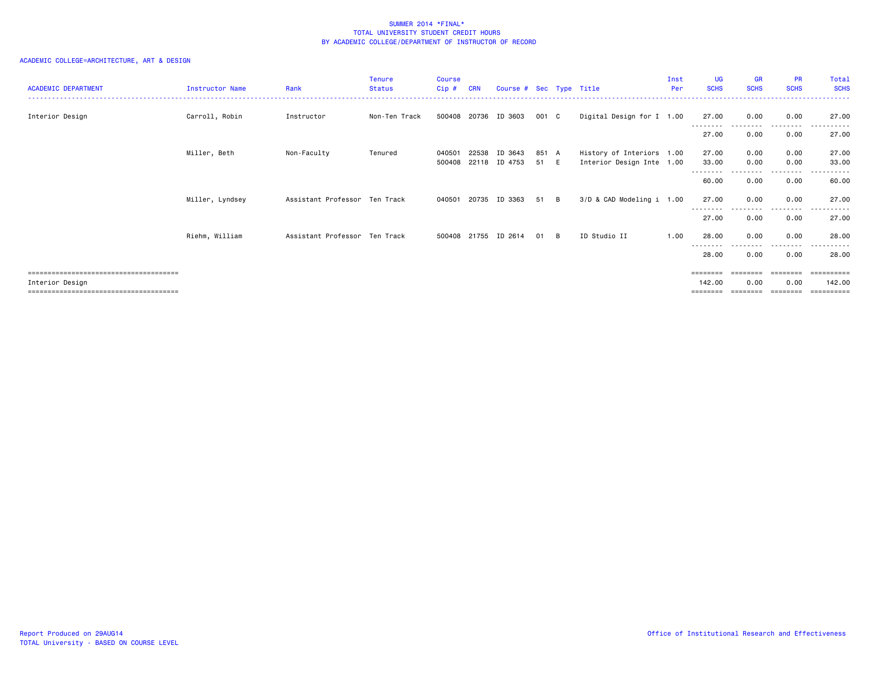| <b>ACADEMIC DEPARTMENT</b> | Instructor Name | Rank                          | <b>Tenure</b><br><b>Status</b> | <b>Course</b><br>$Cip \#$ | <b>CRN</b> | Course # Sec Type Title  |               |     |                                                        | Inst<br>Per | <b>UG</b><br><b>SCHS</b> | <b>GR</b><br><b>SCHS</b> | <b>PR</b><br><b>SCHS</b> | Total<br><b>SCHS</b> |
|----------------------------|-----------------|-------------------------------|--------------------------------|---------------------------|------------|--------------------------|---------------|-----|--------------------------------------------------------|-------------|--------------------------|--------------------------|--------------------------|----------------------|
| Interior Design            | Carroll, Robin  | Instructor                    | Non-Ten Track                  |                           |            | 500408 20736 ID 3603     | 001 C         |     | Digital Design for I 1.00                              |             | 27.00                    | 0.00                     | 0.00                     | 27.00                |
|                            |                 |                               |                                |                           |            |                          |               |     |                                                        |             | 27.00                    | 0.00                     | 0.00                     | 27.00                |
|                            | Miller, Beth    | Non-Faculty                   | Tenured                        | 040501<br>500408          | 22538      | ID 3643<br>22118 ID 4753 | 851 A<br>51 E |     | History of Interiors 1.00<br>Interior Design Inte 1.00 |             | 27.00<br>33.00           | 0.00<br>0.00             | 0.00<br>0.00             | 27.00<br>33.00       |
|                            |                 |                               |                                |                           |            |                          |               |     |                                                        |             | --------<br>60.00        | 0.00                     | . <b>.</b><br>0.00       | 60.00                |
|                            | Miller, Lyndsey | Assistant Professor Ten Track |                                | 040501                    |            | 20735 ID 3363            | 51            | - B | 3/D & CAD Modeling i 1.00                              |             | 27.00                    | 0.00                     | 0.00                     | 27.00                |
|                            |                 |                               |                                |                           |            |                          |               |     |                                                        |             | --------<br>27.00        | 0.00                     | - - - -<br>0.00          | 27.00                |
|                            | Riehm, William  | Assistant Professor Ten Track |                                |                           |            | 500408 21755 ID 2614     | 01            | B   | ID Studio II                                           | 1.00        | 28.00                    | 0.00                     | 0.00                     | 28.00                |
|                            |                 |                               |                                |                           |            |                          |               |     |                                                        |             | 28.00                    | 0.00                     | ----<br>0.00             | 28.00                |
|                            |                 |                               |                                |                           |            |                          |               |     |                                                        |             |                          | ========                 | ========                 | ==========           |
| Interior Design            |                 |                               |                                |                           |            |                          |               |     |                                                        |             | 142.00<br>========       | 0.00<br>========         | 0.00<br>========         | 142.00               |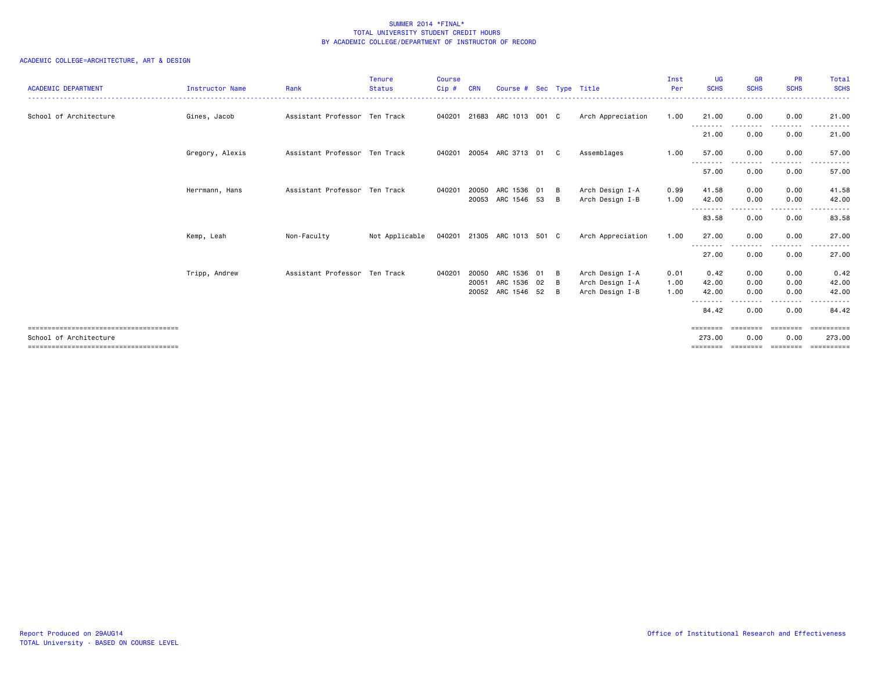| <b>ACADEMIC DEPARTMENT</b> | <b>Instructor Name</b> | Rank                          | Tenure<br><b>Status</b> | <b>Course</b><br>Cip# | <b>CRN</b> | Course # Sec Type Title                |    |        |                                    | Inst<br>Per  | <b>UG</b><br><b>SCHS</b>        | <b>GR</b><br><b>SCHS</b> | <b>PR</b><br><b>SCHS</b> | Total<br><b>SCHS</b>                           |
|----------------------------|------------------------|-------------------------------|-------------------------|-----------------------|------------|----------------------------------------|----|--------|------------------------------------|--------------|---------------------------------|--------------------------|--------------------------|------------------------------------------------|
| School of Architecture     | Gines, Jacob           | Assistant Professor Ten Track |                         |                       |            | 040201 21683 ARC 1013 001 C            |    |        | Arch Appreciation                  | 1.00         | 21.00                           | 0.00                     | 0.00                     | 21,00                                          |
|                            |                        |                               |                         |                       |            |                                        |    |        |                                    |              | --------<br>21.00               | ---------<br>0.00        | --------<br>0.00         | ------<br>$\sim$ $\sim$ $\sim$ $\sim$<br>21.00 |
|                            | Gregory, Alexis        | Assistant Professor Ten Track |                         | 040201                |            | 20054 ARC 3713 01                      |    | - C    | Assemblages                        | 1.00         | 57.00                           | 0.00                     | 0.00                     | 57.00                                          |
|                            |                        |                               |                         |                       |            |                                        |    |        |                                    |              | --------<br>57.00               | 0.00                     | 0.00                     | .<br>57.00                                     |
|                            | Herrmann, Hans         | Assistant Professor Ten Track |                         | 040201                |            | 20050 ARC 1536 01<br>20053 ARC 1546 53 |    | B<br>B | Arch Design I-A<br>Arch Design I-B | 0.99<br>1.00 | 41.58<br>42.00                  | 0.00<br>0.00             | 0.00<br>0.00             | 41.58<br>42.00                                 |
|                            |                        |                               |                         |                       |            |                                        |    |        |                                    |              | $- - -$<br>83.58                | 0.00                     | .<br>0.00                | 83.58                                          |
|                            | Kemp, Leah             | Non-Faculty                   | Not Applicable          |                       |            | 040201 21305 ARC 1013 501 C            |    |        | Arch Appreciation                  | 1.00         | 27.00                           | 0.00                     | 0.00                     | 27,00                                          |
|                            |                        |                               |                         |                       |            |                                        |    |        |                                    |              | --------<br>27.00               | 0.00                     | .<br>0.00                | 27.00                                          |
|                            | Tripp, Andrew          | Assistant Professor Ten Track |                         | 040201 20050          | 20051      | ARC 1536<br>ARC 1536 02                | 01 | B<br>B | Arch Design I-A<br>Arch Design I-A | 0.01<br>1.00 | 0.42<br>42.00                   | 0.00<br>0.00             | 0.00<br>0.00             | 0.42<br>42.00                                  |
|                            |                        |                               |                         |                       |            | 20052 ARC 1546 52                      |    | B      | Arch Design I-B                    | 1.00         | 42.00<br>--------               | 0.00<br>- - - - -        | 0.00<br>- - - - -        | 42.00<br>.                                     |
|                            |                        |                               |                         |                       |            |                                        |    |        |                                    |              | 84.42                           | 0.00                     | 0.00                     | 84.42                                          |
| School of Architecture     |                        |                               |                         |                       |            |                                        |    |        |                                    |              | ---------<br>273.00<br>======== | 0.00<br>========         | 0.00<br>========         | .<br>273.00<br>-----------                     |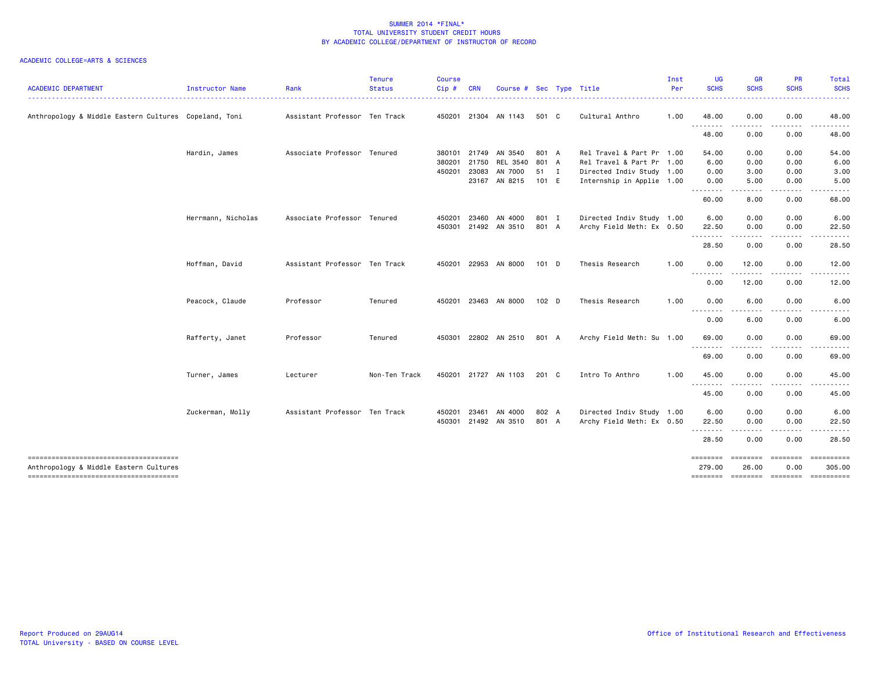|                                                                                 |                    |                               | <b>Tenure</b> | <b>Course</b> |            |                         |         |              |                           | Inst | <b>UG</b>                                                                                                                         | GR                                                                                                                                | PR               | <b>Total</b>         |
|---------------------------------------------------------------------------------|--------------------|-------------------------------|---------------|---------------|------------|-------------------------|---------|--------------|---------------------------|------|-----------------------------------------------------------------------------------------------------------------------------------|-----------------------------------------------------------------------------------------------------------------------------------|------------------|----------------------|
| <b>ACADEMIC DEPARTMENT</b>                                                      | Instructor Name    | Rank                          | <b>Status</b> | Cip#          | <b>CRN</b> | Course # Sec Type Title |         |              |                           | Per  | <b>SCHS</b>                                                                                                                       | <b>SCHS</b>                                                                                                                       | <b>SCHS</b>      | <b>SCHS</b>          |
| Anthropology & Middle Eastern Cultures Copeland, Toni                           |                    | Assistant Professor Ten Track |               |               |            | 450201 21304 AN 1143    | 501 C   |              | Cultural Anthro           | 1.00 | 48.00                                                                                                                             | 0.00                                                                                                                              | 0.00             | 48.00                |
|                                                                                 |                    |                               |               |               |            |                         |         |              |                           |      | .<br>48.00                                                                                                                        | $\frac{1}{2} \left( \frac{1}{2} \right) \left( \frac{1}{2} \right) \left( \frac{1}{2} \right) \left( \frac{1}{2} \right)$<br>0.00 | .<br>0.00        | 48.00                |
|                                                                                 | Hardin, James      | Associate Professor Tenured   |               |               |            | 380101 21749 AN 3540    | 801 A   |              | Rel Travel & Part Pr 1.00 |      | 54.00                                                                                                                             | 0.00                                                                                                                              | 0.00             | 54.00                |
|                                                                                 |                    |                               |               | 380201        | 21750      | REL 3540 801 A          |         |              | Rel Travel & Part Pr 1.00 |      | 6.00                                                                                                                              | 0.00                                                                                                                              | 0.00             | 6.00                 |
|                                                                                 |                    |                               |               | 450201        | 23083      | AN 7000                 | 51      | $\mathbf{I}$ | Directed Indiv Study 1.00 |      | 0.00                                                                                                                              | 3.00                                                                                                                              | 0.00             | 3.00                 |
|                                                                                 |                    |                               |               |               |            | 23167 AN 8215           | 101 E   |              | Internship in Applie 1.00 |      | 0.00<br>$\frac{1}{2} \left( \frac{1}{2} \right) \left( \frac{1}{2} \right) \left( \frac{1}{2} \right) \left( \frac{1}{2} \right)$ | 5.00                                                                                                                              | 0.00             | 5.00                 |
|                                                                                 |                    |                               |               |               |            |                         |         |              |                           |      | 60.00                                                                                                                             | 8.00                                                                                                                              | 0.00             | 68.00                |
|                                                                                 | Herrmann, Nicholas | Associate Professor Tenured   |               | 450201        | 23460      | AN 4000                 | 801 I   |              | Directed Indiv Study 1.00 |      | 6.00                                                                                                                              | 0.00                                                                                                                              | 0.00             | 6.00                 |
|                                                                                 |                    |                               |               | 450301        |            | 21492 AN 3510           | 801 A   |              | Archy Field Meth: Ex 0.50 |      | 22.50                                                                                                                             | 0.00                                                                                                                              | 0.00             | 22.50                |
|                                                                                 |                    |                               |               |               |            |                         |         |              |                           |      |                                                                                                                                   |                                                                                                                                   |                  |                      |
|                                                                                 |                    |                               |               |               |            |                         |         |              |                           |      | 28.50                                                                                                                             | 0.00                                                                                                                              | 0.00             | 28.50                |
|                                                                                 | Hoffman, David     | Assistant Professor Ten Track |               | 450201        |            | 22953 AN 8000           | $101$ D |              | Thesis Research           | 1.00 | 0.00<br>.                                                                                                                         | 12.00                                                                                                                             | 0.00             | 12.00                |
|                                                                                 |                    |                               |               |               |            |                         |         |              |                           |      | 0.00                                                                                                                              | 12.00                                                                                                                             | 0.00             | 12.00                |
|                                                                                 | Peacock, Claude    | Professor                     | Tenured       | 450201        |            | 23463 AN 8000           | 102 D   |              | Thesis Research           | 1.00 | 0.00                                                                                                                              | 6.00                                                                                                                              | 0.00             | 6.00                 |
|                                                                                 |                    |                               |               |               |            |                         |         |              |                           |      | 0.00                                                                                                                              | $\cdots$<br>6.00                                                                                                                  | 0.00             | 6.00                 |
|                                                                                 | Rafferty, Janet    | Professor                     | Tenured       |               |            | 450301 22802 AN 2510    | 801 A   |              | Archy Field Meth: Su 1.00 |      | 69.00                                                                                                                             | 0.00                                                                                                                              | 0.00             | 69.00                |
|                                                                                 |                    |                               |               |               |            |                         |         |              |                           |      | 69.00                                                                                                                             | 0.00                                                                                                                              | 0.00             | 69.00                |
|                                                                                 | Turner, James      | Lecturer                      | Non-Ten Track |               |            | 450201 21727 AN 1103    | 201 C   |              | Intro To Anthro           | 1.00 | 45.00                                                                                                                             | 0.00                                                                                                                              | 0.00             | 45.00                |
|                                                                                 |                    |                               |               |               |            |                         |         |              |                           |      | <u>.</u><br>45.00                                                                                                                 | $\frac{1}{2}$<br>0.00                                                                                                             | .<br>0.00        | 45.00                |
|                                                                                 | Zuckerman, Molly   | Assistant Professor Ten Track |               | 450201        | 23461      | AN 4000                 | 802 A   |              | Directed Indiv Study 1.00 |      | 6.00                                                                                                                              | 0.00                                                                                                                              | 0.00             | 6.00                 |
|                                                                                 |                    |                               |               |               |            | 450301 21492 AN 3510    | 801 A   |              | Archy Field Meth: Ex 0.50 |      | 22.50                                                                                                                             | 0.00                                                                                                                              | 0.00             | 22.50                |
|                                                                                 |                    |                               |               |               |            |                         |         |              |                           |      |                                                                                                                                   | -----                                                                                                                             |                  |                      |
|                                                                                 |                    |                               |               |               |            |                         |         |              |                           |      | 28.50                                                                                                                             | 0.00                                                                                                                              | 0.00             | 28.50                |
| -------------------------------------<br>Anthropology & Middle Eastern Cultures |                    |                               |               |               |            |                         |         |              |                           |      | ========<br>279.00                                                                                                                | <b>ESSESSES</b><br>26.00                                                                                                          | ========<br>0.00 | ==========<br>305.00 |
| --------------------------------------                                          |                    |                               |               |               |            |                         |         |              |                           |      | -------- -------- -------                                                                                                         |                                                                                                                                   |                  | -----------          |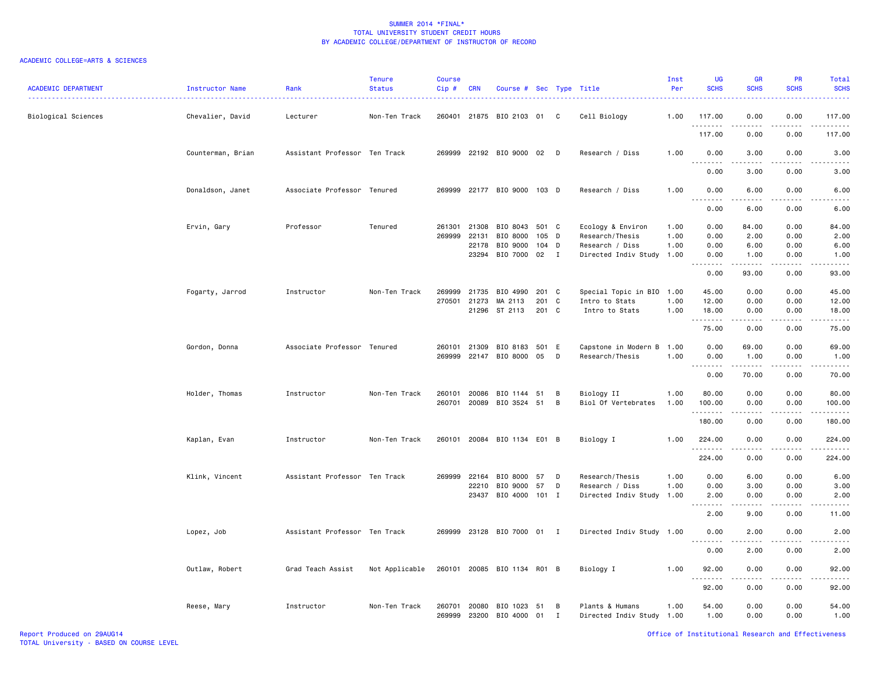| <b>ACADEMIC DEPARTMENT</b> | Instructor Name<br>. | Rank                          | <b>Tenure</b><br><b>Status</b> | <b>Course</b><br>Cip# | <b>CRN</b>   | Course # Sec Type Title     |       |   |                           | Inst<br>Per | UG<br><b>SCHS</b>                   | <b>GR</b><br><b>SCHS</b> | <b>PR</b><br><b>SCHS</b> | <b>Total</b><br><b>SCHS</b><br>---- |
|----------------------------|----------------------|-------------------------------|--------------------------------|-----------------------|--------------|-----------------------------|-------|---|---------------------------|-------------|-------------------------------------|--------------------------|--------------------------|-------------------------------------|
| Biological Sciences        | Chevalier, David     | Lecturer                      | Non-Ten Track                  |                       | 260401 21875 | BIO 2103 01                 |       | C | Cell Biology              | 1.00        | 117.00                              | 0.00                     | 0.00                     | 117.00                              |
|                            |                      |                               |                                |                       |              |                             |       |   |                           |             | .<br>117.00                         | 0.00                     | 0.00                     | 117.00                              |
|                            | Counterman, Brian    | Assistant Professor Ten Track |                                |                       |              | 269999 22192 BIO 9000 02 D  |       |   | Research / Diss           | 1.00        | 0.00                                | 3.00                     | 0.00                     | 3.00                                |
|                            |                      |                               |                                |                       |              |                             |       |   |                           |             | 0.00                                | 3.00                     | 0.00                     | 3.00                                |
|                            | Donaldson, Janet     | Associate Professor Tenured   |                                |                       |              | 269999 22177 BIO 9000 103 D |       |   | Research / Diss           | 1.00        | 0.00<br>.                           | 6.00                     | 0.00                     | 6.00                                |
|                            |                      |                               |                                |                       |              |                             |       |   |                           |             | $\sim$ $\sim$ $\sim$<br>0.00        | 6.00                     | 0.00                     | 6.00                                |
|                            | Ervin, Gary          | Professor                     | Tenured                        | 261301                | 21308        | BIO 8043                    | 501 C |   | Ecology & Environ         | 1.00        | 0.00                                | 84.00                    | 0.00                     | 84.00                               |
|                            |                      |                               |                                | 269999                | 22131        | BIO 8000                    | 105 D |   | Research/Thesis           | 1.00        | 0.00                                | 2.00                     | 0.00                     | 2.00                                |
|                            |                      |                               |                                |                       | 22178        | BIO 9000                    | 104 D |   | Research / Diss           | 1.00        | 0.00                                | 6.00                     | 0.00                     | 6.00                                |
|                            |                      |                               |                                |                       | 23294        | BIO 7000                    | 02 I  |   | Directed Indiv Study 1.00 |             | 0.00<br>$\sim$ $\sim$ $\sim$ $\sim$ | 1.00                     | 0.00                     | 1.00                                |
|                            |                      |                               |                                |                       |              |                             |       |   |                           |             | 0.00                                | 93.00                    | 0.00                     | 93.00                               |
|                            | Fogarty, Jarrod      | Instructor                    | Non-Ten Track                  | 269999                | 21735        | BIO 4990                    | 201 C |   | Special Topic in BIO 1.00 |             | 45.00                               | 0.00                     | 0.00                     | 45.00                               |
|                            |                      |                               |                                |                       | 270501 21273 | MA 2113                     | 201 C |   | Intro to Stats            | 1.00        | 12.00                               | 0.00                     | 0.00                     | 12.00                               |
|                            |                      |                               |                                |                       |              | 21296 ST 2113               | 201 C |   | Intro to Stats            | 1.00        | 18.00<br>.                          | 0.00<br>.                | 0.00<br>.                | 18.00<br>.                          |
|                            |                      |                               |                                |                       |              |                             |       |   |                           |             | 75.00                               | 0.00                     | 0.00                     | 75.00                               |
|                            | Gordon, Donna        | Associate Professor Tenured   |                                |                       | 260101 21309 | BIO 8183                    | 501 E |   | Capstone in Modern B 1.00 |             | 0.00                                | 69.00                    | 0.00                     | 69.00                               |
|                            |                      |                               |                                | 269999                | 22147        | BIO 8000                    | 05    | D | Research/Thesis           | 1.00        | 0.00<br>.<br>$\sim$ $\sim$ $\sim$   | 1.00<br>.                | 0.00<br>.                | 1.00<br>.                           |
|                            |                      |                               |                                |                       |              |                             |       |   |                           |             | 0.00                                | 70.00                    | 0.00                     | 70.00                               |
|                            | Holder, Thomas       | Instructor                    | Non-Ten Track                  | 260101                | 20086        | BIO 1144 51                 |       | В | Biology II                | 1.00        | 80.00                               | 0.00                     | 0.00                     | 80.00                               |
|                            |                      |                               |                                | 260701                |              | 20089 BIO 3524 51           |       | В | Biol Of Vertebrates       | 1.00        | 100.00                              | 0.00                     | 0.00                     | 100.00                              |
|                            |                      |                               |                                |                       |              |                             |       |   |                           |             | .<br>180.00                         | -----<br>0.00            | .<br>0.00                | .<br>180.00                         |
|                            | Kaplan, Evan         | Instructor                    | Non-Ten Track                  |                       |              | 260101 20084 BIO 1134 E01 B |       |   | Biology I                 | 1.00        | 224.00                              | 0.00                     | 0.00                     | 224.00                              |
|                            |                      |                               |                                |                       |              |                             |       |   |                           |             | .<br>224.00                         | 0.00                     | 0.00                     | 224.00                              |
|                            | Klink, Vincent       | Assistant Professor Ten Track |                                |                       | 269999 22164 | BIO 8000                    | 57    | D | Research/Thesis           | 1.00        | 0.00                                | 6.00                     | 0.00                     | 6.00                                |
|                            |                      |                               |                                |                       | 22210        | BIO 9000                    | 57    | D | Research / Diss           | 1.00        | 0.00                                | 3.00                     | 0.00                     | 3.00                                |
|                            |                      |                               |                                |                       | 23437        | BIO 4000 101 I              |       |   | Directed Indiv Study 1.00 |             | 2.00                                | 0.00                     | 0.00                     | 2.00                                |
|                            |                      |                               |                                |                       |              |                             |       |   |                           |             | .<br>$\sim$ $\sim$<br>2.00          | .<br>9.00                | .<br>0.00                | .<br>11.00                          |
|                            | Lopez, Job           | Assistant Professor Ten Track |                                | 269999                |              | 23128 BIO 7000 01 I         |       |   | Directed Indiv Study 1.00 |             | 0.00                                | 2.00                     | 0.00                     | 2.00                                |
|                            |                      |                               |                                |                       |              |                             |       |   |                           |             | $\sim$ $\sim$<br>.<br>0.00          | 2.00                     | 0.00                     | 2.00                                |
|                            | Outlaw, Robert       | Grad Teach Assist             | Not Applicable                 |                       |              | 260101 20085 BIO 1134 R01 B |       |   | Biology I                 | 1.00        | 92.00                               | 0.00                     | 0.00                     | 92.00                               |
|                            |                      |                               |                                |                       |              |                             |       |   |                           |             | .<br>92.00                          | 0.00                     | 0.00                     | 92.00                               |
|                            | Reese, Mary          | Instructor                    | Non-Ten Track                  | 260701                | 20080        | BIO 1023                    | 51    | В | Plants & Humans           | 1.00        | 54.00                               | 0.00                     | 0.00                     | 54.00                               |
|                            |                      |                               |                                | 269999                | 23200        | BIO 4000                    | 01    | I | Directed Indiv Study 1.00 |             | 1.00                                | 0.00                     | 0.00                     | 1.00                                |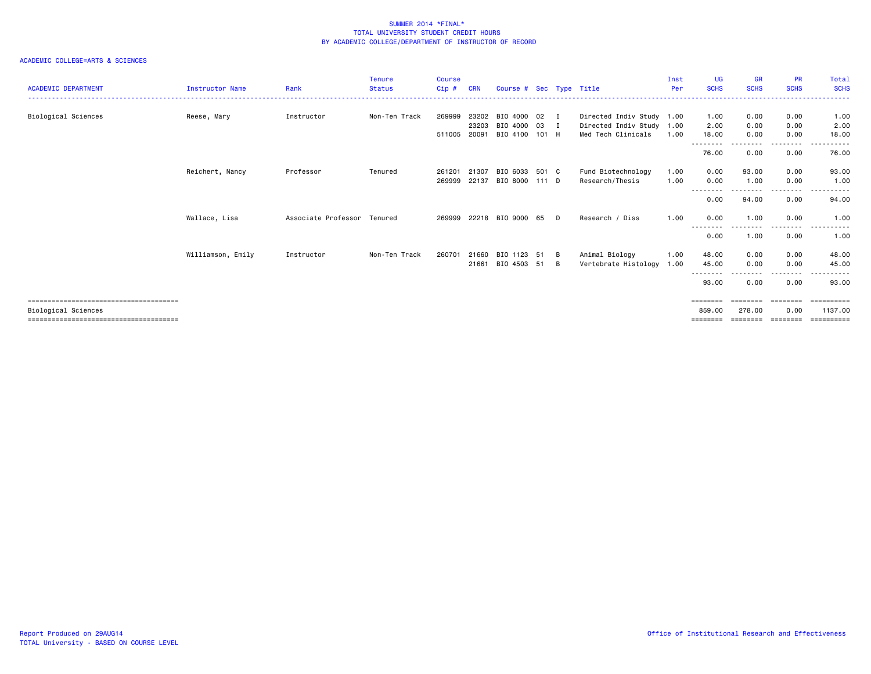| <b>ACADEMIC DEPARTMENT</b> | <b>Instructor Name</b> | Rank                        | <b>Tenure</b><br><b>Status</b> | <b>Course</b><br>$Cip$ # | <b>CRN</b> | Course # Sec Type Title |    |          |                           | Inst<br>Per | UG<br><b>SCHS</b> | <b>GR</b><br><b>SCHS</b> | <b>PR</b><br><b>SCHS</b> | Total<br><b>SCHS</b>                                                                                                      |
|----------------------------|------------------------|-----------------------------|--------------------------------|--------------------------|------------|-------------------------|----|----------|---------------------------|-------------|-------------------|--------------------------|--------------------------|---------------------------------------------------------------------------------------------------------------------------|
| Biological Sciences        | Reese, Mary            | Instructor                  | Non-Ten Track                  | 269999                   | 23202      | BIO 4000 02             |    | <b>I</b> | Directed Indiv Study 1.00 |             | 1.00              | 0.00                     | 0.00                     | 1.00                                                                                                                      |
|                            |                        |                             |                                |                          | 23203      | BIO 4000 03 I           |    |          | Directed Indiv Study 1.00 |             | 2.00              | 0.00                     | 0.00                     | 2.00                                                                                                                      |
|                            |                        |                             |                                | 511005 20091             |            | BIO 4100 101 H          |    |          | Med Tech Clinicals        | 1.00        | 18.00             | 0.00                     | 0.00                     | 18.00                                                                                                                     |
|                            |                        |                             |                                |                          |            |                         |    |          |                           |             | --------          | ---------                | --------                 | $\begin{array}{cccccccccccccc} \bullet & \bullet & \bullet & \bullet & \bullet & \bullet & \bullet & \bullet \end{array}$ |
|                            |                        |                             |                                |                          |            |                         |    |          |                           |             | 76.00             | 0.00                     | 0.00                     | 76.00                                                                                                                     |
|                            | Reichert, Nancy        | Professor                   | Tenured                        | 261201                   | 21307      | BIO 6033 501 C          |    |          | Fund Biotechnology        | 1.00        | 0.00              | 93.00                    | 0.00                     | 93.00                                                                                                                     |
|                            |                        |                             |                                | 269999                   | 22137      | BIO 8000 111 D          |    |          | Research/Thesis           | 1.00        | 0.00              | 1.00                     | 0.00                     | 1.00                                                                                                                      |
|                            |                        |                             |                                |                          |            |                         |    |          |                           |             |                   |                          |                          |                                                                                                                           |
|                            |                        |                             |                                |                          |            |                         |    |          |                           |             | 0.00              | 94.00                    | 0.00                     | 94.00                                                                                                                     |
|                            | Wallace, Lisa          | Associate Professor Tenured |                                |                          |            | 269999 22218 BIO 9000   | 65 | $\Box$   | Research / Diss           | 1.00        | 0.00              | 1.00                     | 0.00                     | 1.00                                                                                                                      |
|                            |                        |                             |                                |                          |            |                         |    |          |                           |             | --------<br>0.00  | 1.00                     | .<br>0.00                | $\frac{1}{2} \left( \frac{1}{2} \right) \left( \frac{1}{2} \right) \left( \frac{1}{2} \right)$<br>1.00                    |
|                            | Williamson, Emily      | Instructor                  | Non-Ten Track                  | 260701                   | 21660      | BIO 1123                | 51 | B        | Animal Biology            | 1.00        | 48.00             | 0.00                     | 0.00                     | 48.00                                                                                                                     |
|                            |                        |                             |                                |                          | 21661      | BIO 4503 51             |    | B        | Vertebrate Histology      | 1.00        | 45.00             | 0.00                     | 0.00                     | 45.00                                                                                                                     |
|                            |                        |                             |                                |                          |            |                         |    |          |                           |             |                   |                          |                          |                                                                                                                           |
|                            |                        |                             |                                |                          |            |                         |    |          |                           |             | 93.00             | 0.00                     | 0.00                     | 93.00                                                                                                                     |
|                            |                        |                             |                                |                          |            |                         |    |          |                           |             | ========          | ========                 | ========                 | ==========                                                                                                                |
| Biological Sciences        |                        |                             |                                |                          |            |                         |    |          |                           |             | 859.00            | 278.00                   | 0.00                     | 1137.00                                                                                                                   |
|                            |                        |                             |                                |                          |            |                         |    |          |                           |             | ========          | ========                 | ========                 | ==========                                                                                                                |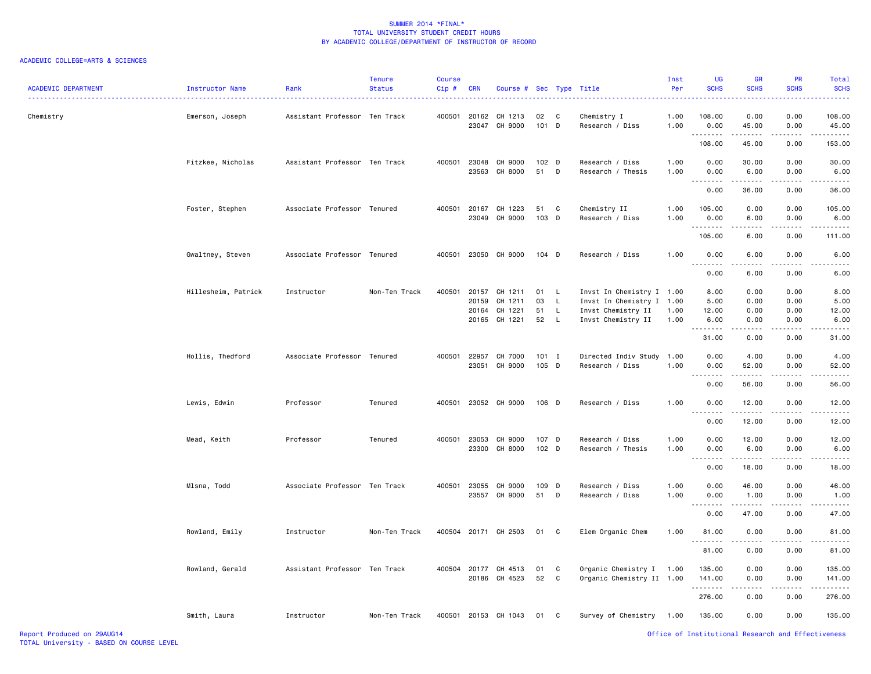| <b>ACADEMIC DEPARTMENT</b> | Instructor Name     | Rank                          | <b>Tenure</b><br><b>Status</b> | <b>Course</b><br>Cip# | <b>CRN</b>                     | Course # Sec Type Title                        |                           |                    |                                                                                               | Inst<br>Per          | UG<br><b>SCHS</b>                                                                                                                                                     | <b>GR</b><br><b>SCHS</b>            | <b>PR</b><br><b>SCHS</b>     | Total<br><b>SCHS</b>          |
|----------------------------|---------------------|-------------------------------|--------------------------------|-----------------------|--------------------------------|------------------------------------------------|---------------------------|--------------------|-----------------------------------------------------------------------------------------------|----------------------|-----------------------------------------------------------------------------------------------------------------------------------------------------------------------|-------------------------------------|------------------------------|-------------------------------|
| Chemistry                  | Emerson, Joseph     | Assistant Professor Ten Track |                                | 400501                |                                | 20162 CH 1213<br>23047 CH 9000                 | 02 C<br>101 D             |                    | Chemistry I<br>Research / Diss                                                                | 1.00<br>1.00         | 108.00<br>0.00                                                                                                                                                        | 0.00<br>45.00                       | 0.00<br>0.00                 | 108.00<br>45.00               |
|                            |                     |                               |                                |                       |                                |                                                |                           |                    |                                                                                               |                      | .<br>108.00                                                                                                                                                           | .<br>45.00                          | .<br>0.00                    | .<br>153.00                   |
|                            | Fitzkee, Nicholas   | Assistant Professor Ten Track |                                | 400501                |                                | 23048 CH 9000<br>23563 CH 8000                 | 102 <sub>D</sub><br>51    | D                  | Research / Diss<br>Research / Thesis                                                          | 1.00<br>1.00         | 0.00<br>0.00                                                                                                                                                          | 30.00<br>6.00                       | 0.00<br>0.00                 | 30.00<br>6.00                 |
|                            |                     |                               |                                |                       |                                |                                                |                           |                    |                                                                                               |                      | .<br>0.00                                                                                                                                                             | -----<br>36.00                      | 0.00                         | 36.00                         |
|                            | Foster, Stephen     | Associate Professor Tenured   |                                | 400501                |                                | 20167 CH 1223<br>23049 CH 9000                 | 51<br>103 D               | C                  | Chemistry II<br>Research / Diss                                                               | 1.00<br>1.00         | 105.00<br>0.00                                                                                                                                                        | 0.00<br>6.00                        | 0.00<br>0.00                 | 105.00<br>6.00                |
|                            |                     |                               |                                |                       |                                |                                                |                           |                    |                                                                                               |                      | .<br>105.00                                                                                                                                                           | $\sim$ $\sim$ $\sim$ $\sim$<br>6.00 | .<br>0.00                    | 111.00                        |
|                            | Gwaltney, Steven    | Associate Professor Tenured   |                                | 400501                |                                | 23050 CH 9000                                  | $104$ D                   |                    | Research / Diss                                                                               | 1.00                 | 0.00<br>.                                                                                                                                                             | 6.00<br>.                           | 0.00<br>$- - - -$            | 6.00                          |
|                            |                     |                               |                                |                       |                                |                                                |                           |                    |                                                                                               |                      | 0.00                                                                                                                                                                  | 6.00                                | 0.00                         | 6.00                          |
|                            | Hillesheim, Patrick | Instructor                    | Non-Ten Track                  |                       | 400501 20157<br>20159<br>20164 | CH 1211<br>CH 1211<br>CH 1221<br>20165 CH 1221 | 01 L<br>03<br>51<br>52 L  | $\mathsf{L}$<br>L. | Invst In Chemistry I 1.00<br>Invst In Chemistry I<br>Invst Chemistry II<br>Invst Chemistry II | 1.00<br>1.00<br>1.00 | 8.00<br>5.00<br>12.00<br>6.00                                                                                                                                         | 0.00<br>0.00<br>0.00<br>0.00        | 0.00<br>0.00<br>0.00<br>0.00 | 8.00<br>5.00<br>12.00<br>6.00 |
|                            |                     |                               |                                |                       |                                |                                                |                           |                    |                                                                                               |                      | .<br>31.00                                                                                                                                                            | .<br>0.00                           | .<br>0.00                    | 31.00                         |
|                            | Hollis, Thedford    | Associate Professor Tenured   |                                | 400501                | 22957                          | CH 7000<br>23051 CH 9000                       | $101$ I<br>105 D          |                    | Directed Indiv Study<br>Research / Diss                                                       | 1.00<br>1.00         | 0.00<br>0.00                                                                                                                                                          | 4.00<br>52.00                       | 0.00<br>0.00                 | 4.00<br>52.00                 |
|                            |                     |                               |                                |                       |                                |                                                |                           |                    |                                                                                               |                      | $\frac{1}{2} \left( \frac{1}{2} \right) \left( \frac{1}{2} \right) \left( \frac{1}{2} \right) \left( \frac{1}{2} \right) \left( \frac{1}{2} \right)$<br>0.00          | .<br>56.00                          | .<br>0.00                    | 56.00                         |
|                            | Lewis, Edwin        | Professor                     | Tenured                        |                       |                                | 400501 23052 CH 9000                           | 106 D                     |                    | Research / Diss                                                                               | 1.00                 | 0.00<br>$  -$<br>$\frac{1}{2} \left( \frac{1}{2} \right) \left( \frac{1}{2} \right) \left( \frac{1}{2} \right) \left( \frac{1}{2} \right) \left( \frac{1}{2} \right)$ | 12.00<br>.                          | 0.00<br>.                    | 12.00                         |
|                            |                     |                               |                                |                       |                                |                                                |                           |                    |                                                                                               |                      | 0.00                                                                                                                                                                  | 12.00                               | 0.00                         | 12.00                         |
|                            | Mead, Keith         | Professor                     | Tenured                        |                       |                                | 400501 23053 CH 9000<br>23300 CH 8000          | 107 D<br>102 <sub>D</sub> |                    | Research / Diss<br>Research / Thesis                                                          | 1.00<br>1.00         | 0.00<br>0.00                                                                                                                                                          | 12.00<br>6.00                       | 0.00<br>0.00                 | 12.00<br>6.00                 |
|                            |                     |                               |                                |                       |                                |                                                |                           |                    |                                                                                               |                      | . <b>.</b><br>0.00                                                                                                                                                    | .<br>18.00                          | -----<br>0.00                | .<br>18.00                    |
|                            | Mlsna, Todd         | Associate Professor Ten Track |                                |                       |                                | 400501 23055 CH 9000<br>23557 CH 9000          | 109 D<br>51               | D                  | Research / Diss<br>Research / Diss                                                            | 1.00<br>1.00         | 0.00<br>0.00                                                                                                                                                          | 46.00<br>1.00                       | 0.00<br>0.00                 | 46.00<br>1.00                 |
|                            |                     |                               |                                |                       |                                |                                                |                           |                    |                                                                                               |                      | .<br>0.00                                                                                                                                                             | .<br>47.00                          | 0.00                         | 47.00                         |
|                            | Rowland, Emily      | Instructor                    | Non-Ten Track                  |                       |                                | 400504 20171 CH 2503                           | 01                        | C                  | Elem Organic Chem                                                                             | 1.00                 | 81.00                                                                                                                                                                 | 0.00                                | 0.00                         | 81.00                         |
|                            |                     |                               |                                |                       |                                |                                                |                           |                    |                                                                                               |                      | 81.00                                                                                                                                                                 | 0.00                                | 0.00                         | 81.00                         |
|                            | Rowland, Gerald     | Assistant Professor Ten Track |                                |                       |                                | 400504 20177 CH 4513<br>20186 CH 4523          | 01<br>52                  | C<br>C             | Organic Chemistry I<br>Organic Chemistry II 1.00                                              | 1.00                 | 135.00<br>141.00                                                                                                                                                      | 0.00<br>0.00                        | 0.00<br>0.00                 | 135.00<br>141.00              |
|                            |                     |                               |                                |                       |                                |                                                |                           |                    |                                                                                               |                      | .<br>276.00                                                                                                                                                           | 0.00                                | 0.00                         | 276.00                        |
|                            | Smith, Laura        | Instructor                    | Non-Ten Track                  |                       |                                | 400501 20153 CH 1043                           | 01 C                      |                    | Survey of Chemistry                                                                           | 1.00                 | 135.00                                                                                                                                                                | 0.00                                | 0.00                         | 135.00                        |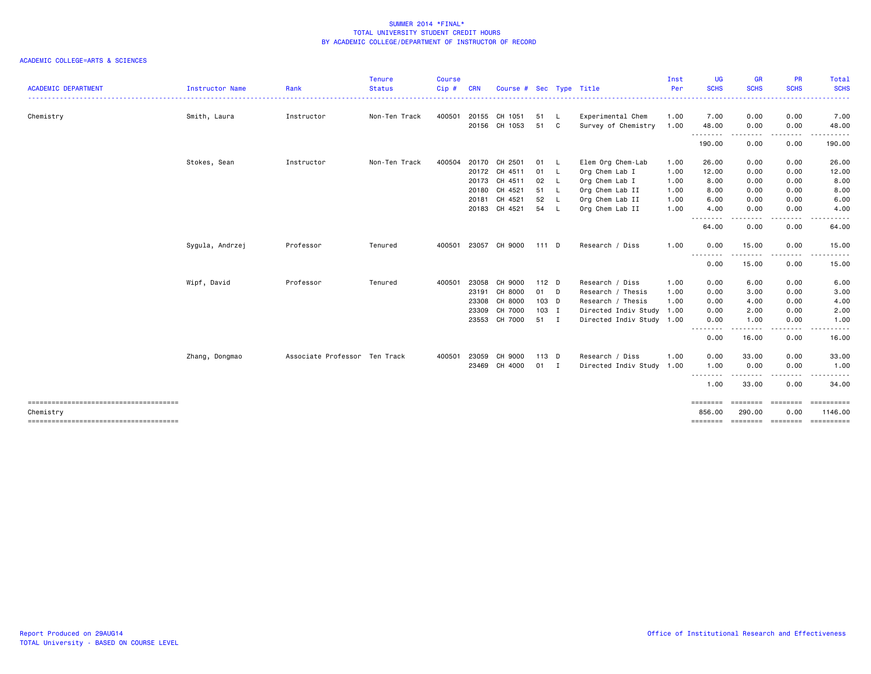| <b>ACADEMIC DEPARTMENT</b>                         | Instructor Name | Rank                          | Tenure<br><b>Status</b> | <b>Course</b><br>Cip# | <b>CRN</b> | Course # Sec Type Title |         |              |                           | Inst<br>Per | UG<br><b>SCHS</b><br>. <b>.</b> .                                                                               | <b>GR</b><br><b>SCHS</b><br>. | <b>PR</b><br><b>SCHS</b> | Total<br><b>SCHS</b><br>------ |
|----------------------------------------------------|-----------------|-------------------------------|-------------------------|-----------------------|------------|-------------------------|---------|--------------|---------------------------|-------------|-----------------------------------------------------------------------------------------------------------------|-------------------------------|--------------------------|--------------------------------|
| Chemistry                                          | Smith, Laura    | Instructor                    | Non-Ten Track           | 400501                | 20155      | CH 1051                 | 51      | - L          | Experimental Chem         | 1.00        | 7.00                                                                                                            | 0.00                          | 0.00                     | 7.00                           |
|                                                    |                 |                               |                         |                       |            | 20156 CH 1053           | 51      | C.           | Survey of Chemistry       | 1.00        | 48.00<br>.                                                                                                      | 0.00<br>.                     | 0.00                     | 48.00                          |
|                                                    |                 |                               |                         |                       |            |                         |         |              |                           |             | 190.00                                                                                                          | 0.00                          | 0.00                     | 190.00                         |
|                                                    | Stokes, Sean    | Instructor                    | Non-Ten Track           | 400504                | 20170      | CH 2501                 | 01 L    |              | Elem Org Chem-Lab         | 1.00        | 26.00                                                                                                           | 0.00                          | 0.00                     | 26.00                          |
|                                                    |                 |                               |                         |                       | 20172      | CH 4511                 | 01 L    |              | Org Chem Lab I            | 1.00        | 12.00                                                                                                           | 0.00                          | 0.00                     | 12.00                          |
|                                                    |                 |                               |                         |                       | 20173      | CH 4511                 | 02      | $\mathsf{L}$ | Org Chem Lab I            | 1.00        | 8.00                                                                                                            | 0.00                          | 0.00                     | 8.00                           |
|                                                    |                 |                               |                         |                       | 20180      | CH 4521                 | 51 L    |              | Org Chem Lab II           | 1.00        | 8.00                                                                                                            | 0.00                          | 0.00                     | 8.00                           |
|                                                    |                 |                               |                         |                       | 20181      | CH 4521                 | 52      | - L          | Org Chem Lab II           | 1.00        | 6.00                                                                                                            | 0.00                          | 0.00                     | 6.00                           |
|                                                    |                 |                               |                         |                       |            | 20183 CH 4521           | 54      | - L          | Org Chem Lab II           | 1.00        | 4.00<br>.                                                                                                       | 0.00                          | 0.00                     | 4.00                           |
|                                                    |                 |                               |                         |                       |            |                         |         |              |                           |             | 64.00                                                                                                           | 0.00                          | 0.00                     | 64.00                          |
|                                                    | Sygula, Andrzej | Professor                     | Tenured                 | 400501                |            | 23057 CH 9000           | 111 D   |              | Research / Diss           | 1.00        | 0.00                                                                                                            | 15.00                         | 0.00                     | 15.00                          |
|                                                    |                 |                               |                         |                       |            |                         |         |              |                           |             | ، د د د ،<br>0.00                                                                                               | 15.00                         | 0.00                     | 15.00                          |
|                                                    | Wipf, David     | Professor                     | Tenured                 | 400501                | 23058      | CH 9000                 | $112$ D |              | Research / Diss           | 1.00        | 0.00                                                                                                            | 6.00                          | 0.00                     | 6.00                           |
|                                                    |                 |                               |                         |                       | 23191      | CH 8000                 | 01 D    |              | Research / Thesis         | 1.00        | 0.00                                                                                                            | 3.00                          | 0.00                     | 3.00                           |
|                                                    |                 |                               |                         |                       | 23308      | CH 8000                 | 103 D   |              | Research / Thesis         | 1.00        | 0.00                                                                                                            | 4.00                          | 0.00                     | 4.00                           |
|                                                    |                 |                               |                         |                       | 23309      | CH 7000                 | 103 I   |              | Directed Indiv Study 1.00 |             | 0.00                                                                                                            | 2.00                          | 0.00                     | 2.00                           |
|                                                    |                 |                               |                         |                       | 23553      | CH 7000                 | 51 I    |              | Directed Indiv Study 1.00 |             | 0.00                                                                                                            | 1.00                          | 0.00                     | 1.00                           |
|                                                    |                 |                               |                         |                       |            |                         |         |              |                           |             | $\frac{1}{2} \left( \frac{1}{2} \right) \left( \frac{1}{2} \right) \left( \frac{1}{2} \right)$<br>-----<br>0.00 | -----<br>16.00                | . <b>.</b><br>0.00       | -----<br>16.00                 |
|                                                    | Zhang, Dongmao  | Associate Professor Ten Track |                         | 400501                | 23059      | CH 9000                 | 113 D   |              | Research / Diss           | 1.00        | 0.00                                                                                                            | 33.00                         | 0.00                     | 33.00                          |
|                                                    |                 |                               |                         |                       | 23469      | CH 4000                 | $01$ I  |              | Directed Indiv Study 1.00 |             | 1.00                                                                                                            | 0.00                          | 0.00                     | 1.00                           |
|                                                    |                 |                               |                         |                       |            |                         |         |              |                           |             | .<br>1.00                                                                                                       | 33.00                         | 0.00                     | 34.00                          |
| -------------------------------------<br>Chemistry |                 |                               |                         |                       |            |                         |         |              |                           |             | ========<br>856.00                                                                                              | <b>ESSESSE</b><br>290.00      | ========<br>0.00         | ==========<br>1146.00          |
|                                                    |                 |                               |                         |                       |            |                         |         |              |                           |             | ========                                                                                                        | ========                      | ---------                | ==========                     |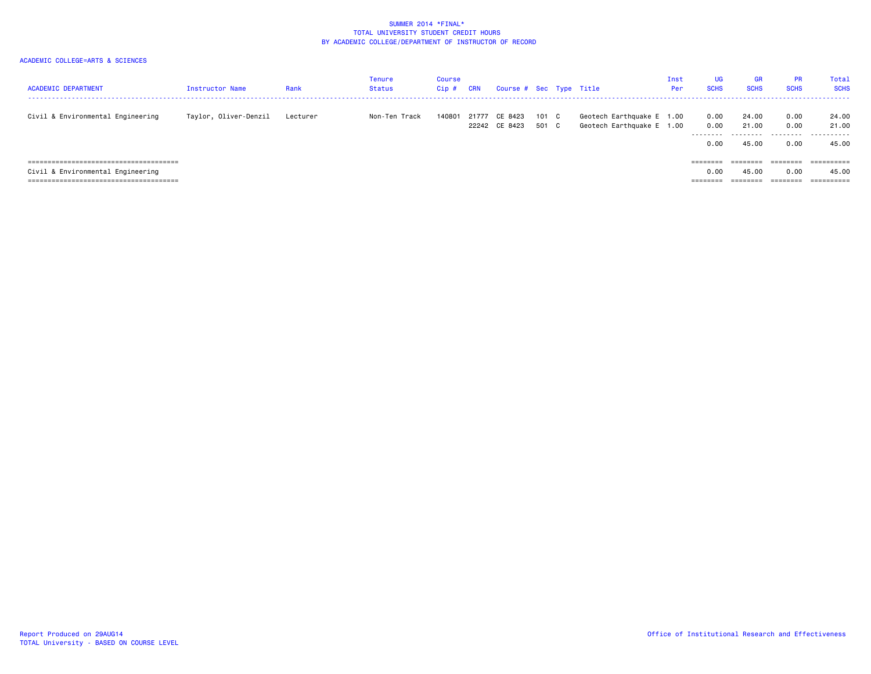| <b>ACADEMIC DEPARTMENT</b>        | Instructor Name       | Rank     | Tenure<br>Status | Course<br>$Cip$ # | <b>CRN</b> | Course # Sec Type Title  |                |                                                        | Inst<br>Per | <b>UG</b><br><b>SCHS</b> | <b>GR</b><br><b>SCHS</b> | <b>PR</b><br><b>SCHS</b> | Total<br><b>SCHS</b>            |
|-----------------------------------|-----------------------|----------|------------------|-------------------|------------|--------------------------|----------------|--------------------------------------------------------|-------------|--------------------------|--------------------------|--------------------------|---------------------------------|
| Civil & Environmental Engineering | Taylor, Oliver-Denzil | Lecturer | Non-Ten Track    | 140801            | 21777      | CE 8423<br>22242 CE 8423 | 101 C<br>501 C | Geotech Earthquake E 1.00<br>Geotech Earthquake E 1.00 |             | 0.00<br>0.00<br>-------- | 24.00<br>21,00           | 0.00<br>0.00             | 24.00<br>21.00<br>- - - - - - - |
|                                   |                       |          |                  |                   |            |                          |                |                                                        |             | 0.00                     | 45.00                    | 0.00                     | 45.00                           |
|                                   |                       |          |                  |                   |            |                          |                |                                                        |             | $=$ = = = = = = =        | --------                 | ========                 | $=$ = = = = = = = = =           |
| Civil & Environmental Engineering |                       |          |                  |                   |            |                          |                |                                                        |             | 0.00                     | 45.00                    | 0.00                     | 45.00                           |
|                                   |                       |          |                  |                   |            |                          |                |                                                        |             | --------                 | --------                 | ========                 | $=$ = = = = = = = = =           |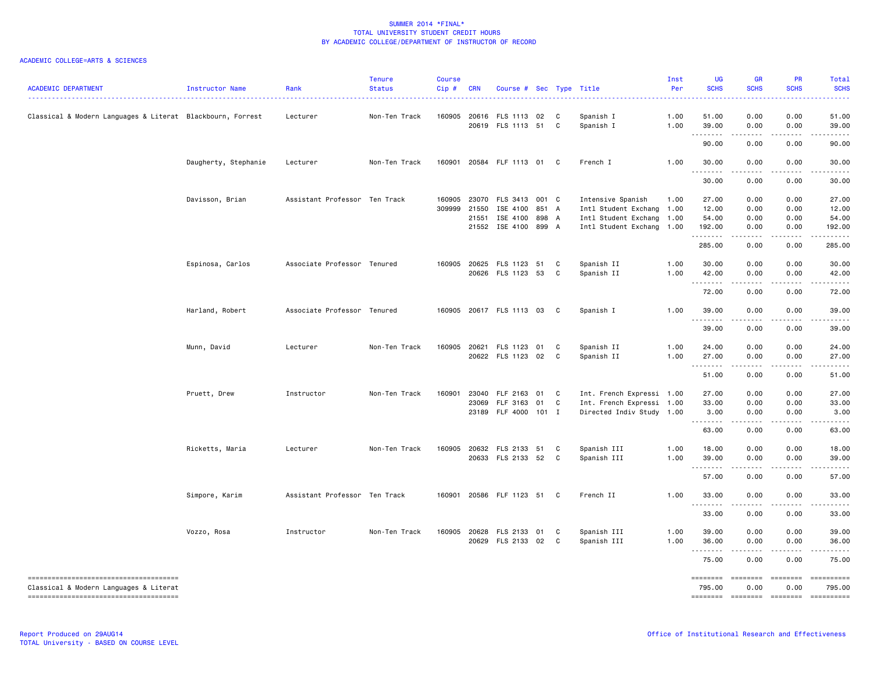| <b>ACADEMIC DEPARTMENT</b>                                 | Instructor Name      | Rank                          | <b>Tenure</b><br><b>Status</b> | <b>Course</b><br>Cip# | <b>CRN</b> | Course # Sec Type Title    |       |    |                           | Inst<br>Per | UG<br><b>SCHS</b>        | GR<br><b>SCHS</b>                                                                                                                 | <b>PR</b><br><b>SCHS</b> | <b>Total</b><br><b>SCHS</b>                                                                                                                                                                                                                                                                                                                                                                                                         |
|------------------------------------------------------------|----------------------|-------------------------------|--------------------------------|-----------------------|------------|----------------------------|-------|----|---------------------------|-------------|--------------------------|-----------------------------------------------------------------------------------------------------------------------------------|--------------------------|-------------------------------------------------------------------------------------------------------------------------------------------------------------------------------------------------------------------------------------------------------------------------------------------------------------------------------------------------------------------------------------------------------------------------------------|
| Classical & Modern Languages & Literat Blackbourn, Forrest |                      | Lecturer                      | Non-Ten Track                  | 160905                |            | 20616 FLS 1113 02          |       | C  | Spanish I                 | 1.00        | 51.00                    | 0.00                                                                                                                              | 0.00                     | 51.00                                                                                                                                                                                                                                                                                                                                                                                                                               |
|                                                            |                      |                               |                                |                       |            | 20619 FLS 1113 51          |       | C. | Spanish I                 | 1.00        | 39.00<br>.               | 0.00<br>$\frac{1}{2} \left( \frac{1}{2} \right) \left( \frac{1}{2} \right) \left( \frac{1}{2} \right) \left( \frac{1}{2} \right)$ | 0.00<br>.                | 39.00                                                                                                                                                                                                                                                                                                                                                                                                                               |
|                                                            |                      |                               |                                |                       |            |                            |       |    |                           |             | 90.00                    | 0.00                                                                                                                              | 0.00                     | 90.00                                                                                                                                                                                                                                                                                                                                                                                                                               |
|                                                            | Daugherty, Stephanie | Lecturer                      | Non-Ten Track                  | 160901                |            | 20584 FLF 1113 01          |       | C  | French I                  | 1.00        | 30.00<br>.               | 0.00<br>.                                                                                                                         | 0.00<br>.                | 30.00<br>. <u>.</u>                                                                                                                                                                                                                                                                                                                                                                                                                 |
|                                                            |                      |                               |                                |                       |            |                            |       |    |                           |             | 30.00                    | 0.00                                                                                                                              | 0.00                     | 30.00                                                                                                                                                                                                                                                                                                                                                                                                                               |
|                                                            | Davisson, Brian      | Assistant Professor Ten Track |                                | 160905                | 23070      | FLS 3413                   | 001 C |    | Intensive Spanish         | 1.00        | 27.00                    | 0.00                                                                                                                              | 0.00                     | 27.00                                                                                                                                                                                                                                                                                                                                                                                                                               |
|                                                            |                      |                               |                                | 309999                | 21550      | ISE 4100                   | 851 A |    | Intl Student Exchang 1.00 |             | 12.00                    | 0.00                                                                                                                              | 0.00                     | 12.00                                                                                                                                                                                                                                                                                                                                                                                                                               |
|                                                            |                      |                               |                                |                       | 21551      | ISE 4100 898 A             |       |    | Intl Student Exchang 1.00 |             | 54.00                    | 0.00                                                                                                                              | 0.00                     | 54.00                                                                                                                                                                                                                                                                                                                                                                                                                               |
|                                                            |                      |                               |                                |                       |            | 21552 ISE 4100             | 899 A |    | Intl Student Exchang 1.00 |             | 192.00<br>.              | 0.00<br>.                                                                                                                         | 0.00<br>د د د د          | 192.00<br>.                                                                                                                                                                                                                                                                                                                                                                                                                         |
|                                                            |                      |                               |                                |                       |            |                            |       |    |                           |             | 285.00                   | 0.00                                                                                                                              | 0.00                     | 285.00                                                                                                                                                                                                                                                                                                                                                                                                                              |
|                                                            | Espinosa, Carlos     | Associate Professor Tenured   |                                | 160905                |            | 20625 FLS 1123 51          |       | C  | Spanish II                | 1.00        | 30.00                    | 0.00                                                                                                                              | 0.00                     | 30.00                                                                                                                                                                                                                                                                                                                                                                                                                               |
|                                                            |                      |                               |                                |                       |            | 20626 FLS 1123 53          |       | C  | Spanish II                | 1.00        | 42.00                    | 0.00                                                                                                                              | 0.00                     | 42.00                                                                                                                                                                                                                                                                                                                                                                                                                               |
|                                                            |                      |                               |                                |                       |            |                            |       |    |                           |             | <u>.</u>                 | .                                                                                                                                 |                          |                                                                                                                                                                                                                                                                                                                                                                                                                                     |
|                                                            |                      |                               |                                |                       |            |                            |       |    |                           |             | 72.00                    | 0.00                                                                                                                              | 0.00                     | 72.00                                                                                                                                                                                                                                                                                                                                                                                                                               |
|                                                            | Harland, Robert      | Associate Professor Tenured   |                                |                       |            | 160905 20617 FLS 1113 03 C |       |    | Spanish I                 | 1.00        | 39.00<br><u>.</u>        | 0.00<br>- - - -                                                                                                                   | 0.00                     | 39.00                                                                                                                                                                                                                                                                                                                                                                                                                               |
|                                                            |                      |                               |                                |                       |            |                            |       |    |                           |             | 39.00                    | 0.00                                                                                                                              | 0.00                     | 39.00                                                                                                                                                                                                                                                                                                                                                                                                                               |
|                                                            | Munn, David          | Lecturer                      | Non-Ten Track                  | 160905                | 20621      | FLS 1123 01                |       | C  | Spanish II                | 1.00        | 24.00                    | 0.00                                                                                                                              | 0.00                     | 24.00                                                                                                                                                                                                                                                                                                                                                                                                                               |
|                                                            |                      |                               |                                |                       |            | 20622 FLS 1123 02          |       | C  | Spanish II                | 1.00        | 27.00                    | 0.00                                                                                                                              | 0.00                     | 27.00                                                                                                                                                                                                                                                                                                                                                                                                                               |
|                                                            |                      |                               |                                |                       |            |                            |       |    |                           |             | .                        |                                                                                                                                   |                          |                                                                                                                                                                                                                                                                                                                                                                                                                                     |
|                                                            |                      |                               |                                |                       |            |                            |       |    |                           |             | 51.00                    | 0.00                                                                                                                              | 0.00                     | 51.00                                                                                                                                                                                                                                                                                                                                                                                                                               |
|                                                            | Pruett, Drew         | Instructor                    | Non-Ten Track                  | 160901                |            | 23040 FLF 2163             | 01    | C  | Int. French Expressi 1.00 |             | 27.00                    | 0.00                                                                                                                              | 0.00                     | 27.00                                                                                                                                                                                                                                                                                                                                                                                                                               |
|                                                            |                      |                               |                                |                       | 23069      | FLF 3163                   | 01    | C  | Int. French Expressi      | 1.00        | 33.00                    | 0.00                                                                                                                              | 0.00                     | 33.00                                                                                                                                                                                                                                                                                                                                                                                                                               |
|                                                            |                      |                               |                                |                       |            | 23189 FLF 4000             | 101 I |    | Directed Indiv Study 1.00 |             | 3.00                     | 0.00                                                                                                                              | 0.00                     | 3.00                                                                                                                                                                                                                                                                                                                                                                                                                                |
|                                                            |                      |                               |                                |                       |            |                            |       |    |                           |             | .<br>63.00               | $\sim$ $\sim$ $\sim$ $\sim$<br>0.00                                                                                               | .<br>0.00                | $- - - - -$<br>63.00                                                                                                                                                                                                                                                                                                                                                                                                                |
|                                                            |                      |                               |                                |                       |            |                            |       |    |                           |             |                          |                                                                                                                                   |                          |                                                                                                                                                                                                                                                                                                                                                                                                                                     |
|                                                            | Ricketts, Maria      | Lecturer                      | Non-Ten Track                  | 160905                |            | 20632 FLS 2133 51          |       | C  | Spanish III               | 1.00        | 18,00                    | 0.00                                                                                                                              | 0.00                     | 18.00                                                                                                                                                                                                                                                                                                                                                                                                                               |
|                                                            |                      |                               |                                |                       |            | 20633 FLS 2133 52          |       | C  | Spanish III               | 1.00        | 39.00<br>. <b>.</b>      | 0.00<br>$\frac{1}{2}$                                                                                                             | 0.00                     | 39.00                                                                                                                                                                                                                                                                                                                                                                                                                               |
|                                                            |                      |                               |                                |                       |            |                            |       |    |                           |             | 57.00                    | 0.00                                                                                                                              | 0.00                     | 57.00                                                                                                                                                                                                                                                                                                                                                                                                                               |
|                                                            | Simpore, Karim       | Assistant Professor Ten Track |                                | 160901                |            | 20586 FLF 1123 51 C        |       |    | French II                 | 1.00        | 33.00<br>.               | 0.00<br>.                                                                                                                         | 0.00                     | 33.00                                                                                                                                                                                                                                                                                                                                                                                                                               |
|                                                            |                      |                               |                                |                       |            |                            |       |    |                           |             | 33.00                    | 0.00                                                                                                                              | 0.00                     | 33.00                                                                                                                                                                                                                                                                                                                                                                                                                               |
|                                                            | Vozzo, Rosa          | Instructor                    | Non-Ten Track                  |                       |            | 160905 20628 FLS 2133 01   |       | C  | Spanish III               | 1.00        | 39.00                    | 0.00                                                                                                                              | 0.00                     | 39.00                                                                                                                                                                                                                                                                                                                                                                                                                               |
|                                                            |                      |                               |                                |                       |            | 20629 FLS 2133 02          |       | C  | Spanish III               | 1.00        | 36.00                    | 0.00                                                                                                                              | 0.00                     | 36.00                                                                                                                                                                                                                                                                                                                                                                                                                               |
|                                                            |                      |                               |                                |                       |            |                            |       |    |                           |             | <b></b><br>75.00         | 0.00                                                                                                                              | 0.00                     | 75.00                                                                                                                                                                                                                                                                                                                                                                                                                               |
| Classical & Modern Languages & Literat                     |                      |                               |                                |                       |            |                            |       |    |                           |             | <b>EEEEEEE</b><br>795.00 | ========<br>0.00                                                                                                                  | ========<br>0.00         | $=$ =========<br>795.00                                                                                                                                                                                                                                                                                                                                                                                                             |
|                                                            |                      |                               |                                |                       |            |                            |       |    |                           |             |                          | -------- -------                                                                                                                  | <b>ESSESSE</b>           | $\begin{minipage}{0.9\linewidth} \hspace*{-0.2cm} \textbf{1} & \textbf{2} & \textbf{3} & \textbf{5} & \textbf{6} & \textbf{7} & \textbf{8} \\ \textbf{5} & \textbf{6} & \textbf{7} & \textbf{8} & \textbf{8} & \textbf{8} & \textbf{8} & \textbf{8} \\ \textbf{6} & \textbf{8} & \textbf{8} & \textbf{8} & \textbf{8} & \textbf{8} & \textbf{8} & \textbf{8} & \textbf{8} \\ \textbf{7} & \textbf{8} & \textbf{8} & \textbf{8} & \$ |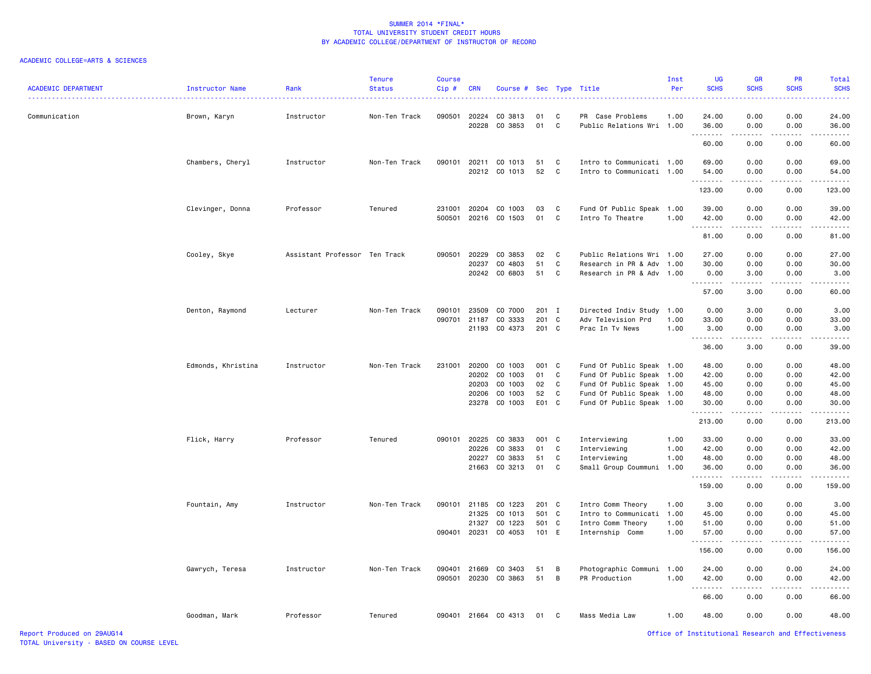| <b>ACADEMIC DEPARTMENT</b> | Instructor Name    | Rank                          | <b>Tenure</b><br><b>Status</b> | <b>Course</b><br>Cip#  | <b>CRN</b>     | Course #                 |               |              | Sec Type Title                                         | Inst<br>Per | UG<br><b>SCHS</b>   | GR<br><b>SCHS</b> | <b>PR</b><br><b>SCHS</b> | Total<br><b>SCHS</b> |
|----------------------------|--------------------|-------------------------------|--------------------------------|------------------------|----------------|--------------------------|---------------|--------------|--------------------------------------------------------|-------------|---------------------|-------------------|--------------------------|----------------------|
| Communication              | Brown, Karyn       | Instructor                    | Non-Ten Track                  | 090501                 | 20224<br>20228 | CO 3813<br>CO 3853       | 01<br>01      | C<br>C       | PR Case Problems<br>Public Relations Wri 1.00          | 1.00        | 24.00<br>36.00      | 0.00<br>0.00      | 0.00<br>0.00             | 24.00<br>36.00       |
|                            |                    |                               |                                |                        |                |                          |               |              |                                                        |             | . <b>.</b><br>60.00 | .<br>0.00         | 0.00                     | .<br>60.00           |
|                            | Chambers, Cheryl   | Instructor                    | Non-Ten Track                  | 090101                 | 20211          | CO 1013                  | 51            | C            | Intro to Communicati 1.00                              |             | 69.00               | 0.00              | 0.00                     | 69.00                |
|                            |                    |                               |                                |                        |                | 20212 CO 1013            | 52            | C            | Intro to Communicati 1.00                              |             | 54.00               | 0.00              | 0.00                     | 54.00                |
|                            |                    |                               |                                |                        |                |                          |               |              |                                                        |             | 123.00              | 0.00              | 0.00                     | 123.00               |
|                            | Clevinger, Donna   | Professor                     | Tenured                        | 231001                 | 20204          | CO 1003                  | 03            | C            | Fund Of Public Speak 1.00                              |             | 39.00               | 0.00              | 0.00                     | 39.00                |
|                            |                    |                               |                                | 500501                 |                | 20216 CO 1503            | 01            | C            | Intro To Theatre                                       | 1.00        | 42.00               | 0.00<br>.         | 0.00<br>22222            | 42.00<br>.           |
|                            |                    |                               |                                |                        |                |                          |               |              |                                                        |             | 81.00               | 0.00              | 0.00                     | 81.00                |
|                            | Cooley, Skye       | Assistant Professor Ten Track |                                | 090501                 | 20229          | CO 3853                  | 02            | C            | Public Relations Wri 1.00                              |             | 27.00               | 0.00              | 0.00                     | 27.00                |
|                            |                    |                               |                                |                        | 20237          | CO 4803<br>20242 CO 6803 | 51<br>51      | C<br>C       | Research in PR & Adv 1.00<br>Research in PR & Adv 1.00 |             | 30.00<br>0.00       | 0.00<br>3.00      | 0.00<br>0.00             | 30.00<br>3.00        |
|                            |                    |                               |                                |                        |                |                          |               |              |                                                        |             | .<br>57.00          | .<br>3.00         | 0.00                     | .<br>60.00           |
|                            |                    |                               | Non-Ten Track                  |                        | 23509          | CO 7000                  | $201 \quad I$ |              |                                                        |             | 0.00                | 3.00              | 0.00                     | 3.00                 |
|                            | Denton, Raymond    | Lecturer                      |                                | 090101<br>090701 21187 |                | CO 3333                  | 201 C         |              | Directed Indiv Study 1.00<br>Adv Television Prd        | 1.00        | 33.00               | 0.00              | 0.00                     | 33.00                |
|                            |                    |                               |                                |                        | 21193          | CO 4373                  | 201 C         |              | Prac In Tv News                                        | 1.00        | 3.00                | 0.00              | 0.00                     | 3.00                 |
|                            |                    |                               |                                |                        |                |                          |               |              |                                                        |             | <b></b><br>36.00    | .<br>3.00         | 22222<br>0.00            | .<br>39.00           |
|                            | Edmonds, Khristina | Instructor                    | Non-Ten Track                  | 231001                 | 20200          | CO 1003                  | 001 C         |              | Fund Of Public Speak 1.00                              |             | 48.00               | 0.00              | 0.00                     | 48.00                |
|                            |                    |                               |                                |                        | 20202          | CO 1003                  | 01            | C            | Fund Of Public Speak 1.00                              |             | 42.00               | 0.00              | 0.00                     | 42.00                |
|                            |                    |                               |                                |                        | 20203          | CO 1003                  | 02            | C            | Fund Of Public Speak 1.00                              |             | 45.00               | 0.00              | 0.00                     | 45.00                |
|                            |                    |                               |                                |                        | 20206          | CO 1003                  | 52            | C            | Fund Of Public Speak 1.00                              |             | 48.00               | 0.00              | 0.00                     | 48.00                |
|                            |                    |                               |                                |                        |                | 23278 CO 1003            | E01 C         |              | Fund Of Public Speak 1.00                              |             | 30.00<br>.          | 0.00<br>.         | 0.00<br>.                | 30.00<br>.           |
|                            |                    |                               |                                |                        |                |                          |               |              |                                                        |             | 213.00              | 0.00              | 0.00                     | 213.00               |
|                            | Flick, Harry       | Professor                     | Tenured                        | 090101                 | 20225          | CO 3833                  | 001 C         |              | Interviewing                                           | 1.00        | 33.00               | 0.00              | 0.00                     | 33.00                |
|                            |                    |                               |                                |                        | 20226          | CO 3833                  | 01            | C            | Interviewing                                           | 1.00        | 42.00               | 0.00              | 0.00                     | 42.00                |
|                            |                    |                               |                                |                        | 20227<br>21663 | CO 3833<br>CO 3213       | 51<br>01      | C<br>C       | Interviewing                                           | 1.00        | 48.00               | 0.00<br>0.00      | 0.00<br>0.00             | 48.00                |
|                            |                    |                               |                                |                        |                |                          |               |              | Small Group Coummuni 1.00                              |             | 36.00<br><u>.</u>   | .                 | .                        | 36.00<br>.           |
|                            |                    |                               |                                |                        |                |                          |               |              |                                                        |             | 159.00              | 0.00              | 0.00                     | 159.00               |
|                            | Fountain, Amy      | Instructor                    | Non-Ten Track                  | 090101 21185           |                | CO 1223                  | 201 C         |              | Intro Comm Theory                                      | 1.00        | 3.00                | 0.00              | 0.00                     | 3.00                 |
|                            |                    |                               |                                |                        | 21325          | CO 1013                  | 501           | $\mathbf{C}$ | Intro to Communicati 1.00                              |             | 45.00               | 0.00              | 0.00                     | 45.00                |
|                            |                    |                               |                                |                        | 21327          | CO 1223                  | 501 C         |              | Intro Comm Theory                                      | 1.00        | 51.00               | 0.00              | 0.00                     | 51.00                |
|                            |                    |                               |                                |                        |                | 090401 20231 CO 4053     | 101 E         |              | Internship Comm                                        | 1.00        | 57.00<br>.          | 0.00<br>.         | 0.00<br>.                | 57.00<br>.           |
|                            |                    |                               |                                |                        |                |                          |               |              |                                                        |             | 156.00              | 0.00              | 0.00                     | 156.00               |
|                            | Gawrych, Teresa    | Instructor                    | Non-Ten Track                  | 090401                 | 21669          | CO 3403                  | 51            | В            | Photographic Communi 1.00                              |             | 24.00               | 0.00              | 0.00                     | 24.00                |
|                            |                    |                               |                                | 090501                 |                | 20230 CO 3863            | 51            | В            | PR Production                                          | 1.00        | 42.00<br>. <b>.</b> | 0.00<br>.         | 0.00<br><u>.</u>         | 42.00<br>.           |
|                            |                    |                               |                                |                        |                |                          |               |              |                                                        |             | 66.00               | 0.00              | 0.00                     | 66.00                |
|                            | Goodman, Mark      | Professor                     | Tenured                        |                        |                | 090401 21664 CO 4313     | 01            | C            | Mass Media Law                                         | 1.00        | 48.00               | 0.00              | 0.00                     | 48.00                |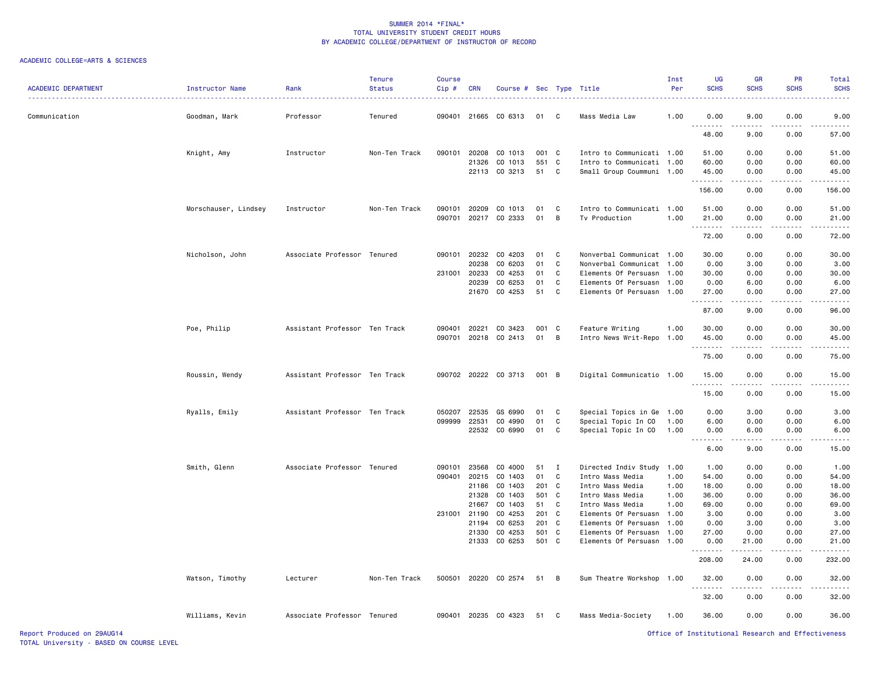| <b>ACADEMIC DEPARTMENT</b> | Instructor Name      | Rank                          | <b>Tenure</b><br><b>Status</b> | <b>Course</b><br>Cip# | <b>CRN</b> | Course # Sec Type Title |       |              |                           | Inst<br>Per | UG<br><b>SCHS</b>                 | <b>GR</b><br><b>SCHS</b> | <b>PR</b><br><b>SCHS</b> | Total<br><b>SCHS</b>     |
|----------------------------|----------------------|-------------------------------|--------------------------------|-----------------------|------------|-------------------------|-------|--------------|---------------------------|-------------|-----------------------------------|--------------------------|--------------------------|--------------------------|
| Communication              | Goodman, Mark        | Professor                     | Tenured                        | 090401                |            | 21665 CO 6313           | 01    | C            | Mass Media Law            | 1.00        | 0.00                              | 9.00                     | 0.00                     | 9.00                     |
|                            |                      |                               |                                |                       |            |                         |       |              |                           |             | 48.00                             | 9.00                     | 0.00                     | 57.00                    |
|                            | Knight, Amy          | Instructor                    | Non-Ten Track                  | 090101                | 20208      | CO 1013                 | 001   | $\mathbf{C}$ | Intro to Communicati 1.00 |             | 51.00                             | 0.00                     | 0.00                     | 51.00                    |
|                            |                      |                               |                                |                       | 21326      | CO 1013                 | 551   | C            | Intro to Communicati 1.00 |             | 60.00                             | 0.00                     | 0.00                     | 60.00                    |
|                            |                      |                               |                                |                       |            | 22113 CO 3213           | 51    | C            | Small Group Coummuni 1.00 |             | 45.00<br>.                        | 0.00<br>.                | 0.00<br>-----            | 45.00<br>$- - - - - - -$ |
|                            |                      |                               |                                |                       |            |                         |       |              |                           |             | 156.00                            | 0.00                     | 0.00                     | 156.00                   |
|                            | Morschauser, Lindsey | Instructor                    | Non-Ten Track                  | 090101                | 20209      | CO 1013                 | 01    | C            | Intro to Communicati 1.00 |             | 51.00                             | 0.00                     | 0.00                     | 51.00                    |
|                            |                      |                               |                                | 090701                | 20217      | CO 2333                 | 01    | В            | Tv Production             | 1.00        | 21.00                             | 0.00                     | 0.00                     | 21.00                    |
|                            |                      |                               |                                |                       |            |                         |       |              |                           |             | .<br>72.00                        | المستمد<br>0.00          | .<br>0.00                | .<br>72.00               |
|                            | Nicholson, John      | Associate Professor Tenured   |                                | 090101                | 20232      | CO 4203                 | 01    | C            | Nonverbal Communicat 1.00 |             | 30.00                             | 0.00                     | 0.00                     | 30.00                    |
|                            |                      |                               |                                |                       | 20238      | CO 6203                 | 01    | C            | Nonverbal Communicat 1.00 |             | 0.00                              | 3.00                     | 0.00                     | 3.00                     |
|                            |                      |                               |                                | 231001                | 20233      | CO 4253                 | 01    | C            | Elements Of Persuasn      | 1.00        | 30.00                             | 0.00                     | 0.00                     | 30.00                    |
|                            |                      |                               |                                |                       | 20239      | CO 6253                 | 01    | C            | Elements Of Persuasn      | 1.00        | 0.00                              | 6.00                     | 0.00                     | 6.00                     |
|                            |                      |                               |                                |                       | 21670      | CO 4253                 | 51    | C            | Elements Of Persuasn      | 1.00        | 27.00                             | 0.00                     | 0.00                     | 27.00                    |
|                            |                      |                               |                                |                       |            |                         |       |              |                           |             | .<br>87.00                        | 9.00                     | 0.00                     | 96.00                    |
|                            | Poe, Philip          | Assistant Professor Ten Track |                                | 090401                | 20221      | CO 3423                 | 001   | $\mathbf{C}$ | Feature Writing           | 1.00        | 30.00                             | 0.00                     | 0.00                     | 30.00                    |
|                            |                      |                               |                                | 090701                |            | 20218 CO 2413           | 01    | В            | Intro News Writ-Repo      | 1.00        | 45.00                             | 0.00                     | 0.00                     | 45.00                    |
|                            |                      |                               |                                |                       |            |                         |       |              |                           |             | .<br>75.00                        | -----<br>0.00            | 0.00                     | .<br>75.00               |
|                            | Roussin, Wendy       | Assistant Professor Ten Track |                                |                       |            | 090702 20222 CO 3713    | 001 B |              | Digital Communicatio 1.00 |             | 15.00                             | 0.00                     | 0.00                     | 15.00                    |
|                            |                      |                               |                                |                       |            |                         |       |              |                           |             | .<br>15.00                        | .<br>0.00                | .<br>0.00                | 15.00                    |
|                            | Ryalls, Emily        | Assistant Professor Ten Track |                                | 050207                | 22535      | GS 6990                 | 01    | C            | Special Topics in Ge 1.00 |             | 0.00                              | 3.00                     | 0.00                     | 3.00                     |
|                            |                      |                               |                                | 099999                | 22531      | CO 4990                 | 01    | C            | Special Topic In CO       | 1.00        | 6.00                              | 0.00                     | 0.00                     | 6.00                     |
|                            |                      |                               |                                |                       | 22532      | CO 6990                 | 01    | C            | Special Topic In CO       | 1.00        | 0.00                              | 6.00                     | 0.00                     | 6.00                     |
|                            |                      |                               |                                |                       |            |                         |       |              |                           |             | .<br>$\sim$ $\sim$ $\sim$<br>6.00 | .<br>9.00                | .<br>0.00                | .<br>15.00               |
|                            | Smith, Glenn         | Associate Professor Tenured   |                                | 090101                | 23568      | CO 4000                 | 51    | I            | Directed Indiv Study      | 1.00        | 1.00                              | 0.00                     | 0.00                     | 1.00                     |
|                            |                      |                               |                                | 090401                | 20215      | CO 1403                 | 01    | C            | Intro Mass Media          | 1.00        | 54.00                             | 0.00                     | 0.00                     | 54.00                    |
|                            |                      |                               |                                |                       | 21186      | CO 1403                 | 201   | C.           | Intro Mass Media          | 1.00        | 18.00                             | 0.00                     | 0.00                     | 18.00                    |
|                            |                      |                               |                                |                       | 21328      | CO 1403                 | 501   | $\mathbf{C}$ | Intro Mass Media          | 1.00        | 36.00                             | 0.00                     | 0.00                     | 36.00                    |
|                            |                      |                               |                                |                       | 21667      | CO 1403                 | 51    | C            | Intro Mass Media          | 1.00        | 69.00                             | 0.00                     | 0.00                     | 69.00                    |
|                            |                      |                               |                                | 231001                | 21190      | CO 4253                 | 201 C |              | Elements Of Persuasn      | 1.00        | 3.00                              | 0.00                     | 0.00                     | 3.00                     |
|                            |                      |                               |                                |                       | 21194      | CO 6253                 | 201 C |              | Elements Of Persuasn      | 1.00        | 0.00                              | 3.00                     | 0.00                     | 3.00                     |
|                            |                      |                               |                                |                       | 21330      | CO 4253                 | 501   | $\mathbf{C}$ | Elements Of Persuasn      | 1.00        | 27.00                             | 0.00                     | 0.00                     | 27.00                    |
|                            |                      |                               |                                |                       | 21333      | CO 6253                 | 501 C |              | Elements Of Persuasn      | 1.00        | 0.00<br>.                         | 21.00                    | 0.00                     | 21.00                    |
|                            |                      |                               |                                |                       |            |                         |       |              |                           |             | 208.00                            | 24.00                    | 0.00                     | 232.00                   |
|                            | Watson, Timothy      | Lecturer                      | Non-Ten Track                  | 500501                |            | 20220 CO 2574           | 51    | В            | Sum Theatre Workshop      | 1.00        | 32.00                             | 0.00                     | 0.00                     | 32.00                    |
|                            |                      |                               |                                |                       |            |                         |       |              |                           |             | <u>.</u><br>32.00                 | 0.00                     | 0.00                     | 32.00                    |
|                            | Williams, Kevin      | Associate Professor Tenured   |                                | 090401                |            | 20235 CO 4323           | 51    | C            | Mass Media-Society        | 1.00        | 36.00                             | 0.00                     | 0.00                     | 36.00                    |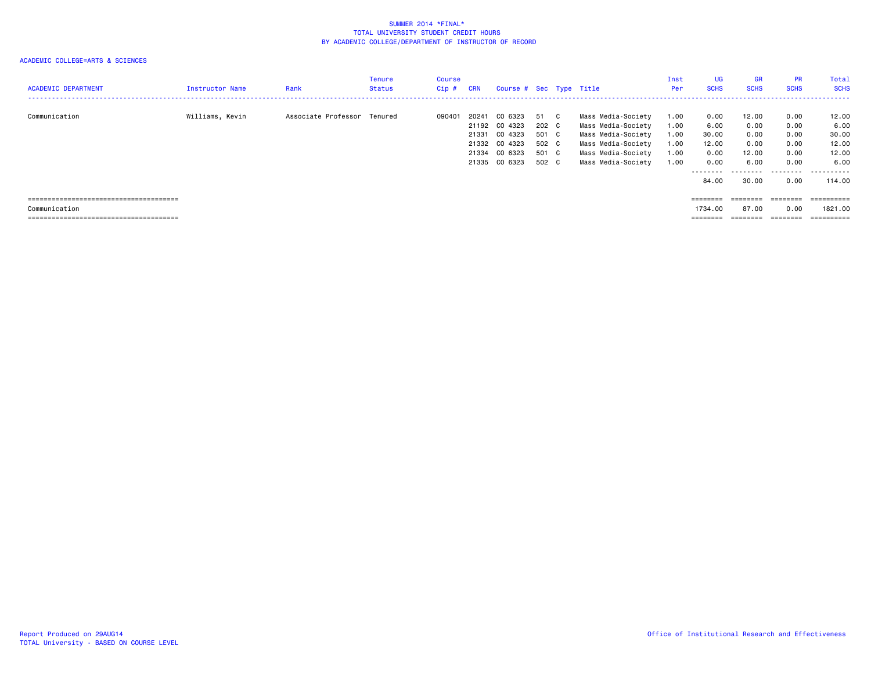| <b>ACADEMIC DEPARTMENT</b> | Instructor Name | Rank                        | Tenure<br><b>Status</b> | Course<br>Cip# | <b>CRN</b>                       | Course # Sec Type Title                                                    |                                                 |     |                                                                                                                                  | Inst<br>Per                                  | UG<br><b>SCHS</b>                                                                                | <b>GR</b><br><b>SCHS</b>                       | <b>PR</b><br><b>SCHS</b>                     | Total<br><b>SCHS</b>                             |
|----------------------------|-----------------|-----------------------------|-------------------------|----------------|----------------------------------|----------------------------------------------------------------------------|-------------------------------------------------|-----|----------------------------------------------------------------------------------------------------------------------------------|----------------------------------------------|--------------------------------------------------------------------------------------------------|------------------------------------------------|----------------------------------------------|--------------------------------------------------|
| Communication              | Williams, Kevin | Associate Professor Tenured |                         | 090401         | 20241<br>21331<br>21332<br>21335 | CO 6323<br>21192 CO 4323<br>CO 4323<br>CO 4323<br>21334 CO 6323<br>CO 6323 | 51<br>202 C<br>501 C<br>502 C<br>501 C<br>502 C | - C | Mass Media-Society<br>Mass Media-Society<br>Mass Media-Society<br>Mass Media-Society<br>Mass Media-Society<br>Mass Media-Society | 1.00<br>1.00<br>1.00<br>1.00<br>1.00<br>1.00 | 0.00<br>6.00<br>30.00<br>12.00<br>0.00<br>0.00                                                   | 12.00<br>0.00<br>0.00<br>0.00<br>12.00<br>6.00 | 0.00<br>0.00<br>0.00<br>0.00<br>0.00<br>0.00 | 12.00<br>6.00<br>30.00<br>12.00<br>12.00<br>6.00 |
| Communication              |                 |                             |                         |                |                                  |                                                                            |                                                 |     |                                                                                                                                  |                                              | .<br>84.00<br>$\qquad \qquad \equiv \equiv \equiv \equiv \equiv \equiv \equiv \equiv$<br>1734.00 | .<br>30.00<br>$=$ = = = = = = =<br>87.00       | .<br>0.00<br>$=$ = = = = = = =<br>0.00       | .<br>114,00<br>==========<br>1821.00             |
|                            |                 |                             |                         |                |                                  |                                                                            |                                                 |     |                                                                                                                                  |                                              | ________<br>--------                                                                             | ________                                       | ========                                     | ==========<br>--------                           |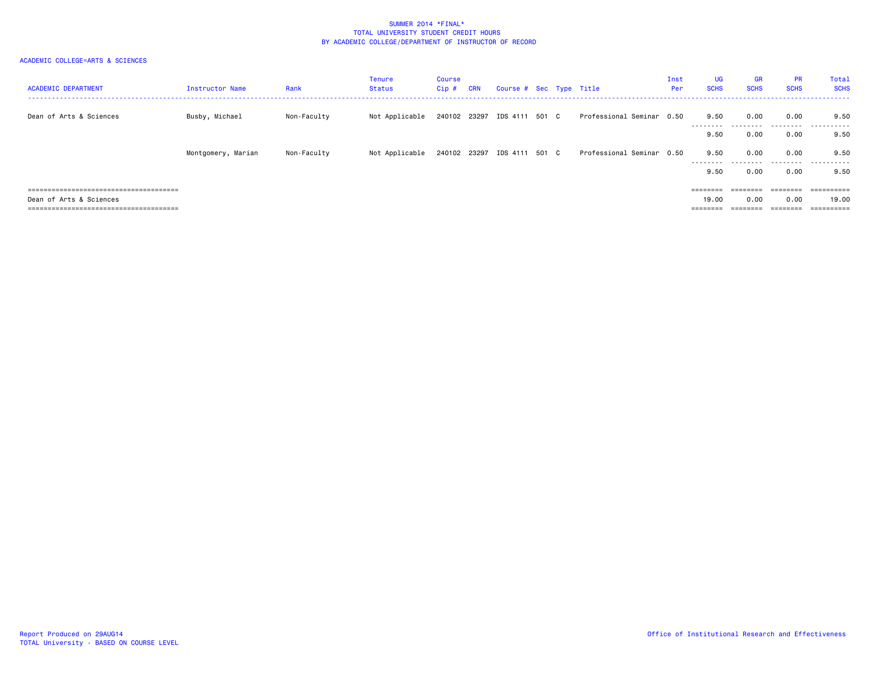| <b>ACADEMIC DEPARTMENT</b> | Instructor Name    | Rank        | Tenure<br>Status | Course<br>Cip # | <b>CRN</b> | Course # Sec Type Title     |  |                           | Inst<br>Per | <b>UG</b><br><b>SCHS</b> | <b>GR</b><br><b>SCHS</b> | <b>PR</b><br><b>SCHS</b> | Total<br><b>SCHS</b> |
|----------------------------|--------------------|-------------|------------------|-----------------|------------|-----------------------------|--|---------------------------|-------------|--------------------------|--------------------------|--------------------------|----------------------|
| Dean of Arts & Sciences    | Busby, Michael     | Non-Faculty | Not Applicable   |                 |            | 240102 23297 IDS 4111 501 C |  | Professional Seminar 0.50 |             | 9.50                     | 0.00                     | 0.00                     | 9.50                 |
|                            |                    |             |                  |                 |            |                             |  |                           |             | 9.50                     | 0.00                     | 0.00                     | 9.50                 |
|                            | Montgomery, Marian | Non-Faculty | Not Applicable   |                 |            | 240102 23297 IDS 4111 501 C |  | Professional Seminar 0.50 |             | 9.50<br>--------         | 0.00                     | 0.00<br>.                | 9.50<br>-------      |
|                            |                    |             |                  |                 |            |                             |  |                           |             | 9.50                     | 0.00                     | 0.00                     | 9.50                 |
|                            |                    |             |                  |                 |            |                             |  |                           |             | $=$ = = = = = = =        | ========                 | ========                 | =======              |
| Dean of Arts & Sciences    |                    |             |                  |                 |            |                             |  |                           |             | 19,00                    | 0.00                     | 0.00                     | 19.00                |
|                            |                    |             |                  |                 |            |                             |  |                           |             | ========                 |                          | ========                 | ==========           |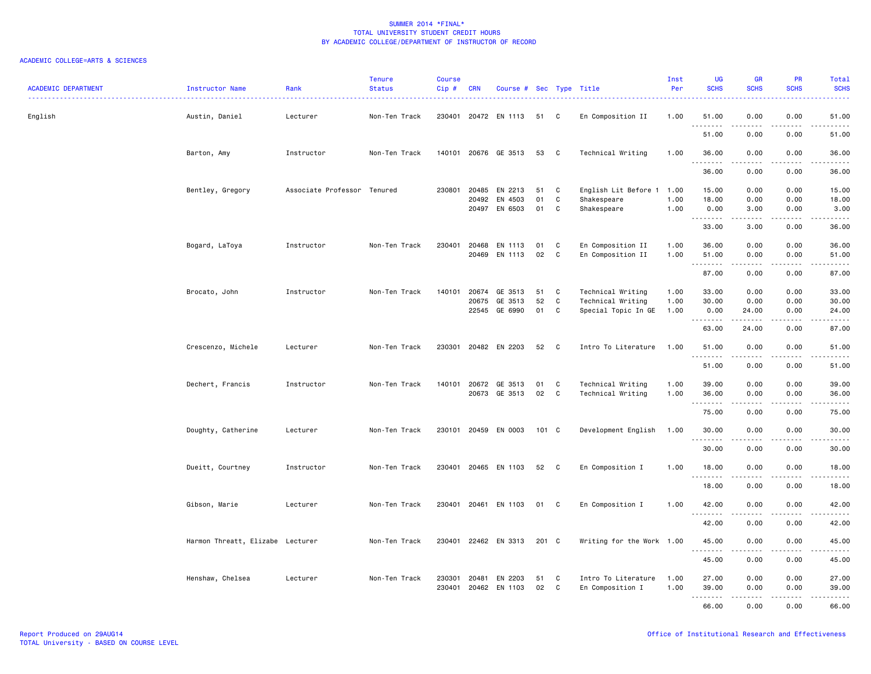| <b>ACADEMIC DEPARTMENT</b> | Instructor Name                  | Rank<br>. <u>.</u> .        | <b>Tenure</b><br><b>Status</b> | <b>Course</b><br>Cip# | <b>CRN</b>     | Course # Sec Type Title             |                |              | .                                                             | Inst<br>Per          | <b>UG</b><br><b>SCHS</b>          | <b>GR</b><br><b>SCHS</b>                                                                                                          | <b>PR</b><br><b>SCHS</b> | Total<br><b>SCHS</b>                                                                                                                                          |
|----------------------------|----------------------------------|-----------------------------|--------------------------------|-----------------------|----------------|-------------------------------------|----------------|--------------|---------------------------------------------------------------|----------------------|-----------------------------------|-----------------------------------------------------------------------------------------------------------------------------------|--------------------------|---------------------------------------------------------------------------------------------------------------------------------------------------------------|
| English                    | Austin, Daniel                   | Lecturer                    | Non-Ten Track                  | 230401                |                | 20472 EN 1113                       | 51             | C            | En Composition II                                             | 1.00                 | 51.00<br>.                        | 0.00                                                                                                                              | 0.00                     | 51.00                                                                                                                                                         |
|                            |                                  |                             |                                |                       |                |                                     |                |              |                                                               |                      | 51.00                             | 0.00                                                                                                                              | 0.00                     | 51.00                                                                                                                                                         |
|                            | Barton, Amy                      | Instructor                  | Non-Ten Track                  | 140101                |                | 20676 GE 3513                       | 53             | C            | Technical Writing                                             | 1.00                 | 36.00<br>.                        | 0.00<br>.                                                                                                                         | 0.00<br>.                | 36.00                                                                                                                                                         |
|                            |                                  |                             |                                |                       |                |                                     |                |              |                                                               |                      | 36.00                             | 0.00                                                                                                                              | 0.00                     | 36.00                                                                                                                                                         |
|                            | Bentley, Gregory                 | Associate Professor Tenured |                                | 230801                | 20485<br>20492 | EN 2213<br>EN 4503<br>20497 EN 6503 | 51<br>01<br>01 | C<br>C<br>C  | English Lit Before 1 1.00<br>Shakespeare<br>Shakespeare       | 1.00<br>1.00         | 15.00<br>18.00<br>0.00<br><b></b> | 0.00<br>0.00<br>3.00<br>.                                                                                                         | 0.00<br>0.00<br>0.00     | 15.00<br>18.00<br>3.00                                                                                                                                        |
|                            |                                  |                             |                                |                       |                |                                     |                |              |                                                               |                      | 33.00                             | 3.00                                                                                                                              | 0.00                     | 36.00                                                                                                                                                         |
|                            | Bogard, LaToya                   | Instructor                  | Non-Ten Track                  | 230401                | 20468          | EN 1113<br>20469 EN 1113            | 01<br>02       | C<br>C       | En Composition II<br>En Composition II                        | 1.00<br>1.00         | 36.00<br>51.00                    | 0.00<br>0.00<br>المستمات                                                                                                          | 0.00<br>0.00<br>.        | 36.00<br>51.00                                                                                                                                                |
|                            |                                  |                             |                                |                       |                |                                     |                |              |                                                               |                      | ---------<br>87.00                | 0.00                                                                                                                              | 0.00                     | 87.00                                                                                                                                                         |
|                            | Brocato, John                    | Instructor                  | Non-Ten Track                  | 140101                | 20674<br>20675 | GE 3513<br>GE 3513<br>22545 GE 6990 | 51<br>52<br>01 | C<br>C<br>C  | Technical Writing<br>Technical Writing<br>Special Topic In GE | 1.00<br>1.00<br>1.00 | 33.00<br>30.00<br>0.00            | 0.00<br>0.00<br>24.00                                                                                                             | 0.00<br>0.00<br>0.00     | 33.00<br>30.00<br>24.00                                                                                                                                       |
|                            |                                  |                             |                                |                       |                |                                     |                |              |                                                               |                      | 63.00                             | .<br>24.00                                                                                                                        | 0.00                     | $\frac{1}{2} \left( \frac{1}{2} \right) \left( \frac{1}{2} \right) \left( \frac{1}{2} \right) \left( \frac{1}{2} \right) \left( \frac{1}{2} \right)$<br>87.00 |
|                            | Crescenzo, Michele               | Lecturer                    | Non-Ten Track                  | 230301                |                | 20482 EN 2203                       | 52             | C            | Intro To Literature                                           | 1.00                 | 51.00                             | 0.00<br>$\sim$ $\sim$ $\sim$ $\sim$                                                                                               | 0.00<br>.                | 51.00                                                                                                                                                         |
|                            |                                  |                             |                                |                       |                |                                     |                |              |                                                               |                      | 51.00                             | 0.00                                                                                                                              | 0.00                     | 51.00                                                                                                                                                         |
|                            | Dechert, Francis                 | Instructor                  | Non-Ten Track                  | 140101                |                | 20672 GE 3513<br>20673 GE 3513      | 01<br>02       | C<br>C       | Technical Writing<br>Technical Writing                        | 1.00<br>1.00         | 39.00<br>36.00<br>.               | 0.00<br>0.00<br>$\sim$ $\sim$ $\sim$ $\sim$                                                                                       | 0.00<br>0.00<br>.        | 39.00<br>36.00<br>.                                                                                                                                           |
|                            |                                  |                             |                                |                       |                |                                     |                |              |                                                               |                      | 75.00                             | 0.00                                                                                                                              | 0.00                     | 75.00                                                                                                                                                         |
|                            | Doughty, Catherine               | Lecturer                    | Non-Ten Track                  | 230101                |                | 20459 EN 0003                       | 101 C          |              | Development English                                           | 1.00                 | 30.00                             | 0.00                                                                                                                              | 0.00                     | 30.00                                                                                                                                                         |
|                            |                                  |                             |                                |                       |                |                                     |                |              |                                                               |                      | 30.00                             | 0.00                                                                                                                              | 0.00                     | 30.00                                                                                                                                                         |
|                            | Dueitt, Courtney                 | Instructor                  | Non-Ten Track                  | 230401                |                | 20465 EN 1103                       | 52             | $\mathbf{C}$ | En Composition I                                              | 1.00                 | 18.00<br>.                        | 0.00                                                                                                                              | 0.00                     | 18.00                                                                                                                                                         |
|                            |                                  |                             |                                |                       |                |                                     |                |              |                                                               |                      | 18.00                             | 0.00                                                                                                                              | 0.00                     | 18.00                                                                                                                                                         |
|                            | Gibson, Marie                    | Lecturer                    | Non-Ten Track                  | 230401                |                | 20461 EN 1103                       | 01             | C            | En Composition I                                              | 1.00                 | 42.00                             | 0.00<br>.                                                                                                                         | 0.00<br>.                | 42.00                                                                                                                                                         |
|                            |                                  |                             |                                |                       |                |                                     |                |              |                                                               |                      | 42.00                             | 0.00                                                                                                                              | 0.00                     | 42.00                                                                                                                                                         |
|                            | Harmon Threatt, Elizabe Lecturer |                             | Non-Ten Track                  | 230401                |                | 22462 EN 3313                       | 201 C          |              | Writing for the Work 1.00                                     |                      | 45.00                             | 0.00<br>$\frac{1}{2} \left( \frac{1}{2} \right) \left( \frac{1}{2} \right) \left( \frac{1}{2} \right) \left( \frac{1}{2} \right)$ | 0.00<br>.                | 45.00                                                                                                                                                         |
|                            |                                  |                             |                                |                       |                |                                     |                |              |                                                               |                      | 45.00                             | 0.00                                                                                                                              | 0.00                     | 45.00                                                                                                                                                         |
|                            | Henshaw, Chelsea                 | Lecturer                    | Non-Ten Track                  | 230301<br>230401      | 20481          | EN 2203<br>20462 EN 1103            | 51<br>02       | C<br>C       | Intro To Literature<br>En Composition I                       | 1.00<br>1.00         | 27.00<br>39.00<br><u>.</u>        | 0.00<br>0.00                                                                                                                      | 0.00<br>0.00             | 27.00<br>39.00                                                                                                                                                |
|                            |                                  |                             |                                |                       |                |                                     |                |              |                                                               |                      | 66.00                             | 0.00                                                                                                                              | 0.00                     | 66.00                                                                                                                                                         |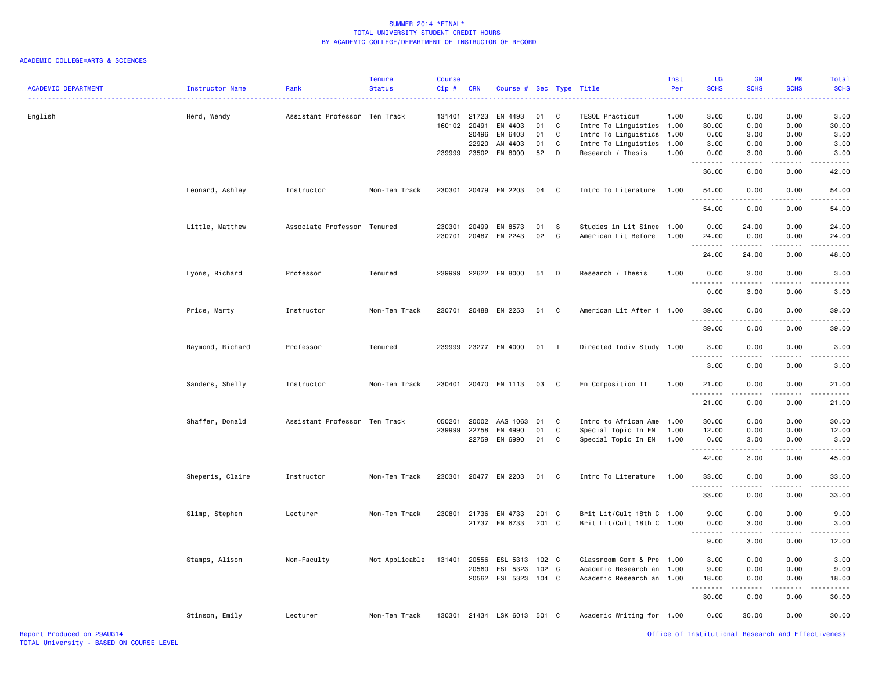| <b>ACADEMIC DEPARTMENT</b> | Instructor Name  | Rank                          | <b>Tenure</b><br><b>Status</b> | <b>Course</b><br>Cip# | <b>CRN</b> | Course # Sec Type Title     |       |              |                           | Inst<br>Per | UG<br><b>SCHS</b>                                                                                                                                                            | <b>GR</b><br><b>SCHS</b> | <b>PR</b><br><b>SCHS</b> | Total<br><b>SCHS</b> |
|----------------------------|------------------|-------------------------------|--------------------------------|-----------------------|------------|-----------------------------|-------|--------------|---------------------------|-------------|------------------------------------------------------------------------------------------------------------------------------------------------------------------------------|--------------------------|--------------------------|----------------------|
| English                    | Herd, Wendy      | Assistant Professor Ten Track |                                | 131401                | 21723      | EN 4493                     | 01    | C            | TESOL Practicum           | 1.00        | 3.00                                                                                                                                                                         | 0.00                     | 0.00                     | 3.00                 |
|                            |                  |                               |                                | 160102                | 20491      | EN 4403                     | 01    | C            | Intro To Linguistics 1.00 |             | 30.00                                                                                                                                                                        | 0.00                     | 0.00                     | 30.00                |
|                            |                  |                               |                                |                       | 20496      | EN 6403                     | 01    | C            | Intro To Linguistics 1.00 |             | 0.00                                                                                                                                                                         | 3.00                     | 0.00                     | 3.00                 |
|                            |                  |                               |                                |                       | 22920      | AN 4403                     | 01    | C            | Intro To Linguistics 1.00 |             | 3.00                                                                                                                                                                         | 0.00                     | 0.00                     | 3.00                 |
|                            |                  |                               |                                | 239999                | 23502      | EN 8000                     | 52    | D            | Research / Thesis         | 1.00        | 0.00<br>$\frac{1}{2} \left( \frac{1}{2} \right) \left( \frac{1}{2} \right) \left( \frac{1}{2} \right) \left( \frac{1}{2} \right) \left( \frac{1}{2} \right)$                 | 3.00<br>.                | 0.00                     | 3.00                 |
|                            |                  |                               |                                |                       |            |                             |       |              |                           |             | 36.00                                                                                                                                                                        | 6.00                     | 0.00                     | 42.00                |
|                            | Leonard, Ashley  | Instructor                    | Non-Ten Track                  | 230301                |            | 20479 EN 2203               | 04    | C            | Intro To Literature       | 1.00        | 54.00                                                                                                                                                                        | 0.00                     | 0.00                     | 54.00                |
|                            |                  |                               |                                |                       |            |                             |       |              |                           |             | 54.00                                                                                                                                                                        | 0.00                     | 0.00                     | 54.00                |
|                            | Little, Matthew  | Associate Professor Tenured   |                                | 230301                | 20499      | EN 8573                     | 01    | s            | Studies in Lit Since      | 1.00        | 0.00                                                                                                                                                                         | 24.00                    | 0.00                     | 24.00                |
|                            |                  |                               |                                | 230701                |            | 20487 EN 2243               | 02    | C            | American Lit Before       | 1.00        | 24.00                                                                                                                                                                        | 0.00                     | 0.00                     | 24.00                |
|                            |                  |                               |                                |                       |            |                             |       |              |                           |             |                                                                                                                                                                              |                          |                          |                      |
|                            |                  |                               |                                |                       |            |                             |       |              |                           |             | 24.00                                                                                                                                                                        | 24.00                    | 0.00                     | 48.00                |
|                            | Lyons, Richard   | Professor                     | Tenured                        | 239999                |            | 22622 EN 8000               | 51    | D            | Research / Thesis         | 1.00        | 0.00                                                                                                                                                                         | 3.00                     | 0.00                     | 3.00                 |
|                            |                  |                               |                                |                       |            |                             |       |              |                           |             | 0.00                                                                                                                                                                         | 3.00                     | 0.00                     | 3.00                 |
|                            | Price, Marty     | Instructor                    | Non-Ten Track                  | 230701                |            | 20488 EN 2253               | 51    | C            | American Lit After 1      | 1.00        | 39.00<br>.                                                                                                                                                                   | 0.00                     | 0.00                     | 39.00                |
|                            |                  |                               |                                |                       |            |                             |       |              |                           |             | 39.00                                                                                                                                                                        | 0.00                     | 0.00                     | 39.00                |
|                            | Raymond, Richard | Professor                     | Tenured                        | 239999                |            | 23277 EN 4000               | 01    | $\mathbf{I}$ | Directed Indiv Study 1.00 |             | 3.00                                                                                                                                                                         | 0.00                     | 0.00                     | 3.00                 |
|                            |                  |                               |                                |                       |            |                             |       |              |                           |             | 3.00                                                                                                                                                                         | 0.00                     | 0.00                     | 3.00                 |
|                            | Sanders, Shelly  | Instructor                    | Non-Ten Track                  | 230401                |            | 20470 EN 1113               | 03    | <b>C</b>     | En Composition II         | 1.00        | 21.00                                                                                                                                                                        | 0.00                     | 0.00                     | 21.00                |
|                            |                  |                               |                                |                       |            |                             |       |              |                           |             | 21.00                                                                                                                                                                        | 0.00                     | 0.00                     | 21.00                |
|                            | Shaffer, Donald  | Assistant Professor Ten Track |                                | 050201                | 20002      | AAS 1063                    | 01    | C            | Intro to African Ame 1.00 |             | 30.00                                                                                                                                                                        | 0.00                     | 0.00                     | 30.00                |
|                            |                  |                               |                                | 239999                | 22758      | EN 4990                     | 01    | C            | Special Topic In EN       | 1.00        | 12.00                                                                                                                                                                        | 0.00                     | 0.00                     | 12.00                |
|                            |                  |                               |                                |                       | 22759      | EN 6990                     | 01    | C            | Special Topic In EN       | 1.00        | 0.00<br>.                                                                                                                                                                    | 3.00<br>.                | 0.00<br>-----            | 3.00<br>.            |
|                            |                  |                               |                                |                       |            |                             |       |              |                           |             | 42.00                                                                                                                                                                        | 3.00                     | 0.00                     | 45.00                |
|                            | Sheperis, Claire | Instructor                    | Non-Ten Track                  | 230301                |            | 20477 EN 2203               | 01 C  |              | Intro To Literature       | 1.00        | 33.00<br>.                                                                                                                                                                   | 0.00<br>.                | 0.00<br>$- - - -$        | 33.00<br>.           |
|                            |                  |                               |                                |                       |            |                             |       |              |                           |             | 33.00                                                                                                                                                                        | 0.00                     | 0.00                     | 33.00                |
|                            | Slimp, Stephen   | Lecturer                      | Non-Ten Track                  | 230801                |            | 21736 EN 4733               | 201 C |              | Brit Lit/Cult 18th C 1.00 |             | 9.00                                                                                                                                                                         | 0.00                     | 0.00                     | 9.00                 |
|                            |                  |                               |                                |                       |            | 21737 EN 6733               | 201 C |              | Brit Lit/Cult 18th C 1.00 |             | 0.00                                                                                                                                                                         | 3.00                     | 0.00                     | 3.00                 |
|                            |                  |                               |                                |                       |            |                             |       |              |                           |             | $\sim$ $\sim$ $\sim$<br>$\frac{1}{2} \left( \frac{1}{2} \right) \left( \frac{1}{2} \right) \left( \frac{1}{2} \right) \left( \frac{1}{2} \right) \left( \frac{1}{2} \right)$ | .                        |                          |                      |
|                            |                  |                               |                                |                       |            |                             |       |              |                           |             | 9.00                                                                                                                                                                         | 3.00                     | 0.00                     | 12.00                |
|                            | Stamps, Alison   | Non-Faculty                   | Not Applicable                 | 131401                | 20556      | ESL 5313                    | 102 C |              | Classroom Comm & Pre      | 1.00        | 3.00                                                                                                                                                                         | 0.00                     | 0.00                     | 3.00                 |
|                            |                  |                               |                                |                       |            | 20560 ESL 5323              | 102 C |              | Academic Research an 1.00 |             | 9.00                                                                                                                                                                         | 0.00                     | 0.00                     | 9.00                 |
|                            |                  |                               |                                |                       |            | 20562 ESL 5323 104 C        |       |              | Academic Research an 1.00 |             | 18.00                                                                                                                                                                        | 0.00<br>.                | 0.00                     | 18.00                |
|                            |                  |                               |                                |                       |            |                             |       |              |                           |             | 30.00                                                                                                                                                                        | 0.00                     | 0.00                     | 30.00                |
|                            | Stinson, Emily   | Lecturer                      | Non-Ten Track                  |                       |            | 130301 21434 LSK 6013 501 C |       |              | Academic Writing for 1.00 |             | 0.00                                                                                                                                                                         | 30.00                    | 0.00                     | 30.00                |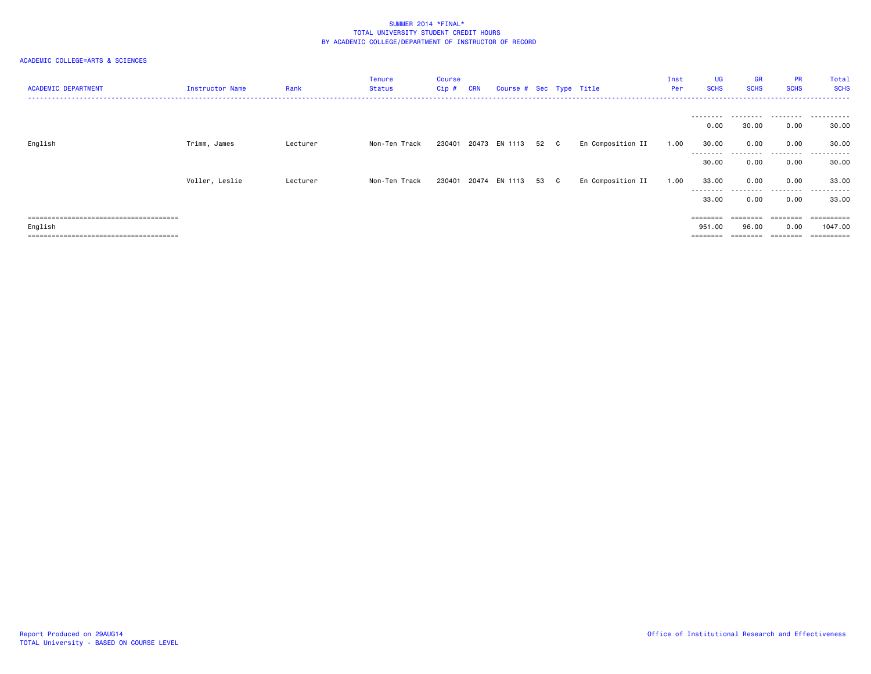| <b>ACADEMIC DEPARTMENT</b> | Instructor Name | Rank     | Tenure<br><b>Status</b> | Course<br>$Cip$ # | <b>CRN</b> | Course # Sec Type Title |      |                   | Inst<br>Per | UG<br><b>SCHS</b>  | <b>GR</b><br><b>SCHS</b> | <b>PR</b><br><b>SCHS</b> | Total<br><b>SCHS</b> |
|----------------------------|-----------------|----------|-------------------------|-------------------|------------|-------------------------|------|-------------------|-------------|--------------------|--------------------------|--------------------------|----------------------|
|                            |                 |          |                         |                   |            |                         |      |                   |             | ---------          | .                        |                          | .                    |
|                            |                 |          |                         |                   |            |                         |      |                   |             | 0.00               | 30.00                    | 0.00                     | 30.00                |
| English                    | Trimm, James    | Lecturer | Non-Ten Track           | 230401            |            | 20473 EN 1113           | 52 C | En Composition II | 1.00        | 30.00              | 0.00                     | 0.00                     | 30.00                |
|                            |                 |          |                         |                   |            |                         |      |                   |             | --------<br>30.00  | .<br>0.00                | .<br>0.00                | .<br>30.00           |
|                            | Voller, Leslie  | Lecturer | Non-Ten Track           | 230401            |            | 20474 EN 1113           | 53 C | En Composition II | 1.00        | 33.00              | 0.00                     | 0.00                     | 33.00                |
|                            |                 |          |                         |                   |            |                         |      |                   |             | ---------<br>33.00 | .<br>0.00                | .<br>0.00                | .<br>33.00           |
|                            |                 |          |                         |                   |            |                         |      |                   |             | $=$ = = = = = = =  |                          |                          | =========            |
| English                    |                 |          |                         |                   |            |                         |      |                   |             | 951.00             | 96.00                    | 0.00                     | 1047.00              |
|                            |                 |          |                         |                   |            |                         |      |                   |             | $=$ = = = = = = =  | ========                 | --------                 | ==========           |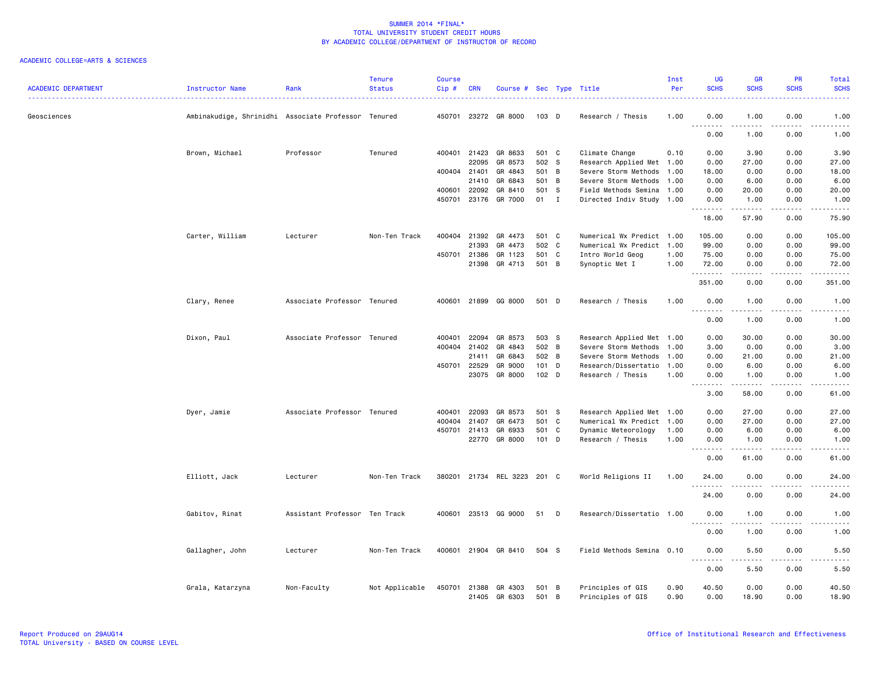| <b>ACADEMIC DEPARTMENT</b> | Instructor Name                                     | Rank                          | <b>Tenure</b><br><b>Status</b> | <b>Course</b><br>$Cip$ # | <b>CRN</b>   | Course # Sec Type Title |                  |   |                           | Inst<br>Per | <b>UG</b><br><b>SCHS</b>                    | <b>GR</b><br><b>SCHS</b>     | PR<br><b>SCHS</b> | Total<br><b>SCHS</b> |
|----------------------------|-----------------------------------------------------|-------------------------------|--------------------------------|--------------------------|--------------|-------------------------|------------------|---|---------------------------|-------------|---------------------------------------------|------------------------------|-------------------|----------------------|
| Geosciences                | Ambinakudige, Shrinidhi Associate Professor Tenured |                               |                                |                          |              | 450701 23272 GR 8000    | 103 D            |   | Research / Thesis         | 1.00        | 0.00                                        | 1.00                         | 0.00              | 1.00                 |
|                            |                                                     |                               |                                |                          |              |                         |                  |   |                           |             | 0.00                                        | 1.00                         | 0.00              | 1.00                 |
|                            | Brown, Michael                                      | Professor                     | Tenured                        |                          | 400401 21423 | GR 8633                 | 501 C            |   | Climate Change            | 0.10        | 0.00                                        | 3.90                         | 0.00              | 3.90                 |
|                            |                                                     |                               |                                |                          | 22095        | GR 8573                 | 502 S            |   | Research Applied Met 1.00 |             | 0.00                                        | 27.00                        | 0.00              | 27.00                |
|                            |                                                     |                               |                                | 400404                   | 21401        | GR 4843                 | 501 B            |   | Severe Storm Methods      | 1.00        | 18.00                                       | 0.00                         | 0.00              | 18.00                |
|                            |                                                     |                               |                                |                          | 21410        | GR 6843                 | 501 B            |   | Severe Storm Methods      | 1.00        | 0.00                                        | 6.00                         | 0.00              | 6.00                 |
|                            |                                                     |                               |                                | 400601                   | 22092        | GR 8410                 | 501 S            |   | Field Methods Semina      | 1.00        | 0.00                                        | 20.00                        | 0.00              | 20.00                |
|                            |                                                     |                               |                                | 450701                   | 23176        | GR 7000                 | 01               | I | Directed Indiv Study 1.00 |             | 0.00<br>.                                   | 1.00<br>المتمامين            | 0.00<br>.         | 1.00<br>.            |
|                            |                                                     |                               |                                |                          |              |                         |                  |   |                           |             | 18.00                                       | 57.90                        | 0.00              | 75.90                |
|                            | Carter, William                                     | Lecturer                      | Non-Ten Track                  | 400404                   | 21392        | GR 4473                 | 501 C            |   | Numerical Wx Predict 1.00 |             | 105.00                                      | 0.00                         | 0.00              | 105.00               |
|                            |                                                     |                               |                                |                          | 21393        | GR 4473                 | 502 C            |   | Numerical Wx Predict 1.00 |             | 99.00                                       | 0.00                         | 0.00              | 99.00                |
|                            |                                                     |                               |                                | 450701                   | 21386        | GR 1123                 | 501 C            |   | Intro World Geog          | 1.00        | 75.00                                       | 0.00                         | 0.00              | 75.00                |
|                            |                                                     |                               |                                |                          | 21398        | GR 4713                 | 501 B            |   | Synoptic Met I            | 1.00        | 72.00<br><u>.</u>                           | 0.00                         | 0.00              | 72.00                |
|                            |                                                     |                               |                                |                          |              |                         |                  |   |                           |             | 351.00                                      | 0.00                         | 0.00              | 351.00               |
|                            | Clary, Renee                                        | Associate Professor Tenured   |                                |                          |              | 400601 21899 GG 8000    | 501 D            |   | Research / Thesis         | 1.00        | 0.00<br><u>.</u>                            | 1.00<br><b>.</b>             | 0.00<br>.         | 1.00<br>الداعات ب    |
|                            |                                                     |                               |                                |                          |              |                         |                  |   |                           |             | 0.00                                        | 1.00                         | 0.00              | 1.00                 |
|                            | Dixon, Paul                                         | Associate Professor Tenured   |                                | 400401                   | 22094        | GR 8573                 | 503 S            |   | Research Applied Met 1.00 |             | 0.00                                        | 30.00                        | 0.00              | 30.00                |
|                            |                                                     |                               |                                | 400404                   | 21402        | GR 4843                 | 502 B            |   | Severe Storm Methods      | 1.00        | 3.00                                        | 0.00                         | 0.00              | 3.00                 |
|                            |                                                     |                               |                                |                          | 21411        | GR 6843                 | 502 B            |   | Severe Storm Methods      | 1.00        | 0.00                                        | 21.00                        | 0.00              | 21.00                |
|                            |                                                     |                               |                                |                          | 450701 22529 | GR 9000                 | 101 D            |   | Research/Dissertatio      | 1.00        | 0.00                                        | 6.00                         | 0.00              | 6.00                 |
|                            |                                                     |                               |                                |                          | 23075        | GR 8000                 | 102 <sub>D</sub> |   | Research / Thesis         | 1.00        | 0.00<br>المالية المالية ال<br>$\sim$ $\sim$ | 1.00<br>.                    | 0.00              | 1.00<br>.            |
|                            |                                                     |                               |                                |                          |              |                         |                  |   |                           |             | 3.00                                        | 58.00                        | .<br>0.00         | 61.00                |
|                            | Dyer, Jamie                                         | Associate Professor Tenured   |                                | 400401                   | 22093        | GR 8573                 | 501 S            |   | Research Applied Met 1.00 |             | 0.00                                        | 27.00                        | 0.00              | 27.00                |
|                            |                                                     |                               |                                | 400404                   | 21407        | GR 6473                 | 501 C            |   | Numerical Wx Predict 1.00 |             | 0.00                                        | 27.00                        | 0.00              | 27.00                |
|                            |                                                     |                               |                                | 450701                   | 21413        | GR 6933                 | 501 C            |   | Dynamic Meteorology       | 1.00        | 0.00                                        | 6.00                         | 0.00              | 6.00                 |
|                            |                                                     |                               |                                |                          | 22770        | GR 8000                 | $101$ D          |   | Research / Thesis         | 1.00        | 0.00                                        | 1.00                         | 0.00              | 1.00                 |
|                            |                                                     |                               |                                |                          |              |                         |                  |   |                           |             | $\sim$ $\sim$<br>0.00                       | 61.00                        | 0.00              | 61.00                |
|                            | Elliott, Jack                                       | Lecturer                      | Non-Ten Track                  | 380201                   |              | 21734 REL 3223 201 C    |                  |   | World Religions II        | 1.00        | 24.00                                       | 0.00                         | 0.00              | 24.00                |
|                            |                                                     |                               |                                |                          |              |                         |                  |   |                           |             | 24.00                                       | 0.00                         | 0.00              | 24.00                |
|                            | Gabitov, Rinat                                      | Assistant Professor Ten Track |                                | 400601                   |              | 23513 GG 9000           | 51               | D | Research/Dissertatio 1.00 |             | 0.00                                        | 1.00                         | 0.00              | 1.00                 |
|                            |                                                     |                               |                                |                          |              |                         |                  |   |                           |             | $\sim$ $\sim$<br>0.00                       | $\sim$ $\sim$ $\sim$<br>1.00 | 0.00              | 1.00                 |
|                            | Gallagher, John                                     | Lecturer                      | Non-Ten Track                  |                          |              | 400601 21904 GR 8410    | 504 S            |   | Field Methods Semina 0.10 |             | 0.00                                        | 5.50                         | 0.00              | 5.50                 |
|                            |                                                     |                               |                                |                          |              |                         |                  |   |                           |             | $\sim$ $\sim$ $\sim$<br>0.00                | .<br>5.50                    | .<br>0.00         | 5.50                 |
|                            | Grala, Katarzyna                                    | Non-Faculty                   | Not Applicable                 | 450701                   | 21388        | GR 4303                 | 501 B            |   | Principles of GIS         | 0.90        | 40.50                                       | 0.00                         | 0.00              | 40.50                |
|                            |                                                     |                               |                                |                          |              | 21405 GR 6303           | 501 B            |   | Principles of GIS         | 0.90        | 0.00                                        | 18.90                        | 0.00              | 18.90                |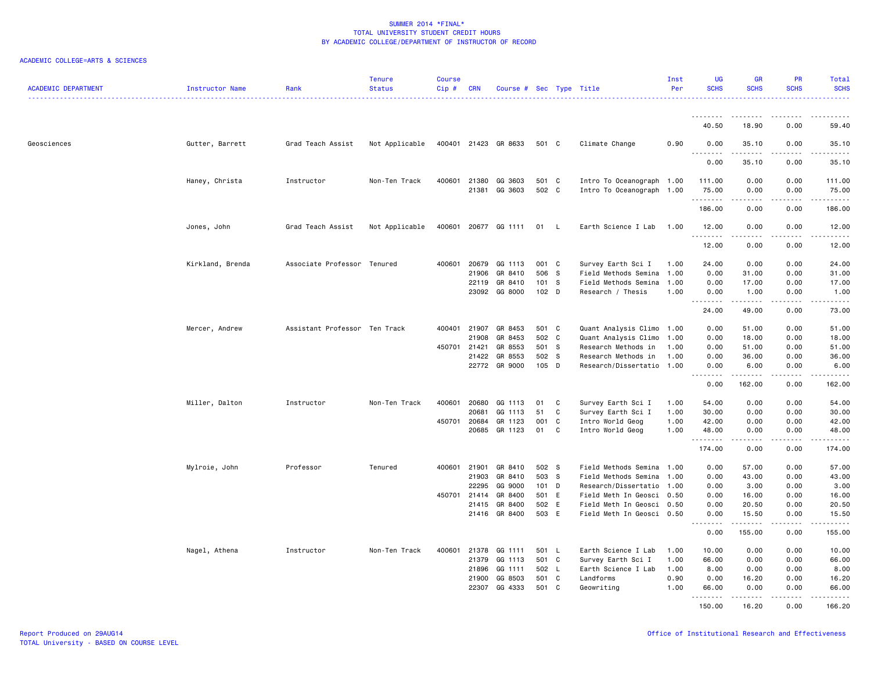| <b>ACADEMIC DEPARTMENT</b> | Instructor Name  | Rank                          | <b>Tenure</b><br><b>Status</b> | Course<br>Cip# | <b>CRN</b>     | Course # Sec Type Title |                  |              |                                                        | Inst<br>Per | <b>UG</b><br><b>SCHS</b> | <b>GR</b><br><b>SCHS</b>                                                                                                                                     | <b>PR</b><br><b>SCHS</b> | <b>Total</b><br><b>SCHS</b> |
|----------------------------|------------------|-------------------------------|--------------------------------|----------------|----------------|-------------------------|------------------|--------------|--------------------------------------------------------|-------------|--------------------------|--------------------------------------------------------------------------------------------------------------------------------------------------------------|--------------------------|-----------------------------|
|                            |                  |                               |                                |                |                |                         |                  |              |                                                        |             | .                        |                                                                                                                                                              |                          |                             |
|                            |                  |                               |                                |                |                |                         |                  |              |                                                        |             | 40.50                    | 18.90                                                                                                                                                        | 0.00                     | 59.40                       |
| Geosciences                | Gutter, Barrett  | Grad Teach Assist             | Not Applicable                 |                |                | 400401 21423 GR 8633    | 501 C            |              | Climate Change                                         | 0.90        | 0.00<br><u>.</u>         | 35.10                                                                                                                                                        | 0.00                     | 35.10<br>. <u>.</u> .       |
|                            |                  |                               |                                |                |                |                         |                  |              |                                                        |             | 0.00                     | 35.10                                                                                                                                                        | 0.00                     | 35.10                       |
|                            | Haney, Christa   | Instructor                    | Non-Ten Track                  | 400601         | 21380          | GG 3603                 | 501 C            |              | Intro To Oceanograph 1.00                              |             | 111.00                   | 0.00                                                                                                                                                         | 0.00                     | 111.00                      |
|                            |                  |                               |                                |                | 21381          | GG 3603                 | 502 C            |              | Intro To Oceanograph 1.00                              |             | 75.00<br>.               | 0.00<br>$\frac{1}{2} \left( \frac{1}{2} \right) \left( \frac{1}{2} \right) \left( \frac{1}{2} \right) \left( \frac{1}{2} \right) \left( \frac{1}{2} \right)$ | 0.00<br>.                | 75.00<br>.                  |
|                            |                  |                               |                                |                |                |                         |                  |              |                                                        |             | 186.00                   | 0.00                                                                                                                                                         | 0.00                     | 186.00                      |
|                            | Jones, John      | Grad Teach Assist             | Not Applicable                 | 400601         |                | 20677 GG 1111           | 01               | - L          | Earth Science I Lab                                    | 1.00        | 12.00<br>.               | 0.00<br>-----                                                                                                                                                | 0.00<br>د د د د          | 12.00<br>.                  |
|                            |                  |                               |                                |                |                |                         |                  |              |                                                        |             | 12.00                    | 0.00                                                                                                                                                         | 0.00                     | 12.00                       |
|                            | Kirkland, Brenda | Associate Professor Tenured   |                                | 400601         | 20679          | GG 1113                 | 001 C            |              | Survey Earth Sci I                                     | 1.00        | 24.00                    | 0.00                                                                                                                                                         | 0.00                     | 24.00                       |
|                            |                  |                               |                                |                | 21906          | GR 8410                 | 506 S            |              | Field Methods Semina 1.00                              |             | 0.00                     | 31.00                                                                                                                                                        | 0.00                     | 31.00                       |
|                            |                  |                               |                                |                | 22119<br>23092 | GR 8410<br>GG 8000      | 101 S<br>$102$ D |              | Field Methods Semina 1.00<br>Research / Thesis         | 1.00        | 0.00<br>0.00             | 17.00<br>1.00                                                                                                                                                | 0.00<br>0.00             | 17.00<br>1.00               |
|                            |                  |                               |                                |                |                |                         |                  |              |                                                        |             | .                        | .                                                                                                                                                            | .                        | .                           |
|                            |                  |                               |                                |                |                |                         |                  |              |                                                        |             | 24.00                    | 49.00                                                                                                                                                        | 0.00                     | 73.00                       |
|                            | Mercer, Andrew   | Assistant Professor Ten Track |                                | 400401         | 21907          | GR 8453                 | 501 C            |              | Quant Analysis Climo 1.00                              |             | 0.00                     | 51.00                                                                                                                                                        | 0.00                     | 51.00                       |
|                            |                  |                               |                                |                | 21908          | GR 8453                 | 502 C            |              | Quant Analysis Climo 1.00                              |             | 0.00                     | 18.00                                                                                                                                                        | 0.00                     | 18.00                       |
|                            |                  |                               |                                | 450701         | 21421          | GR 8553                 | 501 S            |              | Research Methods in                                    | 1.00        | 0.00                     | 51.00                                                                                                                                                        | 0.00                     | 51.00                       |
|                            |                  |                               |                                |                | 21422<br>22772 | GR 8553<br>GR 9000      | 502 S<br>105 D   |              | Research Methods in<br>Research/Dissertatio 1.00       | 1.00        | 0.00<br>0.00             | 36.00<br>6.00                                                                                                                                                | 0.00<br>0.00             | 36.00<br>6.00               |
|                            |                  |                               |                                |                |                |                         |                  |              |                                                        |             | .                        | . <b>.</b>                                                                                                                                                   | .                        | .                           |
|                            |                  |                               |                                |                |                |                         |                  |              |                                                        |             | 0.00                     | 162.00                                                                                                                                                       | 0.00                     | 162.00                      |
|                            | Miller, Dalton   | Instructor                    | Non-Ten Track                  | 400601         | 20680          | GG 1113                 | 01               | C            | Survey Earth Sci I                                     | 1.00        | 54.00                    | 0.00                                                                                                                                                         | 0.00                     | 54.00                       |
|                            |                  |                               |                                |                | 20681          | GG 1113                 | 51               | C            | Survey Earth Sci I                                     | 1.00        | 30.00                    | 0.00                                                                                                                                                         | 0.00                     | 30.00                       |
|                            |                  |                               |                                |                | 450701 20684   | GR 1123                 | 001              | $\mathbf{C}$ | Intro World Geog                                       | 1.00        | 42.00                    | 0.00                                                                                                                                                         | 0.00                     | 42.00                       |
|                            |                  |                               |                                |                | 20685          | GR 1123                 | 01               | C            | Intro World Geog                                       | 1.00        | 48.00<br>.               | 0.00                                                                                                                                                         | 0.00                     | 48.00                       |
|                            |                  |                               |                                |                |                |                         |                  |              |                                                        |             | 174.00                   | 0.00                                                                                                                                                         | 0.00                     | 174.00                      |
|                            | Mylroie, John    | Professor                     | Tenured                        | 400601         | 21901          | GR 8410                 | 502 S            |              | Field Methods Semina 1.00                              |             | 0.00                     | 57.00                                                                                                                                                        | 0.00                     | 57.00                       |
|                            |                  |                               |                                |                | 21903          | GR 8410                 | 503 S            |              | Field Methods Semina 1.00                              |             | 0.00                     | 43.00                                                                                                                                                        | 0.00                     | 43.00                       |
|                            |                  |                               |                                |                | 22295          | GG 9000                 | $101$ D          |              | Research/Dissertatio 1.00                              |             | 0.00                     | 3.00                                                                                                                                                         | 0.00                     | 3.00                        |
|                            |                  |                               |                                |                | 450701 21414   | GR 8400                 | 501 E            |              | Field Meth In Geosci 0.50                              |             | 0.00                     | 16.00                                                                                                                                                        | 0.00                     | 16.00                       |
|                            |                  |                               |                                |                | 21415<br>21416 | GR 8400<br>GR 8400      | 502 E<br>503 E   |              | Field Meth In Geosci 0.50<br>Field Meth In Geosci 0.50 |             | 0.00<br>0.00             | 20.50<br>15.50                                                                                                                                               | 0.00<br>0.00             | 20.50<br>15.50              |
|                            |                  |                               |                                |                |                |                         |                  |              |                                                        |             | د د د د                  | .                                                                                                                                                            | .                        | .                           |
|                            |                  |                               |                                |                |                |                         |                  |              |                                                        |             | 0.00                     | 155.00                                                                                                                                                       | 0.00                     | 155.00                      |
|                            | Nagel, Athena    | Instructor                    | Non-Ten Track                  | 400601         | 21378          | GG 1111                 | 501 L            |              | Earth Science I Lab                                    | 1.00        | 10.00                    | 0.00                                                                                                                                                         | 0.00                     | 10.00                       |
|                            |                  |                               |                                |                | 21379          | GG 1113                 | 501 C            |              | Survey Earth Sci I                                     | 1.00        | 66.00                    | 0.00                                                                                                                                                         | 0.00                     | 66.00                       |
|                            |                  |                               |                                |                | 21896          | GG 1111                 | 502 L            |              | Earth Science I Lab                                    | 1.00        | 8.00                     | 0.00                                                                                                                                                         | 0.00                     | 8.00                        |
|                            |                  |                               |                                |                | 21900          | GG 8503                 | 501              | C            | Landforms                                              | 0.90        | 0.00                     | 16.20                                                                                                                                                        | 0.00                     | 16.20                       |
|                            |                  |                               |                                |                | 22307          | GG 4333                 | 501 C            |              | Geowriting                                             | 1.00        | 66.00<br>.               | 0.00                                                                                                                                                         | 0.00                     | 66.00                       |
|                            |                  |                               |                                |                |                |                         |                  |              |                                                        |             | 150.00                   | 16.20                                                                                                                                                        | 0.00                     | 166.20                      |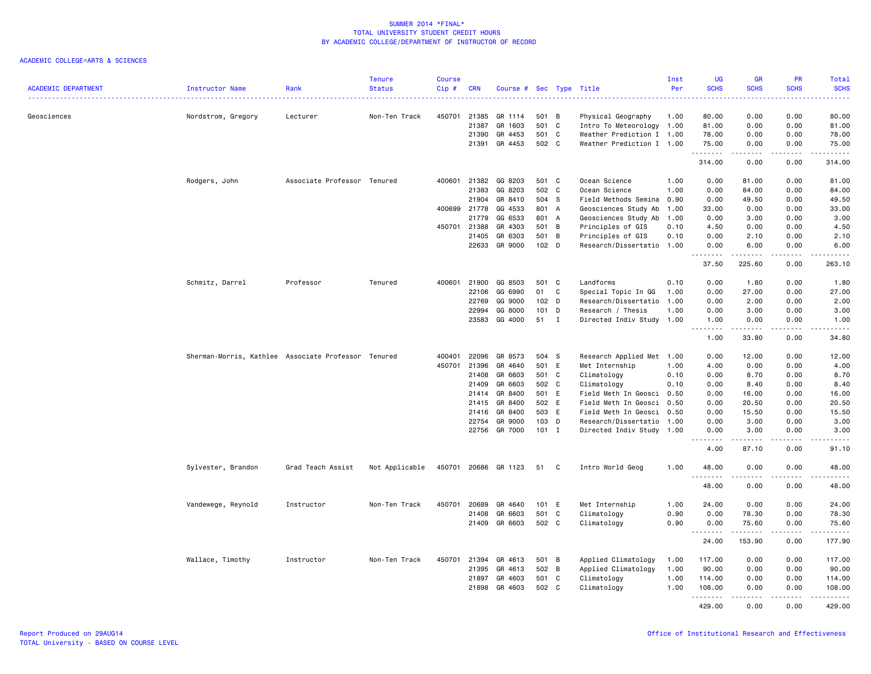| <b>ACADEMIC DEPARTMENT</b> | Instructor Name                                     | Rank                        | <b>Tenure</b><br><b>Status</b> | <b>Course</b><br>Cip# | <b>CRN</b>     | Course # Sec Type Title |                        |              |                                                  | Inst<br>Per | UG<br><b>SCHS</b>                 | <b>GR</b><br><b>SCHS</b> | PR<br><b>SCHS</b>                   | <b>Total</b><br><b>SCHS</b> |
|----------------------------|-----------------------------------------------------|-----------------------------|--------------------------------|-----------------------|----------------|-------------------------|------------------------|--------------|--------------------------------------------------|-------------|-----------------------------------|--------------------------|-------------------------------------|-----------------------------|
| Geosciences                | Nordstrom, Gregory                                  | Lecturer                    | Non-Ten Track                  | 450701                | 21385          | GR 1114                 | 501 B                  |              | Physical Geography                               | 1.00        | 80.00                             | 0.00                     | 0.00                                | 80.00                       |
|                            |                                                     |                             |                                |                       | 21387          | GR 1603                 | 501 C                  |              | Intro To Meteorology 1.00                        |             | 81.00                             | 0.00                     | 0.00                                | 81.00                       |
|                            |                                                     |                             |                                |                       | 21390          | GR 4453                 | 501 C                  |              | Weather Prediction I 1.00                        |             | 78.00                             | 0.00                     | 0.00                                | 78.00                       |
|                            |                                                     |                             |                                |                       | 21391          | GR 4453                 | 502 C                  |              | Weather Prediction I 1.00                        |             | 75.00<br>.                        | 0.00                     | 0.00<br>$\sim$ $\sim$ $\sim$        | 75.00<br>المستمات           |
|                            |                                                     |                             |                                |                       |                |                         |                        |              |                                                  |             | 314.00                            | 0.00                     | 0.00                                | 314.00                      |
|                            | Rodgers, John                                       | Associate Professor Tenured |                                | 400601                | 21382          | GG 8203                 | 501 C                  |              | Ocean Science                                    | 1.00        | 0.00                              | 81.00                    | 0.00                                | 81.00                       |
|                            |                                                     |                             |                                |                       | 21383          | GG 8203                 | 502 C                  |              | Ocean Science                                    | 1.00        | 0.00                              | 84.00                    | 0.00                                | 84.00                       |
|                            |                                                     |                             |                                |                       | 21904          | GR 8410                 | 504 S                  |              | Field Methods Semina 0.90                        |             | 0.00                              | 49.50                    | 0.00                                | 49.50                       |
|                            |                                                     |                             |                                | 400699                | 21778          | GG 4533                 | 801 A                  |              | Geosciences Study Ab                             | 1.00        | 33.00                             | 0.00                     | 0.00                                | 33.00                       |
|                            |                                                     |                             |                                |                       | 21779          | GG 6533                 | 801 A                  |              | Geosciences Study Ab                             | 1.00        | 0.00                              | 3.00                     | 0.00                                | 3.00                        |
|                            |                                                     |                             |                                | 450701 21388          |                | GR 4303                 | 501 B                  |              | Principles of GIS                                | 0.10        | 4.50                              | 0.00                     | 0.00                                | 4.50                        |
|                            |                                                     |                             |                                |                       | 21405<br>22633 | GR 6303<br>GR 9000      | 501<br>102 D           | B            | Principles of GIS<br>Research/Dissertatio 1.00   | 0.10        | 0.00<br>0.00                      | 2.10<br>6.00             | 0.00<br>0.00                        | 2.10<br>6.00                |
|                            |                                                     |                             |                                |                       |                |                         |                        |              |                                                  |             | .<br>37.50                        | .<br>225.60              | د د د د<br>0.00                     | .<br>263.10                 |
|                            |                                                     |                             |                                |                       |                |                         |                        |              |                                                  |             |                                   |                          |                                     |                             |
|                            | Schmitz, Darrel                                     | Professor                   | Tenured                        | 400601                | 21900          | GG 8503                 | 501 C                  |              | Landforms                                        | 0.10        | 0.00                              | 1.80                     | 0.00                                | 1.80                        |
|                            |                                                     |                             |                                |                       | 22106<br>22769 | GG 6990<br>GG 9000      | 01<br>102 <sub>D</sub> | C            | Special Topic In GG<br>Research/Dissertatio 1.00 | 1.00        | 0.00<br>0.00                      | 27.00                    | 0.00<br>0.00                        | 27.00<br>2.00               |
|                            |                                                     |                             |                                |                       | 22994          | GG 8000                 | $101$ D                |              | Research / Thesis                                | 1.00        | 0.00                              | 2.00<br>3.00             | 0.00                                | 3.00                        |
|                            |                                                     |                             |                                |                       | 23583          | GG 4000                 | 51 I                   |              | Directed Indiv Study 1.00                        |             | 1.00                              | 0.00                     | 0.00                                | 1.00                        |
|                            |                                                     |                             |                                |                       |                |                         |                        |              |                                                  |             | .<br>1.00                         | .<br>33.80               | .<br>0.00                           | .<br>34.80                  |
|                            | Sherman-Morris, Kathlee Associate Professor Tenured |                             |                                | 400401                | 22096          | GR 8573                 | 504 S                  |              | Research Applied Met 1.00                        |             | 0.00                              | 12.00                    | 0.00                                | 12.00                       |
|                            |                                                     |                             |                                | 450701                | 21396          | GR 4640                 | 501                    | E            | Met Internship                                   | 1.00        | 4.00                              | 0.00                     | 0.00                                | 4.00                        |
|                            |                                                     |                             |                                |                       | 21408          | GR 6603                 | 501 C                  |              | Climatology                                      | 0.10        | 0.00                              | 8.70                     | 0.00                                | 8.70                        |
|                            |                                                     |                             |                                |                       | 21409          | GR 6603                 | 502 C                  |              | Climatology                                      | 0.10        | 0.00                              | 8.40                     | 0.00                                | 8.40                        |
|                            |                                                     |                             |                                |                       | 21414          | GR 8400                 | 501 E                  |              | Field Meth In Geosci 0.50                        |             | 0.00                              | 16.00                    | 0.00                                | 16.00                       |
|                            |                                                     |                             |                                |                       | 21415          | GR 8400                 | 502 E                  |              | Field Meth In Geosci 0.50                        |             | 0.00                              | 20.50                    | 0.00                                | 20.50                       |
|                            |                                                     |                             |                                |                       | 21416          | GR 8400                 | 503 E                  |              | Field Meth In Geosci 0.50                        |             | 0.00                              | 15.50                    | 0.00                                | 15.50                       |
|                            |                                                     |                             |                                |                       | 22754          | GR 9000                 | 103 D                  |              | Research/Dissertatio 1.00                        |             | 0.00                              | 3.00                     | 0.00                                | 3.00                        |
|                            |                                                     |                             |                                |                       | 22756          | GR 7000                 | $101$ I                |              | Directed Indiv Study 1.00                        |             | 0.00<br>$\sim$ $\sim$ $\sim$<br>. | 3.00                     | 0.00                                | 3.00<br>$\frac{1}{2}$       |
|                            |                                                     |                             |                                |                       |                |                         |                        |              |                                                  |             | 4.00                              | 87.10                    | 0.00                                | 91.10                       |
|                            | Sylvester, Brandon                                  | Grad Teach Assist           | Not Applicable                 | 450701                |                | 20686 GR 1123           | 51                     | C            | Intro World Geog                                 | 1.00        | 48.00                             | 0.00                     | 0.00                                | 48.00                       |
|                            |                                                     |                             |                                |                       |                |                         |                        |              |                                                  |             | 48.00                             | 0.00                     | 0.00                                | 48.00                       |
|                            | Vandewege, Reynold                                  | Instructor                  | Non-Ten Track                  | 450701                | 20689          | GR 4640                 | 101 E                  |              | Met Internship                                   | 1.00        | 24.00                             | 0.00                     | 0.00                                | 24.00                       |
|                            |                                                     |                             |                                |                       | 21408          | GR 6603                 | 501                    | C            | Climatology                                      | 0.90        | 0.00                              | 78.30                    | 0.00                                | 78.30                       |
|                            |                                                     |                             |                                |                       |                | 21409 GR 6603           | 502 C                  |              | Climatology                                      | 0.90        | 0.00                              | 75.60                    | 0.00                                | 75.60                       |
|                            |                                                     |                             |                                |                       |                |                         |                        |              |                                                  |             | .<br>24.00                        | 153.90                   | $\sim$ $\sim$ $\sim$ $\sim$<br>0.00 | .<br>177.90                 |
|                            | Wallace, Timothy                                    | Instructor                  | Non-Ten Track                  | 450701                | 21394          | GR 4613                 | 501 B                  |              | Applied Climatology                              | 1.00        | 117.00                            | 0.00                     | 0.00                                | 117.00                      |
|                            |                                                     |                             |                                |                       | 21395          | GR 4613                 | 502 B                  |              | Applied Climatology                              | 1.00        | 90.00                             | 0.00                     | 0.00                                | 90.00                       |
|                            |                                                     |                             |                                |                       | 21897          | GR 4603                 | 501                    | $\mathbf{C}$ | Climatology                                      | 1.00        | 114.00                            | 0.00                     | 0.00                                | 114.00                      |
|                            |                                                     |                             |                                |                       | 21898          | GR 4603                 | 502 C                  |              | Climatology                                      | 1.00        | 108.00<br>.                       | 0.00                     | 0.00<br>د د د د                     | 108.00<br>.                 |
|                            |                                                     |                             |                                |                       |                |                         |                        |              |                                                  |             | 429.00                            | 0.00                     | 0.00                                | 429.00                      |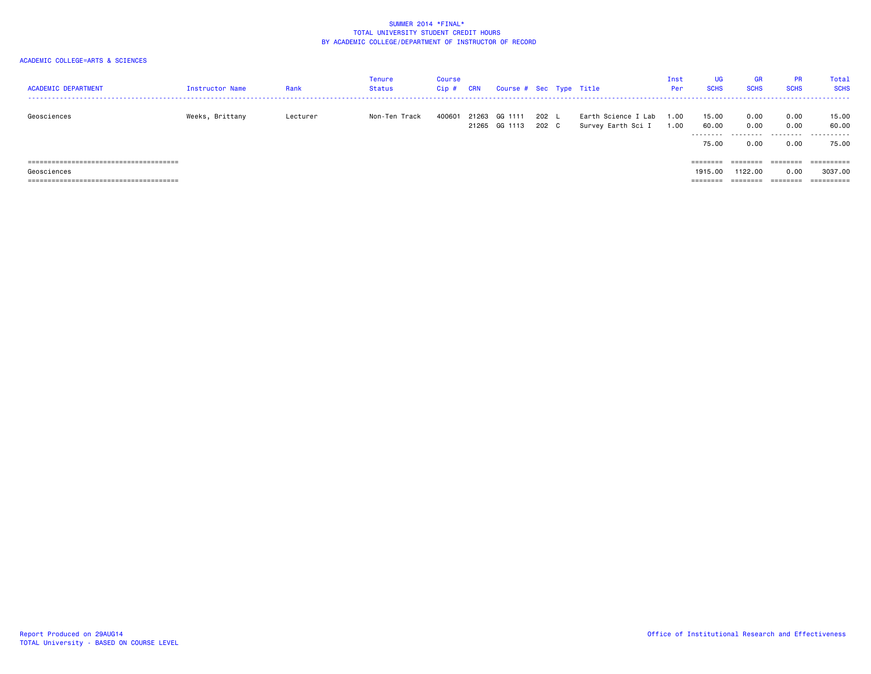| <b>ACADEMIC DEPARTMENT</b> | Instructor Name | Rank     | <b>Tenure</b><br>Status | <b>Course</b><br>$Cip$ # | <b>CRN</b> | Course # Sec Type Title        |                  |                                           | Inst<br>Per  | UG<br><b>SCHS</b>            | <b>GR</b><br><b>SCHS</b>          | <b>PR</b><br><b>SCHS</b> | Total<br><b>SCHS</b>        |
|----------------------------|-----------------|----------|-------------------------|--------------------------|------------|--------------------------------|------------------|-------------------------------------------|--------------|------------------------------|-----------------------------------|--------------------------|-----------------------------|
| Geosciences                | Weeks, Brittany | Lecturer | Non-Ten Track           | 400601                   |            | 21263 GG 1111<br>21265 GG 1113 | $202$  <br>202 C | Earth Science I Lab<br>Survey Earth Sci I | 1.00<br>1.00 | 15.00<br>60.00<br>.<br>75.00 | 0.00<br>0.00<br>---------<br>0.00 | 0.00<br>0.00<br>0.00     | 15.00<br>60.00<br><br>75.00 |
|                            |                 |          |                         |                          |            |                                |                  |                                           |              | $=$ = = = = = = =            | ========                          | $=$ = = = = = = =        |                             |
| Geosciences                |                 |          |                         |                          |            |                                |                  |                                           |              | 1915,00                      | 1122.00                           | 0.00                     | 3037.00                     |
|                            |                 |          |                         |                          |            |                                |                  |                                           |              | --------<br>--------         | ---------<br>--------             | --------<br>--------     | -----------                 |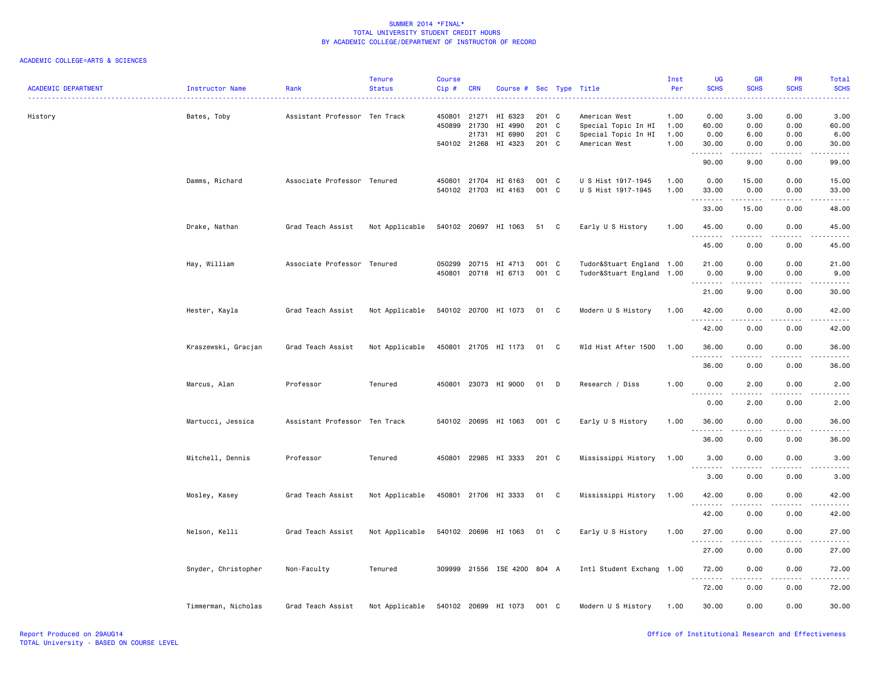| <b>ACADEMIC DEPARTMENT</b> | <b>Instructor Name</b> | Rank                          | <b>Tenure</b><br><b>Status</b> | Course<br>Cip#   | <b>CRN</b>                              | Course # Sec Type Title                  |                                  |              |                                                                              | Inst<br>Per                  | UG<br><b>SCHS</b>                                                                                                                                                                                                                                                                                                                                                                                                                                                                                       | <b>GR</b><br><b>SCHS</b>                    | <b>PR</b><br><b>SCHS</b>     | Total<br><b>SCHS</b><br>----   |
|----------------------------|------------------------|-------------------------------|--------------------------------|------------------|-----------------------------------------|------------------------------------------|----------------------------------|--------------|------------------------------------------------------------------------------|------------------------------|---------------------------------------------------------------------------------------------------------------------------------------------------------------------------------------------------------------------------------------------------------------------------------------------------------------------------------------------------------------------------------------------------------------------------------------------------------------------------------------------------------|---------------------------------------------|------------------------------|--------------------------------|
| History                    | Bates, Toby            | Assistant Professor Ten Track |                                | 450801<br>450899 | 21271<br>21730<br>21731<br>540102 21268 | HI 6323<br>HI 4990<br>HI 6990<br>HI 4323 | 201 C<br>201 C<br>201 C<br>201 C |              | American West<br>Special Topic In HI<br>Special Topic In HI<br>American West | 1.00<br>1.00<br>1.00<br>1.00 | 0.00<br>60.00<br>0.00<br>30.00                                                                                                                                                                                                                                                                                                                                                                                                                                                                          | 3.00<br>0.00<br>6.00<br>0.00                | 0.00<br>0.00<br>0.00<br>0.00 | 3.00<br>60.00<br>6.00<br>30.00 |
|                            |                        |                               |                                |                  |                                         |                                          |                                  |              |                                                                              |                              | .<br>90.00                                                                                                                                                                                                                                                                                                                                                                                                                                                                                              | 9.00                                        | 0.00                         | 99.00                          |
|                            | Damms, Richard         | Associate Professor Tenured   |                                | 450801           | 21704                                   | HI 6163<br>540102 21703 HI 4163          | 001 C<br>001 C                   |              | U S Hist 1917-1945<br>U S Hist 1917-1945                                     | 1.00<br>1.00                 | 0.00<br>33.00                                                                                                                                                                                                                                                                                                                                                                                                                                                                                           | 15.00<br>0.00                               | 0.00<br>0.00                 | 15.00<br>33.00                 |
|                            |                        |                               |                                |                  |                                         |                                          |                                  |              |                                                                              |                              | <u> - - - - - - - -</u><br>33.00                                                                                                                                                                                                                                                                                                                                                                                                                                                                        | .<br>15.00                                  | .<br>0.00                    | .<br>48.00                     |
|                            | Drake, Nathan          | Grad Teach Assist             | Not Applicable                 |                  |                                         | 540102 20697 HI 1063                     | 51 C                             |              | Early U S History                                                            | 1.00                         | 45.00                                                                                                                                                                                                                                                                                                                                                                                                                                                                                                   | 0.00                                        | 0.00                         | 45.00                          |
|                            |                        |                               |                                |                  |                                         |                                          |                                  |              |                                                                              |                              | 45.00                                                                                                                                                                                                                                                                                                                                                                                                                                                                                                   | 0.00                                        | 0.00                         | 45.00                          |
|                            | Hay, William           | Associate Professor Tenured   |                                | 050299<br>450801 | 20715                                   | HI 4713<br>20718 HI 6713                 | 001 C<br>001 C                   |              | Tudor&Stuart England 1.00<br>Tudor&Stuart England 1.00                       |                              | 21.00<br>0.00<br>$\begin{array}{cccccccccccccc} \multicolumn{2}{c}{} & \multicolumn{2}{c}{} & \multicolumn{2}{c}{} & \multicolumn{2}{c}{} & \multicolumn{2}{c}{} & \multicolumn{2}{c}{} & \multicolumn{2}{c}{} & \multicolumn{2}{c}{} & \multicolumn{2}{c}{} & \multicolumn{2}{c}{} & \multicolumn{2}{c}{} & \multicolumn{2}{c}{} & \multicolumn{2}{c}{} & \multicolumn{2}{c}{} & \multicolumn{2}{c}{} & \multicolumn{2}{c}{} & \multicolumn{2}{c}{} & \multicolumn{2}{c}{} & \multicolumn{2}{c}{} & \$ | 0.00<br>9.00<br>المتمامين                   | 0.00<br>0.00<br>.            | 21.00<br>9.00<br>.             |
|                            | Hester, Kayla          | Grad Teach Assist             | Not Applicable                 |                  |                                         | 540102 20700 HI 1073                     | 01 C                             |              | Modern U S History                                                           | 1.00                         | 21.00<br>42.00                                                                                                                                                                                                                                                                                                                                                                                                                                                                                          | 9.00<br>0.00                                | 0.00<br>0.00                 | 30.00<br>42.00                 |
|                            |                        |                               |                                |                  |                                         |                                          |                                  |              |                                                                              |                              | <u> - - - - - - - -</u><br>42.00                                                                                                                                                                                                                                                                                                                                                                                                                                                                        | 0.00                                        | 0.00                         | 42.00                          |
|                            | Kraszewski, Gracjan    | Grad Teach Assist             | Not Applicable                 |                  |                                         | 450801 21705 HI 1173                     | 01                               | $\mathbf{C}$ | Wld Hist After 1500                                                          | 1.00                         | 36.00                                                                                                                                                                                                                                                                                                                                                                                                                                                                                                   | 0.00                                        | 0.00                         | 36.00                          |
|                            |                        |                               |                                |                  |                                         |                                          |                                  |              |                                                                              |                              | 36.00                                                                                                                                                                                                                                                                                                                                                                                                                                                                                                   | 0.00                                        | 0.00                         | 36.00                          |
|                            | Marcus, Alan           | Professor                     | Tenured                        |                  |                                         | 450801 23073 HI 9000                     | 01                               | D            | Research / Diss                                                              | 1.00                         | 0.00                                                                                                                                                                                                                                                                                                                                                                                                                                                                                                    | 2.00                                        | 0.00                         | 2.00                           |
|                            | Martucci, Jessica      | Assistant Professor Ten Track |                                |                  |                                         | 540102 20695 HI 1063                     | 001 C                            |              | Early U S History                                                            | 1.00                         | 0.00<br>36.00                                                                                                                                                                                                                                                                                                                                                                                                                                                                                           | 2.00<br>0.00                                | 0.00<br>0.00                 | 2.00<br>36.00                  |
|                            |                        |                               |                                |                  |                                         |                                          |                                  |              |                                                                              |                              | .<br>36.00                                                                                                                                                                                                                                                                                                                                                                                                                                                                                              | .<br>0.00                                   | 0.00                         | .<br>36.00                     |
|                            | Mitchell, Dennis       | Professor                     | Tenured                        |                  |                                         | 450801 22985 HI 3333                     | 201 C                            |              | Mississippi History                                                          | 1.00                         | 3.00                                                                                                                                                                                                                                                                                                                                                                                                                                                                                                    | 0.00                                        | 0.00                         | 3.00                           |
|                            |                        |                               |                                |                  |                                         |                                          |                                  |              |                                                                              |                              | 3.00                                                                                                                                                                                                                                                                                                                                                                                                                                                                                                    | 0.00                                        | 0.00                         | 3.00                           |
|                            | Mosley, Kasey          | Grad Teach Assist             | Not Applicable                 |                  |                                         | 450801 21706 HI 3333                     | 01 C                             |              | Mississippi History                                                          | 1.00                         | 42.00<br>$\frac{1}{2} \left( \frac{1}{2} \right) \left( \frac{1}{2} \right) \left( \frac{1}{2} \right) \left( \frac{1}{2} \right) \left( \frac{1}{2} \right)$                                                                                                                                                                                                                                                                                                                                           | 0.00<br>----                                | 0.00<br>.                    | 42.00                          |
|                            | Nelson, Kelli          | Grad Teach Assist             | Not Applicable                 |                  |                                         | 540102 20696 HI 1063                     | 01 C                             |              | Early U S History                                                            | 1.00                         | 42.00<br>27.00                                                                                                                                                                                                                                                                                                                                                                                                                                                                                          | 0.00<br>0.00                                | 0.00<br>0.00                 | 42.00<br>27.00                 |
|                            |                        |                               |                                |                  |                                         |                                          |                                  |              |                                                                              |                              | .<br>27.00                                                                                                                                                                                                                                                                                                                                                                                                                                                                                              | $\frac{1}{2}$<br>0.00                       | .<br>0.00                    | .<br>27.00                     |
|                            | Snyder, Christopher    | Non-Faculty                   | Tenured                        | 309999           |                                         | 21556 ISE 4200 804 A                     |                                  |              | Intl Student Exchang 1.00                                                    |                              | 72.00                                                                                                                                                                                                                                                                                                                                                                                                                                                                                                   | 0.00                                        | 0.00                         | 72.00                          |
|                            |                        |                               |                                |                  |                                         |                                          |                                  |              |                                                                              |                              | .<br>72.00                                                                                                                                                                                                                                                                                                                                                                                                                                                                                              | $\omega$ $\omega$ $\omega$ $\omega$<br>0.00 | 0.00                         | 72.00                          |
|                            | Timmerman, Nicholas    | Grad Teach Assist             | Not Applicable                 |                  |                                         | 540102 20699 HI 1073                     | 001 C                            |              | Modern U S History                                                           | 1.00                         | 30.00                                                                                                                                                                                                                                                                                                                                                                                                                                                                                                   | 0.00                                        | 0.00                         | 30.00                          |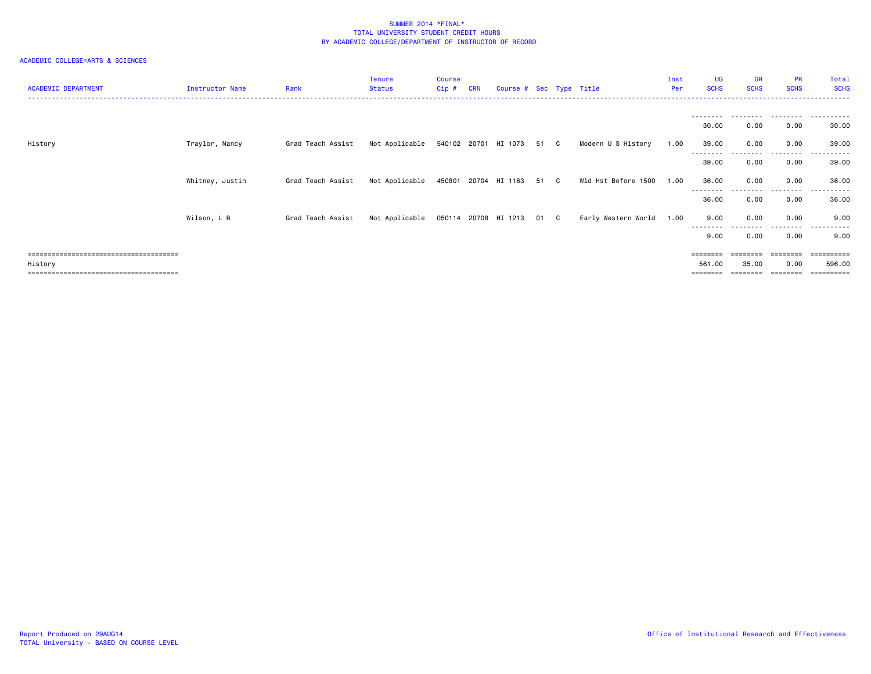| <b>ACADEMIC DEPARTMENT</b> | Instructor Name | Rank              | Tenure<br><b>Status</b>             | <b>Course</b><br>Cip # | <b>CRN</b> | Course # Sec Type Title |      |                     | Inst<br>Per | UG<br><b>SCHS</b>  | <b>GR</b><br><b>SCHS</b> | <b>PR</b><br><b>SCHS</b> | Total<br><b>SCHS</b>   |
|----------------------------|-----------------|-------------------|-------------------------------------|------------------------|------------|-------------------------|------|---------------------|-------------|--------------------|--------------------------|--------------------------|------------------------|
|                            |                 |                   |                                     |                        |            |                         |      |                     |             | --------           |                          |                          |                        |
|                            |                 |                   |                                     |                        |            |                         |      |                     |             | 30.00              | 0.00                     | 0.00                     | 30.00                  |
| History                    | Traylor, Nancy  | Grad Teach Assist | Not Applicable 540102 20701 HI 1073 |                        |            |                         | 51 C | Modern U S History  | 1.00        | 39.00<br>--------- | 0.00<br>.                | 0.00<br>.                | 39.00<br>- - - - - - - |
|                            |                 |                   |                                     |                        |            |                         |      |                     |             | 39.00              | 0.00                     | 0.00                     | 39.00                  |
|                            | Whitney, Justin | Grad Teach Assist | Not Applicable                      |                        |            | 450801 20704 HI 1163    | 51 C | Wld Hst Before 1500 | 1.00        | 36.00              | 0.00                     | 0.00                     | 36.00                  |
|                            |                 |                   |                                     |                        |            |                         |      |                     |             | --------<br>36.00  | 0.00                     | --------<br>0.00         | .<br>36.00             |
|                            | Wilson, L B     | Grad Teach Assist | Not Applicable 050114 20708 HI 1213 |                        |            |                         | 01 C | Early Western World | 1.00        | 9.00               | 0.00                     | 0.00                     | 9.00                   |
|                            |                 |                   |                                     |                        |            |                         |      |                     |             | --------<br>9.00   | .<br>0.00                | .<br>0.00                | .<br>9.00              |
|                            |                 |                   |                                     |                        |            |                         |      |                     |             | ========           |                          | ========                 | ==========             |
| History                    |                 |                   |                                     |                        |            |                         |      |                     |             | 561.00             | 35.00                    | 0.00                     | 596.00                 |
|                            |                 |                   |                                     |                        |            |                         |      |                     |             |                    |                          |                          | ==========             |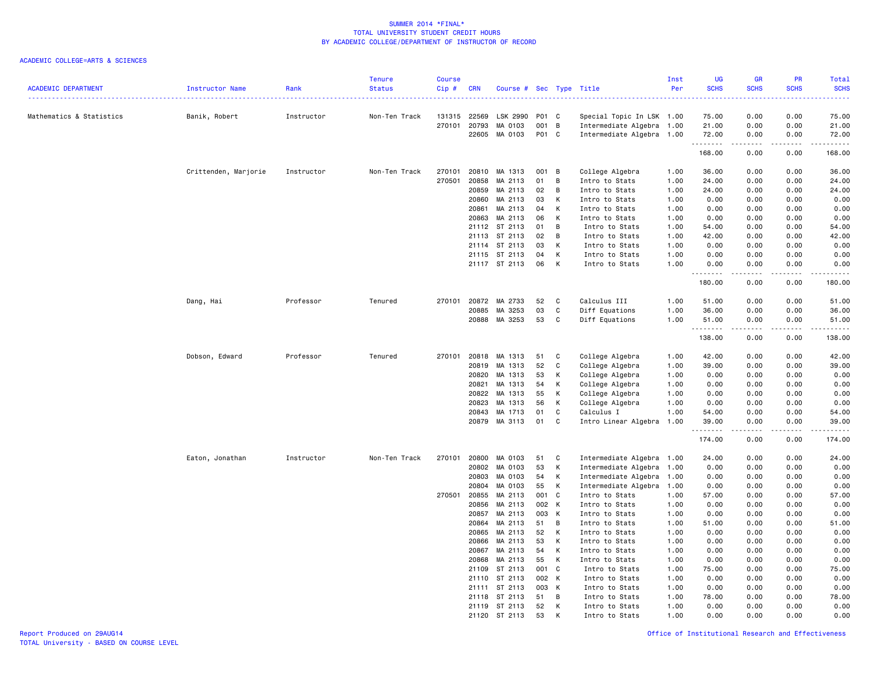| <b>ACADEMIC DEPARTMENT</b> | Instructor Name      | Rank       | <b>Tenure</b><br><b>Status</b> | <b>Course</b><br>Cip# | <b>CRN</b>     | Course # Sec Type Title |          |              |                                  | Inst<br>Per  | UG<br><b>SCHS</b><br>. | <b>GR</b><br><b>SCHS</b> | PR<br><b>SCHS</b> | <b>Total</b><br><b>SCHS</b><br>وساعات |
|----------------------------|----------------------|------------|--------------------------------|-----------------------|----------------|-------------------------|----------|--------------|----------------------------------|--------------|------------------------|--------------------------|-------------------|---------------------------------------|
| Mathematics & Statistics   | Banik, Robert        | Instructor | Non-Ten Track                  | 131315                | 22569          | LSK 2990                | P01 C    |              | Special Topic In LSK 1.00        |              | 75.00                  | 0.00                     | 0.00              | 75.00                                 |
|                            |                      |            |                                | 270101                | 20793          | MA 0103                 | 001 B    |              | Intermediate Algebra 1.00        |              | 21.00                  | 0.00                     | 0.00              | 21.00                                 |
|                            |                      |            |                                |                       | 22605          | MA 0103                 | P01 C    |              | Intermediate Algebra 1.00        |              | 72.00<br>.             | 0.00<br>-----            | 0.00<br>.         | 72.00<br>.                            |
|                            |                      |            |                                |                       |                |                         |          |              |                                  |              | 168.00                 | 0.00                     | 0.00              | 168.00                                |
|                            | Crittenden, Marjorie | Instructor | Non-Ten Track                  | 270101                | 20810          | MA 1313                 | 001 B    |              | College Algebra                  | 1.00         | 36.00                  | 0.00                     | 0.00              | 36.00                                 |
|                            |                      |            |                                | 270501                | 20858          | MA 2113                 | 01       | B            | Intro to Stats                   | 1.00         | 24.00                  | 0.00                     | 0.00              | 24.00                                 |
|                            |                      |            |                                |                       | 20859          | MA 2113                 | 02       | B            | Intro to Stats                   | 1.00         | 24.00                  | 0.00                     | 0.00              | 24.00                                 |
|                            |                      |            |                                |                       | 20860          | MA 2113                 | 03       | К            | Intro to Stats                   | 1.00         | 0.00                   | 0.00                     | 0.00              | 0.00                                  |
|                            |                      |            |                                |                       | 20861          | MA 2113                 | 04       | К            | Intro to Stats                   | 1.00         | 0.00                   | 0.00                     | 0.00              | 0.00                                  |
|                            |                      |            |                                |                       | 20863          | MA 2113                 | 06       | K            | Intro to Stats                   | 1.00         | 0.00                   | 0.00                     | 0.00              | 0.00                                  |
|                            |                      |            |                                |                       | 21112          | ST 2113                 | 01       | B            | Intro to Stats                   | 1.00         | 54.00                  | 0.00                     | 0.00              | 54.00                                 |
|                            |                      |            |                                |                       | 21113          | ST 2113                 | 02       | B            | Intro to Stats                   | 1.00         | 42.00                  | 0.00                     | 0.00              | 42.00                                 |
|                            |                      |            |                                |                       |                | 21114 ST 2113           | 03       | К            | Intro to Stats                   | 1.00         | 0.00                   | 0.00                     | 0.00              | 0.00                                  |
|                            |                      |            |                                |                       |                | 21115 ST 2113           | 04       | К            | Intro to Stats                   | 1.00         | 0.00                   | 0.00                     | 0.00              | 0.00                                  |
|                            |                      |            |                                |                       |                | 21117 ST 2113           | 06       | К            | Intro to Stats                   | 1.00         | 0.00<br><u>.</u>       | 0.00<br>.                | 0.00<br>$- - - -$ | 0.00<br>.                             |
|                            |                      |            |                                |                       |                |                         |          |              |                                  |              | 180.00                 | 0.00                     | 0.00              | 180.00                                |
|                            | Dang, Hai            | Professor  | Tenured                        | 270101                | 20872          | MA 2733                 | 52       | C            | Calculus III                     | 1.00         | 51.00                  | 0.00                     | 0.00              | 51.00                                 |
|                            |                      |            |                                |                       | 20885          | MA 3253                 | 03       | C            | Diff Equations                   | 1.00         | 36.00                  | 0.00                     | 0.00              | 36.00                                 |
|                            |                      |            |                                |                       | 20888          | MA 3253                 | 53       | C            | Diff Equations                   | 1.00         | 51.00                  | 0.00                     | 0.00              | 51.00                                 |
|                            |                      |            |                                |                       |                |                         |          |              |                                  |              | .<br>138.00            | 0.00                     | 0.00              | 138.00                                |
|                            | Dobson, Edward       | Professor  | Tenured                        | 270101                | 20818          | MA 1313                 | 51       | C            | College Algebra                  | 1.00         | 42.00                  | 0.00                     | 0.00              | 42.00                                 |
|                            |                      |            |                                |                       | 20819          | MA 1313                 | 52       | C            | College Algebra                  | 1.00         | 39.00                  | 0.00                     | 0.00              | 39.00                                 |
|                            |                      |            |                                |                       | 20820          | MA 1313                 | 53       | К            | College Algebra                  | 1.00         | 0.00                   | 0.00                     | 0.00              | 0.00                                  |
|                            |                      |            |                                |                       | 20821          | MA 1313                 | 54       | К            | College Algebra                  | 1.00         | 0.00                   | 0.00                     | 0.00              | 0.00                                  |
|                            |                      |            |                                |                       | 20822          | MA 1313                 | 55       | К            | College Algebra                  | 1.00         | 0.00                   | 0.00                     | 0.00              | 0.00                                  |
|                            |                      |            |                                |                       | 20823          | MA 1313                 | 56       | К            | College Algebra                  | 1.00         | 0.00                   | 0.00                     | 0.00              | 0.00                                  |
|                            |                      |            |                                |                       | 20843          | MA 1713                 | 01       | C            | Calculus I                       | 1.00         | 54.00                  | 0.00                     | 0.00              | 54.00                                 |
|                            |                      |            |                                |                       | 20879          | MA 3113                 | 01       | C            | Intro Linear Algebra 1.00        |              | 39.00                  | 0.00                     | 0.00              | 39.00                                 |
|                            |                      |            |                                |                       |                |                         |          |              |                                  |              | 174.00                 | 0.00                     | 0.00              | 174.00                                |
|                            | Eaton, Jonathan      | Instructor | Non-Ten Track                  | 270101                | 20800          | MA 0103                 | 51       | C            | Intermediate Algebra 1.00        |              | 24.00                  | 0.00                     | 0.00              | 24.00                                 |
|                            |                      |            |                                |                       | 20802          | MA 0103                 | 53       | К            | Intermediate Algebra 1.00        |              | 0.00                   | 0.00                     | 0.00              | 0.00                                  |
|                            |                      |            |                                |                       | 20803          | MA 0103                 | 54       | К            | Intermediate Algebra 1.00        |              | 0.00                   | 0.00                     | 0.00              | 0.00                                  |
|                            |                      |            |                                |                       | 20804          | MA 0103                 | 55       | К            | Intermediate Algebra 1.00        |              | 0.00                   | 0.00                     | 0.00              | 0.00                                  |
|                            |                      |            |                                | 270501                | 20855          | MA 2113                 | 001      | C            | Intro to Stats                   | 1.00         | 57.00                  | 0.00                     | 0.00              | 57.00                                 |
|                            |                      |            |                                |                       | 20856          | MA 2113                 | 002 K    |              | Intro to Stats                   | 1.00         | 0.00                   | 0.00                     | 0.00              | 0.00                                  |
|                            |                      |            |                                |                       | 20857          | MA 2113                 | 003      | K            | Intro to Stats                   | 1.00         | 0.00                   | 0.00                     | 0.00              | 0.00                                  |
|                            |                      |            |                                |                       | 20864          | MA 2113                 | 51       | B            | Intro to Stats                   | 1.00         | 51.00                  | 0.00                     | 0.00              | 51.00                                 |
|                            |                      |            |                                |                       | 20865          | MA 2113                 | 52       | К            | Intro to Stats                   | 1.00         | 0.00                   | 0.00                     | 0.00              | 0.00                                  |
|                            |                      |            |                                |                       | 20866<br>20867 | MA 2113<br>MA 2113      | 53       | K<br>К       | Intro to Stats                   | 1.00<br>1.00 | 0.00<br>0.00           | 0.00<br>0.00             | 0.00<br>0.00      | 0.00<br>0.00                          |
|                            |                      |            |                                |                       | 20868          | MA 2113                 | 54<br>55 | К            | Intro to Stats<br>Intro to Stats | 1.00         | 0.00                   | 0.00                     | 0.00              | 0.00                                  |
|                            |                      |            |                                |                       | 21109          | ST 2113                 | 001      | $\mathbf{C}$ | Intro to Stats                   | 1.00         | 75.00                  | 0.00                     | 0.00              | 75.00                                 |
|                            |                      |            |                                |                       | 21110          | ST 2113                 | 002 K    |              | Intro to Stats                   | 1.00         | 0.00                   | 0.00                     | 0.00              | 0.00                                  |
|                            |                      |            |                                |                       | 21111          | ST 2113                 | 003      | K            | Intro to Stats                   | 1.00         | 0.00                   | 0.00                     | 0.00              | 0.00                                  |
|                            |                      |            |                                |                       | 21118          | ST 2113                 | 51       | B            | Intro to Stats                   | 1.00         | 78.00                  | 0.00                     | 0.00              | 78.00                                 |
|                            |                      |            |                                |                       |                | 21119 ST 2113           | 52       | К            | Intro to Stats                   | 1.00         | 0.00                   | 0.00                     | 0.00              | 0.00                                  |
|                            |                      |            |                                |                       |                | 21120 ST 2113           | 53       | K            | Intro to Stats                   | 1.00         | 0.00                   | 0.00                     | 0.00              | 0.00                                  |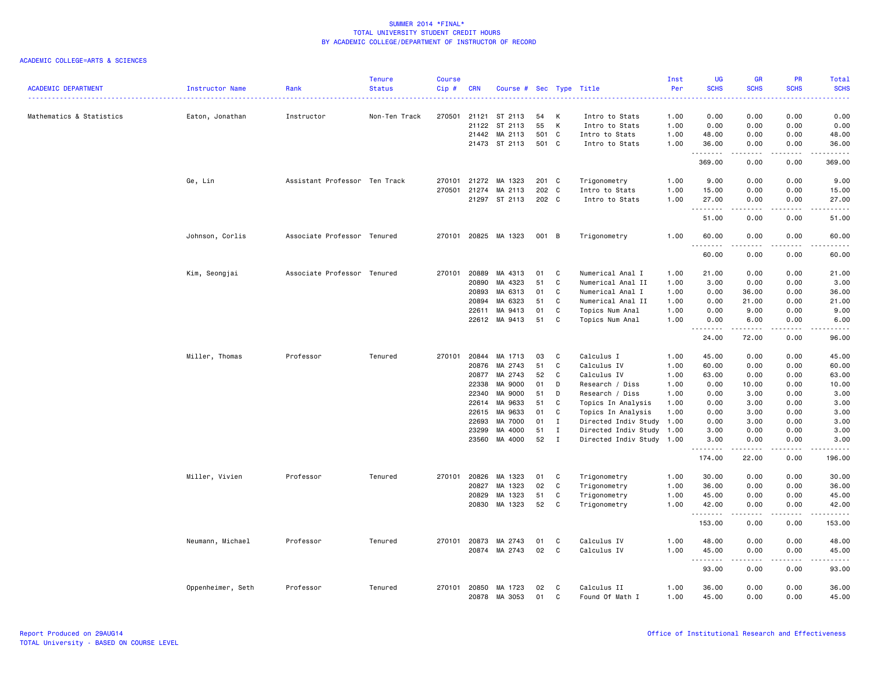| <b>ACADEMIC DEPARTMENT</b> | Instructor Name   | Rank                          | <b>Tenure</b><br><b>Status</b> | <b>Course</b><br>Cip# | <b>CRN</b>     | Course # Sec Type Title |          |              |                                       | Inst<br>Per  | UG<br><b>SCHS</b>        | <b>GR</b><br><b>SCHS</b> | PR<br><b>SCHS</b>                                                                                                                 | <b>Total</b><br><b>SCHS</b> |
|----------------------------|-------------------|-------------------------------|--------------------------------|-----------------------|----------------|-------------------------|----------|--------------|---------------------------------------|--------------|--------------------------|--------------------------|-----------------------------------------------------------------------------------------------------------------------------------|-----------------------------|
| Mathematics & Statistics   | Eaton, Jonathan   | Instructor                    | Non-Ten Track                  | 270501                | 21121          | ST 2113                 | 54       | К            | Intro to Stats                        | 1.00         | 0.00                     | 0.00                     | 0.00                                                                                                                              | 0.00                        |
|                            |                   |                               |                                |                       | 21122          | ST 2113                 | 55       | К            | Intro to Stats                        | 1.00         | 0.00                     | 0.00                     | 0.00                                                                                                                              | 0.00                        |
|                            |                   |                               |                                |                       | 21442          | MA 2113                 | 501      | $\mathbf{C}$ | Intro to Stats                        | 1.00         | 48.00                    | 0.00                     | 0.00                                                                                                                              | 48.00                       |
|                            |                   |                               |                                |                       |                | 21473 ST 2113           | 501 C    |              | Intro to Stats                        | 1.00         | 36.00<br>.               | 0.00                     | 0.00                                                                                                                              | 36.00<br>.                  |
|                            |                   |                               |                                |                       |                |                         |          |              |                                       |              | 369.00                   | 0.00                     | 0.00                                                                                                                              | 369.00                      |
|                            | Ge, Lin           | Assistant Professor Ten Track |                                | 270101                | 21272          | MA 1323                 | 201 C    |              | Trigonometry                          | 1.00         | 9.00                     | 0.00                     | 0.00                                                                                                                              | 9.00                        |
|                            |                   |                               |                                | 270501                | 21274          | MA 2113                 | 202 C    |              | Intro to Stats                        | 1.00         | 15.00                    | 0.00                     | 0.00                                                                                                                              | 15.00                       |
|                            |                   |                               |                                |                       | 21297          | ST 2113                 | 202 C    |              | Intro to Stats                        | 1.00         | 27.00<br>$\sim$ $\sim$ . | 0.00                     | 0.00                                                                                                                              | 27.00                       |
|                            |                   |                               |                                |                       |                |                         |          |              |                                       |              | 51.00                    | 0.00                     | 0.00                                                                                                                              | 51.00                       |
|                            | Johnson, Corlis   | Associate Professor Tenured   |                                | 270101                |                | 20825 MA 1323           | 001 B    |              | Trigonometry                          | 1.00         | 60.00<br>.               | 0.00                     | 0.00                                                                                                                              | 60.00<br>والمناصبات         |
|                            |                   |                               |                                |                       |                |                         |          |              |                                       |              | 60.00                    | 0.00                     | 0.00                                                                                                                              | 60.00                       |
|                            | Kim, Seongjai     | Associate Professor Tenured   |                                | 270101                | 20889          | MA 4313                 | 01       | C            | Numerical Anal I                      | 1.00         | 21.00                    | 0.00                     | 0.00                                                                                                                              | 21.00                       |
|                            |                   |                               |                                |                       | 20890          | MA 4323                 | 51       | C            | Numerical Anal II                     | 1.00         | 3.00                     | 0.00                     | 0.00                                                                                                                              | 3.00                        |
|                            |                   |                               |                                |                       | 20893          | MA 6313                 | 01       | C            | Numerical Anal I                      | 1.00         | 0.00                     | 36.00                    | 0.00                                                                                                                              | 36.00                       |
|                            |                   |                               |                                |                       | 20894          | MA 6323                 | 51       | C            | Numerical Anal II                     | 1.00         | 0.00                     | 21.00                    | 0.00                                                                                                                              | 21.00                       |
|                            |                   |                               |                                |                       | 22611          | MA 9413                 | 01       | C            | Topics Num Anal                       | 1.00         | 0.00                     | 9.00                     | 0.00                                                                                                                              | 9.00                        |
|                            |                   |                               |                                |                       |                | 22612 MA 9413           | 51       | C            | Topics Num Anal                       | 1.00         | 0.00<br>.                | 6.00                     | 0.00                                                                                                                              | 6.00                        |
|                            |                   |                               |                                |                       |                |                         |          |              |                                       |              | 24.00                    | 72.00                    | 0.00                                                                                                                              | 96.00                       |
|                            | Miller, Thomas    | Professor                     | Tenured                        | 270101                | 20844          | MA 1713                 | 03       | C            | Calculus I                            | 1.00         | 45.00                    | 0.00                     | 0.00                                                                                                                              | 45.00                       |
|                            |                   |                               |                                |                       | 20876          | MA 2743                 | 51       | C            | Calculus IV                           | 1.00         | 60.00                    | 0.00                     | 0.00                                                                                                                              | 60.00                       |
|                            |                   |                               |                                |                       | 20877          | MA 2743                 | 52       | C            | Calculus IV                           | 1.00         | 63.00                    | 0.00                     | 0.00                                                                                                                              | 63.00                       |
|                            |                   |                               |                                |                       | 22338<br>22340 | MA 9000<br>MA 9000      | 01<br>51 | D<br>D       | Research / Diss                       | 1.00<br>1.00 | 0.00<br>0.00             | 10.00<br>3.00            | 0.00<br>0.00                                                                                                                      | 10.00<br>3.00               |
|                            |                   |                               |                                |                       | 22614          | MA 9633                 | 51       | C            | Research / Diss<br>Topics In Analysis | 1.00         | 0.00                     | 3.00                     | 0.00                                                                                                                              | 3.00                        |
|                            |                   |                               |                                |                       | 22615          | MA 9633                 | 01       | C            | Topics In Analysis                    | 1.00         | 0.00                     | 3.00                     | 0.00                                                                                                                              | 3.00                        |
|                            |                   |                               |                                |                       | 22693          | MA 7000                 | 01       | $\mathbf I$  | Directed Indiv Study 1.00             |              | 0.00                     | 3.00                     | 0.00                                                                                                                              | 3.00                        |
|                            |                   |                               |                                |                       | 23299          | MA 4000                 | 51       | $\mathbf I$  | Directed Indiv Study 1.00             |              | 3.00                     | 0.00                     | 0.00                                                                                                                              | 3.00                        |
|                            |                   |                               |                                |                       | 23560          | MA 4000                 | 52       | $\mathbf I$  | Directed Indiv Study 1.00             |              | 3.00<br>.                | 0.00                     | 0.00                                                                                                                              | 3.00<br>.                   |
|                            |                   |                               |                                |                       |                |                         |          |              |                                       |              | 174.00                   | 22.00                    | 0.00                                                                                                                              | 196.00                      |
|                            | Miller, Vivien    | Professor                     | Tenured                        | 270101                | 20826          | MA 1323                 | 01       | C            | Trigonometry                          | 1.00         | 30.00                    | 0.00                     | 0.00                                                                                                                              | 30.00                       |
|                            |                   |                               |                                |                       | 20827          | MA 1323                 | 02       | C            | Trigonometry                          | 1.00         | 36.00                    | 0.00                     | 0.00                                                                                                                              | 36.00                       |
|                            |                   |                               |                                |                       | 20829          | MA 1323                 | 51       | C            | Trigonometry                          | 1.00         | 45.00                    | 0.00                     | 0.00                                                                                                                              | 45.00                       |
|                            |                   |                               |                                |                       | 20830          | MA 1323                 | 52       | C            | Trigonometry                          | 1.00         | 42.00<br>.               | 0.00<br>.                | 0.00<br>$\frac{1}{2} \left( \frac{1}{2} \right) \left( \frac{1}{2} \right) \left( \frac{1}{2} \right) \left( \frac{1}{2} \right)$ | 42.00<br>.                  |
|                            |                   |                               |                                |                       |                |                         |          |              |                                       |              | 153.00                   | 0.00                     | 0.00                                                                                                                              | 153.00                      |
|                            | Neumann, Michael  | Professor                     | Tenured                        | 270101                | 20873          | MA 2743                 | 01       | C            | Calculus IV                           | 1.00         | 48.00                    | 0.00                     | 0.00                                                                                                                              | 48.00                       |
|                            |                   |                               |                                |                       | 20874          | MA 2743                 | 02       | C            | Calculus IV                           | 1.00         | 45.00<br>.               | 0.00                     | 0.00<br>----                                                                                                                      | 45.00<br>$\frac{1}{2}$      |
|                            |                   |                               |                                |                       |                |                         |          |              |                                       |              | 93.00                    | 0.00                     | 0.00                                                                                                                              | 93.00                       |
|                            | Oppenheimer, Seth | Professor                     | Tenured                        |                       | 270101 20850   | MA 1723                 | 02       | C            | Calculus II                           | 1.00         | 36.00                    | 0.00                     | 0.00                                                                                                                              | 36.00                       |
|                            |                   |                               |                                |                       | 20878          | MA 3053                 | 01       | $\mathsf{C}$ | Found Of Math I                       | 1.00         | 45.00                    | 0.00                     | 0.00                                                                                                                              | 45.00                       |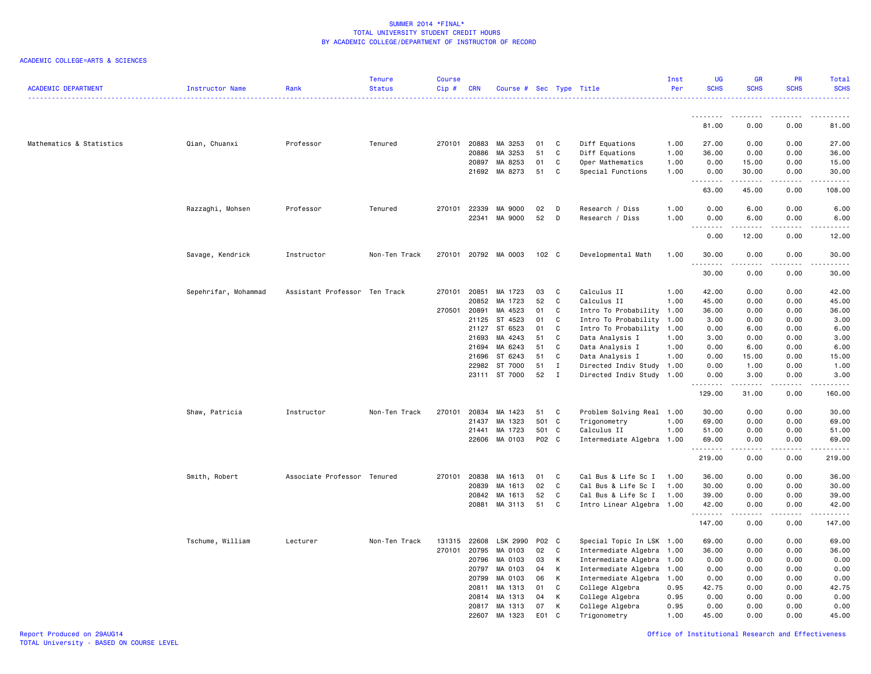| <b>ACADEMIC DEPARTMENT</b> | Instructor Name      | Rank                          | <b>Tenure</b><br><b>Status</b> | <b>Course</b><br>Cip# | <b>CRN</b> | Course # Sec Type Title |               |              |                           | Inst<br>Per  | UG<br><b>SCHS</b>                | <b>GR</b><br><b>SCHS</b> | <b>PR</b><br><b>SCHS</b>     | Total<br><b>SCHS</b> |
|----------------------------|----------------------|-------------------------------|--------------------------------|-----------------------|------------|-------------------------|---------------|--------------|---------------------------|--------------|----------------------------------|--------------------------|------------------------------|----------------------|
|                            |                      |                               |                                |                       |            |                         |               |              |                           |              | .<br>81.00                       | .<br>0.00                | $\sim$ $\sim$ $\sim$<br>0.00 | 81.00                |
|                            |                      |                               |                                |                       |            |                         |               |              |                           |              |                                  |                          |                              |                      |
| Mathematics & Statistics   | Qian, Chuanxi        | Professor                     | Tenured                        | 270101                | 20883      | MA 3253                 | 01            | C            | Diff Equations            | 1.00         | 27.00                            | 0.00                     | 0.00                         | 27.00                |
|                            |                      |                               |                                |                       | 20886      | MA 3253                 | 51            | C            | Diff Equations            | 1.00         | 36.00                            | 0.00                     | 0.00                         | 36.00                |
|                            |                      |                               |                                |                       | 20897      | MA 8253                 | 01            | C            | Oper Mathematics          | 1.00         | 0.00                             | 15.00                    | 0.00                         | 15.00                |
|                            |                      |                               |                                |                       | 21692      | MA 8273                 | 51            | C            | Special Functions         | 1.00         | 0.00<br>.                        | 30.00<br>.               | 0.00<br>.                    | 30.00<br>.           |
|                            |                      |                               |                                |                       |            |                         |               |              |                           |              | 63.00                            | 45.00                    | 0.00                         | 108.00               |
|                            | Razzaghi, Mohsen     | Professor                     | Tenured                        | 270101                | 22339      | MA 9000                 | 02            | D            | Research / Diss           | 1.00         | 0.00                             | 6.00                     | 0.00                         | 6.00                 |
|                            |                      |                               |                                |                       | 22341      | MA 9000                 | 52            | D            | Research / Diss           | 1.00         | 0.00                             | 6.00                     | 0.00                         | 6.00                 |
|                            |                      |                               |                                |                       |            |                         |               |              |                           |              | $\overline{\phantom{a}}$<br>0.00 | 12.00                    | 0.00                         | 12.00                |
|                            | Savage, Kendrick     | Instructor                    | Non-Ten Track                  | 270101                |            | 20792 MA 0003           | $102 \quad C$ |              | Developmental Math        | 1.00         | 30.00                            | 0.00                     | 0.00                         | 30.00                |
|                            |                      |                               |                                |                       |            |                         |               |              |                           |              | .<br>30.00                       | 0.00                     | 0.00                         | .<br>30.00           |
|                            | Sepehrifar, Mohammad | Assistant Professor Ten Track |                                | 270101                | 20851      | MA 1723                 | 03            | C            | Calculus II               | 1.00         | 42.00                            | 0.00                     | 0.00                         | 42.00                |
|                            |                      |                               |                                |                       | 20852      | MA 1723                 | 52            | C            | Calculus II               | 1.00         | 45.00                            | 0.00                     | 0.00                         | 45.00                |
|                            |                      |                               |                                | 270501 20891          |            | MA 4523                 | 01            | C            | Intro To Probability 1.00 |              | 36.00                            | 0.00                     | 0.00                         | 36.00                |
|                            |                      |                               |                                |                       | 21125      | ST 4523                 | 01            | C            | Intro To Probability 1.00 |              | 3.00                             | 0.00                     | 0.00                         | 3.00                 |
|                            |                      |                               |                                |                       | 21127      | ST 6523                 | 01            | C            | Intro To Probability 1.00 |              | 0.00                             | 6.00                     | 0.00                         | 6.00                 |
|                            |                      |                               |                                |                       | 21693      | MA 4243                 | 51            | C            | Data Analysis I           | 1.00         | 3.00                             | 0.00                     | 0.00                         | 3.00                 |
|                            |                      |                               |                                |                       | 21694      | MA 6243                 | 51            | C            | Data Analysis I           | 1.00         | 0.00                             | 6.00                     | 0.00                         | 6.00                 |
|                            |                      |                               |                                |                       | 21696      | ST 6243                 | 51            | C            | Data Analysis I           | 1.00         | 0.00                             | 15.00                    | 0.00                         | 15.00                |
|                            |                      |                               |                                |                       | 22982      | ST 7000                 | 51            | $\mathbf I$  | Directed Indiv Study 1.00 |              | 0.00                             | 1.00                     | 0.00                         | 1.00                 |
|                            |                      |                               |                                |                       |            | 23111 ST 7000           | 52            | $\mathbf I$  | Directed Indiv Study 1.00 |              | 0.00                             | 3.00                     | 0.00                         | 3.00                 |
|                            |                      |                               |                                |                       |            |                         |               |              |                           |              | 129.00                           | 31.00                    | 0.00                         | 160.00               |
|                            | Shaw, Patricia       | Instructor                    | Non-Ten Track                  | 270101                | 20834      | MA 1423                 | 51            | C            | Problem Solving Real 1.00 |              | 30.00                            | 0.00                     | 0.00                         | 30.00                |
|                            |                      |                               |                                |                       | 21437      | MA 1323                 | 501           | C            | Trigonometry              | 1.00         | 69.00                            | 0.00                     | 0.00                         | 69.00                |
|                            |                      |                               |                                |                       | 21441      | MA 1723                 | 501           | C            | Calculus II               | 1.00         | 51.00                            | 0.00                     | 0.00                         | 51.00                |
|                            |                      |                               |                                |                       | 22606      | MA 0103                 | P02 C         |              | Intermediate Algebra 1.00 |              | 69.00<br>.                       | 0.00<br>.                | 0.00<br>$\frac{1}{2}$        | 69.00<br>.           |
|                            |                      |                               |                                |                       |            |                         |               |              |                           |              | 219.00                           | 0.00                     | 0.00                         | 219.00               |
|                            | Smith, Robert        | Associate Professor Tenured   |                                | 270101                | 20838      | MA 1613                 | 01            | C            | Cal Bus & Life Sc I       | 1.00         | 36.00                            | 0.00                     | 0.00                         | 36.00                |
|                            |                      |                               |                                |                       | 20839      | MA 1613                 | 02            | $\mathtt{C}$ | Cal Bus & Life Sc I       | 1.00         | 30.00                            | 0.00                     | 0.00                         | 30.00                |
|                            |                      |                               |                                |                       | 20842      | MA 1613                 | 52            | C            | Cal Bus & Life Sc I       | 1.00         | 39.00                            | 0.00                     | 0.00                         | 39.00                |
|                            |                      |                               |                                |                       | 20881      | MA 3113                 | 51            | C            | Intro Linear Algebra 1.00 |              | 42.00<br>.                       | 0.00<br>-----            | 0.00<br>$\sim$ $\sim$ $\sim$ | 42.00<br><u>.</u>    |
|                            |                      |                               |                                |                       |            |                         |               |              |                           |              | 147.00                           | 0.00                     | 0.00                         | 147.00               |
|                            | Tschume, William     | Lecturer                      | Non-Ten Track                  | 131315                | 22608      | LSK 2990                | P02           | C            | Special Topic In LSK 1.00 |              | 69.00                            | 0.00                     | 0.00                         | 69.00                |
|                            |                      |                               |                                | 270101                | 20795      | MA 0103                 | 02            | C            | Intermediate Algebra 1.00 |              | 36.00                            | 0.00                     | 0.00                         | 36.00                |
|                            |                      |                               |                                |                       | 20796      | MA 0103                 | 03            | К            | Intermediate Algebra 1.00 |              | 0.00                             | 0.00                     | 0.00                         | 0.00                 |
|                            |                      |                               |                                |                       | 20797      | MA 0103                 | 04            | K            | Intermediate Algebra 1.00 |              | 0.00                             | 0.00                     | 0.00                         | 0.00                 |
|                            |                      |                               |                                |                       | 20799      | MA 0103                 | 06            | K            | Intermediate Algebra 1.00 |              | 0.00                             | 0.00                     | 0.00                         | 0.00                 |
|                            |                      |                               |                                |                       | 20811      | MA 1313                 | 01            | C            | College Algebra           | 0.95         | 42.75                            | 0.00                     | 0.00                         | 42.75                |
|                            |                      |                               |                                |                       | 20814      | MA 1313                 | 04            | K            | College Algebra           | 0.95         | 0.00                             | 0.00                     | 0.00                         | 0.00                 |
|                            |                      |                               |                                |                       | 20817      | MA 1313                 | 07            | К<br>C       | College Algebra           | 0.95<br>1.00 | 0.00<br>45.00                    | 0.00<br>0.00             | 0.00<br>0.00                 | 0.00<br>45.00        |
|                            |                      |                               |                                |                       | 22607      | MA 1323                 | E01           |              | Trigonometry              |              |                                  |                          |                              |                      |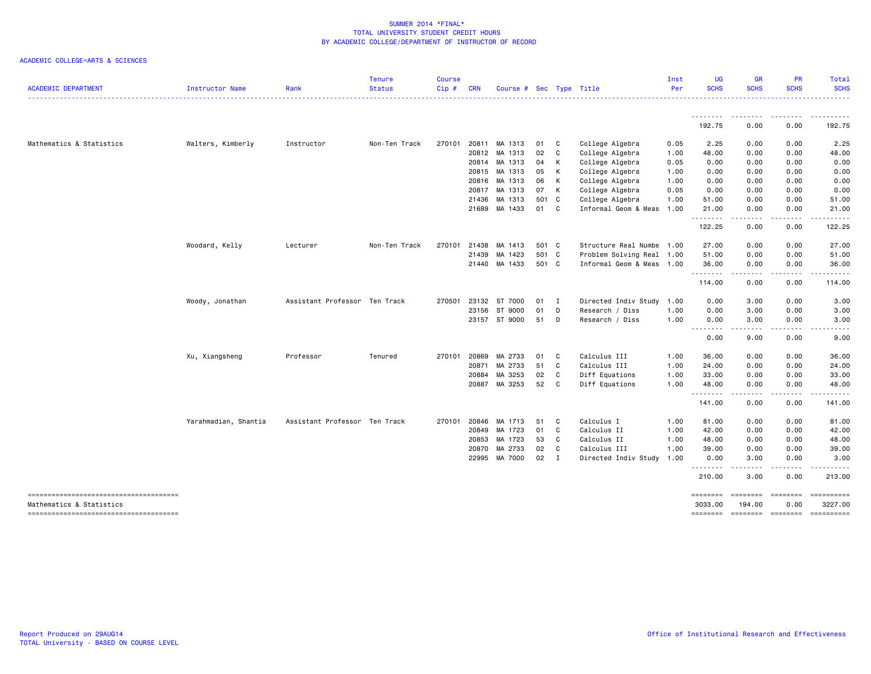| <b>ACADEMIC DEPARTMENT</b>                                        | Instructor Name      | Rank                          | <b>Tenure</b><br><b>Status</b> | <b>Course</b><br>$Cip \#$ | <b>CRN</b> | Course # Sec Type Title |       |              |                           | Inst<br>Per | <b>UG</b><br><b>SCHS</b>  | <b>GR</b><br><b>SCHS</b>                                                                                                          | PR<br><b>SCHS</b>                                                                                                                                            | <b>Total</b><br><b>SCHS</b> |
|-------------------------------------------------------------------|----------------------|-------------------------------|--------------------------------|---------------------------|------------|-------------------------|-------|--------------|---------------------------|-------------|---------------------------|-----------------------------------------------------------------------------------------------------------------------------------|--------------------------------------------------------------------------------------------------------------------------------------------------------------|-----------------------------|
|                                                                   |                      |                               |                                |                           |            |                         |       |              |                           |             | <u>.</u>                  | -----                                                                                                                             |                                                                                                                                                              | .<br>.                      |
|                                                                   |                      |                               |                                |                           |            |                         |       |              |                           |             | 192.75                    | 0.00                                                                                                                              | 0.00                                                                                                                                                         | 192.75                      |
| Mathematics & Statistics                                          | Walters, Kimberly    | Instructor                    | Non-Ten Track                  |                           |            | 270101 20811 MA 1313    | 01    | C            | College Algebra           | 0.05        | 2.25                      | 0.00                                                                                                                              | 0.00                                                                                                                                                         | 2.25                        |
|                                                                   |                      |                               |                                |                           | 20812      | MA 1313                 | 02    | C            | College Algebra           | 1.00        | 48.00                     | 0.00                                                                                                                              | 0.00                                                                                                                                                         | 48.00                       |
|                                                                   |                      |                               |                                |                           |            | 20814 MA 1313           | 04    | K            | College Algebra           | 0.05        | 0.00                      | 0.00                                                                                                                              | 0.00                                                                                                                                                         | 0.00                        |
|                                                                   |                      |                               |                                |                           | 20815      | MA 1313                 | 05    | K            | College Algebra           | 1.00        | 0.00                      | 0.00                                                                                                                              | 0.00                                                                                                                                                         | 0.00                        |
|                                                                   |                      |                               |                                |                           | 20816      | MA 1313                 | 06    | K            | College Algebra           | 1.00        | 0.00                      | 0.00                                                                                                                              | 0.00                                                                                                                                                         | 0.00                        |
|                                                                   |                      |                               |                                |                           | 20817      | MA 1313                 | 07    | K            | College Algebra           | 0.05        | 0.00                      | 0.00                                                                                                                              | 0.00                                                                                                                                                         | 0.00                        |
|                                                                   |                      |                               |                                |                           | 21436      | MA 1313                 | 501   | C            | College Algebra           | 1.00        | 51.00                     | 0.00                                                                                                                              | 0.00                                                                                                                                                         | 51.00                       |
|                                                                   |                      |                               |                                |                           |            | 21689 MA 1433           | 01    | C            | Informal Geom & Meas      | 1.00        | 21.00<br>.                | 0.00<br>$\frac{1}{2} \left( \frac{1}{2} \right) \left( \frac{1}{2} \right) \left( \frac{1}{2} \right) \left( \frac{1}{2} \right)$ | 0.00<br>.                                                                                                                                                    | 21.00                       |
|                                                                   |                      |                               |                                |                           |            |                         |       |              |                           |             | 122.25                    | 0.00                                                                                                                              | 0.00                                                                                                                                                         | 122.25                      |
|                                                                   | Woodard, Kelly       | Lecturer                      | Non-Ten Track                  | 270101                    | 21438      | MA 1413                 | 501 C |              | Structure Real Numbe 1.00 |             | 27.00                     | 0.00                                                                                                                              | 0.00                                                                                                                                                         | 27.00                       |
|                                                                   |                      |                               |                                |                           | 21439      | MA 1423                 | 501 C |              | Problem Solving Real      | 1.00        | 51.00                     | 0.00                                                                                                                              | 0.00                                                                                                                                                         | 51.00                       |
|                                                                   |                      |                               |                                |                           |            | 21440 MA 1433           | 501 C |              | Informal Geom & Meas 1.00 |             | 36.00                     | 0.00                                                                                                                              | 0.00                                                                                                                                                         | 36.00                       |
|                                                                   |                      |                               |                                |                           |            |                         |       |              |                           |             | <u>.</u><br>114.00        | $\frac{1}{2} \left( \frac{1}{2} \right) \left( \frac{1}{2} \right) \left( \frac{1}{2} \right) \left( \frac{1}{2} \right)$<br>0.00 | .<br>0.00                                                                                                                                                    | 114.00                      |
|                                                                   | Woody, Jonathan      | Assistant Professor Ten Track |                                | 270501                    |            | 23132 ST 7000           | 01    | $\mathbf{I}$ | Directed Indiv Study      | 1.00        | 0.00                      | 3.00                                                                                                                              | 0.00                                                                                                                                                         | 3.00                        |
|                                                                   |                      |                               |                                |                           |            | 23156 ST 9000           | 01    | D            | Research / Diss           | 1.00        | 0.00                      | 3.00                                                                                                                              | 0.00                                                                                                                                                         | 3.00                        |
|                                                                   |                      |                               |                                |                           |            | 23157 ST 9000           | 51    | D            | Research / Diss           | 1.00        | 0.00                      | 3.00                                                                                                                              | 0.00                                                                                                                                                         | 3.00                        |
|                                                                   |                      |                               |                                |                           |            |                         |       |              |                           |             | .<br>0.00                 | .<br>9.00                                                                                                                         | 0.00                                                                                                                                                         | 9.00                        |
|                                                                   | Xu, Xiangsheng       | Professor                     | Tenured                        | 270101                    | 20869      | MA 2733                 | 01    | C            | Calculus III              | 1.00        | 36.00                     | 0.00                                                                                                                              | 0.00                                                                                                                                                         | 36.00                       |
|                                                                   |                      |                               |                                |                           | 20871      | MA 2733                 | 51    | C            | Calculus III              | 1.00        | 24.00                     | 0.00                                                                                                                              | 0.00                                                                                                                                                         | 24.00                       |
|                                                                   |                      |                               |                                |                           | 20884      | MA 3253                 | 02    | C            | Diff Equations            | 1.00        | 33.00                     | 0.00                                                                                                                              | 0.00                                                                                                                                                         | 33.00                       |
|                                                                   |                      |                               |                                |                           |            | 20887 MA 3253           | 52    | C            | Diff Equations            | 1.00        | 48.00                     | 0.00                                                                                                                              | 0.00                                                                                                                                                         | 48.00                       |
|                                                                   |                      |                               |                                |                           |            |                         |       |              |                           |             | .<br>141.00               | .<br>0.00                                                                                                                         | $\frac{1}{2} \left( \frac{1}{2} \right) \left( \frac{1}{2} \right) \left( \frac{1}{2} \right) \left( \frac{1}{2} \right) \left( \frac{1}{2} \right)$<br>0.00 | .<br>141.00                 |
|                                                                   | Yarahmadian, Shantia | Assistant Professor Ten Track |                                | 270101                    | 20846      | MA 1713                 | 51    | C            | Calculus I                | 1.00        | 81.00                     | 0.00                                                                                                                              | 0.00                                                                                                                                                         | 81.00                       |
|                                                                   |                      |                               |                                |                           | 20849      | MA 1723                 | 01    | C            | Calculus II               | 1.00        | 42.00                     | 0.00                                                                                                                              | 0.00                                                                                                                                                         | 42.00                       |
|                                                                   |                      |                               |                                |                           | 20853      | MA 1723                 | 53    | C            | Calculus II               | 1.00        | 48.00                     | 0.00                                                                                                                              | 0.00                                                                                                                                                         | 48.00                       |
|                                                                   |                      |                               |                                |                           | 20870      | MA 2733                 | 02    | C            | Calculus III              | 1.00        | 39.00                     | 0.00                                                                                                                              | 0.00                                                                                                                                                         | 39.00                       |
|                                                                   |                      |                               |                                |                           |            | 22995 MA 7000           | 02    | $\mathbf{I}$ | Directed Indiv Study      | 1.00        | 0.00                      | 3.00                                                                                                                              | 0.00                                                                                                                                                         | 3.00                        |
|                                                                   |                      |                               |                                |                           |            |                         |       |              |                           |             | - - - - - - - -<br>210.00 | .<br>3.00                                                                                                                         | 0.00                                                                                                                                                         | 213.00                      |
| -------------------------------------<br>Mathematics & Statistics |                      |                               |                                |                           |            |                         |       |              |                           |             | ========<br>3033,00       | <b>EBBEEBE</b><br>194.00                                                                                                          | <b>EBBEEBEE</b><br>0.00                                                                                                                                      | ==========<br>3227.00       |
| -------------------------------------                             |                      |                               |                                |                           |            |                         |       |              |                           |             | ========                  | ========                                                                                                                          | $= 222222222$                                                                                                                                                | ==========                  |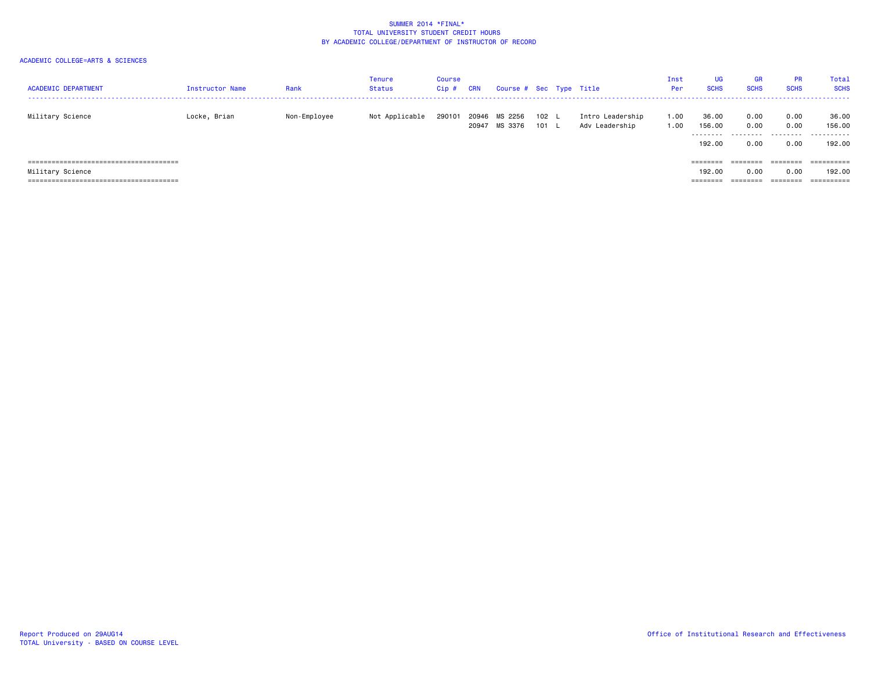| <b>ACADEMIC DEPARTMENT</b> | Instructor Name | Rank         | Tenure<br>Status | <b>Course</b><br>$Cip$ # | <b>CRN</b>     | Course # Sec Type Title |                |                                    | Inst<br>Per  | <b>UG</b><br><b>SCHS</b>                                                | <b>GR</b><br><b>SCHS</b>  | <b>PR</b><br><b>SCHS</b>  | Total<br><b>SCHS</b>           |
|----------------------------|-----------------|--------------|------------------|--------------------------|----------------|-------------------------|----------------|------------------------------------|--------------|-------------------------------------------------------------------------|---------------------------|---------------------------|--------------------------------|
| Military Science           | Locke, Brian    | Non-Employee | Not Applicable   | 290101                   | 20946<br>20947 | MS 2256<br>MS 3376      | 102 L<br>101 L | Intro Leadership<br>Adv Leadership | 1.00<br>1.00 | 36.00<br>156.00<br>.<br>192.00                                          | 0.00<br>0.00<br>.<br>0.00 | 0.00<br>0.00<br>.<br>0.00 | 36.00<br>156,00<br>.<br>192,00 |
|                            |                 |              |                  |                          |                |                         |                |                                    |              | $\qquad \qquad \equiv \equiv \equiv \equiv \equiv \equiv \equiv \equiv$ | ========                  | ========                  | ==========                     |
| Military Science           |                 |              |                  |                          |                |                         |                |                                    |              | 192.00                                                                  | 0.00                      | 0.00                      | 192.00                         |
|                            |                 |              |                  |                          |                |                         |                |                                    |              | ========                                                                | ________                  | --------<br>----          | $=$ = = = = = = = = =          |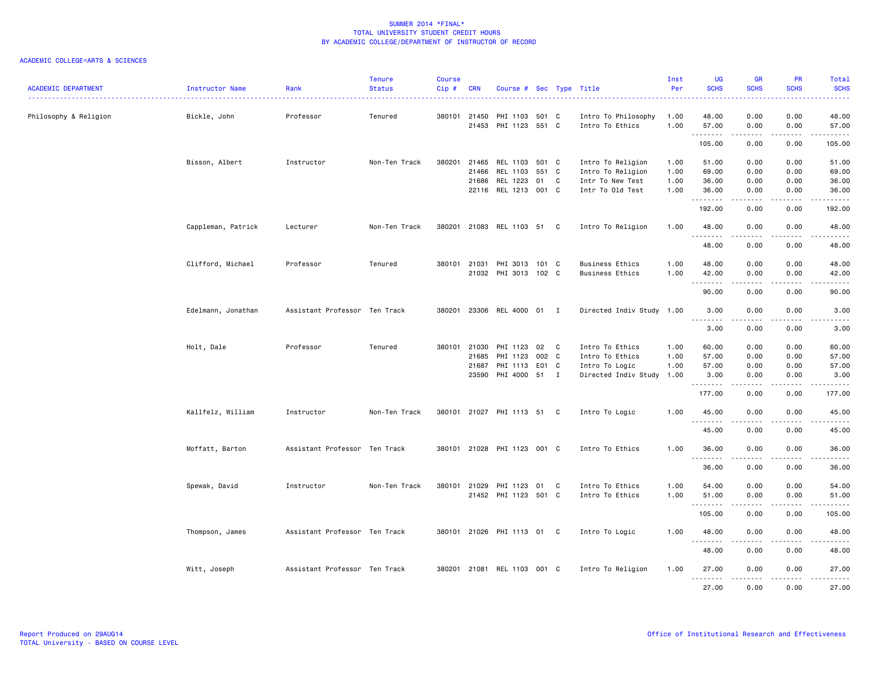| <b>ACADEMIC DEPARTMENT</b> | Instructor Name    | Rank                          | <b>Tenure</b><br><b>Status</b> | <b>Course</b><br>Cip# | <b>CRN</b>                       | Course # Sec Type Title                                 |               |   |                                                                                   | Inst<br>Per          | <b>UG</b><br><b>SCHS</b>                       | <b>GR</b><br><b>SCHS</b>                                                                                                                                             | <b>PR</b><br><b>SCHS</b>                                     | <b>Total</b><br><b>SCHS</b><br>-----                                                                                                                         |
|----------------------------|--------------------|-------------------------------|--------------------------------|-----------------------|----------------------------------|---------------------------------------------------------|---------------|---|-----------------------------------------------------------------------------------|----------------------|------------------------------------------------|----------------------------------------------------------------------------------------------------------------------------------------------------------------------|--------------------------------------------------------------|--------------------------------------------------------------------------------------------------------------------------------------------------------------|
| Philosophy & Religion      | Bickle, John       | Professor                     | Tenured                        | 380101                | 21450<br>21453                   | PHI 1103 501 C<br>PHI 1123 551 C                        |               |   | Intro To Philosophy<br>Intro To Ethics                                            | 1.00<br>1.00         | 48.00<br>57.00                                 | 0.00<br>0.00                                                                                                                                                         | 0.00<br>0.00                                                 | 48.00<br>57.00                                                                                                                                               |
|                            |                    |                               |                                |                       |                                  |                                                         |               |   |                                                                                   |                      | .<br>105.00                                    | -----<br>0.00                                                                                                                                                        | .<br>0.00                                                    | .<br>105.00                                                                                                                                                  |
|                            | Bisson, Albert     | Instructor                    | Non-Ten Track                  | 380201                | 21465<br>21466<br>21686          | REL 1103 501 C<br>REL 1103<br>REL 1223                  | 551 C<br>01   | C | Intro To Religion<br>Intro To Religion<br>Intr To New Test                        | 1.00<br>1.00<br>1.00 | 51.00<br>69.00<br>36.00                        | 0.00<br>0.00<br>0.00                                                                                                                                                 | 0.00<br>0.00<br>0.00                                         | 51.00<br>69.00<br>36.00                                                                                                                                      |
|                            |                    |                               |                                |                       | 22116                            | REL 1213                                                | 001 C         |   | Intr To Old Test                                                                  | 1.00                 | 36.00<br>.                                     | 0.00                                                                                                                                                                 | 0.00<br>- - - -                                              | 36.00<br><u>.</u>                                                                                                                                            |
|                            |                    |                               |                                |                       |                                  |                                                         |               |   |                                                                                   |                      | 192.00                                         | 0.00                                                                                                                                                                 | 0.00                                                         | 192.00                                                                                                                                                       |
|                            | Cappleman, Patrick | Lecturer                      | Non-Ten Track                  | 380201                |                                  | 21083 REL 1103 51                                       |               | C | Intro To Religion                                                                 | 1.00                 | 48.00<br>.                                     | 0.00<br>-----                                                                                                                                                        | 0.00                                                         | 48.00<br>.                                                                                                                                                   |
|                            |                    |                               |                                |                       |                                  |                                                         |               |   |                                                                                   |                      | 48.00                                          | 0.00                                                                                                                                                                 | 0.00                                                         | 48.00                                                                                                                                                        |
|                            | Clifford, Michael  | Professor                     | Tenured                        |                       | 380101 21031                     | PHI 3013 101 C<br>21032 PHI 3013 102 C                  |               |   | <b>Business Ethics</b><br><b>Business Ethics</b>                                  | 1.00<br>1.00         | 48.00<br>42.00<br>.                            | 0.00<br>0.00<br>المتمام المتناور                                                                                                                                     | 0.00<br>0.00<br>$- - - -$                                    | 48.00<br>42.00<br>.                                                                                                                                          |
|                            |                    |                               |                                |                       |                                  |                                                         |               |   |                                                                                   |                      | 90.00                                          | 0.00                                                                                                                                                                 | 0.00                                                         | 90.00                                                                                                                                                        |
|                            | Edelmann, Jonathan | Assistant Professor Ten Track |                                | 380201                |                                  | 23306 REL 4000 01 I                                     |               |   | Directed Indiv Study 1.00                                                         |                      | 3.00<br>. <b>.</b>                             | 0.00<br>.                                                                                                                                                            | 0.00                                                         | 3.00<br>$\frac{1}{2} \left( \frac{1}{2} \right) \left( \frac{1}{2} \right) \left( \frac{1}{2} \right) \left( \frac{1}{2} \right) \left( \frac{1}{2} \right)$ |
|                            |                    |                               |                                |                       |                                  |                                                         |               |   |                                                                                   |                      | 3.00                                           | 0.00                                                                                                                                                                 | 0.00                                                         | 3.00                                                                                                                                                         |
|                            | Holt, Dale         | Professor                     | Tenured                        | 380101                | 21030<br>21685<br>21687<br>23590 | PHI 1123<br>PHI 1123<br>PHI 1113 E01 C<br>PHI 4000 51 I | 02 C<br>002 C |   | Intro To Ethics<br>Intro To Ethics<br>Intro To Logic<br>Directed Indiv Study 1.00 | 1.00<br>1.00<br>1.00 | 60.00<br>57.00<br>57.00<br>3.00<br>.<br>177.00 | 0.00<br>0.00<br>0.00<br>0.00<br>0.00                                                                                                                                 | 0.00<br>0.00<br>0.00<br>0.00<br>$\sim$ $\sim$ $\sim$<br>0.00 | 60.00<br>57.00<br>57.00<br>3.00<br>.<br>177.00                                                                                                               |
|                            | Kallfelz, William  | Instructor                    | Non-Ten Track                  |                       |                                  | 380101 21027 PHI 1113 51 C                              |               |   | Intro To Logic                                                                    | 1.00                 | 45.00                                          | 0.00                                                                                                                                                                 | 0.00                                                         | 45.00                                                                                                                                                        |
|                            |                    |                               |                                |                       |                                  |                                                         |               |   |                                                                                   |                      | . <b>.</b><br>45.00                            | .<br>0.00                                                                                                                                                            | $- - - -$<br>0.00                                            | .<br>45.00                                                                                                                                                   |
|                            | Moffatt, Barton    | Assistant Professor Ten Track |                                |                       |                                  | 380101 21028 PHI 1123 001 C                             |               |   | Intro To Ethics                                                                   | 1.00                 | 36.00                                          | 0.00                                                                                                                                                                 | 0.00                                                         | 36.00                                                                                                                                                        |
|                            |                    |                               |                                |                       |                                  |                                                         |               |   |                                                                                   |                      | $- - -$<br>36.00                               | 0.00                                                                                                                                                                 | 0.00                                                         | 36.00                                                                                                                                                        |
|                            | Spewak, David      | Instructor                    | Non-Ten Track                  |                       | 380101 21029                     | PHI 1123 01 C<br>21452 PHI 1123 501 C                   |               |   | Intro To Ethics<br>Intro To Ethics                                                | 1.00<br>1.00         | 54.00<br>51.00                                 | 0.00<br>0.00<br>$\frac{1}{2} \left( \frac{1}{2} \right) \left( \frac{1}{2} \right) \left( \frac{1}{2} \right) \left( \frac{1}{2} \right) \left( \frac{1}{2} \right)$ | 0.00<br>0.00<br>.                                            | 54.00<br>51.00<br>.                                                                                                                                          |
|                            |                    |                               |                                |                       |                                  |                                                         |               |   |                                                                                   |                      | 105.00                                         | 0.00                                                                                                                                                                 | 0.00                                                         | 105.00                                                                                                                                                       |
|                            | Thompson, James    | Assistant Professor Ten Track |                                |                       |                                  | 380101 21026 PHI 1113 01 C                              |               |   | Intro To Logic                                                                    | 1.00                 | 48.00                                          | 0.00                                                                                                                                                                 | 0.00                                                         | 48.00                                                                                                                                                        |
|                            |                    |                               |                                |                       |                                  |                                                         |               |   |                                                                                   |                      | 48.00                                          | 0.00                                                                                                                                                                 | 0.00                                                         | 48.00                                                                                                                                                        |
|                            | Witt, Joseph       | Assistant Professor Ten Track |                                |                       |                                  | 380201 21081 REL 1103 001 C                             |               |   | Intro To Religion                                                                 | 1.00                 | 27.00                                          | 0.00                                                                                                                                                                 | 0.00                                                         | 27.00                                                                                                                                                        |
|                            |                    |                               |                                |                       |                                  |                                                         |               |   |                                                                                   |                      | .<br>27.00                                     | 0.00                                                                                                                                                                 | 0.00                                                         | .<br>27.00                                                                                                                                                   |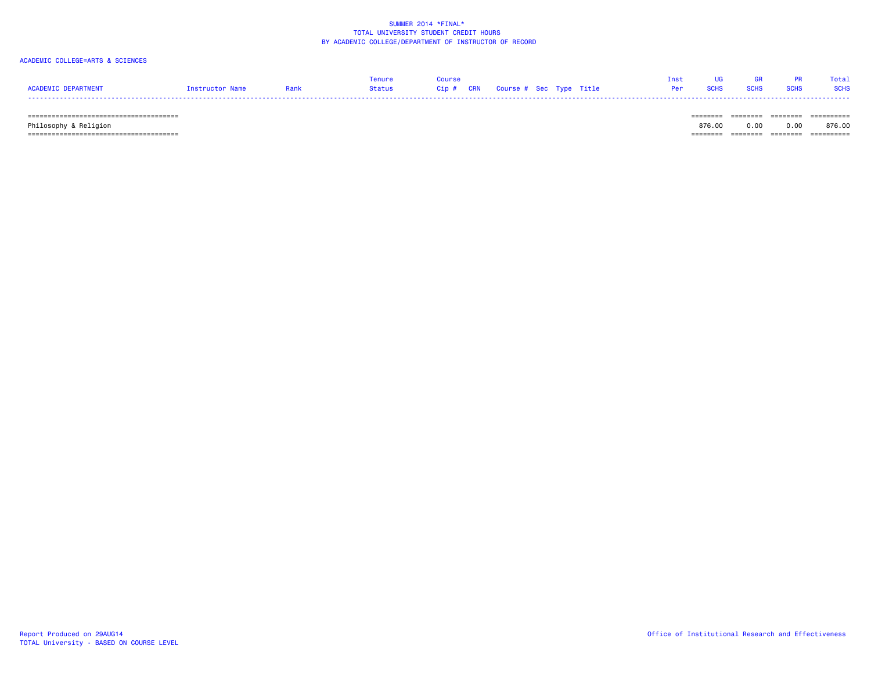## ACADEMIC COLLEGE=ARTS & SCIENCES

|                     |                 |      | Tenure | Course |                                |  | Inst UG GR PR Total |  |
|---------------------|-----------------|------|--------|--------|--------------------------------|--|---------------------|--|
| ACADEMIC DEPARTMENT | Instructor Name | Rank |        |        | <b>Per SCHS SCHS SCHS SCHS</b> |  |                     |  |
|                     |                 |      |        |        |                                |  |                     |  |

====================================== ======== ======== ======== ==========

====================================== ======== ======== ======== ==========

Philosophy & Religion 876.00 0.00 0.00 876.00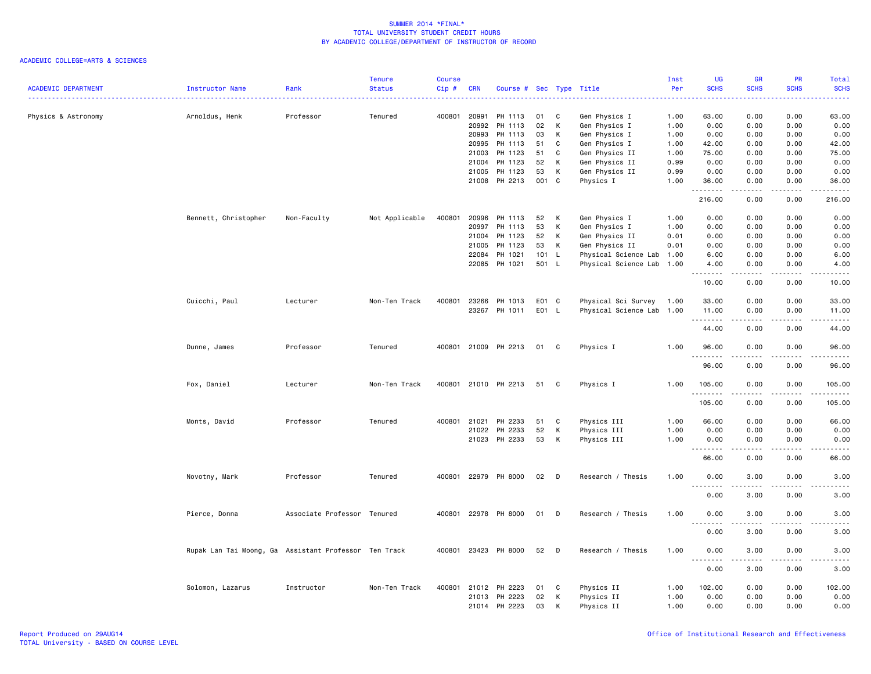| <b>ACADEMIC DEPARTMENT</b> | Instructor Name                                       | Rank                        | <b>Tenure</b><br><b>Status</b> | <b>Course</b><br>Cip# | <b>CRN</b> | Course # Sec Type Title |       |              |                           | Inst<br>Per | UG<br><b>SCHS</b>                                        | GR<br><b>SCHS</b> | PR<br><b>SCHS</b> | <b>Total</b><br><b>SCHS</b><br>2222 |
|----------------------------|-------------------------------------------------------|-----------------------------|--------------------------------|-----------------------|------------|-------------------------|-------|--------------|---------------------------|-------------|----------------------------------------------------------|-------------------|-------------------|-------------------------------------|
| Physics & Astronomy        | Arnoldus, Henk                                        | Professor                   | Tenured                        | 400801                | 20991      | PH 1113                 | 01    | C            | Gen Physics I             | 1.00        | 63.00                                                    | 0.00              | 0.00              | 63.00                               |
|                            |                                                       |                             |                                |                       | 20992      | PH 1113                 | 02    | Κ            | Gen Physics I             | 1.00        | 0.00                                                     | 0.00              | 0.00              | 0.00                                |
|                            |                                                       |                             |                                |                       | 20993      | PH 1113                 | 03    | К            | Gen Physics I             | 1.00        | 0.00                                                     | 0.00              | 0.00              | 0.00                                |
|                            |                                                       |                             |                                |                       | 20995      | PH 1113                 | 51    | C            | Gen Physics I             | 1.00        | 42.00                                                    | 0.00              | 0.00              | 42.00                               |
|                            |                                                       |                             |                                |                       | 21003      | PH 1123                 | 51    | C            | Gen Physics II            | 1.00        | 75.00                                                    | 0.00              | 0.00              | 75.00                               |
|                            |                                                       |                             |                                |                       | 21004      | PH 1123                 | 52    | К            | Gen Physics II            | 0.99        | 0.00                                                     | 0.00              | 0.00              | 0.00                                |
|                            |                                                       |                             |                                |                       | 21005      | PH 1123                 | 53    | К            | Gen Physics II            | 0.99        | 0.00                                                     | 0.00              | 0.00              | 0.00                                |
|                            |                                                       |                             |                                |                       | 21008      | PH 2213                 | 001   | C            | Physics I                 | 1.00        | 36.00<br>.                                               | 0.00              | 0.00<br>المتمامين | 36.00                               |
|                            |                                                       |                             |                                |                       |            |                         |       |              |                           |             | 216.00                                                   | 0.00              | 0.00              | 216.00                              |
|                            | Bennett, Christopher                                  | Non-Faculty                 | Not Applicable                 | 400801                | 20996      | PH 1113                 | 52    | Κ            | Gen Physics I             | 1.00        | 0.00                                                     | 0.00              | 0.00              | 0.00                                |
|                            |                                                       |                             |                                |                       | 20997      | PH 1113                 | 53    | К            | Gen Physics I             | 1.00        | 0.00                                                     | 0.00              | 0.00              | 0.00                                |
|                            |                                                       |                             |                                |                       | 21004      | PH 1123                 | 52    | К            | Gen Physics II            | 0.01        | 0.00                                                     | 0.00              | 0.00              | 0.00                                |
|                            |                                                       |                             |                                |                       | 21005      | PH 1123                 | 53    | Κ            | Gen Physics II            | 0.01        | 0.00                                                     | 0.00              | 0.00              | 0.00                                |
|                            |                                                       |                             |                                |                       | 22084      | PH 1021                 | 101   | $\mathsf{L}$ | Physical Science Lab 1.00 |             | 6.00                                                     | 0.00              | 0.00              | 6.00                                |
|                            |                                                       |                             |                                |                       | 22085      | PH 1021                 | 501 L |              | Physical Science Lab 1.00 |             | 4.00<br><u>.</u>                                         | 0.00<br>.         | 0.00<br>.         | 4.00<br>$- - - -$                   |
|                            |                                                       |                             |                                |                       |            |                         |       |              |                           |             | 10.00                                                    | 0.00              | 0.00              | 10.00                               |
|                            | Cuicchi, Paul                                         | Lecturer                    | Non-Ten Track                  | 400801                | 23266      | PH 1013                 | E01 C |              | Physical Sci Survey       | 1.00        | 33.00                                                    | 0.00              | 0.00              | 33.00                               |
|                            |                                                       |                             |                                |                       | 23267      | PH 1011                 | E01 L |              | Physical Science Lab 1.00 |             | 11.00                                                    | 0.00              | 0.00              | 11.00                               |
|                            |                                                       |                             |                                |                       |            |                         |       |              |                           |             | .<br>44.00                                               | 0.00              | 0.00              | 44.00                               |
|                            | Dunne, James                                          | Professor                   | Tenured                        |                       |            | 400801 21009 PH 2213    | 01    | C            | Physics I                 | 1.00        | 96.00                                                    | 0.00              | 0.00              | 96.00                               |
|                            |                                                       |                             |                                |                       |            |                         |       |              |                           |             | .<br>96.00                                               | 0.00              | 0.00              | 96.00                               |
|                            | Fox, Daniel                                           | Lecturer                    | Non-Ten Track                  |                       |            | 400801 21010 PH 2213    | 51    | C            | Physics I                 | 1.00        | 105.00                                                   | 0.00              | 0.00              | 105.00                              |
|                            |                                                       |                             |                                |                       |            |                         |       |              |                           |             | .<br>105.00                                              | .<br>0.00         | 0.00              | .<br>105.00                         |
|                            | Monts, David                                          | Professor                   | Tenured                        | 400801                | 21021      | PH 2233                 | 51    | C            | Physics III               | 1.00        | 66.00                                                    | 0.00              | 0.00              | 66.00                               |
|                            |                                                       |                             |                                |                       | 21022      | PH 2233                 | 52    | К            | Physics III               | 1.00        | 0.00                                                     | 0.00              | 0.00              | 0.00                                |
|                            |                                                       |                             |                                |                       |            | 21023 PH 2233           | 53    | Κ            | Physics III               | 1.00        | 0.00                                                     | 0.00              | 0.00              | 0.00                                |
|                            |                                                       |                             |                                |                       |            |                         |       |              |                           |             | .                                                        |                   | .                 | .                                   |
|                            |                                                       |                             |                                |                       |            |                         |       |              |                           |             | 66.00                                                    | 0.00              | 0.00              | 66.00                               |
|                            | Novotny, Mark                                         | Professor                   | Tenured                        | 400801                |            | 22979 PH 8000           | 02    | D            | Research / Thesis         | 1.00        | 0.00<br>$\sim$ $\sim$                                    | 3.00              | 0.00              | 3.00                                |
|                            |                                                       |                             |                                |                       |            |                         |       |              |                           |             | 0.00                                                     | 3.00              | 0.00              | 3.00                                |
|                            | Pierce, Donna                                         | Associate Professor Tenured |                                | 400801                |            | 22978 PH 8000           | 01    | D            | Research / Thesis         | 1.00        | 0.00                                                     | 3.00              | 0.00              | 3.00                                |
|                            |                                                       |                             |                                |                       |            |                         |       |              |                           |             | 0.00                                                     | 3.00              | 0.00              | 3.00                                |
|                            | Rupak Lan Tai Moong, Ga Assistant Professor Ten Track |                             |                                |                       |            | 400801 23423 PH 8000    | 52    | D            | Research / Thesis         | 1.00        | 0.00                                                     | 3.00              | 0.00              | 3.00                                |
|                            |                                                       |                             |                                |                       |            |                         |       |              |                           |             | $\omega_{\rm{eff}}$ and $\omega_{\rm{eff}}$<br>.<br>0.00 | ----<br>3.00      | 0.00              | 3.00                                |
|                            | Solomon, Lazarus                                      | Instructor                  | Non-Ten Track                  | 400801                | 21012      | PH 2223                 | 01    | C            | Physics II                | 1.00        | 102.00                                                   | 0.00              | 0.00              | 102.00                              |
|                            |                                                       |                             |                                |                       | 21013      | PH 2223                 | 02    | К            | Physics II                | 1.00        | 0.00                                                     | 0.00              | 0.00              | 0.00                                |
|                            |                                                       |                             |                                |                       |            | 21014 PH 2223           | 03    | К            | Physics II                | 1.00        | 0.00                                                     | 0.00              | 0.00              | 0.00                                |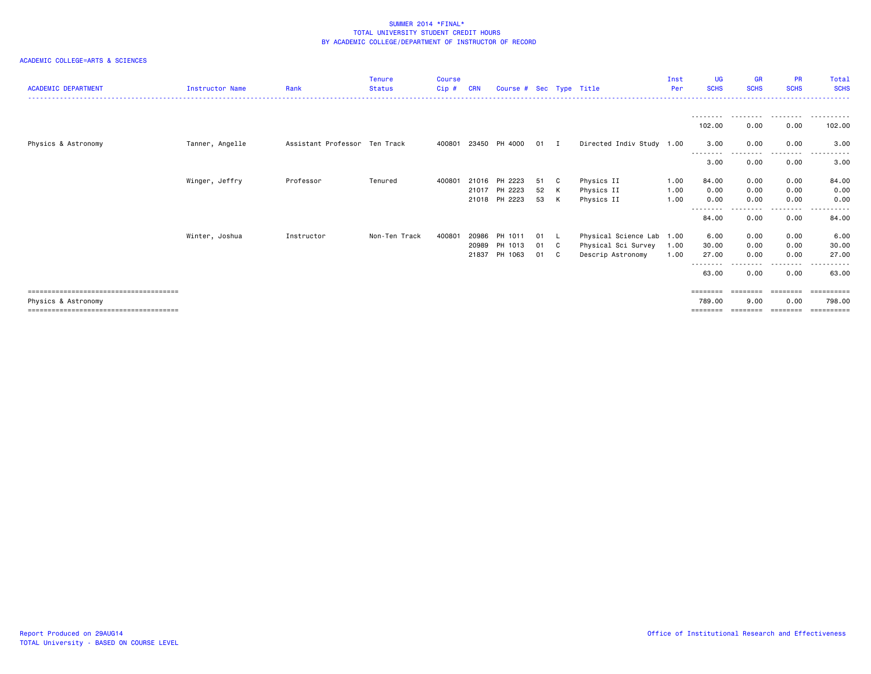| <b>ACADEMIC DEPARTMENT</b> | <b>Instructor Name</b> | Rank                          | <b>Tenure</b><br><b>Status</b> | <b>Course</b><br>Cip# | <b>CRN</b> | Course # Sec Type Title |        |    |                           | Inst<br>Per | UG<br><b>SCHS</b> | <b>GR</b><br><b>SCHS</b> | <b>PR</b><br><b>SCHS</b> | Total<br><b>SCHS</b>  |
|----------------------------|------------------------|-------------------------------|--------------------------------|-----------------------|------------|-------------------------|--------|----|---------------------------|-------------|-------------------|--------------------------|--------------------------|-----------------------|
|                            |                        |                               |                                |                       |            |                         |        |    |                           |             |                   |                          |                          |                       |
|                            |                        |                               |                                |                       |            |                         |        |    |                           |             | 102.00            | 0.00                     | 0.00                     | 102.00                |
| Physics & Astronomy        | Tanner, Angelle        | Assistant Professor Ten Track |                                |                       |            | 400801 23450 PH 4000    | $01$ I |    | Directed Indiv Study 1.00 |             | 3.00<br>--------  | 0.00                     | 0.00<br>---------        | 3.00<br>.<br>.        |
|                            |                        |                               |                                |                       |            |                         |        |    |                           |             | 3.00              | 0.00                     | 0.00                     | 3.00                  |
|                            | Winger, Jeffry         | Professor                     | Tenured                        | 400801                |            | 21016 PH 2223           | 51     | C  | Physics II                | 1.00        | 84.00             | 0.00                     | 0.00                     | 84.00                 |
|                            |                        |                               |                                |                       |            | 21017 PH 2223           | 52     | к  | Physics II                | 1.00        | 0.00              | 0.00                     | 0.00                     | 0.00                  |
|                            |                        |                               |                                |                       |            | 21018 PH 2223           | 53     | K  | Physics II                | 1.00        | 0.00<br>--------  | 0.00                     | 0.00<br>.                | 0.00<br>. <u>.</u>    |
|                            |                        |                               |                                |                       |            |                         |        |    |                           |             | 84.00             | 0.00                     | 0.00                     | 84.00                 |
|                            | Winter, Joshua         | Instructor                    | Non-Ten Track                  | 400801                | 20986      | PH 1011                 | 01     | L. | Physical Science Lab      | 1.00        | 6.00              | 0.00                     | 0.00                     | 6.00                  |
|                            |                        |                               |                                |                       | 20989      | PH 1013                 | 01     | C  | Physical Sci Survey       | 1.00        | 30.00             | 0.00                     | 0.00                     | 30.00                 |
|                            |                        |                               |                                |                       | 21837      | PH 1063                 | 01     | C. | Descrip Astronomy         | 1.00        | 27,00<br>-------- | 0.00                     | 0.00<br>.                | 27.00<br>.            |
|                            |                        |                               |                                |                       |            |                         |        |    |                           |             | 63.00             | 0.00                     | 0.00                     | 63.00                 |
|                            |                        |                               |                                |                       |            |                         |        |    |                           |             | ========          | ========                 | $=$ = = = = = = =        | ==========            |
| Physics & Astronomy        |                        |                               |                                |                       |            |                         |        |    |                           |             | 789.00            | 9.00                     | 0.00                     | 798.00                |
|                            |                        |                               |                                |                       |            |                         |        |    |                           |             | ========          |                          | ========                 | $=$ = = = = = = = = = |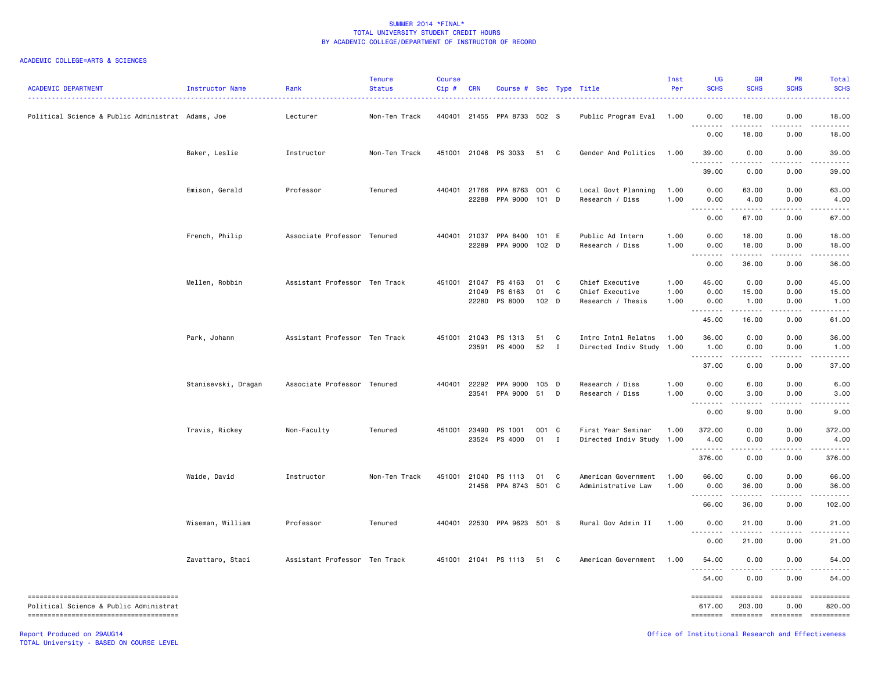## ACADEMIC COLLEGE=ARTS & SCIENCES

| <b>ACADEMIC DEPARTMENT</b>                                                     | Instructor Name     | Rank                          | <b>Tenure</b><br><b>Status</b> | <b>Course</b><br>Cip# | <b>CRN</b> | Course # Sec Type Title               |             |                   |                                                  | Inst<br>Per  | <b>UG</b><br><b>SCHS</b>                                                                                                                                     | <b>GR</b><br><b>SCHS</b>                                                                                                                                      | <b>PR</b><br><b>SCHS</b>                                                                                                                                     | Total<br><b>SCHS</b>                                                                                                                                                                                                                                                                                                                                                                                                                   |
|--------------------------------------------------------------------------------|---------------------|-------------------------------|--------------------------------|-----------------------|------------|---------------------------------------|-------------|-------------------|--------------------------------------------------|--------------|--------------------------------------------------------------------------------------------------------------------------------------------------------------|---------------------------------------------------------------------------------------------------------------------------------------------------------------|--------------------------------------------------------------------------------------------------------------------------------------------------------------|----------------------------------------------------------------------------------------------------------------------------------------------------------------------------------------------------------------------------------------------------------------------------------------------------------------------------------------------------------------------------------------------------------------------------------------|
| Political Science & Public Administrat Adams, Joe                              |                     | Lecturer                      | Non-Ten Track                  | 440401                |            | 21455 PPA 8733 502 S                  |             |                   | Public Program Eval                              | 1.00         | 0.00                                                                                                                                                         | 18.00                                                                                                                                                         | 0.00                                                                                                                                                         | 18.00                                                                                                                                                                                                                                                                                                                                                                                                                                  |
|                                                                                |                     |                               |                                |                       |            |                                       |             |                   |                                                  |              | 0.00                                                                                                                                                         | 18.00                                                                                                                                                         | 0.00                                                                                                                                                         | 18.00                                                                                                                                                                                                                                                                                                                                                                                                                                  |
|                                                                                | Baker, Leslie       | Instructor                    | Non-Ten Track                  | 451001                |            | 21046 PS 3033                         | 51 C        |                   | Gender And Politics                              | 1.00         | 39.00                                                                                                                                                        | 0.00                                                                                                                                                          | 0.00                                                                                                                                                         | 39.00                                                                                                                                                                                                                                                                                                                                                                                                                                  |
|                                                                                |                     |                               |                                |                       |            |                                       |             |                   |                                                  |              | .<br>39.00                                                                                                                                                   | $\frac{1}{2} \left( \frac{1}{2} \right) \left( \frac{1}{2} \right) \left( \frac{1}{2} \right) \left( \frac{1}{2} \right) \left( \frac{1}{2} \right)$<br>0.00  | -----<br>0.00                                                                                                                                                | .<br>39.00                                                                                                                                                                                                                                                                                                                                                                                                                             |
|                                                                                | Emison, Gerald      | Professor                     | Tenured                        |                       |            | 440401 21766 PPA 8763 001 C           |             |                   | Local Govt Planning                              | 1.00         | 0.00                                                                                                                                                         | 63.00                                                                                                                                                         | 0.00                                                                                                                                                         | 63.00                                                                                                                                                                                                                                                                                                                                                                                                                                  |
|                                                                                |                     |                               |                                |                       |            | 22288 PPA 9000                        | 101 D       |                   | Research / Diss                                  | 1.00         | 0.00<br>$\frac{1}{2} \left( \frac{1}{2} \right) \left( \frac{1}{2} \right) \left( \frac{1}{2} \right) \left( \frac{1}{2} \right) \left( \frac{1}{2} \right)$ | 4.00<br>.                                                                                                                                                     | 0.00<br>.                                                                                                                                                    | 4.00<br>.                                                                                                                                                                                                                                                                                                                                                                                                                              |
|                                                                                |                     |                               |                                |                       |            |                                       |             |                   |                                                  |              | 0.00                                                                                                                                                         | 67.00                                                                                                                                                         | 0.00                                                                                                                                                         | 67.00                                                                                                                                                                                                                                                                                                                                                                                                                                  |
|                                                                                | French, Philip      | Associate Professor Tenured   |                                | 440401                | 21037      | PPA 8400 101 E                        |             |                   | Public Ad Intern                                 | 1.00         | 0.00                                                                                                                                                         | 18.00                                                                                                                                                         | 0.00                                                                                                                                                         | 18.00                                                                                                                                                                                                                                                                                                                                                                                                                                  |
|                                                                                |                     |                               |                                |                       |            | 22289 PPA 9000 102 D                  |             |                   | Research / Diss                                  | 1.00         | 0.00<br>.                                                                                                                                                    | 18.00                                                                                                                                                         | 0.00                                                                                                                                                         | 18.00                                                                                                                                                                                                                                                                                                                                                                                                                                  |
|                                                                                |                     |                               |                                |                       |            |                                       |             |                   |                                                  |              | 0.00                                                                                                                                                         | 36.00                                                                                                                                                         | 0.00                                                                                                                                                         | 36.00                                                                                                                                                                                                                                                                                                                                                                                                                                  |
|                                                                                | Mellen, Robbin      | Assistant Professor Ten Track |                                | 451001                | 21047      | PS 4163                               | 01          | C                 | Chief Executive                                  | 1.00         | 45.00                                                                                                                                                        | 0.00                                                                                                                                                          | 0.00                                                                                                                                                         | 45.00                                                                                                                                                                                                                                                                                                                                                                                                                                  |
|                                                                                |                     |                               |                                |                       | 21049      | PS 6163<br>22280 PS 8000              | 01<br>102 D | C                 | Chief Executive<br>Research / Thesis             | 1.00<br>1.00 | 0.00<br>0.00                                                                                                                                                 | 15.00<br>1.00                                                                                                                                                 | 0.00<br>0.00                                                                                                                                                 | 15.00<br>1.00                                                                                                                                                                                                                                                                                                                                                                                                                          |
|                                                                                |                     |                               |                                |                       |            |                                       |             |                   |                                                  |              | .<br>45.00                                                                                                                                                   | $\frac{1}{2} \left( \frac{1}{2} \right) \left( \frac{1}{2} \right) \left( \frac{1}{2} \right) \left( \frac{1}{2} \right) \left( \frac{1}{2} \right)$<br>16.00 | .<br>0.00                                                                                                                                                    | .<br>61.00                                                                                                                                                                                                                                                                                                                                                                                                                             |
|                                                                                |                     |                               |                                |                       |            |                                       |             |                   |                                                  |              |                                                                                                                                                              |                                                                                                                                                               |                                                                                                                                                              |                                                                                                                                                                                                                                                                                                                                                                                                                                        |
|                                                                                | Park, Johann        | Assistant Professor Ten Track |                                |                       |            | 451001 21043 PS 1313<br>23591 PS 4000 | 51<br>52    | C<br>$\mathbf{I}$ | Intro Intnl Relatns<br>Directed Indiv Study 1.00 | 1.00         | 36.00<br>1.00                                                                                                                                                | 0.00<br>0.00                                                                                                                                                  | 0.00<br>0.00                                                                                                                                                 | 36.00<br>1.00                                                                                                                                                                                                                                                                                                                                                                                                                          |
|                                                                                |                     |                               |                                |                       |            |                                       |             |                   |                                                  |              | 37.00                                                                                                                                                        | .<br>0.00                                                                                                                                                     | .<br>0.00                                                                                                                                                    | 37.00                                                                                                                                                                                                                                                                                                                                                                                                                                  |
|                                                                                | Stanisevski, Dragan | Associate Professor Tenured   |                                | 440401                | 22292      | PPA 9000                              | 105 D       |                   | Research / Diss                                  | 1.00         | 0.00                                                                                                                                                         | 6.00                                                                                                                                                          | 0.00                                                                                                                                                         | 6.00                                                                                                                                                                                                                                                                                                                                                                                                                                   |
|                                                                                |                     |                               |                                |                       | 23541      | PPA 9000 51                           |             | D                 | Research / Diss                                  | 1.00         | 0.00<br><u>.</u>                                                                                                                                             | 3.00<br>.                                                                                                                                                     | 0.00<br><u>.</u>                                                                                                                                             | 3.00<br>$\frac{1}{2}$                                                                                                                                                                                                                                                                                                                                                                                                                  |
|                                                                                |                     |                               |                                |                       |            |                                       |             |                   |                                                  |              | 0.00                                                                                                                                                         | 9.00                                                                                                                                                          | 0.00                                                                                                                                                         | 9.00                                                                                                                                                                                                                                                                                                                                                                                                                                   |
|                                                                                | Travis, Rickey      | Non-Faculty                   | Tenured                        |                       |            | 451001 23490 PS 1001                  | 001 C       |                   | First Year Seminar                               | 1.00         | 372.00                                                                                                                                                       | 0.00                                                                                                                                                          | 0.00                                                                                                                                                         | 372.00                                                                                                                                                                                                                                                                                                                                                                                                                                 |
|                                                                                |                     |                               |                                |                       |            | 23524 PS 4000                         | 01          | $\mathbf{I}$      | Directed Indiv Study                             | 1.00         | 4.00<br>.                                                                                                                                                    | 0.00<br>22222                                                                                                                                                 | 0.00<br>22222                                                                                                                                                | 4.00                                                                                                                                                                                                                                                                                                                                                                                                                                   |
|                                                                                |                     |                               |                                |                       |            |                                       |             |                   |                                                  |              | 376.00                                                                                                                                                       | 0.00                                                                                                                                                          | 0.00                                                                                                                                                         | 376.00                                                                                                                                                                                                                                                                                                                                                                                                                                 |
|                                                                                | Waide, David        | Instructor                    | Non-Ten Track                  |                       |            | 451001 21040 PS 1113                  | 01 C        |                   | American Government                              | 1.00         | 66.00                                                                                                                                                        | 0.00                                                                                                                                                          | 0.00                                                                                                                                                         | 66.00                                                                                                                                                                                                                                                                                                                                                                                                                                  |
|                                                                                |                     |                               |                                |                       |            | 21456 PPA 8743 501 C                  |             |                   | Administrative Law                               | 1.00         | 0.00<br><u>.</u>                                                                                                                                             | 36.00<br>.                                                                                                                                                    | 0.00<br>$\frac{1}{2} \left( \frac{1}{2} \right) \left( \frac{1}{2} \right) \left( \frac{1}{2} \right) \left( \frac{1}{2} \right) \left( \frac{1}{2} \right)$ | 36.00<br><u>.</u>                                                                                                                                                                                                                                                                                                                                                                                                                      |
|                                                                                |                     |                               |                                |                       |            |                                       |             |                   |                                                  |              | 66.00                                                                                                                                                        | 36.00                                                                                                                                                         | 0.00                                                                                                                                                         | 102.00                                                                                                                                                                                                                                                                                                                                                                                                                                 |
|                                                                                | Wiseman, William    | Professor                     | Tenured                        | 440401                |            | 22530 PPA 9623 501 S                  |             |                   | Rural Gov Admin II                               | 1.00         | 0.00<br>. <b>.</b>                                                                                                                                           | 21.00<br>.                                                                                                                                                    | 0.00<br>.                                                                                                                                                    | 21.00<br>.                                                                                                                                                                                                                                                                                                                                                                                                                             |
|                                                                                |                     |                               |                                |                       |            |                                       |             |                   |                                                  |              | 0.00                                                                                                                                                         | 21.00                                                                                                                                                         | 0.00                                                                                                                                                         | 21.00                                                                                                                                                                                                                                                                                                                                                                                                                                  |
|                                                                                | Zavattaro, Staci    | Assistant Professor Ten Track |                                |                       |            | 451001 21041 PS 1113                  | 51 C        |                   | American Government                              | 1.00         | 54.00                                                                                                                                                        | 0.00                                                                                                                                                          | 0.00                                                                                                                                                         | 54.00                                                                                                                                                                                                                                                                                                                                                                                                                                  |
|                                                                                |                     |                               |                                |                       |            |                                       |             |                   |                                                  |              | <u>.</u><br>54.00                                                                                                                                            | .<br>0.00                                                                                                                                                     | $- - - - -$<br>0.00                                                                                                                                          | <u>.</u><br>54.00                                                                                                                                                                                                                                                                                                                                                                                                                      |
| ------------------------------------<br>Political Science & Public Administrat |                     |                               |                                |                       |            |                                       |             |                   |                                                  |              | ========<br>617.00                                                                                                                                           | $=$ ========<br>203.00                                                                                                                                        | ========<br>0.00                                                                                                                                             | $\begin{minipage}{0.9\linewidth} \hspace*{-0.2cm} \textbf{1} & \textbf{2} & \textbf{3} & \textbf{5} & \textbf{6} & \textbf{7} \\ \textbf{5} & \textbf{6} & \textbf{7} & \textbf{8} & \textbf{8} & \textbf{9} & \textbf{10} \\ \textbf{6} & \textbf{8} & \textbf{8} & \textbf{8} & \textbf{9} & \textbf{10} & \textbf{10} \\ \textbf{7} & \textbf{9} & \textbf{10} & \textbf{10} & \textbf{10} & \textbf{10} & \textbf{10} &$<br>820.00 |
| -------------------------------------                                          |                     |                               |                                |                       |            |                                       |             |                   |                                                  |              | ========                                                                                                                                                     | ========                                                                                                                                                      | $= 222222222$                                                                                                                                                |                                                                                                                                                                                                                                                                                                                                                                                                                                        |
| Report Produced on 29AUG14                                                     |                     |                               |                                |                       |            |                                       |             |                   |                                                  |              |                                                                                                                                                              | Office of Institutional Research and Effectiveness                                                                                                            |                                                                                                                                                              |                                                                                                                                                                                                                                                                                                                                                                                                                                        |

TOTAL University - BASED ON COURSE LEVEL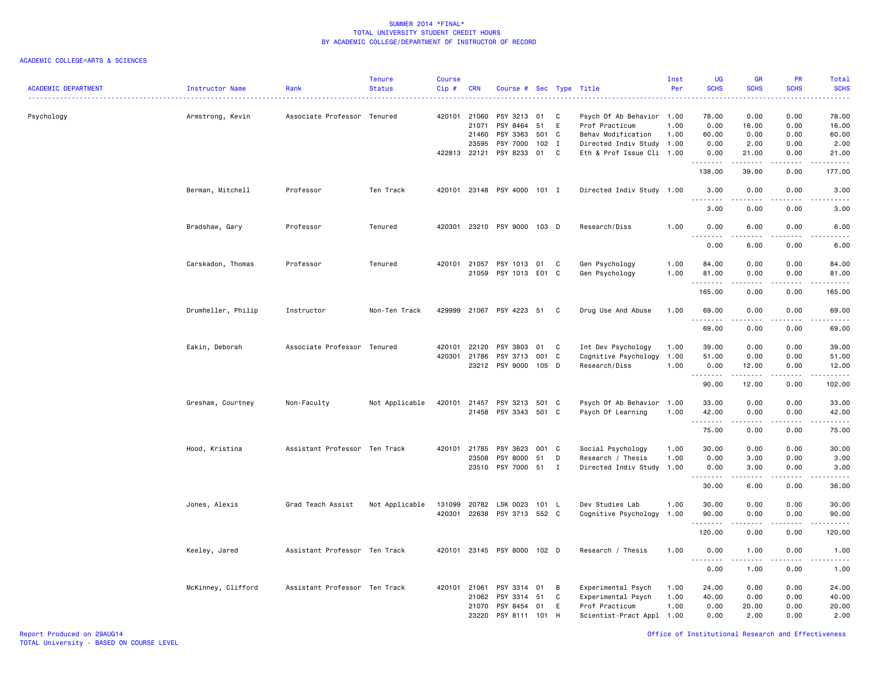| <b>ACADEMIC DEPARTMENT</b> | <b>Instructor Name</b> | Rank                          | <b>Tenure</b><br><b>Status</b> | Course<br>Cip# | <b>CRN</b>   | Course #                    |       |          | Sec Type Title            | Inst<br>Per | UG<br><b>SCHS</b>                | GR<br><b>SCHS</b>    | PR<br><b>SCHS</b>            | <b>Total</b><br><b>SCHS</b> |
|----------------------------|------------------------|-------------------------------|--------------------------------|----------------|--------------|-----------------------------|-------|----------|---------------------------|-------------|----------------------------------|----------------------|------------------------------|-----------------------------|
| Psychology                 | Armstrong, Kevin       | Associate Professor Tenured   |                                |                | 420101 21060 | PSY 3213                    | 01    | C        | Psych Of Ab Behavior 1.00 |             | 78.00                            | 0.00                 | 0.00                         | 78.00                       |
|                            |                        |                               |                                |                | 21071        | PSY 8464                    | 51    | E        | Prof Practicum            | 1.00        | 0.00                             | 16.00                | 0.00                         | 16.00                       |
|                            |                        |                               |                                |                | 21460        | PSY 3363                    | 501 C |          | Behav Modification        | 1.00        | 60.00                            | 0.00                 | 0.00                         | 60.00                       |
|                            |                        |                               |                                |                | 23595        | PSY 7000                    | 102 I |          | Directed Indiv Study 1.00 |             | 0.00                             | 2.00                 | 0.00                         | 2.00                        |
|                            |                        |                               |                                |                | 422813 22121 | PSY 8233                    | 01    | C        | Eth & Prof Issue Cli 1.00 |             | 0.00<br>.                        | 21.00<br>$- - - - -$ | 0.00<br>$\sim$ $\sim$ $\sim$ | 21.00<br>د د د د د          |
|                            |                        |                               |                                |                |              |                             |       |          |                           |             | 138.00                           | 39.00                | 0.00                         | 177.00                      |
|                            | Berman, Mitchell       | Professor                     | Ten Track                      |                |              | 420101 23148 PSY 4000 101 I |       |          | Directed Indiv Study 1.00 |             | 3.00                             | 0.00                 | 0.00                         | 3.00                        |
|                            |                        |                               |                                |                |              |                             |       |          |                           |             | 3.00                             | 0.00                 | 0.00                         | 3.00                        |
|                            | Bradshaw, Gary         | Professor                     | Tenured                        |                |              | 420301 23210 PSY 9000 103 D |       |          | Research/Diss             | 1.00        | 0.00<br>$\sim$ $\sim$            | 6.00                 | 0.00                         | 6.00                        |
|                            |                        |                               |                                |                |              |                             |       |          |                           |             | 0.00                             | 6.00                 | 0.00                         | 6.00                        |
|                            | Carskadon, Thomas      | Professor                     | Tenured                        |                | 420101 21057 | PSY 1013                    | 01    | <b>C</b> | Gen Psychology            | 1.00        | 84.00                            | 0.00                 | 0.00                         | 84.00                       |
|                            |                        |                               |                                |                |              | 21059 PSY 1013 E01 C        |       |          | Gen Psychology            | 1.00        | 81.00<br>.                       | 0.00<br>.            | 0.00<br>د د د د              | 81.00<br>.                  |
|                            |                        |                               |                                |                |              |                             |       |          |                           |             | 165.00                           | 0.00                 | 0.00                         | 165.00                      |
|                            | Drumheller, Philip     | Instructor                    | Non-Ten Track                  |                |              | 429999 21067 PSY 4223 51    |       | C        | Drug Use And Abuse        | 1.00        | 69.00<br><u> - - - - - - - -</u> | 0.00<br>د د د د      | 0.00<br>$- - - -$            | 69.00<br>.                  |
|                            |                        |                               |                                |                |              |                             |       |          |                           |             | 69.00                            | 0.00                 | 0.00                         | 69.00                       |
|                            | Eakin, Deborah         | Associate Professor Tenured   |                                |                | 420101 22120 | PSY 3803                    | 01    | C        | Int Dev Psychology        | 1.00        | 39.00                            | 0.00                 | 0.00                         | 39.00                       |
|                            |                        |                               |                                |                | 420301 21786 | PSY 3713                    | 001   | C        | Cognitive Psychology      | 1.00        | 51.00                            | 0.00                 | 0.00                         | 51.00                       |
|                            |                        |                               |                                |                |              | 23212 PSY 9000              | 105 D |          | Research/Diss             | 1.00        | 0.00<br>. <b>.</b>               | 12.00                | 0.00<br>$\sim$ $\sim$ $\sim$ | 12.00<br>.                  |
|                            |                        |                               |                                |                |              |                             |       |          |                           |             | 90.00                            | 12.00                | 0.00                         | 102.00                      |
|                            | Gresham, Courtney      | Non-Faculty                   | Not Applicable                 |                | 420101 21457 | PSY 3213                    | 501 C |          | Psych Of Ab Behavior 1.00 |             | 33.00                            | 0.00                 | 0.00                         | 33.00                       |
|                            |                        |                               |                                |                |              | 21458 PSY 3343 501 C        |       |          | Psych Of Learning         | 1.00        | 42.00<br>.                       | 0.00<br>.            | 0.00<br>د د د د              | 42.00<br>.                  |
|                            |                        |                               |                                |                |              |                             |       |          |                           |             | 75.00                            | 0.00                 | 0.00                         | 75.00                       |
|                            | Hood, Kristina         | Assistant Professor Ten Track |                                |                | 420101 21785 | PSY 3623                    | 001 C |          | Social Psychology         | 1.00        | 30.00                            | 0.00                 | 0.00                         | 30.00                       |
|                            |                        |                               |                                |                | 23508        | PSY 8000                    | 51    | D        | Research / Thesis         | 1.00        | 0.00                             | 3.00                 | 0.00                         | 3.00                        |
|                            |                        |                               |                                |                | 23510        | PSY 7000                    | 51    | I        | Directed Indiv Study 1.00 |             | 0.00<br>.                        | 3.00<br>$   -$       | 0.00<br>$\frac{1}{2}$        | 3.00<br>$\frac{1}{2}$       |
|                            |                        |                               |                                |                |              |                             |       |          |                           |             | 30.00                            | 6.00                 | 0.00                         | 36.00                       |
|                            | Jones, Alexis          | Grad Teach Assist             | Not Applicable                 | 131099         | 20782        | LSK 0023                    | 101 L |          | Dev Studies Lab           | 1.00        | 30.00                            | 0.00                 | 0.00                         | 30.00                       |
|                            |                        |                               |                                |                |              | 420301 22638 PSY 3713 552 C |       |          | Cognitive Psychology      | 1.00        | 90.00<br>.                       | 0.00                 | 0.00<br>$-$ - - - $-$        | 90.00<br>.                  |
|                            |                        |                               |                                |                |              |                             |       |          |                           |             | 120.00                           | 0.00                 | 0.00                         | 120.00                      |
|                            | Keeley, Jared          | Assistant Professor Ten Track |                                |                |              | 420101 23145 PSY 8000 102 D |       |          | Research / Thesis         | 1.00        | 0.00<br>$\sim$ $\sim$ $\sim$     | 1.00                 | 0.00                         | 1.00<br>.                   |
|                            |                        |                               |                                |                |              |                             |       |          |                           |             | 0.00                             | 1.00                 | 0.00                         | 1.00                        |
|                            | McKinney, Clifford     | Assistant Professor Ten Track |                                |                | 420101 21061 | PSY 3314                    | 01    | B        | Experimental Psych        | 1.00        | 24.00                            | 0.00                 | 0.00                         | 24.00                       |
|                            |                        |                               |                                |                | 21062        | PSY 3314                    | 51    | C        | Experimental Psych        | 1.00        | 40.00                            | 0.00                 | 0.00                         | 40.00                       |
|                            |                        |                               |                                |                | 21070        | PSY 8454                    | 01    | E        | Prof Practicum            | 1.00        | 0.00                             | 20.00                | 0.00                         | 20.00                       |
|                            |                        |                               |                                |                | 23220        | PSY 8111                    | 101   | H        | Scientist-Pract Appl 1.00 |             | 0.00                             | 2.00                 | 0.00                         | 2.00                        |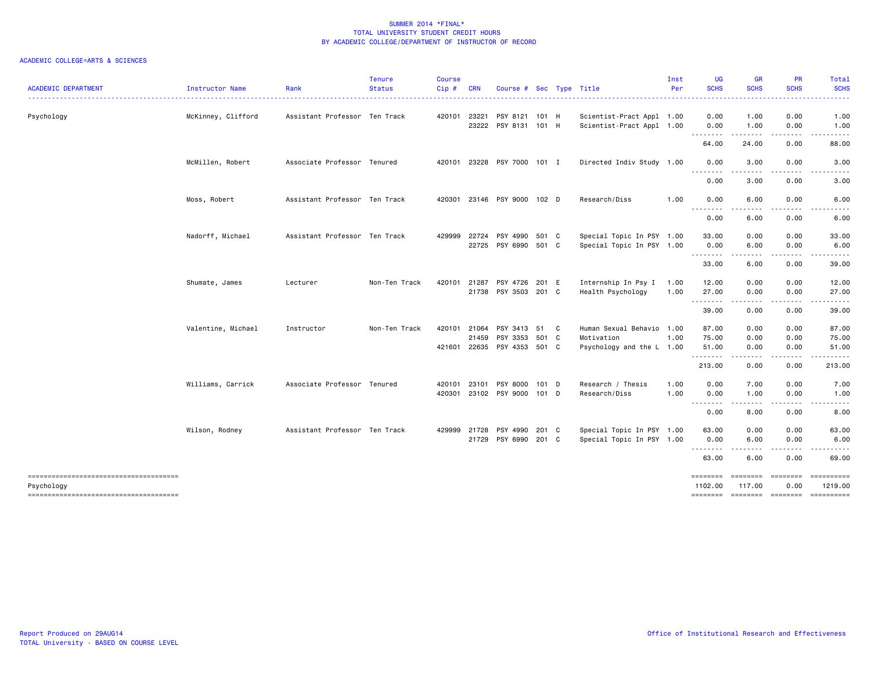| <b>ACADEMIC DEPARTMENT</b>                          | Instructor Name    | Rank                          | <b>Tenure</b><br><b>Status</b> | <b>Course</b><br>$Cip$ # | <b>CRN</b>              | Course # Sec Type Title                           |       |                                                                      | Inst<br>Per  | <b>UG</b><br><b>SCHS</b>            | <b>GR</b><br><b>SCHS</b>                                                                                                                  | PR<br><b>SCHS</b>    | Total<br><b>SCHS</b>                                           |
|-----------------------------------------------------|--------------------|-------------------------------|--------------------------------|--------------------------|-------------------------|---------------------------------------------------|-------|----------------------------------------------------------------------|--------------|-------------------------------------|-------------------------------------------------------------------------------------------------------------------------------------------|----------------------|----------------------------------------------------------------|
| Psychology                                          | McKinney, Clifford | Assistant Professor Ten Track |                                | 420101                   | 23221                   | PSY 8121 101 H<br>23222 PSY 8131 101 H            |       | Scientist-Pract Appl 1.00<br>Scientist-Pract Appl 1.00               |              | 0.00<br>0.00                        | 1.00<br>1.00                                                                                                                              | 0.00<br>0.00         | 1.00<br>1.00                                                   |
|                                                     |                    |                               |                                |                          |                         |                                                   |       |                                                                      |              | --------<br>64.00                   | .<br>24.00                                                                                                                                | .<br>0.00            | .<br>88.00                                                     |
|                                                     | McMillen, Robert   | Associate Professor Tenured   |                                | 420101                   |                         | 23228 PSY 7000 101 I                              |       | Directed Indiv Study 1.00                                            |              | 0.00                                | 3.00                                                                                                                                      | 0.00                 | 3.00                                                           |
|                                                     |                    |                               |                                |                          |                         |                                                   |       |                                                                      |              | 0.00                                | 3.00                                                                                                                                      | 0.00                 | 3.00                                                           |
|                                                     | Moss, Robert       | Assistant Professor Ten Track |                                | 420301                   |                         | 23146 PSY 9000 102 D                              |       | Research/Diss                                                        | 1.00         | 0.00<br>--------                    | 6.00                                                                                                                                      | 0.00                 | 6.00                                                           |
|                                                     |                    |                               |                                |                          |                         |                                                   |       |                                                                      |              | 0.00                                | 6.00                                                                                                                                      | 0.00                 | 6.00                                                           |
|                                                     | Nadorff, Michael   | Assistant Professor Ten Track |                                | 429999                   | 22724<br>22725          | PSY 4990<br>PSY 6990 501 C                        | 501 C | Special Topic In PSY 1.00<br>Special Topic In PSY 1.00               |              | 33.00<br>0.00<br><b></b>            | 0.00<br>6.00<br>$\sim$ $\sim$ $\sim$                                                                                                      | 0.00<br>0.00         | 33.00<br>6.00                                                  |
|                                                     |                    |                               |                                |                          |                         |                                                   |       |                                                                      |              | 33.00                               | 6.00                                                                                                                                      | 0.00                 | 39.00                                                          |
|                                                     | Shumate, James     | Lecturer                      | Non-Ten Track                  | 420101                   | 21287                   | PSY 4726 201 E<br>21738 PSY 3503 201 C            |       | Internship In Psy I<br>Health Psychology                             | 1.00<br>1.00 | 12.00<br>27.00                      | 0.00<br>0.00<br>$\frac{1}{2} \left( \frac{1}{2} \right) \left( \frac{1}{2} \right) \left( \frac{1}{2} \right) \left( \frac{1}{2} \right)$ | 0.00<br>0.00         | 12.00<br>27.00<br>.                                            |
|                                                     |                    |                               |                                |                          |                         |                                                   |       |                                                                      |              | 39.00                               | 0.00                                                                                                                                      | 0.00                 | 39.00                                                          |
|                                                     | Valentine, Michael | Instructor                    | Non-Ten Track                  | 420101<br>421601         | 21064<br>21459<br>22635 | PSY 3413 51 C<br>PSY 3353 501 C<br>PSY 4353 501 C |       | Human Sexual Behavio 1.00<br>Motivation<br>Psychology and the L 1.00 | 1.00         | 87.00<br>75.00<br>51.00<br><u>.</u> | 0.00<br>0.00<br>0.00                                                                                                                      | 0.00<br>0.00<br>0.00 | 87.00<br>75.00<br>51.00                                        |
|                                                     |                    |                               |                                |                          |                         |                                                   |       |                                                                      |              | 213.00                              | 0.00                                                                                                                                      | 0.00                 | 213.00                                                         |
|                                                     | Williams, Carrick  | Associate Professor Tenured   |                                | 420101<br>420301         | 23101                   | PSY 8000<br>23102 PSY 9000 101 D                  | 101 D | Research / Thesis<br>Research/Diss                                   | 1.00<br>1.00 | 0.00<br>0.00                        | 7.00<br>1.00                                                                                                                              | 0.00<br>0.00         | 7.00<br>1.00                                                   |
|                                                     |                    |                               |                                |                          |                         |                                                   |       |                                                                      |              | --------<br>0.00                    | $\cdots$<br>8.00                                                                                                                          | 0.00                 | 8.00                                                           |
|                                                     | Wilson, Rodney     | Assistant Professor Ten Track |                                | 429999                   | 21728<br>21729          | PSY 4990<br>PSY 6990 201 C                        | 201 C | Special Topic In PSY 1.00<br>Special Topic In PSY 1.00               |              | 63.00<br>0.00<br>$  -$              | 0.00<br>6.00                                                                                                                              | 0.00<br>0.00         | 63.00<br>6.00                                                  |
|                                                     |                    |                               |                                |                          |                         |                                                   |       |                                                                      |              | 63.00                               | 6.00                                                                                                                                      | 0.00                 | 69.00                                                          |
| -------------------------------------<br>Psychology |                    |                               |                                |                          |                         |                                                   |       |                                                                      |              | $=$ =======<br>1102.00              | ========<br>117.00                                                                                                                        | 0.00                 | ==========<br>1219.00<br>======== ======== ======== ========== |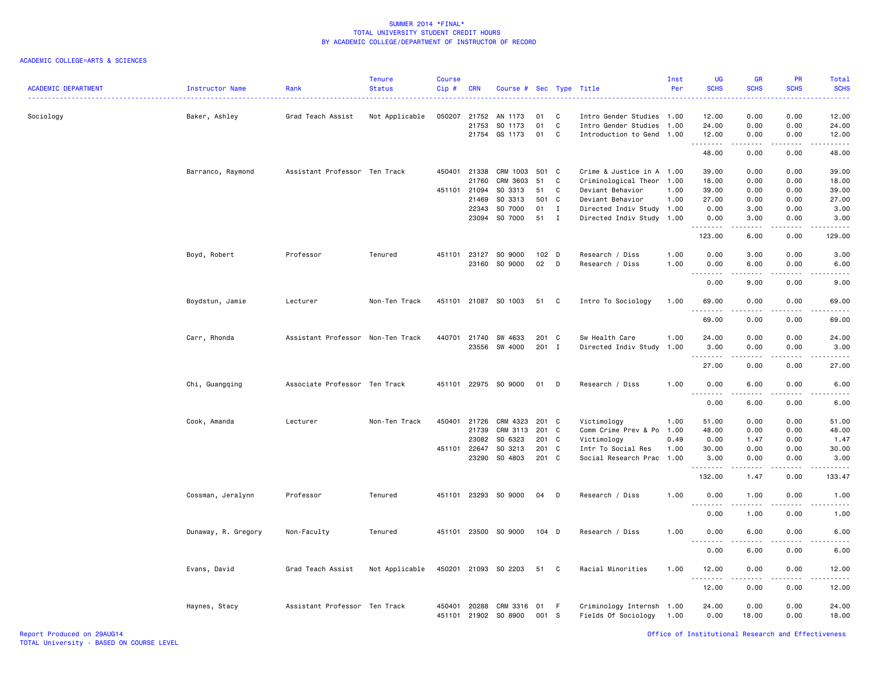| <b>ACADEMIC DEPARTMENT</b> | Instructor Name     | Rank                              | <b>Tenure</b><br><b>Status</b> | <b>Course</b><br>Cip# | <b>CRN</b>     | Course #             | Sec       |              | Type Title                                             | Inst<br>Per | UG<br><b>SCHS</b>               | GR<br><b>SCHS</b>     | PR<br><b>SCHS</b> | Total<br><b>SCHS</b> |
|----------------------------|---------------------|-----------------------------------|--------------------------------|-----------------------|----------------|----------------------|-----------|--------------|--------------------------------------------------------|-------------|---------------------------------|-----------------------|-------------------|----------------------|
| Sociology                  | Baker, Ashley       | Grad Teach Assist                 | Not Applicable                 | 050207                | 21752<br>21753 | AN 1173<br>SO 1173   | 01<br>01  | C<br>C       | Intro Gender Studies 1.00<br>Intro Gender Studies 1.00 |             | 12.00<br>24.00                  | 0.00<br>0.00          | 0.00<br>0.00      | 12.00<br>24.00       |
|                            |                     |                                   |                                |                       | 21754          | GS 1173              | 01        | C            | Introduction to Gend 1.00                              |             | 12.00                           | 0.00                  | 0.00              | 12.00                |
|                            |                     |                                   |                                |                       |                |                      |           |              |                                                        |             | <u>.</u><br>48.00               | 0.00                  | 0.00              | 48.00                |
|                            | Barranco, Raymond   | Assistant Professor Ten Track     |                                |                       | 450401 21338   | CRM 1003             | 501 C     |              | Crime & Justice in A 1.00                              |             | 39.00                           | 0.00                  | 0.00              | 39,00                |
|                            |                     |                                   |                                |                       | 21760          | CRM 3603             | 51        | C            | Criminological Theor                                   | 1.00        | 18.00                           | 0.00                  | 0.00              | 18.00                |
|                            |                     |                                   |                                | 451101                | 21094          | SO 3313              | 51        | C            | Deviant Behavior                                       | 1.00        | 39.00                           | 0.00                  | 0.00              | 39.00                |
|                            |                     |                                   |                                |                       | 21469          | SO 3313              | 501       | $\mathbf{C}$ | Deviant Behavior                                       | 1.00        | 27.00                           | 0.00                  | 0.00              | 27.00                |
|                            |                     |                                   |                                |                       | 22343          | SO 7000              | 01        | $\mathbf I$  | Directed Indiv Study 1.00                              |             | 0.00                            | 3.00                  | 0.00              | 3.00                 |
|                            |                     |                                   |                                |                       | 23094          | SO 7000              | 51        | $\mathbf{I}$ | Directed Indiv Study 1.00                              |             | 0.00                            | 3.00<br>.             | 0.00<br>.         | 3.00<br>.            |
|                            |                     |                                   |                                |                       |                |                      |           |              |                                                        |             | 123.00                          | 6.00                  | 0.00              | 129.00               |
|                            | Boyd, Robert        | Professor                         | Tenured                        | 451101                | 23127          | SO 9000              | 102 D     |              | Research / Diss                                        | 1.00        | 0.00                            | 3.00                  | 0.00              | 3.00                 |
|                            |                     |                                   |                                |                       | 23160          | SO 9000              | 02        | D            | Research / Diss                                        | 1.00        | 0.00                            | 6.00                  | 0.00              | 6.00                 |
|                            |                     |                                   |                                |                       |                |                      |           |              |                                                        |             | 0.00                            | 9.00                  | 0.00              | 9.00                 |
|                            | Boydstun, Jamie     | Lecturer                          | Non-Ten Track                  |                       |                | 451101 21087 SO 1003 | 51 C      |              | Intro To Sociology                                     | 1.00        | 69.00<br>.<br>$\sim$ $\sim$     | 0.00                  | 0.00              | 69.00                |
|                            |                     |                                   |                                |                       |                |                      |           |              |                                                        |             | 69.00                           | 0.00                  | 0.00              | 69.00                |
|                            | Carr, Rhonda        | Assistant Professor Non-Ten Track |                                |                       | 440701 21740   | SW 4633              | 201 C     |              | Sw Health Care                                         | 1.00        | 24.00                           | 0.00                  | 0.00              | 24.00                |
|                            |                     |                                   |                                |                       | 23556          | SW 4000              | 201 I     |              | Directed Indiv Study 1.00                              |             | 3.00                            | 0.00                  | 0.00              | 3.00                 |
|                            |                     |                                   |                                |                       |                |                      |           |              |                                                        |             | .                               |                       |                   |                      |
|                            |                     |                                   |                                |                       |                |                      |           |              |                                                        |             | 27.00                           | 0.00                  | 0.00              | 27.00                |
|                            | Chi, Guangqing      | Associate Professor Ten Track     |                                |                       |                | 451101 22975 SO 9000 | 01        | D            | Research / Diss                                        | 1.00        | 0.00<br>$\sim$ $\sim$           | 6.00                  | 0.00              | 6.00                 |
|                            |                     |                                   |                                |                       |                |                      |           |              |                                                        |             | 0.00                            | 6.00                  | 0.00              | 6.00                 |
|                            | Cook, Amanda        | Lecturer                          | Non-Ten Track                  |                       | 450401 21726   | CRM 4323             | 201 C     |              | Victimology                                            | 1.00        | 51.00                           | 0.00                  | 0.00              | 51.00                |
|                            |                     |                                   |                                |                       | 21739          | CRM 3113             | 201       | C            | Comm Crime Prev & Po                                   | 1.00        | 48.00                           | 0.00                  | 0.00              | 48.00                |
|                            |                     |                                   |                                |                       | 23082          | SO 6323              | 201       | C            | Victimology                                            | 0.49        | 0.00                            | 1.47                  | 0.00              | 1.47                 |
|                            |                     |                                   |                                |                       | 451101 22647   | SO 3213              | 201 C     |              | Intr To Social Res                                     | 1.00        | 30.00                           | 0.00                  | 0.00              | 30.00                |
|                            |                     |                                   |                                |                       | 23290          | SO 4803              | 201 C     |              | Social Research Prac 1.00                              |             | 3.00                            | 0.00                  | 0.00<br>.         | 3.00<br>.            |
|                            |                     |                                   |                                |                       |                |                      |           |              |                                                        |             | 132.00                          | 1.47                  | 0.00              | 133.47               |
|                            | Cossman, Jeralynn   | Professor                         | Tenured                        |                       |                | 451101 23293 SO 9000 | 04        | D            | Research / Diss                                        | 1.00        | 0.00                            | 1.00                  | 0.00              | 1.00                 |
|                            |                     |                                   |                                |                       |                |                      |           |              |                                                        |             | 0.00                            | ----<br>1.00          | .<br>0.00         | 1.00                 |
|                            | Dunaway, R. Gregory | Non-Faculty                       | Tenured                        |                       |                | 451101 23500 SO 9000 | $104$ D   |              | Research / Diss                                        | 1.00        | 0.00<br>$\sim$ $\sim$<br>.      | 6.00<br>. <b>.</b>    | 0.00<br>.         | 6.00<br>$- - -$      |
|                            |                     |                                   |                                |                       |                |                      |           |              |                                                        |             | 0.00                            | 6.00                  | 0.00              | 6.00                 |
|                            | Evans, David        | Grad Teach Assist                 | Not Applicable                 |                       |                | 450201 21093 SO 2203 | 51 C      |              | Racial Minorities                                      | 1.00        | 12.00                           | 0.00                  | 0.00              | 12.00                |
|                            |                     |                                   |                                |                       |                |                      |           |              |                                                        |             | $\sim$ $\sim$<br>-----<br>12.00 | $\frac{1}{2}$<br>0.00 | .<br>0.00         | .<br>12.00           |
|                            | Haynes, Stacy       | Assistant Professor Ten Track     |                                | 450401<br>451101      | 20288<br>21902 | CRM 3316<br>SO 8900  | 01<br>001 | F.<br>- S    | Criminology Internsh 1.00<br>Fields Of Sociology       | 1.00        | 24.00<br>0.00                   | 0.00<br>18.00         | 0.00<br>0.00      | 24.00<br>18.00       |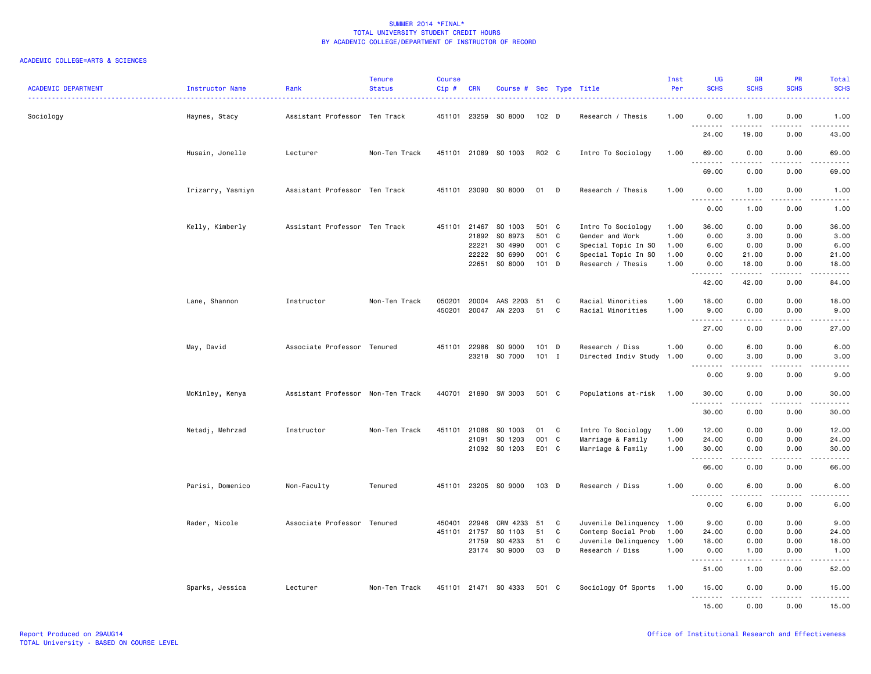| <b>ACADEMIC DEPARTMENT</b> | Instructor Name<br>. <u>.</u> . | Rank                              | <b>Tenure</b><br><b>Status</b> | Course<br>$Cip$ #      | <b>CRN</b>                                       | Course # Sec Type Title                             |                                             |                                      |                                                                                                          | Inst<br>Per                          | <b>UG</b><br><b>SCHS</b>                     | <b>GR</b><br><b>SCHS</b>                    | PR<br><b>SCHS</b>                                                                                                                 | Total<br><b>SCHS</b><br>2222.                      |
|----------------------------|---------------------------------|-----------------------------------|--------------------------------|------------------------|--------------------------------------------------|-----------------------------------------------------|---------------------------------------------|--------------------------------------|----------------------------------------------------------------------------------------------------------|--------------------------------------|----------------------------------------------|---------------------------------------------|-----------------------------------------------------------------------------------------------------------------------------------|----------------------------------------------------|
| Sociology                  | Haynes, Stacy                   | Assistant Professor Ten Track     |                                |                        | 451101 23259                                     | SO 8000                                             | 102 D                                       |                                      | Research / Thesis                                                                                        | 1.00                                 | 0.00                                         | 1.00                                        | 0.00                                                                                                                              | 1.00                                               |
|                            |                                 |                                   |                                |                        |                                                  |                                                     |                                             |                                      |                                                                                                          |                                      | 24.00                                        | 19.00                                       | 0.00                                                                                                                              | 43.00                                              |
|                            | Husain, Jonelle                 | Lecturer                          | Non-Ten Track                  |                        |                                                  | 451101 21089 SO 1003                                | R02 C                                       |                                      | Intro To Sociology                                                                                       | 1.00                                 | 69.00                                        | 0.00                                        | 0.00                                                                                                                              | 69.00<br>$\omega$ is $\omega$ in .                 |
|                            |                                 |                                   |                                |                        |                                                  |                                                     |                                             |                                      |                                                                                                          |                                      | 69.00                                        | 0.00                                        | 0.00                                                                                                                              | 69.00                                              |
|                            | Irizarry, Yasmiyn               | Assistant Professor Ten Track     |                                |                        | 451101 23090                                     | SO 8000                                             | 01 D                                        |                                      | Research / Thesis                                                                                        | 1.00                                 | 0.00<br>.                                    | 1.00<br>.                                   | 0.00<br>$\frac{1}{2}$                                                                                                             | 1.00<br><u>.</u>                                   |
|                            |                                 |                                   |                                |                        |                                                  |                                                     |                                             |                                      |                                                                                                          |                                      | 0.00                                         | 1.00                                        | 0.00                                                                                                                              | 1.00                                               |
|                            | Kelly, Kimberly                 | Assistant Professor Ten Track     |                                |                        | 451101 21467<br>21892<br>22221<br>22222<br>22651 | SO 1003<br>SO 8973<br>SO 4990<br>SO 6990<br>SO 8000 | 501 C<br>501 C<br>001 C<br>001 C<br>$101$ D |                                      | Intro To Sociology<br>Gender and Work<br>Special Topic In SO<br>Special Topic In SO<br>Research / Thesis | 1.00<br>1.00<br>1.00<br>1.00<br>1.00 | 36.00<br>0.00<br>6.00<br>0.00<br>0.00<br>.   | 0.00<br>3.00<br>0.00<br>21.00<br>18.00<br>. | 0.00<br>0.00<br>0.00<br>0.00<br>0.00<br>.                                                                                         | 36.00<br>3.00<br>6.00<br>21.00<br>18.00<br>.       |
|                            |                                 |                                   |                                |                        |                                                  |                                                     |                                             |                                      |                                                                                                          |                                      | 42.00                                        | 42.00                                       | 0.00                                                                                                                              | 84.00                                              |
|                            | Lane, Shannon                   | Instructor                        | Non-Ten Track                  | 050201<br>450201       | 20004<br>20047                                   | AAS 2203<br>AN 2203                                 | 51<br>51                                    | C<br>C                               | Racial Minorities<br>Racial Minorities                                                                   | 1.00<br>1.00                         | 18.00<br>9.00<br>--------                    | 0.00<br>0.00                                | 0.00<br>0.00                                                                                                                      | 18.00<br>9.00<br>.                                 |
|                            |                                 |                                   |                                |                        |                                                  |                                                     |                                             |                                      |                                                                                                          |                                      | 27.00                                        | 0.00                                        | 0.00                                                                                                                              | 27.00                                              |
|                            | May, David                      | Associate Professor Tenured       |                                | 451101                 | 22986<br>23218                                   | SO 9000<br>SO 7000                                  | 101 D<br>$101$ I                            |                                      | Research / Diss<br>Directed Indiv Study 1.00                                                             | 1.00                                 | 0.00<br>0.00<br>.                            | 6.00<br>3.00                                | 0.00<br>0.00                                                                                                                      | 6.00<br>3.00                                       |
|                            |                                 |                                   |                                |                        |                                                  |                                                     |                                             |                                      |                                                                                                          |                                      | 0.00                                         | 9.00                                        | 0.00                                                                                                                              | 9.00                                               |
|                            | McKinley, Kenya                 | Assistant Professor Non-Ten Track |                                |                        |                                                  | 440701 21890 SW 3003                                | 501 C                                       |                                      | Populations at-risk                                                                                      | 1.00                                 | 30.00<br>.                                   | 0.00<br>.                                   | 0.00<br>.                                                                                                                         | 30.00<br>.                                         |
|                            |                                 |                                   |                                |                        |                                                  |                                                     |                                             |                                      |                                                                                                          |                                      | 30.00                                        | 0.00                                        | 0.00                                                                                                                              | 30.00                                              |
|                            | Netadj, Mehrzad                 | Instructor                        | Non-Ten Track                  | 451101                 | 21086<br>21091                                   | SO 1003<br>SO 1203                                  | 01<br>001                                   | C<br>C                               | Intro To Sociology<br>Marriage & Family                                                                  | 1.00<br>1.00                         | 12.00<br>24.00                               | 0.00<br>0.00                                | 0.00<br>0.00                                                                                                                      | 12.00<br>24.00                                     |
|                            |                                 |                                   |                                |                        |                                                  | 21092 SO 1203                                       | E01 C                                       |                                      | Marriage & Family                                                                                        | 1.00                                 | 30.00<br>.                                   | 0.00<br>.                                   | 0.00                                                                                                                              | 30.00<br>$\frac{1}{2}$                             |
|                            |                                 |                                   |                                |                        |                                                  |                                                     |                                             |                                      |                                                                                                          |                                      | 66.00                                        | 0.00                                        | 0.00                                                                                                                              | 66.00                                              |
|                            | Parisi, Domenico                | Non-Faculty                       | Tenured                        |                        |                                                  | 451101 23205 SO 9000                                | $103$ D                                     |                                      | Research / Diss                                                                                          | 1.00                                 | 0.00<br>$\sim$ $\sim$ $\sim$<br>وعامات       | 6.00                                        | 0.00                                                                                                                              | 6.00                                               |
|                            |                                 |                                   |                                |                        |                                                  |                                                     |                                             |                                      |                                                                                                          |                                      | 0.00                                         | 6.00                                        | 0.00                                                                                                                              | 6.00                                               |
|                            | Rader, Nicole                   | Associate Professor Tenured       |                                | 450401<br>451101 21757 | 22946<br>21759                                   | CRM 4233<br>SO 1103<br>SO 4233<br>23174 SO 9000     | 51<br>51<br>51<br>03                        | C<br>$\mathbf c$<br>$\mathbf c$<br>D | Juvenile Delinquency 1.00<br>Contemp Social Prob<br>Juvenile Delinquency 1.00<br>Research / Diss         | 1.00<br>1.00                         | 9.00<br>24.00<br>18.00<br>0.00<br>.<br>51.00 | 0.00<br>0.00<br>0.00<br>1.00<br>.<br>1.00   | 0.00<br>0.00<br>0.00<br>0.00<br>$\omega$ $\omega$ $\omega$ $\omega$<br>0.00                                                       | 9.00<br>24.00<br>18.00<br>1.00<br>وعاويات<br>52.00 |
|                            | Sparks, Jessica                 | Lecturer                          | Non-Ten Track                  |                        |                                                  | 451101 21471 SO 4333                                | 501 C                                       |                                      | Sociology Of Sports                                                                                      | 1.00                                 | 15.00                                        | 0.00                                        | 0.00                                                                                                                              | 15.00                                              |
|                            |                                 |                                   |                                |                        |                                                  |                                                     |                                             |                                      |                                                                                                          |                                      | .<br>15.00                                   | 0.00                                        | $\frac{1}{2} \left( \frac{1}{2} \right) \left( \frac{1}{2} \right) \left( \frac{1}{2} \right) \left( \frac{1}{2} \right)$<br>0.00 | .<br>15.00                                         |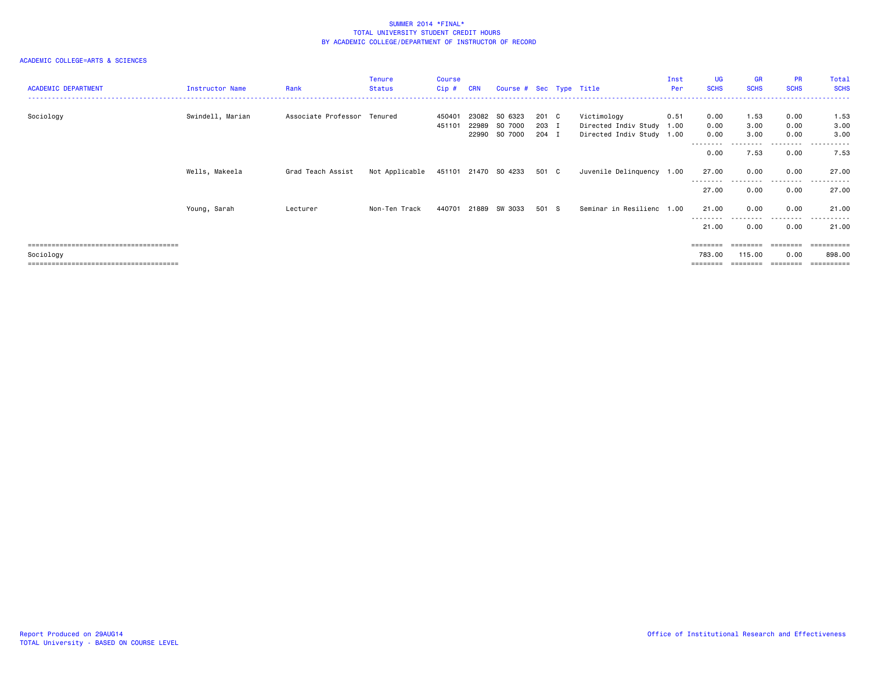| <b>ACADEMIC DEPARTMENT</b> | Instructor Name  | Rank                        | Tenure<br><b>Status</b> | Course<br>Cip #  | <b>CRN</b> | Course # Sec Type Title  |                |                                          | Inst<br>Per | UG<br><b>SCHS</b>  | <b>GR</b><br><b>SCHS</b> | PR<br><b>SCHS</b> | Total<br><b>SCHS</b> |
|----------------------------|------------------|-----------------------------|-------------------------|------------------|------------|--------------------------|----------------|------------------------------------------|-------------|--------------------|--------------------------|-------------------|----------------------|
| Sociology                  | Swindell, Marian | Associate Professor Tenured |                         | 450401<br>451101 | 22989      | 23082 SO 6323<br>SO 7000 | 201 C<br>203 I | Victimology<br>Directed Indiv Study 1.00 | 0.51        | 0.00<br>0.00       | 1.53<br>3.00             | 0.00<br>0.00      | 1.53<br>3.00         |
|                            |                  |                             |                         |                  |            | 22990 SO 7000            | 204 I          | Directed Indiv Study 1.00                |             | 0.00<br>--------   | 3.00<br>.                | 0.00<br>.         | 3.00<br>.            |
|                            |                  |                             |                         |                  |            |                          |                |                                          |             | 0.00               | 7.53                     | 0.00              | 7.53                 |
|                            | Wells, Makeela   | Grad Teach Assist           | Not Applicable          |                  |            | 451101 21470 SO 4233     | 501 C          | Juvenile Delinquency 1.00                |             | 27.00<br>--------  | 0.00                     | 0.00<br>--------- | 27.00                |
|                            |                  |                             |                         |                  |            |                          |                |                                          |             | 27.00              | 0.00                     | 0.00              | 27.00                |
|                            | Young, Sarah     | Lecturer                    | Non-Ten Track           | 440701           | 21889      | SW 3033                  | 501 S          | Seminar in Resilienc 1.00                |             | 21.00<br>--------- | 0.00<br>.                | 0.00<br>.         | 21.00<br>.           |
|                            |                  |                             |                         |                  |            |                          |                |                                          |             | 21.00              | 0.00                     | 0.00              | 21.00                |
|                            |                  |                             |                         |                  |            |                          |                |                                          |             | ========           |                          | ========          | ==========           |
| Sociology                  |                  |                             |                         |                  |            |                          |                |                                          |             | 783.00             | 115.00                   | 0.00              | 898,00               |
|                            |                  |                             |                         |                  |            |                          |                |                                          |             |                    |                          |                   | ------               |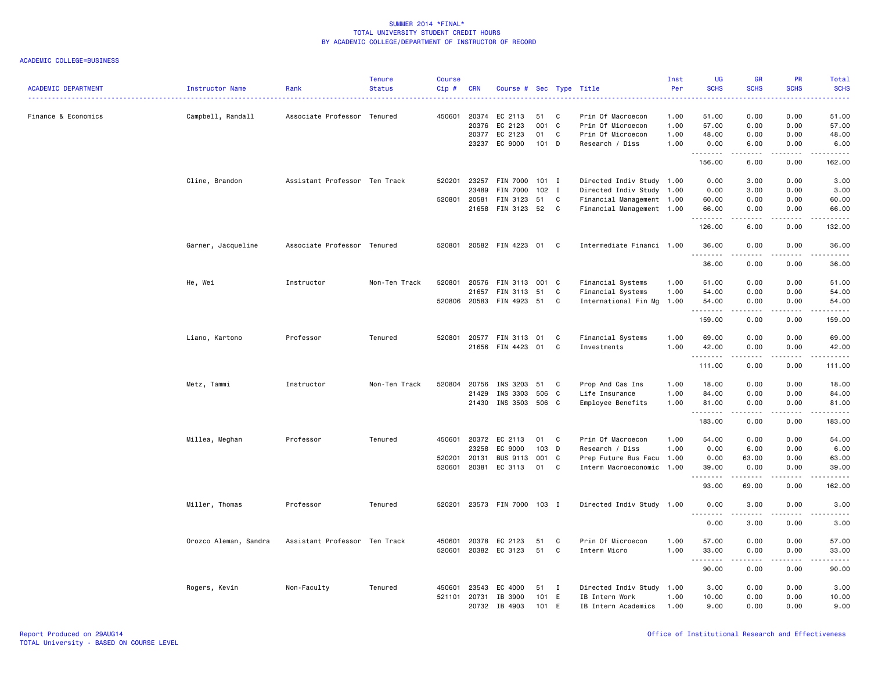| <b>ACADEMIC DEPARTMENT</b> | Instructor Name       | Rank                          | <b>Tenure</b><br><b>Status</b> | <b>Course</b><br>Cip# | <b>CRN</b> | Course # Sec Type Title |       |                   | . <u>.</u> .              | Inst<br>Per  | <b>UG</b><br><b>SCHS</b>     | <b>GR</b><br><b>SCHS</b> | PR<br><b>SCHS</b>              | Total<br><b>SCHS</b><br>$\omega$ is $\omega$ in |
|----------------------------|-----------------------|-------------------------------|--------------------------------|-----------------------|------------|-------------------------|-------|-------------------|---------------------------|--------------|------------------------------|--------------------------|--------------------------------|-------------------------------------------------|
| Finance & Economics        | Campbell, Randall     | Associate Professor Tenured   |                                | 450601                | 20374      | EC 2113                 | 51    | C                 | Prin Of Macroecon         | 1.00         | 51.00                        | 0.00                     | 0.00                           | 51.00                                           |
|                            |                       |                               |                                |                       | 20376      | EC 2123                 | 001 C |                   | Prin Of Microecon         | 1.00         | 57.00                        | 0.00                     | 0.00                           | 57.00                                           |
|                            |                       |                               |                                |                       | 20377      | EC 2123                 | 01    | C                 | Prin Of Microecon         | 1.00         | 48.00                        | 0.00                     | 0.00                           | 48.00                                           |
|                            |                       |                               |                                |                       | 23237      | EC 9000                 | 101 D |                   | Research / Diss           | 1.00         | 0.00<br>.                    | 6.00                     | 0.00<br>- - - -                | 6.00                                            |
|                            |                       |                               |                                |                       |            |                         |       |                   |                           |              | 156.00                       | 6.00                     | 0.00                           | 162.00                                          |
|                            | Cline, Brandon        | Assistant Professor Ten Track |                                | 520201                | 23257      | FIN 7000                | 101 I |                   | Directed Indiv Study 1.00 |              | 0.00                         | 3.00                     | 0.00                           | 3.00                                            |
|                            |                       |                               |                                |                       | 23489      | FIN 7000                | 102 I |                   | Directed Indiv Study 1.00 |              | 0.00                         | 3.00                     | 0.00                           | 3.00                                            |
|                            |                       |                               |                                | 520801 20581          |            | FIN 3123                | 51    | C                 | Financial Management 1.00 |              | 60.00                        | 0.00                     | 0.00                           | 60.00                                           |
|                            |                       |                               |                                |                       | 21658      | FIN 3123                | 52    | C                 | Financial Management 1.00 |              | 66.00<br>.                   | 0.00                     | 0.00<br>$  -$                  | 66.00<br>$- - - -$                              |
|                            |                       |                               |                                |                       |            |                         |       |                   |                           |              | 126.00                       | 6.00                     | 0.00                           | 132.00                                          |
|                            | Garner, Jacqueline    | Associate Professor Tenured   |                                | 520801                |            | 20582 FIN 4223          | 01    | C.                | Intermediate Financi 1.00 |              | 36.00                        | 0.00                     | 0.00                           | 36.00                                           |
|                            |                       |                               |                                |                       |            |                         |       |                   |                           |              | 36.00                        | 0.00                     | 0.00                           | 36.00                                           |
|                            | He, Wei               | Instructor                    | Non-Ten Track                  | 520801                | 20576      | FIN 3113                | 001 C |                   | Financial Systems         | 1.00         | 51.00                        | 0.00                     | 0.00                           | 51.00                                           |
|                            |                       |                               |                                |                       | 21657      | FIN 3113                | 51    | C                 | Financial Systems         | 1.00         | 54.00                        | 0.00                     | 0.00                           | 54.00                                           |
|                            |                       |                               |                                | 520806                | 20583      | FIN 4923                | 51    | C                 | International Fin Mg      | 1.00         | 54.00                        | 0.00                     | 0.00                           | 54.00                                           |
|                            |                       |                               |                                |                       |            |                         |       |                   |                           |              | .<br>159.00                  | .<br>0.00                | $\omega$ is a $\omega$<br>0.00 | .<br>159.00                                     |
|                            |                       |                               |                                |                       |            |                         |       |                   |                           |              |                              |                          |                                |                                                 |
|                            | Liano, Kartono        | Professor                     | Tenured                        | 520801                | 20577      | FIN 3113<br>FIN 4423    | 01    | C<br>$\mathbf{C}$ | Financial Systems         | 1.00<br>1.00 | 69.00                        | 0.00                     | 0.00<br>0.00                   | 69.00                                           |
|                            |                       |                               |                                |                       | 21656      |                         | 01    |                   | Investments               |              | 42.00<br>.                   | 0.00                     |                                | 42.00<br>.                                      |
|                            |                       |                               |                                |                       |            |                         |       |                   |                           |              | 111.00                       | 0.00                     | 0.00                           | 111.00                                          |
|                            | Metz, Tammi           | Instructor                    | Non-Ten Track                  | 520804                | 20756      | INS 3203                | 51    | C                 | Prop And Cas Ins          | 1.00         | 18.00                        | 0.00                     | 0.00                           | 18.00                                           |
|                            |                       |                               |                                |                       | 21429      | INS 3303                | 506 C |                   | Life Insurance            | 1.00         | 84.00                        | 0.00                     | 0.00                           | 84.00                                           |
|                            |                       |                               |                                |                       | 21430      | INS 3503                | 506   | C                 | Employee Benefits         | 1.00         | 81.00<br>.                   | 0.00<br>.                | 0.00<br>$\frac{1}{2}$          | 81.00<br>.                                      |
|                            |                       |                               |                                |                       |            |                         |       |                   |                           |              | 183.00                       | 0.00                     | 0.00                           | 183.00                                          |
|                            | Millea, Meghan        | Professor                     | Tenured                        | 450601                | 20372      | EC 2113                 | 01    | C                 | Prin Of Macroecon         | 1.00         | 54.00                        | 0.00                     | 0.00                           | 54.00                                           |
|                            |                       |                               |                                |                       | 23258      | EC 9000                 | 103 D |                   | Research / Diss           | 1.00         | 0.00                         | 6.00                     | 0.00                           | 6.00                                            |
|                            |                       |                               |                                | 520201                | 20131      | <b>BUS 9113</b>         | 001 C |                   | Prep Future Bus Facu 1.00 |              | 0.00                         | 63.00                    | 0.00                           | 63.00                                           |
|                            |                       |                               |                                | 520601                | 20381      | EC 3113                 | 01    | C                 | Interm Macroeconomic 1.00 |              | 39.00<br>.                   | 0.00<br>. <u>.</u>       | 0.00<br>$- - - -$              | 39.00<br>.                                      |
|                            |                       |                               |                                |                       |            |                         |       |                   |                           |              | 93.00                        | 69.00                    | 0.00                           | 162.00                                          |
|                            | Miller, Thomas        | Professor                     | Tenured                        | 520201                |            | 23573 FIN 7000          | 103 I |                   | Directed Indiv Study 1.00 |              | 0.00                         | 3.00                     | 0.00                           | 3.00                                            |
|                            |                       |                               |                                |                       |            |                         |       |                   |                           |              | $\sim$ $\sim$ $\sim$<br>0.00 | 3.00                     | 0.00                           | 3.00                                            |
|                            | Orozco Aleman, Sandra | Assistant Professor Ten Track |                                | 450601                | 20378      | EC 2123                 | 51    | C                 | Prin Of Microecon         | 1.00         | 57.00                        | 0.00                     | 0.00                           | 57.00                                           |
|                            |                       |                               |                                | 520601                |            | 20382 EC 3123           | 51    | C                 | Interm Micro              | 1.00         | 33.00                        | 0.00                     | 0.00                           | 33.00                                           |
|                            |                       |                               |                                |                       |            |                         |       |                   |                           |              | <u>.</u>                     | .                        | $\sim$ $\sim$ $\sim$           | .                                               |
|                            |                       |                               |                                |                       |            |                         |       |                   |                           |              | 90.00                        | 0.00                     | 0.00                           | 90.00                                           |
|                            | Rogers, Kevin         | Non-Faculty                   | Tenured                        | 450601                | 23543      | EC 4000                 | 51    | I                 | Directed Indiv Study 1.00 |              | 3.00                         | 0.00                     | 0.00                           | 3.00                                            |
|                            |                       |                               |                                | 521101                | 20731      | IB 3900                 | 101   | E                 | IB Intern Work            | 1.00         | 10.00                        | 0.00                     | 0.00                           | 10.00                                           |
|                            |                       |                               |                                |                       |            | 20732 IB 4903           | 101 E |                   | IB Intern Academics       | 1.00         | 9.00                         | 0.00                     | 0.00                           | 9.00                                            |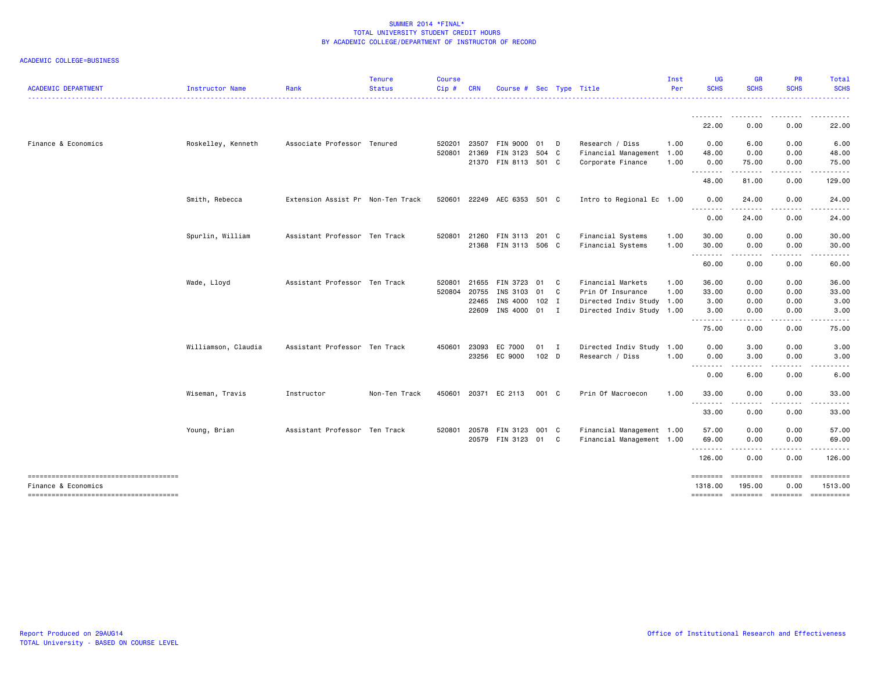| <b>ACADEMIC DEPARTMENT</b>                                   | Instructor Name     | Rank                              | <b>Tenure</b><br><b>Status</b> | <b>Course</b><br>$Cip \#$ | <b>CRN</b>   | Course # Sec Type Title     |                  |              |                           | Inst<br>Per | <b>UG</b><br><b>SCHS</b> | <b>GR</b><br><b>SCHS</b>                                                                                                                                                                                                                                                                                                                                                                     | <b>PR</b><br><b>SCHS</b> | <b>Total</b><br><b>SCHS</b> |
|--------------------------------------------------------------|---------------------|-----------------------------------|--------------------------------|---------------------------|--------------|-----------------------------|------------------|--------------|---------------------------|-------------|--------------------------|----------------------------------------------------------------------------------------------------------------------------------------------------------------------------------------------------------------------------------------------------------------------------------------------------------------------------------------------------------------------------------------------|--------------------------|-----------------------------|
|                                                              |                     |                                   |                                |                           |              |                             |                  |              |                           |             | <u>.</u><br>22.00        | 0.00                                                                                                                                                                                                                                                                                                                                                                                         | 0.00                     | 22.00                       |
| Finance & Economics                                          |                     | Associate Professor Tenured       |                                |                           |              |                             |                  |              | Research / Diss           |             |                          |                                                                                                                                                                                                                                                                                                                                                                                              |                          | 6.00                        |
|                                                              | Roskelley, Kenneth  |                                   |                                | 520201                    | 23507        | FIN 9000 01                 |                  | D            |                           | 1.00        | 0.00                     | 6.00                                                                                                                                                                                                                                                                                                                                                                                         | 0.00                     |                             |
|                                                              |                     |                                   |                                |                           | 520801 21369 | FIN 3123 504 C              |                  |              | Financial Management 1.00 |             | 48.00                    | 0.00                                                                                                                                                                                                                                                                                                                                                                                         | 0.00                     | 48.00                       |
|                                                              |                     |                                   |                                |                           | 21370        | FIN 8113 501 C              |                  |              | Corporate Finance         | 1.00        | 0.00<br>.                | 75.00<br>.                                                                                                                                                                                                                                                                                                                                                                                   | 0.00                     | 75.00                       |
|                                                              |                     |                                   |                                |                           |              |                             |                  |              |                           |             | 48.00                    | 81.00                                                                                                                                                                                                                                                                                                                                                                                        | 0.00                     | 129.00                      |
|                                                              | Smith, Rebecca      | Extension Assist Pr Non-Ten Track |                                |                           |              | 520601 22249 AEC 6353 501 C |                  |              | Intro to Regional Ec 1.00 |             | 0.00<br>.                | 24.00                                                                                                                                                                                                                                                                                                                                                                                        | 0.00                     | 24.00                       |
|                                                              |                     |                                   |                                |                           |              |                             |                  |              |                           |             | 0.00                     | 24.00                                                                                                                                                                                                                                                                                                                                                                                        | 0.00                     | 24.00                       |
|                                                              | Spurlin, William    | Assistant Professor Ten Track     |                                | 520801                    | 21260        | FIN 3113 201 C              |                  |              | Financial Systems         | 1.00        | 30.00                    | 0.00                                                                                                                                                                                                                                                                                                                                                                                         | 0.00                     | 30.00                       |
|                                                              |                     |                                   |                                |                           |              | 21368 FIN 3113 506 C        |                  |              | Financial Systems         | 1.00        | 30.00                    | 0.00                                                                                                                                                                                                                                                                                                                                                                                         | 0.00                     | 30.00                       |
|                                                              |                     |                                   |                                |                           |              |                             |                  |              |                           |             | <u>.</u><br>60.00        | $- - - -$<br>0.00                                                                                                                                                                                                                                                                                                                                                                            | 0.00                     | 60.00                       |
|                                                              |                     |                                   |                                |                           |              |                             |                  |              |                           |             |                          |                                                                                                                                                                                                                                                                                                                                                                                              |                          |                             |
|                                                              | Wade, Lloyd         | Assistant Professor Ten Track     |                                | 520801                    | 21655        | FIN 3723                    | 01               | C            | Financial Markets         | 1.00        | 36.00                    | 0.00                                                                                                                                                                                                                                                                                                                                                                                         | 0.00                     | 36.00                       |
|                                                              |                     |                                   |                                | 520804                    | 20755        | INS 3103                    | 01               | $\mathbf{C}$ | Prin Of Insurance         | 1.00        | 33.00                    | 0.00                                                                                                                                                                                                                                                                                                                                                                                         | 0.00                     | 33.00                       |
|                                                              |                     |                                   |                                |                           | 22465        | INS 4000 102 I              |                  |              | Directed Indiv Study 1.00 |             | 3.00                     | 0.00                                                                                                                                                                                                                                                                                                                                                                                         | 0.00                     | 3.00                        |
|                                                              |                     |                                   |                                |                           |              | 22609 INS 4000 01 I         |                  |              | Directed Indiv Study 1.00 |             | 3.00                     | 0.00                                                                                                                                                                                                                                                                                                                                                                                         | 0.00                     | 3.00                        |
|                                                              |                     |                                   |                                |                           |              |                             |                  |              |                           |             | 75.00                    | $\sim$ $\sim$ $\sim$<br>0.00                                                                                                                                                                                                                                                                                                                                                                 | 0.00                     | 75.00                       |
|                                                              | Williamson, Claudia | Assistant Professor Ten Track     |                                | 450601                    | 23093        | EC 7000                     | 01 I             |              | Directed Indiv Study 1.00 |             | 0.00                     | 3.00                                                                                                                                                                                                                                                                                                                                                                                         | 0.00                     | 3.00                        |
|                                                              |                     |                                   |                                |                           |              | 23256 EC 9000               | 102 <sub>D</sub> |              | Research / Diss           | 1.00        | 0.00                     | 3.00                                                                                                                                                                                                                                                                                                                                                                                         | 0.00                     | 3.00                        |
|                                                              |                     |                                   |                                |                           |              |                             |                  |              |                           |             | --------                 | $\frac{1}{2} \frac{1}{2} \frac{1}{2} \frac{1}{2} \frac{1}{2} \frac{1}{2} \frac{1}{2} \frac{1}{2} \frac{1}{2} \frac{1}{2} \frac{1}{2} \frac{1}{2} \frac{1}{2} \frac{1}{2} \frac{1}{2} \frac{1}{2} \frac{1}{2} \frac{1}{2} \frac{1}{2} \frac{1}{2} \frac{1}{2} \frac{1}{2} \frac{1}{2} \frac{1}{2} \frac{1}{2} \frac{1}{2} \frac{1}{2} \frac{1}{2} \frac{1}{2} \frac{1}{2} \frac{1}{2} \frac{$ |                          |                             |
|                                                              |                     |                                   |                                |                           |              |                             |                  |              |                           |             | 0.00                     | 6.00                                                                                                                                                                                                                                                                                                                                                                                         | 0.00                     | 6.00                        |
|                                                              | Wiseman, Travis     | Instructor                        | Non-Ten Track                  |                           |              | 450601 20371 EC 2113        | 001 C            |              | Prin Of Macroecon         | 1.00        | 33.00<br><u>.</u>        | 0.00<br>$\frac{1}{2}$                                                                                                                                                                                                                                                                                                                                                                        | 0.00<br>.                | 33.00                       |
|                                                              |                     |                                   |                                |                           |              |                             |                  |              |                           |             | 33.00                    | 0.00                                                                                                                                                                                                                                                                                                                                                                                         | 0.00                     | 33.00                       |
|                                                              | Young, Brian        | Assistant Professor Ten Track     |                                | 520801                    | 20578        | FIN 3123 001 C              |                  |              | Financial Management 1.00 |             | 57.00                    | 0.00                                                                                                                                                                                                                                                                                                                                                                                         | 0.00                     | 57.00                       |
|                                                              |                     |                                   |                                |                           |              | 20579 FIN 3123 01 C         |                  |              | Financial Management 1.00 |             | 69.00                    | 0.00                                                                                                                                                                                                                                                                                                                                                                                         | 0.00                     | 69.00                       |
|                                                              |                     |                                   |                                |                           |              |                             |                  |              |                           |             | .                        | -----                                                                                                                                                                                                                                                                                                                                                                                        | -----                    | .                           |
|                                                              |                     |                                   |                                |                           |              |                             |                  |              |                           |             | 126.00                   | 0.00                                                                                                                                                                                                                                                                                                                                                                                         | 0.00                     | 126.00                      |
| -------------------------------------<br>Finance & Economics |                     |                                   |                                |                           |              |                             |                  |              |                           |             | ========<br>1318.00      | ========<br>195.00                                                                                                                                                                                                                                                                                                                                                                           | $= 222222222$<br>0.00    | ==========<br>1513.00       |
| --------------------------------------                       |                     |                                   |                                |                           |              |                             |                  |              |                           |             | ========                 |                                                                                                                                                                                                                                                                                                                                                                                              |                          | ==========                  |
|                                                              |                     |                                   |                                |                           |              |                             |                  |              |                           |             |                          |                                                                                                                                                                                                                                                                                                                                                                                              |                          |                             |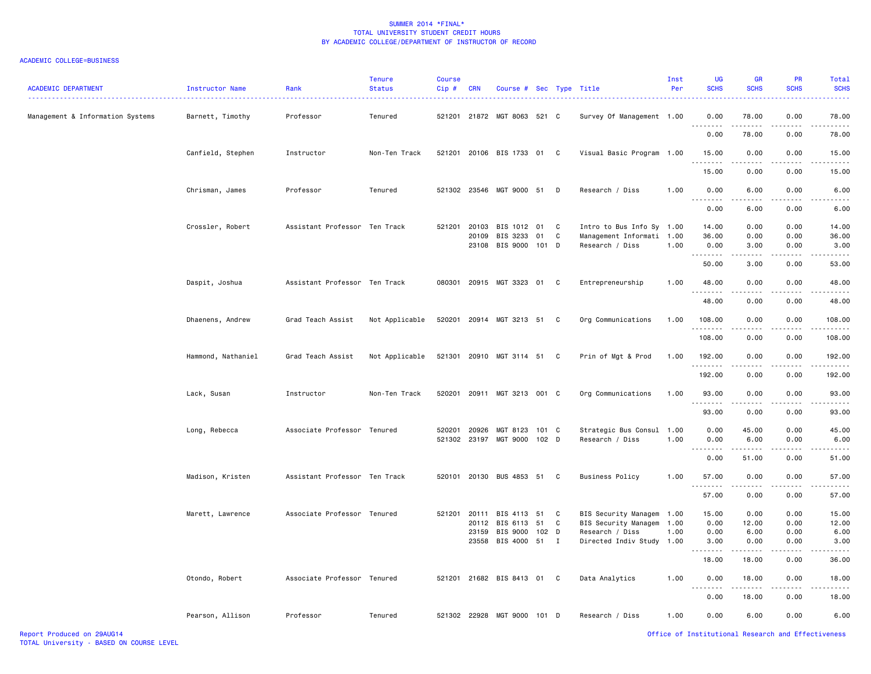| <b>ACADEMIC DEPARTMENT</b>       | Instructor Name    | Rank                          | <b>Tenure</b><br><b>Status</b> | <b>Course</b><br>Cip# | <b>CRN</b> | Course # Sec Type Title   |         |              |                           | Inst<br>Per | UG<br><b>SCHS</b>                                                                                                                                                                                                                                                                                                                                                                                                                                                                              | <b>GR</b><br><b>SCHS</b> | <b>PR</b><br><b>SCHS</b>  | Total<br><b>SCHS</b>                                                                                                               |
|----------------------------------|--------------------|-------------------------------|--------------------------------|-----------------------|------------|---------------------------|---------|--------------|---------------------------|-------------|------------------------------------------------------------------------------------------------------------------------------------------------------------------------------------------------------------------------------------------------------------------------------------------------------------------------------------------------------------------------------------------------------------------------------------------------------------------------------------------------|--------------------------|---------------------------|------------------------------------------------------------------------------------------------------------------------------------|
| Management & Information Systems | Barnett, Timothy   | Professor                     | Tenured                        | 521201                |            | 21872 MGT 8063 521 C      |         |              | Survey Of Management 1.00 |             | 0.00                                                                                                                                                                                                                                                                                                                                                                                                                                                                                           | 78.00                    | 0.00                      | 78.00                                                                                                                              |
|                                  |                    |                               |                                |                       |            |                           |         |              |                           |             | 0.00                                                                                                                                                                                                                                                                                                                                                                                                                                                                                           | 78.00                    | 0.00                      | 78.00                                                                                                                              |
|                                  | Canfield, Stephen  | Instructor                    | Non-Ten Track                  | 521201                |            | 20106 BIS 1733 01 C       |         |              | Visual Basic Program 1.00 |             | 15.00                                                                                                                                                                                                                                                                                                                                                                                                                                                                                          | 0.00                     | 0.00                      | 15.00                                                                                                                              |
|                                  |                    |                               |                                |                       |            |                           |         |              |                           |             | 15.00                                                                                                                                                                                                                                                                                                                                                                                                                                                                                          | 0.00                     | 0.00                      | 15.00                                                                                                                              |
|                                  | Chrisman, James    | Professor                     | Tenured                        |                       |            | 521302 23546 MGT 9000 51  |         | D            | Research / Diss           | 1.00        | 0.00                                                                                                                                                                                                                                                                                                                                                                                                                                                                                           | 6.00                     | 0.00                      | 6.00                                                                                                                               |
|                                  |                    |                               |                                |                       |            |                           |         |              |                           |             | 0.00                                                                                                                                                                                                                                                                                                                                                                                                                                                                                           | 6.00                     | 0.00                      | 6.00                                                                                                                               |
|                                  | Crossler, Robert   | Assistant Professor Ten Track |                                | 521201                | 20103      | BIS 1012 01               |         | C            | Intro to Bus Info Sy 1.00 |             | 14.00                                                                                                                                                                                                                                                                                                                                                                                                                                                                                          | 0.00                     | 0.00                      | 14.00                                                                                                                              |
|                                  |                    |                               |                                |                       | 20109      | BIS 3233                  | 01      | C            | Management Informati 1.00 |             | 36.00                                                                                                                                                                                                                                                                                                                                                                                                                                                                                          | 0.00                     | 0.00                      | 36.00                                                                                                                              |
|                                  |                    |                               |                                |                       |            | 23108 BIS 9000 101 D      |         |              | Research / Diss           | 1.00        | 0.00<br>$\begin{array}{cccccccccccccc} \multicolumn{2}{c}{} & \multicolumn{2}{c}{} & \multicolumn{2}{c}{} & \multicolumn{2}{c}{} & \multicolumn{2}{c}{} & \multicolumn{2}{c}{} & \multicolumn{2}{c}{} & \multicolumn{2}{c}{} & \multicolumn{2}{c}{} & \multicolumn{2}{c}{} & \multicolumn{2}{c}{} & \multicolumn{2}{c}{} & \multicolumn{2}{c}{} & \multicolumn{2}{c}{} & \multicolumn{2}{c}{} & \multicolumn{2}{c}{} & \multicolumn{2}{c}{} & \multicolumn{2}{c}{} & \multicolumn{2}{c}{} & \$ | 3.00<br>.                | 0.00<br>.                 | 3.00<br>.                                                                                                                          |
|                                  |                    |                               |                                |                       |            |                           |         |              |                           |             | 50.00                                                                                                                                                                                                                                                                                                                                                                                                                                                                                          | 3.00                     | 0.00                      | 53.00                                                                                                                              |
|                                  | Daspit, Joshua     | Assistant Professor Ten Track |                                | 080301                |            | 20915 MGT 3323 01         |         | C            | Entrepreneurship          | 1.00        | 48.00<br><u>.</u>                                                                                                                                                                                                                                                                                                                                                                                                                                                                              | 0.00<br>.                | 0.00<br>.                 | 48.00                                                                                                                              |
|                                  |                    |                               |                                |                       |            |                           |         |              |                           |             | 48.00                                                                                                                                                                                                                                                                                                                                                                                                                                                                                          | 0.00                     | 0.00                      | 48.00                                                                                                                              |
|                                  | Dhaenens, Andrew   | Grad Teach Assist             | Not Applicable                 | 520201                |            | 20914 MGT 3213 51 C       |         |              | Org Communications        | 1.00        | 108.00<br>.                                                                                                                                                                                                                                                                                                                                                                                                                                                                                    | 0.00<br>.                | 0.00<br>.                 | 108.00                                                                                                                             |
|                                  |                    |                               |                                |                       |            |                           |         |              |                           |             | 108.00                                                                                                                                                                                                                                                                                                                                                                                                                                                                                         | 0.00                     | 0.00                      | 108.00                                                                                                                             |
|                                  | Hammond, Nathaniel | Grad Teach Assist             | Not Applicable                 | 521301                |            | 20910 MGT 3114 51 C       |         |              | Prin of Mgt & Prod        | 1.00        | 192.00<br>.                                                                                                                                                                                                                                                                                                                                                                                                                                                                                    | 0.00<br>$- - - - -$      | 0.00<br>$\omega$ is a set | 192.00<br>$- - - - - -$                                                                                                            |
|                                  |                    |                               |                                |                       |            |                           |         |              |                           |             | 192.00                                                                                                                                                                                                                                                                                                                                                                                                                                                                                         | 0.00                     | 0.00                      | 192.00                                                                                                                             |
|                                  | Lack, Susan        | Instructor                    | Non-Ten Track                  | 520201                |            | 20911 MGT 3213 001 C      |         |              | Org Communications        | 1.00        | 93.00<br>.                                                                                                                                                                                                                                                                                                                                                                                                                                                                                     | 0.00                     | 0.00                      | 93.00                                                                                                                              |
|                                  |                    |                               |                                |                       |            |                           |         |              |                           |             | 93.00                                                                                                                                                                                                                                                                                                                                                                                                                                                                                          | المستبد<br>0.00          | .<br>0.00                 | 93.00                                                                                                                              |
|                                  | Long, Rebecca      | Associate Professor Tenured   |                                | 520201                | 20926      | MGT 8123 101 C            |         |              | Strategic Bus Consul 1.00 |             | 0.00                                                                                                                                                                                                                                                                                                                                                                                                                                                                                           | 45.00                    | 0.00                      | 45.00                                                                                                                              |
|                                  |                    |                               |                                | 521302                | 23197      | MGT 9000                  | $102$ D |              | Research / Diss           | 1.00        | 0.00                                                                                                                                                                                                                                                                                                                                                                                                                                                                                           | 6.00                     | 0.00                      | 6.00                                                                                                                               |
|                                  |                    |                               |                                |                       |            |                           |         |              |                           |             | 0.00                                                                                                                                                                                                                                                                                                                                                                                                                                                                                           | 51.00                    | 0.00                      | 51.00                                                                                                                              |
|                                  | Madison, Kristen   | Assistant Professor Ten Track |                                | 520101                |            | 20130 BUS 4853 51 C       |         |              | <b>Business Policy</b>    | 1.00        | 57.00                                                                                                                                                                                                                                                                                                                                                                                                                                                                                          | 0.00                     | 0.00                      | 57.00                                                                                                                              |
|                                  |                    |                               |                                |                       |            |                           |         |              |                           |             | د د د<br>57.00                                                                                                                                                                                                                                                                                                                                                                                                                                                                                 | 0.00                     | 0.00                      | 57.00                                                                                                                              |
|                                  | Marett, Lawrence   | Associate Professor Tenured   |                                | 521201                | 20111      | BIS 4113                  | 51      | C            | BIS Security Managem      | 1.00        | 15.00                                                                                                                                                                                                                                                                                                                                                                                                                                                                                          | 0.00                     | 0.00                      | 15.00                                                                                                                              |
|                                  |                    |                               |                                |                       | 20112      | BIS 6113                  | 51      | C            | BIS Security Managem      | 1.00        | 0.00                                                                                                                                                                                                                                                                                                                                                                                                                                                                                           | 12.00                    | 0.00                      | 12.00                                                                                                                              |
|                                  |                    |                               |                                |                       | 23159      | BIS 9000 102 D            |         |              | Research / Diss           | 1.00        | 0.00                                                                                                                                                                                                                                                                                                                                                                                                                                                                                           | 6.00                     | 0.00                      | 6.00                                                                                                                               |
|                                  |                    |                               |                                |                       | 23558      | BIS 4000 51               |         | $\mathbf{I}$ | Directed Indiv Study 1.00 |             | 3.00                                                                                                                                                                                                                                                                                                                                                                                                                                                                                           | 0.00                     | 0.00                      | 3.00                                                                                                                               |
|                                  |                    |                               |                                |                       |            |                           |         |              |                           |             | <b>.</b><br>18.00                                                                                                                                                                                                                                                                                                                                                                                                                                                                              | .<br>18.00               | .<br>0.00                 | $\frac{1}{2} \left( \frac{1}{2} \right) \left( \frac{1}{2} \right) \left( \frac{1}{2} \right) \left( \frac{1}{2} \right)$<br>36.00 |
|                                  | Otondo, Robert     | Associate Professor Tenured   |                                | 521201                |            | 21682 BIS 8413 01 C       |         |              | Data Analytics            | 1.00        | 0.00                                                                                                                                                                                                                                                                                                                                                                                                                                                                                           | 18.00                    | 0.00                      | 18.00                                                                                                                              |
|                                  |                    |                               |                                |                       |            |                           |         |              |                           |             | $\sim$ $\sim$ .<br>$\frac{1}{2}$<br>0.00                                                                                                                                                                                                                                                                                                                                                                                                                                                       | .<br>18.00               | .<br>0.00                 | 18.00                                                                                                                              |
|                                  | Pearson, Allison   | Professor                     | Tenured                        |                       |            | 521302 22928 MGT 9000 101 |         | D            | Research / Diss           | 1.00        | 0.00                                                                                                                                                                                                                                                                                                                                                                                                                                                                                           | 6.00                     | 0.00                      | 6.00                                                                                                                               |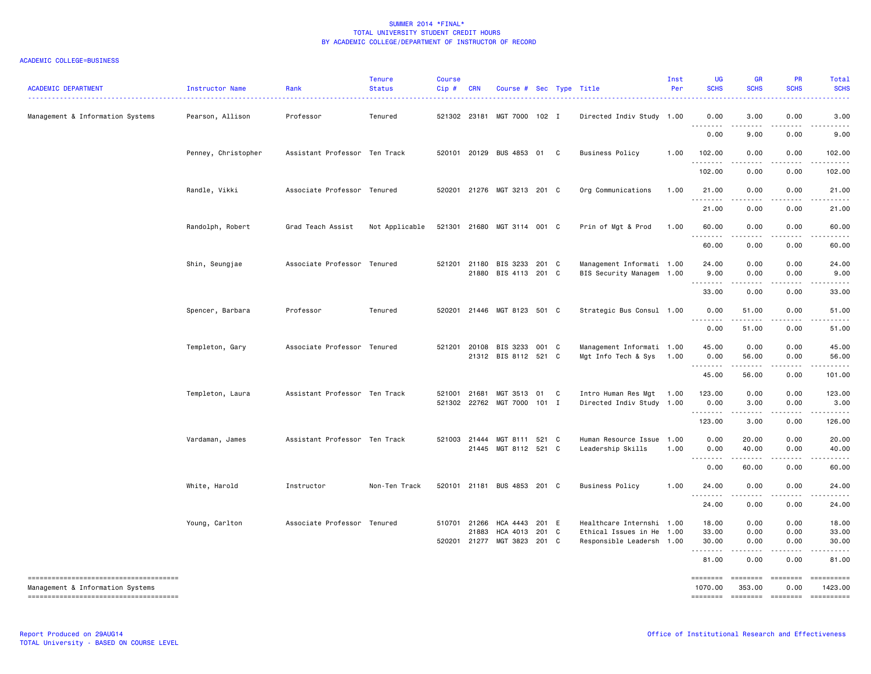| <b>ACADEMIC DEPARTMENT</b>            | Instructor Name     | Rank                          | <b>Tenure</b><br><b>Status</b> | <b>Course</b><br>$Cip$ # | <b>CRN</b>   | Course # Sec Type Title                             |       | .                                                      | Inst<br>Per  | <b>UG</b><br><b>SCHS</b>            | <b>GR</b><br><b>SCHS</b> | <b>PR</b><br><b>SCHS</b> | Total<br><b>SCHS</b>      |
|---------------------------------------|---------------------|-------------------------------|--------------------------------|--------------------------|--------------|-----------------------------------------------------|-------|--------------------------------------------------------|--------------|-------------------------------------|--------------------------|--------------------------|---------------------------|
| Management & Information Systems      | Pearson, Allison    | Professor                     | Tenured                        |                          | 521302 23181 | MGT 7000 102 I                                      |       | Directed Indiv Study 1.00                              |              | 0.00                                | 3.00<br>$- - - -$        | 0.00                     | 3.00                      |
|                                       |                     |                               |                                |                          |              |                                                     |       |                                                        |              | 0.00                                | 9.00                     | 0.00                     | 9.00                      |
|                                       | Penney, Christopher | Assistant Professor Ten Track |                                |                          |              | 520101 20129 BUS 4853 01 C                          |       | <b>Business Policy</b>                                 | 1.00         | 102.00<br>.                         | 0.00<br>.                | 0.00<br>.                | 102.00<br>$- - - - - - -$ |
|                                       |                     |                               |                                |                          |              |                                                     |       |                                                        |              | 102.00                              | 0.00                     | 0.00                     | 102.00                    |
|                                       | Randle, Vikki       | Associate Professor Tenured   |                                | 520201                   |              | 21276 MGT 3213 201 C                                |       | Org Communications                                     | 1.00         | 21.00<br><u>.</u>                   | 0.00<br>$\frac{1}{2}$    | 0.00<br>.                | 21.00<br>.                |
|                                       |                     |                               |                                |                          |              |                                                     |       |                                                        |              | 21.00                               | 0.00                     | 0.00                     | 21.00                     |
|                                       | Randolph, Robert    | Grad Teach Assist             | Not Applicable                 |                          |              | 521301 21680 MGT 3114 001 C                         |       | Prin of Mgt & Prod                                     | 1.00         | 60.00<br>.                          | 0.00<br>$\frac{1}{2}$    | 0.00                     | 60.00                     |
|                                       |                     |                               |                                |                          |              |                                                     |       |                                                        |              | 60.00                               | 0.00                     | 0.00                     | 60.00                     |
|                                       | Shin, Seungjae      | Associate Professor Tenured   |                                |                          |              | 521201 21180 BIS 3233 201 C<br>21880 BIS 4113 201 C |       | Management Informati 1.00<br>BIS Security Managem 1.00 |              | 24.00<br>9.00<br><u>.</u>           | 0.00<br>0.00<br>.        | 0.00<br>0.00<br>.        | 24.00<br>9.00<br>.        |
|                                       |                     |                               |                                |                          |              |                                                     |       |                                                        |              | 33.00                               | 0.00                     | 0.00                     | 33.00                     |
|                                       | Spencer, Barbara    | Professor                     | Tenured                        | 520201                   |              | 21446 MGT 8123 501 C                                |       | Strategic Bus Consul 1.00                              |              | 0.00<br>.                           | 51.00<br>.               | 0.00<br>.                | 51.00                     |
|                                       |                     |                               |                                |                          |              |                                                     |       |                                                        |              | 0.00                                | 51.00                    | 0.00                     | 51.00                     |
|                                       | Templeton, Gary     | Associate Professor Tenured   |                                | 521201                   |              | 20108 BIS 3233 001 C                                |       | Management Informati 1.00                              |              | 45.00                               | 0.00                     | 0.00                     | 45.00                     |
|                                       |                     |                               |                                |                          |              | 21312 BIS 8112 521 C                                |       | Mgt Info Tech & Sys                                    | 1.00         | 0.00<br>. <b>.</b>                  | 56.00<br>$- - - - -$     | 0.00<br>.                | 56.00<br>.                |
|                                       |                     |                               |                                |                          |              |                                                     |       |                                                        |              | 45.00                               | 56.00                    | 0.00                     | 101.00                    |
|                                       | Templeton, Laura    | Assistant Professor Ten Track |                                | 521001<br>521302         | 21681        | MGT 3513 01 C<br>22762 MGT 7000                     | 101 I | Intro Human Res Mgt<br>Directed Indiv Study 1.00       | 1.00         | 123.00<br>0.00                      | 0.00<br>3.00             | 0.00<br>0.00             | 123.00<br>3.00            |
|                                       |                     |                               |                                |                          |              |                                                     |       |                                                        |              | .                                   |                          |                          |                           |
|                                       |                     |                               |                                |                          |              |                                                     |       |                                                        |              | 123.00                              | 3,00                     | 0.00                     | 126.00                    |
|                                       | Vardaman, James     | Assistant Professor Ten Track |                                |                          | 521003 21444 | MGT 8111 521 C<br>21445 MGT 8112 521 C              |       | Human Resource Issue<br>Leadership Skills              | 1.00<br>1.00 | 0.00<br>0.00                        | 20.00<br>40.00           | 0.00<br>0.00             | 20.00<br>40.00            |
|                                       |                     |                               |                                |                          |              |                                                     |       |                                                        |              | $\sim$ $\sim$ $\sim$ $\sim$<br>0.00 | -----<br>60.00           | .<br>0.00                | 60.00                     |
|                                       |                     |                               |                                |                          |              |                                                     |       |                                                        |              |                                     |                          |                          |                           |
|                                       | White, Harold       | Instructor                    | Non-Ten Track                  | 520101                   |              | 21181 BUS 4853 201 C                                |       | <b>Business Policy</b>                                 | 1.00         | 24.00                               | 0.00<br>.                | 0.00<br>.                | 24.00<br>.                |
|                                       |                     |                               |                                |                          |              |                                                     |       |                                                        |              | 24.00                               | 0.00                     | 0.00                     | 24.00                     |
|                                       | Young, Carlton      | Associate Professor Tenured   |                                | 510701                   | 21266        | HCA 4443                                            | 201 E | Healthcare Internshi 1.00                              |              | 18.00                               | 0.00                     | 0.00                     | 18.00                     |
|                                       |                     |                               |                                |                          | 21883        | HCA 4013 201 C<br>520201 21277 MGT 3823 201 C       |       | Ethical Issues in He<br>Responsible Leadersh 1.00      | 1.00         | 33.00<br>30.00                      | 0.00<br>0.00             | 0.00<br>0.00             | 33.00<br>30.00            |
|                                       |                     |                               |                                |                          |              |                                                     |       |                                                        |              | .<br>81.00                          | .<br>0.00                | .<br>0.00                | 81.00                     |
| ------------------------------------- |                     |                               |                                |                          |              |                                                     |       |                                                        |              | ========                            | ========                 | ========                 | ==========                |
| Management & Information Systems      |                     |                               |                                |                          |              |                                                     |       |                                                        |              | 1070.00                             | 353.00                   | 0.00                     | 1423.00<br>==========     |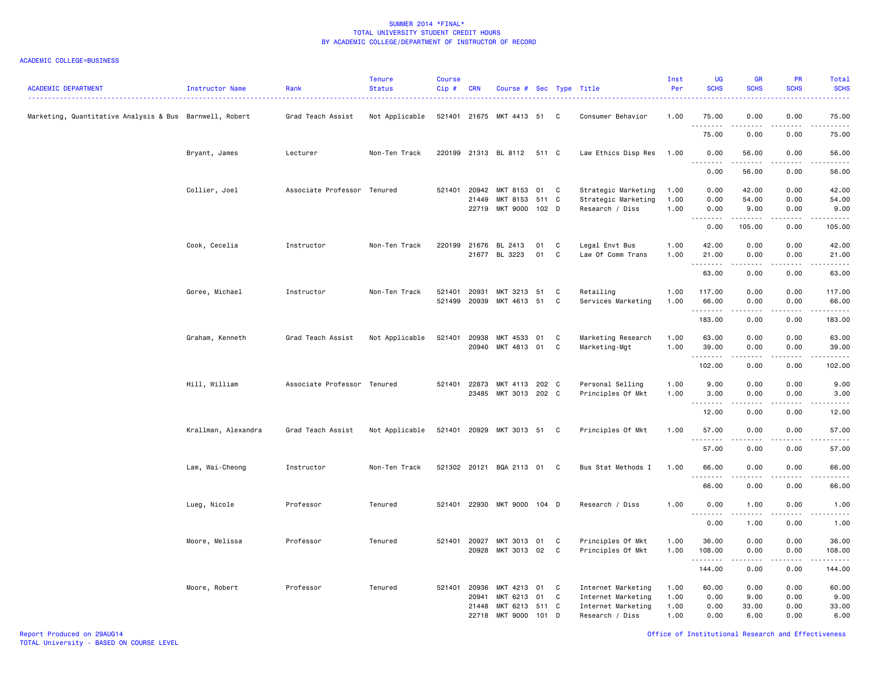| <b>ACADEMIC DEPARTMENT</b>                              | Instructor Name     | Rank                        | <b>Tenure</b><br><b>Status</b> | <b>Course</b><br>Cip# | <b>CRN</b>     | Course # Sec Type Title    |       |   |                                       | Inst<br>Per  | UG<br><b>SCHS</b>                                                                                                                                                                    | <b>GR</b><br><b>SCHS</b> | <b>PR</b><br><b>SCHS</b> | Total<br><b>SCHS</b>                                                                                                      |
|---------------------------------------------------------|---------------------|-----------------------------|--------------------------------|-----------------------|----------------|----------------------------|-------|---|---------------------------------------|--------------|--------------------------------------------------------------------------------------------------------------------------------------------------------------------------------------|--------------------------|--------------------------|---------------------------------------------------------------------------------------------------------------------------|
| Marketing, Quantitative Analysis & Bus Barnwell, Robert |                     | Grad Teach Assist           | Not Applicable                 | 521401 21675          |                | MKT 4413                   | 51    | C | Consumer Behavior                     | 1.00         | 75.00<br>.                                                                                                                                                                           | 0.00                     | 0.00                     | 75.00<br>.                                                                                                                |
|                                                         |                     |                             |                                |                       |                |                            |       |   |                                       |              | 75.00                                                                                                                                                                                | 0.00                     | 0.00                     | 75.00                                                                                                                     |
|                                                         | Bryant, James       | Lecturer                    | Non-Ten Track                  | 220199                |                | 21313 BL 8112              | 511 C |   | Law Ethics Disp Res                   | 1.00         | 0.00<br>.                                                                                                                                                                            | 56.00<br>د د د د د       | 0.00                     | 56.00<br>.                                                                                                                |
|                                                         |                     |                             |                                |                       |                |                            |       |   |                                       |              | 0.00                                                                                                                                                                                 | 56.00                    | 0.00                     | 56.00                                                                                                                     |
|                                                         | Collier, Joel       | Associate Professor Tenured |                                | 521401                | 20942          | MKT 8153                   | 01    | C | Strategic Marketing                   | 1.00         | 0.00                                                                                                                                                                                 | 42.00                    | 0.00                     | 42.00                                                                                                                     |
|                                                         |                     |                             |                                |                       | 21449          | MKT 8153                   | 511 C |   | Strategic Marketing                   | 1.00         | 0.00                                                                                                                                                                                 | 54.00                    | 0.00                     | 54.00                                                                                                                     |
|                                                         |                     |                             |                                |                       | 22719          | MKT 9000 102 D             |       |   | Research / Diss                       | 1.00         | 0.00<br><b>.</b>                                                                                                                                                                     | 9.00                     | 0.00                     | 9.00                                                                                                                      |
|                                                         |                     |                             |                                |                       |                |                            |       |   |                                       |              | 0.00                                                                                                                                                                                 | .<br>105.00              | .<br>0.00                | .<br>105.00                                                                                                               |
|                                                         | Cook, Cecelia       | Instructor                  | Non-Ten Track                  | 220199                | 21676          | BL 2413                    | 01    | C | Legal Envt Bus                        | 1.00         | 42.00                                                                                                                                                                                | 0.00                     | 0.00                     | 42.00                                                                                                                     |
|                                                         |                     |                             |                                |                       |                | 21677 BL 3223              | 01    | C | Law Of Comm Trans                     | 1.00         | 21.00                                                                                                                                                                                | 0.00                     | 0.00                     | 21.00                                                                                                                     |
|                                                         |                     |                             |                                |                       |                |                            |       |   |                                       |              | .<br>63.00                                                                                                                                                                           | 0.00                     | 0.00                     | .<br>63.00                                                                                                                |
|                                                         | Goree, Michael      | Instructor                  | Non-Ten Track                  | 521401                | 20931          | MKT 3213 51                |       | C | Retailing                             | 1.00         | 117.00                                                                                                                                                                               | 0.00                     | 0.00                     | 117.00                                                                                                                    |
|                                                         |                     |                             |                                | 521499                | 20939          | MKT 4613 51                |       | C | Services Marketing                    | 1.00         | 66.00                                                                                                                                                                                | 0.00                     | 0.00                     | 66.00                                                                                                                     |
|                                                         |                     |                             |                                |                       |                |                            |       |   |                                       |              | .                                                                                                                                                                                    |                          | $\sim$ $\sim$ $\sim$     | .                                                                                                                         |
|                                                         |                     |                             |                                |                       |                |                            |       |   |                                       |              | 183.00                                                                                                                                                                               | 0.00                     | 0.00                     | 183.00                                                                                                                    |
|                                                         | Graham, Kenneth     | Grad Teach Assist           | Not Applicable                 | 521401                | 20938          | MKT 4533                   | 01    | C | Marketing Research                    | 1.00         | 63.00                                                                                                                                                                                | 0.00                     | 0.00                     | 63.00                                                                                                                     |
|                                                         |                     |                             |                                |                       | 20940          | MKT 4813 01                |       | C | Marketing-Mgt                         | 1.00         | 39.00                                                                                                                                                                                | 0.00                     | 0.00                     | 39.00                                                                                                                     |
|                                                         |                     |                             |                                |                       |                |                            |       |   |                                       |              | .<br>102.00                                                                                                                                                                          | .<br>0.00                | الأنابات<br>0.00         | .<br>102.00                                                                                                               |
|                                                         | Hill, William       | Associate Professor         | Tenured                        | 521401                | 22873          | MKT 4113 202 C             |       |   | Personal Selling                      | 1.00         | 9.00                                                                                                                                                                                 | 0.00                     | 0.00                     | 9.00                                                                                                                      |
|                                                         |                     |                             |                                |                       | 23485          | MKT 3013 202 C             |       |   | Principles Of Mkt                     | 1.00         | 3.00                                                                                                                                                                                 | 0.00                     | 0.00                     | 3.00                                                                                                                      |
|                                                         |                     |                             |                                |                       |                |                            |       |   |                                       |              | .                                                                                                                                                                                    |                          |                          | $\frac{1}{2} \left( \frac{1}{2} \right) \left( \frac{1}{2} \right) \left( \frac{1}{2} \right) \left( \frac{1}{2} \right)$ |
|                                                         |                     |                             |                                |                       |                |                            |       |   |                                       |              | 12.00                                                                                                                                                                                | 0.00                     | 0.00                     | 12.00                                                                                                                     |
|                                                         | Krallman, Alexandra | Grad Teach Assist           | Not Applicable                 | 521401 20929          |                | MKT 3013 51 C              |       |   | Principles Of Mkt                     | 1.00         | 57.00                                                                                                                                                                                | 0.00                     | 0.00                     | 57.00                                                                                                                     |
|                                                         |                     |                             |                                |                       |                |                            |       |   |                                       |              | .<br>57.00                                                                                                                                                                           | 0.00                     | 0.00                     | 57.00                                                                                                                     |
|                                                         |                     |                             |                                |                       |                |                            |       |   |                                       |              |                                                                                                                                                                                      |                          |                          |                                                                                                                           |
|                                                         | Lam, Wai-Cheong     | Instructor                  | Non-Ten Track                  |                       |                | 521302 20121 BQA 2113      | 01    | C | Bus Stat Methods I                    | 1.00         | 66.00<br>.                                                                                                                                                                           | 0.00                     | 0.00                     | 66.00                                                                                                                     |
|                                                         |                     |                             |                                |                       |                |                            |       |   |                                       |              | 66.00                                                                                                                                                                                | 0.00                     | 0.00                     | 66.00                                                                                                                     |
|                                                         | Lueg, Nicole        | Professor                   | Tenured                        | 521401                | 22930          | MKT 9000 104 D             |       |   | Research / Diss                       | 1.00         | 0.00<br>$\sim$ $\sim$ $\sim$<br>$\frac{1}{2} \left( \frac{1}{2} \right) \left( \frac{1}{2} \right) \left( \frac{1}{2} \right) \left( \frac{1}{2} \right) \left( \frac{1}{2} \right)$ | 1.00<br>.                | 0.00                     | 1.00<br>$\omega_{\rm c} = \omega_{\rm c} = \omega_{\rm c}$                                                                |
|                                                         |                     |                             |                                |                       |                |                            |       |   |                                       |              | 0.00                                                                                                                                                                                 | 1.00                     | 0.00                     | 1.00                                                                                                                      |
|                                                         | Moore, Melissa      | Professor                   | Tenured                        | 521401 20927          |                | MKT 3013                   | 01    | C | Principles Of Mkt                     | 1.00         | 36.00                                                                                                                                                                                | 0.00                     | 0.00                     | 36.00                                                                                                                     |
|                                                         |                     |                             |                                |                       | 20928          | MKT 3013 02                |       | C | Principles Of Mkt                     | 1.00         | 108.00                                                                                                                                                                               | 0.00                     | 0.00                     | 108.00                                                                                                                    |
|                                                         |                     |                             |                                |                       |                |                            |       |   |                                       |              | .<br>144.00                                                                                                                                                                          | .<br>0.00                | .<br>0.00                | .<br>144.00                                                                                                               |
|                                                         |                     |                             |                                |                       |                |                            |       |   |                                       |              |                                                                                                                                                                                      |                          |                          |                                                                                                                           |
|                                                         | Moore, Robert       | Professor                   | Tenured                        | 521401 20936          |                | MKT 4213 01                |       | C | Internet Marketing                    | 1.00         | 60.00                                                                                                                                                                                | 0.00                     | 0.00                     | 60.00                                                                                                                     |
|                                                         |                     |                             |                                |                       | 20941          | MKT 6213                   | 01    | C | Internet Marketing                    | 1.00<br>1.00 | 0.00<br>0.00                                                                                                                                                                         | 9.00<br>33.00            | 0.00<br>0.00             | 9.00<br>33.00                                                                                                             |
|                                                         |                     |                             |                                |                       | 21448<br>22718 | MKT 6213 511 C<br>MKT 9000 | 101   | D | Internet Marketing<br>Research / Diss | 1.00         | 0.00                                                                                                                                                                                 | 6.00                     | 0.00                     | 6.00                                                                                                                      |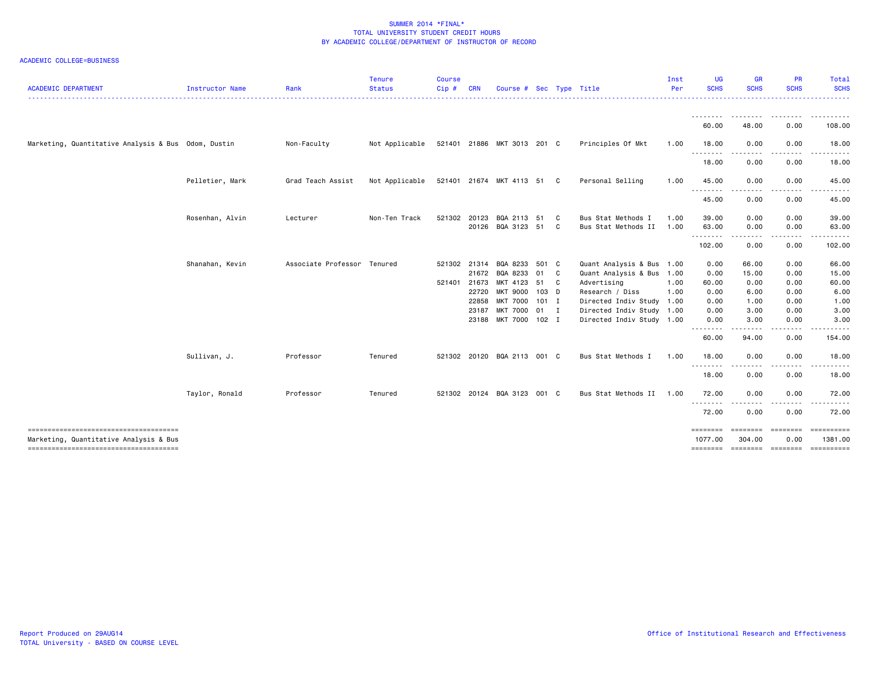| <b>ACADEMIC DEPARTMENT</b>                          | Instructor Name | Rank                        | <b>Tenure</b><br><b>Status</b> | <b>Course</b><br>Cip#        | <b>CRN</b>                                | Course # Sec                                                                                             |                                |         | Type Title                                                                                                                                                                      | Inst<br>Per  | <b>UG</b><br><b>SCHS</b>                                                                                                                                                                                                                                                                                                                                                                                                                                                                        | <b>GR</b><br><b>SCHS</b>                                    | <b>PR</b><br><b>SCHS</b>                                  | Total<br><b>SCHS</b><br>.                                                   |
|-----------------------------------------------------|-----------------|-----------------------------|--------------------------------|------------------------------|-------------------------------------------|----------------------------------------------------------------------------------------------------------|--------------------------------|---------|---------------------------------------------------------------------------------------------------------------------------------------------------------------------------------|--------------|-------------------------------------------------------------------------------------------------------------------------------------------------------------------------------------------------------------------------------------------------------------------------------------------------------------------------------------------------------------------------------------------------------------------------------------------------------------------------------------------------|-------------------------------------------------------------|-----------------------------------------------------------|-----------------------------------------------------------------------------|
|                                                     |                 |                             |                                |                              |                                           |                                                                                                          |                                |         |                                                                                                                                                                                 |              | <u>.</u><br>60.00                                                                                                                                                                                                                                                                                                                                                                                                                                                                               | --------<br>48.00                                           | .<br>0.00                                                 | .<br>108.00                                                                 |
| Marketing, Quantitative Analysis & Bus Odom, Dustin |                 | Non-Faculty                 | Not Applicable                 |                              |                                           | 521401 21886 MKT 3013 201 C                                                                              |                                |         | Principles Of Mkt                                                                                                                                                               | 1.00         | 18.00                                                                                                                                                                                                                                                                                                                                                                                                                                                                                           | 0.00                                                        | 0.00                                                      | 18.00                                                                       |
|                                                     |                 |                             |                                |                              |                                           |                                                                                                          |                                |         |                                                                                                                                                                                 |              | $\begin{array}{cccccccccccccc} \multicolumn{2}{c}{} & \multicolumn{2}{c}{} & \multicolumn{2}{c}{} & \multicolumn{2}{c}{} & \multicolumn{2}{c}{} & \multicolumn{2}{c}{} & \multicolumn{2}{c}{} & \multicolumn{2}{c}{} & \multicolumn{2}{c}{} & \multicolumn{2}{c}{} & \multicolumn{2}{c}{} & \multicolumn{2}{c}{} & \multicolumn{2}{c}{} & \multicolumn{2}{c}{} & \multicolumn{2}{c}{} & \multicolumn{2}{c}{} & \multicolumn{2}{c}{} & \multicolumn{2}{c}{} & \multicolumn{2}{c}{} & \$<br>18.00 | 0.00                                                        | 0.00                                                      | 18.00                                                                       |
|                                                     | Pelletier, Mark | Grad Teach Assist           | Not Applicable                 |                              |                                           | 521401 21674 MKT 4113 51 C                                                                               |                                |         | Personal Selling                                                                                                                                                                | 1.00         | 45.00                                                                                                                                                                                                                                                                                                                                                                                                                                                                                           | 0.00                                                        | 0.00                                                      | 45.00                                                                       |
|                                                     |                 |                             |                                |                              |                                           |                                                                                                          |                                |         |                                                                                                                                                                                 |              | --------<br>45.00                                                                                                                                                                                                                                                                                                                                                                                                                                                                               | .<br>0.00                                                   | .<br>0.00                                                 | .<br>45.00                                                                  |
|                                                     | Rosenhan, Alvin | Lecturer                    | Non-Ten Track                  | 521302                       | 20123                                     | BQA 2113<br>20126 BQA 3123 51                                                                            | 51                             | C.<br>C | Bus Stat Methods I<br>Bus Stat Methods II                                                                                                                                       | 1.00<br>1.00 | 39.00<br>63.00                                                                                                                                                                                                                                                                                                                                                                                                                                                                                  | 0.00<br>0.00<br>.                                           | 0.00<br>0.00<br>.                                         | 39.00<br>63.00<br>.                                                         |
|                                                     |                 |                             |                                |                              |                                           |                                                                                                          |                                |         |                                                                                                                                                                                 |              | --------<br>102.00                                                                                                                                                                                                                                                                                                                                                                                                                                                                              | 0.00                                                        | 0.00                                                      | 102.00                                                                      |
|                                                     | Shanahan, Kevin | Associate Professor Tenured |                                | 521302 21314<br>521401 21673 | 21672<br>22720<br>22858<br>23187<br>23188 | BQA 8233<br>BQA 8233<br>MKT 4123<br><b>MKT 9000</b><br>MKT 7000 101 I<br>MKT 7000 01 I<br>MKT 7000 102 I | 501 C<br>01<br>51 C<br>$103$ D | C C     | Quant Analysis & Bus 1.00<br>Quant Analysis & Bus 1.00<br>Advertising<br>Research / Diss<br>Directed Indiv Study 1.00<br>Directed Indiv Study 1.00<br>Directed Indiv Study 1.00 | 1.00<br>1.00 | 0.00<br>0.00<br>60.00<br>0.00<br>0.00<br>0.00<br>0.00<br><u>.</u>                                                                                                                                                                                                                                                                                                                                                                                                                               | 66.00<br>15.00<br>0.00<br>6.00<br>1.00<br>3.00<br>3.00<br>. | 0.00<br>0.00<br>0.00<br>0.00<br>0.00<br>0.00<br>0.00<br>. | 66.00<br>15.00<br>60.00<br>6.00<br>1.00<br>3.00<br>3.00<br>.                |
|                                                     | Sullivan, J.    | Professor                   | Tenured                        | 521302                       |                                           | 20120 BQA 2113 001 C                                                                                     |                                |         | Bus Stat Methods I                                                                                                                                                              | 1.00         | 60.00<br>18.00                                                                                                                                                                                                                                                                                                                                                                                                                                                                                  | 94.00<br>0.00                                               | 0.00<br>0.00                                              | 154.00<br>18.00                                                             |
|                                                     |                 |                             |                                |                              |                                           |                                                                                                          |                                |         |                                                                                                                                                                                 |              | .<br>18.00                                                                                                                                                                                                                                                                                                                                                                                                                                                                                      | 0.00                                                        | 0.00                                                      | 18.00                                                                       |
|                                                     | Taylor, Ronald  | Professor                   | Tenured                        |                              |                                           | 521302 20124 BQA 3123                                                                                    | 001 C                          |         | Bus Stat Methods II                                                                                                                                                             | 1.00         | 72.00                                                                                                                                                                                                                                                                                                                                                                                                                                                                                           | 0.00                                                        | 0.00                                                      | 72.00                                                                       |
|                                                     |                 |                             |                                |                              |                                           |                                                                                                          |                                |         |                                                                                                                                                                                 |              | <u>.</u><br>72.00                                                                                                                                                                                                                                                                                                                                                                                                                                                                               | 0.00                                                        | 0.00                                                      | 72.00                                                                       |
| Marketing, Quantitative Analysis & Bus              |                 |                             |                                |                              |                                           |                                                                                                          |                                |         |                                                                                                                                                                                 |              | 1077.00                                                                                                                                                                                                                                                                                                                                                                                                                                                                                         | ========<br>304.00                                          | <b>EEEEEEE</b><br>0.00                                    | $=$ = = = = = = = = = =<br>1381.00<br>======== ======== ======== ========== |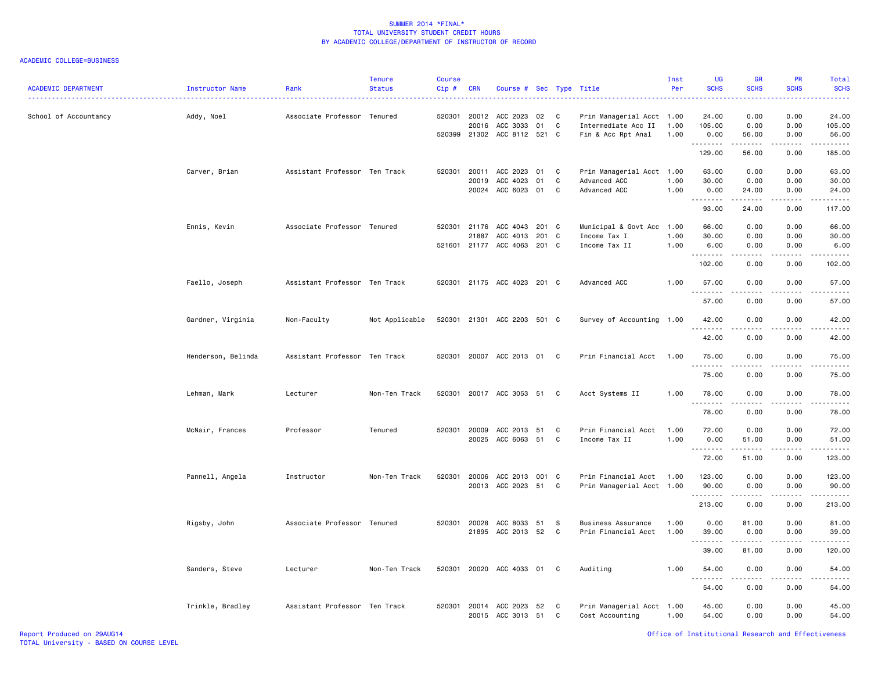| <b>ACADEMIC DEPARTMENT</b> | Instructor Name    | Rank                          | <b>Tenure</b><br><b>Status</b> | <b>Course</b><br>Cip# | <b>CRN</b>                     | Course # Sec Type Title                             |                |             | .                                                                      | Inst<br>Per          | UG<br><b>SCHS</b>           | <b>GR</b><br><b>SCHS</b>  | <b>PR</b><br><b>SCHS</b>  | Total<br><b>SCHS</b><br>$\omega = \omega / \omega$ |
|----------------------------|--------------------|-------------------------------|--------------------------------|-----------------------|--------------------------------|-----------------------------------------------------|----------------|-------------|------------------------------------------------------------------------|----------------------|-----------------------------|---------------------------|---------------------------|----------------------------------------------------|
| School of Accountancy      | Addy, Noel         | Associate Professor Tenured   |                                | 520301 20012          | 20016                          | ACC 2023<br>ACC 3033<br>520399 21302 ACC 8112 521 C | 02<br>01       | C<br>C.     | Prin Managerial Acct 1.00<br>Intermediate Acc II<br>Fin & Acc Rpt Anal | 1.00<br>1.00         | 24.00<br>105.00<br>0.00     | 0.00<br>0.00<br>56.00     | 0.00<br>0.00<br>0.00      | 24.00<br>105.00<br>56.00                           |
|                            |                    |                               |                                |                       |                                |                                                     |                |             |                                                                        |                      | .<br>129.00                 | .<br>56.00                | .<br>0.00                 | .<br>185.00                                        |
|                            | Carver, Brian      | Assistant Professor Ten Track |                                |                       | 520301 20011<br>20019<br>20024 | ACC 2023<br>ACC 4023<br>ACC 6023 01                 | 01<br>01       | C<br>C<br>C | Prin Managerial Acct 1.00<br>Advanced ACC<br>Advanced ACC              | 1.00<br>1.00         | 63.00<br>30.00<br>0.00<br>. | 0.00<br>0.00<br>24.00     | 0.00<br>0.00<br>0.00      | 63.00<br>30.00<br>24.00<br>.                       |
|                            |                    |                               |                                |                       |                                |                                                     |                |             |                                                                        |                      | 93.00                       | 24.00                     | 0.00                      | 117.00                                             |
|                            | Ennis, Kevin       | Associate Professor Tenured   |                                | 520301 21176          | 21887                          | ACC 4043<br>ACC 4013<br>521601 21177 ACC 4063 201 C | 201 C<br>201 C |             | Municipal & Govt Acc<br>Income Tax I<br>Income Tax II                  | 1.00<br>1.00<br>1.00 | 66.00<br>30.00<br>6.00<br>. | 0.00<br>0.00<br>0.00<br>. | 0.00<br>0.00<br>0.00<br>. | 66.00<br>30.00<br>6.00<br>.                        |
|                            |                    |                               |                                |                       |                                |                                                     |                |             |                                                                        |                      | 102.00                      | 0.00                      | 0.00                      | 102.00                                             |
|                            | Faello, Joseph     | Assistant Professor Ten Track |                                |                       |                                | 520301 21175 ACC 4023 201 C                         |                |             | Advanced ACC                                                           | 1.00                 | 57.00<br>.                  | 0.00<br>.                 | 0.00<br>.                 | 57.00<br>.                                         |
|                            |                    |                               |                                |                       |                                |                                                     |                |             |                                                                        |                      | 57.00                       | 0.00                      | 0.00                      | 57.00                                              |
|                            | Gardner, Virginia  | Non-Faculty                   | Not Applicable                 |                       |                                | 520301 21301 ACC 2203 501 C                         |                |             | Survey of Accounting 1.00                                              |                      | 42.00<br>.                  | 0.00<br>.                 | 0.00<br>.                 | 42.00<br>.                                         |
|                            |                    |                               |                                |                       |                                |                                                     |                |             |                                                                        |                      | 42.00                       | 0.00                      | 0.00                      | 42.00                                              |
|                            | Henderson, Belinda | Assistant Professor Ten Track |                                |                       |                                | 520301 20007 ACC 2013 01 C                          |                |             | Prin Financial Acct                                                    | 1.00                 | 75.00<br><u>.</u>           | 0.00<br>.                 | 0.00<br>.                 | 75.00<br>.                                         |
|                            |                    |                               |                                |                       |                                |                                                     |                |             |                                                                        |                      | 75.00                       | 0.00                      | 0.00                      | 75.00                                              |
|                            | Lehman, Mark       | Lecturer                      | Non-Ten Track                  | 520301                |                                | 20017 ACC 3053 51                                   |                | C           | Acct Systems II                                                        | 1.00                 | 78.00<br>.                  | 0.00                      | 0.00                      | 78.00                                              |
|                            |                    |                               |                                |                       |                                |                                                     |                |             |                                                                        |                      | 78.00                       | 0.00                      | 0.00                      | 78.00                                              |
|                            | McNair, Frances    | Professor                     | Tenured                        | 520301                | 20009<br>20025                 | ACC 2013<br>ACC 6063 51                             | 51             | C<br>C      | Prin Financial Acct<br>Income Tax II                                   | 1.00<br>1.00         | 72.00<br>0.00               | 0.00<br>51.00             | 0.00<br>0.00              | 72.00<br>51.00                                     |
|                            |                    |                               |                                |                       |                                |                                                     |                |             |                                                                        |                      | .<br>72.00                  | .<br>51.00                | 0.00                      | .<br>123.00                                        |
|                            | Pannell, Angela    | Instructor                    | Non-Ten Track                  | 520301 20006          |                                | ACC 2013 001 C                                      |                |             | Prin Financial Acct 1.00                                               |                      | 123.00                      | 0.00                      | 0.00                      | 123.00                                             |
|                            |                    |                               |                                |                       |                                | 20013 ACC 2023 51                                   |                | C.          | Prin Managerial Acct 1.00                                              |                      | 90.00<br>.                  | 0.00<br>.                 | 0.00<br>.                 | 90.00<br>$- - - - -$                               |
|                            |                    |                               |                                |                       |                                |                                                     |                |             |                                                                        |                      | 213.00                      | 0.00                      | 0.00                      | 213.00                                             |
|                            | Rigsby, John       | Associate Professor Tenured   |                                | 520301 20028          |                                | ACC 8033<br>21895 ACC 2013 52                       | 51             | -S<br>C     | Business Assurance<br>Prin Financial Acct                              | 1.00<br>1.00         | 0.00<br>39.00               | 81.00<br>0.00             | 0.00<br>0.00              | 81.00<br>39.00                                     |
|                            |                    |                               |                                |                       |                                |                                                     |                |             |                                                                        |                      | <u>.</u><br>39.00           | .<br>81.00                | .<br>0.00                 | .<br>120.00                                        |
|                            | Sanders, Steve     | Lecturer                      | Non-Ten Track                  | 520301                |                                | 20020 ACC 4033 01                                   |                | C.          | Auditing                                                               | 1.00                 | 54.00                       | 0.00                      | 0.00                      | 54.00                                              |
|                            |                    |                               |                                |                       |                                |                                                     |                |             |                                                                        |                      | .<br>54.00                  | $\frac{1}{2}$<br>0.00     | .<br>0.00                 | $- - - -$<br>54.00                                 |
|                            | Trinkle, Bradley   | Assistant Professor Ten Track |                                | 520301                |                                | 20014 ACC 2023<br>20015 ACC 3013                    | 52<br>51       | C.<br>C     | Prin Managerial Acct 1.00<br>Cost Accounting                           | 1.00                 | 45.00<br>54.00              | 0.00<br>0.00              | 0.00<br>0.00              | 45.00<br>54.00                                     |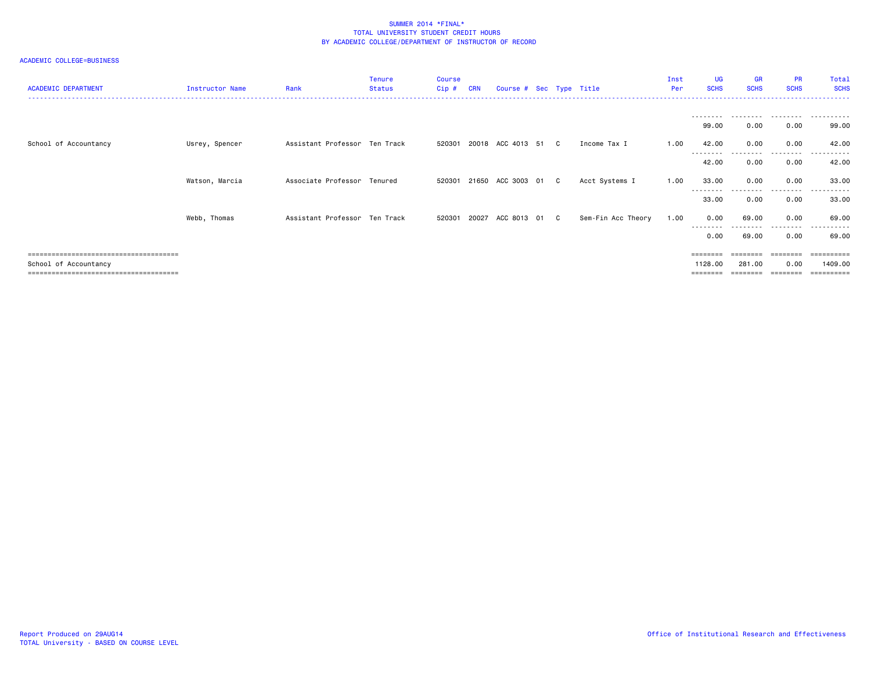## ACADEMIC COLLEGE=BUSINESS

| <b>ACADEMIC DEPARTMENT</b> | Instructor Name | Rank                          | <b>Tenure</b><br><b>Status</b> | Course<br>$Cip$ # | <b>CRN</b> | Course # Sec Type Title    |  |                    | Inst<br>Per | UG<br><b>SCHS</b> | <b>GR</b><br><b>SCHS</b> | <b>PR</b><br><b>SCHS</b> | Total<br><b>SCHS</b><br>------------------ |
|----------------------------|-----------------|-------------------------------|--------------------------------|-------------------|------------|----------------------------|--|--------------------|-------------|-------------------|--------------------------|--------------------------|--------------------------------------------|
|                            |                 |                               |                                |                   |            |                            |  |                    |             |                   |                          |                          |                                            |
|                            |                 |                               |                                |                   |            |                            |  |                    |             | 99.00             | 0.00                     | 0.00                     | 99.00                                      |
| School of Accountancy      | Usrey, Spencer  | Assistant Professor Ten Track |                                |                   |            | 520301 20018 ACC 4013 51 C |  | Income Tax I       | 1.00        | 42.00<br>-------- | 0.00                     | 0.00<br>-----            | 42.00                                      |
|                            |                 |                               |                                |                   |            |                            |  |                    |             | 42.00             | 0.00                     | 0.00                     | 42.00                                      |
|                            | Watson, Marcia  | Associate Professor Tenured   |                                | 520301            |            | 21650 ACC 3003 01 C        |  | Acct Systems I     | 1.00        | 33.00             | 0.00                     | 0.00                     | 33.00                                      |
|                            |                 |                               |                                |                   |            |                            |  |                    |             | --------<br>33.00 | 0.00                     | .<br>0.00                | .<br>33.00                                 |
|                            | Webb, Thomas    | Assistant Professor Ten Track |                                |                   |            | 520301 20027 ACC 8013 01 C |  | Sem-Fin Acc Theory | 1.00        | 0.00              | 69.00                    | 0.00                     | 69.00                                      |
|                            |                 |                               |                                |                   |            |                            |  |                    |             | --------<br>0.00  | 69.00                    | .<br>0.00                | ------<br>69.00                            |
|                            |                 |                               |                                |                   |            |                            |  |                    |             | ========          | ========                 | ========                 | ==========                                 |
| School of Accountancy      |                 |                               |                                |                   |            |                            |  |                    |             | 1128.00           | 281.00                   | 0.00                     | 1409.00<br>---------                       |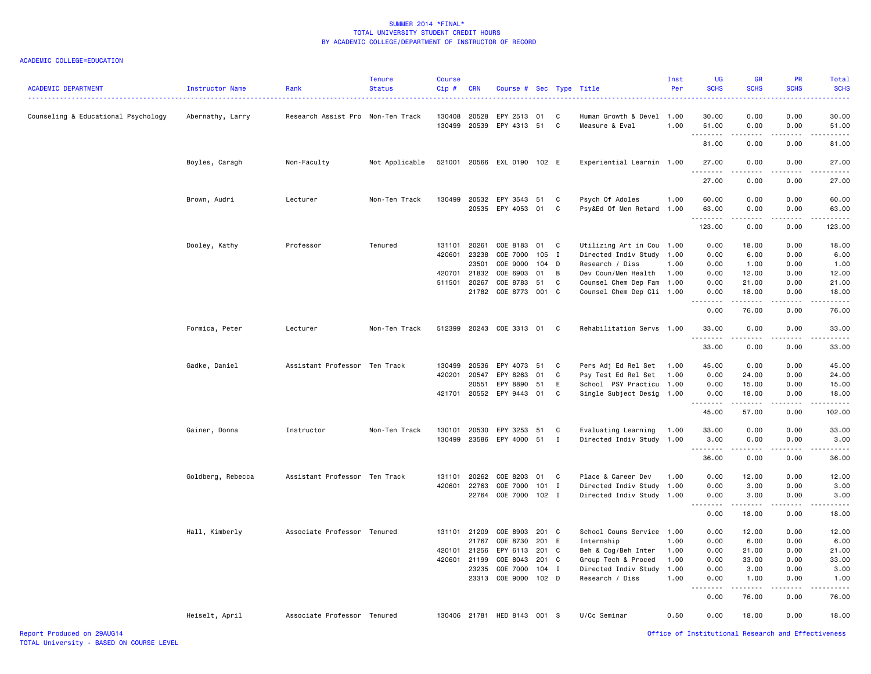| <b>ACADEMIC DEPARTMENT</b>          | Instructor Name   | Rank                              | <b>Tenure</b><br><b>Status</b> | <b>Course</b><br>Cip# | <b>CRN</b>     | Course # Sec Type Title     |         |              |                                             | Inst<br>Per | UG<br><b>SCHS</b>                                                                                                                                                                    | <b>GR</b><br><b>SCHS</b>                                                                                                                                     | <b>PR</b><br><b>SCHS</b>      | Total<br><b>SCHS</b><br>الواقات |
|-------------------------------------|-------------------|-----------------------------------|--------------------------------|-----------------------|----------------|-----------------------------|---------|--------------|---------------------------------------------|-------------|--------------------------------------------------------------------------------------------------------------------------------------------------------------------------------------|--------------------------------------------------------------------------------------------------------------------------------------------------------------|-------------------------------|---------------------------------|
| Counseling & Educational Psychology | Abernathy, Larry  | Research Assist Pro Non-Ten Track |                                | 130408<br>130499      | 20528<br>20539 | EPY 2513<br>EPY 4313 51     | 01      | C<br>C       | Human Growth & Devel 1.00<br>Measure & Eval | 1.00        | 30.00<br>51.00                                                                                                                                                                       | 0.00<br>0.00                                                                                                                                                 | 0.00<br>0.00                  | 30.00<br>51.00                  |
|                                     |                   |                                   |                                |                       |                |                             |         |              |                                             |             | .<br>81.00                                                                                                                                                                           | 0.00                                                                                                                                                         | 0.00                          | ه د د د د<br>81.00              |
|                                     |                   |                                   |                                |                       |                |                             |         |              |                                             |             |                                                                                                                                                                                      |                                                                                                                                                              |                               |                                 |
|                                     | Boyles, Caragh    | Non-Faculty                       | Not Applicable                 | 521001                |                | 20566 EXL 0190 102 E        |         |              | Experiential Learnin 1.00                   |             | 27.00<br>.                                                                                                                                                                           | 0.00<br>$\frac{1}{2} \left( \frac{1}{2} \right) \left( \frac{1}{2} \right) \left( \frac{1}{2} \right) \left( \frac{1}{2} \right) \left( \frac{1}{2} \right)$ | 0.00                          | 27.00<br>.                      |
|                                     |                   |                                   |                                |                       |                |                             |         |              |                                             |             | 27.00                                                                                                                                                                                | 0.00                                                                                                                                                         | 0.00                          | 27.00                           |
|                                     | Brown, Audri      | Lecturer                          | Non-Ten Track                  | 130499                | 20532          | EPY 3543 51                 |         | C            | Psych Of Adoles                             | 1.00        | 60.00                                                                                                                                                                                | 0.00                                                                                                                                                         | 0.00                          | 60.00                           |
|                                     |                   |                                   |                                |                       | 20535          | EPY 4053 01                 |         | C            | Psy&Ed Of Men Retard 1.00                   |             | 63.00                                                                                                                                                                                | 0.00                                                                                                                                                         | 0.00                          | 63.00                           |
|                                     |                   |                                   |                                |                       |                |                             |         |              |                                             |             | .<br>123.00                                                                                                                                                                          | 0.00                                                                                                                                                         | د د د د<br>0.00               | .<br>123.00                     |
|                                     | Dooley, Kathy     | Professor                         | Tenured                        | 131101 20261          |                | COE 8183 01 C               |         |              | Utilizing Art in Cou 1.00                   |             | 0.00                                                                                                                                                                                 | 18.00                                                                                                                                                        | 0.00                          | 18.00                           |
|                                     |                   |                                   |                                | 420601                | 23238          | COE 7000                    | 105 I   |              | Directed Indiv Study                        | 1.00        | 0.00                                                                                                                                                                                 | 6.00                                                                                                                                                         | 0.00                          | 6.00                            |
|                                     |                   |                                   |                                |                       | 23501          | COE 9000                    | 104 D   |              | Research / Diss                             | 1.00        | 0.00                                                                                                                                                                                 | 1.00                                                                                                                                                         | 0.00                          | 1.00                            |
|                                     |                   |                                   |                                | 420701                | 21832          | COE 6903                    | 01      | B            | Dev Coun/Men Health                         | 1.00        | 0.00                                                                                                                                                                                 | 12.00                                                                                                                                                        | 0.00                          | 12.00                           |
|                                     |                   |                                   |                                | 511501                | 20267          | COE 8783                    | 51      | $\mathtt{C}$ | Counsel Chem Dep Fam 1.00                   |             | 0.00                                                                                                                                                                                 | 21.00                                                                                                                                                        | 0.00                          | 21.00                           |
|                                     |                   |                                   |                                |                       | 21782          | COE 8773 001 C              |         |              | Counsel Chem Dep Cli 1.00                   |             | 0.00<br>$\frac{1}{2} \left( \frac{1}{2} \right) \left( \frac{1}{2} \right) \left( \frac{1}{2} \right) \left( \frac{1}{2} \right) \left( \frac{1}{2} \right)$<br>$\sim$ $\sim$ $\sim$ | 18.00<br>.                                                                                                                                                   | 0.00<br>$\omega$ and $\omega$ | 18.00<br>.                      |
|                                     |                   |                                   |                                |                       |                |                             |         |              |                                             |             | 0.00                                                                                                                                                                                 | 76.00                                                                                                                                                        | 0.00                          | 76.00                           |
|                                     | Formica, Peter    | Lecturer                          | Non-Ten Track                  | 512399                |                | 20243 COE 3313 01 C         |         |              | Rehabilitation Servs 1.00                   |             | 33.00<br>.                                                                                                                                                                           | 0.00<br>$- - - - -$                                                                                                                                          | 0.00<br>$- - - -$             | 33.00<br>.                      |
|                                     |                   |                                   |                                |                       |                |                             |         |              |                                             |             | 33.00                                                                                                                                                                                | 0.00                                                                                                                                                         | 0.00                          | 33.00                           |
|                                     | Gadke, Daniel     | Assistant Professor Ten Track     |                                | 130499                | 20536          | EPY 4073                    | 51      | C            | Pers Adj Ed Rel Set                         | 1.00        | 45.00                                                                                                                                                                                | 0.00                                                                                                                                                         | 0.00                          | 45.00                           |
|                                     |                   |                                   |                                | 420201                | 20547          | EPY 8263                    | 01      | C            | Psy Test Ed Rel Set                         | 1.00        | 0.00                                                                                                                                                                                 | 24.00                                                                                                                                                        | 0.00                          | 24.00                           |
|                                     |                   |                                   |                                |                       | 20551          | EPY 8890                    | 51      | E            | School PSY Practicu 1.00                    |             | 0.00                                                                                                                                                                                 | 15.00                                                                                                                                                        | 0.00                          | 15.00                           |
|                                     |                   |                                   |                                |                       | 421701 20552   | EPY 9443 01                 |         | C            | Single Subject Desig 1.00                   |             | 0.00<br>$\frac{1}{2} \left( \frac{1}{2} \right) \left( \frac{1}{2} \right) \left( \frac{1}{2} \right) \left( \frac{1}{2} \right) \left( \frac{1}{2} \right)$                         | 18.00<br>.                                                                                                                                                   | 0.00<br>.                     | 18.00<br>.                      |
|                                     |                   |                                   |                                |                       |                |                             |         |              |                                             |             | 45.00                                                                                                                                                                                | 57.00                                                                                                                                                        | 0.00                          | 102.00                          |
|                                     | Gainer, Donna     | Instructor                        | Non-Ten Track                  | 130101                | 20530          | EPY 3253 51                 |         | C            | Evaluating Learning                         | 1.00        | 33.00                                                                                                                                                                                | 0.00                                                                                                                                                         | 0.00                          | 33.00                           |
|                                     |                   |                                   |                                | 130499                | 23586          | EPY 4000                    | 51      | I            | Directed Indiv Study                        | 1.00        | 3.00                                                                                                                                                                                 | 0.00                                                                                                                                                         | 0.00                          | 3.00                            |
|                                     |                   |                                   |                                |                       |                |                             |         |              |                                             |             | -----                                                                                                                                                                                |                                                                                                                                                              |                               | .                               |
|                                     |                   |                                   |                                |                       |                |                             |         |              |                                             |             | 36.00                                                                                                                                                                                | 0.00                                                                                                                                                         | 0.00                          | 36.00                           |
|                                     | Goldberg, Rebecca | Assistant Professor Ten Track     |                                | 131101                | 20262          | COE 8203                    | 01      | C            | Place & Career Dev                          | 1.00        | 0.00                                                                                                                                                                                 | 12.00                                                                                                                                                        | 0.00                          | 12.00                           |
|                                     |                   |                                   |                                | 420601                | 22763          | COE 7000                    | 101 I   |              | Directed Indiv Study 1.00                   |             | 0.00                                                                                                                                                                                 | 3.00                                                                                                                                                         | 0.00                          | 3.00                            |
|                                     |                   |                                   |                                |                       | 22764          | COE 7000 102 I              |         |              | Directed Indiv Study 1.00                   |             | 0.00<br>.                                                                                                                                                                            | 3.00                                                                                                                                                         | 0.00                          | 3.00                            |
|                                     |                   |                                   |                                |                       |                |                             |         |              |                                             |             | 0.00                                                                                                                                                                                 | 18.00                                                                                                                                                        | 0.00                          | 18.00                           |
|                                     | Hall, Kimberly    | Associate Professor Tenured       |                                |                       | 131101 21209   | COE 8903                    | 201 C   |              | School Couns Service 1.00                   |             | 0.00                                                                                                                                                                                 | 12.00                                                                                                                                                        | 0.00                          | 12.00                           |
|                                     |                   |                                   |                                |                       | 21767          | COE 8730                    | 201     | E            | Internship                                  | 1.00        | 0.00                                                                                                                                                                                 | 6.00                                                                                                                                                         | 0.00                          | 6.00                            |
|                                     |                   |                                   |                                | 420101                | 21256          | EPY 6113                    | 201     | C            | Beh & Cog/Beh Inter                         | 1.00        | 0.00                                                                                                                                                                                 | 21.00                                                                                                                                                        | 0.00                          | 21.00                           |
|                                     |                   |                                   |                                | 420601                | 21199          | COE 8043                    | 201 C   |              | Group Tech & Proced                         | 1.00        | 0.00                                                                                                                                                                                 | 33.00                                                                                                                                                        | 0.00                          | 33.00                           |
|                                     |                   |                                   |                                |                       | 23235          | COE 7000                    | $104$ I |              | Directed Indiv Study                        | 1.00        | 0.00                                                                                                                                                                                 | 3.00                                                                                                                                                         | 0.00                          | 3.00                            |
|                                     |                   |                                   |                                |                       | 23313          | COE 9000                    | 102 D   |              | Research / Diss                             | 1.00        | 0.00                                                                                                                                                                                 | 1.00                                                                                                                                                         | 0.00                          | 1.00                            |
|                                     |                   |                                   |                                |                       |                |                             |         |              |                                             |             | .<br>$\sim$ $\sim$ $\sim$<br>0.00                                                                                                                                                    | <u>.</u><br>76.00                                                                                                                                            | .<br>0.00                     | .<br>76.00                      |
|                                     | Heiselt, April    | Associate Professor Tenured       |                                |                       |                | 130406 21781 HED 8143 001 S |         |              | U/Cc Seminar                                | 0.50        | 0.00                                                                                                                                                                                 | 18.00                                                                                                                                                        | 0.00                          | 18.00                           |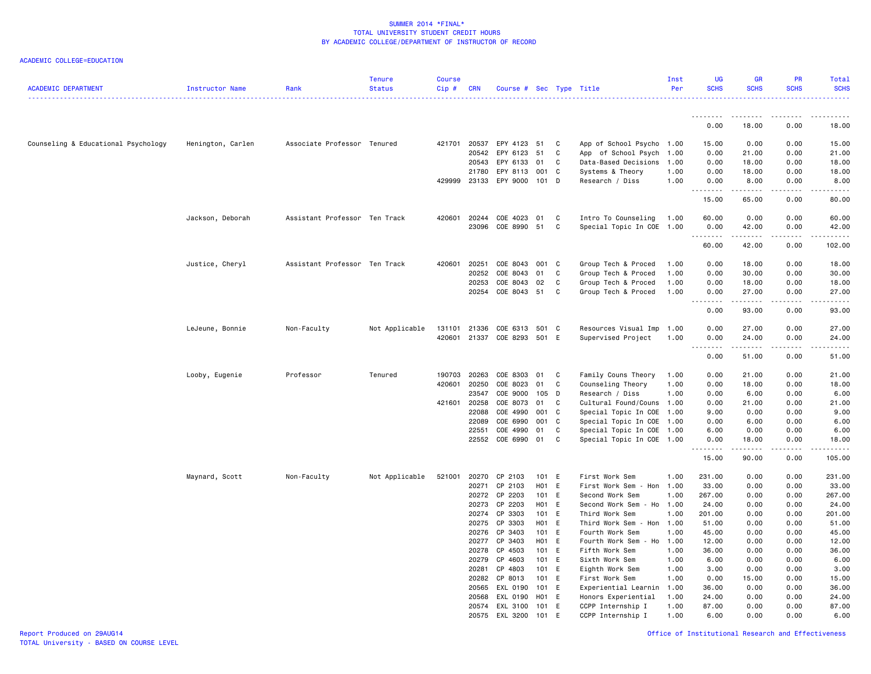| <b>ACADEMIC DEPARTMENT</b>          | Instructor Name   | Rank                          | <b>Tenure</b><br><b>Status</b> | <b>Course</b><br>$Cip \#$ | <b>CRN</b>   | Course # Sec Type Title     |         |              |                           | Inst<br>Per | <b>UG</b><br><b>SCHS</b>   | <b>GR</b><br><b>SCHS</b>                                                                                                                                                                 | <b>PR</b><br><b>SCHS</b> | Total<br><b>SCHS</b> |
|-------------------------------------|-------------------|-------------------------------|--------------------------------|---------------------------|--------------|-----------------------------|---------|--------------|---------------------------|-------------|----------------------------|------------------------------------------------------------------------------------------------------------------------------------------------------------------------------------------|--------------------------|----------------------|
|                                     |                   |                               |                                |                           |              |                             |         |              |                           |             | <b></b>                    | <b></b>                                                                                                                                                                                  | .                        | .<br>.               |
|                                     |                   |                               |                                |                           |              |                             |         |              |                           |             | 0.00                       | 18.00                                                                                                                                                                                    | 0.00                     | 18.00                |
| Counseling & Educational Psychology | Henington, Carlen | Associate Professor Tenured   |                                | 421701                    | 20537        | EPY 4123                    | 51      | C            | App of School Psycho 1.00 |             | 15.00                      | 0.00                                                                                                                                                                                     | 0.00                     | 15.00                |
|                                     |                   |                               |                                |                           | 20542        | EPY 6123                    | 51      | C            | App of School Psych 1.00  |             | 0.00                       | 21.00                                                                                                                                                                                    | 0.00                     | 21.00                |
|                                     |                   |                               |                                |                           | 20543        | EPY 6133                    | 01      | C            | Data-Based Decisions 1.00 |             | 0.00                       | 18.00                                                                                                                                                                                    | 0.00                     | 18.00                |
|                                     |                   |                               |                                |                           | 21780        | EPY 8113 001 C              |         |              | Systems & Theory          | 1.00        | 0.00                       | 18.00                                                                                                                                                                                    | 0.00                     | 18.00                |
|                                     |                   |                               |                                | 429999                    | 23133        | EPY 9000 101 D              |         |              | Research / Diss           | 1.00        | 0.00<br>.                  | 8.00<br>. <b>.</b> .                                                                                                                                                                     | 0.00<br>.                | 8.00<br>.            |
|                                     |                   |                               |                                |                           |              |                             |         |              |                           |             | 15.00                      | 65.00                                                                                                                                                                                    | 0.00                     | 80.00                |
|                                     | Jackson, Deborah  | Assistant Professor Ten Track |                                | 420601                    | 20244        | COE 4023                    | 01      | C            | Intro To Counseling 1.00  |             | 60.00                      | 0.00                                                                                                                                                                                     | 0.00                     | 60.00                |
|                                     |                   |                               |                                |                           | 23096        | COE 8990 51                 |         | C            | Special Topic In COE 1.00 |             | 0.00<br>.                  | 42.00<br><u>.</u>                                                                                                                                                                        | 0.00<br>.                | 42.00<br><u>.</u>    |
|                                     |                   |                               |                                |                           |              |                             |         |              |                           |             | 60.00                      | 42.00                                                                                                                                                                                    | 0.00                     | 102.00               |
|                                     | Justice, Cheryl   | Assistant Professor Ten Track |                                | 420601                    | 20251        | COE 8043                    | 001 C   |              | Group Tech & Proced       | 1.00        | 0.00                       | 18.00                                                                                                                                                                                    | 0.00                     | 18.00                |
|                                     |                   |                               |                                |                           | 20252        | COE 8043 01                 |         | C            | Group Tech & Proced       | 1.00        | 0.00                       | 30.00                                                                                                                                                                                    | 0.00                     | 30.00                |
|                                     |                   |                               |                                |                           | 20253        | COE 8043                    | 02      | C            | Group Tech & Proced       | 1.00        | 0.00                       | 18.00                                                                                                                                                                                    | 0.00                     | 18.00                |
|                                     |                   |                               |                                |                           | 20254        | COE 8043 51                 |         | C            | Group Tech & Proced       | 1.00        | 0.00                       | 27.00                                                                                                                                                                                    | 0.00                     | 27.00                |
|                                     |                   |                               |                                |                           |              |                             |         |              |                           |             | 0.00                       | 93.00                                                                                                                                                                                    | 0.00                     | 93.00                |
|                                     | LeJeune, Bonnie   | Non-Faculty                   | Not Applicable                 |                           |              | 131101 21336 COE 6313 501 C |         |              | Resources Visual Imp 1.00 |             | 0.00                       | 27.00                                                                                                                                                                                    | 0.00                     | 27.00                |
|                                     |                   |                               |                                |                           |              | 420601 21337 COE 8293 501 E |         |              | Supervised Project        | 1.00        | 0.00<br>.<br>$\sim$ $\sim$ | 24.00<br>.                                                                                                                                                                               | 0.00<br>.                | 24.00<br>.           |
|                                     |                   |                               |                                |                           |              |                             |         |              |                           |             | 0.00                       | 51.00                                                                                                                                                                                    | 0.00                     | 51.00                |
|                                     | Looby, Eugenie    | Professor                     | Tenured                        |                           | 190703 20263 | COE 8303 01                 |         | $\mathbf{C}$ | Family Couns Theory       | 1.00        | 0.00                       | 21.00                                                                                                                                                                                    | 0.00                     | 21.00                |
|                                     |                   |                               |                                | 420601                    | 20250        | COE 8023                    | 01      | C            | Counseling Theory         | 1.00        | 0.00                       | 18.00                                                                                                                                                                                    | 0.00                     | 18.00                |
|                                     |                   |                               |                                |                           | 23547        | COE 9000 105                |         | D            | Research / Diss           | 1.00        | 0.00                       | 6.00                                                                                                                                                                                     | 0.00                     | 6.00                 |
|                                     |                   |                               |                                | 421601 20258              |              | COE 8073                    | 01      | C            | Cultural Found/Couns 1.00 |             | 0.00                       | 21.00                                                                                                                                                                                    | 0.00                     | 21.00                |
|                                     |                   |                               |                                |                           | 22088        | COE 4990                    | 001     | C            | Special Topic In COE 1.00 |             | 9.00                       | 0.00                                                                                                                                                                                     | 0.00                     | 9.00                 |
|                                     |                   |                               |                                |                           | 22089        | COE 6990                    | 001     | C            | Special Topic In COE 1.00 |             | 0.00                       | 6.00                                                                                                                                                                                     | 0.00                     | 6.00                 |
|                                     |                   |                               |                                |                           | 22551        | COE 4990                    | 01      | C            | Special Topic In COE 1.00 |             | 6.00                       | 0.00                                                                                                                                                                                     | 0.00                     | 6.00                 |
|                                     |                   |                               |                                |                           |              | 22552 COE 6990              | 01      | C            | Special Topic In COE 1.00 |             | 0.00<br>والمالمات          | 18.00<br>$\frac{1}{2} \left( \frac{1}{2} \right) \left( \frac{1}{2} \right) \left( \frac{1}{2} \right) \left( \frac{1}{2} \right) \left( \frac{1}{2} \right) \left( \frac{1}{2} \right)$ | 0.00                     | 18.00                |
|                                     |                   |                               |                                |                           |              |                             |         |              |                           |             | 15.00                      | 90.00                                                                                                                                                                                    | 0.00                     | 105.00               |
|                                     | Maynard, Scott    | Non-Faculty                   | Not Applicable                 | 521001                    | 20270        | CP 2103                     | 101 E   |              | First Work Sem            | 1.00        | 231.00                     | 0.00                                                                                                                                                                                     | 0.00                     | 231.00               |
|                                     |                   |                               |                                |                           | 20271        | CP 2103                     | $H01$ E |              | First Work Sem - Hon 1.00 |             | 33.00                      | 0.00                                                                                                                                                                                     | 0.00                     | 33.00                |
|                                     |                   |                               |                                |                           | 20272        | CP 2203                     | 101 E   |              | Second Work Sem           | 1.00        | 267.00                     | 0.00                                                                                                                                                                                     | 0.00                     | 267.00               |
|                                     |                   |                               |                                |                           | 20273        | CP 2203                     | H01 E   |              | Second Work Sem - Ho 1.00 |             | 24.00                      | 0.00                                                                                                                                                                                     | 0.00                     | 24.00                |
|                                     |                   |                               |                                |                           | 20274        | CP 3303                     | 101 E   |              | Third Work Sem            | 1.00        | 201.00                     | 0.00                                                                                                                                                                                     | 0.00                     | 201.00               |
|                                     |                   |                               |                                |                           | 20275        | CP 3303                     | H01 E   |              | Third Work Sem - Hon 1.00 |             | 51.00                      | 0.00                                                                                                                                                                                     | 0.00                     | 51.00                |
|                                     |                   |                               |                                |                           | 20276        | CP 3403                     | 101 E   |              | Fourth Work Sem           | 1.00        | 45.00                      | 0.00                                                                                                                                                                                     | 0.00                     | 45.00                |
|                                     |                   |                               |                                |                           | 20277        | CP 3403                     | H01 E   |              | Fourth Work Sem - Ho 1.00 |             | 12.00                      | 0.00                                                                                                                                                                                     | 0.00                     | 12.00                |
|                                     |                   |                               |                                |                           | 20278        | CP 4503                     | 101 E   |              | Fifth Work Sem            | 1.00        | 36.00                      | 0.00                                                                                                                                                                                     | 0.00                     | 36.00                |
|                                     |                   |                               |                                |                           | 20279        | CP 4603                     | 101 E   |              | Sixth Work Sem            | 1.00        | 6.00                       | 0.00                                                                                                                                                                                     | 0.00                     | 6.00                 |
|                                     |                   |                               |                                |                           | 20281        | CP 4803                     | 101 E   |              | Eighth Work Sem           | 1.00        | 3.00                       | 0.00                                                                                                                                                                                     | 0.00                     | 3.00                 |
|                                     |                   |                               |                                |                           | 20282        | CP 8013                     | 101 E   |              | First Work Sem            | 1.00        | 0.00                       | 15.00                                                                                                                                                                                    | 0.00                     | 15.00                |
|                                     |                   |                               |                                |                           | 20565        | EXL 0190                    | 101 E   |              | Experiential Learnin      | 1.00        | 36.00                      | 0.00                                                                                                                                                                                     | 0.00                     | 36.00                |
|                                     |                   |                               |                                |                           | 20568        | EXL 0190                    | H01     | E            | Honors Experiential       | 1.00        | 24.00                      | 0.00                                                                                                                                                                                     | 0.00                     | 24.00                |
|                                     |                   |                               |                                |                           |              | 20574 EXL 3100 101 E        |         |              | CCPP Internship I         | 1.00        | 87.00                      | 0.00                                                                                                                                                                                     | 0.00                     | 87.00                |
|                                     |                   |                               |                                |                           |              | 20575 EXL 3200              | 101     | E            | CCPP Internship I         | 1.00        | 6.00                       | 0.00                                                                                                                                                                                     | 0.00                     | 6.00                 |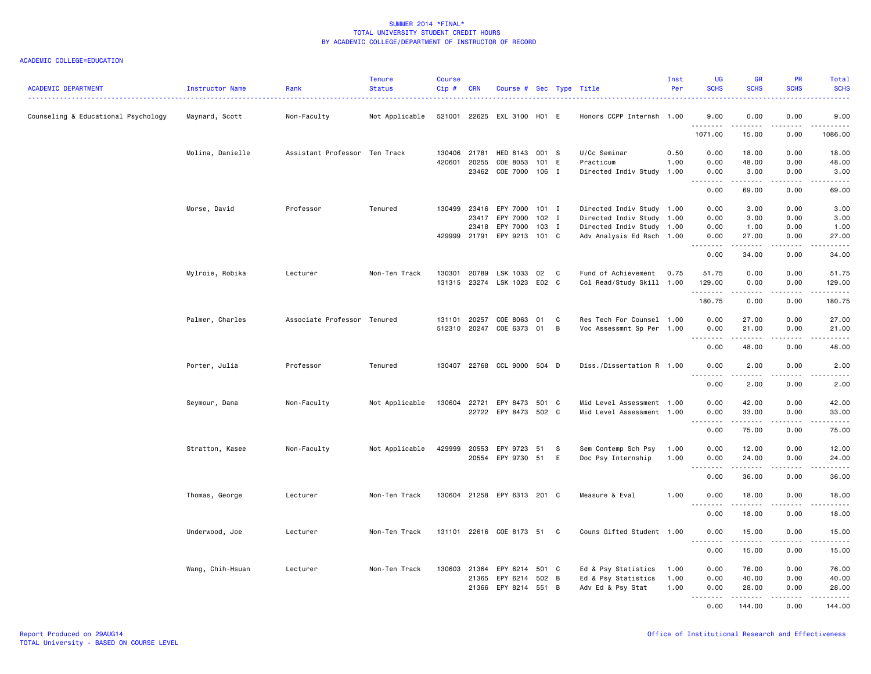| <b>ACADEMIC DEPARTMENT</b>          | Instructor Name  | Rank                          | <b>Tenure</b><br><b>Status</b> | Course<br>Cip# | <b>CRN</b>     | Course # Sec Type Title     |                |     |                                   | Inst<br>Per  | <b>UG</b><br><b>SCHS</b>                                                                                                                                                                                                                                                                                                                                                                                                                                                                       | <b>GR</b><br><b>SCHS</b> | <b>PR</b><br><b>SCHS</b> | <b>Total</b><br><b>SCHS</b> |
|-------------------------------------|------------------|-------------------------------|--------------------------------|----------------|----------------|-----------------------------|----------------|-----|-----------------------------------|--------------|------------------------------------------------------------------------------------------------------------------------------------------------------------------------------------------------------------------------------------------------------------------------------------------------------------------------------------------------------------------------------------------------------------------------------------------------------------------------------------------------|--------------------------|--------------------------|-----------------------------|
| Counseling & Educational Psychology | Maynard, Scott   | Non-Faculty                   | Not Applicable                 | 521001         | 22625          | EXL 3100 H01 E              |                |     | Honors CCPP Internsh 1.00         |              | 9.00                                                                                                                                                                                                                                                                                                                                                                                                                                                                                           | 0.00                     | 0.00                     | 9.00                        |
|                                     |                  |                               |                                |                |                |                             |                |     |                                   |              | 1071.00                                                                                                                                                                                                                                                                                                                                                                                                                                                                                        | 15.00                    | 0.00                     | 1086.00                     |
|                                     | Molina, Danielle | Assistant Professor Ten Track |                                | 130406         | 21781          | HED 8143                    | 001 S          |     | U/Cc Seminar                      | 0.50         | 0.00                                                                                                                                                                                                                                                                                                                                                                                                                                                                                           | 18.00                    | 0.00                     | 18.00                       |
|                                     |                  |                               |                                | 420601         | 20255<br>23462 | COE 8053<br>COE 7000        | 101 E<br>106 I |     | Practicum<br>Directed Indiv Study | 1.00<br>1.00 | 0.00<br>0.00                                                                                                                                                                                                                                                                                                                                                                                                                                                                                   | 48.00<br>3.00            | 0.00<br>0.00             | 48.00<br>3.00               |
|                                     |                  |                               |                                |                |                |                             |                |     |                                   |              | <b></b><br>0.00                                                                                                                                                                                                                                                                                                                                                                                                                                                                                | .<br>69.00               | الدامات ب<br>0.00        | .<br>69.00                  |
|                                     | Morse, David     | Professor                     | Tenured                        | 130499         | 23416          | EPY 7000                    | 101 I          |     | Directed Indiv Study 1.00         |              | 0.00                                                                                                                                                                                                                                                                                                                                                                                                                                                                                           | 3.00                     | 0.00                     | 3.00                        |
|                                     |                  |                               |                                |                | 23417          | EPY 7000                    | 102 I          |     | Directed Indiv Study 1.00         |              | 0.00                                                                                                                                                                                                                                                                                                                                                                                                                                                                                           | 3.00                     | 0.00                     | 3.00                        |
|                                     |                  |                               |                                |                | 23418          | EPY 7000                    | 103 I          |     | Directed Indiv Study 1.00         |              | 0.00                                                                                                                                                                                                                                                                                                                                                                                                                                                                                           | 1.00                     | 0.00                     | 1.00                        |
|                                     |                  |                               |                                |                | 429999 21791   | EPY 9213                    | 101 C          |     | Adv Analysis Ed Rsch 1.00         |              | 0.00<br>.                                                                                                                                                                                                                                                                                                                                                                                                                                                                                      | 27.00<br>.               | 0.00<br>الدامات ب        | 27.00<br>.                  |
|                                     |                  |                               |                                |                |                |                             |                |     |                                   |              | 0.00                                                                                                                                                                                                                                                                                                                                                                                                                                                                                           | 34.00                    | 0.00                     | 34.00                       |
|                                     | Mylroie, Robika  | Lecturer                      | Non-Ten Track                  | 130301         | 20789          | LSK 1033                    | 02             | C   | Fund of Achievement               | 0.75         | 51.75                                                                                                                                                                                                                                                                                                                                                                                                                                                                                          | 0.00                     | 0.00                     | 51.75                       |
|                                     |                  |                               |                                | 131315         |                | 23274 LSK 1023 E02 C        |                |     | Col Read/Study Skill 1.00         |              | 129.00<br>.                                                                                                                                                                                                                                                                                                                                                                                                                                                                                    | 0.00<br>-----            | 0.00<br>$   -$           | 129.00                      |
|                                     |                  |                               |                                |                |                |                             |                |     |                                   |              | 180.75                                                                                                                                                                                                                                                                                                                                                                                                                                                                                         | 0.00                     | 0.00                     | 180.75                      |
|                                     | Palmer, Charles  | Associate Professor Tenured   |                                | 131101         | 20257          | COE 8063                    | 01             | C   | Res Tech For Counsel 1.00         |              | 0.00                                                                                                                                                                                                                                                                                                                                                                                                                                                                                           | 27.00                    | 0.00                     | 27.00                       |
|                                     |                  |                               |                                | 512310         | 20247          | COE 6373                    | 01             | B   | Voc Assessmnt Sp Per 1.00         |              | 0.00<br>$\begin{array}{cccccccccccccc} \multicolumn{2}{c}{} & \multicolumn{2}{c}{} & \multicolumn{2}{c}{} & \multicolumn{2}{c}{} & \multicolumn{2}{c}{} & \multicolumn{2}{c}{} & \multicolumn{2}{c}{} & \multicolumn{2}{c}{} & \multicolumn{2}{c}{} & \multicolumn{2}{c}{} & \multicolumn{2}{c}{} & \multicolumn{2}{c}{} & \multicolumn{2}{c}{} & \multicolumn{2}{c}{} & \multicolumn{2}{c}{} & \multicolumn{2}{c}{} & \multicolumn{2}{c}{} & \multicolumn{2}{c}{} & \multicolumn{2}{c}{} & \$ | 21.00<br><u>.</u>        | 0.00<br>.                | 21.00<br>.                  |
|                                     |                  |                               |                                |                |                |                             |                |     |                                   |              | 0.00                                                                                                                                                                                                                                                                                                                                                                                                                                                                                           | 48.00                    | 0.00                     | 48.00                       |
|                                     | Porter, Julia    | Professor                     | Tenured                        | 130407         |                | 22768 CCL 9000 504 D        |                |     | Diss./Dissertation R 1.00         |              | 0.00                                                                                                                                                                                                                                                                                                                                                                                                                                                                                           | 2.00                     | 0.00                     | 2.00                        |
|                                     |                  |                               |                                |                |                |                             |                |     |                                   |              | .<br>0.00                                                                                                                                                                                                                                                                                                                                                                                                                                                                                      | 2.00                     | ----<br>0.00             | $- - - -$<br>2.00           |
|                                     | Seymour, Dana    | Non-Faculty                   | Not Applicable                 | 130604         | 22721          | EPY 8473                    | 501 C          |     | Mid Level Assessment 1.00         |              | 0.00                                                                                                                                                                                                                                                                                                                                                                                                                                                                                           | 42.00                    | 0.00                     | 42.00                       |
|                                     |                  |                               |                                |                |                | 22722 EPY 8473 502 C        |                |     | Mid Level Assessment 1.00         |              | 0.00                                                                                                                                                                                                                                                                                                                                                                                                                                                                                           | 33.00                    | 0.00                     | 33.00                       |
|                                     |                  |                               |                                |                |                |                             |                |     |                                   |              | .<br>0.00                                                                                                                                                                                                                                                                                                                                                                                                                                                                                      | .<br>75.00               | $   -$<br>0.00           | .<br>75.00                  |
|                                     | Stratton, Kasee  | Non-Faculty                   | Not Applicable                 | 429999         | 20553          | EPY 9723                    | 51             | - S | Sem Contemp Sch Psy               | 1.00         | 0.00                                                                                                                                                                                                                                                                                                                                                                                                                                                                                           | 12.00                    | 0.00                     | 12.00                       |
|                                     |                  |                               |                                |                | 20554          | EPY 9730 51                 |                | E   | Doc Psy Internship                | 1.00         | 0.00<br>.<br>$\sim$ $\sim$ $\sim$                                                                                                                                                                                                                                                                                                                                                                                                                                                              | 24.00<br>.               | 0.00<br>د د د د          | 24.00<br>د د د د د          |
|                                     |                  |                               |                                |                |                |                             |                |     |                                   |              | 0.00                                                                                                                                                                                                                                                                                                                                                                                                                                                                                           | 36.00                    | 0.00                     | 36.00                       |
|                                     | Thomas, George   | Lecturer                      | Non-Ten Track                  |                |                | 130604 21258 EPY 6313 201 C |                |     | Measure & Eval                    | 1.00         | 0.00                                                                                                                                                                                                                                                                                                                                                                                                                                                                                           | 18.00                    | 0.00                     | 18.00                       |
|                                     |                  |                               |                                |                |                |                             |                |     |                                   |              | .<br>$\sim$ $\sim$<br>0.00                                                                                                                                                                                                                                                                                                                                                                                                                                                                     | $\frac{1}{2}$<br>18.00   | $\frac{1}{2}$<br>0.00    | د د د د د<br>18.00          |
|                                     | Underwood, Joe   | Lecturer                      | Non-Ten Track                  | 131101         | 22616          | COE 8173                    | 51             | - C | Couns Gifted Student 1.00         |              | 0.00                                                                                                                                                                                                                                                                                                                                                                                                                                                                                           | 15.00                    | 0.00                     | 15.00                       |
|                                     |                  |                               |                                |                |                |                             |                |     |                                   |              | $\sim$ $\sim$ $\sim$<br>.<br>0.00                                                                                                                                                                                                                                                                                                                                                                                                                                                              | 15.00                    | 0.00                     | 15.00                       |
|                                     | Wang, Chih-Hsuan | Lecturer                      | Non-Ten Track                  |                | 130603 21364   | EPY 6214                    | 501 C          |     | Ed & Psy Statistics               | 1.00         | 0.00                                                                                                                                                                                                                                                                                                                                                                                                                                                                                           | 76.00                    | 0.00                     | 76.00                       |
|                                     |                  |                               |                                |                | 21365          | EPY 6214                    | 502 B          |     | Ed & Psy Statistics               | 1.00         | 0.00                                                                                                                                                                                                                                                                                                                                                                                                                                                                                           | 40.00                    | 0.00                     | 40.00                       |
|                                     |                  |                               |                                |                | 21366          | EPY 8214 551 B              |                |     | Adv Ed & Psy Stat                 | 1.00         | 0.00                                                                                                                                                                                                                                                                                                                                                                                                                                                                                           | 28.00                    | 0.00                     | 28.00                       |
|                                     |                  |                               |                                |                |                |                             |                |     |                                   |              | .                                                                                                                                                                                                                                                                                                                                                                                                                                                                                              | <u>.</u>                 | .                        | .                           |
|                                     |                  |                               |                                |                |                |                             |                |     |                                   |              | 0.00                                                                                                                                                                                                                                                                                                                                                                                                                                                                                           | 144.00                   | 0.00                     | 144.00                      |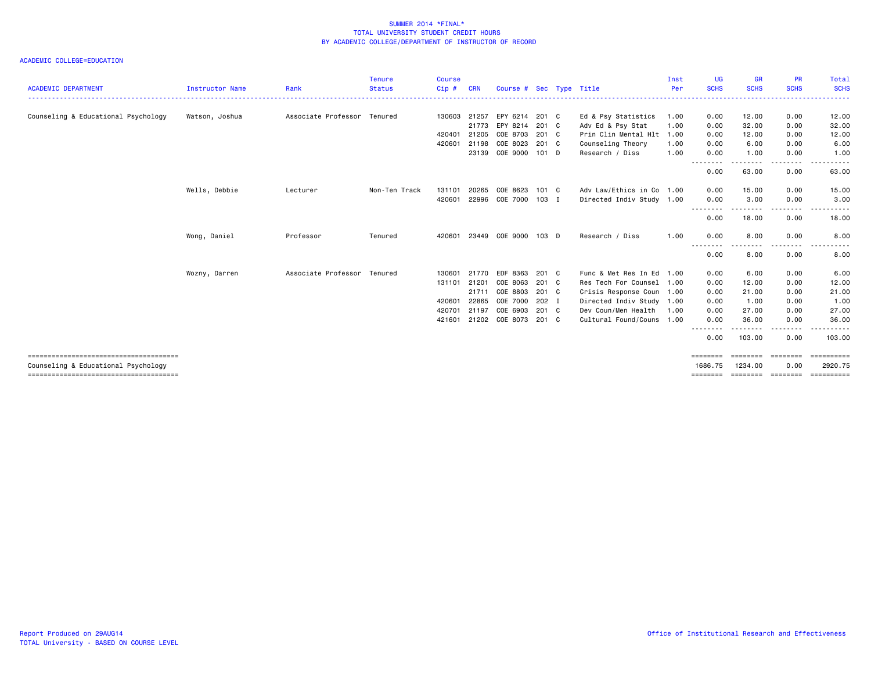| <b>ACADEMIC DEPARTMENT</b>          | <b>Instructor Name</b> | Rank                        | <b>Tenure</b><br><b>Status</b> | <b>Course</b><br>Cip# | <b>CRN</b> | Course # Sec Type Title |         |                                          | Inst<br>Per | UG<br><b>SCHS</b> | <b>GR</b><br><b>SCHS</b> | <b>PR</b><br><b>SCHS</b>                                                                                                                                     | Total<br><b>SCHS</b> |
|-------------------------------------|------------------------|-----------------------------|--------------------------------|-----------------------|------------|-------------------------|---------|------------------------------------------|-------------|-------------------|--------------------------|--------------------------------------------------------------------------------------------------------------------------------------------------------------|----------------------|
| Counseling & Educational Psychology | Watson, Joshua         | Associate Professor Tenured |                                | 130603                | 21257      | EPY 6214                | 201 C   |                                          | 1.00        | 0.00              | 12.00                    | 0.00                                                                                                                                                         | 12.00                |
|                                     |                        |                             |                                |                       | 21773      | EPY 8214                | 201 C   | Ed & Psy Statistics<br>Adv Ed & Psy Stat | 1.00        | 0.00              | 32.00                    | 0.00                                                                                                                                                         | 32.00                |
|                                     |                        |                             |                                | 420401                | 21205      | COE 8703                | 201 C   | Prin Clin Mental Hlt 1.00                |             | 0.00              | 12.00                    | 0.00                                                                                                                                                         | 12.00                |
|                                     |                        |                             |                                | 420601                | 21198      | COE 8023                | 201 C   | Counseling Theory                        | 1.00        | 0.00              | 6.00                     | 0.00                                                                                                                                                         | 6.00                 |
|                                     |                        |                             |                                |                       | 23139      | COE 9000 101 D          |         | Research / Diss                          | 1.00        | 0.00              | 1.00                     | 0.00                                                                                                                                                         | 1.00                 |
|                                     |                        |                             |                                |                       |            |                         |         |                                          |             | --------<br>0.00  | ------<br>63.00          | $\frac{1}{2} \left( \frac{1}{2} \right) \left( \frac{1}{2} \right) \left( \frac{1}{2} \right) \left( \frac{1}{2} \right) \left( \frac{1}{2} \right)$<br>0.00 | .<br>63.00           |
|                                     | Wells, Debbie          | Lecturer                    | Non-Ten Track                  | 131101                | 20265      | COE 8623                | 101 C   | Adv Law/Ethics in Co 1.00                |             | 0.00              | 15.00                    | 0.00                                                                                                                                                         | 15.00                |
|                                     |                        |                             |                                | 420601                | 22996      | COE 7000                | $103$ I | Directed Indiv Study 1.00                |             | 0.00              | 3.00                     | 0.00                                                                                                                                                         | 3.00                 |
|                                     |                        |                             |                                |                       |            |                         |         |                                          |             | .<br>0.00         | 18.00                    | 0.00                                                                                                                                                         | 18.00                |
|                                     | Wong, Daniel           | Professor                   | Tenured                        | 420601                |            | 23449 COE 9000          | 103 D   | Research / Diss                          | 1.00        | 0.00              | 8.00                     | 0.00                                                                                                                                                         | 8.00                 |
|                                     |                        |                             |                                |                       |            |                         |         |                                          |             | 0.00              | - - -<br>8.00            | . <b>.</b><br>0.00                                                                                                                                           | $- - -$<br>8.00      |
|                                     | Wozny, Darren          | Associate Professor         | Tenured                        | 130601                | 21770      | EDF 8363                | 201 C   | Func & Met Res In Ed 1.00                |             | 0.00              | 6.00                     | 0.00                                                                                                                                                         | 6.00                 |
|                                     |                        |                             |                                | 131101                | 21201      | COE 8063                | 201 C   | Res Tech For Counsel 1.00                |             | 0.00              | 12.00                    | 0.00                                                                                                                                                         | 12.00                |
|                                     |                        |                             |                                |                       | 21711      | COE 8803                | 201 C   | Crisis Response Coun 1.00                |             | 0.00              | 21.00                    | 0.00                                                                                                                                                         | 21.00                |
|                                     |                        |                             |                                | 420601                | 22865      | COE 7000                | 202 I   | Directed Indiv Study 1.00                |             | 0.00              | 1.00                     | 0.00                                                                                                                                                         | 1.00                 |
|                                     |                        |                             |                                | 420701                | 21197      | COE 6903                | 201 C   | Dev Coun/Men Health                      | 1.00        | 0.00              | 27.00                    | 0.00                                                                                                                                                         | 27.00                |
|                                     |                        |                             |                                | 421601                | 21202      | COE 8073 201 C          |         | Cultural Found/Couns 1.00                |             | 0.00<br>--------  | 36.00                    | 0.00                                                                                                                                                         | 36.00                |
|                                     |                        |                             |                                |                       |            |                         |         |                                          |             | 0.00              | 103.00                   | 0.00                                                                                                                                                         | 103.00               |
|                                     |                        |                             |                                |                       |            |                         |         |                                          |             | ========          | ========                 | ========                                                                                                                                                     | -----------          |
| Counseling & Educational Psychology |                        |                             |                                |                       |            |                         |         |                                          |             | 1686.75           | 1234.00                  | 0.00                                                                                                                                                         | 2920.75              |
|                                     |                        |                             |                                |                       |            |                         |         |                                          |             | ========          | <b>ESSESSEE</b>          | ========                                                                                                                                                     | ==========           |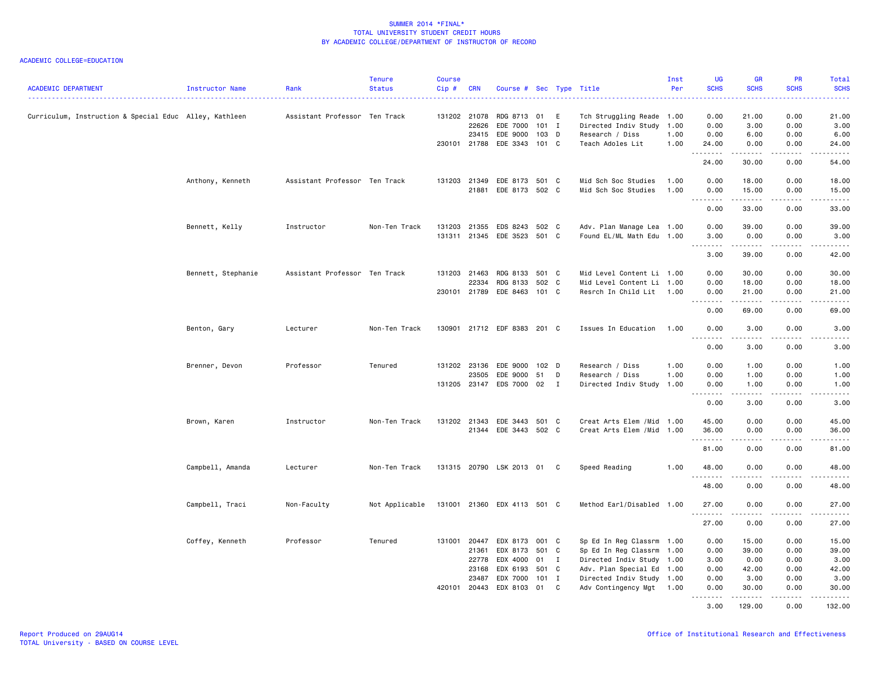| <b>ACADEMIC DEPARTMENT</b>                             | Instructor Name    | Rank                          | <b>Tenure</b><br><b>Status</b> | <b>Course</b><br>Cip # | <b>CRN</b>   | Course # Sec Type Title     |                  |   |                            | Inst<br>Per | <b>UG</b><br><b>SCHS</b><br>.         | <b>GR</b><br><b>SCHS</b> | <b>PR</b><br><b>SCHS</b>            | Total<br><b>SCHS</b><br>$\frac{1}{2} \left( \frac{1}{2} \right) \left( \frac{1}{2} \right) \left( \frac{1}{2} \right) \left( \frac{1}{2} \right)$            |
|--------------------------------------------------------|--------------------|-------------------------------|--------------------------------|------------------------|--------------|-----------------------------|------------------|---|----------------------------|-------------|---------------------------------------|--------------------------|-------------------------------------|--------------------------------------------------------------------------------------------------------------------------------------------------------------|
| Curriculum, Instruction & Special Educ Alley, Kathleen |                    | Assistant Professor Ten Track |                                |                        | 131202 21078 | RDG 8713                    | 01 E             |   | Tch Struggling Reade 1.00  |             | 0.00                                  | 21.00                    | 0.00                                | 21.00                                                                                                                                                        |
|                                                        |                    |                               |                                |                        | 22626        | EDE 7000                    | $101$ I          |   | Directed Indiv Study 1.00  |             | 0.00                                  | 3.00                     | 0.00                                | 3.00                                                                                                                                                         |
|                                                        |                    |                               |                                |                        | 23415        | EDE 9000                    | $103$ D          |   | Research / Diss            | 1.00        | 0.00                                  | 6.00                     | 0.00                                | 6.00                                                                                                                                                         |
|                                                        |                    |                               |                                |                        | 230101 21788 | EDE 3343                    | 101 C            |   | Teach Adoles Lit           | 1.00        | 24.00<br>.                            | 0.00                     | 0.00                                | 24.00<br>المتمام                                                                                                                                             |
|                                                        |                    |                               |                                |                        |              |                             |                  |   |                            |             | 24.00                                 | 30.00                    | 0.00                                | 54.00                                                                                                                                                        |
|                                                        | Anthony, Kenneth   | Assistant Professor Ten Track |                                |                        | 131203 21349 | EDE 8173 501 C              |                  |   | Mid Sch Soc Studies        | 1.00        | 0.00                                  | 18.00                    | 0.00                                | 18.00                                                                                                                                                        |
|                                                        |                    |                               |                                |                        | 21881        | EDE 8173 502 C              |                  |   | Mid Sch Soc Studies        | 1.00        | 0.00<br>$\sim$ $\sim$ $\sim$ $\sim$   | 15.00                    | 0.00                                | 15.00                                                                                                                                                        |
|                                                        |                    |                               |                                |                        |              |                             |                  |   |                            |             | 0.00                                  | 33.00                    | 0.00                                | 33.00                                                                                                                                                        |
|                                                        | Bennett, Kelly     | Instructor                    | Non-Ten Track                  |                        | 131203 21355 | EDS 8243 502 C              |                  |   | Adv. Plan Manage Lea 1.00  |             | 0.00                                  | 39.00                    | 0.00                                | 39.00                                                                                                                                                        |
|                                                        |                    |                               |                                |                        | 131311 21345 | EDE 3523                    | 501 C            |   | Found EL/ML Math Edu 1.00  |             | 3.00                                  | 0.00                     | 0.00                                | 3.00                                                                                                                                                         |
|                                                        |                    |                               |                                |                        |              |                             |                  |   |                            |             | 3.00                                  | .<br>39.00               | .<br>0.00                           | .<br>42.00                                                                                                                                                   |
|                                                        | Bennett, Stephanie | Assistant Professor Ten Track |                                |                        | 131203 21463 | RDG 8133                    | 501 C            |   | Mid Level Content Li 1.00  |             | 0.00                                  | 30.00                    | 0.00                                | 30.00                                                                                                                                                        |
|                                                        |                    |                               |                                |                        | 22334        | RDG 8133                    | 502 C            |   | Mid Level Content Li 1.00  |             | 0.00                                  | 18.00                    | 0.00                                | 18.00                                                                                                                                                        |
|                                                        |                    |                               |                                |                        | 230101 21789 | EDE 8463 101 C              |                  |   | Resrch In Child Lit 1.00   |             | 0.00<br><b>.</b>                      | 21.00<br>.               | 0.00<br>.                           | 21.00<br>.                                                                                                                                                   |
|                                                        |                    |                               |                                |                        |              |                             |                  |   |                            |             | 0.00                                  | 69.00                    | 0.00                                | 69.00                                                                                                                                                        |
|                                                        | Benton, Gary       | Lecturer                      | Non-Ten Track                  |                        |              | 130901 21712 EDF 8383 201 C |                  |   | Issues In Education        | 1.00        | 0.00<br>22222<br>$\sim$ $\sim$ $\sim$ | 3.00<br>المستبدات        | 0.00<br>.                           | 3.00<br>$\frac{1}{2} \left( \frac{1}{2} \right) \left( \frac{1}{2} \right) \left( \frac{1}{2} \right) \left( \frac{1}{2} \right) \left( \frac{1}{2} \right)$ |
|                                                        |                    |                               |                                |                        |              |                             |                  |   |                            |             | 0.00                                  | 3.00                     | 0.00                                | 3.00                                                                                                                                                         |
|                                                        | Brenner, Devon     | Professor                     | Tenured                        |                        | 131202 23136 | EDE 9000                    | 102 <sub>D</sub> |   | Research / Diss            | 1.00        | 0.00                                  | 1.00                     | 0.00                                | 1.00                                                                                                                                                         |
|                                                        |                    |                               |                                |                        | 23505        | EDE 9000                    | 51               | D | Research / Diss            | 1.00        | 0.00                                  | 1.00                     | 0.00                                | 1.00                                                                                                                                                         |
|                                                        |                    |                               |                                |                        |              | 131205 23147 EDS 7000 02 I  |                  |   | Directed Indiv Study 1.00  |             | 0.00<br>$\sim$ $\sim$ $\sim$ $\sim$   | 1.00                     | 0.00<br>$\sim$ $\sim$ $\sim$ $\sim$ | 1.00                                                                                                                                                         |
|                                                        |                    |                               |                                |                        |              |                             |                  |   |                            |             | 0.00                                  | 3.00                     | 0.00                                | 3.00                                                                                                                                                         |
|                                                        | Brown, Karen       | Instructor                    | Non-Ten Track                  |                        | 131202 21343 | EDE 3443 501 C              |                  |   | Creat Arts Elem / Mid 1.00 |             | 45.00                                 | 0.00                     | 0.00                                | 45.00                                                                                                                                                        |
|                                                        |                    |                               |                                |                        | 21344        | EDE 3443 502 C              |                  |   | Creat Arts Elem / Mid 1.00 |             | 36.00                                 | 0.00                     | 0.00                                | 36.00                                                                                                                                                        |
|                                                        |                    |                               |                                |                        |              |                             |                  |   |                            |             | .                                     | .                        | $\frac{1}{2}$                       | .                                                                                                                                                            |
|                                                        |                    |                               |                                |                        |              |                             |                  |   |                            |             | 81.00                                 | 0.00                     | 0.00                                | 81.00                                                                                                                                                        |
|                                                        | Campbell, Amanda   | Lecturer                      | Non-Ten Track                  |                        |              | 131315 20790 LSK 2013 01 C  |                  |   | Speed Reading              | 1.00        | 48.00<br>.                            | 0.00                     | 0.00                                | 48.00<br>.                                                                                                                                                   |
|                                                        |                    |                               |                                |                        |              |                             |                  |   |                            |             | 48.00                                 | 0.00                     | 0.00                                | 48.00                                                                                                                                                        |
|                                                        | Campbell, Traci    | Non-Faculty                   | Not Applicable                 |                        |              | 131001 21360 EDX 4113 501 C |                  |   | Method Earl/Disabled 1.00  |             | 27.00<br>.                            | 0.00                     | 0.00                                | 27.00<br>$\sim$ $\sim$ $\sim$ $\sim$ $\sim$                                                                                                                  |
|                                                        |                    |                               |                                |                        |              |                             |                  |   |                            |             | 27.00                                 | 0.00                     | 0.00                                | 27.00                                                                                                                                                        |
|                                                        | Coffey, Kenneth    | Professor                     | Tenured                        |                        | 131001 20447 | EDX 8173                    | 001 C            |   | Sp Ed In Reg Classrm 1.00  |             | 0.00                                  | 15.00                    | 0.00                                | 15.00                                                                                                                                                        |
|                                                        |                    |                               |                                |                        | 21361        | EDX 8173                    | 501 C            |   | Sp Ed In Reg Classrm 1.00  |             | 0.00                                  | 39.00                    | 0.00                                | 39.00                                                                                                                                                        |
|                                                        |                    |                               |                                |                        | 22778        | EDX 4000                    | 01               | I | Directed Indiv Study 1.00  |             | 3.00                                  | 0.00                     | 0.00                                | 3.00                                                                                                                                                         |
|                                                        |                    |                               |                                |                        | 23168        | EDX 6193                    | 501 C            |   | Adv. Plan Special Ed 1.00  |             | 0.00                                  | 42.00                    | 0.00                                | 42.00                                                                                                                                                        |
|                                                        |                    |                               |                                |                        | 23487        | EDX 7000                    | 101 I            |   | Directed Indiv Study 1.00  |             | 0.00                                  | 3.00                     | 0.00                                | 3.00                                                                                                                                                         |
|                                                        |                    |                               |                                |                        | 420101 20443 | EDX 8103                    | 01               | C | Adv Contingency Mgt        | 1.00        | 0.00<br>.                             | 30.00<br>.               | 0.00<br>.                           | 30.00<br>$\alpha$ is a single $\alpha$                                                                                                                       |
|                                                        |                    |                               |                                |                        |              |                             |                  |   |                            |             | 3.00                                  | 129.00                   | 0.00                                | 132.00                                                                                                                                                       |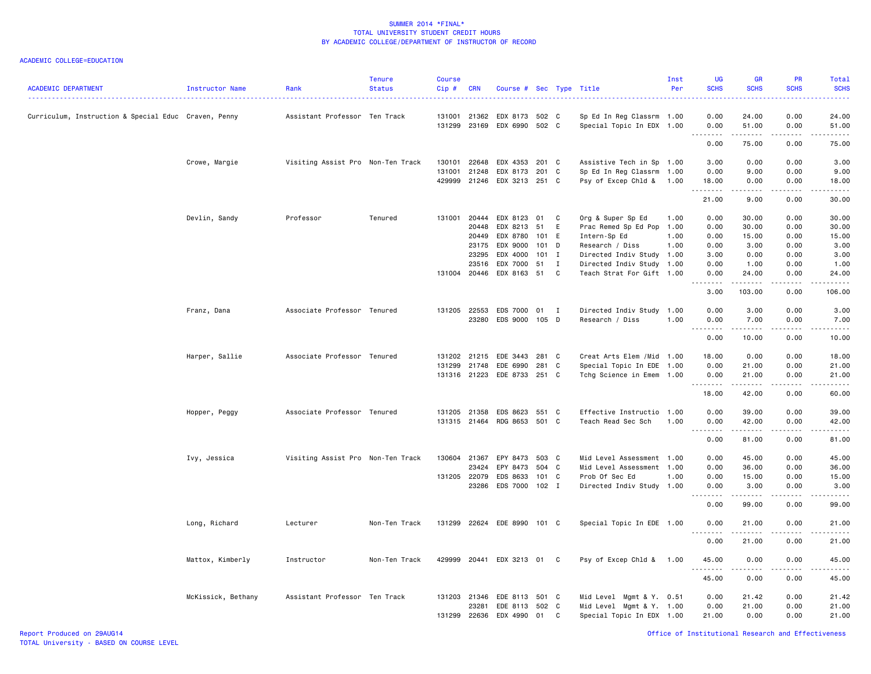| <b>ACADEMIC DEPARTMENT</b>                           | Instructor Name    | Rank                              | <b>Tenure</b><br><b>Status</b> | <b>Course</b><br>Cip# | <b>CRN</b>     | Course # Sec Type Title    |       |             |                                                        | Inst<br>Per | UG<br><b>SCHS</b>                      | <b>GR</b><br><b>SCHS</b>                                                                                                                                      | <b>PR</b><br><b>SCHS</b>                                                                                                          | Total<br><b>SCHS</b><br>2222) |
|------------------------------------------------------|--------------------|-----------------------------------|--------------------------------|-----------------------|----------------|----------------------------|-------|-------------|--------------------------------------------------------|-------------|----------------------------------------|---------------------------------------------------------------------------------------------------------------------------------------------------------------|-----------------------------------------------------------------------------------------------------------------------------------|-------------------------------|
| Curriculum, Instruction & Special Educ Craven, Penny |                    | Assistant Professor Ten Track     |                                | 131001<br>131299      | 21362<br>23169 | EDX 8173<br>EDX 6990 502 C | 502 C |             | Sp Ed In Reg Classrm 1.00<br>Special Topic In EDX 1.00 |             | 0.00<br>0.00                           | 24.00<br>51.00                                                                                                                                                | 0.00<br>0.00                                                                                                                      | 24.00<br>51.00                |
|                                                      |                    |                                   |                                |                       |                |                            |       |             |                                                        |             | .<br>0.00                              | .<br>75.00                                                                                                                                                    | $\sim$ $\sim$ $\sim$ $\sim$<br>0.00                                                                                               | .<br>75.00                    |
|                                                      |                    |                                   |                                |                       |                |                            |       |             |                                                        |             |                                        |                                                                                                                                                               |                                                                                                                                   |                               |
|                                                      | Crowe, Margie      | Visiting Assist Pro Non-Ten Track |                                | 130101                | 22648          | EDX 4353                   | 201 C |             | Assistive Tech in Sp 1.00                              |             | 3.00                                   | 0.00                                                                                                                                                          | 0.00                                                                                                                              | 3.00                          |
|                                                      |                    |                                   |                                | 131001                | 21248          | EDX 8173 201 C             |       |             | Sp Ed In Reg Classrm 1.00                              |             | 0.00                                   | 9.00                                                                                                                                                          | 0.00                                                                                                                              | 9.00                          |
|                                                      |                    |                                   |                                | 429999                | 21246          | EDX 3213 251 C             |       |             | Psy of Excep Chld & 1.00                               |             | 18.00<br>.                             | 0.00<br>.                                                                                                                                                     | 0.00<br>$\frac{1}{2}$                                                                                                             | 18.00<br>د د د د د            |
|                                                      |                    |                                   |                                |                       |                |                            |       |             |                                                        |             | 21.00                                  | 9.00                                                                                                                                                          | 0.00                                                                                                                              | 30.00                         |
|                                                      | Devlin, Sandy      | Professor                         | Tenured                        | 131001                | 20444          | EDX 8123                   | 01    | C           | Org & Super Sp Ed                                      | 1.00        | 0.00                                   | 30.00                                                                                                                                                         | 0.00                                                                                                                              | 30.00                         |
|                                                      |                    |                                   |                                |                       | 20448          | EDX 8213                   | 51    | E           | Prac Remed Sp Ed Pop                                   | 1.00        | 0.00                                   | 30.00                                                                                                                                                         | 0.00                                                                                                                              | 30.00                         |
|                                                      |                    |                                   |                                |                       | 20449          | EDX 8780                   | 101 E |             | Intern-Sp Ed                                           | 1.00        | 0.00                                   | 15.00                                                                                                                                                         | 0.00                                                                                                                              | 15.00                         |
|                                                      |                    |                                   |                                |                       | 23175          | EDX 9000                   | 101   | D           | Research / Diss                                        | 1.00        | 0.00                                   | 3.00                                                                                                                                                          | 0.00                                                                                                                              | 3.00                          |
|                                                      |                    |                                   |                                |                       | 23295          | EDX 4000                   | 101   | I           | Directed Indiv Study 1.00                              |             | 3.00                                   | 0.00                                                                                                                                                          | 0.00                                                                                                                              | 3.00                          |
|                                                      |                    |                                   |                                |                       | 23516          | EDX 7000                   | 51    | $\mathbf I$ | Directed Indiv Study 1.00                              |             | 0.00                                   | 1.00                                                                                                                                                          | 0.00                                                                                                                              | 1.00                          |
|                                                      |                    |                                   |                                |                       | 131004 20446   | EDX 8163 51 C              |       |             | Teach Strat For Gift 1.00                              |             | 0.00<br>.                              | 24.00<br>$\frac{1}{2} \left( \frac{1}{2} \right) \left( \frac{1}{2} \right) \left( \frac{1}{2} \right) \left( \frac{1}{2} \right) \left( \frac{1}{2} \right)$ | 0.00<br>$\sim$ $\sim$ $\sim$ $\sim$                                                                                               | 24.00                         |
|                                                      |                    |                                   |                                |                       |                |                            |       |             |                                                        |             | 3.00                                   | 103.00                                                                                                                                                        | 0.00                                                                                                                              | 106.00                        |
|                                                      | Franz, Dana        | Associate Professor Tenured       |                                | 131205 22553          |                | EDS 7000 01 I              |       |             | Directed Indiv Study 1.00                              |             | 0.00                                   | 3.00                                                                                                                                                          | 0.00                                                                                                                              | 3.00                          |
|                                                      |                    |                                   |                                |                       | 23280          | EDS 9000 105 D             |       |             | Research / Diss                                        | 1.00        | 0.00                                   | 7.00                                                                                                                                                          | 0.00                                                                                                                              | 7.00                          |
|                                                      |                    |                                   |                                |                       |                |                            |       |             |                                                        |             | .<br>0.00                              | .<br>10.00                                                                                                                                                    | الدامات بال<br>0.00                                                                                                               | د د د د د<br>10.00            |
|                                                      | Harper, Sallie     | Associate Professor Tenured       |                                | 131202                | 21215          | EDE 3443                   | 281 C |             | Creat Arts Elem / Mid 1.00                             |             | 18.00                                  | 0.00                                                                                                                                                          | 0.00                                                                                                                              | 18.00                         |
|                                                      |                    |                                   |                                | 131299                | 21748          | EDE 6990                   | 281 C |             | Special Topic In EDE 1.00                              |             | 0.00                                   | 21.00                                                                                                                                                         | 0.00                                                                                                                              | 21.00                         |
|                                                      |                    |                                   |                                |                       | 131316 21223   | EDE 8733 251 C             |       |             | Tchg Science in Emem 1.00                              |             | 0.00<br>.                              | 21.00<br>$- - - - -$                                                                                                                                          | 0.00<br>$\frac{1}{2}$                                                                                                             | 21.00<br>.                    |
|                                                      |                    |                                   |                                |                       |                |                            |       |             |                                                        |             | 18.00                                  | 42.00                                                                                                                                                         | 0.00                                                                                                                              | 60.00                         |
|                                                      | Hopper, Peggy      | Associate Professor Tenured       |                                | 131205                | 21358          | EDS 8623                   | 551 C |             | Effective Instructio                                   | 1.00        | 0.00                                   | 39.00                                                                                                                                                         | 0.00                                                                                                                              | 39.00                         |
|                                                      |                    |                                   |                                |                       | 131315 21464   | RDG 8653 501 C             |       |             | Teach Read Sec Sch                                     | 1.00        | 0.00                                   | 42.00                                                                                                                                                         | 0.00                                                                                                                              | 42.00                         |
|                                                      |                    |                                   |                                |                       |                |                            |       |             |                                                        |             | $\sim$ $\sim$ $\sim$<br>لأعاجب<br>0.00 | .<br>81.00                                                                                                                                                    | بالمحام<br>0.00                                                                                                                   | وبالمنابذ<br>81.00            |
|                                                      | Ivy, Jessica       | Visiting Assist Pro Non-Ten Track |                                | 130604                | 21367          | EPY 8473                   | 503 C |             | Mid Level Assessment 1.00                              |             | 0.00                                   | 45.00                                                                                                                                                         | 0.00                                                                                                                              | 45.00                         |
|                                                      |                    |                                   |                                |                       | 23424          | EPY 8473                   | 504 C |             | Mid Level Assessment 1.00                              |             | 0.00                                   | 36.00                                                                                                                                                         | 0.00                                                                                                                              | 36.00                         |
|                                                      |                    |                                   |                                |                       | 131205 22079   | EDS 8633                   | 101 C |             | Prob Of Sec Ed                                         | 1.00        | 0.00                                   | 15.00                                                                                                                                                         | 0.00                                                                                                                              | 15.00                         |
|                                                      |                    |                                   |                                |                       | 23286          | EDS 7000 102 I             |       |             | Directed Indiv Study 1.00                              |             | 0.00<br>$\sim$ $\sim$ $\sim$           | 3.00<br>.                                                                                                                                                     | 0.00<br>.                                                                                                                         | 3.00<br>.                     |
|                                                      |                    |                                   |                                |                       |                |                            |       |             |                                                        |             | .<br>0.00                              | 99.00                                                                                                                                                         | 0.00                                                                                                                              | 99.00                         |
|                                                      | Long, Richard      | Lecturer                          | Non-Ten Track                  | 131299                |                | 22624 EDE 8990 101 C       |       |             | Special Topic In EDE 1.00                              |             | 0.00                                   | 21.00                                                                                                                                                         | 0.00                                                                                                                              | 21.00                         |
|                                                      |                    |                                   |                                |                       |                |                            |       |             |                                                        |             | $\sim$ $\sim$ .<br>.<br>0.00           | . <u>.</u> .<br>21.00                                                                                                                                         | $\frac{1}{2} \left( \frac{1}{2} \right) \left( \frac{1}{2} \right) \left( \frac{1}{2} \right) \left( \frac{1}{2} \right)$<br>0.00 | .<br>21.00                    |
|                                                      | Mattox, Kimberly   | Instructor                        | Non-Ten Track                  | 429999                | 20441          | EDX 3213 01 C              |       |             | Psy of Excep Chld & 1.00                               |             | 45.00                                  | 0.00                                                                                                                                                          | 0.00                                                                                                                              | 45.00                         |
|                                                      |                    |                                   |                                |                       |                |                            |       |             |                                                        |             | .<br>45.00                             | $\frac{1}{2}$<br>0.00                                                                                                                                         | .<br>0.00                                                                                                                         | .<br>45.00                    |
|                                                      | McKissick, Bethany | Assistant Professor Ten Track     |                                |                       | 131203 21346   | EDE 8113 501 C             |       |             | Mid Level Mgmt & Y. 0.51                               |             | 0.00                                   | 21.42                                                                                                                                                         | 0.00                                                                                                                              | 21.42                         |
|                                                      |                    |                                   |                                |                       | 23281          | EDE 8113                   | 502 C |             | Mid Level Mgmt & Y. 1.00                               |             | 0.00                                   | 21.00                                                                                                                                                         | 0.00                                                                                                                              | 21.00                         |
|                                                      |                    |                                   |                                | 131299                | 22636          | EDX 4990                   | 01    | C           | Special Topic In EDX 1.00                              |             | 21.00                                  | 0.00                                                                                                                                                          | 0.00                                                                                                                              | 21.00                         |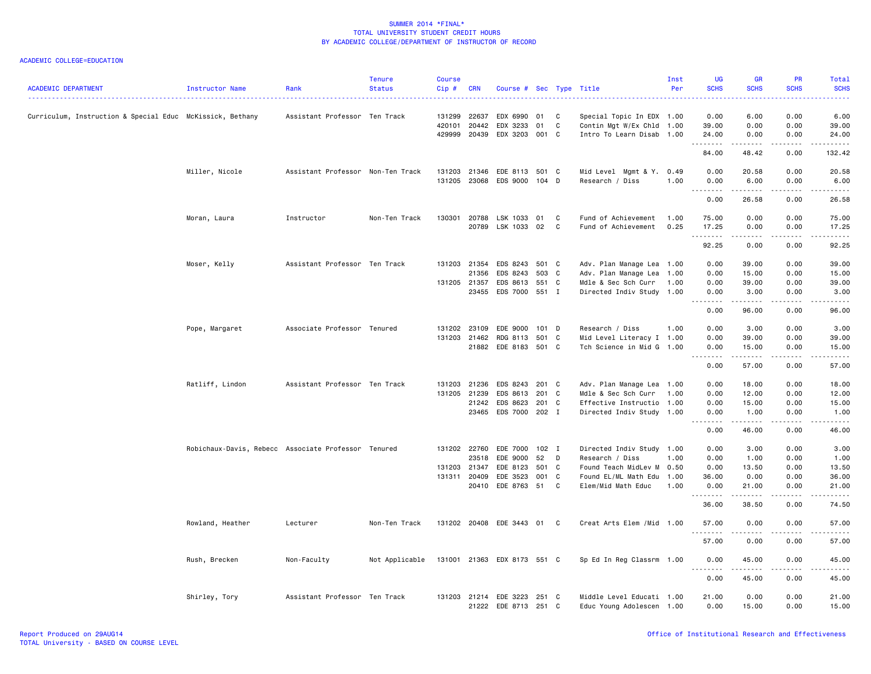| <b>ACADEMIC DEPARTMENT</b>                                | Instructor Name                                     | Rank                              | <b>Tenure</b><br><b>Status</b> | <b>Course</b><br>Cip# | <b>CRN</b>     | Course # Sec Type Title     |         |   |                                                        | Inst<br>Per | UG<br><b>SCHS</b>            | <b>GR</b><br><b>SCHS</b>                                                                                                                                     | <b>PR</b><br><b>SCHS</b>            | <b>Total</b><br><b>SCHS</b>                                                                                                                                  |
|-----------------------------------------------------------|-----------------------------------------------------|-----------------------------------|--------------------------------|-----------------------|----------------|-----------------------------|---------|---|--------------------------------------------------------|-------------|------------------------------|--------------------------------------------------------------------------------------------------------------------------------------------------------------|-------------------------------------|--------------------------------------------------------------------------------------------------------------------------------------------------------------|
| Curriculum, Instruction & Special Educ McKissick, Bethany |                                                     | Assistant Professor Ten Track     |                                | 131299                | 22637          | EDX 6990                    | 01      | C | Special Topic In EDX 1.00                              |             | 0.00                         | 6.00                                                                                                                                                         | 0.00                                | 6.00                                                                                                                                                         |
|                                                           |                                                     |                                   |                                | 420101<br>429999      | 20442<br>20439 | EDX 3233<br>EDX 3203 001 C  | 01      | C | Contin Mgt W/Ex Chld 1.00<br>Intro To Learn Disab 1.00 |             | 39.00<br>24.00               | 0.00<br>0.00                                                                                                                                                 | 0.00<br>0.00                        | 39.00<br>24.00                                                                                                                                               |
|                                                           |                                                     |                                   |                                |                       |                |                             |         |   |                                                        |             | .<br>84.00                   | <u>.</u><br>48.42                                                                                                                                            | <u>.</u><br>0.00                    | .<br>132.42                                                                                                                                                  |
|                                                           | Miller, Nicole                                      | Assistant Professor Non-Ten Track |                                | 131203                | 21346          | EDE 8113 501 C              |         |   | Mid Level Mgmt & Y. 0.49                               |             | 0.00                         | 20.58                                                                                                                                                        | 0.00                                | 20.58                                                                                                                                                        |
|                                                           |                                                     |                                   |                                | 131205                | 23068          | EDS 9000 104 D              |         |   | Research / Diss                                        | 1.00        | 0.00<br><u>.</u>             | 6.00                                                                                                                                                         | 0.00                                | 6.00<br>.                                                                                                                                                    |
|                                                           |                                                     |                                   |                                |                       |                |                             |         |   |                                                        |             | 0.00                         | 26.58                                                                                                                                                        | 0.00                                | 26.58                                                                                                                                                        |
|                                                           | Moran, Laura                                        | Instructor                        | Non-Ten Track                  | 130301 20788          |                | LSK 1033 01                 |         | C | Fund of Achievement                                    | 1.00        | 75.00                        | 0.00                                                                                                                                                         | 0.00                                | 75.00                                                                                                                                                        |
|                                                           |                                                     |                                   |                                |                       | 20789          | LSK 1033 02                 |         | C | Fund of Achievement                                    | 0.25        | 17.25<br>.                   | 0.00                                                                                                                                                         | 0.00<br>$\sim$ $\sim$ $\sim$ $\sim$ | 17.25                                                                                                                                                        |
|                                                           |                                                     |                                   |                                |                       |                |                             |         |   |                                                        |             | 92.25                        | 0.00                                                                                                                                                         | 0.00                                | 92.25                                                                                                                                                        |
|                                                           | Moser, Kelly                                        | Assistant Professor Ten Track     |                                | 131203 21354          |                | EDS 8243 501 C              |         |   | Adv. Plan Manage Lea 1.00                              |             | 0.00                         | 39.00                                                                                                                                                        | 0.00                                | 39.00                                                                                                                                                        |
|                                                           |                                                     |                                   |                                |                       | 21356          | EDS 8243                    | 503 C   |   | Adv. Plan Manage Lea 1.00                              |             | 0.00                         | 15.00                                                                                                                                                        | 0.00                                | 15.00                                                                                                                                                        |
|                                                           |                                                     |                                   |                                | 131205 21357          |                | EDS 8613 551 C              |         |   | Mdle & Sec Sch Curr                                    | 1.00        | 0.00                         | 39.00                                                                                                                                                        | 0.00                                | 39.00                                                                                                                                                        |
|                                                           |                                                     |                                   |                                |                       | 23455          | EDS 7000 551 I              |         |   | Directed Indiv Study 1.00                              |             | 0.00<br>.<br>$\sim$ $\sim$ . | 3.00<br>$\frac{1}{2} \left( \frac{1}{2} \right) \left( \frac{1}{2} \right) \left( \frac{1}{2} \right) \left( \frac{1}{2} \right) \left( \frac{1}{2} \right)$ | 0.00<br>.                           | 3.00<br>$\frac{1}{2} \left( \frac{1}{2} \right) \left( \frac{1}{2} \right) \left( \frac{1}{2} \right) \left( \frac{1}{2} \right) \left( \frac{1}{2} \right)$ |
|                                                           |                                                     |                                   |                                |                       |                |                             |         |   |                                                        |             | 0.00                         | 96.00                                                                                                                                                        | 0.00                                | 96.00                                                                                                                                                        |
|                                                           | Pope, Margaret                                      | Associate Professor Tenured       |                                | 131202 23109          |                | EDE 9000                    | 101 D   |   | Research / Diss                                        | 1.00        | 0.00                         | 3.00                                                                                                                                                         | 0.00                                | 3.00                                                                                                                                                         |
|                                                           |                                                     |                                   |                                | 131203 21462          |                | RDG 8113                    | 501 C   |   | Mid Level Literacy I 1.00                              |             | 0.00                         | 39.00                                                                                                                                                        | 0.00                                | 39.00                                                                                                                                                        |
|                                                           |                                                     |                                   |                                |                       |                | 21882 EDE 8183 501 C        |         |   | Tch Science in Mid G 1.00                              |             | 0.00<br><u>.</u>             | 15.00<br>.                                                                                                                                                   | 0.00<br>.                           | 15.00<br>.                                                                                                                                                   |
|                                                           |                                                     |                                   |                                |                       |                |                             |         |   |                                                        |             | 0.00                         | 57.00                                                                                                                                                        | 0.00                                | 57.00                                                                                                                                                        |
|                                                           | Ratliff, Lindon                                     | Assistant Professor Ten Track     |                                | 131203                | 21236          | EDS 8243                    | 201 C   |   | Adv. Plan Manage Lea 1.00                              |             | 0.00                         | 18.00                                                                                                                                                        | 0.00                                | 18.00                                                                                                                                                        |
|                                                           |                                                     |                                   |                                | 131205                | 21239          | EDS 8613                    | 201 C   |   | Mdle & Sec Sch Curr 1.00                               |             | 0.00                         | 12.00                                                                                                                                                        | 0.00                                | 12.00                                                                                                                                                        |
|                                                           |                                                     |                                   |                                |                       | 21242          | EDS 8623                    | 201 C   |   | Effective Instructio 1.00                              |             | 0.00                         | 15.00                                                                                                                                                        | 0.00                                | 15.00                                                                                                                                                        |
|                                                           |                                                     |                                   |                                |                       | 23465          | EDS 7000 202 I              |         |   | Directed Indiv Study 1.00                              |             | 0.00<br>.                    | 1.00<br>$\frac{1}{2}$                                                                                                                                        | 0.00                                | 1.00<br>.                                                                                                                                                    |
|                                                           |                                                     |                                   |                                |                       |                |                             |         |   |                                                        |             | 0.00                         | 46.00                                                                                                                                                        | 0.00                                | 46.00                                                                                                                                                        |
|                                                           | Robichaux-Davis, Rebecc Associate Professor Tenured |                                   |                                | 131202 22760          |                | EDE 7000                    | $102$ I |   | Directed Indiv Study 1.00                              |             | 0.00                         | 3.00                                                                                                                                                         | 0.00                                | 3.00                                                                                                                                                         |
|                                                           |                                                     |                                   |                                |                       | 23518          | EDE 9000                    | 52 D    |   | Research / Diss                                        | 1.00        | 0.00                         | 1.00                                                                                                                                                         | 0.00                                | 1.00                                                                                                                                                         |
|                                                           |                                                     |                                   |                                | 131203                | 21347          | EDE 8123                    | 501 C   |   | Found Teach MidLev M 0.50                              |             | 0.00                         | 13.50                                                                                                                                                        | 0.00                                | 13.50                                                                                                                                                        |
|                                                           |                                                     |                                   |                                | 131311                | 20409          | EDE 3523<br>EDE 8763 51 C   | 001 C   |   | Found EL/ML Math Edu                                   | 1.00        | 36.00                        | 0.00                                                                                                                                                         | 0.00                                | 36.00                                                                                                                                                        |
|                                                           |                                                     |                                   |                                |                       | 20410          |                             |         |   | Elem/Mid Math Educ                                     | 1.00        | 0.00<br>.                    | 21.00<br>$- - - - -$                                                                                                                                         | 0.00<br>$\frac{1}{2}$               | 21.00<br>المالم عامل                                                                                                                                         |
|                                                           |                                                     |                                   |                                |                       |                |                             |         |   |                                                        |             | 36.00                        | 38.50                                                                                                                                                        | 0.00                                | 74.50                                                                                                                                                        |
|                                                           | Rowland, Heather                                    | Lecturer                          | Non-Ten Track                  |                       |                | 131202 20408 EDE 3443 01 C  |         |   | Creat Arts Elem / Mid 1.00                             |             | 57.00                        | 0.00                                                                                                                                                         | 0.00<br>.                           | 57.00                                                                                                                                                        |
|                                                           |                                                     |                                   |                                |                       |                |                             |         |   |                                                        |             | 57.00                        | 0.00                                                                                                                                                         | 0.00                                | 57.00                                                                                                                                                        |
|                                                           | Rush, Brecken                                       | Non-Faculty                       | Not Applicable                 |                       |                | 131001 21363 EDX 8173 551 C |         |   | Sp Ed In Reg Classrm 1.00                              |             | 0.00                         | 45.00                                                                                                                                                        | 0.00<br>22222                       | 45.00<br>.                                                                                                                                                   |
|                                                           |                                                     |                                   |                                |                       |                |                             |         |   |                                                        |             | .<br>0.00                    | $\omega$ $\omega$ $\omega$ $\omega$ $\omega$<br>45.00                                                                                                        | 0.00                                | 45.00                                                                                                                                                        |
|                                                           | Shirley, Tory                                       | Assistant Professor Ten Track     |                                | 131203                |                | 21214 EDE 3223 251 C        |         |   | Middle Level Educati 1.00                              |             | 21.00                        | 0.00                                                                                                                                                         | 0.00                                | 21.00                                                                                                                                                        |
|                                                           |                                                     |                                   |                                |                       |                | 21222 EDE 8713 251 C        |         |   | Educ Young Adolescen 1.00                              |             | 0.00                         | 15.00                                                                                                                                                        | 0.00                                | 15.00                                                                                                                                                        |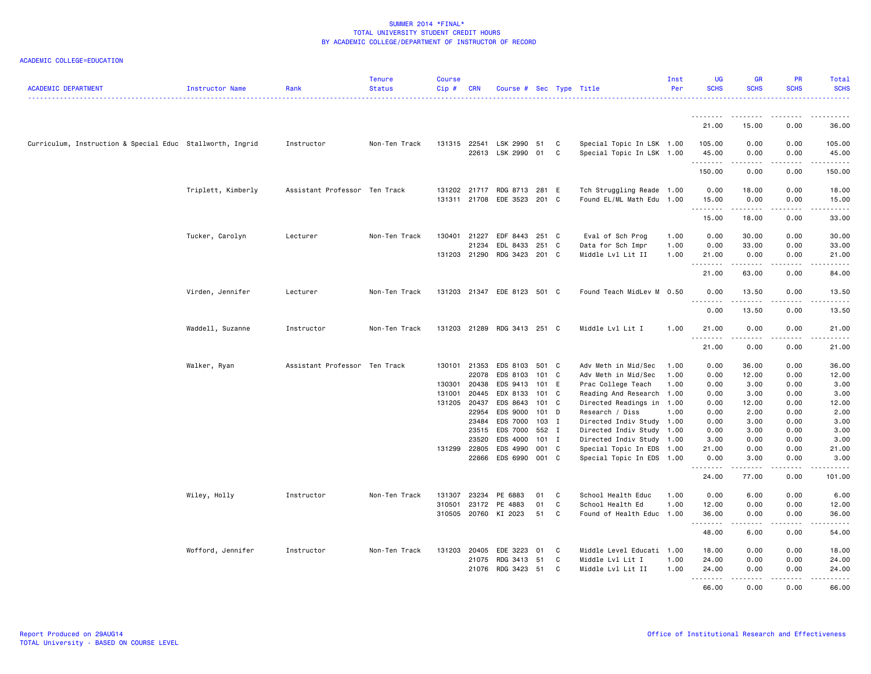| <b>ACADEMIC DEPARTMENT</b>                                | Instructor Name    | Rank                          | <b>Tenure</b><br><b>Status</b> | <b>Course</b><br>$Cip$ # | <b>CRN</b>            | Course # Sec Type Title     |              |              |                                                        | Inst<br>Per | <b>UG</b><br><b>SCHS</b>   | <b>GR</b><br><b>SCHS</b>             | PR<br><b>SCHS</b> | Total<br><b>SCHS</b> |
|-----------------------------------------------------------|--------------------|-------------------------------|--------------------------------|--------------------------|-----------------------|-----------------------------|--------------|--------------|--------------------------------------------------------|-------------|----------------------------|--------------------------------------|-------------------|----------------------|
|                                                           |                    |                               |                                |                          |                       |                             |              |              |                                                        |             |                            |                                      |                   |                      |
|                                                           |                    |                               |                                |                          |                       |                             |              |              |                                                        |             | --------<br>21.00          | 15.00                                | 0.00              | .<br>36.00           |
| Curriculum, Instruction & Special Educ Stallworth, Ingrid |                    | Instructor                    | Non-Ten Track                  |                          | 131315 22541          | LSK 2990<br>22613 LSK 2990  | 51<br>01     | C<br>C       | Special Topic In LSK 1.00<br>Special Topic In LSK 1.00 |             | 105.00<br>45.00            | 0.00<br>0.00                         | 0.00<br>0.00      | 105.00<br>45.00      |
|                                                           |                    |                               |                                |                          |                       |                             |              |              |                                                        |             | .<br>150.00                | .<br>0.00                            | .<br>0.00         | .<br>150.00          |
|                                                           | Triplett, Kimberly | Assistant Professor Ten Track |                                | 131202                   | 21717                 | RDG 8713                    | 281 E        |              | Tch Struggling Reade 1.00                              |             | 0.00                       | 18.00                                | 0.00              | 18.00                |
|                                                           |                    |                               |                                |                          |                       | 131311 21708 EDE 3523       | 201 C        |              | Found EL/ML Math Edu 1.00                              |             | 15.00<br>.                 | 0.00<br>.                            | 0.00<br>$- - - -$ | 15.00<br>.           |
|                                                           |                    |                               |                                |                          |                       |                             |              |              |                                                        |             | 15.00                      | 18.00                                | 0.00              | 33.00                |
|                                                           | Tucker, Carolyn    | Lecturer                      | Non-Ten Track                  |                          | 130401 21227          | EDF 8443                    | 251 C        |              | Eval of Sch Prog                                       | 1.00        | 0.00                       | 30.00                                | 0.00              | 30.00                |
|                                                           |                    |                               |                                |                          | 21234                 | EDL 8433                    | 251          | C.           | Data for Sch Impr                                      | 1.00        | 0.00                       | 33.00                                | 0.00              | 33.00                |
|                                                           |                    |                               |                                |                          | 131203 21290          | RDG 3423 201 C              |              |              | Middle Lvl Lit II                                      | 1.00        | 21.00<br>.                 | 0.00<br>-----                        | 0.00              | 21.00                |
|                                                           |                    |                               |                                |                          |                       |                             |              |              |                                                        |             | 21.00                      | 63.00                                | 0.00              | 84.00                |
|                                                           | Virden, Jennifer   | Lecturer                      | Non-Ten Track                  |                          |                       | 131203 21347 EDE 8123 501 C |              |              | Found Teach MidLev M 0.50                              |             | 0.00<br>-----              | 13.50<br>.                           | 0.00<br>.         | 13.50<br>.           |
|                                                           |                    |                               |                                |                          |                       |                             |              |              |                                                        |             | 0.00                       | 13.50                                | 0.00              | 13.50                |
|                                                           | Waddell, Suzanne   | Instructor                    | Non-Ten Track                  | 131203                   | 21289                 | RDG 3413 251 C              |              |              | Middle Lvl Lit I                                       | 1.00        | 21.00<br>$- - - -$<br>$ -$ | 0.00                                 | 0.00              | 21.00                |
|                                                           |                    |                               |                                |                          |                       |                             |              |              |                                                        |             | 21.00                      | 0.00                                 | 0.00              | 21.00                |
|                                                           | Walker, Ryan       | Assistant Professor Ten Track |                                |                          | 130101 21353          | EDS 8103                    | 501 C        |              | Adv Meth in Mid/Sec                                    | 1.00        | 0.00                       | 36.00                                | 0.00              | 36.00                |
|                                                           |                    |                               |                                |                          | 22078                 | EDS 8103                    | 101 C        |              | Adv Meth in Mid/Sec                                    | 1.00        | 0.00                       | 12.00                                | 0.00              | 12.00                |
|                                                           |                    |                               |                                | 130301                   | 20438                 | EDS 9413                    | 101          | E            | Prac College Teach                                     | 1.00        | 0.00                       | 3.00                                 | 0.00              | 3.00                 |
|                                                           |                    |                               |                                | 131001                   | 20445                 | EDX 8133                    | 101 C        |              | Reading And Research 1.00                              |             | 0.00                       | 3.00                                 | 0.00              | 3.00                 |
|                                                           |                    |                               |                                |                          | 131205 20437          | EDS 8643                    | 101 C        |              | Directed Readings in 1.00                              |             | 0.00                       | 12.00                                | 0.00              | 12.00                |
|                                                           |                    |                               |                                |                          | 22954                 | EDS 9000                    | 101          | D            | Research / Diss                                        | 1.00        | 0.00                       | 2.00                                 | 0.00              | 2.00                 |
|                                                           |                    |                               |                                |                          | 23484                 | EDS 7000                    | $103$ I      |              | Directed Indiv Study 1.00                              |             | 0.00                       | 3.00                                 | 0.00              | 3.00                 |
|                                                           |                    |                               |                                |                          | 23515                 | EDS 7000                    | 552 I        |              | Directed Indiv Study 1.00                              |             | 0.00                       | 3.00                                 | 0.00              | 3.00                 |
|                                                           |                    |                               |                                |                          | 23520<br>131299 22805 | EDS 4000<br>EDS 4990        | 101<br>001 C | $\mathbf{I}$ | Directed Indiv Study 1.00                              |             | 3.00<br>21.00              | 0.00<br>0.00                         | 0.00<br>0.00      | 3.00<br>21.00        |
|                                                           |                    |                               |                                |                          | 22866                 | EDS 6990                    | 001 C        |              | Special Topic In EDS 1.00<br>Special Topic In EDS 1.00 |             | 0.00                       | 3.00                                 | 0.00              | 3.00                 |
|                                                           |                    |                               |                                |                          |                       |                             |              |              |                                                        |             | .<br>24.00                 | $\sim$ $\sim$ $\sim$ $\sim$<br>77.00 | د د د د<br>0.00   | .<br>101.00          |
|                                                           | Wiley, Holly       | Instructor                    | Non-Ten Track                  | 131307                   | 23234                 | PE 6883                     | 01           | C            | School Health Educ                                     | 1.00        | 0.00                       | 6.00                                 | 0.00              | 6.00                 |
|                                                           |                    |                               |                                | 310501                   | 23172                 | PE 4883                     | 01           | C            | School Health Ed                                       | 1.00        | 12.00                      | 0.00                                 | 0.00              | 12.00                |
|                                                           |                    |                               |                                |                          | 310505 20760          | KI 2023                     | 51           | C            | Found of Health Educ 1.00                              |             | 36.00<br>--------          | 0.00<br>-----                        | 0.00<br>.         | 36.00<br>.           |
|                                                           |                    |                               |                                |                          |                       |                             |              |              |                                                        |             | 48.00                      | 6.00                                 | 0.00              | 54.00                |
|                                                           | Wofford, Jennifer  | Instructor                    | Non-Ten Track                  | 131203                   | 20405                 | EDE 3223                    | 01           | C            | Middle Level Educati 1.00                              |             | 18.00                      | 0.00                                 | 0.00              | 18.00                |
|                                                           |                    |                               |                                |                          | 21075                 | RDG 3413                    | 51           | C            | Middle Lvl Lit I                                       | 1.00        | 24.00                      | 0.00                                 | 0.00              | 24.00                |
|                                                           |                    |                               |                                |                          |                       | 21076 RDG 3423 51           |              | C            | Middle Lvl Lit II                                      | 1.00        | 24.00<br><u>.</u>          | 0.00<br>.                            | 0.00<br>.         | 24.00<br>.           |
|                                                           |                    |                               |                                |                          |                       |                             |              |              |                                                        |             | 66.00                      | 0.00                                 | 0.00              | 66.00                |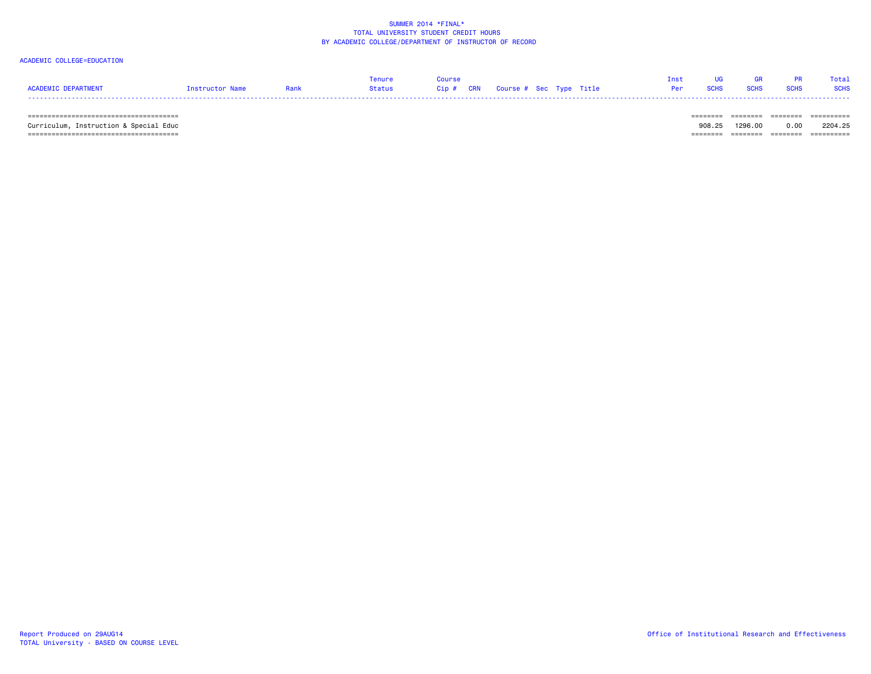# ACADEMIC COLLEGE=EDUCATION

|                     |                 |      | Tenure Course |  |                                     |  | Inst UG GR PR Total |  |
|---------------------|-----------------|------|---------------|--|-------------------------------------|--|---------------------|--|
| ACADEMIC DEPARTMENT | Instructor Name | Rank |               |  | <b>Per SCHS SCHS SCHS SCHS SCHS</b> |  |                     |  |
|                     |                 |      |               |  |                                     |  |                     |  |

====================================== ======== ======== ======== ==========

 ====================================== ======== ======== ======== ==========Curriculum, Instruction & Special Educ 908.25 1296.00 0.00 2204.25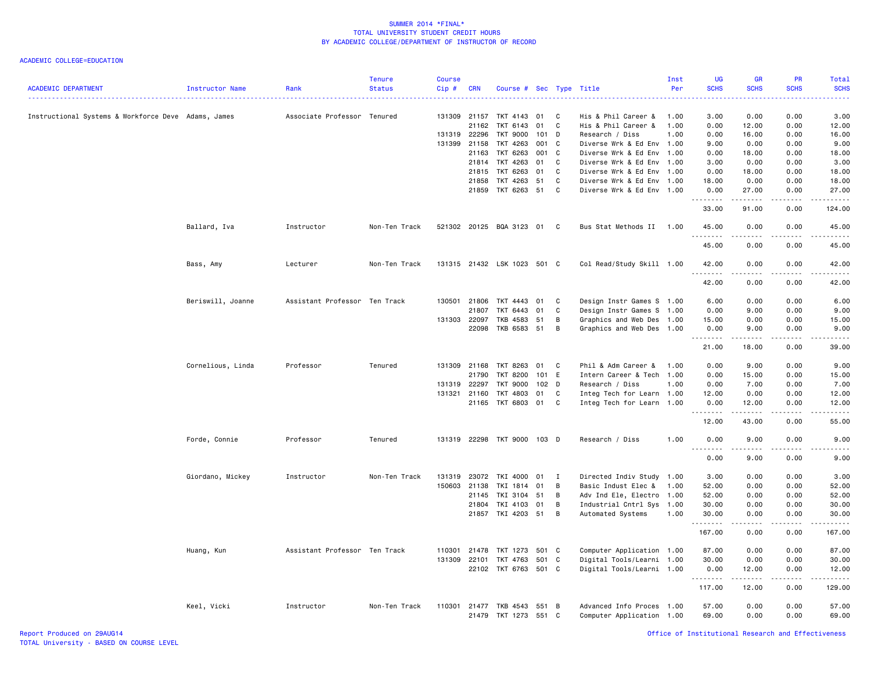| <b>ACADEMIC DEPARTMENT</b>                          | Instructor Name   | Rank                          | <b>Tenure</b><br><b>Status</b> | <b>Course</b><br>Cip# | <b>CRN</b>   | Course # Sec Type Title     |       |              |                           | Inst<br>Per | UG<br><b>SCHS</b> | <b>GR</b><br><b>SCHS</b>                                                                                                                                     | <b>PR</b><br><b>SCHS</b> | Total<br><b>SCHS</b>                                                                                                                                         |
|-----------------------------------------------------|-------------------|-------------------------------|--------------------------------|-----------------------|--------------|-----------------------------|-------|--------------|---------------------------|-------------|-------------------|--------------------------------------------------------------------------------------------------------------------------------------------------------------|--------------------------|--------------------------------------------------------------------------------------------------------------------------------------------------------------|
| Instructional Systems & Workforce Deve Adams, James |                   | Associate Professor Tenured   |                                | 131309                | 21157        | TKT 4143                    | 01    | C            | His & Phil Career &       | 1.00        | 3.00              | 0.00                                                                                                                                                         | 0.00                     | 3.00                                                                                                                                                         |
|                                                     |                   |                               |                                |                       | 21162        | TKT 6143                    | 01    | C            | His & Phil Career &       | 1.00        | 0.00              | 12.00                                                                                                                                                        | 0.00                     | 12.00                                                                                                                                                        |
|                                                     |                   |                               |                                | 131319 22296          |              | TKT 9000                    | 101 D |              | Research / Diss           | 1.00        | 0.00              | 16.00                                                                                                                                                        | 0.00                     | 16.00                                                                                                                                                        |
|                                                     |                   |                               |                                | 131399                | 21158        | TKT 4263                    | 001   | C.           | Diverse Wrk & Ed Env 1.00 |             | 9.00              | 0.00                                                                                                                                                         | 0.00                     | 9.00                                                                                                                                                         |
|                                                     |                   |                               |                                |                       | 21163        | TKT 6263                    | 001   | $\mathbf{C}$ | Diverse Wrk & Ed Env 1.00 |             | 0.00              | 18.00                                                                                                                                                        | 0.00                     | 18.00                                                                                                                                                        |
|                                                     |                   |                               |                                |                       |              | 21814 TKT 4263              | 01    | C.           | Diverse Wrk & Ed Env 1.00 |             | 3.00              | 0.00                                                                                                                                                         | 0.00                     | 3.00                                                                                                                                                         |
|                                                     |                   |                               |                                |                       | 21815        | TKT 6263                    | 01    | C            | Diverse Wrk & Ed Env 1.00 |             | 0.00              | 18.00                                                                                                                                                        | 0.00                     | 18.00                                                                                                                                                        |
|                                                     |                   |                               |                                |                       | 21858        | TKT 4263                    | 51    | C            | Diverse Wrk & Ed Env 1.00 |             | 18.00             | 0.00                                                                                                                                                         | 0.00                     | 18.00                                                                                                                                                        |
|                                                     |                   |                               |                                |                       | 21859        | TKT 6263 51                 |       | C            | Diverse Wrk & Ed Env 1.00 |             | 0.00<br>.         | 27.00                                                                                                                                                        | 0.00                     | 27.00                                                                                                                                                        |
|                                                     |                   |                               |                                |                       |              |                             |       |              |                           |             | 33.00             | 91.00                                                                                                                                                        | 0.00                     | 124.00                                                                                                                                                       |
|                                                     | Ballard, Iva      | Instructor                    | Non-Ten Track                  |                       |              | 521302 20125 BQA 3123 01    |       | C            | Bus Stat Methods II       | 1.00        | 45.00<br>.        | 0.00                                                                                                                                                         | 0.00                     | 45.00                                                                                                                                                        |
|                                                     |                   |                               |                                |                       |              |                             |       |              |                           |             | 45.00             | 0.00                                                                                                                                                         | 0.00                     | 45.00                                                                                                                                                        |
|                                                     | Bass, Amy         | Lecturer                      | Non-Ten Track                  |                       |              | 131315 21432 LSK 1023 501 C |       |              | Col Read/Study Skill 1.00 |             | 42.00             | 0.00                                                                                                                                                         | 0.00                     | 42.00                                                                                                                                                        |
|                                                     |                   |                               |                                |                       |              |                             |       |              |                           |             | .<br>42.00        | $\frac{1}{2} \left( \frac{1}{2} \right) \left( \frac{1}{2} \right) \left( \frac{1}{2} \right) \left( \frac{1}{2} \right) \left( \frac{1}{2} \right)$<br>0.00 | 0.00                     | .<br>42.00                                                                                                                                                   |
|                                                     | Beriswill, Joanne | Assistant Professor Ten Track |                                |                       | 130501 21806 | TKT 4443 01                 |       | C            | Design Instr Games S 1.00 |             | 6.00              | 0.00                                                                                                                                                         | 0.00                     | 6.00                                                                                                                                                         |
|                                                     |                   |                               |                                |                       | 21807        | TKT 6443                    | 01    | C            | Design Instr Games S 1.00 |             | 0.00              | 9.00                                                                                                                                                         | 0.00                     | 9.00                                                                                                                                                         |
|                                                     |                   |                               |                                | 131303 22097          |              | TKB 4583                    | 51    | B            | Graphics and Web Des 1.00 |             | 15.00             | 0.00                                                                                                                                                         | 0.00                     | 15.00                                                                                                                                                        |
|                                                     |                   |                               |                                |                       | 22098        | TKB 6583 51                 |       | B            | Graphics and Web Des 1.00 |             | 0.00<br><u>.</u>  | 9.00                                                                                                                                                         | 0.00                     | 9.00<br>المالم عامل                                                                                                                                          |
|                                                     |                   |                               |                                |                       |              |                             |       |              |                           |             | 21.00             | 18.00                                                                                                                                                        | 0.00                     | 39.00                                                                                                                                                        |
|                                                     | Cornelious, Linda | Professor                     | Tenured                        | 131309                | 21168        | TKT 8263                    | 01    | C            | Phil & Adm Career &       | 1.00        | 0.00              | 9.00                                                                                                                                                         | 0.00                     | 9.00                                                                                                                                                         |
|                                                     |                   |                               |                                |                       | 21790        | <b>TKT 8200</b>             | 101   | E            | Intern Career & Tech 1.00 |             | 0.00              | 15.00                                                                                                                                                        | 0.00                     | 15.00                                                                                                                                                        |
|                                                     |                   |                               |                                | 131319                | 22297        | <b>TKT 9000</b>             | 102 D |              | Research / Diss           | 1.00        | 0.00              | 7.00                                                                                                                                                         | 0.00                     | 7.00                                                                                                                                                         |
|                                                     |                   |                               |                                | 131321                | 21160        | TKT 4803                    | 01    | C            | Integ Tech for Learn 1.00 |             | 12.00             | 0.00                                                                                                                                                         | 0.00                     | 12.00                                                                                                                                                        |
|                                                     |                   |                               |                                |                       |              | 21165 TKT 6803 01           |       | C            | Integ Tech for Learn 1.00 |             | 0.00<br>.         | 12.00                                                                                                                                                        | 0.00                     | 12.00                                                                                                                                                        |
|                                                     |                   |                               |                                |                       |              |                             |       |              |                           |             | 12.00             | 43.00                                                                                                                                                        | 0.00                     | 55.00                                                                                                                                                        |
|                                                     | Forde, Connie     | Professor                     | Tenured                        | 131319                |              | 22298 TKT 9000 103 D        |       |              | Research / Diss           | 1.00        | 0.00<br>.         | 9.00<br>$\frac{1}{2} \left( \frac{1}{2} \right) \left( \frac{1}{2} \right) \left( \frac{1}{2} \right) \left( \frac{1}{2} \right) \left( \frac{1}{2} \right)$ | 0.00                     | 9.00<br>$\frac{1}{2} \left( \frac{1}{2} \right) \left( \frac{1}{2} \right) \left( \frac{1}{2} \right) \left( \frac{1}{2} \right) \left( \frac{1}{2} \right)$ |
|                                                     |                   |                               |                                |                       |              |                             |       |              |                           |             | 0.00              | 9.00                                                                                                                                                         | 0.00                     | 9.00                                                                                                                                                         |
|                                                     | Giordano, Mickey  | Instructor                    | Non-Ten Track                  | 131319                | 23072        | TKI 4000 01                 |       | I            | Directed Indiv Study 1.00 |             | 3.00              | 0.00                                                                                                                                                         | 0.00                     | 3.00                                                                                                                                                         |
|                                                     |                   |                               |                                | 150603                | 21138        | TKI 1814                    | 01    | B            | Basic Indust Elec & 1.00  |             | 52.00             | 0.00                                                                                                                                                         | 0.00                     | 52.00                                                                                                                                                        |
|                                                     |                   |                               |                                |                       | 21145        | TKI 3104 51                 |       | $\mathsf B$  | Adv Ind Ele, Electro 1.00 |             | 52.00             | 0.00                                                                                                                                                         | 0.00                     | 52.00                                                                                                                                                        |
|                                                     |                   |                               |                                |                       | 21804        | TKI 4103 01                 |       | B            | Industrial Cntrl Sys 1.00 |             | 30.00             | 0.00                                                                                                                                                         | 0.00                     | 30.00                                                                                                                                                        |
|                                                     |                   |                               |                                |                       |              | 21857 TKI 4203 51           |       | B            | Automated Systems         | 1.00        | 30.00<br>.        | 0.00<br>$- - -$                                                                                                                                              | 0.00<br>$\frac{1}{2}$    | 30.00<br>.                                                                                                                                                   |
|                                                     |                   |                               |                                |                       |              |                             |       |              |                           |             | 167.00            | 0.00                                                                                                                                                         | 0.00                     | 167.00                                                                                                                                                       |
|                                                     | Huang, Kun        | Assistant Professor Ten Track |                                | 110301                | 21478        | TKT 1273                    | 501 C |              | Computer Application 1.00 |             | 87.00             | 0.00                                                                                                                                                         | 0.00                     | 87.00                                                                                                                                                        |
|                                                     |                   |                               |                                | 131309                | 22101        | TKT 4763                    | 501 C |              | Digital Tools/Learni 1.00 |             | 30.00             | 0.00                                                                                                                                                         | 0.00                     | 30.00                                                                                                                                                        |
|                                                     |                   |                               |                                |                       | 22102        | TKT 6763 501 C              |       |              | Digital Tools/Learni 1.00 |             | 0.00<br>.         | 12.00                                                                                                                                                        | 0.00                     | 12.00                                                                                                                                                        |
|                                                     |                   |                               |                                |                       |              |                             |       |              |                           |             | 117.00            | 12.00                                                                                                                                                        | 0.00                     | 129.00                                                                                                                                                       |
|                                                     | Keel, Vicki       | Instructor                    | Non-Ten Track                  | 110301                |              | 21477 TKB 4543              | 551 B |              | Advanced Info Proces 1.00 |             | 57.00             | 0.00                                                                                                                                                         | 0.00                     | 57.00                                                                                                                                                        |
|                                                     |                   |                               |                                |                       | 21479        | TKT 1273                    | 551 C |              | Computer Application 1.00 |             | 69.00             | 0.00                                                                                                                                                         | 0.00                     | 69.00                                                                                                                                                        |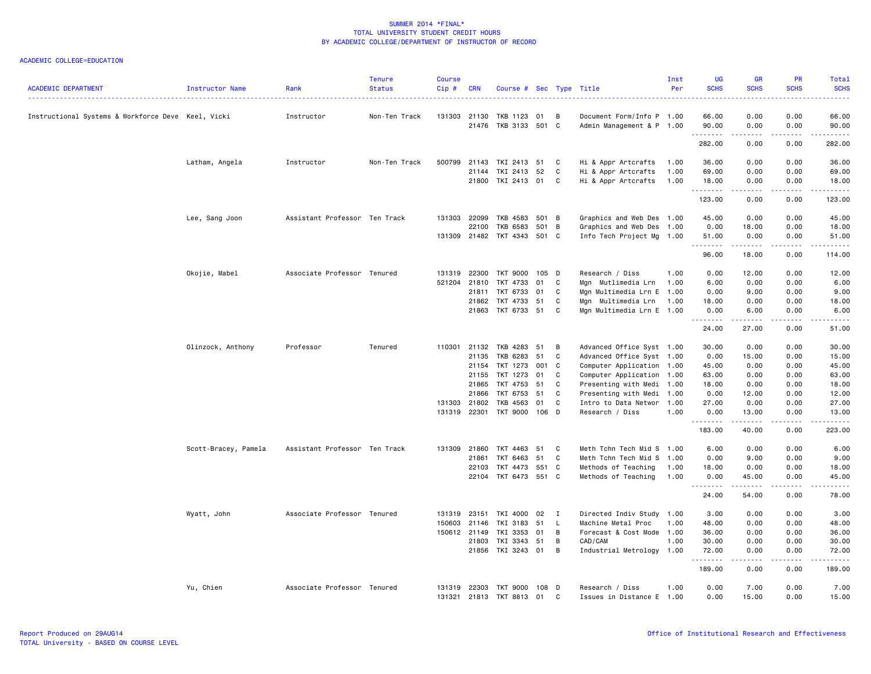| <b>ACADEMIC DEPARTMENT</b>                         | Instructor Name      | Rank                          | <b>Tenure</b><br><b>Status</b> | <b>Course</b><br>Cip# | CRN                   | Course # Sec Type Title |             |              |                                              | Inst<br>Per | UG<br><b>SCHS</b><br>. | <b>GR</b><br><b>SCHS</b> | <b>PR</b><br><b>SCHS</b>     | <b>Total</b><br><b>SCHS</b><br>$\frac{1}{2} \left( \frac{1}{2} \right) \left( \frac{1}{2} \right) \left( \frac{1}{2} \right) \left( \frac{1}{2} \right) \left( \frac{1}{2} \right)$ |
|----------------------------------------------------|----------------------|-------------------------------|--------------------------------|-----------------------|-----------------------|-------------------------|-------------|--------------|----------------------------------------------|-------------|------------------------|--------------------------|------------------------------|-------------------------------------------------------------------------------------------------------------------------------------------------------------------------------------|
| Instructional Systems & Workforce Deve Keel, Vicki |                      | Instructor                    | Non-Ten Track                  | 131303                | 21130                 | TKB 1123                | 01          | B            | Document Form/Info P 1.00                    |             | 66.00                  | 0.00                     | 0.00                         | 66.00                                                                                                                                                                               |
|                                                    |                      |                               |                                |                       | 21476                 | TKB 3133 501 C          |             |              | Admin Management & P 1.00                    |             | 90.00<br>.             | 0.00<br>-----            | 0.00<br>.                    | 90.00<br>.                                                                                                                                                                          |
|                                                    |                      |                               |                                |                       |                       |                         |             |              |                                              |             | 282.00                 | 0.00                     | 0.00                         | 282.00                                                                                                                                                                              |
|                                                    | Latham, Angela       | Instructor                    | Non-Ten Track                  | 500799                | 21143                 | TKI 2413                | 51          | C            | Hi & Appr Artcrafts                          | 1.00        | 36.00                  | 0.00                     | 0.00                         | 36.00                                                                                                                                                                               |
|                                                    |                      |                               |                                |                       | 21144                 | TKI 2413 52             |             | C            | Hi & Appr Artcrafts                          | 1.00        | 69.00                  | 0.00                     | 0.00                         | 69.00                                                                                                                                                                               |
|                                                    |                      |                               |                                |                       | 21800                 | TKI 2413 01 C           |             |              | Hi & Appr Artcrafts                          | 1.00        | 18.00                  | 0.00                     | 0.00                         | 18.00                                                                                                                                                                               |
|                                                    |                      |                               |                                |                       |                       |                         |             |              |                                              |             | .<br>123.00            | د د د د<br>0.00          | $\sim$ $\sim$ $\sim$<br>0.00 | .<br>123.00                                                                                                                                                                         |
|                                                    | Lee, Sang Joon       | Assistant Professor Ten Track |                                | 131303                | 22099                 | TKB 4583                | 501 B       |              | Graphics and Web Des 1.00                    |             | 45.00                  | 0.00                     | 0.00                         | 45.00                                                                                                                                                                               |
|                                                    |                      |                               |                                |                       | 22100                 | TKB 6583                | 501         | B            | Graphics and Web Des 1.00                    |             | 0.00                   | 18.00                    | 0.00                         | 18.00                                                                                                                                                                               |
|                                                    |                      |                               |                                | 131309                |                       | 21482 TKT 4343 501 C    |             |              | Info Tech Project Mg 1.00                    |             | 51.00<br>.             | 0.00<br><u>.</u>         | 0.00<br>.                    | 51.00<br><u>.</u>                                                                                                                                                                   |
|                                                    |                      |                               |                                |                       |                       |                         |             |              |                                              |             | 96.00                  | 18.00                    | 0.00                         | 114.00                                                                                                                                                                              |
|                                                    | Okojie, Mabel        | Associate Professor Tenured   |                                | 131319                | 22300                 | TKT 9000                | 105 D       |              | Research / Diss                              | 1.00        | 0.00                   | 12.00                    | 0.00                         | 12.00                                                                                                                                                                               |
|                                                    |                      |                               |                                | 521204                | 21810                 | TKT 4733                | 01          | C            | Mgn Mutlimedia Lrn                           | 1.00        | 6.00                   | 0.00                     | 0.00                         | 6.00                                                                                                                                                                                |
|                                                    |                      |                               |                                |                       | 21811                 | TKT 6733                | 01          | C            | Mgn Multimedia Lrn E 1.00                    |             | 0.00                   | 9.00                     | 0.00                         | 9.00                                                                                                                                                                                |
|                                                    |                      |                               |                                |                       | 21862                 | TKT 4733                | 51          | C            | Mgn Multimedia Lrn                           | 1.00        | 18.00                  | 0.00                     | 0.00                         | 18.00                                                                                                                                                                               |
|                                                    |                      |                               |                                |                       | 21863                 | TKT 6733                | 51          | C            | Mgn Multimedia Lrn E 1.00                    |             | 0.00<br>.              | 6.00<br>.                | 0.00<br>الأنابات             | 6.00<br>$\frac{1}{2} \left( \frac{1}{2} \right) \left( \frac{1}{2} \right) \left( \frac{1}{2} \right) \left( \frac{1}{2} \right) \left( \frac{1}{2} \right)$                        |
|                                                    |                      |                               |                                |                       |                       |                         |             |              |                                              |             | 24.00                  | 27.00                    | 0.00                         | 51.00                                                                                                                                                                               |
|                                                    | Olinzock, Anthony    | Professor                     | Tenured                        | 110301                | 21132                 | TKB 4283                | 51          | B            | Advanced Office Syst 1.00                    |             | 30.00                  | 0.00                     | 0.00                         | 30.00                                                                                                                                                                               |
|                                                    |                      |                               |                                |                       | 21135                 | TKB 6283                | 51          | C            | Advanced Office Syst 1.00                    |             | 0.00                   | 15.00                    | 0.00                         | 15.00                                                                                                                                                                               |
|                                                    |                      |                               |                                |                       | 21154                 | TKT 1273 001            |             | $\mathbf C$  | Computer Application 1.00                    |             | 45.00                  | 0.00                     | 0.00                         | 45.00                                                                                                                                                                               |
|                                                    |                      |                               |                                |                       | 21155                 | TKT 1273                | 01          | C            | Computer Application 1.00                    |             | 63.00                  | 0.00                     | 0.00                         | 63.00                                                                                                                                                                               |
|                                                    |                      |                               |                                |                       | 21865                 | TKT 4753                | 51          | C            | Presenting with Medi 1.00                    |             | 18.00                  | 0.00                     | 0.00                         | 18.00                                                                                                                                                                               |
|                                                    |                      |                               |                                |                       | 21866                 | TKT 6753                | 51          | C            | Presenting with Medi 1.00                    |             | 0.00                   | 12.00                    | 0.00                         | 12.00                                                                                                                                                                               |
|                                                    |                      |                               |                                | 131303                | 21802                 | TKB 4563                | 01          | C            | Intro to Data Networ 1.00                    |             | 27.00                  | 0.00                     | 0.00                         | 27.00                                                                                                                                                                               |
|                                                    |                      |                               |                                | 131319                | 22301                 | TKT 9000                | 106         | D            | Research / Diss                              | 1.00        | 0.00<br>.              | 13.00<br>.               | 0.00                         | 13.00<br>.                                                                                                                                                                          |
|                                                    |                      |                               |                                |                       |                       |                         |             |              |                                              |             | 183.00                 | 40.00                    | 0.00                         | 223.00                                                                                                                                                                              |
|                                                    | Scott-Bracey, Pamela | Assistant Professor Ten Track |                                | 131309                | 21860                 | TKT 4463                | 51          | C            | Meth Tchn Tech Mid S 1.00                    |             | 6.00                   | 0.00                     | 0.00                         | 6.00                                                                                                                                                                                |
|                                                    |                      |                               |                                |                       | 21861                 | TKT 6463                | 51          | C            | Meth Tchn Tech Mid S 1.00                    |             | 0.00                   | 9.00                     | 0.00                         | 9.00                                                                                                                                                                                |
|                                                    |                      |                               |                                |                       | 22103                 | TKT 4473                | 551         | C.           | Methods of Teaching                          | 1.00        | 18.00                  | 0.00                     | 0.00                         | 18.00                                                                                                                                                                               |
|                                                    |                      |                               |                                |                       |                       | 22104 TKT 6473 551 C    |             |              | Methods of Teaching                          | 1.00        | 0.00<br>.              | 45.00<br>.               | 0.00<br>.                    | 45.00<br>.                                                                                                                                                                          |
|                                                    |                      |                               |                                |                       |                       |                         |             |              |                                              |             | 24.00                  | 54.00                    | 0.00                         | 78.00                                                                                                                                                                               |
|                                                    | Wyatt, John          | Associate Professor Tenured   |                                | 131319                | 23151                 | TKI 4000 02             |             | $\mathbf{I}$ | Directed Indiv Study 1.00                    |             | 3.00                   | 0.00                     | 0.00                         | 3.00                                                                                                                                                                                |
|                                                    |                      |                               |                                | 150603                | 21146                 | TKI 3183                | 51          | <b>L</b>     | Machine Metal Proc                           | 1.00        | 48.00                  | 0.00                     | 0.00                         | 48.00                                                                                                                                                                               |
|                                                    |                      |                               |                                |                       | 150612 21149          | TKI 3353                | 01          | B            | Forecast & Cost Mode 1.00                    |             | 36.00                  | 0.00                     | 0.00                         | 36.00                                                                                                                                                                               |
|                                                    |                      |                               |                                |                       | 21803<br>21856        | TKI 3343<br>TKI 3243 01 | 51          | B<br>B       | CAD/CAM<br>Industrial Metrology 1.00         | 1.00        | 30.00<br>72.00         | 0.00<br>0.00             | 0.00<br>0.00                 | 30.00<br>72.00                                                                                                                                                                      |
|                                                    |                      |                               |                                |                       |                       |                         |             |              |                                              |             | .<br>189.00            | .<br>0.00                | .<br>0.00                    | .<br>189.00                                                                                                                                                                         |
|                                                    |                      |                               |                                |                       |                       |                         |             |              |                                              |             |                        |                          |                              |                                                                                                                                                                                     |
|                                                    | Yu, Chien            | Associate Professor Tenured   |                                | 131321                | 131319 22303<br>21813 | TKT 9000<br>TKT 8813    | 108 D<br>01 | C            | Research / Diss<br>Issues in Distance E 1.00 | 1.00        | 0.00<br>0.00           | 7.00<br>15.00            | 0.00<br>0.00                 | 7.00<br>15.00                                                                                                                                                                       |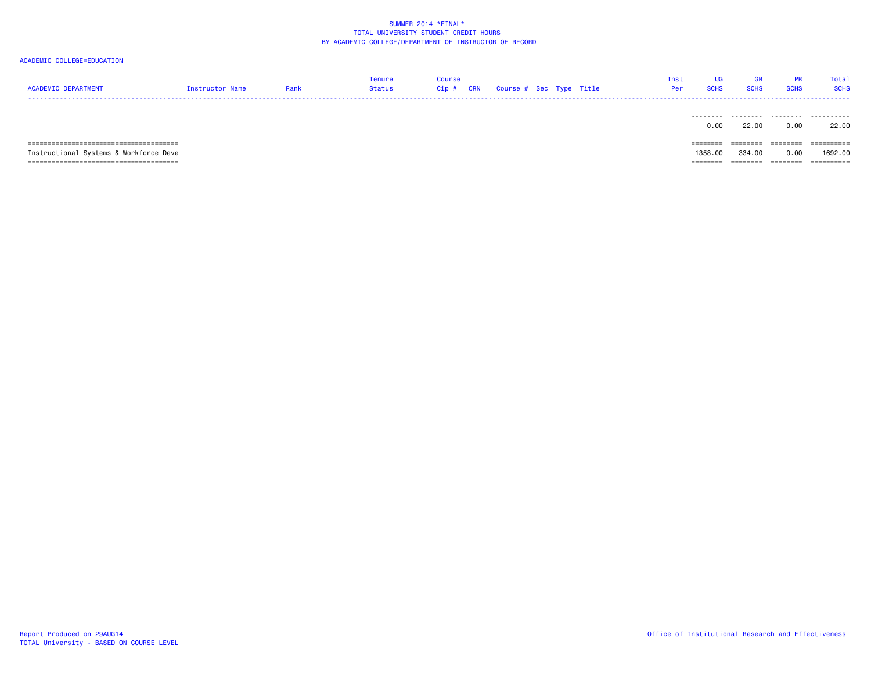|  | Rank | Tenure<br><b>Status</b> | Course<br>$Cip$ # | <b>CRN</b> | Course # Sec Type Title |  | <b>Tnst</b><br>Per | GR. | Total |
|--|------|-------------------------|-------------------|------------|-------------------------|--|--------------------|-----|-------|
|  |      |                         |                   |            |                         |  |                    |     | .     |

|                                        | 0.00           | 22.0 <sup>o</sup> | 0.00     | 22.00                  |
|----------------------------------------|----------------|-------------------|----------|------------------------|
|                                        |                |                   |          |                        |
| ,,,,,,,,,,,,,,,,,,,,,,,,,,,,,,,,,,,    |                |                   |          |                        |
| Instructional Systems & Workforce Deve |                |                   |          |                        |
|                                        | 1358,00        | 334,00            | 0.00     | 1692.00                |
|                                        | _____<br>----- | _______           | -------- | __________<br>-------- |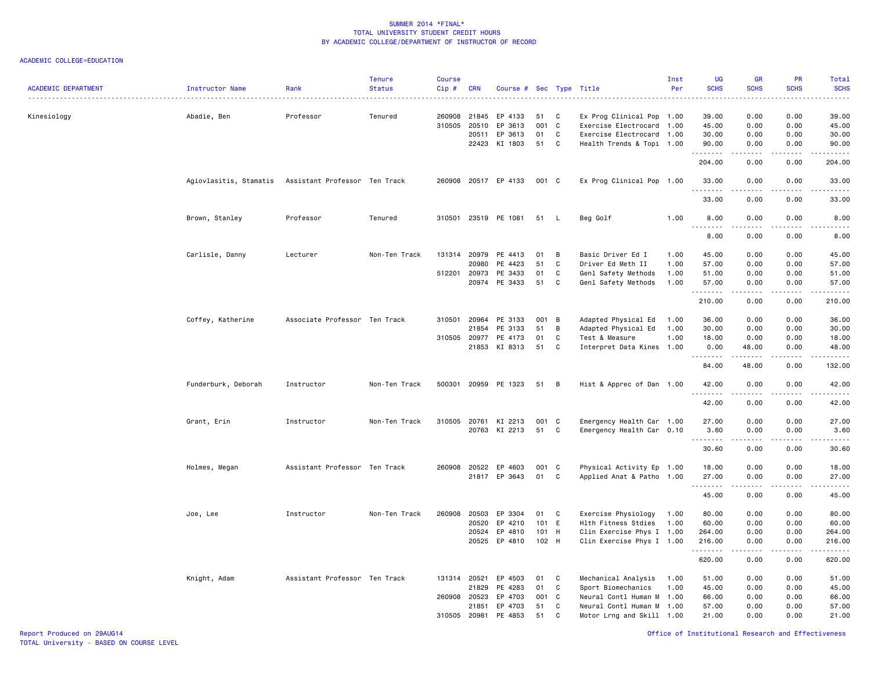| <b>ACADEMIC DEPARTMENT</b> | Instructor Name        | Rank                          | <b>Tenure</b><br><b>Status</b> | <b>Course</b><br>Cip# | <b>CRN</b>              | Course # Sec Type Title       |                 |             |                                                                                     | Inst<br>Per | UG<br><b>SCHS</b>                   | GR<br><b>SCHS</b>     | <b>PR</b><br><b>SCHS</b> | Total<br><b>SCHS</b><br>---- |
|----------------------------|------------------------|-------------------------------|--------------------------------|-----------------------|-------------------------|-------------------------------|-----------------|-------------|-------------------------------------------------------------------------------------|-------------|-------------------------------------|-----------------------|--------------------------|------------------------------|
| Kinesiology                | Abadie, Ben            | Professor                     | Tenured                        | 260908<br>310505      | 21845<br>20510<br>20511 | EP 4133<br>EP 3613<br>EP 3613 | 51<br>001<br>01 | C<br>C<br>C | Ex Prog Clinical Pop 1.00<br>Exercise Electrocard 1.00<br>Exercise Electrocard 1.00 |             | 39.00<br>45.00<br>30.00             | 0.00<br>0.00<br>0.00  | 0.00<br>0.00<br>0.00     | 39.00<br>45.00<br>30.00      |
|                            |                        |                               |                                |                       | 22423                   | KI 1803                       | 51              | C           | Health Trends & Topi 1.00                                                           |             | 90.00<br>.                          | 0.00<br>الداعات       | 0.00<br>.                | 90.00<br>.                   |
|                            |                        |                               |                                |                       |                         |                               |                 |             |                                                                                     |             | 204.00                              | 0.00                  | 0.00                     | 204.00                       |
|                            | Agiovlasitis, Stamatis | Assistant Professor Ten Track |                                |                       |                         | 260908 20517 EP 4133          | 001 C           |             | Ex Prog Clinical Pop 1.00                                                           |             | 33.00<br><b></b>                    | 0.00<br>$\frac{1}{2}$ | 0.00<br>.                | 33.00<br>.                   |
|                            |                        |                               |                                |                       |                         |                               |                 |             |                                                                                     |             | 33.00                               | 0.00                  | 0.00                     | 33.00                        |
|                            | Brown, Stanley         | Professor                     | Tenured                        | 310501                |                         | 23519 PE 1081                 | 51              | - L         | Beg Golf                                                                            | 1.00        | 8.00<br>$\sim$ $\sim$ $\sim$ $\sim$ | 0.00<br>$- - - -$     | 0.00                     | 8.00                         |
|                            |                        |                               |                                |                       |                         |                               |                 |             |                                                                                     |             | 8.00                                | 0.00                  | 0.00                     | 8.00                         |
|                            | Carlisle, Danny        | Lecturer                      | Non-Ten Track                  | 131314                | 20979                   | PE 4413                       | 01              | B           | Basic Driver Ed I                                                                   | 1.00        | 45.00                               | 0.00                  | 0.00                     | 45.00                        |
|                            |                        |                               |                                |                       | 20980                   | PE 4423                       | 51              | C           | Driver Ed Meth II                                                                   | 1.00        | 57.00                               | 0.00                  | 0.00                     | 57.00                        |
|                            |                        |                               |                                | 512201 20973          |                         | PE 3433                       | 01              | C           | Genl Safety Methods                                                                 | 1.00        | 51.00                               | 0.00                  | 0.00                     | 51.00                        |
|                            |                        |                               |                                |                       | 20974                   | PE 3433                       | 51              | C           | Genl Safety Methods                                                                 | 1.00        | 57.00                               | 0.00                  | 0.00                     | 57.00                        |
|                            |                        |                               |                                |                       |                         |                               |                 |             |                                                                                     |             | .<br>210.00                         | .<br>0.00             | 22222<br>0.00            | <u>.</u><br>210.00           |
|                            | Coffey, Katherine      | Associate Professor Ten Track |                                | 310501                | 20964                   | PE 3133                       | 001 B           |             | Adapted Physical Ed                                                                 | 1.00        | 36.00                               | 0.00                  | 0.00                     | 36.00                        |
|                            |                        |                               |                                |                       | 21854                   | PE 3133                       | 51              | B           |                                                                                     | 1.00        | 30.00                               | 0.00                  | 0.00                     | 30.00                        |
|                            |                        |                               |                                |                       |                         |                               |                 |             | Adapted Physical Ed                                                                 |             |                                     |                       |                          |                              |
|                            |                        |                               |                                | 310505 20977          |                         | PE 4173                       | 01              | C           | Test & Measure                                                                      | 1.00        | 18.00                               | 0.00                  | 0.00                     | 18.00                        |
|                            |                        |                               |                                |                       |                         | 21853 KI 8313                 | 51              | C           | Interpret Data Kines 1.00                                                           |             | 0.00                                | 48.00                 | 0.00                     | 48.00                        |
|                            |                        |                               |                                |                       |                         |                               |                 |             |                                                                                     |             | .<br>84.00                          | .<br>48.00            | .<br>0.00                | -----<br>132.00              |
|                            | Funderburk, Deborah    | Instructor                    | Non-Ten Track                  |                       |                         | 500301 20959 PE 1323          | 51 B            |             | Hist & Apprec of Dan 1.00                                                           |             | 42.00<br><u>.</u>                   | 0.00<br>.             | 0.00<br>.                | 42.00<br>.                   |
|                            |                        |                               |                                |                       |                         |                               |                 |             |                                                                                     |             | 42.00                               | 0.00                  | 0.00                     | 42.00                        |
|                            | Grant, Erin            | Instructor                    | Non-Ten Track                  |                       |                         | 310505 20761 KI 2213          | 001 C           |             | Emergency Health Car 1.00                                                           |             | 27.00                               | 0.00                  | 0.00                     | 27.00                        |
|                            |                        |                               |                                |                       |                         | 20763 KI 2213                 | 51              | C           | Emergency Health Car 0.10                                                           |             | 3.60                                | 0.00                  | 0.00                     | 3.60                         |
|                            |                        |                               |                                |                       |                         |                               |                 |             |                                                                                     |             | <u>.</u>                            | $\frac{1}{2}$         | .                        | .                            |
|                            |                        |                               |                                |                       |                         |                               |                 |             |                                                                                     |             | 30.60                               | 0.00                  | 0.00                     | 30.60                        |
|                            | Holmes, Megan          | Assistant Professor Ten Track |                                | 260908                |                         | 20522 EP 4603                 | 001 C           |             | Physical Activity Ep 1.00                                                           |             | 18.00                               | 0.00                  | 0.00                     | 18.00                        |
|                            |                        |                               |                                |                       |                         | 21817 EP 3643                 | 01              | C           | Applied Anat & Patho 1.00                                                           |             | 27.00                               | 0.00                  | 0.00                     | 27.00                        |
|                            |                        |                               |                                |                       |                         |                               |                 |             |                                                                                     |             | .<br>45.00                          | 0.00                  | 0.00                     | 45.00                        |
|                            | Joe, Lee               | Instructor                    | Non-Ten Track                  | 260908                | 20503                   | EP 3304                       | 01              | C           | Exercise Physiology                                                                 | 1.00        | 80.00                               | 0.00                  | 0.00                     | 80.00                        |
|                            |                        |                               |                                |                       | 20520                   | EP 4210                       | 101 E           |             | Hlth Fitness Stdies                                                                 | 1.00        | 60.00                               | 0.00                  | 0.00                     | 60.00                        |
|                            |                        |                               |                                |                       | 20524                   | EP 4810                       | 101 H           |             | Clin Exercise Phys I 1.00                                                           |             | 264.00                              | 0.00                  | 0.00                     | 264.00                       |
|                            |                        |                               |                                |                       | 20525                   | EP 4810                       | 102 H           |             | Clin Exercise Phys I 1.00                                                           |             | 216.00                              | 0.00                  | 0.00                     | 216.00                       |
|                            |                        |                               |                                |                       |                         |                               |                 |             |                                                                                     |             | .                                   |                       |                          |                              |
|                            |                        |                               |                                |                       |                         |                               |                 |             |                                                                                     |             | 620.00                              | 0.00                  | 0.00                     | 620.00                       |
|                            | Knight, Adam           | Assistant Professor Ten Track |                                | 131314 20521          |                         | EP 4503                       | 01              | C           | Mechanical Analysis                                                                 | 1.00        | 51.00                               | 0.00                  | 0.00                     | 51.00                        |
|                            |                        |                               |                                |                       | 21829                   | PE 4283                       | 01              | C           | Sport Biomechanics                                                                  | 1.00        | 45.00                               | 0.00                  | 0.00                     | 45.00                        |
|                            |                        |                               |                                | 260908 20523          |                         | EP 4703                       | 001             | C           | Neural Contl Human M 1.00                                                           |             | 66.00                               | 0.00                  | 0.00                     | 66.00                        |
|                            |                        |                               |                                |                       | 21851                   | EP 4703                       | 51              | C           | Neural Contl Human M 1.00                                                           |             | 57.00                               | 0.00                  | 0.00                     | 57.00                        |
|                            |                        |                               |                                | 310505                | 20981                   | PE 4853                       | 51              | C           | Motor Lrng and Skill 1.00                                                           |             | 21.00                               | 0.00                  | 0.00                     | 21.00                        |
|                            |                        |                               |                                |                       |                         |                               |                 |             |                                                                                     |             |                                     |                       |                          |                              |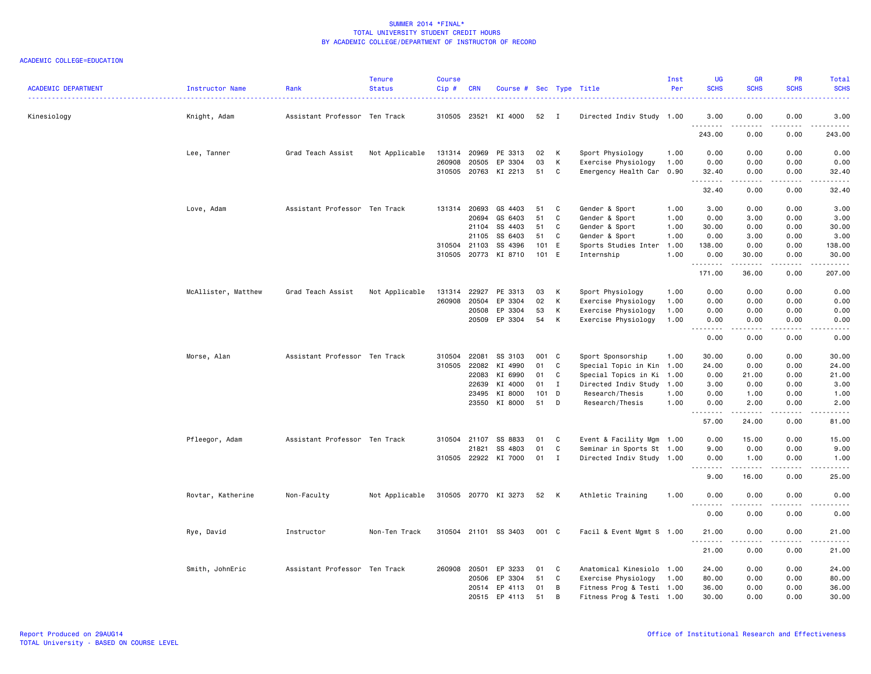| <b>ACADEMIC DEPARTMENT</b> | Instructor Name     | Rank                          | <b>Tenure</b><br><b>Status</b> | <b>Course</b><br>Cip # | <b>CRN</b>   | Course # Sec Type Title |       |                |                           | Inst<br>Per | <b>UG</b><br><b>SCHS</b> | <b>GR</b><br><b>SCHS</b>                                                                                                                                     | PR<br><b>SCHS</b>                   | <b>Total</b><br><b>SCHS</b><br>$\frac{1}{2} \left( \frac{1}{2} \right) \left( \frac{1}{2} \right) \left( \frac{1}{2} \right) \left( \frac{1}{2} \right)$ |
|----------------------------|---------------------|-------------------------------|--------------------------------|------------------------|--------------|-------------------------|-------|----------------|---------------------------|-------------|--------------------------|--------------------------------------------------------------------------------------------------------------------------------------------------------------|-------------------------------------|----------------------------------------------------------------------------------------------------------------------------------------------------------|
| Kinesiology                | Knight, Adam        | Assistant Professor Ten Track |                                | 310505 23521           |              | KI 4000                 | 52    | $\blacksquare$ | Directed Indiv Study 1.00 |             | 3.00<br>.                | 0.00<br>$\frac{1}{2} \left( \frac{1}{2} \right) \left( \frac{1}{2} \right) \left( \frac{1}{2} \right) \left( \frac{1}{2} \right) \left( \frac{1}{2} \right)$ | 0.00<br>$\sim$ $\sim$ $\sim$ $\sim$ | 3.00<br>.                                                                                                                                                |
|                            |                     |                               |                                |                        |              |                         |       |                |                           |             | 243.00                   | 0.00                                                                                                                                                         | 0.00                                | 243.00                                                                                                                                                   |
|                            | Lee, Tanner         | Grad Teach Assist             | Not Applicable                 |                        | 131314 20969 | PE 3313                 | 02    | K              | Sport Physiology          | 1.00        | 0.00                     | 0.00                                                                                                                                                         | 0.00                                | 0.00                                                                                                                                                     |
|                            |                     |                               |                                | 260908                 | 20505        | EP 3304                 | 03    | К              | Exercise Physiology       | 1.00        | 0.00                     | 0.00                                                                                                                                                         | 0.00                                | 0.00                                                                                                                                                     |
|                            |                     |                               |                                |                        | 310505 20763 | KI 2213                 | 51    | C              | Emergency Health Car 0.90 |             | 32.40<br>1.1.1.1.1.1.1   | 0.00<br>.                                                                                                                                                    | 0.00<br>.                           | 32.40<br>.                                                                                                                                               |
|                            |                     |                               |                                |                        |              |                         |       |                |                           |             | 32.40                    | 0.00                                                                                                                                                         | 0.00                                | 32.40                                                                                                                                                    |
|                            | Love, Adam          | Assistant Professor Ten Track |                                |                        | 131314 20693 | GS 4403                 | 51    | C              | Gender & Sport            | 1.00        | 3.00                     | 0.00                                                                                                                                                         | 0.00                                | 3.00                                                                                                                                                     |
|                            |                     |                               |                                |                        | 20694        | GS 6403                 | 51    | C              | Gender & Sport            | 1.00        | 0.00                     | 3.00                                                                                                                                                         | 0.00                                | 3.00                                                                                                                                                     |
|                            |                     |                               |                                |                        | 21104        | SS 4403                 | 51    | C              | Gender & Sport            | 1.00        | 30.00                    | 0.00                                                                                                                                                         | 0.00                                | 30.00                                                                                                                                                    |
|                            |                     |                               |                                |                        | 21105        | SS 6403                 | 51    | C              | Gender & Sport            | 1.00        | 0.00                     | 3.00                                                                                                                                                         | 0.00                                | 3.00                                                                                                                                                     |
|                            |                     |                               |                                |                        | 310504 21103 | SS 4396                 | 101 E |                | Sports Studies Inter      | 1.00        | 138.00                   | 0.00                                                                                                                                                         | 0.00                                | 138.00                                                                                                                                                   |
|                            |                     |                               |                                | 310505 20773           |              | KI 8710                 | 101 E |                | Internship                | 1.00        | 0.00<br>.                | 30.00<br>.                                                                                                                                                   | 0.00<br>.                           | 30.00<br>$- - - - - -$                                                                                                                                   |
|                            |                     |                               |                                |                        |              |                         |       |                |                           |             | 171.00                   | 36.00                                                                                                                                                        | 0.00                                | 207.00                                                                                                                                                   |
|                            | McAllister, Matthew | Grad Teach Assist             | Not Applicable                 | 131314                 | 22927        | PE 3313                 | 03    | K              | Sport Physiology          | 1.00        | 0.00                     | 0.00                                                                                                                                                         | 0.00                                | 0.00                                                                                                                                                     |
|                            |                     |                               |                                | 260908                 | 20504        | EP 3304                 | 02    | K              | Exercise Physiology       | 1.00        | 0.00                     | 0.00                                                                                                                                                         | 0.00                                | 0.00                                                                                                                                                     |
|                            |                     |                               |                                |                        | 20508        | EP 3304                 | 53    | К              | Exercise Physiology       | 1.00        | 0.00                     | 0.00                                                                                                                                                         | 0.00                                | 0.00                                                                                                                                                     |
|                            |                     |                               |                                |                        | 20509        | EP 3304                 | 54    | K              | Exercise Physiology       | 1.00        | 0.00                     | 0.00                                                                                                                                                         | 0.00<br>.                           | 0.00<br>$\frac{1}{2}$                                                                                                                                    |
|                            |                     |                               |                                |                        |              |                         |       |                |                           |             | .<br>0.00                | .<br>0.00                                                                                                                                                    | 0.00                                | 0.00                                                                                                                                                     |
|                            | Morse, Alan         | Assistant Professor Ten Track |                                | 310504                 | 22081        | SS 3103                 | 001 C |                | Sport Sponsorship         | 1.00        | 30.00                    | 0.00                                                                                                                                                         | 0.00                                | 30.00                                                                                                                                                    |
|                            |                     |                               |                                |                        | 310505 22082 | KI 4990                 | 01    | C              | Special Topic in Kin 1.00 |             | 24.00                    | 0.00                                                                                                                                                         | 0.00                                | 24.00                                                                                                                                                    |
|                            |                     |                               |                                |                        | 22083        | KI 6990                 | 01    | C              | Special Topics in Ki 1.00 |             | 0.00                     | 21.00                                                                                                                                                        | 0.00                                | 21.00                                                                                                                                                    |
|                            |                     |                               |                                |                        | 22639        | KI 4000                 | 01    | $\mathbf I$    | Directed Indiv Study 1.00 |             | 3.00                     | 0.00                                                                                                                                                         | 0.00                                | 3.00                                                                                                                                                     |
|                            |                     |                               |                                |                        | 23495        | KI 8000                 | 101   | D              | Research/Thesis           | 1.00        | 0.00                     | 1.00                                                                                                                                                         | 0.00                                | 1.00                                                                                                                                                     |
|                            |                     |                               |                                |                        | 23550        | KI 8000                 | 51    | D              | Research/Thesis           | 1.00        | 0.00<br>.                | 2.00<br>.                                                                                                                                                    | 0.00<br>.                           | 2.00<br>.                                                                                                                                                |
|                            |                     |                               |                                |                        |              |                         |       |                |                           |             | 57.00                    | 24.00                                                                                                                                                        | 0.00                                | 81.00                                                                                                                                                    |
|                            | Pfleegor, Adam      | Assistant Professor Ten Track |                                | 310504 21107           |              | SS 8833                 | 01    | C              | Event & Facility Mgm 1.00 |             | 0.00                     | 15.00                                                                                                                                                        | 0.00                                | 15.00                                                                                                                                                    |
|                            |                     |                               |                                |                        | 21821        | SS 4803                 | 01    | C              | Seminar in Sports St 1.00 |             | 9.00                     | 0.00                                                                                                                                                         | 0.00                                | 9.00                                                                                                                                                     |
|                            |                     |                               |                                |                        |              | 310505 22922 KI 7000    | 01    | $\mathbf{I}$   | Directed Indiv Study 1.00 |             | 0.00                     | 1.00                                                                                                                                                         | 0.00                                | 1.00                                                                                                                                                     |
|                            |                     |                               |                                |                        |              |                         |       |                |                           |             | .<br>9.00                | .<br>16.00                                                                                                                                                   | .<br>0.00                           | .<br>25.00                                                                                                                                               |
|                            | Rovtar, Katherine   | Non-Faculty                   | Not Applicable                 |                        |              | 310505 20770 KI 3273    | 52    | K              | Athletic Training         | 1.00        | 0.00                     | 0.00                                                                                                                                                         | 0.00                                | 0.00                                                                                                                                                     |
|                            |                     |                               |                                |                        |              |                         |       |                |                           |             | <u>.</u><br>0.00         | .<br>0.00                                                                                                                                                    | $\frac{1}{2}$<br>0.00               | <u>.</u><br>0.00                                                                                                                                         |
|                            | Rye, David          | Instructor                    | Non-Ten Track                  |                        |              | 310504 21101 SS 3403    | 001 C |                | Facil & Event Mgmt S 1.00 |             | 21.00<br>.               | 0.00                                                                                                                                                         | 0.00<br>$   -$                      | 21.00<br>.                                                                                                                                               |
|                            |                     |                               |                                |                        |              |                         |       |                |                           |             | 21.00                    | 0.00                                                                                                                                                         | 0.00                                | 21.00                                                                                                                                                    |
|                            | Smith, JohnEric     | Assistant Professor Ten Track |                                | 260908                 | 20501        | EP 3233                 | 01    | C              | Anatomical Kinesiolo 1.00 |             | 24.00                    | 0.00                                                                                                                                                         | 0.00                                | 24.00                                                                                                                                                    |
|                            |                     |                               |                                |                        | 20506        | EP 3304                 | 51    | C              | Exercise Physiology       | 1.00        | 80.00                    | 0.00                                                                                                                                                         | 0.00                                | 80.00                                                                                                                                                    |
|                            |                     |                               |                                |                        | 20514        | EP 4113                 | 01    | В              | Fitness Prog & Testi 1.00 |             | 36.00                    | 0.00                                                                                                                                                         | 0.00                                | 36.00                                                                                                                                                    |
|                            |                     |                               |                                |                        | 20515        | EP 4113                 | 51    | B              | Fitness Prog & Testi 1.00 |             | 30.00                    | 0.00                                                                                                                                                         | 0.00                                | 30.00                                                                                                                                                    |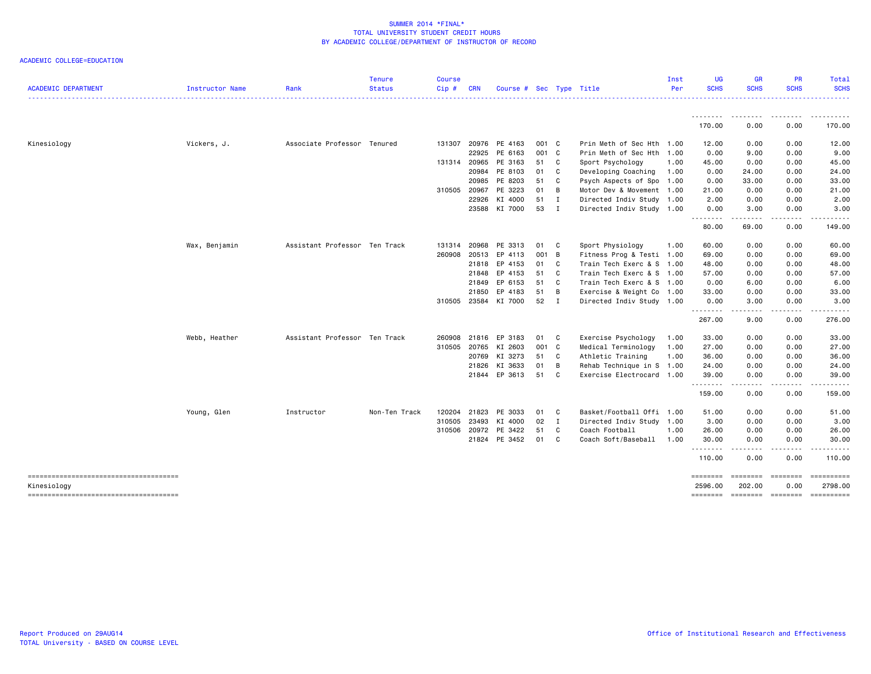| <b>ACADEMIC DEPARTMENT</b>             | Instructor Name | Rank                          | <b>Tenure</b><br><b>Status</b> | <b>Course</b><br>Cip# | <b>CRN</b> | Course # Sec Type Title |       |              |                           | Inst<br>Per | <b>UG</b><br><b>SCHS</b>   | <b>GR</b><br><b>SCHS</b> | PR<br><b>SCHS</b>                                                                                                                 | Total<br><b>SCHS</b>                                                                                                                                           |
|----------------------------------------|-----------------|-------------------------------|--------------------------------|-----------------------|------------|-------------------------|-------|--------------|---------------------------|-------------|----------------------------|--------------------------|-----------------------------------------------------------------------------------------------------------------------------------|----------------------------------------------------------------------------------------------------------------------------------------------------------------|
|                                        |                 |                               |                                |                       |            |                         |       |              |                           |             |                            |                          |                                                                                                                                   |                                                                                                                                                                |
|                                        |                 |                               |                                |                       |            |                         |       |              |                           |             | 170.00                     | 0.00                     | 0.00                                                                                                                              | 170.00                                                                                                                                                         |
| Kinesiology                            | Vickers, J.     | Associate Professor Tenured   |                                | 131307                | 20976      | PE 4163                 | 001 C |              | Prin Meth of Sec Hth 1.00 |             | 12.00                      | 0.00                     | 0.00                                                                                                                              | 12.00                                                                                                                                                          |
|                                        |                 |                               |                                |                       | 22925      | PE 6163                 | 001 C |              | Prin Meth of Sec Hth 1.00 |             | 0.00                       | 9.00                     | 0.00                                                                                                                              | 9.00                                                                                                                                                           |
|                                        |                 |                               |                                | 131314 20965          |            | PE 3163                 | 51    | C            | Sport Psychology          | 1.00        | 45.00                      | 0.00                     | 0.00                                                                                                                              | 45.00                                                                                                                                                          |
|                                        |                 |                               |                                |                       | 20984      | PE 8103                 | 01    | C            | Developing Coaching       | 1.00        | 0.00                       | 24.00                    | 0.00                                                                                                                              | 24.00                                                                                                                                                          |
|                                        |                 |                               |                                |                       | 20985      | PE 8203                 | 51    | C            | Psych Aspects of Spo 1.00 |             | 0.00                       | 33.00                    | 0.00                                                                                                                              | 33.00                                                                                                                                                          |
|                                        |                 |                               |                                | 310505 20967          |            | PE 3223                 | 01    | B            | Motor Dev & Movement 1.00 |             | 21.00                      | 0.00                     | 0.00                                                                                                                              | 21.00                                                                                                                                                          |
|                                        |                 |                               |                                |                       | 22926      | KI 4000                 | 51    | $\mathbf I$  | Directed Indiv Study 1.00 |             | 2.00                       | 0.00                     | 0.00                                                                                                                              | 2.00                                                                                                                                                           |
|                                        |                 |                               |                                |                       |            | 23588 KI 7000           | 53    | $\mathbf{I}$ | Directed Indiv Study 1.00 |             | 0.00                       | 3.00                     | 0.00                                                                                                                              | 3.00                                                                                                                                                           |
|                                        |                 |                               |                                |                       |            |                         |       |              |                           |             | 80.00                      | -----<br>69.00           | $\sim$ $\sim$ $\sim$ $\sim$<br>0.00                                                                                               | ------<br>149.00                                                                                                                                               |
|                                        | Wax, Benjamin   | Assistant Professor Ten Track |                                | 131314                | 20968      | PE 3313                 | 01    | C.           | Sport Physiology          | 1.00        | 60.00                      | 0.00                     | 0.00                                                                                                                              | 60.00                                                                                                                                                          |
|                                        |                 |                               |                                | 260908                | 20513      | EP 4113                 | 001 B |              | Fitness Prog & Testi 1.00 |             | 69.00                      | 0.00                     | 0.00                                                                                                                              | 69.00                                                                                                                                                          |
|                                        |                 |                               |                                |                       | 21818      | EP 4153                 | 01    | C.           | Train Tech Exerc & S 1.00 |             | 48.00                      | 0.00                     | 0.00                                                                                                                              | 48.00                                                                                                                                                          |
|                                        |                 |                               |                                |                       | 21848      | EP 4153                 | 51    | <b>C</b>     | Train Tech Exerc & S 1.00 |             | 57.00                      | 0.00                     | 0.00                                                                                                                              | 57.00                                                                                                                                                          |
|                                        |                 |                               |                                |                       | 21849      | EP 6153                 | 51    | C            | Train Tech Exerc & S 1.00 |             | 0.00                       | 6.00                     | 0.00                                                                                                                              | 6.00                                                                                                                                                           |
|                                        |                 |                               |                                |                       | 21850      | EP 4183                 | 51    | B            | Exercise & Weight Co 1.00 |             | 33.00                      | 0.00                     | 0.00                                                                                                                              | 33.00                                                                                                                                                          |
|                                        |                 |                               |                                |                       |            | 310505 23584 KI 7000    | 52    | $\mathbf{I}$ | Directed Indiv Study 1.00 |             | 0.00                       | 3.00                     | 0.00                                                                                                                              | 3.00                                                                                                                                                           |
|                                        |                 |                               |                                |                       |            |                         |       |              |                           |             | .<br>267.00                | .<br>9.00                | المتمالين<br>0.00                                                                                                                 | $\begin{array}{cccccccccccccc} \bullet & \bullet & \bullet & \bullet & \bullet & \bullet & \bullet & \bullet \end{array}$<br>276.00                            |
|                                        |                 |                               |                                |                       |            |                         |       |              |                           |             |                            |                          |                                                                                                                                   |                                                                                                                                                                |
|                                        | Webb, Heather   | Assistant Professor Ten Track |                                | 260908                | 21816      | EP 3183                 | 01    | C            | Exercise Psychology       | 1.00        | 33.00                      | 0.00                     | 0.00                                                                                                                              | 33.00                                                                                                                                                          |
|                                        |                 |                               |                                | 310505 20765          |            | KI 2603                 | 001 C |              | Medical Terminology       | 1.00        | 27.00                      | 0.00                     | 0.00                                                                                                                              | 27.00                                                                                                                                                          |
|                                        |                 |                               |                                |                       | 20769      | KI 3273                 | 51    | <b>C</b>     | Athletic Training         | 1.00        | 36.00                      | 0.00                     | 0.00                                                                                                                              | 36.00                                                                                                                                                          |
|                                        |                 |                               |                                |                       | 21826      | KI 3633                 | 01    | B            | Rehab Technique in S 1.00 |             | 24.00                      | 0.00                     | 0.00                                                                                                                              | 24.00                                                                                                                                                          |
|                                        |                 |                               |                                |                       | 21844      | EP 3613                 | 51    | <b>C</b>     | Exercise Electrocard 1.00 |             | 39.00                      | 0.00                     | 0.00                                                                                                                              | 39.00                                                                                                                                                          |
|                                        |                 |                               |                                |                       |            |                         |       |              |                           |             | .<br>159.00                | 0.00                     | $\frac{1}{2} \left( \frac{1}{2} \right) \left( \frac{1}{2} \right) \left( \frac{1}{2} \right) \left( \frac{1}{2} \right)$<br>0.00 | $\frac{1}{2} \left( \frac{1}{2} \right) \left( \frac{1}{2} \right) \left( \frac{1}{2} \right) \left( \frac{1}{2} \right) \left( \frac{1}{2} \right)$<br>159.00 |
|                                        | Young, Glen     | Instructor                    | Non-Ten Track                  | 120204                | 21823      | PE 3033                 | 01    | C            | Basket/Football Offi 1.00 |             | 51.00                      | 0.00                     | 0.00                                                                                                                              | 51.00                                                                                                                                                          |
|                                        |                 |                               |                                | 310505                | 23493      | KI 4000                 | 02    | $\mathbf{I}$ | Directed Indiv Study 1.00 |             | 3.00                       | 0.00                     | 0.00                                                                                                                              | 3.00                                                                                                                                                           |
|                                        |                 |                               |                                | 310506 20972          |            | PE 3422                 | 51    | C            | Coach Football            | 1.00        | 26.00                      | 0.00                     | 0.00                                                                                                                              | 26.00                                                                                                                                                          |
|                                        |                 |                               |                                |                       |            | 21824 PE 3452           | 01    | C            | Coach Soft/Baseball       | 1.00        | 30.00                      | 0.00                     | 0.00                                                                                                                              | 30.00                                                                                                                                                          |
|                                        |                 |                               |                                |                       |            |                         |       |              |                           |             | .<br>110.00                | -----<br>0.00            | .<br>0.00                                                                                                                         | .<br>110.00                                                                                                                                                    |
| -------------------------------------- |                 |                               |                                |                       |            |                         |       |              |                           |             | ========                   | <b>EDEDEDED</b>          | $= 222222222$                                                                                                                     |                                                                                                                                                                |
| Kinesiology                            |                 |                               |                                |                       |            |                         |       |              |                           |             | 2596.00                    | 202.00                   | 0.00                                                                                                                              | 2798.00                                                                                                                                                        |
| -------------------------------------  |                 |                               |                                |                       |            |                         |       |              |                           |             | -------- -------- -------- |                          |                                                                                                                                   | - ==========                                                                                                                                                   |
|                                        |                 |                               |                                |                       |            |                         |       |              |                           |             |                            |                          |                                                                                                                                   |                                                                                                                                                                |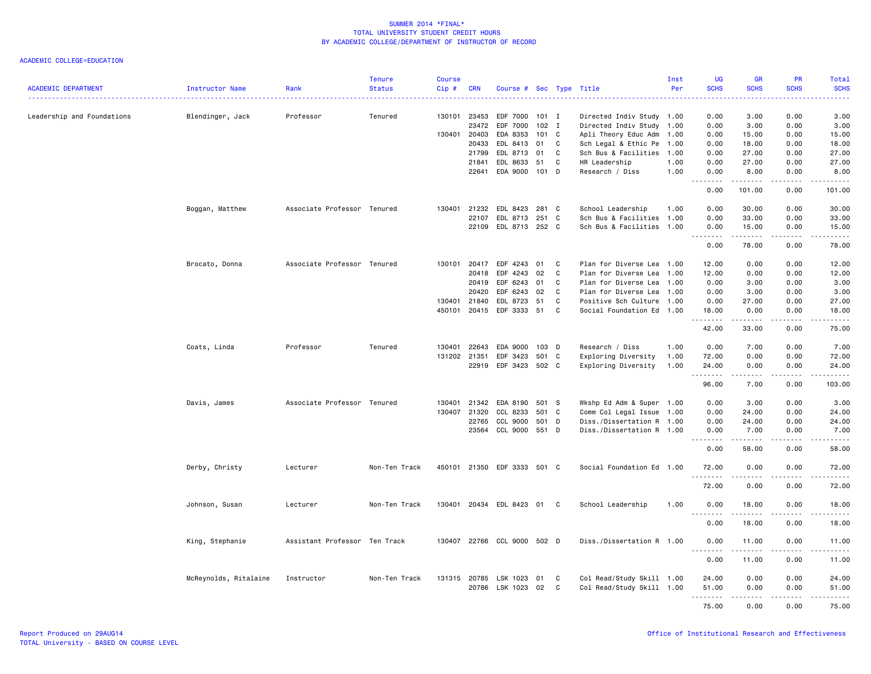| <b>ACADEMIC DEPARTMENT</b> | Instructor Name       | Rank                          | <b>Tenure</b><br><b>Status</b> | Course<br>Cip# | <b>CRN</b>   | Course # Sec Type Title     |         |     |                           | Inst<br>Per | UG<br><b>SCHS</b>                 | <b>GR</b><br><b>SCHS</b> | PR<br><b>SCHS</b>     | <b>Total</b><br><b>SCHS</b> |
|----------------------------|-----------------------|-------------------------------|--------------------------------|----------------|--------------|-----------------------------|---------|-----|---------------------------|-------------|-----------------------------------|--------------------------|-----------------------|-----------------------------|
|                            |                       |                               |                                |                |              |                             |         |     |                           |             |                                   |                          |                       |                             |
| Leadership and Foundations | Blendinger, Jack      | Professor                     | Tenured                        | 130101         | 23453        | EDF 7000                    | $101$ I |     | Directed Indiv Study 1.00 |             | 0.00                              | 3,00                     | 0.00                  | 3.00                        |
|                            |                       |                               |                                |                | 23472        | EDF 7000                    | $102$ I |     | Directed Indiv Study 1.00 |             | 0.00                              | 3.00                     | 0.00                  | 3.00                        |
|                            |                       |                               |                                |                | 130401 20403 | EDA 8353                    | 101 C   |     | Apli Theory Educ Adm 1.00 |             | 0.00                              | 15.00                    | 0.00                  | 15.00                       |
|                            |                       |                               |                                |                | 20433        | EDL 8413                    | 01      | C   | Sch Legal & Ethic Pe 1.00 |             | 0.00                              | 18.00                    | 0.00                  | 18.00                       |
|                            |                       |                               |                                |                | 21799        | EDL 8713                    | 01      | C   | Sch Bus & Facilities 1.00 |             | 0.00                              | 27.00                    | 0.00                  | 27.00                       |
|                            |                       |                               |                                |                | 21841        | EDL 8633                    | 51      | C   | HR Leadership             | 1.00        | 0.00                              | 27.00                    | 0.00                  | 27.00                       |
|                            |                       |                               |                                |                | 22641        | EDA 9000 101 D              |         |     | Research / Diss           | 1.00        | 0.00<br>.<br>$\sim$ $\sim$ $\sim$ | 8.00<br>.                | 0.00<br>.             | 8.00<br>.                   |
|                            |                       |                               |                                |                |              |                             |         |     |                           |             | 0.00                              | 101.00                   | 0.00                  | 101.00                      |
|                            | Boggan, Matthew       | Associate Professor Tenured   |                                | 130401         | 21232        | EDL 8423                    | 281 C   |     | School Leadership         | 1.00        | 0.00                              | 30.00                    | 0.00                  | 30.00                       |
|                            |                       |                               |                                |                | 22107        | EDL 8713                    | 251 C   |     | Sch Bus & Facilities 1.00 |             | 0.00                              | 33.00                    | 0.00                  | 33.00                       |
|                            |                       |                               |                                |                | 22109        | EDL 8713 252 C              |         |     | Sch Bus & Facilities 1.00 |             | 0.00<br>.                         | 15.00<br>------          | 0.00<br>.             | 15.00<br>.                  |
|                            |                       |                               |                                |                |              |                             |         |     |                           |             | 0.00                              | 78.00                    | 0.00                  | 78.00                       |
|                            | Brocato, Donna        | Associate Professor Tenured   |                                | 130101         | 20417        | EDF 4243                    | 01      | C   | Plan for Diverse Lea 1.00 |             | 12.00                             | 0.00                     | 0.00                  | 12.00                       |
|                            |                       |                               |                                |                | 20418        | EDF 4243                    | 02      | C   | Plan for Diverse Lea 1.00 |             | 12.00                             | 0.00                     | 0.00                  | 12.00                       |
|                            |                       |                               |                                |                | 20419        | EDF 6243                    | 01      | C   | Plan for Diverse Lea 1.00 |             | 0.00                              | 3.00                     | 0.00                  | 3.00                        |
|                            |                       |                               |                                |                | 20420        | EDF 6243                    | 02      | C   | Plan for Diverse Lea 1.00 |             | 0.00                              | 3.00                     | 0.00                  | 3.00                        |
|                            |                       |                               |                                |                | 130401 21840 | EDL 8723                    | 51      | C   | Positive Sch Culture 1.00 |             | 0.00                              | 27.00                    | 0.00                  | 27.00                       |
|                            |                       |                               |                                |                | 450101 20415 | EDF 3333                    | 51      | C   | Social Foundation Ed 1.00 |             | 18.00<br>.                        | 0.00<br>.                | 0.00<br>.             | 18.00<br>.                  |
|                            |                       |                               |                                |                |              |                             |         |     |                           |             | 42.00                             | 33.00                    | 0.00                  | 75.00                       |
|                            | Coats, Linda          | Professor                     | Tenured                        | 130401         | 22643        | EDA 9000                    | 103 D   |     | Research / Diss           | 1.00        | 0.00                              | 7.00                     | 0.00                  | 7.00                        |
|                            |                       |                               |                                | 131202 21351   |              | EDF 3423                    | 501     | C   | Exploring Diversity       | 1.00        | 72.00                             | 0.00                     | 0.00                  | 72.00                       |
|                            |                       |                               |                                |                | 22919        | EDF 3423                    | 502 C   |     | Exploring Diversity       | 1.00        | 24.00<br>.                        | 0.00<br>.                | 0.00<br>.             | 24.00<br>.                  |
|                            |                       |                               |                                |                |              |                             |         |     |                           |             | 96.00                             | 7.00                     | 0.00                  | 103.00                      |
|                            | Davis, James          | Associate Professor Tenured   |                                | 130401         | 21342        | EDA 8190                    | 501     | - S | Wkshp Ed Adm & Super 1.00 |             | 0.00                              | 3.00                     | 0.00                  | 3.00                        |
|                            |                       |                               |                                | 130407         | 21320        | CCL 8233                    | 501 C   |     | Comm Col Legal Issue 1.00 |             | 0.00                              | 24.00                    | 0.00                  | 24.00                       |
|                            |                       |                               |                                |                | 22765        | <b>CCL 9000</b>             | 501 D   |     | Diss./Dissertation R 1.00 |             | 0.00                              | 24.00                    | 0.00                  | 24.00                       |
|                            |                       |                               |                                |                | 23564        | <b>CCL 9000</b>             | 551 D   |     | Diss./Dissertation R 1.00 |             | 0.00<br>.                         | 7.00<br>.                | 0.00<br>.             | 7.00<br>.                   |
|                            |                       |                               |                                |                |              |                             |         |     |                           |             | 0.00                              | 58.00                    | 0.00                  | 58.00                       |
|                            | Derby, Christy        | Lecturer                      | Non-Ten Track                  |                | 450101 21350 | EDF 3333 501 C              |         |     | Social Foundation Ed 1.00 |             | 72.00                             | 0.00                     | 0.00                  | 72.00                       |
|                            |                       |                               |                                |                |              |                             |         |     |                           |             | 72.00                             | 0.00                     | 0.00                  | 72.00                       |
|                            | Johnson, Susan        | Lecturer                      | Non-Ten Track                  |                | 130401 20434 | EDL 8423                    | 01      | C   | School Leadership         | 1.00        | 0.00                              | 18.00                    | 0.00                  | 18.00                       |
|                            |                       |                               |                                |                |              |                             |         |     |                           |             | .<br>0.00                         | 18.00                    | 0.00                  | .<br>18.00                  |
|                            | King, Stephanie       | Assistant Professor Ten Track |                                |                |              | 130407 22766 CCL 9000 502 D |         |     | Diss./Dissertation R 1.00 |             | 0.00                              | 11.00                    | 0.00                  | 11.00                       |
|                            |                       |                               |                                |                |              |                             |         |     |                           |             | . <b>.</b><br>0.00                | .<br>11.00               | $-$ - - - $-$<br>0.00 | .<br>11.00                  |
|                            |                       |                               |                                |                |              |                             |         |     |                           |             |                                   |                          |                       |                             |
|                            | McReynolds, Ritalaine | Instructor                    | Non-Ten Track                  |                | 131315 20785 | LSK 1023                    | 01      | C   | Col Read/Study Skill 1.00 |             | 24.00                             | 0.00                     | 0.00                  | 24.00                       |
|                            |                       |                               |                                |                | 20786        | LSK 1023 02                 |         | C   | Col Read/Study Skill 1.00 |             | 51.00                             | 0.00                     | 0.00                  | 51.00                       |
|                            |                       |                               |                                |                |              |                             |         |     |                           |             | .<br>75.00                        | 22222<br>0.00            | د د د د<br>0.00       | .<br>75.00                  |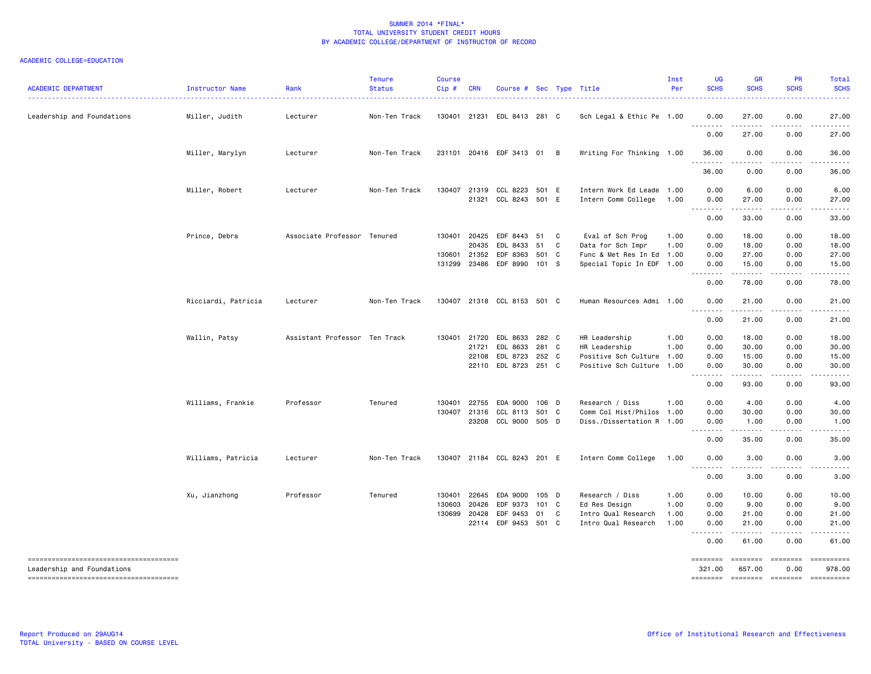| <b>ACADEMIC DEPARTMENT</b>                                          | Instructor Name     | Rank                          | <b>Tenure</b><br><b>Status</b> | <b>Course</b><br>Cip#      | <b>CRN</b>              | Course # Sec Type Title                                            |                                  |        |                                                                                                 | Inst<br>Per                  | UG<br><b>SCHS</b>                                                                                                                                         | GR<br><b>SCHS</b>                             | <b>PR</b><br><b>SCHS</b>                  | Total<br><b>SCHS</b>                     |
|---------------------------------------------------------------------|---------------------|-------------------------------|--------------------------------|----------------------------|-------------------------|--------------------------------------------------------------------|----------------------------------|--------|-------------------------------------------------------------------------------------------------|------------------------------|-----------------------------------------------------------------------------------------------------------------------------------------------------------|-----------------------------------------------|-------------------------------------------|------------------------------------------|
| Leadership and Foundations                                          | Miller, Judith      | Lecturer                      | Non-Ten Track                  |                            |                         | 130401 21231 EDL 8413 281 C                                        |                                  |        | Sch Legal & Ethic Pe 1.00                                                                       |                              | 0.00<br><u>.</u>                                                                                                                                          | 27.00<br>.                                    | 0.00<br>.                                 | 27.00                                    |
|                                                                     |                     |                               |                                |                            |                         |                                                                    |                                  |        |                                                                                                 |                              | 0.00                                                                                                                                                      | 27.00                                         | 0.00                                      | 27.00                                    |
|                                                                     | Miller, Marylyn     | Lecturer                      | Non-Ten Track                  |                            |                         | 231101 20416 EDF 3413 01 B                                         |                                  |        | Writing For Thinking 1.00                                                                       |                              | 36.00                                                                                                                                                     | 0.00                                          | 0.00                                      | 36.00                                    |
|                                                                     |                     |                               |                                |                            |                         |                                                                    |                                  |        |                                                                                                 |                              | 36.00                                                                                                                                                     | 0.00                                          | 0.00                                      | 36.00                                    |
|                                                                     | Miller, Robert      | Lecturer                      | Non-Ten Track                  |                            |                         | 130407 21319 CCL 8223 501 E<br>21321 CCL 8243 501 E                |                                  |        | Intern Work Ed Leade 1.00<br>Intern Comm College                                                | 1.00                         | 0.00<br>0.00                                                                                                                                              | 6.00<br>27.00<br>------                       | 0.00<br>0.00<br>.                         | 6.00<br>27.00<br>.                       |
|                                                                     |                     |                               |                                |                            |                         |                                                                    |                                  |        |                                                                                                 |                              | 0.00                                                                                                                                                      | 33.00                                         | 0.00                                      | 33.00                                    |
|                                                                     | Prince, Debra       | Associate Professor Tenured   |                                | 130401<br>130601           | 20425<br>20435<br>21352 | EDF 8443 51<br>EDL 8433<br>EDF 8363<br>131299 23486 EDF 8990 101 S | 51<br>501 C                      | C<br>C | Eval of Sch Prog<br>Data for Sch Impr<br>Func & Met Res In Ed 1.00<br>Special Topic In EDF 1.00 | 1.00<br>1.00                 | 0.00<br>0.00<br>0.00<br>0.00                                                                                                                              | 18.00<br>18.00<br>27.00<br>15.00              | 0.00<br>0.00<br>0.00<br>0.00              | 18.00<br>18.00<br>27.00<br>15.00         |
|                                                                     |                     |                               |                                |                            |                         |                                                                    |                                  |        |                                                                                                 |                              | 0.00                                                                                                                                                      | 78.00                                         | 0.00                                      | 78.00                                    |
|                                                                     | Ricciardi, Patricia | Lecturer                      | Non-Ten Track                  |                            |                         | 130407 21318 CCL 8153 501 C                                        |                                  |        | Human Resources Admi 1.00                                                                       |                              | 0.00                                                                                                                                                      | 21.00                                         | 0.00                                      | 21.00                                    |
|                                                                     |                     |                               |                                |                            |                         |                                                                    |                                  |        |                                                                                                 |                              | --------<br>0.00                                                                                                                                          | .<br>21.00                                    | .<br>0.00                                 | 21.00                                    |
|                                                                     | Wallin, Patsy       | Assistant Professor Ten Track |                                | 130401                     | 21720<br>21721<br>22108 | EDL 8633<br>EDL 8633<br>EDL 8723<br>22110 EDL 8723                 | 282 C<br>281 C<br>252 C<br>251 C |        | HR Leadership<br>HR Leadership<br>Positive Sch Culture 1.00<br>Positive Sch Culture 1.00        | 1.00<br>1.00                 | 0.00<br>0.00<br>0.00<br>0.00                                                                                                                              | 18.00<br>30.00<br>15.00<br>30.00              | 0.00<br>0.00<br>0.00<br>0.00              | 18.00<br>30.00<br>15.00<br>30.00         |
|                                                                     |                     |                               |                                |                            |                         |                                                                    |                                  |        |                                                                                                 |                              | .<br>0.00                                                                                                                                                 | 93.00                                         | 0.00                                      | 93.00                                    |
|                                                                     | Williams, Frankie   | Professor                     | Tenured                        | 130401                     | 22755                   | EDA 9000<br>130407 21316 CCL 8113 501 C<br>23208 CCL 9000 505 D    | 106 D                            |        | Research / Diss<br>Comm Col Hist/Philos 1.00<br>Diss./Dissertation R 1.00                       | 1.00                         | 0.00<br>0.00<br>0.00                                                                                                                                      | 4.00<br>30.00<br>1.00                         | 0.00<br>0.00<br>0.00                      | 4.00<br>30.00<br>1.00                    |
|                                                                     |                     |                               |                                |                            |                         |                                                                    |                                  |        |                                                                                                 |                              | .<br>0.00                                                                                                                                                 | 35.00                                         | 0.00                                      | 35.00                                    |
|                                                                     | Williams, Patricia  | Lecturer                      | Non-Ten Track                  |                            |                         | 130407 21184 CCL 8243 201 E                                        |                                  |        | Intern Comm College                                                                             | 1.00                         | 0.00                                                                                                                                                      | 3.00                                          | 0.00                                      | 3.00                                     |
|                                                                     |                     |                               |                                |                            |                         |                                                                    |                                  |        |                                                                                                 |                              | $\sim$ $\sim$ $\sim$<br>$\frac{1}{2} \left( \frac{1}{2} \right) \left( \frac{1}{2} \right) \left( \frac{1}{2} \right) \left( \frac{1}{2} \right)$<br>0.00 | .<br>3.00                                     | 0.00                                      | 3.00                                     |
|                                                                     | Xu, Jianzhong       | Professor                     | Tenured                        | 130401<br>130603<br>130699 | 22645<br>20426<br>20428 | EDA 9000<br>EDF 9373<br>EDF 9453<br>22114 EDF 9453 501 C           | 105 D<br>101 C<br>01             | C      | Research / Diss<br>Ed Res Design<br>Intro Qual Research<br>Intro Qual Research                  | 1.00<br>1.00<br>1.00<br>1.00 | 0.00<br>0.00<br>0.00<br>0.00<br>.<br>0.00                                                                                                                 | 10.00<br>9.00<br>21.00<br>21.00<br>.<br>61.00 | 0.00<br>0.00<br>0.00<br>0.00<br>.<br>0.00 | 10.00<br>9.00<br>21.00<br>21.00<br>61.00 |
| --------------------------------------                              |                     |                               |                                |                            |                         |                                                                    |                                  |        |                                                                                                 |                              | ========                                                                                                                                                  | ========                                      | ========                                  | ==========                               |
| Leadership and Foundations<br>------------------------------------- |                     |                               |                                |                            |                         |                                                                    |                                  |        |                                                                                                 |                              | 321,00<br><b>EDEDEDED</b>                                                                                                                                 | 657.00<br><b>EDEDEDED</b>                     | 0.00<br>========                          | 978,00<br>$= 1.12222222222$              |
|                                                                     |                     |                               |                                |                            |                         |                                                                    |                                  |        |                                                                                                 |                              |                                                                                                                                                           |                                               |                                           |                                          |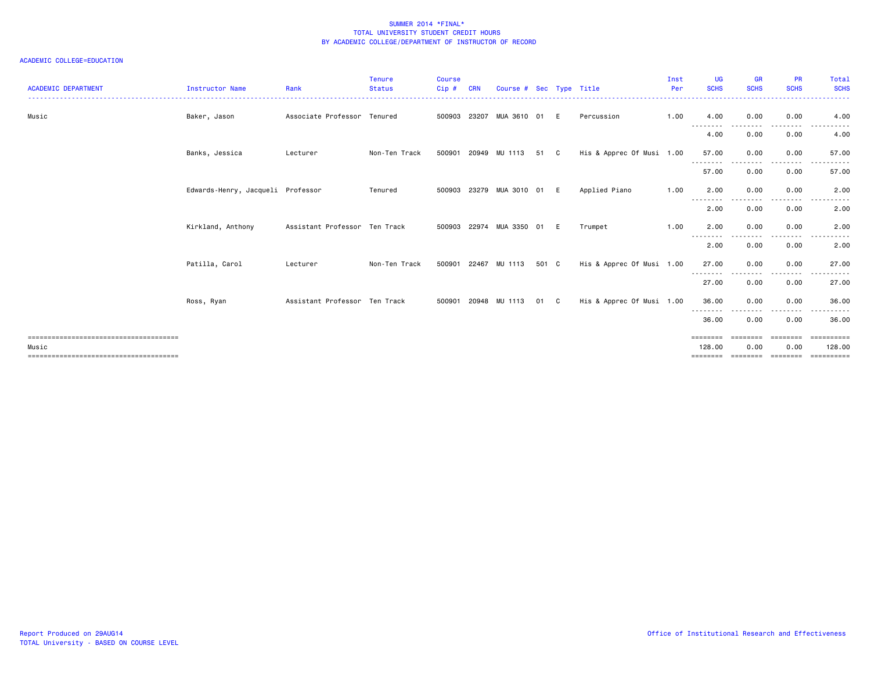| <b>ACADEMIC DEPARTMENT</b> | <b>Instructor Name</b>            | Rank                          | Tenure<br><b>Status</b> | <b>Course</b><br>Cip# | <b>CRN</b> | Course #          |           |     | Sec Type Title            | Inst<br>Per | <b>UG</b><br><b>SCHS</b>    | <b>GR</b><br><b>SCHS</b> | <b>PR</b><br><b>SCHS</b> | Total<br><b>SCHS</b> |
|----------------------------|-----------------------------------|-------------------------------|-------------------------|-----------------------|------------|-------------------|-----------|-----|---------------------------|-------------|-----------------------------|--------------------------|--------------------------|----------------------|
| Music                      | Baker, Jason                      | Associate Professor           | Tenured                 | 500903                | 23207      | MUA 3610          | 01        | E   | Percussion                | 1.00        | 4.00                        | 0.00                     | 0.00                     | 4.00                 |
|                            |                                   |                               |                         |                       |            |                   |           |     |                           |             | --------<br>4.00            | 0.00                     | 0.00                     | 4.00                 |
|                            | Banks, Jessica                    | Lecturer                      | Non-Ten Track           | 500901                |            | 20949 MU 1113     | 51        | - C | His & Apprec Of Musi 1.00 |             | 57.00                       | 0.00                     | 0.00                     | 57.00                |
|                            |                                   |                               |                         |                       |            |                   |           |     |                           |             | --------<br>57.00           | ----<br>0.00             | $\cdots$<br>0.00         | 57.00                |
|                            | Edwards-Henry, Jacqueli Professor |                               | Tenured                 | 500903                |            | 23279 MUA 3010 01 |           | E   | Applied Piano             | 1.00        | 2.00                        | 0.00                     | 0.00                     | 2.00                 |
|                            |                                   |                               |                         |                       |            |                   |           |     |                           |             | $- - -$<br>$\cdots$<br>2.00 | 0.00                     | 0.00                     | 2.00                 |
|                            | Kirkland, Anthony                 | Assistant Professor Ten Track |                         | 500903                | 22974      | MUA 3350          | <b>01</b> |     | Trumpet                   | 1.00        | 2.00                        | 0.00                     | 0.00                     | 2.00                 |
|                            |                                   |                               |                         |                       |            |                   |           |     |                           |             | --------<br>2.00            | ----<br>0.00             | . <b>.</b><br>0.00       | 2.00                 |
|                            | Patilla, Carol                    | Lecturer                      | Non-Ten Track           | 500901                | 22467      | MU 1113           | 501 C     |     | His & Apprec Of Musi 1.00 |             | 27.00                       | 0.00<br>.                | 0.00<br>$\cdots$         | 27.00                |
|                            |                                   |                               |                         |                       |            |                   |           |     |                           |             | --------<br>27.00           | 0.00                     | 0.00                     | 27.00                |
|                            | Ross, Ryan                        | Assistant Professor Ten Track |                         | 500901                | 20948      | MU 1113           | 01        | C.  | His & Apprec Of Musi 1.00 |             | 36.00                       | 0.00                     | 0.00                     | 36.00                |
|                            |                                   |                               |                         |                       |            |                   |           |     |                           |             | --------<br>36.00           | 0.00                     | 0.00                     | 36.00                |
| Music                      |                                   |                               |                         |                       |            |                   |           |     |                           |             | $=$ = = = = = = =<br>128.00 | 0.00                     | ------<br>0.00           | 128.00               |
|                            |                                   |                               |                         |                       |            |                   |           |     |                           |             |                             | ======== ========        |                          | ==================   |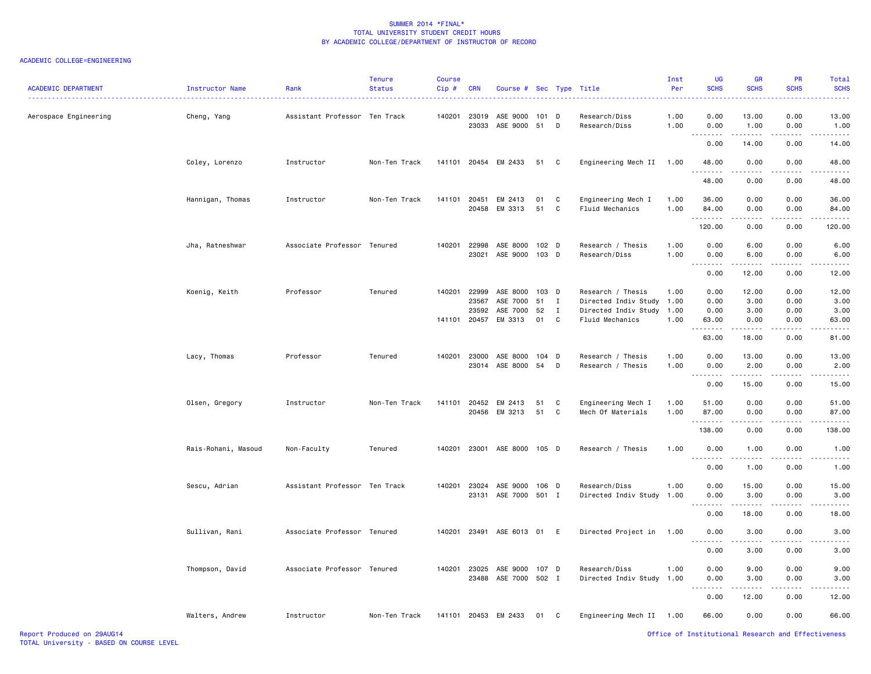| <b>ACADEMIC DEPARTMENT</b> | Instructor Name     | Rank                          | <b>Tenure</b><br><b>Status</b> | <b>Course</b><br>Cip# | <b>CRN</b>                       | Course # Sec Type Title                     |                         |                         |                                                                                           | Inst<br>Per          | UG<br><b>SCHS</b>                      | <b>GR</b><br><b>SCHS</b>                                                                                                                                                                 | <b>PR</b><br><b>SCHS</b>     | Total<br><b>SCHS</b>                                                                                                               |
|----------------------------|---------------------|-------------------------------|--------------------------------|-----------------------|----------------------------------|---------------------------------------------|-------------------------|-------------------------|-------------------------------------------------------------------------------------------|----------------------|----------------------------------------|------------------------------------------------------------------------------------------------------------------------------------------------------------------------------------------|------------------------------|------------------------------------------------------------------------------------------------------------------------------------|
| Aerospace Engineering      | Cheng, Yang         | Assistant Professor Ten Track |                                | 140201                | 23019<br>23033                   | ASE 9000<br>ASE 9000 51                     | 101                     | D<br>D                  | Research/Diss<br>Research/Diss                                                            | 1.00<br>1.00         | 0.00<br>0.00                           | 13.00<br>1.00                                                                                                                                                                            | 0.00<br>0.00                 | 13.00<br>1.00                                                                                                                      |
|                            |                     |                               |                                |                       |                                  |                                             |                         |                         |                                                                                           |                      | $\sim$ $\sim$ .<br>0.00                | 14.00                                                                                                                                                                                    | 0.00                         | 14.00                                                                                                                              |
|                            | Coley, Lorenzo      | Instructor                    | Non-Ten Track                  | 141101                |                                  | 20454 EM 2433                               | 51                      | C                       | Engineering Mech II                                                                       | 1.00                 | 48.00                                  | 0.00                                                                                                                                                                                     | 0.00                         | 48.00                                                                                                                              |
|                            |                     |                               |                                |                       |                                  |                                             |                         |                         |                                                                                           |                      | 48.00                                  | 0.00                                                                                                                                                                                     | 0.00                         | 48.00                                                                                                                              |
|                            | Hannigan, Thomas    | Instructor                    | Non-Ten Track                  | 141101                | 20451                            | EM 2413<br>20458 EM 3313                    | 01<br>51                | C<br>C                  | Engineering Mech I<br>Fluid Mechanics                                                     | 1.00<br>1.00         | 36.00<br>84.00                         | 0.00<br>0.00                                                                                                                                                                             | 0.00<br>0.00                 | 36.00<br>84.00                                                                                                                     |
|                            |                     |                               |                                |                       |                                  |                                             |                         |                         |                                                                                           |                      | 1.1.1.1.1.1.1<br>120.00                | .<br>0.00                                                                                                                                                                                | .<br>0.00                    | .<br>120.00                                                                                                                        |
|                            | Jha, Ratneshwar     | Associate Professor Tenured   |                                | 140201                | 22998<br>23021                   | ASE 8000<br>ASE 9000                        | 102 D<br>103 D          |                         | Research / Thesis<br>Research/Diss                                                        | 1.00<br>1.00         | 0.00<br>0.00                           | 6.00<br>6.00                                                                                                                                                                             | 0.00<br>0.00                 | 6.00<br>6.00                                                                                                                       |
|                            |                     |                               |                                |                       |                                  |                                             |                         |                         |                                                                                           |                      | .<br>0.00                              | .<br>12.00                                                                                                                                                                               | .<br>0.00                    | 12.00                                                                                                                              |
|                            | Koenig, Keith       | Professor                     | Tenured                        | 140201<br>141101      | 22999<br>23567<br>23592<br>20457 | ASE 8000<br>ASE 7000<br>ASE 7000<br>EM 3313 | 103 D<br>51<br>52<br>01 | Ι.<br>$\mathbf{I}$<br>C | Research / Thesis<br>Directed Indiv Study<br>Directed Indiv Study 1.00<br>Fluid Mechanics | 1.00<br>1.00<br>1.00 | 0.00<br>0.00<br>0.00<br>63.00          | 12.00<br>3.00<br>3.00<br>0.00                                                                                                                                                            | 0.00<br>0.00<br>0.00<br>0.00 | 12.00<br>3.00<br>3.00<br>63.00                                                                                                     |
|                            |                     |                               |                                |                       |                                  |                                             |                         |                         |                                                                                           |                      | .<br>$\sim$ $\sim$<br>63.00            | -----<br>18.00                                                                                                                                                                           | .<br>0.00                    | 81.00                                                                                                                              |
|                            | Lacy, Thomas        | Professor                     | Tenured                        | 140201                | 23000                            | ASE 8000<br>23014 ASE 8000                  | $104$ D<br>54           | D                       | Research / Thesis<br>Research / Thesis                                                    | 1.00<br>1.00         | 0.00<br>0.00                           | 13.00<br>2.00                                                                                                                                                                            | 0.00<br>0.00                 | 13.00<br>2.00                                                                                                                      |
|                            |                     |                               |                                |                       |                                  |                                             |                         |                         |                                                                                           |                      | -----<br>0.00                          | $\frac{1}{2} \left( \frac{1}{2} \right) \left( \frac{1}{2} \right) \left( \frac{1}{2} \right) \left( \frac{1}{2} \right) \left( \frac{1}{2} \right) \left( \frac{1}{2} \right)$<br>15.00 | .<br>0.00                    | $\frac{1}{2} \left( \frac{1}{2} \right) \left( \frac{1}{2} \right) \left( \frac{1}{2} \right) \left( \frac{1}{2} \right)$<br>15.00 |
|                            | Olsen, Gregory      | Instructor                    | Non-Ten Track                  | 141101                | 20452<br>20456                   | EM 2413<br>EM 3213                          | 51<br>51                | C<br>C                  | Engineering Mech I<br>Mech Of Materials                                                   | 1.00<br>1.00         | 51.00<br>87.00                         | 0.00<br>0.00                                                                                                                                                                             | 0.00<br>0.00                 | 51.00<br>87.00                                                                                                                     |
|                            |                     |                               |                                |                       |                                  |                                             |                         |                         |                                                                                           |                      | . <b>.</b><br>138.00                   | .<br>0.00                                                                                                                                                                                | 0.00                         | 138.00                                                                                                                             |
|                            | Rais-Rohani, Masoud | Non-Faculty                   | Tenured                        | 140201                | 23001                            | ASE 8000 105 D                              |                         |                         | Research / Thesis                                                                         | 1.00                 | 0.00<br>.                              | 1.00<br>.                                                                                                                                                                                | 0.00                         | 1.00                                                                                                                               |
|                            |                     |                               |                                |                       |                                  |                                             |                         |                         |                                                                                           |                      | $\sim$ $\sim$ $\sim$<br>0.00           | 1.00                                                                                                                                                                                     | .<br>0.00                    | 1.00                                                                                                                               |
|                            | Sescu, Adrian       | Assistant Professor Ten Track |                                | 140201                | 23024                            | ASE 9000                                    | 106 D                   |                         | Research/Diss                                                                             | 1.00                 | 0.00                                   | 15.00                                                                                                                                                                                    | 0.00                         | 15.00                                                                                                                              |
|                            |                     |                               |                                |                       | 23131                            | ASE 7000 501 I                              |                         |                         | Directed Indiv Study                                                                      | 1.00                 | 0.00<br>$\sim$ $\sim$<br>0.00          | 3.00<br>18.00                                                                                                                                                                            | 0.00<br>0.00                 | 3.00                                                                                                                               |
|                            | Sullivan, Rani      | Associate Professor Tenured   |                                | 140201                | 23491                            | ASE 6013 01                                 |                         | E                       | Directed Project in                                                                       | 1.00                 | 0.00                                   | 3.00                                                                                                                                                                                     | 0.00                         | 18.00<br>3.00                                                                                                                      |
|                            |                     |                               |                                |                       |                                  |                                             |                         |                         |                                                                                           |                      | 0.00                                   | 3.00                                                                                                                                                                                     | 0.00                         | 3.00                                                                                                                               |
|                            | Thompson, David     | Associate Professor Tenured   |                                | 140201                | 23025                            | ASE 9000 107 D                              |                         |                         | Research/Diss                                                                             | 1.00                 | 0.00                                   | 9.00                                                                                                                                                                                     | 0.00                         | 9.00                                                                                                                               |
|                            |                     |                               |                                |                       |                                  | 23488 ASE 7000 502 I                        |                         |                         | Directed Indiv Study 1.00                                                                 |                      | 0.00<br>$\sim$ $\sim$<br>$\frac{1}{2}$ | 3.00<br>.                                                                                                                                                                                | 0.00                         | 3.00                                                                                                                               |
|                            |                     |                               |                                |                       |                                  |                                             |                         |                         |                                                                                           |                      | 0.00                                   | 12.00                                                                                                                                                                                    | 0.00                         | 12.00                                                                                                                              |
|                            | Walters, Andrew     | Instructor                    | Non-Ten Track                  | 141101                |                                  | 20453 EM 2433                               | 01                      | C                       | Engineering Mech II 1.00                                                                  |                      | 66.00                                  | 0.00                                                                                                                                                                                     | 0.00                         | 66.00                                                                                                                              |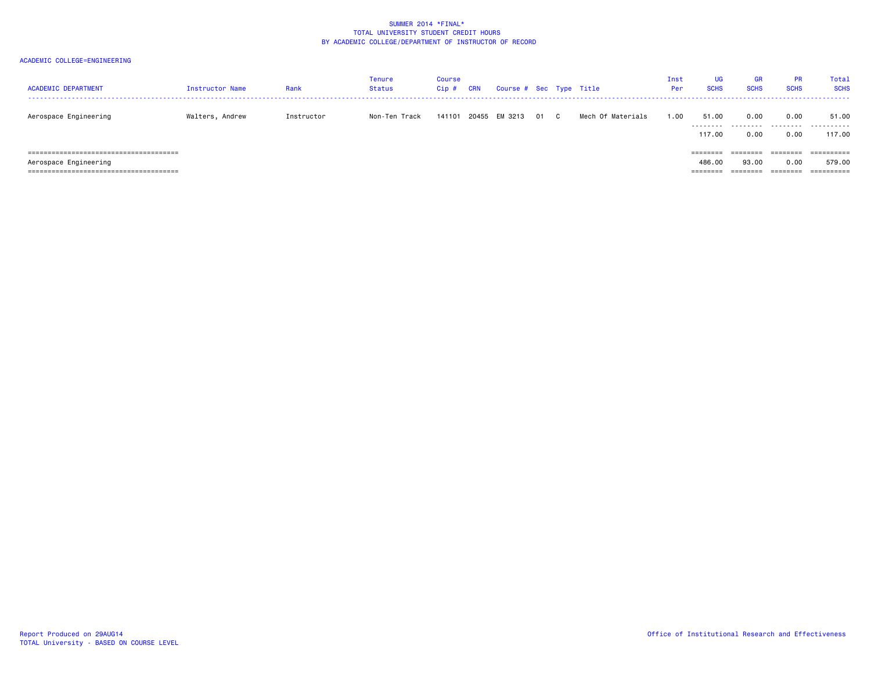| <b>ACADEMIC DEPARTMENT</b> | Instructor Name | Rank       | <b>Tenure</b><br><b>Status</b> | <b>Course</b><br>$Cip$ # | <b>CRN</b> | Course # Sec Type Title |      |                   | Inst<br>Per | UG<br><b>SCHS</b>                                                                                      | <b>GR</b><br><b>SCHS</b>      | <b>PR</b><br><b>SCHS</b> | Total<br><b>SCHS</b>               |
|----------------------------|-----------------|------------|--------------------------------|--------------------------|------------|-------------------------|------|-------------------|-------------|--------------------------------------------------------------------------------------------------------|-------------------------------|--------------------------|------------------------------------|
| Aerospace Engineering      | Walters, Andrew | Instructor | Non-Ten Track                  | 141101                   |            | 20455 EM 3213           | 01 C | Mech Of Materials | 1.00        | 51.00<br>.<br>117.00                                                                                   | 0.00<br>.<br>0.00             | 0.00<br>.<br>0.00        | 51.00<br>.<br>117.00               |
| Aerospace Engineering      |                 |            |                                |                          |            |                         |      |                   |             | $=$ = = = = = = =<br>486.00<br>$\qquad \qquad \equiv \equiv \equiv \equiv \equiv \equiv \equiv \equiv$ | ========<br>93.00<br>======== | ========<br>0.00         | ==========<br>579.00<br>========== |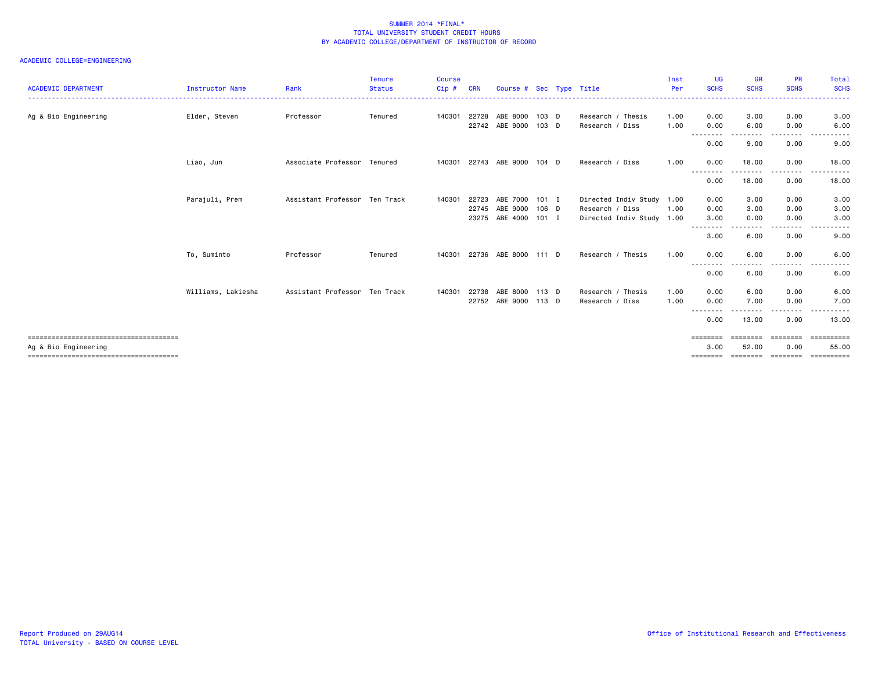| <b>ACADEMIC DEPARTMENT</b> | <b>Instructor Name</b> | Rank                          | <b>Tenure</b><br><b>Status</b> | <b>Course</b><br>Cip# | <b>CRN</b> | Course # Sec Type Title |         |                           | Inst<br>Per | <b>UG</b><br><b>SCHS</b> | <b>GR</b><br><b>SCHS</b>  | <b>PR</b><br><b>SCHS</b> | <b>Total</b><br><b>SCHS</b> |
|----------------------------|------------------------|-------------------------------|--------------------------------|-----------------------|------------|-------------------------|---------|---------------------------|-------------|--------------------------|---------------------------|--------------------------|-----------------------------|
| Ag & Bio Engineering       | Elder, Steven          | Professor                     | Tenured                        | 140301                | 22728      | ABE 8000                | $103$ D | Research / Thesis         | 1.00        | 0.00                     | 3.00                      | 0.00                     | 3.00                        |
|                            |                        |                               |                                |                       |            | 22742 ABE 9000          | $103$ D | Research / Diss           | 1.00        | 0.00<br>--------         | 6.00<br>- - - -           | 0.00<br>.                | 6.00                        |
|                            |                        |                               |                                |                       |            |                         |         |                           |             | 0.00                     | 9.00                      | 0.00                     | 9.00                        |
|                            | Liao, Jun              | Associate Professor Tenured   |                                | 140301                | 22743      | ABE 9000                | 104 D   | Research / Diss           | 1.00        | 0.00<br>--------         | 18.00                     | 0.00                     | 18.00                       |
|                            |                        |                               |                                |                       |            |                         |         |                           |             | 0.00                     | 18.00                     | 0.00                     | 18.00                       |
|                            | Parajuli, Prem         | Assistant Professor Ten Track |                                | 140301                | 22723      | ABE 7000 101 I          |         | Directed Indiv Study 1.00 |             | 0.00                     | 3.00                      | 0.00                     | 3.00                        |
|                            |                        |                               |                                |                       | 22745      | ABE 9000                | 106 D   | Research / Diss           | 1.00        | 0.00                     | 3.00                      | 0.00                     | 3.00                        |
|                            |                        |                               |                                |                       | 23275      | ABE 4000 101 I          |         | Directed Indiv Study 1.00 |             | 3.00                     | 0.00                      | 0.00                     | 3.00                        |
|                            |                        |                               |                                |                       |            |                         |         |                           |             | --------<br>3.00         | 6.00                      | 0.00                     | 9.00                        |
|                            | To, Suminto            | Professor                     | Tenured                        | 140301                |            | 22736 ABE 8000 111 D    |         | Research / Thesis         | 1.00        | 0.00                     | 6.00                      | 0.00                     | 6.00                        |
|                            |                        |                               |                                |                       |            |                         |         |                           |             | .<br>0.00                | 6.00                      | 0.00                     | 6.00                        |
|                            | Williams, Lakiesha     | Assistant Professor Ten Track |                                | 140301                | 22738      | ABE 8000 113 D          |         | Research / Thesis         | 1.00        | 0.00                     | 6.00                      | 0.00                     | 6.00                        |
|                            |                        |                               |                                |                       |            | 22752 ABE 9000 113 D    |         | Research / Diss           | 1.00        | 0.00                     | 7.00                      | 0.00                     | 7.00                        |
|                            |                        |                               |                                |                       |            |                         |         |                           |             | --------<br>0.00         | 13.00                     | 0.00                     | 13.00                       |
|                            |                        |                               |                                |                       |            |                         |         |                           |             | $=$ = = = = = = =        |                           | =====                    |                             |
| Ag & Bio Engineering       |                        |                               |                                |                       |            |                         |         |                           |             | 3.00                     | 52.00                     | 0.00                     | 55.00                       |
|                            |                        |                               |                                |                       |            |                         |         |                           |             |                          | -------- -------- ------- |                          | ==========                  |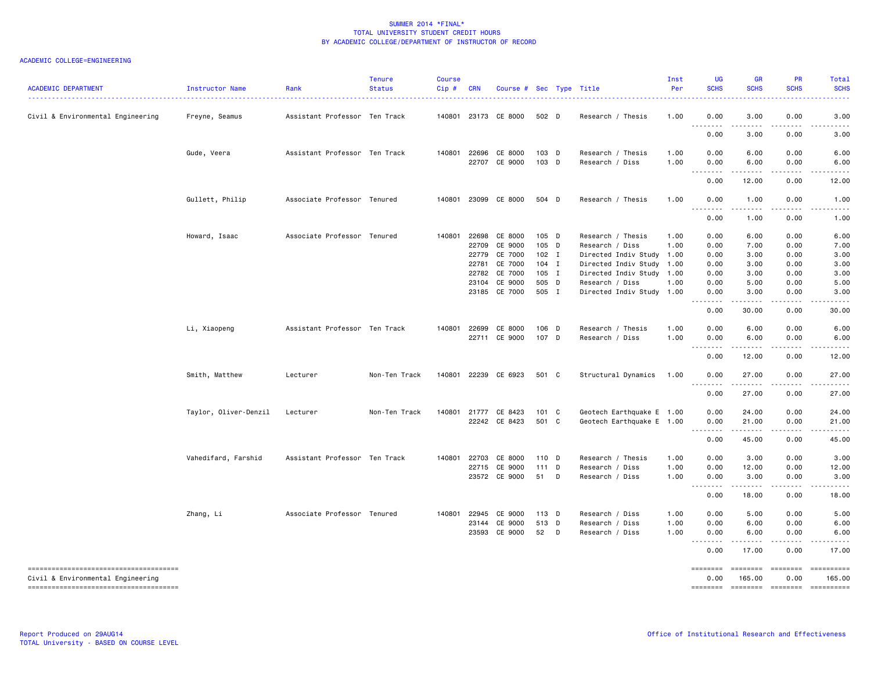| <b>ACADEMIC DEPARTMENT</b>                                                                                          | Instructor Name<br><u>.</u> | Rank                          | <b>Tenure</b><br><b>Status</b> | <b>Course</b><br>Cip# | <b>CRN</b>                                | Course # Sec Type Title                                                               |                                                                 |   |                                                                                                                                                                   | Inst<br>Per                          | <b>UG</b><br><b>SCHS</b>                                              | GR<br><b>SCHS</b>                                                                                                                                             | <b>PR</b><br><b>SCHS</b>                                          | Total<br><b>SCHS</b>                                          |
|---------------------------------------------------------------------------------------------------------------------|-----------------------------|-------------------------------|--------------------------------|-----------------------|-------------------------------------------|---------------------------------------------------------------------------------------|-----------------------------------------------------------------|---|-------------------------------------------------------------------------------------------------------------------------------------------------------------------|--------------------------------------|-----------------------------------------------------------------------|---------------------------------------------------------------------------------------------------------------------------------------------------------------|-------------------------------------------------------------------|---------------------------------------------------------------|
| Civil & Environmental Engineering                                                                                   | Freyne, Seamus              | Assistant Professor Ten Track |                                |                       |                                           | 140801 23173 CE 8000                                                                  | 502 D                                                           |   | Research / Thesis                                                                                                                                                 | 1.00                                 | 0.00<br>.                                                             | 3.00<br>.                                                                                                                                                     | 0.00<br>.                                                         | 3.00                                                          |
|                                                                                                                     |                             |                               |                                |                       |                                           |                                                                                       |                                                                 |   |                                                                                                                                                                   |                                      | 0.00                                                                  | 3.00                                                                                                                                                          | 0.00                                                              | 3.00                                                          |
|                                                                                                                     | Gude, Veera                 | Assistant Professor Ten Track |                                | 140801                |                                           | 22696 CE 8000<br>22707 CE 9000                                                        | 103 D<br>103 D                                                  |   | Research / Thesis<br>Research / Diss                                                                                                                              | 1.00<br>1.00                         | 0.00<br>0.00                                                          | 6.00<br>6.00                                                                                                                                                  | 0.00<br>0.00                                                      | 6.00<br>6.00                                                  |
|                                                                                                                     |                             |                               |                                |                       |                                           |                                                                                       |                                                                 |   |                                                                                                                                                                   |                                      | .<br>0.00                                                             | $\frac{1}{2} \left( \frac{1}{2} \right) \left( \frac{1}{2} \right) \left( \frac{1}{2} \right) \left( \frac{1}{2} \right) \left( \frac{1}{2} \right)$<br>12.00 | .<br>0.00                                                         | 12.00                                                         |
|                                                                                                                     | Gullett, Philip             | Associate Professor Tenured   |                                | 140801                |                                           | 23099 CE 8000                                                                         | 504 D                                                           |   | Research / Thesis                                                                                                                                                 | 1.00                                 | 0.00                                                                  | 1.00                                                                                                                                                          | 0.00                                                              | 1.00                                                          |
|                                                                                                                     |                             |                               |                                |                       |                                           |                                                                                       |                                                                 |   |                                                                                                                                                                   |                                      | $\sim$ $\sim$ $\sim$<br>.<br>0.00                                     | $\sim$ $\sim$ $\sim$<br>1.00                                                                                                                                  | 0.00                                                              | 1.00                                                          |
|                                                                                                                     | Howard, Isaac               | Associate Professor Tenured   |                                | 140801                | 22698<br>22709<br>22779<br>22781<br>23104 | CE 8000<br>CE 9000<br>CE 7000<br>CE 7000<br>22782 CE 7000<br>CE 9000<br>23185 CE 7000 | 105 D<br>105 D<br>$102$ I<br>$104$ I<br>105 I<br>505 D<br>505 I |   | Research / Thesis<br>Research / Diss<br>Directed Indiv Study 1.00<br>Directed Indiv Study<br>Directed Indiv Study<br>Research / Diss<br>Directed Indiv Study 1.00 | 1.00<br>1.00<br>1.00<br>1.00<br>1.00 | 0.00<br>0.00<br>0.00<br>0.00<br>0.00<br>0.00<br>0.00<br>22222<br>0.00 | 6.00<br>7.00<br>3.00<br>3.00<br>3.00<br>5.00<br>3.00<br>.<br>30.00                                                                                            | 0.00<br>0.00<br>0.00<br>0.00<br>0.00<br>0.00<br>0.00<br>.<br>0.00 | 6.00<br>7.00<br>3.00<br>3.00<br>3.00<br>5.00<br>3.00<br>30.00 |
|                                                                                                                     | Li, Xiaopeng                | Assistant Professor Ten Track |                                | 140801                | 22699                                     | CE 8000<br>22711 CE 9000                                                              | 106 D<br>107 D                                                  |   | Research / Thesis<br>Research / Diss                                                                                                                              | 1.00<br>1.00                         | 0.00<br>0.00                                                          | 6.00<br>6.00                                                                                                                                                  | 0.00<br>0.00                                                      | 6.00<br>6.00                                                  |
|                                                                                                                     |                             |                               |                                |                       |                                           |                                                                                       |                                                                 |   |                                                                                                                                                                   |                                      | .<br>0.00                                                             | $\frac{1}{2} \left( \frac{1}{2} \right) \left( \frac{1}{2} \right) \left( \frac{1}{2} \right) \left( \frac{1}{2} \right) \left( \frac{1}{2} \right)$<br>12.00 | 0.00                                                              | 12.00                                                         |
|                                                                                                                     | Smith, Matthew              | Lecturer                      | Non-Ten Track                  | 140801                |                                           | 22239 CE 6923                                                                         | 501 C                                                           |   | Structural Dynamics 1.00                                                                                                                                          |                                      | 0.00                                                                  | 27.00                                                                                                                                                         | 0.00                                                              | 27.00                                                         |
|                                                                                                                     |                             |                               |                                |                       |                                           |                                                                                       |                                                                 |   |                                                                                                                                                                   |                                      | .<br>0.00                                                             | . <u>.</u><br>27.00                                                                                                                                           | .<br>0.00                                                         | 27.00                                                         |
|                                                                                                                     | Taylor, Oliver-Denzil       | Lecturer                      | Non-Ten Track                  | 140801                |                                           | 21777 CE 8423<br>22242 CE 8423                                                        | 101 C<br>501 C                                                  |   | Geotech Earthquake E 1.00<br>Geotech Earthquake E 1.00                                                                                                            |                                      | 0.00<br>0.00<br>.                                                     | 24.00<br>21.00                                                                                                                                                | 0.00<br>0.00                                                      | 24.00<br>21.00                                                |
|                                                                                                                     |                             |                               |                                |                       |                                           |                                                                                       |                                                                 |   |                                                                                                                                                                   |                                      | 0.00                                                                  | 45.00                                                                                                                                                         | 0.00                                                              | 45.00                                                         |
|                                                                                                                     | Vahedifard, Farshid         | Assistant Professor Ten Track |                                | 140801                | 22703                                     | CE 8000<br>22715 CE 9000<br>23572 CE 9000                                             | 110 D<br>$111$ D<br>51                                          | D | Research / Thesis<br>Research / Diss<br>Research / Diss                                                                                                           | 1.00<br>1.00<br>1.00                 | 0.00<br>0.00<br>0.00<br>. <b>.</b>                                    | 3.00<br>12.00<br>3.00                                                                                                                                         | 0.00<br>0.00<br>0.00                                              | 3.00<br>12.00<br>3.00                                         |
|                                                                                                                     |                             |                               |                                |                       |                                           |                                                                                       |                                                                 |   |                                                                                                                                                                   |                                      | 0.00                                                                  | 18.00                                                                                                                                                         | 0.00                                                              | 18.00                                                         |
|                                                                                                                     | Zhang, Li                   | Associate Professor Tenured   |                                | 140801                | 22945                                     | CE 9000<br>23144 CE 9000<br>23593 CE 9000                                             | 113 D<br>513 D<br>52                                            | D | Research / Diss<br>Research / Diss<br>Research / Diss                                                                                                             | 1.00<br>1.00<br>1.00                 | 0.00<br>0.00<br>0.00                                                  | 5.00<br>6.00<br>6.00                                                                                                                                          | 0.00<br>0.00<br>0.00                                              | 5.00<br>6.00<br>6.00                                          |
|                                                                                                                     |                             |                               |                                |                       |                                           |                                                                                       |                                                                 |   |                                                                                                                                                                   |                                      | 0.00                                                                  | 17.00                                                                                                                                                         | 0.00                                                              | 17.00                                                         |
| -------------------------------------<br>Civil & Environmental Engineering<br>------------------------------------- |                             |                               |                                |                       |                                           |                                                                                       |                                                                 |   |                                                                                                                                                                   |                                      | 0.00<br>========                                                      | ========<br>165.00                                                                                                                                            | ========<br>0.00                                                  | ==========<br>165.00<br>======== ======== =========           |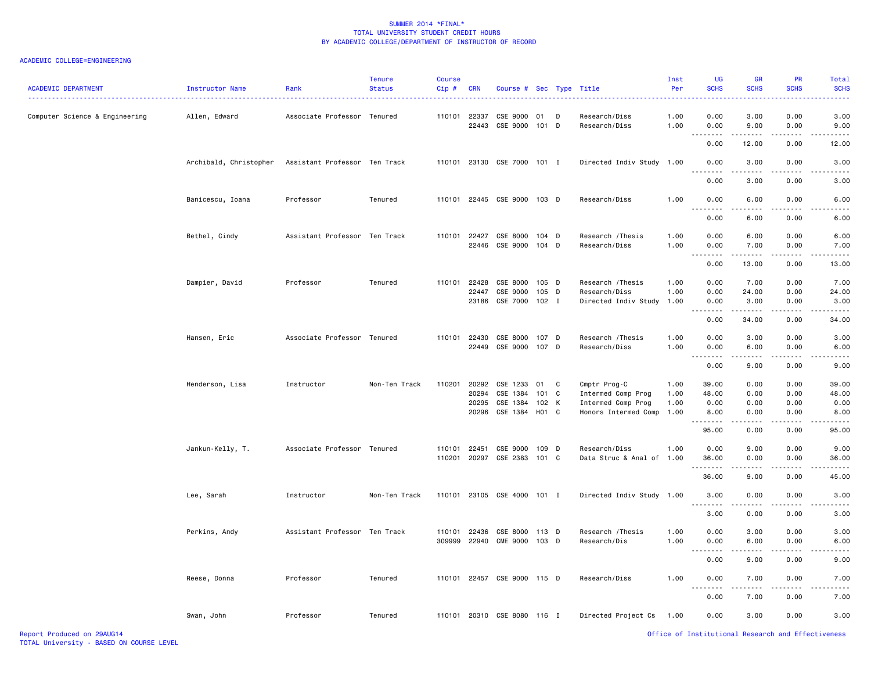| <b>ACADEMIC DEPARTMENT</b>     | Instructor Name        | Rank<br>.                     | <b>Tenure</b><br><b>Status</b> | <b>Course</b><br>Cip# | <b>CRN</b>            | Course # Sec Type Title                                                    |       |   |                                                                                  | Inst<br>Per                  | UG<br><b>SCHS</b>                                                                                                   | <b>GR</b><br><b>SCHS</b>                                                                                                                                                      | <b>PR</b><br><b>SCHS</b>     | Total<br><b>SCHS</b>           |
|--------------------------------|------------------------|-------------------------------|--------------------------------|-----------------------|-----------------------|----------------------------------------------------------------------------|-------|---|----------------------------------------------------------------------------------|------------------------------|---------------------------------------------------------------------------------------------------------------------|-------------------------------------------------------------------------------------------------------------------------------------------------------------------------------|------------------------------|--------------------------------|
| Computer Science & Engineering | Allen, Edward          | Associate Professor Tenured   |                                |                       | 110101 22337          | CSE 9000 01<br>22443 CSE 9000 101 D                                        |       | D | Research/Diss<br>Research/Diss                                                   | 1.00<br>1.00                 | 0.00<br>0.00                                                                                                        | 3.00<br>9.00                                                                                                                                                                  | 0.00<br>0.00                 | 3.00<br>9.00                   |
|                                |                        |                               |                                |                       |                       |                                                                            |       |   |                                                                                  |                              | 0.00                                                                                                                | 12.00                                                                                                                                                                         | 0.00                         | 12.00                          |
|                                | Archibald, Christopher | Assistant Professor Ten Track |                                |                       |                       | 110101 23130 CSE 7000 101 I                                                |       |   | Directed Indiv Study 1.00                                                        |                              | 0.00                                                                                                                | 3.00                                                                                                                                                                          | 0.00                         | 3.00                           |
|                                |                        |                               |                                |                       |                       |                                                                            |       |   |                                                                                  |                              | 0.00                                                                                                                | 3.00                                                                                                                                                                          | 0.00                         | 3.00                           |
|                                | Banicescu, Ioana       | Professor                     | Tenured                        |                       |                       | 110101 22445 CSE 9000 103 D                                                |       |   | Research/Diss                                                                    | 1.00                         | 0.00                                                                                                                | 6.00                                                                                                                                                                          | 0.00                         | 6.00                           |
|                                |                        |                               |                                |                       |                       |                                                                            |       |   |                                                                                  |                              | 0.00                                                                                                                | 6.00                                                                                                                                                                          | 0.00                         | 6.00                           |
|                                | Bethel, Cindy          | Assistant Professor Ten Track |                                |                       | 110101 22427          | CSE 8000 104 D<br>22446 CSE 9000 104 D                                     |       |   | Research / Thesis<br>Research/Diss                                               | 1.00<br>1.00                 | 0.00<br>0.00                                                                                                        | 6.00<br>7.00<br>$\cdots$                                                                                                                                                      | 0.00<br>0.00                 | 6.00<br>7.00                   |
|                                |                        |                               |                                |                       |                       |                                                                            |       |   |                                                                                  |                              | 0.00                                                                                                                | 13.00                                                                                                                                                                         | 0.00                         | 13.00                          |
|                                | Dampier, David         | Professor                     | Tenured                        |                       | 110101 22428<br>22447 | CSE 8000 105 D<br>CSE 9000<br>23186 CSE 7000 102 I                         | 105 D |   | Research / Thesis<br>Research/Diss<br>Directed Indiv Study                       | 1.00<br>1.00<br>1.00         | 0.00<br>0.00<br>0.00<br>$  -$<br>.                                                                                  | 7.00<br>24.00<br>3.00<br>$\frac{1}{2} \left( \frac{1}{2} \right) \left( \frac{1}{2} \right) \left( \frac{1}{2} \right) \left( \frac{1}{2} \right) \left( \frac{1}{2} \right)$ | 0.00<br>0.00<br>0.00         | 7.00<br>24.00<br>3.00          |
|                                |                        |                               |                                |                       |                       |                                                                            |       |   |                                                                                  |                              | 0.00                                                                                                                | 34.00                                                                                                                                                                         | 0.00                         | 34.00                          |
|                                | Hansen, Eric           | Associate Professor Tenured   |                                |                       | 110101 22430          | CSE 8000 107 D<br>22449 CSE 9000 107 D                                     |       |   | Research / Thesis<br>Research/Diss                                               | 1.00<br>1.00                 | 0.00<br>0.00<br>.<br>$\frac{1}{2} \left( \frac{1}{2} \right) \left( \frac{1}{2} \right) \left( \frac{1}{2} \right)$ | 3.00<br>6.00<br>.                                                                                                                                                             | 0.00<br>0.00                 | 3.00<br>6.00                   |
|                                |                        |                               |                                |                       |                       |                                                                            |       |   |                                                                                  |                              | 0.00                                                                                                                | 9.00                                                                                                                                                                          | 0.00                         | 9.00                           |
|                                | Henderson, Lisa        | Instructor                    | Non-Ten Track                  |                       | 110201 20292<br>20294 | CSE 1233<br>CSE 1384 101 C<br>20295 CSE 1384 102 K<br>20296 CSE 1384 H01 C | 01    | C | Cmptr Prog-C<br>Intermed Comp Prog<br>Intermed Comp Prog<br>Honors Intermed Comp | 1.00<br>1.00<br>1.00<br>1.00 | 39.00<br>48.00<br>0.00<br>8.00<br>.                                                                                 | 0.00<br>0.00<br>0.00<br>0.00<br>.                                                                                                                                             | 0.00<br>0.00<br>0.00<br>0.00 | 39.00<br>48.00<br>0.00<br>8.00 |
|                                | Jankun-Kelly, T.       | Associate Professor Tenured   |                                |                       | 110101 22451          | CSE 9000 109 D<br>110201 20297 CSE 2383 101 C                              |       |   | Research/Diss<br>Data Struc & Anal of 1.00                                       | 1.00                         | 95.00<br>0.00<br>36.00                                                                                              | 0.00<br>9.00<br>0.00                                                                                                                                                          | 0.00<br>0.00<br>0.00         | 95.00<br>9.00<br>36.00         |
|                                |                        |                               |                                |                       |                       |                                                                            |       |   |                                                                                  |                              | .<br>36.00                                                                                                          | $   -$<br>9.00                                                                                                                                                                | 0.00                         | 45.00                          |
|                                | Lee, Sarah             | Instructor                    | Non-Ten Track                  |                       |                       | 110101 23105 CSE 4000 101 I                                                |       |   | Directed Indiv Study 1.00                                                        |                              | 3.00                                                                                                                | 0.00                                                                                                                                                                          | 0.00                         | 3.00                           |
|                                |                        |                               |                                |                       |                       |                                                                            |       |   |                                                                                  |                              | .<br>3.00                                                                                                           | $   -$<br>0.00                                                                                                                                                                | 0.00                         | 3.00                           |
|                                | Perkins, Andy          | Assistant Professor Ten Track |                                |                       |                       | 110101 22436 CSE 8000 113 D<br>309999 22940 CME 9000 103 D                 |       |   | Research / Thesis<br>Research/Dis                                                | 1.00<br>1.00                 | 0.00<br>0.00                                                                                                        | 3.00<br>6.00                                                                                                                                                                  | 0.00<br>0.00                 | 3.00<br>6.00                   |
|                                |                        |                               |                                |                       |                       |                                                                            |       |   |                                                                                  |                              | .<br>0.00                                                                                                           | $\frac{1}{2} \left( \frac{1}{2} \right) \left( \frac{1}{2} \right) \left( \frac{1}{2} \right) \left( \frac{1}{2} \right)$<br>9.00                                             | .<br>0.00                    | 9.00                           |
|                                | Reese, Donna           | Professor                     | Tenured                        |                       |                       | 110101 22457 CSE 9000 115 D                                                |       |   | Research/Diss                                                                    | 1.00                         | 0.00                                                                                                                | 7.00                                                                                                                                                                          | 0.00                         | 7.00                           |
|                                |                        |                               |                                |                       |                       |                                                                            |       |   |                                                                                  |                              | . <b>.</b><br>0.00                                                                                                  | .<br>7.00                                                                                                                                                                     | $- - - -$<br>0.00            | 7.00                           |
|                                | Swan, John             | Professor                     | Tenured                        |                       |                       | 110101 20310 CSE 8080 116 I                                                |       |   | Directed Project Cs 1.00                                                         |                              | 0.00                                                                                                                | 3.00                                                                                                                                                                          | 0.00                         | 3.00                           |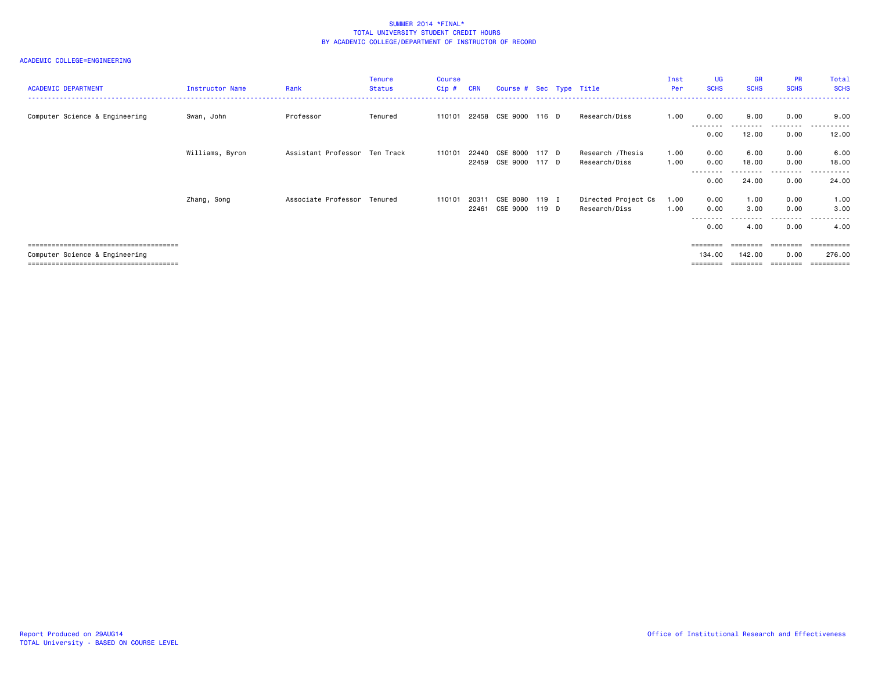| <b>ACADEMIC DEPARTMENT</b>     | Instructor Name | Rank                          | <b>Tenure</b><br><b>Status</b> | Course<br>Cip# | <b>CRN</b> | Course # Sec Type Title |       |                     | Inst<br>Per | <b>UG</b><br><b>SCHS</b> | <b>GR</b><br><b>SCHS</b> | <b>PR</b><br><b>SCHS</b> | Total<br><b>SCHS</b>      |
|--------------------------------|-----------------|-------------------------------|--------------------------------|----------------|------------|-------------------------|-------|---------------------|-------------|--------------------------|--------------------------|--------------------------|---------------------------|
| Computer Science & Engineering | Swan, John      | Professor                     | Tenured                        | 110101         |            | 22458 CSE 9000 116 D    |       | Research/Diss       | 1.00        | 0.00<br>---------        | 9.00<br>.                | 0.00<br>.                | 9.00<br>------<br>$- - -$ |
|                                |                 |                               |                                |                |            |                         |       |                     |             | 0.00                     | 12.00                    | 0.00                     | 12.00                     |
|                                | Williams, Byron | Assistant Professor Ten Track |                                | 110101         | 22440      | CSE 8000                | 117 D | Research / Thesis   | 1.00        | 0.00                     | 6.00                     | 0.00                     | 6.00                      |
|                                |                 |                               |                                |                | 22459      | CSE 9000 117 D          |       | Research/Diss       | 1.00        | 0.00<br>--------         | 18.00                    | 0.00<br>--------         | 18,00<br>------           |
|                                |                 |                               |                                |                |            |                         |       |                     |             | 0.00                     | 24.00                    | 0.00                     | 24.00                     |
|                                | Zhang, Song     | Associate Professor Tenured   |                                | 110101         | 20311      | CSE 8080                | 119 I | Directed Project Cs | 1.00        | 0.00                     | 1.00                     | 0.00                     | 1.00                      |
|                                |                 |                               |                                |                | 22461      | CSE 9000                | 119 D | Research/Diss       | 1.00        | 0.00                     | 3.00                     | 0.00<br>- - - - -        | 3.00<br>.                 |
|                                |                 |                               |                                |                |            |                         |       |                     |             | 0.00                     | 4.00                     | 0.00                     | 4.00                      |
|                                |                 |                               |                                |                |            |                         |       |                     |             | ========                 | ========                 | $=$ = = = = = = =        | ==========                |
| Computer Science & Engineering |                 |                               |                                |                |            |                         |       |                     |             | 134.00                   | 142.00                   | 0.00                     | 276.00                    |
|                                |                 |                               |                                |                |            |                         |       |                     |             | ========                 | ========                 | ========                 | ==========                |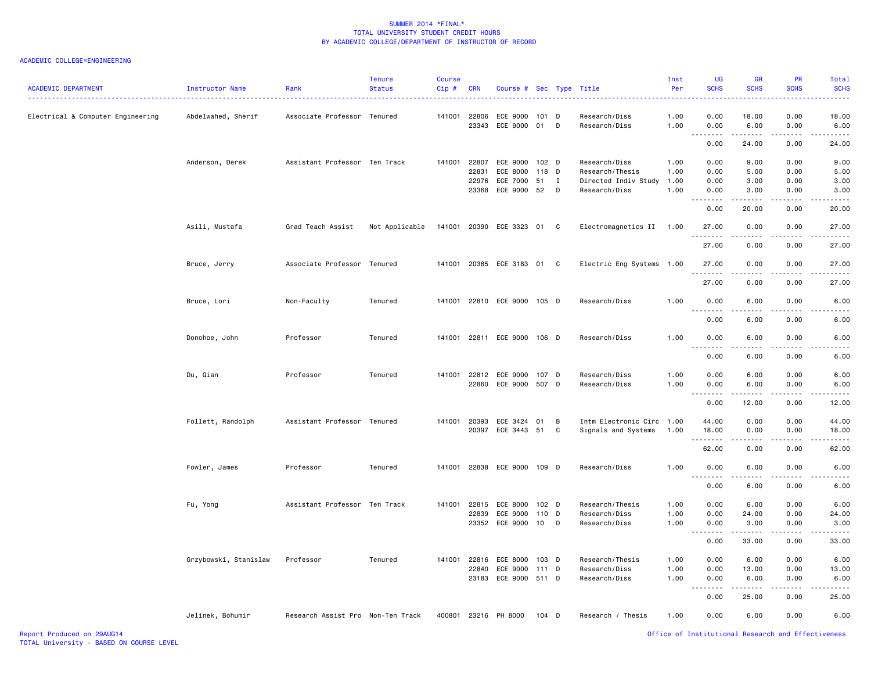| <b>ACADEMIC DEPARTMENT</b>        | Instructor Name       | Rank                              | <b>Tenure</b><br><b>Status</b> | <b>Course</b><br>$Cip$ # | <b>CRN</b>     | Course # Sec Type Title    |                  |              |                                | Inst<br>Per  | <b>UG</b><br><b>SCHS</b>                                                                                                                   | GR<br><b>SCHS</b>     | <b>PR</b><br><b>SCHS</b> | Total<br><b>SCHS</b> |
|-----------------------------------|-----------------------|-----------------------------------|--------------------------------|--------------------------|----------------|----------------------------|------------------|--------------|--------------------------------|--------------|--------------------------------------------------------------------------------------------------------------------------------------------|-----------------------|--------------------------|----------------------|
| Electrical & Computer Engineering | Abdelwahed, Sherif    | Associate Professor Tenured       |                                | 141001                   | 22806<br>23343 | ECE 9000<br>ECE 9000       | 101 D<br>01      | D            | Research/Diss<br>Research/Diss | 1.00<br>1.00 | 0.00<br>0.00                                                                                                                               | 18.00<br>6.00         | 0.00<br>0.00             | 18.00<br>6.00        |
|                                   |                       |                                   |                                |                          |                |                            |                  |              |                                |              | .<br>$\sim$ $\sim$ $\sim$<br>0.00                                                                                                          | .<br>24.00            | .<br>0.00                | .<br>24.00           |
|                                   | Anderson, Derek       | Assistant Professor Ten Track     |                                | 141001                   | 22807          | ECE 9000                   | 102 <sub>D</sub> |              | Research/Diss                  | 1.00         | 0.00                                                                                                                                       | 9.00                  | 0.00                     | 9.00                 |
|                                   |                       |                                   |                                |                          | 22831          | ECE 8000                   | 118 D            |              | Research/Thesis                | 1.00         | 0.00                                                                                                                                       | 5.00                  | 0.00                     | 5.00                 |
|                                   |                       |                                   |                                |                          | 22976          | ECE 7000                   | 51               | $\mathbf{I}$ | Directed Indiv Study           | 1.00         | 0.00                                                                                                                                       | 3.00                  | 0.00                     | 3.00                 |
|                                   |                       |                                   |                                |                          | 23368          | ECE 9000                   | 52               | D            | Research/Diss                  | 1.00         | 0.00<br>$\sim$ $\sim$                                                                                                                      | 3.00                  | 0.00                     | 3.00                 |
|                                   |                       |                                   |                                |                          |                |                            |                  |              |                                |              | 0.00                                                                                                                                       | 20.00                 | 0.00                     | 20.00                |
|                                   | Asili, Mustafa        | Grad Teach Assist                 | Not Applicable                 |                          |                | 141001 20390 ECE 3323 01 C |                  |              | Electromagnetics II 1.00       |              | 27.00<br>$\frac{1}{2}$                                                                                                                     | 0.00                  | 0.00                     | 27.00<br>.           |
|                                   |                       |                                   |                                |                          |                |                            |                  |              |                                |              | 27.00                                                                                                                                      | 0.00                  | 0.00                     | 27.00                |
|                                   | Bruce, Jerry          | Associate Professor Tenured       |                                |                          |                | 141001 20385 ECE 3183 01   |                  | C            | Electric Eng Systems 1.00      |              | 27.00<br><u>.</u>                                                                                                                          | 0.00                  | 0.00                     | 27.00                |
|                                   |                       |                                   |                                |                          |                |                            |                  |              |                                |              | 27.00                                                                                                                                      | 0.00                  | 0.00                     | 27.00                |
|                                   | Bruce, Lori           | Non-Faculty                       | Tenured                        | 141001                   |                | 22810 ECE 9000 105 D       |                  |              | Research/Diss                  | 1.00         | 0.00                                                                                                                                       | 6.00                  | 0.00                     | 6.00                 |
|                                   |                       |                                   |                                |                          |                |                            |                  |              |                                |              | 0.00                                                                                                                                       | 6.00                  | 0.00                     | 6.00                 |
|                                   | Donohoe, John         | Professor                         | Tenured                        | 141001                   |                | 22811 ECE 9000             | 106 D            |              | Research/Diss                  | 1.00         | 0.00                                                                                                                                       | 6.00                  | 0.00                     | 6.00                 |
|                                   |                       |                                   |                                |                          |                |                            |                  |              |                                |              | $\sim$ $\sim$<br>0.00                                                                                                                      | 6.00                  | 0.00                     | 6.00                 |
|                                   | Du, Qian              | Professor                         | Tenured                        |                          | 141001 22812   | ECE 9000                   | 107 D            |              | Research/Diss                  | 1.00         | 0.00                                                                                                                                       | 6.00                  | 0.00                     | 6.00                 |
|                                   |                       |                                   |                                |                          |                | 22860 ECE 9000 507 D       |                  |              | Research/Diss                  | 1.00         | 0.00                                                                                                                                       | 6.00                  | 0.00                     | 6.00                 |
|                                   |                       |                                   |                                |                          |                |                            |                  |              |                                |              | $\sim$ $\sim$<br>$- - -$<br>0.00                                                                                                           | 12.00                 | 0.00                     | 12.00                |
|                                   | Follett, Randolph     | Assistant Professor Tenured       |                                |                          | 141001 20393   | ECE 3424                   | 01               | B            | Intm Electronic Circ 1.00      |              | 44.00                                                                                                                                      | 0.00                  | 0.00                     | 44.00                |
|                                   |                       |                                   |                                |                          | 20397          | ECE 3443                   | 51               | C            | Signals and Systems            | 1.00         | 18.00<br>.                                                                                                                                 | 0.00<br>.             | 0.00<br>.                | 18.00<br>.           |
|                                   |                       |                                   |                                |                          |                |                            |                  |              |                                |              | 62.00                                                                                                                                      | 0.00                  | 0.00                     | 62.00                |
|                                   | Fowler, James         | Professor                         | Tenured                        | 141001                   |                | 22838 ECE 9000             | 109 D            |              | Research/Diss                  | 1.00         | 0.00<br>$\sim$ $\sim$ $\sim$ $\sim$<br>$\frac{1}{2}$                                                                                       | 6.00<br>.             | 0.00                     | 6.00<br>.            |
|                                   |                       |                                   |                                |                          |                |                            |                  |              |                                |              | 0.00                                                                                                                                       | 6.00                  | 0.00                     | 6.00                 |
|                                   | Fu, Yong              | Assistant Professor Ten Track     |                                | 141001                   | 22815          | ECE 8000                   | 102 <sub>D</sub> |              | Research/Thesis                | 1.00         | 0.00                                                                                                                                       | 6.00                  | 0.00                     | 6.00                 |
|                                   |                       |                                   |                                |                          | 22839          | ECE 9000                   | 110 D            |              | Research/Diss                  | 1.00         | 0.00                                                                                                                                       | 24.00                 | 0.00                     | 24.00                |
|                                   |                       |                                   |                                |                          |                | 23352 ECE 9000 10          |                  | D            | Research/Diss                  | 1.00         | 0.00<br>.<br>$\frac{1}{2} \left( \frac{1}{2} \right) \frac{1}{2} \left( \frac{1}{2} \right)$                                               | 3.00<br>.             | 0.00                     | 3.00<br>د د د د د    |
|                                   |                       |                                   |                                |                          |                |                            |                  |              |                                |              | 0.00                                                                                                                                       | 33.00                 | 0.00                     | 33.00                |
|                                   | Grzybowski, Stanislaw | Professor                         | Tenured                        | 141001                   | 22816          | ECE 8000                   | 103 D            |              | Research/Thesis                | 1.00         | 0.00                                                                                                                                       | 6.00                  | 0.00                     | 6.00                 |
|                                   |                       |                                   |                                |                          | 22840          | ECE 9000                   | 111 D            |              | Research/Diss                  | 1.00         | 0.00                                                                                                                                       | 13.00                 | 0.00                     | 13.00                |
|                                   |                       |                                   |                                |                          |                | 23183 ECE 9000 511 D       |                  |              | Research/Diss                  | 1.00         | 0.00                                                                                                                                       | 6.00                  | 0.00                     | 6.00                 |
|                                   |                       |                                   |                                |                          |                |                            |                  |              |                                |              | $\sim$ $\sim$<br>$\frac{1}{2} \left( \frac{1}{2} \right) \left( \frac{1}{2} \right) \left( \frac{1}{2} \right) \left( \frac{1}{2} \right)$ | <b><i><u></u></i></b> | .                        | .                    |
|                                   |                       |                                   |                                |                          |                |                            |                  |              |                                |              | 0.00                                                                                                                                       | 25.00                 | 0.00                     | 25.00                |
|                                   | Jelinek, Bohumir      | Research Assist Pro Non-Ten Track |                                | 400801                   |                | 23216 PH 8000              | 104 D            |              | Research / Thesis              | 1.00         | 0.00                                                                                                                                       | 6.00                  | 0.00                     | 6.00                 |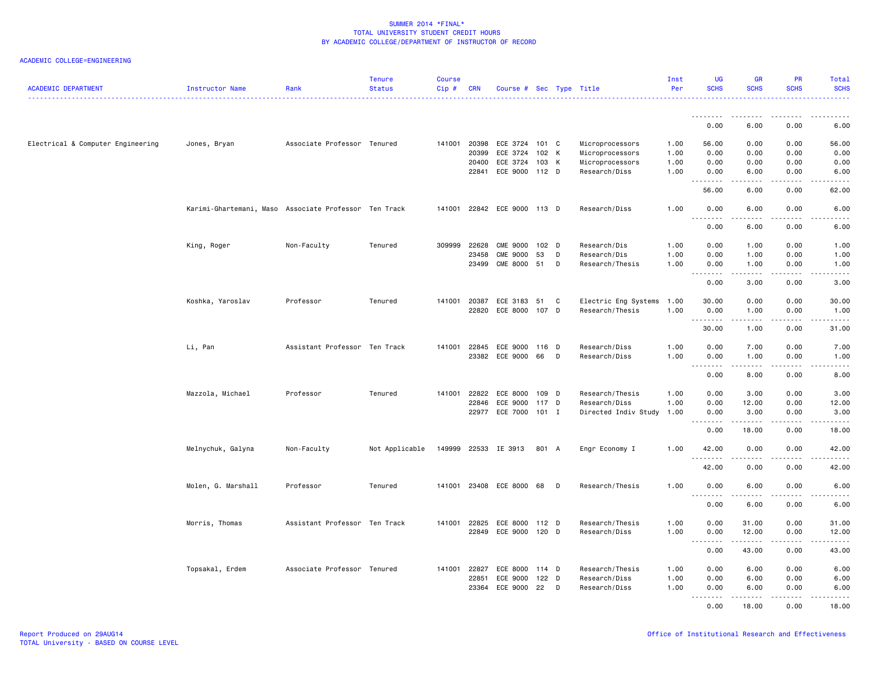| <b>ACADEMIC DEPARTMENT</b>        | <b>Instructor Name</b>                                | Rank                          | <b>Tenure</b><br><b>Status</b> | <b>Course</b><br>$Cip \#$ | <b>CRN</b>   | Course # Sec Type Title     |         |   |                      | Inst<br>Per | UG<br><b>SCHS</b>                        | <b>GR</b><br><b>SCHS</b>                                                                                                                                      | PR<br><b>SCHS</b>            | Total<br><b>SCHS</b>                |
|-----------------------------------|-------------------------------------------------------|-------------------------------|--------------------------------|---------------------------|--------------|-----------------------------|---------|---|----------------------|-------------|------------------------------------------|---------------------------------------------------------------------------------------------------------------------------------------------------------------|------------------------------|-------------------------------------|
|                                   |                                                       |                               |                                |                           |              |                             |         |   | .                    |             | <u> - - - - - - - -</u>                  |                                                                                                                                                               |                              |                                     |
|                                   |                                                       |                               |                                |                           |              |                             |         |   |                      |             | 0.00                                     | 6.00                                                                                                                                                          | 0.00                         | 6.00                                |
| Electrical & Computer Engineering | Jones, Bryan                                          | Associate Professor Tenured   |                                |                           | 141001 20398 | ECE 3724 101 C              |         |   | Microprocessors      | 1.00        | 56.00                                    | 0.00                                                                                                                                                          | 0.00                         | 56.00                               |
|                                   |                                                       |                               |                                |                           | 20399        | ECE 3724                    | 102 K   |   | Microprocessors      | 1.00        | 0.00                                     | 0.00                                                                                                                                                          | 0.00                         | 0.00                                |
|                                   |                                                       |                               |                                |                           | 20400        | ECE 3724                    | 103 K   |   | Microprocessors      | 1.00        | 0.00                                     | 0.00                                                                                                                                                          | 0.00                         | 0.00                                |
|                                   |                                                       |                               |                                |                           | 22841        | ECE 9000                    | 112 D   |   | Research/Diss        | 1.00        | 0.00<br>1.1.1.1.1.1.1                    | 6.00                                                                                                                                                          | 0.00                         | 6.00<br>$\sim$ $\sim$ $\sim$ $\sim$ |
|                                   |                                                       |                               |                                |                           |              |                             |         |   |                      |             | 56.00                                    | 6.00                                                                                                                                                          | 0.00                         | 62.00                               |
|                                   | Karimi-Ghartemani, Maso Associate Professor Ten Track |                               |                                |                           |              | 141001 22842 ECE 9000 113 D |         |   | Research/Diss        | 1.00        | 0.00                                     | 6.00                                                                                                                                                          | 0.00                         | 6.00                                |
|                                   |                                                       |                               |                                |                           |              |                             |         |   |                      |             | $ -$<br>-----<br>0.00                    | 6.00                                                                                                                                                          | 0.00                         | 6.00                                |
|                                   | King, Roger                                           | Non-Faculty                   | Tenured                        | 309999                    | 22628        | <b>CME 9000</b>             | 102 D   |   | Research/Dis         | 1.00        | 0.00                                     | 1.00                                                                                                                                                          | 0.00                         | 1.00                                |
|                                   |                                                       |                               |                                |                           | 23458        | <b>CME 9000</b>             | 53      | D | Research/Dis         | 1.00        | 0.00                                     | 1.00                                                                                                                                                          | 0.00                         | 1.00                                |
|                                   |                                                       |                               |                                |                           | 23499        | <b>CME 8000</b>             | 51      | D | Research/Thesis      | 1.00        | 0.00<br>.                                | 1.00<br>.                                                                                                                                                     | 0.00<br>.                    | 1.00<br><u>.</u>                    |
|                                   |                                                       |                               |                                |                           |              |                             |         |   |                      |             | 0.00                                     | 3.00                                                                                                                                                          | 0.00                         | 3.00                                |
|                                   | Koshka, Yaroslav                                      | Professor                     | Tenured                        |                           | 141001 20387 | ECE 3183                    | 51      | C | Electric Eng Systems | 1.00        | 30.00                                    | 0.00                                                                                                                                                          | 0.00                         | 30.00                               |
|                                   |                                                       |                               |                                |                           | 22820        | ECE 8000 107 D              |         |   | Research/Thesis      | 1.00        | 0.00                                     | 1.00                                                                                                                                                          | 0.00                         | 1.00                                |
|                                   |                                                       |                               |                                |                           |              |                             |         |   |                      |             | 30.00                                    | $\frac{1}{2} \left( \frac{1}{2} \right) \left( \frac{1}{2} \right) \left( \frac{1}{2} \right) \left( \frac{1}{2} \right) \left( \frac{1}{2} \right)$<br>1.00  | .<br>0.00                    | .<br>31.00                          |
|                                   | Li, Pan                                               | Assistant Professor Ten Track |                                |                           | 141001 22845 | ECE 9000                    | 116 D   |   | Research/Diss        | 1.00        | 0.00                                     | 7.00                                                                                                                                                          | 0.00                         | 7.00                                |
|                                   |                                                       |                               |                                |                           |              | 23382 ECE 9000              | 66      | D | Research/Diss        | 1.00        | 0.00<br>$- - - - -$                      | 1.00<br>.                                                                                                                                                     | 0.00<br>د د د د              | 1.00<br>.                           |
|                                   |                                                       |                               |                                |                           |              |                             |         |   |                      |             | $\sim$ $\sim$ $\sim$<br>0.00             | 8.00                                                                                                                                                          | 0.00                         | 8.00                                |
|                                   | Mazzola, Michael                                      | Professor                     | Tenured                        | 141001                    | 22822        | ECE 8000                    | 109 D   |   | Research/Thesis      | 1.00        | 0.00                                     | 3.00                                                                                                                                                          | 0.00                         | 3.00                                |
|                                   |                                                       |                               |                                |                           | 22846        | ECE 9000                    | 117 D   |   | Research/Diss        | 1.00        | 0.00                                     | 12.00                                                                                                                                                         | 0.00                         | 12.00                               |
|                                   |                                                       |                               |                                |                           |              | 22977 ECE 7000 101 I        |         |   | Directed Indiv Study | 1.00        | 0.00                                     | 3.00                                                                                                                                                          | 0.00                         | 3.00                                |
|                                   |                                                       |                               |                                |                           |              |                             |         |   |                      |             | .<br>0.00                                | $\frac{1}{2} \left( \frac{1}{2} \right) \left( \frac{1}{2} \right) \left( \frac{1}{2} \right) \left( \frac{1}{2} \right) \left( \frac{1}{2} \right)$<br>18.00 | $\sim$ $\sim$ $\sim$<br>0.00 | $\omega$ is $\omega$ in .<br>18.00  |
|                                   | Melnychuk, Galyna                                     | Non-Faculty                   | Not Applicable                 |                           |              | 149999 22533 IE 3913        | 801 A   |   | Engr Economy I       | 1.00        | 42.00                                    | 0.00                                                                                                                                                          | 0.00                         | 42.00                               |
|                                   |                                                       |                               |                                |                           |              |                             |         |   |                      |             | <u>.</u><br>42.00                        | -----<br>0.00                                                                                                                                                 | .<br>0.00                    | .<br>42.00                          |
|                                   | Molen, G. Marshall                                    | Professor                     | Tenured                        |                           |              | 141001 23408 ECE 8000       | 68      | D | Research/Thesis      | 1.00        | 0.00                                     | 6.00                                                                                                                                                          | 0.00                         | 6.00                                |
|                                   |                                                       |                               |                                |                           |              |                             |         |   |                      |             | $\sim$ $\sim$ $\sim$<br><b>.</b><br>0.00 | .<br>6.00                                                                                                                                                     | $\frac{1}{2}$<br>0.00        | .<br>6.00                           |
|                                   |                                                       |                               |                                |                           |              |                             |         |   |                      |             |                                          |                                                                                                                                                               |                              |                                     |
|                                   | Morris, Thomas                                        | Assistant Professor Ten Track |                                | 141001                    | 22825        | ECE 8000                    | 112 D   |   | Research/Thesis      | 1.00        | 0.00                                     | 31.00                                                                                                                                                         | 0.00                         | 31.00                               |
|                                   |                                                       |                               |                                |                           |              | 22849 ECE 9000              | 120 D   |   | Research/Diss        | 1.00        | 0.00<br>.                                | 12.00                                                                                                                                                         | 0.00                         | 12.00<br>وبالمنابذ                  |
|                                   |                                                       |                               |                                |                           |              |                             |         |   |                      |             | 0.00                                     | 43.00                                                                                                                                                         | 0.00                         | 43.00                               |
|                                   | Topsakal, Erdem                                       | Associate Professor Tenured   |                                | 141001 22827              |              | ECE 8000                    | 114 D   |   | Research/Thesis      | 1.00        | 0.00                                     | 6.00                                                                                                                                                          | 0.00                         | 6.00                                |
|                                   |                                                       |                               |                                |                           | 22851        | ECE 9000                    | $122$ D |   | Research/Diss        | 1.00        | 0.00                                     | 6.00                                                                                                                                                          | 0.00                         | 6.00                                |
|                                   |                                                       |                               |                                |                           | 23364        | ECE 9000                    | 22      | D | Research/Diss        | 1.00        | 0.00                                     | 6.00                                                                                                                                                          | 0.00                         | 6.00                                |
|                                   |                                                       |                               |                                |                           |              |                             |         |   |                      |             | .<br>0.00                                | $- - - - -$<br>18,00                                                                                                                                          | .<br>0.00                    | $\frac{1}{2}$<br>18.00              |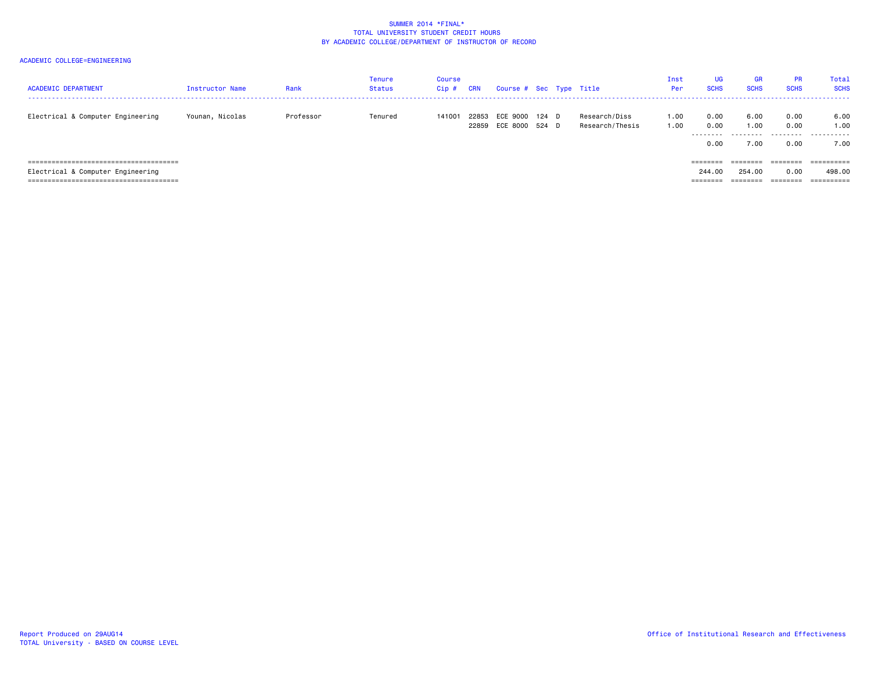| <b>ACADEMIC DEPARTMENT</b>        | <b>Instructor Name</b> | Rank      | Tenure<br>Status | <b>Course</b><br>Cip# | <b>CRN</b>     | Course # Sec Type Title    |       |                                  | Inst<br>Per  | <b>UG</b><br><b>SCHS</b>  | <b>GR</b><br><b>SCHS</b>    | <b>PR</b><br><b>SCHS</b>  | Total<br><b>SCHS</b>      |
|-----------------------------------|------------------------|-----------|------------------|-----------------------|----------------|----------------------------|-------|----------------------------------|--------------|---------------------------|-----------------------------|---------------------------|---------------------------|
| Electrical & Computer Engineering | Younan, Nicolas        | Professor | Tenured          | 141001                | 22853<br>22859 | ECE 9000<br>ECE 8000 524 D | 124 D | Research/Diss<br>Research/Thesis | 1.00<br>1.00 | 0.00<br>0.00<br>.<br>0.00 | 6.00<br>1.00<br>.<br>(0.00) | 0.00<br>0.00<br>.<br>0.00 | 6.00<br>1.00<br>.<br>7.00 |
|                                   |                        |           |                  |                       |                |                            |       |                                  |              | ========                  | ========                    | $=$ = = = = = = =         | ==========                |
| Electrical & Computer Engineering |                        |           |                  |                       |                |                            |       |                                  |              | 244.00                    | 254,00                      | 0.00                      | 498,00                    |
|                                   |                        |           |                  |                       |                |                            |       |                                  |              | ========                  | ========                    | ========                  | $=$ = = = = = = = = =     |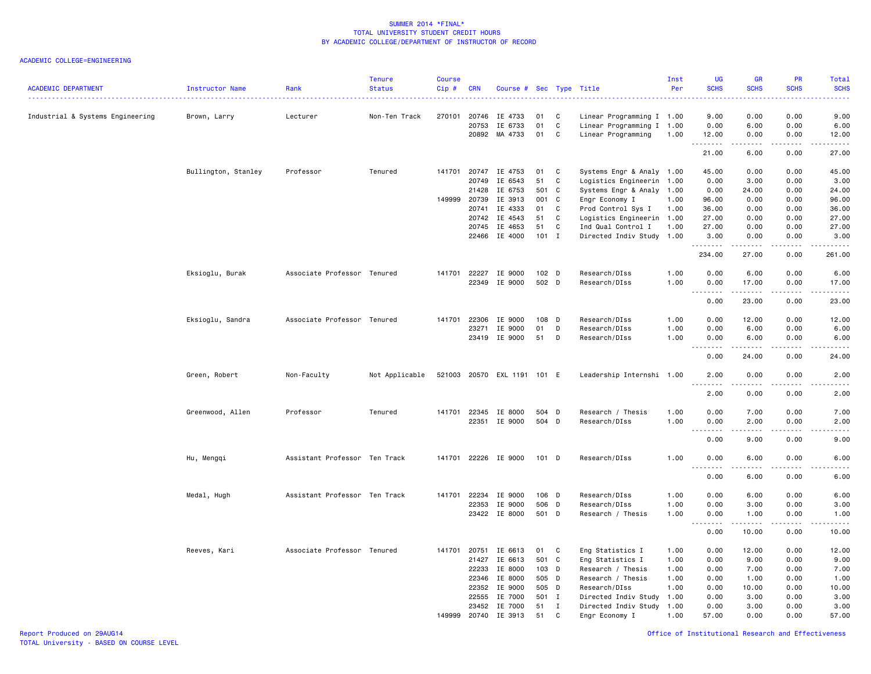| <b>ACADEMIC DEPARTMENT</b>       | Instructor Name     | Rank                          | <b>Tenure</b><br><b>Status</b> | Course<br>Cip# | <b>CRN</b>                                       | Course #                                            |                                      |                               | Sec Type Title                                                                                  | Inst<br>Per                          | UG<br><b>SCHS</b>                                                                                                                                                                            | GR<br><b>SCHS</b>                      | PR<br><b>SCHS</b>                    | Total<br><b>SCHS</b>                   |
|----------------------------------|---------------------|-------------------------------|--------------------------------|----------------|--------------------------------------------------|-----------------------------------------------------|--------------------------------------|-------------------------------|-------------------------------------------------------------------------------------------------|--------------------------------------|----------------------------------------------------------------------------------------------------------------------------------------------------------------------------------------------|----------------------------------------|--------------------------------------|----------------------------------------|
| Industrial & Systems Engineering | Brown, Larry        | Lecturer                      | Non-Ten Track                  |                | 270101 20746<br>20753                            | IE 4733<br>IE 6733<br>20892 MA 4733                 | 01<br>01<br>01                       | C<br>C<br>C                   | Linear Programming I 1.00<br>Linear Programming I 1.00<br>Linear Programming                    | 1.00                                 | 9.00<br>0.00<br>12.00                                                                                                                                                                        | 0.00<br>6.00<br>0.00                   | 0.00<br>0.00<br>0.00                 | 9.00<br>6.00<br>12.00                  |
|                                  |                     |                               |                                |                |                                                  |                                                     |                                      |                               |                                                                                                 |                                      | <u>.</u><br>21.00                                                                                                                                                                            | 6.00                                   | $\sim$ $\sim$ $\sim$ $\sim$<br>0.00  | $\omega$ is $\omega$ in .<br>27.00     |
|                                  | Bullington, Stanley | Professor                     | Tenured                        |                | 141701 20747<br>20749<br>21428                   | IE 4753<br>IE 6543<br>IE 6753                       | 01<br>51<br>501                      | C<br>C<br><b>C</b>            | Systems Engr & Analy 1.00<br>Logistics Engineerin 1.00                                          |                                      | 45.00<br>0.00                                                                                                                                                                                | 0.00<br>3.00<br>24.00                  | 0.00<br>0.00<br>0.00                 | 45.00<br>3.00                          |
|                                  |                     |                               |                                |                | 149999 20739<br>20741<br>20742                   | IE 3913<br>IE 4333<br>IE 4543                       | 001<br>01<br>51                      | C<br>C<br>C                   | Systems Engr & Analy 1.00<br>Engr Economy I<br>Prod Control Sys I<br>Logistics Engineerin 1.00  | 1.00<br>1.00                         | 0.00<br>96.00<br>36.00<br>27.00                                                                                                                                                              | 0.00<br>0.00<br>0.00                   | 0.00<br>0.00<br>0.00                 | 24.00<br>96.00<br>36.00<br>27.00       |
|                                  |                     |                               |                                |                | 20745<br>22466                                   | IE 4653<br>IE 4000                                  | 51<br>$101$ I                        | C                             | Ind Qual Control I<br>Directed Indiv Study 1.00                                                 | 1.00                                 | 27.00<br>3.00<br>.                                                                                                                                                                           | 0.00<br>0.00<br>.                      | 0.00<br>0.00<br>$- - - -$            | 27.00<br>3.00<br>.                     |
|                                  |                     |                               |                                |                |                                                  |                                                     |                                      |                               |                                                                                                 |                                      | 234.00                                                                                                                                                                                       | 27.00                                  | 0.00                                 | 261.00                                 |
|                                  | Eksioglu, Burak     | Associate Professor Tenured   |                                |                | 141701 22227<br>22349                            | IE 9000<br>IE 9000                                  | 102 D<br>502 D                       |                               | Research/DIss<br>Research/DIss                                                                  | 1.00<br>1.00                         | 0.00<br>0.00<br>$\sim$ $\sim$ $\sim$<br>$\frac{1}{2} \left( \frac{1}{2} \right) \left( \frac{1}{2} \right) \left( \frac{1}{2} \right) \left( \frac{1}{2} \right) \left( \frac{1}{2} \right)$ | 6.00<br>17.00<br>.                     | 0.00<br>0.00<br>.                    | 6.00<br>17.00<br>وبالمنابذ             |
|                                  |                     |                               |                                |                |                                                  |                                                     |                                      |                               |                                                                                                 |                                      | 0.00                                                                                                                                                                                         | 23.00                                  | 0.00                                 | 23.00                                  |
|                                  | Eksioglu, Sandra    | Associate Professor Tenured   |                                | 141701         | 22306<br>23271                                   | IE 9000<br>IE 9000<br>23419 IE 9000                 | 108 D<br>01<br>51                    | D<br>D                        | Research/DIss<br>Research/DIss<br>Research/DIss                                                 | 1.00<br>1.00<br>1.00                 | 0.00<br>0.00<br>0.00                                                                                                                                                                         | 12.00<br>6.00<br>6.00                  | 0.00<br>0.00<br>0.00                 | 12.00<br>6.00<br>6.00                  |
|                                  |                     |                               |                                |                |                                                  |                                                     |                                      |                               |                                                                                                 |                                      | .<br>0.00                                                                                                                                                                                    | <u>.</u><br>24.00                      | $- - - -$<br>0.00                    | $- - - - -$<br>24.00                   |
|                                  | Green, Robert       | Non-Faculty                   | Not Applicable                 |                |                                                  | 521003 20570 EXL 1191 101 E                         |                                      |                               | Leadership Internshi 1.00                                                                       |                                      | 2.00<br>$\sim$ $\sim$ $\sim$<br>2.00                                                                                                                                                         | 0.00<br>0.00                           | 0.00<br>0.00                         | 2.00<br>.<br>2.00                      |
|                                  | Greenwood, Allen    | Professor                     | Tenured                        |                | 141701 22345                                     | IE 8000                                             | 504                                  | D                             | Research / Thesis                                                                               | 1.00                                 | 0.00                                                                                                                                                                                         | 7.00                                   | 0.00                                 | 7.00                                   |
|                                  |                     |                               |                                |                | 22351                                            | IE 9000                                             | 504 D                                |                               | Research/DIss                                                                                   | 1.00                                 | 0.00<br>$\sim$ $\sim$ $\sim$<br>$\sim$ $\sim$ $\sim$ $\sim$<br>0.00                                                                                                                          | 2.00<br>9.00                           | 0.00<br>والمحامر<br>0.00             | 2.00<br>.<br>9.00                      |
|                                  | Hu, Mengqi          | Assistant Professor Ten Track |                                |                |                                                  | 141701 22226 IE 9000                                | $101$ D                              |                               | Research/DIss                                                                                   | 1.00                                 | 0.00<br>$  -$<br>$\frac{1}{2}$                                                                                                                                                               | 6.00<br>.                              | 0.00<br>د د د د                      | 6.00<br>.                              |
|                                  |                     |                               |                                |                |                                                  |                                                     |                                      |                               |                                                                                                 |                                      | 0.00                                                                                                                                                                                         | 6.00                                   | 0.00                                 | 6.00                                   |
|                                  | Medal, Hugh         | Assistant Professor Ten Track |                                | 141701         | 22234<br>22353                                   | IE 9000<br>IE 9000<br>23422 IE 8000                 | 106 D<br>506 D<br>501 D              |                               | Research/DIss<br>Research/DIss<br>Research / Thesis                                             | 1.00<br>1.00<br>1.00                 | 0.00<br>0.00<br>0.00                                                                                                                                                                         | 6.00<br>3.00<br>1.00                   | 0.00<br>0.00<br>0.00                 | 6.00<br>3.00<br>1.00                   |
|                                  |                     |                               |                                |                |                                                  |                                                     |                                      |                               |                                                                                                 |                                      | $\sim$ $\sim$ $\sim$<br>$\frac{1}{2}$<br>0.00                                                                                                                                                | $- - - - -$<br>10.00                   | ----<br>0.00                         | $- - - -$<br>10.00                     |
|                                  | Reeves, Kari        | Associate Professor Tenured   |                                |                | 141701 20751<br>21427<br>22233<br>22346<br>22352 | IE 6613<br>IE 6613<br>IE 8000<br>IE 8000<br>IE 9000 | 01<br>501 C<br>103<br>505 D<br>505 D | C<br>D                        | Eng Statistics I<br>Eng Statistics I<br>Research / Thesis<br>Research / Thesis<br>Research/DIss | 1.00<br>1.00<br>1.00<br>1.00<br>1.00 | 0.00<br>0.00<br>0.00<br>0.00<br>0.00                                                                                                                                                         | 12.00<br>9.00<br>7.00<br>1.00<br>10.00 | 0.00<br>0.00<br>0.00<br>0.00<br>0.00 | 12.00<br>9.00<br>7.00<br>1.00<br>10.00 |
|                                  |                     |                               |                                |                | 22555<br>23452<br>149999 20740                   | IE 7000<br>IE 7000<br>IE 3913                       | 501<br>51<br>51                      | $\mathbf{I}$<br><b>I</b><br>C | Directed Indiv Study<br>Directed Indiv Study<br>Engr Economy I                                  | 1.00<br>1.00<br>1.00                 | 0.00<br>0.00<br>57.00                                                                                                                                                                        | 3.00<br>3.00<br>0.00                   | 0.00<br>0.00<br>0.00                 | 3.00<br>3.00<br>57.00                  |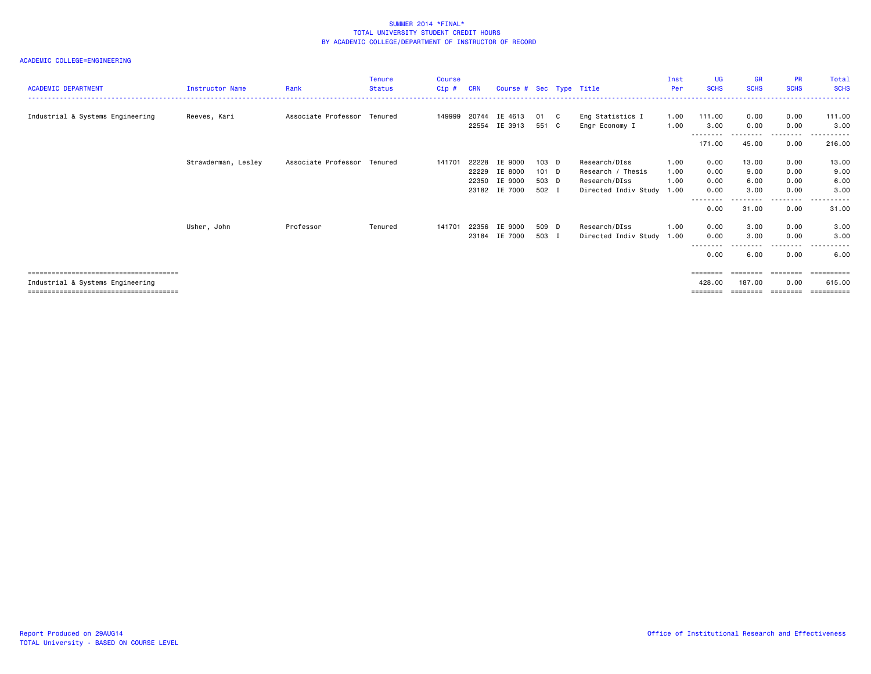| <b>ACADEMIC DEPARTMENT</b>       | <b>Instructor Name</b> | Rank                        | <b>Tenure</b><br><b>Status</b> | <b>Course</b><br>Cip# | <b>CRN</b> | Course # Sec Type Title |       |     |                           | Inst<br>Per | UG<br><b>SCHS</b> | <b>GR</b><br><b>SCHS</b> | <b>PR</b><br><b>SCHS</b> | Total<br><b>SCHS</b> |
|----------------------------------|------------------------|-----------------------------|--------------------------------|-----------------------|------------|-------------------------|-------|-----|---------------------------|-------------|-------------------|--------------------------|--------------------------|----------------------|
|                                  |                        |                             |                                |                       |            |                         |       |     |                           |             |                   |                          |                          |                      |
| Industrial & Systems Engineering | Reeves, Kari           | Associate Professor Tenured |                                | 149999                | 20744      | IE 4613                 | 01    | - C | Eng Statistics I          | 1.00        | 111.00            | 0.00                     | 0.00                     | 111.00               |
|                                  |                        |                             |                                |                       | 22554      | IE 3913                 | 551 C |     | Engr Economy I            | 1.00        | 3.00              | 0.00                     | 0.00<br>-----            | 3.00                 |
|                                  |                        |                             |                                |                       |            |                         |       |     |                           |             | 171.00            | 45.00                    | 0.00                     | 216.00               |
|                                  | Strawderman, Lesley    | Associate Professor Tenured |                                | 141701                | 22228      | IE 9000                 | 103 D |     | Research/DIss             | 1.00        | 0.00              | 13.00                    | 0.00                     | 13.00                |
|                                  |                        |                             |                                |                       | 22229      | IE 8000                 | 101 D |     | Research / Thesis         | 1.00        | 0.00              | 9.00                     | 0.00                     | 9.00                 |
|                                  |                        |                             |                                |                       | 22350      | IE 9000                 | 503 D |     | Research/DIss             | 1.00        | 0.00              | 6.00                     | 0.00                     | 6.00                 |
|                                  |                        |                             |                                |                       |            | 23182 IE 7000           | 502 I |     | Directed Indiv Study      | 1.00        | 0.00              | 3.00                     | 0.00                     | 3.00                 |
|                                  |                        |                             |                                |                       |            |                         |       |     |                           |             | 0.00              | 31.00                    | .<br>0.00                | . <u>.</u><br>31.00  |
|                                  | Usher, John            | Professor                   | Tenured                        | 141701                | 22356      | IE 9000                 | 509 D |     | Research/DIss             | 1.00        | 0.00              | 3.00                     | 0.00                     | 3.00                 |
|                                  |                        |                             |                                |                       | 23184      | IE 7000                 | 503 I |     | Directed Indiv Study 1.00 |             | 0.00              | 3.00                     | 0.00                     | 3.00                 |
|                                  |                        |                             |                                |                       |            |                         |       |     |                           |             | 0.00              | 6.00                     | .<br>0.00                | 6.00                 |
|                                  |                        |                             |                                |                       |            |                         |       |     |                           |             |                   |                          |                          | ==========           |
| Industrial & Systems Engineering |                        |                             |                                |                       |            |                         |       |     |                           |             | 428,00            | 187.00                   | 0.00                     | 615,00               |
|                                  |                        |                             |                                |                       |            |                         |       |     |                           |             | ========          | ========                 | ---------                | ==========           |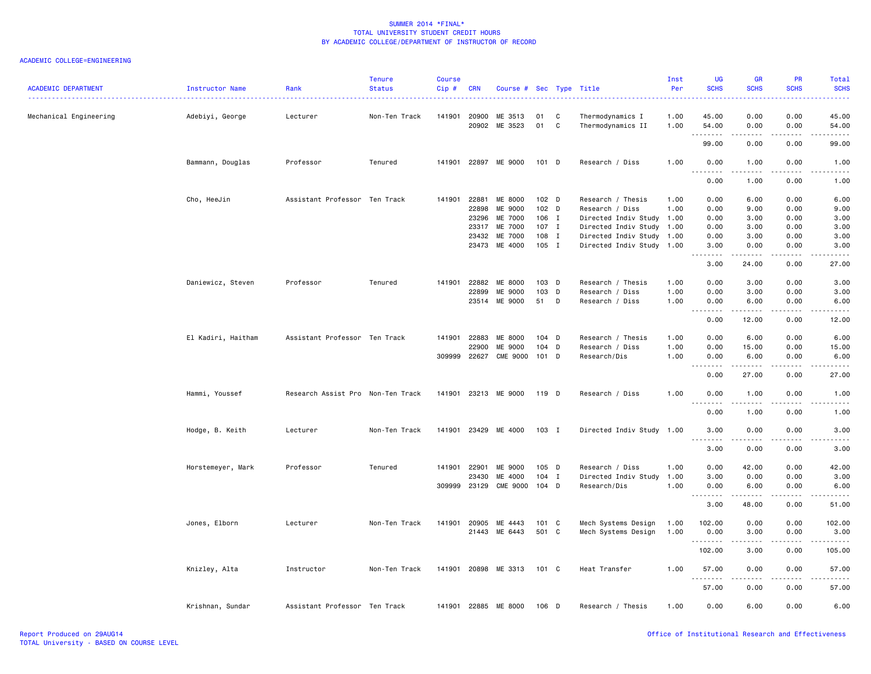| <b>ACADEMIC DEPARTMENT</b> | Instructor Name    | Rank                              | <b>Tenure</b><br><b>Status</b> | Course<br>Cip# | <b>CRN</b>     | Course #             |                  |              | Sec Type Title                        | Inst<br>Per  | UG<br><b>SCHS</b>                 | <b>GR</b><br><b>SCHS</b>                                                                                                          | <b>PR</b><br><b>SCHS</b> | <b>Total</b><br><b>SCHS</b>                                                                                                        |
|----------------------------|--------------------|-----------------------------------|--------------------------------|----------------|----------------|----------------------|------------------|--------------|---------------------------------------|--------------|-----------------------------------|-----------------------------------------------------------------------------------------------------------------------------------|--------------------------|------------------------------------------------------------------------------------------------------------------------------------|
| Mechanical Engineering     | Adebiyi, George    | Lecturer                          | Non-Ten Track                  | 141901         | 20900<br>20902 | ME 3513<br>ME 3523   | 01<br>01         | C<br>C       | Thermodynamics I<br>Thermodynamics II | 1.00<br>1.00 | 45.00<br>54.00                    | 0.00<br>0.00                                                                                                                      | 0.00<br>0.00             | 45.00<br>54.00                                                                                                                     |
|                            |                    |                                   |                                |                |                |                      |                  |              |                                       |              | .<br>99.00                        | .<br>0.00                                                                                                                         | 0.00                     | $\frac{1}{2} \left( \frac{1}{2} \right) \left( \frac{1}{2} \right) \left( \frac{1}{2} \right) \left( \frac{1}{2} \right)$<br>99.00 |
|                            | Bammann, Douglas   | Professor                         | Tenured                        |                |                | 141901 22897 ME 9000 | 101 D            |              | Research / Diss                       | 1.00         | 0.00                              | 1.00                                                                                                                              | 0.00                     | 1.00                                                                                                                               |
|                            |                    |                                   |                                |                |                |                      |                  |              |                                       |              | $\sim$ $\sim$ $\sim$<br>.<br>0.00 | .<br>1.00                                                                                                                         | $\frac{1}{2}$<br>0.00    | ----<br>1.00                                                                                                                       |
|                            | Cho, HeeJin        | Assistant Professor Ten Track     |                                | 141901 22881   |                | ME 8000              | 102 <sub>D</sub> |              | Research / Thesis                     | 1.00         | 0.00                              | 6.00                                                                                                                              | 0.00                     | 6.00                                                                                                                               |
|                            |                    |                                   |                                |                | 22898          | ME 9000              | 102 D            |              | Research / Diss                       | 1.00         | 0.00                              | 9.00                                                                                                                              | 0.00                     | 9.00                                                                                                                               |
|                            |                    |                                   |                                |                | 23296          | ME 7000              | 106 I            |              | Directed Indiv Study 1.00             |              | 0.00                              | 3.00                                                                                                                              | 0.00                     | 3.00                                                                                                                               |
|                            |                    |                                   |                                |                | 23317          | ME 7000              | 107 I            |              | Directed Indiv Study 1.00             |              | 0.00                              | 3.00                                                                                                                              | 0.00                     | 3.00                                                                                                                               |
|                            |                    |                                   |                                |                | 23432          | ME 7000              | 108 I            |              | Directed Indiv Study 1.00             |              | 0.00                              | 3.00                                                                                                                              | 0.00                     | 3.00                                                                                                                               |
|                            |                    |                                   |                                |                | 23473          | ME 4000              | 105 I            |              | Directed Indiv Study 1.00             |              | 3.00<br>.<br>$\sim$ $\sim$ .      | 0.00<br>.                                                                                                                         | 0.00<br>$\frac{1}{2}$    | 3.00<br>$\frac{1}{2}$                                                                                                              |
|                            |                    |                                   |                                |                |                |                      |                  |              |                                       |              | 3.00                              | 24.00                                                                                                                             | 0.00                     | 27.00                                                                                                                              |
|                            | Daniewicz, Steven  | Professor                         | Tenured                        | 141901         | 22882          | ME 8000              | 103 D            |              | Research / Thesis                     | 1.00         | 0.00                              | 3.00                                                                                                                              | 0.00                     | 3.00                                                                                                                               |
|                            |                    |                                   |                                |                | 22899          | ME 9000              | 103              | D            |                                       | 1.00         |                                   | 3.00                                                                                                                              | 0.00                     |                                                                                                                                    |
|                            |                    |                                   |                                |                |                |                      |                  |              | Research / Diss                       |              | 0.00                              |                                                                                                                                   |                          | 3.00                                                                                                                               |
|                            |                    |                                   |                                |                | 23514          | ME 9000              | 51               | D            | Research / Diss                       | 1.00         | 0.00<br>.<br>$\sim$ $\sim$        | 6.00<br>. <u>.</u> .                                                                                                              | 0.00<br>.                | 6.00<br>$\frac{1}{2}$                                                                                                              |
|                            |                    |                                   |                                |                |                |                      |                  |              |                                       |              | 0.00                              | 12.00                                                                                                                             | 0.00                     | 12.00                                                                                                                              |
|                            | El Kadiri, Haitham | Assistant Professor Ten Track     |                                | 141901         | 22883          | ME 8000              | 104 D            |              | Research / Thesis                     | 1.00         | 0.00                              | 6.00                                                                                                                              | 0.00                     | 6.00                                                                                                                               |
|                            |                    |                                   |                                |                | 22900          | ME 9000              | 104 D            |              | Research / Diss                       | 1.00         | 0.00                              | 15.00                                                                                                                             | 0.00                     | 15.00                                                                                                                              |
|                            |                    |                                   |                                | 309999         | 22627          | CME 9000 101 D       |                  |              | Research/Dis                          | 1.00         | 0.00<br>.                         | 6.00<br>.                                                                                                                         | 0.00<br>.                | 6.00<br>.                                                                                                                          |
|                            |                    |                                   |                                |                |                |                      |                  |              |                                       |              | 0.00                              | 27.00                                                                                                                             | 0.00                     | 27.00                                                                                                                              |
|                            | Hammi, Youssef     | Research Assist Pro Non-Ten Track |                                |                |                | 141901 23213 ME 9000 | 119 D            |              | Research / Diss                       | 1.00         | 0.00<br>$\sim$ $\sim$             | 1.00                                                                                                                              | 0.00                     | 1.00                                                                                                                               |
|                            |                    |                                   |                                |                |                |                      |                  |              |                                       |              | 0.00                              | 1.00                                                                                                                              | 0.00                     | 1.00                                                                                                                               |
|                            | Hodge, B. Keith    | Lecturer                          | Non-Ten Track                  |                |                | 141901 23429 ME 4000 | 103 I            |              | Directed Indiv Study 1.00             |              | 3.00                              | 0.00                                                                                                                              | 0.00                     | 3.00                                                                                                                               |
|                            |                    |                                   |                                |                |                |                      |                  |              |                                       |              | د د د د<br>3.00                   | $\frac{1}{2} \left( \frac{1}{2} \right) \left( \frac{1}{2} \right) \left( \frac{1}{2} \right) \left( \frac{1}{2} \right)$<br>0.00 | .<br>0.00                | 3.00                                                                                                                               |
|                            | Horstemeyer, Mark  | Professor                         | Tenured                        | 141901 22901   |                | ME 9000              | 105 D            |              | Research / Diss                       | 1.00         | 0.00                              | 42.00                                                                                                                             | 0.00                     | 42.00                                                                                                                              |
|                            |                    |                                   |                                |                | 23430          | ME 4000              | 104              | $\mathbf{I}$ | Directed Indiv Study                  | 1.00         | 3.00                              | 0.00                                                                                                                              | 0.00                     | 3.00                                                                                                                               |
|                            |                    |                                   |                                | 309999         | 23129          | <b>CME 9000</b>      | 104 D            |              | Research/Dis                          | 1.00         | 0.00                              | 6.00                                                                                                                              | 0.00                     | 6.00                                                                                                                               |
|                            |                    |                                   |                                |                |                |                      |                  |              |                                       |              | - - -<br>.<br>3.00                | 48.00                                                                                                                             | 0.00                     | 51.00                                                                                                                              |
|                            | Jones, Elborn      | Lecturer                          | Non-Ten Track                  | 141901         | 20905          | ME 4443              | 101 C            |              | Mech Systems Design                   | 1.00         | 102.00                            | 0.00                                                                                                                              | 0.00                     | 102.00                                                                                                                             |
|                            |                    |                                   |                                |                |                |                      |                  |              |                                       |              |                                   |                                                                                                                                   |                          |                                                                                                                                    |
|                            |                    |                                   |                                |                | 21443          | ME 6443              | 501 C            |              | Mech Systems Design                   | 1.00         | 0.00<br>.                         | 3.00<br>.                                                                                                                         | 0.00<br>.                | 3.00<br>.                                                                                                                          |
|                            |                    |                                   |                                |                |                |                      |                  |              |                                       |              | 102.00                            | 3.00                                                                                                                              | 0.00                     | 105.00                                                                                                                             |
|                            | Knizley, Alta      | Instructor                        | Non-Ten Track                  | 141901         |                | 20898 ME 3313        | 101 C            |              | Heat Transfer                         | 1.00         | 57.00<br>.                        | 0.00                                                                                                                              | 0.00<br>.                | 57.00                                                                                                                              |
|                            |                    |                                   |                                |                |                |                      |                  |              |                                       |              | 57.00                             | 0.00                                                                                                                              | 0.00                     | 57.00                                                                                                                              |
|                            | Krishnan, Sundar   | Assistant Professor Ten Track     |                                | 141901         | 22885          | ME 8000              | 106              | D            | Research / Thesis                     | 1.00         | 0.00                              | 6.00                                                                                                                              | 0.00                     | 6.00                                                                                                                               |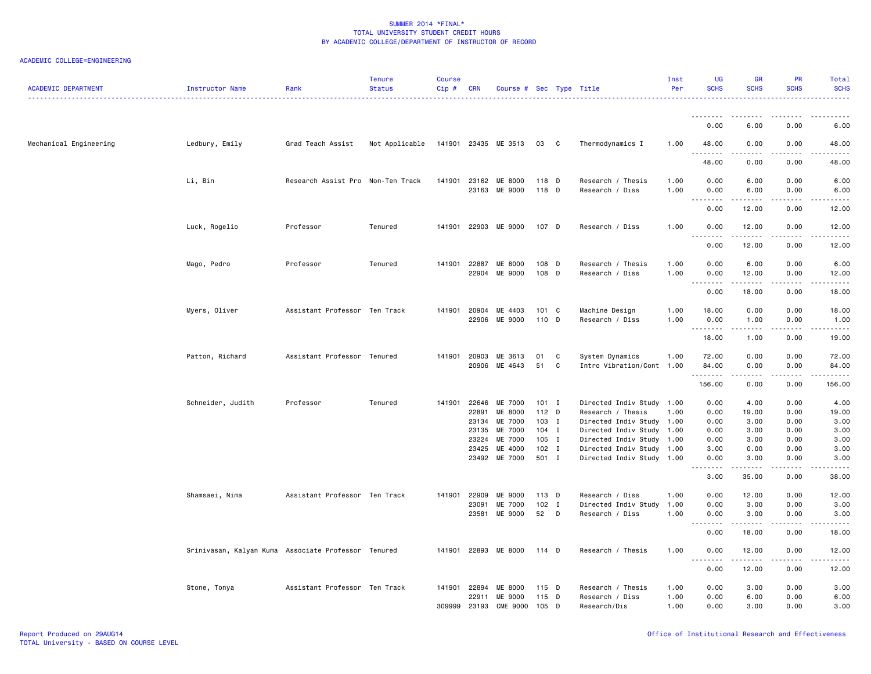| <b>ACADEMIC DEPARTMENT</b> | Instructor Name                                     | Rank                              | <b>Tenure</b><br><b>Status</b> | <b>Course</b><br>$Cip$ # | <b>CRN</b>     | Course # Sec Type Title  |                  |              |                                                        | Inst<br>Per  | UG<br><b>SCHS</b>                 | <b>GR</b><br><b>SCHS</b>                                                                                                                                     | <b>PR</b><br><b>SCHS</b> | Total<br><b>SCHS</b>                                                                                                              |
|----------------------------|-----------------------------------------------------|-----------------------------------|--------------------------------|--------------------------|----------------|--------------------------|------------------|--------------|--------------------------------------------------------|--------------|-----------------------------------|--------------------------------------------------------------------------------------------------------------------------------------------------------------|--------------------------|-----------------------------------------------------------------------------------------------------------------------------------|
|                            |                                                     |                                   |                                |                          |                |                          |                  |              | .                                                      |              | . <b>.</b>                        |                                                                                                                                                              |                          |                                                                                                                                   |
|                            |                                                     |                                   |                                |                          |                |                          |                  |              |                                                        |              | 0.00                              | 6.00                                                                                                                                                         | 0.00                     | 6.00                                                                                                                              |
| Mechanical Engineering     | Ledbury, Emily                                      | Grad Teach Assist                 | Not Applicable                 |                          |                | 141901 23435 ME 3513     | 03 C             |              | Thermodynamics I                                       | 1.00         | 48.00<br>.                        | 0.00                                                                                                                                                         | 0.00                     | 48.00                                                                                                                             |
|                            |                                                     |                                   |                                |                          |                |                          |                  |              |                                                        |              | 48.00                             | 0.00                                                                                                                                                         | 0.00                     | 48.00                                                                                                                             |
|                            | Li, Bin                                             | Research Assist Pro Non-Ten Track |                                |                          | 141901 23162   | ME 8000<br>23163 ME 9000 | 118 D<br>118 D   |              | Research / Thesis<br>Research / Diss                   | 1.00<br>1.00 | 0.00<br>0.00                      | 6.00<br>6.00                                                                                                                                                 | 0.00<br>0.00             | 6.00<br>6.00                                                                                                                      |
|                            |                                                     |                                   |                                |                          |                |                          |                  |              |                                                        |              | $\sim$ $\sim$<br>.<br>0.00        | 12.00                                                                                                                                                        | 0.00                     | 12.00                                                                                                                             |
|                            | Luck, Rogelio                                       | Professor                         | Tenured                        |                          |                | 141901 22903 ME 9000     | 107 D            |              | Research / Diss                                        | 1.00         | 0.00                              | 12.00                                                                                                                                                        | 0.00                     | 12.00                                                                                                                             |
|                            |                                                     |                                   |                                |                          |                |                          |                  |              |                                                        |              | .<br>$\sim$ $\sim$<br>0.00        | <u>.</u><br>12.00                                                                                                                                            | .<br>0.00                | .<br>12.00                                                                                                                        |
|                            | Mago, Pedro                                         | Professor                         | Tenured                        | 141901                   | 22887          | ME 8000                  | 108 D            |              | Research / Thesis                                      | 1.00         | 0.00                              | 6.00                                                                                                                                                         | 0.00                     | 6.00                                                                                                                              |
|                            |                                                     |                                   |                                |                          | 22904          | ME 9000                  | 108 D            |              | Research / Diss                                        | 1.00         | 0.00<br>وعاعات<br>$\sim$ $\sim$   | 12.00                                                                                                                                                        | 0.00                     | 12.00                                                                                                                             |
|                            |                                                     |                                   |                                |                          |                |                          |                  |              |                                                        |              | 0.00                              | 18.00                                                                                                                                                        | 0.00                     | 18.00                                                                                                                             |
|                            | Myers, Oliver                                       | Assistant Professor Ten Track     |                                | 141901                   | 20904<br>22906 | ME 4403<br>ME 9000       | 101 C<br>110 D   |              | Machine Design<br>Research / Diss                      | 1.00<br>1.00 | 18.00<br>0.00                     | 0.00<br>1.00                                                                                                                                                 | 0.00<br>0.00             | 18.00<br>1.00                                                                                                                     |
|                            |                                                     |                                   |                                |                          |                |                          |                  |              |                                                        |              | . <b>.</b><br>18.00               | د د د د<br>1.00                                                                                                                                              | .<br>0.00                | $\sim$ $\sim$ $\sim$ $\sim$<br>19.00                                                                                              |
|                            |                                                     | Assistant Professor Tenured       |                                |                          | 141901 20903   | ME 3613                  |                  |              |                                                        | 1.00         |                                   |                                                                                                                                                              | 0.00                     | 72.00                                                                                                                             |
|                            | Patton, Richard                                     |                                   |                                |                          | 20906          | ME 4643                  | 01<br>51         | C<br>C       | System Dynamics<br>Intro Vibration/Cont 1.00           |              | 72.00<br>84.00<br><b></b>         | 0.00<br>0.00<br>.                                                                                                                                            | 0.00<br><b>.</b>         | 84.00<br>.                                                                                                                        |
|                            |                                                     |                                   |                                |                          |                |                          |                  |              |                                                        |              | 156.00                            | 0.00                                                                                                                                                         | 0.00                     | 156.00                                                                                                                            |
|                            | Schneider, Judith                                   | Professor                         | Tenured                        | 141901                   | 22646          | ME 7000                  | $101 \quad I$    |              | Directed Indiv Study 1.00                              |              | 0.00                              | 4.00                                                                                                                                                         | 0.00                     | 4.00                                                                                                                              |
|                            |                                                     |                                   |                                |                          | 22891          | ME 8000                  | 112 D            |              | Research / Thesis                                      | 1.00         | 0.00                              | 19.00                                                                                                                                                        | 0.00                     | 19.00                                                                                                                             |
|                            |                                                     |                                   |                                |                          | 23134          | ME 7000                  | 103 I            |              | Directed Indiv Study 1.00                              |              | 0.00                              | 3.00                                                                                                                                                         | 0.00                     | 3.00                                                                                                                              |
|                            |                                                     |                                   |                                |                          | 23135          | ME 7000                  | $104$ I          |              | Directed Indiv Study 1.00                              |              | 0.00                              | 3.00                                                                                                                                                         | 0.00                     | 3.00                                                                                                                              |
|                            |                                                     |                                   |                                |                          | 23224          | ME 7000                  | 105 I            |              | Directed Indiv Study 1.00                              |              | 0.00                              | 3.00                                                                                                                                                         | 0.00                     | 3.00                                                                                                                              |
|                            |                                                     |                                   |                                |                          | 23425          | ME 4000<br>23492 ME 7000 | $102$ I<br>501 I |              | Directed Indiv Study 1.00<br>Directed Indiv Study 1.00 |              | 3.00<br>0.00                      | 0.00<br>3.00                                                                                                                                                 | 0.00<br>0.00             | 3.00<br>3.00                                                                                                                      |
|                            |                                                     |                                   |                                |                          |                |                          |                  |              |                                                        |              | .<br>3.00                         | .<br>35.00                                                                                                                                                   | .<br>0.00                | .<br>38.00                                                                                                                        |
|                            | Shamsaei, Nima                                      | Assistant Professor Ten Track     |                                | 141901                   | 22909          | ME 9000                  | 113 D            |              | Research / Diss                                        | 1.00         | 0.00                              | 12.00                                                                                                                                                        | 0.00                     | 12.00                                                                                                                             |
|                            |                                                     |                                   |                                |                          | 23091          | ME 7000                  | 102              | $\mathbf{I}$ | Directed Indiv Study                                   | 1.00         | 0.00                              | 3.00                                                                                                                                                         | 0.00                     | 3.00                                                                                                                              |
|                            |                                                     |                                   |                                |                          | 23581          | ME 9000                  | 52 D             |              | Research / Diss                                        | 1.00         | 0.00<br>.                         | 3.00<br>$\frac{1}{2} \left( \frac{1}{2} \right) \left( \frac{1}{2} \right) \left( \frac{1}{2} \right) \left( \frac{1}{2} \right) \left( \frac{1}{2} \right)$ | 0.00<br>.                | 3.00<br>$\frac{1}{2} \left( \frac{1}{2} \right) \left( \frac{1}{2} \right) \left( \frac{1}{2} \right) \left( \frac{1}{2} \right)$ |
|                            |                                                     |                                   |                                |                          |                |                          |                  |              |                                                        |              | 0.00                              | 18.00                                                                                                                                                        | 0.00                     | 18.00                                                                                                                             |
|                            | Srinivasan, Kalyan Kuma Associate Professor Tenured |                                   |                                |                          |                | 141901 22893 ME 8000     | 114 D            |              | Research / Thesis                                      | 1.00         | 0.00<br>$\sim$ $\sim$ $\sim$<br>. | 12.00                                                                                                                                                        | 0.00                     | 12.00                                                                                                                             |
|                            |                                                     |                                   |                                |                          |                |                          |                  |              |                                                        |              | 0.00                              | 12.00                                                                                                                                                        | 0.00                     | 12.00                                                                                                                             |
|                            | Stone, Tonya                                        | Assistant Professor Ten Track     |                                | 141901                   | 22894          | ME 8000                  | 115 D            |              | Research / Thesis                                      | 1.00         | 0.00                              | 3.00                                                                                                                                                         | 0.00                     | 3.00                                                                                                                              |
|                            |                                                     |                                   |                                |                          | 22911          | ME 9000                  | 115              | D            | Research / Diss                                        | 1.00         | 0.00                              | 6.00                                                                                                                                                         | 0.00                     | 6.00                                                                                                                              |
|                            |                                                     |                                   |                                | 309999                   | 23193          | CME 9000                 | 105 D            |              | Research/Dis                                           | 1.00         | 0.00                              | 3.00                                                                                                                                                         | 0.00                     | 3.00                                                                                                                              |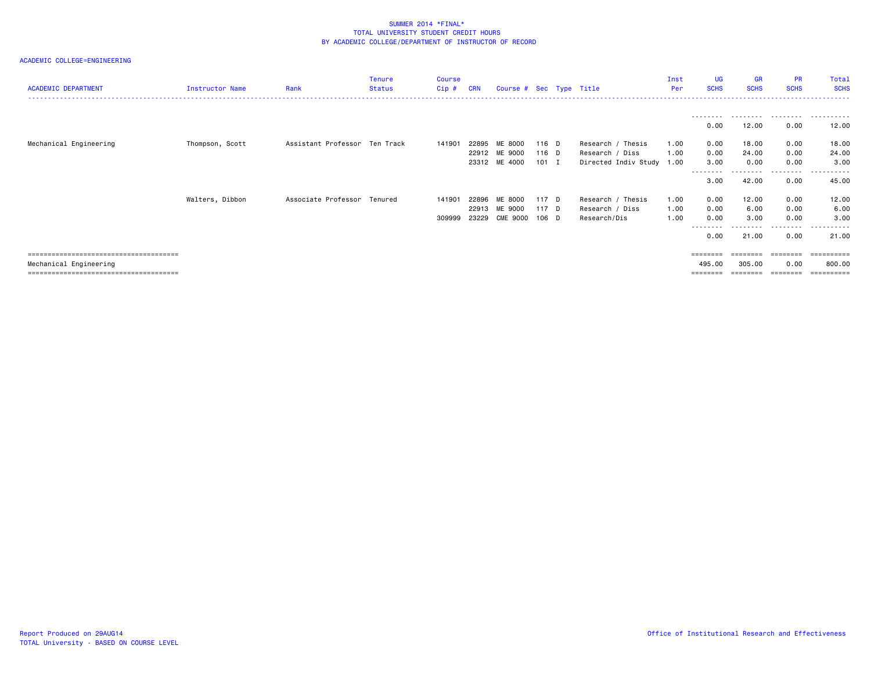| <b>ACADEMIC DEPARTMENT</b> | Instructor Name | Rank                          | <b>Tenure</b><br><b>Status</b> | <b>Course</b><br>Cip# | <b>CRN</b>              |                                           | Course # Sec Type Title |                                                                   | Inst<br>Per          | UG<br><b>SCHS</b>           | <b>GR</b><br><b>SCHS</b> | <b>PR</b><br><b>SCHS</b> | Total<br><b>SCHS</b>               |
|----------------------------|-----------------|-------------------------------|--------------------------------|-----------------------|-------------------------|-------------------------------------------|-------------------------|-------------------------------------------------------------------|----------------------|-----------------------------|--------------------------|--------------------------|------------------------------------|
|                            |                 |                               |                                |                       |                         |                                           |                         |                                                                   |                      | 0.00                        | 12.00                    | .<br>0.00                | 12.00                              |
| Mechanical Engineering     | Thompson, Scott | Assistant Professor Ten Track |                                | 141901                | 22895                   | ME 8000<br>22912 ME 9000<br>23312 ME 4000 | 116 D<br>116 D<br>101 I | Research / Thesis<br>Research / Diss<br>Directed Indiv Study 1.00 | 1.00<br>1.00         | 0.00<br>0.00<br>3.00        | 18.00<br>24.00<br>0.00   | 0.00<br>0.00<br>0.00     | 18.00<br>24.00<br>3.00             |
|                            |                 |                               |                                |                       |                         |                                           |                         |                                                                   |                      | -------<br>3.00             | 42.00                    | 0.00                     | 45.00                              |
|                            | Walters, Dibbon | Associate Professor Tenured   |                                | 141901<br>309999      | 22896<br>22913<br>23229 | ME 8000<br>ME 9000<br>CME 9000            | 117 D<br>117 D<br>106 D | Research / Thesis<br>Research / Diss<br>Research/Dis              | 1.00<br>1.00<br>1.00 | 0.00<br>0.00<br>0.00        | 12.00<br>6.00<br>3.00    | 0.00<br>0.00<br>0.00     | 12.00<br>6.00<br>3.00              |
|                            |                 |                               |                                |                       |                         |                                           |                         |                                                                   |                      | --------<br>0.00            | .<br>21.00               | .<br>0.00                | .<br>21.00                         |
| Mechanical Engineering     |                 |                               |                                |                       |                         |                                           |                         |                                                                   |                      | $=$ = = = = = = =<br>495.00 | ========<br>305.00       | ========<br>0.00         | ==========<br>800.00<br>========== |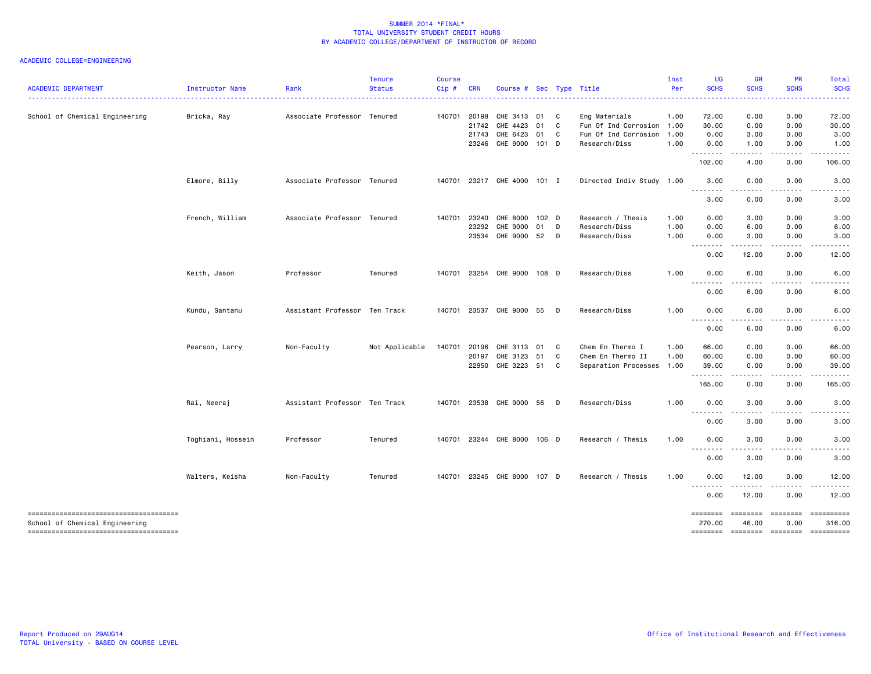| <b>ACADEMIC DEPARTMENT</b>                                              | Instructor Name   | Rank                          | <b>Tenure</b><br><b>Status</b> | <b>Course</b><br>Cip# | <b>CRN</b>   | Course # Sec Type Title     |    |   |                           | Inst<br>Per | UG<br><b>SCHS</b>  | GR<br><b>SCHS</b>      | PR<br><b>SCHS</b> | <b>Total</b><br><b>SCHS</b> |
|-------------------------------------------------------------------------|-------------------|-------------------------------|--------------------------------|-----------------------|--------------|-----------------------------|----|---|---------------------------|-------------|--------------------|------------------------|-------------------|-----------------------------|
| School of Chemical Engineering                                          | Bricka, Ray       | Associate Professor Tenured   |                                |                       | 140701 20198 | CHE 3413 01                 |    | C | Eng Materials             | 1.00        | 72.00              | 0.00                   | 0.00              | 72.00                       |
|                                                                         |                   |                               |                                |                       | 21742        | CHE 4423                    | 01 | C | Fun Of Ind Corrosion      | 1.00        | 30.00              | 0.00                   | 0.00              | 30.00                       |
|                                                                         |                   |                               |                                |                       | 21743        | CHE 6423 01                 |    | C | Fun Of Ind Corrosion      | 1.00        | 0.00               | 3.00                   | 0.00              | 3.00                        |
|                                                                         |                   |                               |                                |                       |              | 23246 CHE 9000 101 D        |    |   | Research/Diss             | 1.00        | 0.00<br>.          | 1.00<br>.              | 0.00<br>.         | 1.00<br>.                   |
|                                                                         |                   |                               |                                |                       |              |                             |    |   |                           |             | 102.00             | 4.00                   | 0.00              | 106.00                      |
|                                                                         | Elmore, Billy     | Associate Professor Tenured   |                                |                       |              | 140701 23217 CHE 4000 101 I |    |   | Directed Indiv Study 1.00 |             | 3.00<br>.          | 0.00<br>المستبد        | 0.00<br>.         | 3.00                        |
|                                                                         |                   |                               |                                |                       |              |                             |    |   |                           |             | 3.00               | 0.00                   | 0.00              | 3.00                        |
|                                                                         | French, William   | Associate Professor Tenured   |                                | 140701                | 23240        | CHE 8000 102 D              |    |   | Research / Thesis         | 1.00        | 0.00               | 3.00                   | 0.00              | 3.00                        |
|                                                                         |                   |                               |                                |                       | 23292        | CHE 9000                    | 01 | D | Research/Diss             | 1.00        | 0.00               | 6.00                   | 0.00              | 6.00                        |
|                                                                         |                   |                               |                                |                       |              | 23534 CHE 9000 52           |    | D | Research/Diss             | 1.00        | 0.00<br>.          | 3.00<br>.              | 0.00<br>د د د د   | 3.00                        |
|                                                                         |                   |                               |                                |                       |              |                             |    |   |                           |             | 0.00               | 12.00                  | 0.00              | 12.00                       |
|                                                                         | Keith, Jason      | Professor                     | Tenured                        |                       |              | 140701 23254 CHE 9000 108 D |    |   | Research/Diss             | 1.00        | 0.00<br>.          | 6.00<br>.              | 0.00              | 6.00                        |
|                                                                         |                   |                               |                                |                       |              |                             |    |   |                           |             | 0.00               | 6.00                   | 0.00              | 6.00                        |
|                                                                         | Kundu, Santanu    | Assistant Professor Ten Track |                                |                       |              | 140701 23537 CHE 9000 55 D  |    |   | Research/Diss             | 1.00        | 0.00<br><u>.</u>   | 6.00<br>----           | 0.00<br>.         | 6.00                        |
|                                                                         |                   |                               |                                |                       |              |                             |    |   |                           |             | 0.00               | 6.00                   | 0.00              | 6.00                        |
|                                                                         | Pearson, Larry    | Non-Faculty                   | Not Applicable                 | 140701                | 20196        | CHE 3113                    | 01 | C | Chem En Thermo I          | 1.00        | 66.00              | 0.00                   | 0.00              | 66.00                       |
|                                                                         |                   |                               |                                |                       | 20197        | CHE 3123 51                 |    | C | Chem En Thermo II         | 1.00        | 60.00              | 0.00                   | 0.00              | 60.00                       |
|                                                                         |                   |                               |                                |                       |              | 22950 CHE 3223 51           |    | C | Separation Processes 1.00 |             | 39.00<br>.         | 0.00<br>$\cdots$       | 0.00<br>.         | 39.00                       |
|                                                                         |                   |                               |                                |                       |              |                             |    |   |                           |             | 165.00             | 0.00                   | 0.00              | 165.00                      |
|                                                                         | Rai, Neeraj       | Assistant Professor Ten Track |                                |                       |              | 140701 23538 CHE 9000 56    |    | D | Research/Diss             | 1.00        | 0.00<br><u>.</u>   | 3.00<br>. <b>. .</b> . | 0.00              | 3.00                        |
|                                                                         |                   |                               |                                |                       |              |                             |    |   |                           |             | 0.00               | 3.00                   | 0.00              | 3.00                        |
|                                                                         | Toghiani, Hossein | Professor                     | Tenured                        |                       |              | 140701 23244 CHE 8000 106 D |    |   | Research / Thesis         | 1.00        | 0.00               | 3.00                   | 0.00              | 3.00                        |
|                                                                         |                   |                               |                                |                       |              |                             |    |   |                           |             | 0.00               | $- - -$<br>3.00        | 0.00              | 3.00                        |
|                                                                         | Walters, Keisha   | Non-Faculty                   | Tenured                        |                       |              | 140701 23245 CHE 8000 107 D |    |   | Research / Thesis         | 1.00        | 0.00               | 12.00                  | 0.00              | 12.00                       |
|                                                                         |                   |                               |                                |                       |              |                             |    |   |                           |             | $- - - -$<br>0.00  | 12.00                  | 0.00              | 12.00                       |
| -------------------------------------<br>School of Chemical Engineering |                   |                               |                                |                       |              |                             |    |   |                           |             | ========<br>270.00 | ========<br>46.00      | ========<br>0.00  | ==========<br>316.00        |
| -------------------------------------                                   |                   |                               |                                |                       |              |                             |    |   |                           |             | ========           | ========               | <b>EEEEEEE</b>    | ==========                  |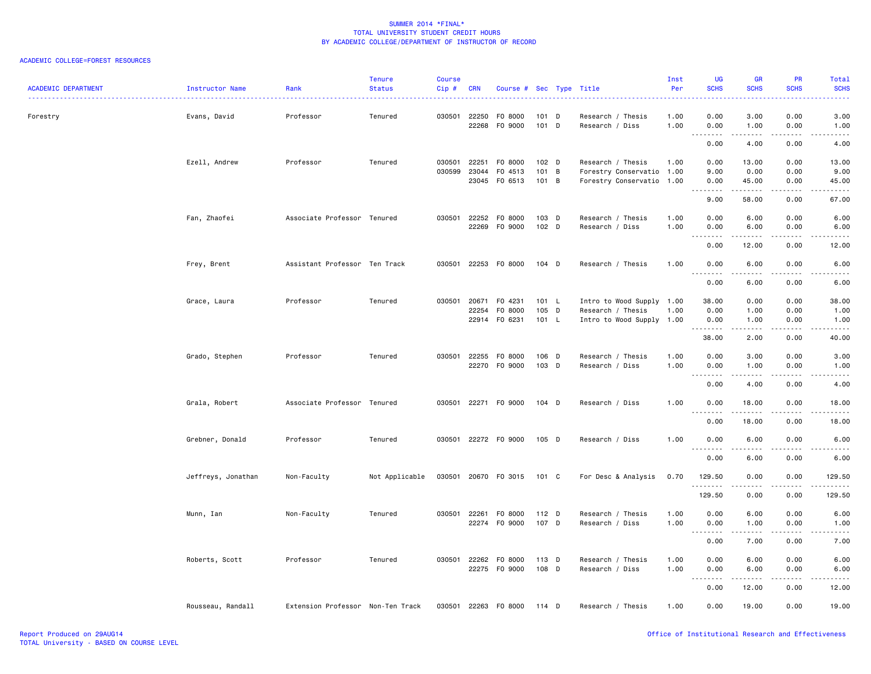### ACADEMIC COLLEGE=FOREST RESOURCES

| <b>ACADEMIC DEPARTMENT</b> | Instructor Name    | Rank                              | <b>Tenure</b><br><b>Status</b> | <b>Course</b><br>Cip# | <b>CRN</b> | Course # Sec Type Title |                  |   |                                      | Inst<br>Per  | UG<br><b>SCHS</b>                                | <b>GR</b><br><b>SCHS</b> | <b>PR</b><br><b>SCHS</b> | Total<br><b>SCHS</b>                                                                                                               |
|----------------------------|--------------------|-----------------------------------|--------------------------------|-----------------------|------------|-------------------------|------------------|---|--------------------------------------|--------------|--------------------------------------------------|--------------------------|--------------------------|------------------------------------------------------------------------------------------------------------------------------------|
| Forestry                   | Evans, David       | Professor                         | Tenured                        | 030501 22250          | 22268      | F0 8000<br>F0 9000      | 101 D<br>101 D   |   | Research / Thesis<br>Research / Diss | 1.00<br>1.00 | 0.00<br>0.00                                     | 3.00<br>1.00             | 0.00<br>0.00             | 3.00<br>1.00                                                                                                                       |
|                            |                    |                                   |                                |                       |            |                         |                  |   |                                      |              | $\omega$ is $\omega$ in<br>$\sim$ $\sim$<br>0.00 | . <u>. .</u><br>4.00     | .<br>0.00                | $\frac{1}{2}$<br>4.00                                                                                                              |
|                            | Ezell, Andrew      | Professor                         | Tenured                        | 030501                | 22251      | F0 8000                 | 102 D            |   | Research / Thesis                    | 1.00         | 0.00                                             | 13.00                    | 0.00                     | 13.00                                                                                                                              |
|                            |                    |                                   |                                | 030599                | 23044      | F0 4513                 | 101 B            |   | Forestry Conservatio 1.00            |              | 9.00                                             | 0.00                     | 0.00                     | 9.00                                                                                                                               |
|                            |                    |                                   |                                |                       | 23045      | FO 6513                 | $101 \quad B$    |   | Forestry Conservatio 1.00            |              | 0.00                                             | 45.00                    | 0.00                     | 45.00                                                                                                                              |
|                            |                    |                                   |                                |                       |            |                         |                  |   |                                      |              | <u>.</u><br>9.00                                 | 58.00                    | 0.00                     | 67.00                                                                                                                              |
|                            | Fan, Zhaofei       | Associate Professor Tenured       |                                | 030501                | 22252      | F0 8000                 | 103 D            |   | Research / Thesis                    | 1.00         | 0.00                                             | 6.00                     | 0.00                     | 6.00                                                                                                                               |
|                            |                    |                                   |                                |                       | 22269      | F0 9000                 | 102 <sub>D</sub> |   | Research / Diss                      | 1.00         | 0.00                                             | 6.00                     | 0.00                     | 6.00                                                                                                                               |
|                            |                    |                                   |                                |                       |            |                         |                  |   |                                      |              | $\sim$ $\sim$ $\sim$<br>$\sim$ $\sim$<br>0.00    | 12.00                    | .<br>0.00                | 12.00                                                                                                                              |
|                            | Frey, Brent        | Assistant Professor Ten Track     |                                | 030501 22253          |            | F0 8000                 | 104 D            |   | Research / Thesis                    | 1.00         | 0.00<br>$\sim$ $\sim$ $\sim$                     | 6.00<br>-----            | 0.00<br>.                | 6.00<br>$\frac{1}{2}$                                                                                                              |
|                            |                    |                                   |                                |                       |            |                         |                  |   |                                      |              | -----<br>0.00                                    | 6.00                     | 0.00                     | 6.00                                                                                                                               |
|                            | Grace, Laura       | Professor                         | Tenured                        | 030501 20671          |            | F0 4231                 | 101 L            |   | Intro to Wood Supply 1.00            |              | 38.00                                            | 0.00                     | 0.00                     | 38.00                                                                                                                              |
|                            |                    |                                   |                                |                       | 22254      | F0 8000                 | 105              | D | Research / Thesis                    | 1.00         | 0.00                                             | 1.00                     | 0.00                     | 1.00                                                                                                                               |
|                            |                    |                                   |                                |                       |            | 22914 F0 6231           | 101 L            |   | Intro to Wood Supply 1.00            |              | 0.00                                             | 1.00                     | 0.00                     | 1.00                                                                                                                               |
|                            |                    |                                   |                                |                       |            |                         |                  |   |                                      |              | .<br>38.00                                       | .<br>2.00                | 0.00                     | $\frac{1}{2} \left( \frac{1}{2} \right) \left( \frac{1}{2} \right) \left( \frac{1}{2} \right) \left( \frac{1}{2} \right)$<br>40.00 |
|                            | Grado, Stephen     | Professor                         | Tenured                        | 030501 22255          |            | F0 8000                 | 106 D            |   | Research / Thesis                    | 1.00         | 0.00                                             | 3.00                     | 0.00                     | 3.00                                                                                                                               |
|                            |                    |                                   |                                |                       |            | 22270 F0 9000           | 103 D            |   | Research / Diss                      | 1.00         | 0.00                                             | 1.00<br>.                | 0.00<br>-----            | 1.00<br>والمناصبات                                                                                                                 |
|                            |                    |                                   |                                |                       |            |                         |                  |   |                                      |              | .<br>0.00                                        | 4.00                     | 0.00                     | 4.00                                                                                                                               |
|                            | Grala, Robert      | Associate Professor Tenured       |                                | 030501                |            | 22271 F0 9000           | 104 D            |   | Research / Diss                      | 1.00         | 0.00<br><u>.</u>                                 | 18.00<br>.               | 0.00<br>.                | 18.00<br>.                                                                                                                         |
|                            |                    |                                   |                                |                       |            |                         |                  |   |                                      |              | 0.00                                             | 18.00                    | 0.00                     | 18.00                                                                                                                              |
|                            | Grebner, Donald    | Professor                         | Tenured                        |                       |            | 030501 22272 F0 9000    | 105 D            |   | Research / Diss                      | 1.00         | 0.00<br>$- - -$<br>.                             | 6.00<br>$\frac{1}{2}$    | 0.00<br>.                | 6.00<br>$- - - -$                                                                                                                  |
|                            |                    |                                   |                                |                       |            |                         |                  |   |                                      |              | 0.00                                             | 6.00                     | 0.00                     | 6.00                                                                                                                               |
|                            | Jeffreys, Jonathan | Non-Faculty                       | Not Applicable                 | 030501                | 20670      | FO 3015                 | 101 C            |   | For Desc & Analysis                  | 0.70         | 129.50<br>.                                      | 0.00                     | 0.00                     | 129.50<br>.                                                                                                                        |
|                            |                    |                                   |                                |                       |            |                         |                  |   |                                      |              | 129.50                                           | 0.00                     | 0.00                     | 129.50                                                                                                                             |
|                            | Munn, Ian          | Non-Faculty                       | Tenured                        | 030501 22261          |            | F0 8000                 | $112$ D          |   | Research / Thesis                    | 1.00         | 0.00                                             | 6.00                     | 0.00                     | 6.00                                                                                                                               |
|                            |                    |                                   |                                |                       |            | 22274 FO 9000           | 107 D            |   | Research / Diss                      | 1.00         | 0.00                                             | 1.00                     | 0.00                     | 1.00                                                                                                                               |
|                            |                    |                                   |                                |                       |            |                         |                  |   |                                      |              | .<br>0.00                                        | .<br>7.00                | . <b>.</b><br>0.00       | $\frac{1}{2} \left( \frac{1}{2} \right) \left( \frac{1}{2} \right) \left( \frac{1}{2} \right) \left( \frac{1}{2} \right)$<br>7.00  |
|                            | Roberts, Scott     | Professor                         | Tenured                        | 030501 22262          |            | F0 8000                 | 113 D            |   | Research / Thesis                    | 1.00         | 0.00                                             | 6.00                     | 0.00                     | 6.00                                                                                                                               |
|                            |                    |                                   |                                |                       | 22275      | F0 9000                 | 108 D            |   | Research / Diss                      | 1.00         | 0.00                                             | 6.00                     | 0.00                     | 6.00                                                                                                                               |
|                            |                    |                                   |                                |                       |            |                         |                  |   |                                      |              | .<br>$\sim$ $\sim$ $\sim$<br>0.00                | <b>.</b><br>12.00        | 22222<br>0.00            | .<br>12.00                                                                                                                         |
|                            | Rousseau, Randall  | Extension Professor Non-Ten Track |                                | 030501 22263          |            | F0 8000                 | 114 D            |   | Research / Thesis                    | 1.00         | 0.00                                             | 19.00                    | 0.00                     | 19.00                                                                                                                              |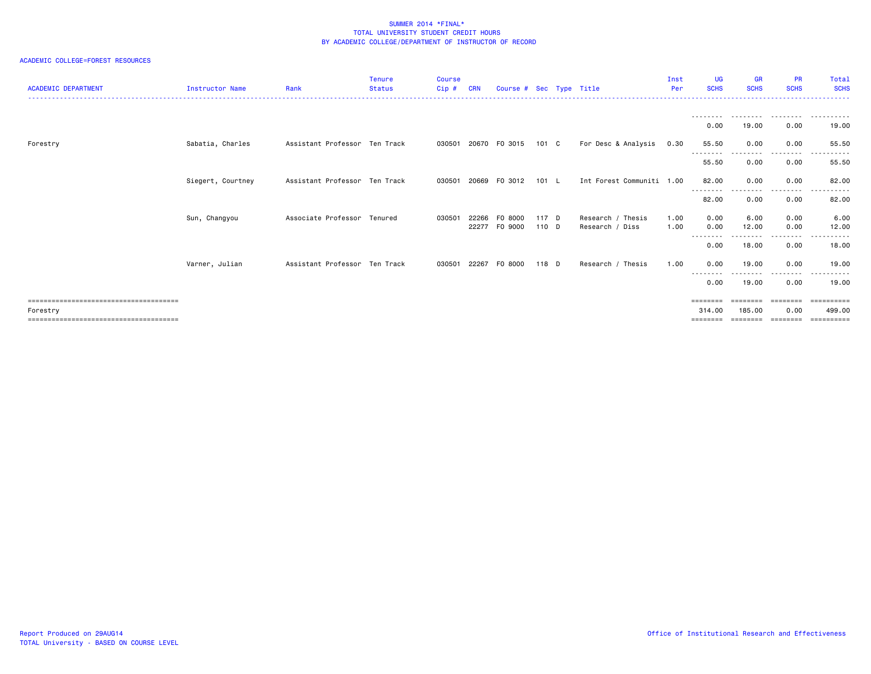## ACADEMIC COLLEGE=FOREST RESOURCES

| <b>ACADEMIC DEPARTMENT</b> | <b>Instructor Name</b> | Rank                          | <b>Tenure</b><br><b>Status</b> | <b>Course</b><br>Cip# | <b>CRN</b> | Course # Sec Type Title |               |                           | Inst<br>Per | UG<br><b>SCHS</b>                                                       | <b>GR</b><br><b>SCHS</b> | <b>PR</b><br><b>SCHS</b> | Total<br><b>SCHS</b>  |
|----------------------------|------------------------|-------------------------------|--------------------------------|-----------------------|------------|-------------------------|---------------|---------------------------|-------------|-------------------------------------------------------------------------|--------------------------|--------------------------|-----------------------|
|                            |                        |                               |                                |                       |            |                         |               |                           |             |                                                                         |                          |                          |                       |
|                            |                        |                               |                                |                       |            |                         |               |                           |             | 0.00                                                                    | 19.00                    | 0.00                     | 19.00                 |
| Forestry                   | Sabatia, Charles       | Assistant Professor Ten Track |                                | 030501                |            | 20670 FO 3015           | 101 C         | For Desc & Analysis       | 0.30        | 55.50<br>--------                                                       | 0.00                     | 0.00<br>---------        | 55.50<br>------       |
|                            |                        |                               |                                |                       |            |                         |               |                           |             | 55.50                                                                   | 0.00                     | 0.00                     | 55.50                 |
|                            | Siegert, Courtney      | Assistant Professor Ten Track |                                |                       |            | 030501 20669 F0 3012    | $101 \quad L$ | Int Forest Communiti 1.00 |             | 82.00                                                                   | 0.00                     | 0.00                     | 82.00                 |
|                            |                        |                               |                                |                       |            |                         |               |                           |             | ---------<br>82.00                                                      | .<br>0.00                | --------<br>0.00         | . <i>.</i><br>82.00   |
|                            | Sun, Changyou          | Associate Professor Tenured   |                                | 030501                | 22266      | F0 8000                 | 117 D         | Research / Thesis         | 1.00        | 0.00                                                                    | 6.00                     | 0.00                     | 6.00                  |
|                            |                        |                               |                                |                       |            | 22277 FO 9000           | 110 D         | Research / Diss           | 1.00        | 0.00<br>--------                                                        | 12.00                    | 0.00<br>.                | 12.00<br>. <b>.</b> . |
|                            |                        |                               |                                |                       |            |                         |               |                           |             | 0.00                                                                    | 18.00                    | 0.00                     | 18.00                 |
|                            | Varner, Julian         | Assistant Professor Ten Track |                                |                       |            | 030501 22267 FO 8000    | 118 D         | Research / Thesis         | 1.00        | 0.00                                                                    | 19.00                    | 0.00                     | 19.00                 |
|                            |                        |                               |                                |                       |            |                         |               |                           |             | --------<br>0.00                                                        | 19.00                    | ----<br>0.00             | 19.00                 |
|                            |                        |                               |                                |                       |            |                         |               |                           |             | $\qquad \qquad \equiv \equiv \equiv \equiv \equiv \equiv \equiv \equiv$ |                          | ========                 | eessesses             |
| Forestry                   |                        |                               |                                |                       |            |                         |               |                           |             | 314,00                                                                  | 185,00                   | 0.00                     | 499.00                |
|                            |                        |                               |                                |                       |            |                         |               |                           |             | ========                                                                | ========                 | ========                 | ==========            |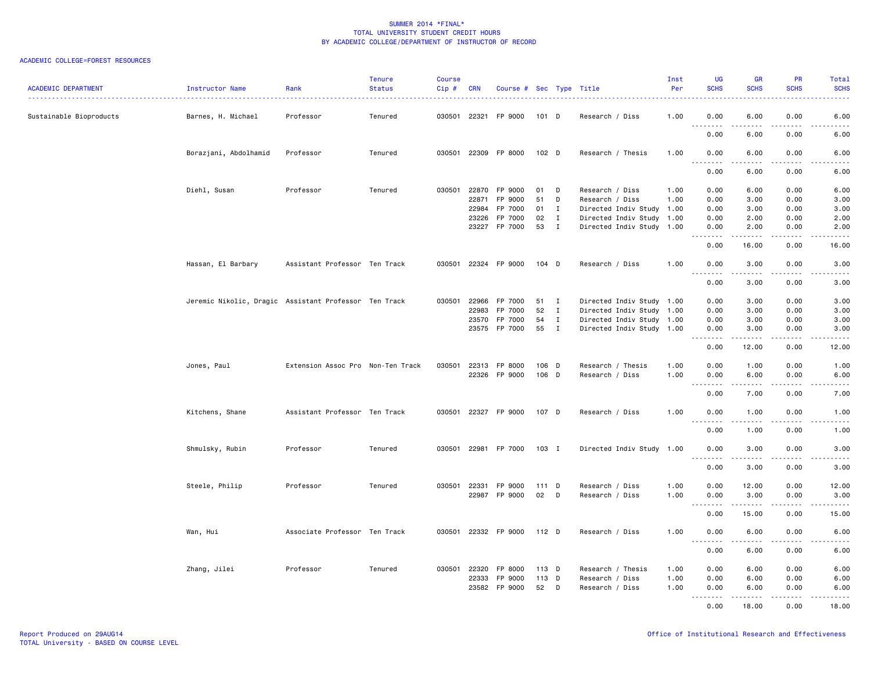# ACADEMIC COLLEGE=FOREST RESOURCES

| Sustainable Bioproducts<br>Barnes, H. Michael<br>Professor<br>030501 22321 FP 9000<br>101 D<br>1.00<br>0.00<br>6.00<br>0.00<br>6.00<br>Tenured<br>Research / Diss<br>6.00<br>0.00<br>0.00<br>6.00<br>Borazjani, Abdolhamid<br>Tenured<br>030501 22309 FP 8000<br>1.00<br>0.00<br>Professor<br>102 D<br>Research / Thesis<br>6.00<br>0.00<br>6.00<br>.<br>.<br>.<br>$\frac{1}{2}$<br>0.00<br>0.00<br>6.00<br>6.00<br>030501 22870<br>0.00<br>6.00<br>Diehl, Susan<br>Professor<br>Tenured<br>FP 9000<br>01<br>D<br>Research / Diss<br>1.00<br>6.00<br>0.00<br>22871<br>FP 9000<br>51<br>D<br>0.00<br>Research / Diss<br>1.00<br>0.00<br>3.00<br>3.00<br>22984<br>FP 7000<br>01<br>Ι.<br>Directed Indiv Study 1.00<br>0.00<br>3.00<br>0.00<br>3.00<br>FP 7000<br>02<br>23226<br>$\mathbf{I}$<br>Directed Indiv Study 1.00<br>0.00<br>2.00<br>0.00<br>2.00<br>23227 FP 7000<br>53<br>$\mathbf{I}$<br>Directed Indiv Study 1.00<br>0.00<br>2.00<br>0.00<br>2.00<br>.<br>$\frac{1}{2} \left( \frac{1}{2} \right) \left( \frac{1}{2} \right) \left( \frac{1}{2} \right) \left( \frac{1}{2} \right) \left( \frac{1}{2} \right)$<br>.<br>$\frac{1}{2}$<br>0.00<br>16.00<br>0.00<br>16.00<br>Hassan, El Barbary<br>Assistant Professor Ten Track<br>030501 22324 FP 9000<br>$104$ D<br>Research / Diss<br>1.00<br>0.00<br>3.00<br>0.00<br>3.00<br>د د د د<br>.<br>$\omega$ is a $\omega$<br>.<br>0.00<br>3.00<br>0.00<br>3.00<br>FP 7000<br>Directed Indiv Study 1.00<br>Jeremic Nikolic, Dragic Assistant Professor Ten Track<br>030501<br>22966<br>51<br>0.00<br>3.00<br>0.00<br>3.00<br>$\mathbf{I}$<br>22983<br>FP 7000<br>52<br>$\mathbf{I}$<br>Directed Indiv Study 1.00<br>0.00<br>3.00<br>0.00<br>3.00<br>FP 7000<br>54<br>$\mathbf{I}$<br>Directed Indiv Study 1.00<br>0.00<br>3.00<br>23570<br>0.00<br>3.00<br>23575<br>FP 7000<br>55<br>$\blacksquare$<br>Directed Indiv Study 1.00<br>0.00<br>3.00<br>0.00<br>3.00<br>2.2.2.2.2<br>2.2.2.2.2<br>د د د د<br>$\frac{1}{2} \left( \frac{1}{2} \right) \left( \frac{1}{2} \right) \left( \frac{1}{2} \right) \left( \frac{1}{2} \right) \left( \frac{1}{2} \right)$<br>0.00<br>12.00<br>0.00<br>12.00<br>030501<br>22313<br>FP 8000<br>106 D<br>Research / Thesis<br>1.00<br>0.00<br>1.00<br>0.00<br>1.00<br>Jones, Paul<br>Extension Assoc Pro Non-Ten Track<br>22326 FP 9000<br>106 D<br>1.00<br>0.00<br>6.00<br>0.00<br>6.00<br>Research / Diss<br>.<br>0.00<br>7.00<br>0.00<br>7.00<br>Kitchens, Shane<br>Assistant Professor Ten Track<br>030501 22327 FP 9000<br>107 D<br>Research / Diss<br>1.00<br>0.00<br>1.00<br>0.00<br>1.00<br>.<br>.<br>$- - - -$<br>$- - - -$<br>0.00<br>1.00<br>0.00<br>1.00<br>Shmulsky, Rubin<br>Professor<br>Tenured<br>030501 22981 FP 7000<br>103 I<br>Directed Indiv Study 1.00<br>0.00<br>3.00<br>0.00<br>3.00<br>$\sim$ $\sim$ $\sim$<br>.<br>$\sim$ $\sim$ $\sim$<br>.<br>0.00<br>3.00<br>0.00<br>3.00<br>Steele, Philip<br>Professor<br>Tenured<br>030501 22331 FP 9000<br>1.00<br>0.00<br>12.00<br>0.00<br>12.00<br>$111$ D<br>Research / Diss<br>22987 FP 9000<br>02<br>D<br>Research / Diss<br>1.00<br>0.00<br>3.00<br>0.00<br>3.00<br>. <b>.</b><br>د د د د<br>$\frac{1}{2} \left( \frac{1}{2} \right) \left( \frac{1}{2} \right) \left( \frac{1}{2} \right) \left( \frac{1}{2} \right) \left( \frac{1}{2} \right)$<br>$\frac{1}{2} \left( \frac{1}{2} \right) \left( \frac{1}{2} \right) \left( \frac{1}{2} \right) \left( \frac{1}{2} \right) \left( \frac{1}{2} \right)$<br>0.00<br>15.00<br>0.00<br>15.00<br>Associate Professor Ten Track<br>Wan, Hui<br>030501 22332 FP 9000<br>$112$ D<br>Research / Diss<br>1.00<br>0.00<br>6.00<br>0.00<br>6.00<br>$\sim$ $\sim$ $\sim$<br>0.00<br>6.00<br>0.00<br>6.00<br>Zhang, Jilei<br>Professor<br>Tenured<br>030501 22320<br>FP 8000<br>113 D<br>Research / Thesis<br>1.00<br>0.00<br>6.00<br>0.00<br>6.00<br>22333<br>FP 9000<br>113 D<br>Research / Diss<br>1.00<br>0.00<br>6.00<br>0.00<br>6.00<br>FP 9000<br>52<br>23582<br>D<br>Research / Diss<br>1.00<br>0.00<br>6.00<br>0.00<br>6.00<br><b></b><br>.<br>.<br>د د د د د<br>0.00<br>18.00<br>0.00<br>18.00 | <b>ACADEMIC DEPARTMENT</b> | Instructor Name | Rank | <b>Tenure</b><br><b>Status</b> | Course<br>$Cip \#$ | <b>CRN</b> | Course # Sec Type Title |  | Inst<br>Per | <b>UG</b><br><b>SCHS</b> | <b>GR</b><br><b>SCHS</b> | <b>PR</b><br><b>SCHS</b> | Total<br><b>SCHS</b> |
|-------------------------------------------------------------------------------------------------------------------------------------------------------------------------------------------------------------------------------------------------------------------------------------------------------------------------------------------------------------------------------------------------------------------------------------------------------------------------------------------------------------------------------------------------------------------------------------------------------------------------------------------------------------------------------------------------------------------------------------------------------------------------------------------------------------------------------------------------------------------------------------------------------------------------------------------------------------------------------------------------------------------------------------------------------------------------------------------------------------------------------------------------------------------------------------------------------------------------------------------------------------------------------------------------------------------------------------------------------------------------------------------------------------------------------------------------------------------------------------------------------------------------------------------------------------------------------------------------------------------------------------------------------------------------------------------------------------------------------------------------------------------------------------------------------------------------------------------------------------------------------------------------------------------------------------------------------------------------------------------------------------------------------------------------------------------------------------------------------------------------------------------------------------------------------------------------------------------------------------------------------------------------------------------------------------------------------------------------------------------------------------------------------------------------------------------------------------------------------------------------------------------------------------------------------------------------------------------------------------------------------------------------------------------------------------------------------------------------------------------------------------------------------------------------------------------------------------------------------------------------------------------------------------------------------------------------------------------------------------------------------------------------------------------------------------------------------------------------------------------------------------------------------------------------------------------------------------------------------------------------------------------------------------------------------------------------------------------------------------------------------------------------------------------------------------------------------------------------------------------------------------------------------------------------------------------------------------------------------------------------------------------------------------------------------------------------------------------------------------------------------------------------------------------------------------------------------------------------------------------------------------------------------------------------------------------------------------------------------------------------------------------------------------------------------------------------------------------------------------|----------------------------|-----------------|------|--------------------------------|--------------------|------------|-------------------------|--|-------------|--------------------------|--------------------------|--------------------------|----------------------|
|                                                                                                                                                                                                                                                                                                                                                                                                                                                                                                                                                                                                                                                                                                                                                                                                                                                                                                                                                                                                                                                                                                                                                                                                                                                                                                                                                                                                                                                                                                                                                                                                                                                                                                                                                                                                                                                                                                                                                                                                                                                                                                                                                                                                                                                                                                                                                                                                                                                                                                                                                                                                                                                                                                                                                                                                                                                                                                                                                                                                                                                                                                                                                                                                                                                                                                                                                                                                                                                                                                                                                                                                                                                                                                                                                                                                                                                                                                                                                                                                                                                                                                             |                            |                 |      |                                |                    |            |                         |  |             |                          |                          |                          |                      |
|                                                                                                                                                                                                                                                                                                                                                                                                                                                                                                                                                                                                                                                                                                                                                                                                                                                                                                                                                                                                                                                                                                                                                                                                                                                                                                                                                                                                                                                                                                                                                                                                                                                                                                                                                                                                                                                                                                                                                                                                                                                                                                                                                                                                                                                                                                                                                                                                                                                                                                                                                                                                                                                                                                                                                                                                                                                                                                                                                                                                                                                                                                                                                                                                                                                                                                                                                                                                                                                                                                                                                                                                                                                                                                                                                                                                                                                                                                                                                                                                                                                                                                             |                            |                 |      |                                |                    |            |                         |  |             |                          |                          |                          |                      |
|                                                                                                                                                                                                                                                                                                                                                                                                                                                                                                                                                                                                                                                                                                                                                                                                                                                                                                                                                                                                                                                                                                                                                                                                                                                                                                                                                                                                                                                                                                                                                                                                                                                                                                                                                                                                                                                                                                                                                                                                                                                                                                                                                                                                                                                                                                                                                                                                                                                                                                                                                                                                                                                                                                                                                                                                                                                                                                                                                                                                                                                                                                                                                                                                                                                                                                                                                                                                                                                                                                                                                                                                                                                                                                                                                                                                                                                                                                                                                                                                                                                                                                             |                            |                 |      |                                |                    |            |                         |  |             |                          |                          |                          |                      |
|                                                                                                                                                                                                                                                                                                                                                                                                                                                                                                                                                                                                                                                                                                                                                                                                                                                                                                                                                                                                                                                                                                                                                                                                                                                                                                                                                                                                                                                                                                                                                                                                                                                                                                                                                                                                                                                                                                                                                                                                                                                                                                                                                                                                                                                                                                                                                                                                                                                                                                                                                                                                                                                                                                                                                                                                                                                                                                                                                                                                                                                                                                                                                                                                                                                                                                                                                                                                                                                                                                                                                                                                                                                                                                                                                                                                                                                                                                                                                                                                                                                                                                             |                            |                 |      |                                |                    |            |                         |  |             |                          |                          |                          |                      |
|                                                                                                                                                                                                                                                                                                                                                                                                                                                                                                                                                                                                                                                                                                                                                                                                                                                                                                                                                                                                                                                                                                                                                                                                                                                                                                                                                                                                                                                                                                                                                                                                                                                                                                                                                                                                                                                                                                                                                                                                                                                                                                                                                                                                                                                                                                                                                                                                                                                                                                                                                                                                                                                                                                                                                                                                                                                                                                                                                                                                                                                                                                                                                                                                                                                                                                                                                                                                                                                                                                                                                                                                                                                                                                                                                                                                                                                                                                                                                                                                                                                                                                             |                            |                 |      |                                |                    |            |                         |  |             |                          |                          |                          |                      |
|                                                                                                                                                                                                                                                                                                                                                                                                                                                                                                                                                                                                                                                                                                                                                                                                                                                                                                                                                                                                                                                                                                                                                                                                                                                                                                                                                                                                                                                                                                                                                                                                                                                                                                                                                                                                                                                                                                                                                                                                                                                                                                                                                                                                                                                                                                                                                                                                                                                                                                                                                                                                                                                                                                                                                                                                                                                                                                                                                                                                                                                                                                                                                                                                                                                                                                                                                                                                                                                                                                                                                                                                                                                                                                                                                                                                                                                                                                                                                                                                                                                                                                             |                            |                 |      |                                |                    |            |                         |  |             |                          |                          |                          |                      |
|                                                                                                                                                                                                                                                                                                                                                                                                                                                                                                                                                                                                                                                                                                                                                                                                                                                                                                                                                                                                                                                                                                                                                                                                                                                                                                                                                                                                                                                                                                                                                                                                                                                                                                                                                                                                                                                                                                                                                                                                                                                                                                                                                                                                                                                                                                                                                                                                                                                                                                                                                                                                                                                                                                                                                                                                                                                                                                                                                                                                                                                                                                                                                                                                                                                                                                                                                                                                                                                                                                                                                                                                                                                                                                                                                                                                                                                                                                                                                                                                                                                                                                             |                            |                 |      |                                |                    |            |                         |  |             |                          |                          |                          |                      |
|                                                                                                                                                                                                                                                                                                                                                                                                                                                                                                                                                                                                                                                                                                                                                                                                                                                                                                                                                                                                                                                                                                                                                                                                                                                                                                                                                                                                                                                                                                                                                                                                                                                                                                                                                                                                                                                                                                                                                                                                                                                                                                                                                                                                                                                                                                                                                                                                                                                                                                                                                                                                                                                                                                                                                                                                                                                                                                                                                                                                                                                                                                                                                                                                                                                                                                                                                                                                                                                                                                                                                                                                                                                                                                                                                                                                                                                                                                                                                                                                                                                                                                             |                            |                 |      |                                |                    |            |                         |  |             |                          |                          |                          |                      |
|                                                                                                                                                                                                                                                                                                                                                                                                                                                                                                                                                                                                                                                                                                                                                                                                                                                                                                                                                                                                                                                                                                                                                                                                                                                                                                                                                                                                                                                                                                                                                                                                                                                                                                                                                                                                                                                                                                                                                                                                                                                                                                                                                                                                                                                                                                                                                                                                                                                                                                                                                                                                                                                                                                                                                                                                                                                                                                                                                                                                                                                                                                                                                                                                                                                                                                                                                                                                                                                                                                                                                                                                                                                                                                                                                                                                                                                                                                                                                                                                                                                                                                             |                            |                 |      |                                |                    |            |                         |  |             |                          |                          |                          |                      |
|                                                                                                                                                                                                                                                                                                                                                                                                                                                                                                                                                                                                                                                                                                                                                                                                                                                                                                                                                                                                                                                                                                                                                                                                                                                                                                                                                                                                                                                                                                                                                                                                                                                                                                                                                                                                                                                                                                                                                                                                                                                                                                                                                                                                                                                                                                                                                                                                                                                                                                                                                                                                                                                                                                                                                                                                                                                                                                                                                                                                                                                                                                                                                                                                                                                                                                                                                                                                                                                                                                                                                                                                                                                                                                                                                                                                                                                                                                                                                                                                                                                                                                             |                            |                 |      |                                |                    |            |                         |  |             |                          |                          |                          |                      |
|                                                                                                                                                                                                                                                                                                                                                                                                                                                                                                                                                                                                                                                                                                                                                                                                                                                                                                                                                                                                                                                                                                                                                                                                                                                                                                                                                                                                                                                                                                                                                                                                                                                                                                                                                                                                                                                                                                                                                                                                                                                                                                                                                                                                                                                                                                                                                                                                                                                                                                                                                                                                                                                                                                                                                                                                                                                                                                                                                                                                                                                                                                                                                                                                                                                                                                                                                                                                                                                                                                                                                                                                                                                                                                                                                                                                                                                                                                                                                                                                                                                                                                             |                            |                 |      |                                |                    |            |                         |  |             |                          |                          |                          |                      |
|                                                                                                                                                                                                                                                                                                                                                                                                                                                                                                                                                                                                                                                                                                                                                                                                                                                                                                                                                                                                                                                                                                                                                                                                                                                                                                                                                                                                                                                                                                                                                                                                                                                                                                                                                                                                                                                                                                                                                                                                                                                                                                                                                                                                                                                                                                                                                                                                                                                                                                                                                                                                                                                                                                                                                                                                                                                                                                                                                                                                                                                                                                                                                                                                                                                                                                                                                                                                                                                                                                                                                                                                                                                                                                                                                                                                                                                                                                                                                                                                                                                                                                             |                            |                 |      |                                |                    |            |                         |  |             |                          |                          |                          |                      |
|                                                                                                                                                                                                                                                                                                                                                                                                                                                                                                                                                                                                                                                                                                                                                                                                                                                                                                                                                                                                                                                                                                                                                                                                                                                                                                                                                                                                                                                                                                                                                                                                                                                                                                                                                                                                                                                                                                                                                                                                                                                                                                                                                                                                                                                                                                                                                                                                                                                                                                                                                                                                                                                                                                                                                                                                                                                                                                                                                                                                                                                                                                                                                                                                                                                                                                                                                                                                                                                                                                                                                                                                                                                                                                                                                                                                                                                                                                                                                                                                                                                                                                             |                            |                 |      |                                |                    |            |                         |  |             |                          |                          |                          |                      |
|                                                                                                                                                                                                                                                                                                                                                                                                                                                                                                                                                                                                                                                                                                                                                                                                                                                                                                                                                                                                                                                                                                                                                                                                                                                                                                                                                                                                                                                                                                                                                                                                                                                                                                                                                                                                                                                                                                                                                                                                                                                                                                                                                                                                                                                                                                                                                                                                                                                                                                                                                                                                                                                                                                                                                                                                                                                                                                                                                                                                                                                                                                                                                                                                                                                                                                                                                                                                                                                                                                                                                                                                                                                                                                                                                                                                                                                                                                                                                                                                                                                                                                             |                            |                 |      |                                |                    |            |                         |  |             |                          |                          |                          |                      |
|                                                                                                                                                                                                                                                                                                                                                                                                                                                                                                                                                                                                                                                                                                                                                                                                                                                                                                                                                                                                                                                                                                                                                                                                                                                                                                                                                                                                                                                                                                                                                                                                                                                                                                                                                                                                                                                                                                                                                                                                                                                                                                                                                                                                                                                                                                                                                                                                                                                                                                                                                                                                                                                                                                                                                                                                                                                                                                                                                                                                                                                                                                                                                                                                                                                                                                                                                                                                                                                                                                                                                                                                                                                                                                                                                                                                                                                                                                                                                                                                                                                                                                             |                            |                 |      |                                |                    |            |                         |  |             |                          |                          |                          |                      |
|                                                                                                                                                                                                                                                                                                                                                                                                                                                                                                                                                                                                                                                                                                                                                                                                                                                                                                                                                                                                                                                                                                                                                                                                                                                                                                                                                                                                                                                                                                                                                                                                                                                                                                                                                                                                                                                                                                                                                                                                                                                                                                                                                                                                                                                                                                                                                                                                                                                                                                                                                                                                                                                                                                                                                                                                                                                                                                                                                                                                                                                                                                                                                                                                                                                                                                                                                                                                                                                                                                                                                                                                                                                                                                                                                                                                                                                                                                                                                                                                                                                                                                             |                            |                 |      |                                |                    |            |                         |  |             |                          |                          |                          |                      |
|                                                                                                                                                                                                                                                                                                                                                                                                                                                                                                                                                                                                                                                                                                                                                                                                                                                                                                                                                                                                                                                                                                                                                                                                                                                                                                                                                                                                                                                                                                                                                                                                                                                                                                                                                                                                                                                                                                                                                                                                                                                                                                                                                                                                                                                                                                                                                                                                                                                                                                                                                                                                                                                                                                                                                                                                                                                                                                                                                                                                                                                                                                                                                                                                                                                                                                                                                                                                                                                                                                                                                                                                                                                                                                                                                                                                                                                                                                                                                                                                                                                                                                             |                            |                 |      |                                |                    |            |                         |  |             |                          |                          |                          |                      |
|                                                                                                                                                                                                                                                                                                                                                                                                                                                                                                                                                                                                                                                                                                                                                                                                                                                                                                                                                                                                                                                                                                                                                                                                                                                                                                                                                                                                                                                                                                                                                                                                                                                                                                                                                                                                                                                                                                                                                                                                                                                                                                                                                                                                                                                                                                                                                                                                                                                                                                                                                                                                                                                                                                                                                                                                                                                                                                                                                                                                                                                                                                                                                                                                                                                                                                                                                                                                                                                                                                                                                                                                                                                                                                                                                                                                                                                                                                                                                                                                                                                                                                             |                            |                 |      |                                |                    |            |                         |  |             |                          |                          |                          |                      |
|                                                                                                                                                                                                                                                                                                                                                                                                                                                                                                                                                                                                                                                                                                                                                                                                                                                                                                                                                                                                                                                                                                                                                                                                                                                                                                                                                                                                                                                                                                                                                                                                                                                                                                                                                                                                                                                                                                                                                                                                                                                                                                                                                                                                                                                                                                                                                                                                                                                                                                                                                                                                                                                                                                                                                                                                                                                                                                                                                                                                                                                                                                                                                                                                                                                                                                                                                                                                                                                                                                                                                                                                                                                                                                                                                                                                                                                                                                                                                                                                                                                                                                             |                            |                 |      |                                |                    |            |                         |  |             |                          |                          |                          |                      |
|                                                                                                                                                                                                                                                                                                                                                                                                                                                                                                                                                                                                                                                                                                                                                                                                                                                                                                                                                                                                                                                                                                                                                                                                                                                                                                                                                                                                                                                                                                                                                                                                                                                                                                                                                                                                                                                                                                                                                                                                                                                                                                                                                                                                                                                                                                                                                                                                                                                                                                                                                                                                                                                                                                                                                                                                                                                                                                                                                                                                                                                                                                                                                                                                                                                                                                                                                                                                                                                                                                                                                                                                                                                                                                                                                                                                                                                                                                                                                                                                                                                                                                             |                            |                 |      |                                |                    |            |                         |  |             |                          |                          |                          |                      |
|                                                                                                                                                                                                                                                                                                                                                                                                                                                                                                                                                                                                                                                                                                                                                                                                                                                                                                                                                                                                                                                                                                                                                                                                                                                                                                                                                                                                                                                                                                                                                                                                                                                                                                                                                                                                                                                                                                                                                                                                                                                                                                                                                                                                                                                                                                                                                                                                                                                                                                                                                                                                                                                                                                                                                                                                                                                                                                                                                                                                                                                                                                                                                                                                                                                                                                                                                                                                                                                                                                                                                                                                                                                                                                                                                                                                                                                                                                                                                                                                                                                                                                             |                            |                 |      |                                |                    |            |                         |  |             |                          |                          |                          |                      |
|                                                                                                                                                                                                                                                                                                                                                                                                                                                                                                                                                                                                                                                                                                                                                                                                                                                                                                                                                                                                                                                                                                                                                                                                                                                                                                                                                                                                                                                                                                                                                                                                                                                                                                                                                                                                                                                                                                                                                                                                                                                                                                                                                                                                                                                                                                                                                                                                                                                                                                                                                                                                                                                                                                                                                                                                                                                                                                                                                                                                                                                                                                                                                                                                                                                                                                                                                                                                                                                                                                                                                                                                                                                                                                                                                                                                                                                                                                                                                                                                                                                                                                             |                            |                 |      |                                |                    |            |                         |  |             |                          |                          |                          |                      |
|                                                                                                                                                                                                                                                                                                                                                                                                                                                                                                                                                                                                                                                                                                                                                                                                                                                                                                                                                                                                                                                                                                                                                                                                                                                                                                                                                                                                                                                                                                                                                                                                                                                                                                                                                                                                                                                                                                                                                                                                                                                                                                                                                                                                                                                                                                                                                                                                                                                                                                                                                                                                                                                                                                                                                                                                                                                                                                                                                                                                                                                                                                                                                                                                                                                                                                                                                                                                                                                                                                                                                                                                                                                                                                                                                                                                                                                                                                                                                                                                                                                                                                             |                            |                 |      |                                |                    |            |                         |  |             |                          |                          |                          |                      |
|                                                                                                                                                                                                                                                                                                                                                                                                                                                                                                                                                                                                                                                                                                                                                                                                                                                                                                                                                                                                                                                                                                                                                                                                                                                                                                                                                                                                                                                                                                                                                                                                                                                                                                                                                                                                                                                                                                                                                                                                                                                                                                                                                                                                                                                                                                                                                                                                                                                                                                                                                                                                                                                                                                                                                                                                                                                                                                                                                                                                                                                                                                                                                                                                                                                                                                                                                                                                                                                                                                                                                                                                                                                                                                                                                                                                                                                                                                                                                                                                                                                                                                             |                            |                 |      |                                |                    |            |                         |  |             |                          |                          |                          |                      |
|                                                                                                                                                                                                                                                                                                                                                                                                                                                                                                                                                                                                                                                                                                                                                                                                                                                                                                                                                                                                                                                                                                                                                                                                                                                                                                                                                                                                                                                                                                                                                                                                                                                                                                                                                                                                                                                                                                                                                                                                                                                                                                                                                                                                                                                                                                                                                                                                                                                                                                                                                                                                                                                                                                                                                                                                                                                                                                                                                                                                                                                                                                                                                                                                                                                                                                                                                                                                                                                                                                                                                                                                                                                                                                                                                                                                                                                                                                                                                                                                                                                                                                             |                            |                 |      |                                |                    |            |                         |  |             |                          |                          |                          |                      |
|                                                                                                                                                                                                                                                                                                                                                                                                                                                                                                                                                                                                                                                                                                                                                                                                                                                                                                                                                                                                                                                                                                                                                                                                                                                                                                                                                                                                                                                                                                                                                                                                                                                                                                                                                                                                                                                                                                                                                                                                                                                                                                                                                                                                                                                                                                                                                                                                                                                                                                                                                                                                                                                                                                                                                                                                                                                                                                                                                                                                                                                                                                                                                                                                                                                                                                                                                                                                                                                                                                                                                                                                                                                                                                                                                                                                                                                                                                                                                                                                                                                                                                             |                            |                 |      |                                |                    |            |                         |  |             |                          |                          |                          |                      |
|                                                                                                                                                                                                                                                                                                                                                                                                                                                                                                                                                                                                                                                                                                                                                                                                                                                                                                                                                                                                                                                                                                                                                                                                                                                                                                                                                                                                                                                                                                                                                                                                                                                                                                                                                                                                                                                                                                                                                                                                                                                                                                                                                                                                                                                                                                                                                                                                                                                                                                                                                                                                                                                                                                                                                                                                                                                                                                                                                                                                                                                                                                                                                                                                                                                                                                                                                                                                                                                                                                                                                                                                                                                                                                                                                                                                                                                                                                                                                                                                                                                                                                             |                            |                 |      |                                |                    |            |                         |  |             |                          |                          |                          |                      |
|                                                                                                                                                                                                                                                                                                                                                                                                                                                                                                                                                                                                                                                                                                                                                                                                                                                                                                                                                                                                                                                                                                                                                                                                                                                                                                                                                                                                                                                                                                                                                                                                                                                                                                                                                                                                                                                                                                                                                                                                                                                                                                                                                                                                                                                                                                                                                                                                                                                                                                                                                                                                                                                                                                                                                                                                                                                                                                                                                                                                                                                                                                                                                                                                                                                                                                                                                                                                                                                                                                                                                                                                                                                                                                                                                                                                                                                                                                                                                                                                                                                                                                             |                            |                 |      |                                |                    |            |                         |  |             |                          |                          |                          |                      |
|                                                                                                                                                                                                                                                                                                                                                                                                                                                                                                                                                                                                                                                                                                                                                                                                                                                                                                                                                                                                                                                                                                                                                                                                                                                                                                                                                                                                                                                                                                                                                                                                                                                                                                                                                                                                                                                                                                                                                                                                                                                                                                                                                                                                                                                                                                                                                                                                                                                                                                                                                                                                                                                                                                                                                                                                                                                                                                                                                                                                                                                                                                                                                                                                                                                                                                                                                                                                                                                                                                                                                                                                                                                                                                                                                                                                                                                                                                                                                                                                                                                                                                             |                            |                 |      |                                |                    |            |                         |  |             |                          |                          |                          |                      |
|                                                                                                                                                                                                                                                                                                                                                                                                                                                                                                                                                                                                                                                                                                                                                                                                                                                                                                                                                                                                                                                                                                                                                                                                                                                                                                                                                                                                                                                                                                                                                                                                                                                                                                                                                                                                                                                                                                                                                                                                                                                                                                                                                                                                                                                                                                                                                                                                                                                                                                                                                                                                                                                                                                                                                                                                                                                                                                                                                                                                                                                                                                                                                                                                                                                                                                                                                                                                                                                                                                                                                                                                                                                                                                                                                                                                                                                                                                                                                                                                                                                                                                             |                            |                 |      |                                |                    |            |                         |  |             |                          |                          |                          |                      |
|                                                                                                                                                                                                                                                                                                                                                                                                                                                                                                                                                                                                                                                                                                                                                                                                                                                                                                                                                                                                                                                                                                                                                                                                                                                                                                                                                                                                                                                                                                                                                                                                                                                                                                                                                                                                                                                                                                                                                                                                                                                                                                                                                                                                                                                                                                                                                                                                                                                                                                                                                                                                                                                                                                                                                                                                                                                                                                                                                                                                                                                                                                                                                                                                                                                                                                                                                                                                                                                                                                                                                                                                                                                                                                                                                                                                                                                                                                                                                                                                                                                                                                             |                            |                 |      |                                |                    |            |                         |  |             |                          |                          |                          |                      |
|                                                                                                                                                                                                                                                                                                                                                                                                                                                                                                                                                                                                                                                                                                                                                                                                                                                                                                                                                                                                                                                                                                                                                                                                                                                                                                                                                                                                                                                                                                                                                                                                                                                                                                                                                                                                                                                                                                                                                                                                                                                                                                                                                                                                                                                                                                                                                                                                                                                                                                                                                                                                                                                                                                                                                                                                                                                                                                                                                                                                                                                                                                                                                                                                                                                                                                                                                                                                                                                                                                                                                                                                                                                                                                                                                                                                                                                                                                                                                                                                                                                                                                             |                            |                 |      |                                |                    |            |                         |  |             |                          |                          |                          |                      |
|                                                                                                                                                                                                                                                                                                                                                                                                                                                                                                                                                                                                                                                                                                                                                                                                                                                                                                                                                                                                                                                                                                                                                                                                                                                                                                                                                                                                                                                                                                                                                                                                                                                                                                                                                                                                                                                                                                                                                                                                                                                                                                                                                                                                                                                                                                                                                                                                                                                                                                                                                                                                                                                                                                                                                                                                                                                                                                                                                                                                                                                                                                                                                                                                                                                                                                                                                                                                                                                                                                                                                                                                                                                                                                                                                                                                                                                                                                                                                                                                                                                                                                             |                            |                 |      |                                |                    |            |                         |  |             |                          |                          |                          |                      |
|                                                                                                                                                                                                                                                                                                                                                                                                                                                                                                                                                                                                                                                                                                                                                                                                                                                                                                                                                                                                                                                                                                                                                                                                                                                                                                                                                                                                                                                                                                                                                                                                                                                                                                                                                                                                                                                                                                                                                                                                                                                                                                                                                                                                                                                                                                                                                                                                                                                                                                                                                                                                                                                                                                                                                                                                                                                                                                                                                                                                                                                                                                                                                                                                                                                                                                                                                                                                                                                                                                                                                                                                                                                                                                                                                                                                                                                                                                                                                                                                                                                                                                             |                            |                 |      |                                |                    |            |                         |  |             |                          |                          |                          |                      |
|                                                                                                                                                                                                                                                                                                                                                                                                                                                                                                                                                                                                                                                                                                                                                                                                                                                                                                                                                                                                                                                                                                                                                                                                                                                                                                                                                                                                                                                                                                                                                                                                                                                                                                                                                                                                                                                                                                                                                                                                                                                                                                                                                                                                                                                                                                                                                                                                                                                                                                                                                                                                                                                                                                                                                                                                                                                                                                                                                                                                                                                                                                                                                                                                                                                                                                                                                                                                                                                                                                                                                                                                                                                                                                                                                                                                                                                                                                                                                                                                                                                                                                             |                            |                 |      |                                |                    |            |                         |  |             |                          |                          |                          |                      |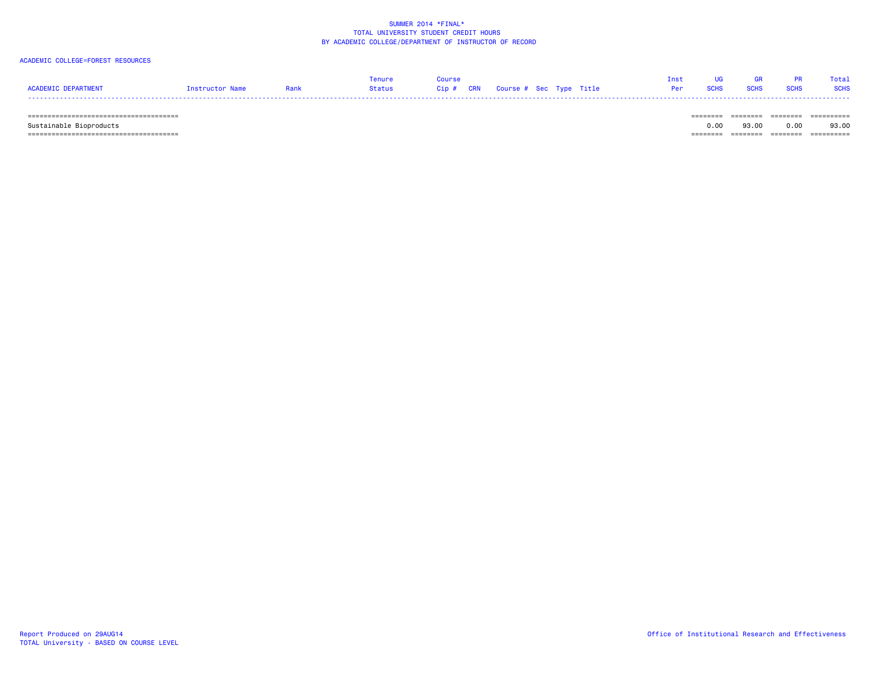# ACADEMIC COLLEGE=FOREST RESOURCES

|                     |                 |      | Tenure | Course |                              |  | Inst UG GR PR Total |  |
|---------------------|-----------------|------|--------|--------|------------------------------|--|---------------------|--|
| ACADEMIC DEPARTMENT | Instructor Name | Rank |        |        | Per SCHS SCHS SCHS SCHS SCHS |  |                     |  |
|                     |                 |      |        |        |                              |  |                     |  |

====================================== ======== ======== ======== ==========

====================================== ======== ======== ======== ==========

Sustainable Bioproducts 0.00 93.00 0.00 93.00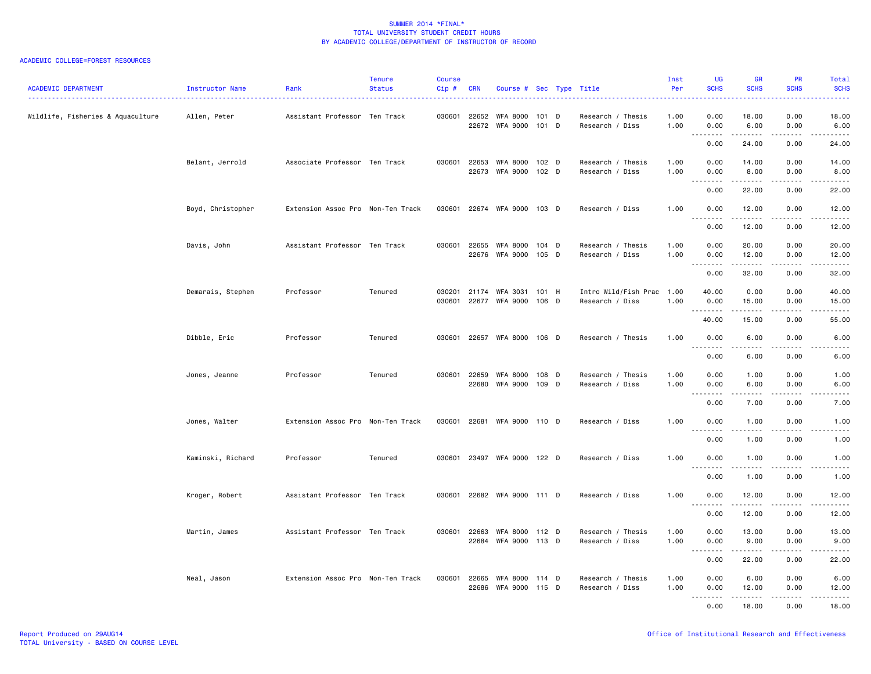# ACADEMIC COLLEGE=FOREST RESOURCES

| <b>ACADEMIC DEPARTMENT</b>        | Instructor Name   | Rank                              | <b>Tenure</b><br><b>Status</b> | Course<br>Cip#   | <b>CRN</b>            | Course # Sec Type Title                 |                | .                                            | Inst<br>Per  | <b>UG</b><br><b>SCHS</b>                                                                                                                                                                                                                                                                                                                                                                                                                                                                               | <b>GR</b><br><b>SCHS</b> | <b>PR</b><br><b>SCHS</b>                                                                                                          | Total<br><b>SCHS</b><br>$\frac{1}{2} \left( \frac{1}{2} \right) \left( \frac{1}{2} \right) \left( \frac{1}{2} \right) \left( \frac{1}{2} \right)$ |
|-----------------------------------|-------------------|-----------------------------------|--------------------------------|------------------|-----------------------|-----------------------------------------|----------------|----------------------------------------------|--------------|--------------------------------------------------------------------------------------------------------------------------------------------------------------------------------------------------------------------------------------------------------------------------------------------------------------------------------------------------------------------------------------------------------------------------------------------------------------------------------------------------------|--------------------------|-----------------------------------------------------------------------------------------------------------------------------------|---------------------------------------------------------------------------------------------------------------------------------------------------|
| Wildlife, Fisheries & Aquaculture | Allen, Peter      | Assistant Professor Ten Track     |                                |                  | 030601 22652<br>22672 | WFA 8000<br>WFA 9000 101 D              | 101 D          | Research / Thesis<br>Research / Diss         | 1.00<br>1.00 | 0.00<br>0.00<br>$\sim$                                                                                                                                                                                                                                                                                                                                                                                                                                                                                 | 18.00<br>6.00            | 0.00<br>0.00<br>$- - -$                                                                                                           | 18.00<br>6.00                                                                                                                                     |
|                                   |                   |                                   |                                |                  |                       |                                         |                |                                              |              | .<br>0.00                                                                                                                                                                                                                                                                                                                                                                                                                                                                                              | 24.00                    | 0.00                                                                                                                              | 24.00                                                                                                                                             |
|                                   | Belant, Jerrold   | Associate Professor Ten Track     |                                | 030601           | 22653<br>22673        | WFA 8000<br>WFA 9000                    | 102 D<br>102 D | Research / Thesis<br>Research / Diss         | 1.00<br>1.00 | 0.00<br>0.00<br>$\begin{array}{cccccccccccccc} \multicolumn{2}{c}{} & \multicolumn{2}{c}{} & \multicolumn{2}{c}{} & \multicolumn{2}{c}{} & \multicolumn{2}{c}{} & \multicolumn{2}{c}{} & \multicolumn{2}{c}{} & \multicolumn{2}{c}{} & \multicolumn{2}{c}{} & \multicolumn{2}{c}{} & \multicolumn{2}{c}{} & \multicolumn{2}{c}{} & \multicolumn{2}{c}{} & \multicolumn{2}{c}{} & \multicolumn{2}{c}{} & \multicolumn{2}{c}{} & \multicolumn{2}{c}{} & \multicolumn{2}{c}{} & \multicolumn{2}{c}{} & \$ | 14.00<br>8.00<br>.       | 0.00<br>0.00<br>الدامات بال                                                                                                       | 14.00<br>8.00<br>.                                                                                                                                |
|                                   |                   |                                   |                                |                  |                       |                                         |                |                                              |              | 0.00                                                                                                                                                                                                                                                                                                                                                                                                                                                                                                   | 22.00                    | 0.00                                                                                                                              | 22.00                                                                                                                                             |
|                                   | Boyd, Christopher | Extension Assoc Pro Non-Ten Track |                                | 030601           |                       | 22674 WFA 9000 103 D                    |                | Research / Diss                              | 1.00         | 0.00                                                                                                                                                                                                                                                                                                                                                                                                                                                                                                   | 12.00                    | 0.00                                                                                                                              | 12.00                                                                                                                                             |
|                                   |                   |                                   |                                |                  |                       |                                         |                |                                              |              | $\sim$ $\sim$ $\sim$<br>.<br>0.00                                                                                                                                                                                                                                                                                                                                                                                                                                                                      | 12.00                    | 0.00                                                                                                                              | 12.00                                                                                                                                             |
|                                   | Davis, John       | Assistant Professor Ten Track     |                                | 030601           | 22655                 | <b>WFA 8000</b><br>22676 WFA 9000 105 D | 104 D          | Research / Thesis<br>Research / Diss         | 1.00<br>1.00 | 0.00<br>0.00                                                                                                                                                                                                                                                                                                                                                                                                                                                                                           | 20.00<br>12.00<br>.      | 0.00<br>0.00<br>.                                                                                                                 | 20.00<br>12.00<br>.                                                                                                                               |
|                                   |                   |                                   |                                |                  |                       |                                         |                |                                              |              | 0.00                                                                                                                                                                                                                                                                                                                                                                                                                                                                                                   | 32.00                    | 0.00                                                                                                                              | 32.00                                                                                                                                             |
|                                   | Demarais, Stephen | Professor                         | Tenured                        | 030201<br>030601 | 22677                 | 21174 WFA 3031<br>WFA 9000              | 101 H<br>106 D | Intro Wild/Fish Prac 1.00<br>Research / Diss | 1.00         | 40.00<br>0.00<br>.                                                                                                                                                                                                                                                                                                                                                                                                                                                                                     | 0.00<br>15.00            | 0.00<br>0.00<br>$- - - -$                                                                                                         | 40.00<br>15.00                                                                                                                                    |
|                                   |                   |                                   |                                |                  |                       |                                         |                |                                              |              | 40.00                                                                                                                                                                                                                                                                                                                                                                                                                                                                                                  | 15.00                    | 0.00                                                                                                                              | 55.00                                                                                                                                             |
|                                   | Dibble, Eric      | Professor                         | Tenured                        | 030601           |                       | 22657 WFA 8000 106 D                    |                | Research / Thesis                            | 1.00         | 0.00<br>$\sim$ $\sim$ $\sim$<br>$\frac{1}{2}$                                                                                                                                                                                                                                                                                                                                                                                                                                                          | 6.00                     | 0.00                                                                                                                              | 6.00                                                                                                                                              |
|                                   |                   |                                   |                                |                  |                       |                                         |                |                                              |              | 0.00                                                                                                                                                                                                                                                                                                                                                                                                                                                                                                   | 6.00                     | 0.00                                                                                                                              | 6.00                                                                                                                                              |
|                                   | Jones, Jeanne     | Professor                         | Tenured                        | 030601           | 22659<br>22680        | <b>WFA 8000</b><br>WFA 9000 109 D       | 108 D          | Research / Thesis<br>Research / Diss         | 1.00<br>1.00 | 0.00<br>0.00<br>بالمحام<br>$\sim$ $\sim$ .                                                                                                                                                                                                                                                                                                                                                                                                                                                             | 1.00<br>6.00             | 0.00<br>0.00<br>$\sim$ $\sim$ $\sim$ $\sim$                                                                                       | 1.00<br>6.00<br>-----                                                                                                                             |
|                                   |                   |                                   |                                |                  |                       |                                         |                |                                              |              | 0.00                                                                                                                                                                                                                                                                                                                                                                                                                                                                                                   | 7.00                     | 0.00                                                                                                                              | 7.00                                                                                                                                              |
|                                   | Jones, Walter     | Extension Assoc Pro Non-Ten Track |                                | 030601           | 22681                 | WFA 9000 110 D                          |                | Research / Diss                              | 1.00         | 0.00                                                                                                                                                                                                                                                                                                                                                                                                                                                                                                   | 1.00                     | 0.00                                                                                                                              | 1.00                                                                                                                                              |
|                                   |                   |                                   |                                |                  |                       |                                         |                |                                              |              | .<br>0.00                                                                                                                                                                                                                                                                                                                                                                                                                                                                                              | .<br>1.00                | . <b>.</b><br>0.00                                                                                                                | .<br>1.00                                                                                                                                         |
|                                   | Kaminski, Richard | Professor                         | Tenured                        | 030601           |                       | 23497 WFA 9000 122 D                    |                | Research / Diss                              | 1.00         | 0.00                                                                                                                                                                                                                                                                                                                                                                                                                                                                                                   | 1.00                     | 0.00                                                                                                                              | 1.00                                                                                                                                              |
|                                   |                   |                                   |                                |                  |                       |                                         |                |                                              |              | . <b>.</b><br>0.00                                                                                                                                                                                                                                                                                                                                                                                                                                                                                     | . <u>.</u><br>1.00       | $\frac{1}{2}$<br>0.00                                                                                                             | .<br>1.00                                                                                                                                         |
|                                   | Kroger, Robert    | Assistant Professor Ten Track     |                                | 030601           |                       | 22682 WFA 9000 111 D                    |                | Research / Diss                              | 1.00         | 0.00                                                                                                                                                                                                                                                                                                                                                                                                                                                                                                   | 12.00                    | 0.00                                                                                                                              | 12.00                                                                                                                                             |
|                                   |                   |                                   |                                |                  |                       |                                         |                |                                              |              | $\sim$ $\sim$<br>0.00                                                                                                                                                                                                                                                                                                                                                                                                                                                                                  | 12.00                    | 0.00                                                                                                                              | 12.00                                                                                                                                             |
|                                   | Martin, James     | Assistant Professor Ten Track     |                                |                  | 030601 22663<br>22684 | WFA 8000<br>WFA 9000 113 D              | 112 D          | Research / Thesis<br>Research / Diss         | 1.00<br>1.00 | 0.00<br>0.00                                                                                                                                                                                                                                                                                                                                                                                                                                                                                           | 13.00<br>9.00            | 0.00<br>0.00                                                                                                                      | 13.00<br>9.00                                                                                                                                     |
|                                   |                   |                                   |                                |                  |                       |                                         |                |                                              |              | 0.00                                                                                                                                                                                                                                                                                                                                                                                                                                                                                                   | .<br>22.00               | $\frac{1}{2} \left( \frac{1}{2} \right) \left( \frac{1}{2} \right) \left( \frac{1}{2} \right) \left( \frac{1}{2} \right)$<br>0.00 | د د د د د<br>22.00                                                                                                                                |
|                                   | Neal, Jason       | Extension Assoc Pro Non-Ten Track |                                | 030601           | 22665<br>22686        | WFA 8000<br>WFA 9000 115 D              | 114 D          | Research / Thesis<br>Research / Diss         | 1.00<br>1.00 | 0.00<br>0.00                                                                                                                                                                                                                                                                                                                                                                                                                                                                                           | 6.00<br>12.00            | 0.00<br>0.00                                                                                                                      | 6.00<br>12.00                                                                                                                                     |
|                                   |                   |                                   |                                |                  |                       |                                         |                |                                              |              | . <i>.</i><br>0.00                                                                                                                                                                                                                                                                                                                                                                                                                                                                                     | .<br>18.00               | .<br>0.00                                                                                                                         | .<br>18.00                                                                                                                                        |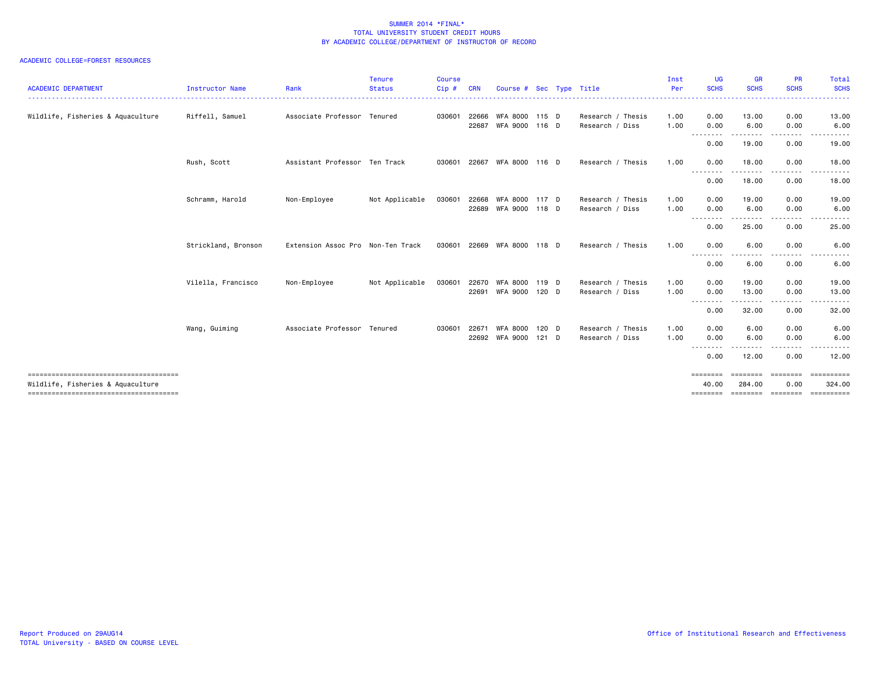# ACADEMIC COLLEGE=FOREST RESOURCES

| <b>ACADEMIC DEPARTMENT</b>        | <b>Instructor Name</b> | Rank                              | Tenure<br><b>Status</b> | <b>Course</b><br>Cip# | <b>CRN</b>     | Course # Sec Type Title          |                  |                                      | Inst<br>Per  | UG<br><b>SCHS</b>              | <b>GR</b><br><b>SCHS</b> | <b>PR</b><br><b>SCHS</b>     | <b>Total</b><br><b>SCHS</b>      |
|-----------------------------------|------------------------|-----------------------------------|-------------------------|-----------------------|----------------|----------------------------------|------------------|--------------------------------------|--------------|--------------------------------|--------------------------|------------------------------|----------------------------------|
| Wildlife, Fisheries & Aquaculture | Riffell, Samuel        | Associate Professor Tenured       |                         | 030601                | 22666<br>22687 | WFA 8000 115 D<br>WFA 9000 116 D |                  | Research / Thesis<br>Research / Diss | 1.00<br>1.00 | 0.00<br>0.00                   | 13.00<br>6.00            | 0.00<br>0.00                 | 13.00<br>6.00                    |
|                                   |                        |                                   |                         |                       |                |                                  |                  |                                      |              | .<br>0.00                      | ---------<br>19.00       | . <b>.</b><br>0.00           | . <b>.</b> .<br>19.00            |
|                                   | Rush, Scott            | Assistant Professor Ten Track     |                         |                       |                | 030601 22667 WFA 8000 116 D      |                  | Research / Thesis                    | 1.00         | 0.00                           | 18.00                    | 0.00                         | 18.00                            |
|                                   |                        |                                   |                         |                       |                |                                  |                  |                                      |              | --------<br>0.00               | 18.00                    | .<br>0.00                    | ------<br>18.00                  |
|                                   | Schramm, Harold        | Non-Employee                      | Not Applicable          | 030601                | 22668          | WFA 8000<br>22689 WFA 9000 118 D | 117 D            | Research / Thesis<br>Research / Diss | 1.00<br>1.00 | 0.00<br>0.00                   | 19.00<br>6.00            | 0.00<br>0.00                 | 19.00<br>6.00                    |
|                                   |                        |                                   |                         |                       |                |                                  |                  |                                      |              | <u>.</u><br>0.00               | 25.00                    | 0.00                         | 25.00                            |
|                                   | Strickland, Bronson    | Extension Assoc Pro Non-Ten Track |                         | 030601                |                | 22669 WFA 8000 118 D             |                  | Research / Thesis                    | 1.00         | 0.00                           | 6.00                     | 0.00                         | 6.00                             |
|                                   |                        |                                   |                         |                       |                |                                  |                  |                                      |              | $\cdots$<br>0.00               | 6.00                     | 0.00                         | 6.00                             |
|                                   | Vilella, Francisco     | Non-Employee                      | Not Applicable          | 030601                | 22670<br>22691 | WFA 8000<br>WFA 9000 120 D       | 119 D            | Research / Thesis<br>Research / Diss | 1.00<br>1.00 | 0.00<br>0.00<br>.              | 19.00<br>13.00<br>.      | 0.00<br>0.00<br>. <b>.</b>   | 19.00<br>13.00                   |
|                                   |                        |                                   |                         |                       |                |                                  |                  |                                      |              | 0.00                           | 32.00                    | 0.00                         | 32.00                            |
|                                   | Wang, Guiming          | Associate Professor Tenured       |                         | 030601                | 22671<br>22692 | WFA 8000<br>WFA 9000             | 120 D<br>$121$ D | Research / Thesis<br>Research / Diss | 1.00<br>1.00 | 0.00<br>0.00                   | 6.00<br>6.00             | 0.00<br>0.00                 | 6.00<br>6.00                     |
|                                   |                        |                                   |                         |                       |                |                                  |                  |                                      |              | -------<br>0.00                | 12.00                    | 0.00                         | 12.00                            |
| Wildlife, Fisheries & Aquaculture |                        |                                   |                         |                       |                |                                  |                  |                                      |              | ---------<br>40.00<br>seeseese | <br>284.00<br>--------   | ---------<br>0.00<br>eeeeeee | ==========<br>324.00<br>EEEEEEEE |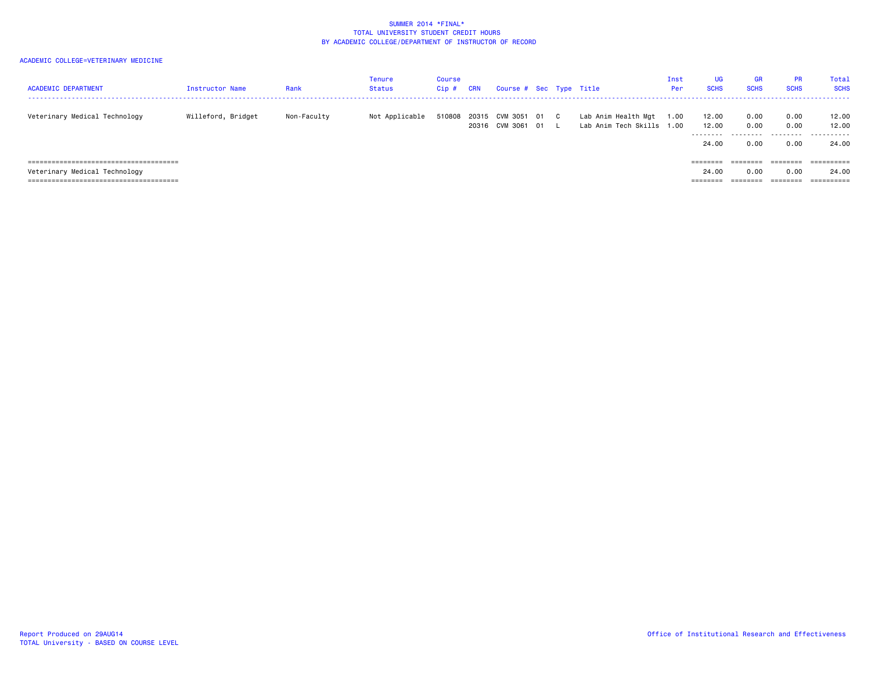| <b>ACADEMIC DEPARTMENT</b>    | Instructor Name    | Rank        | <b>Tenure</b><br><b>Status</b> | Course<br>$Cip$ # | <b>CRN</b> | Course # Sec Type Title                   |  |                                                  | Inst<br>Per | <b>UG</b><br><b>SCHS</b>            | <b>GR</b><br><b>SCHS</b> | <b>PR</b><br><b>SCHS</b> | Total<br><b>SCHS</b>               |
|-------------------------------|--------------------|-------------|--------------------------------|-------------------|------------|-------------------------------------------|--|--------------------------------------------------|-------------|-------------------------------------|--------------------------|--------------------------|------------------------------------|
| Veterinary Medical Technology | Willeford, Bridget | Non-Faculty | Not Applicable                 |                   | 20316      | 510808 20315 CVM 3051 01 C<br>CVM 3061 01 |  | Lab Anim Health Mgt<br>Lab Anim Tech Skills 1.00 | 1.00        | 12.00<br>12.00<br>--------<br>24.00 | 0.00<br>0.00<br>0.00     | 0.00<br>0.00<br>0.00     | 12.00<br>12.00<br>-------<br>24.00 |
|                               |                    |             |                                |                   |            |                                           |  |                                                  |             | $=$ = = = = = = =                   |                          | ========                 | ==========                         |
| Veterinary Medical Technology |                    |             |                                |                   |            |                                           |  |                                                  |             | 24.00                               | 0.00                     | 0.00                     | 24.00                              |
|                               |                    |             |                                |                   |            |                                           |  |                                                  |             |                                     |                          |                          | $=$ = = = = = = = = =              |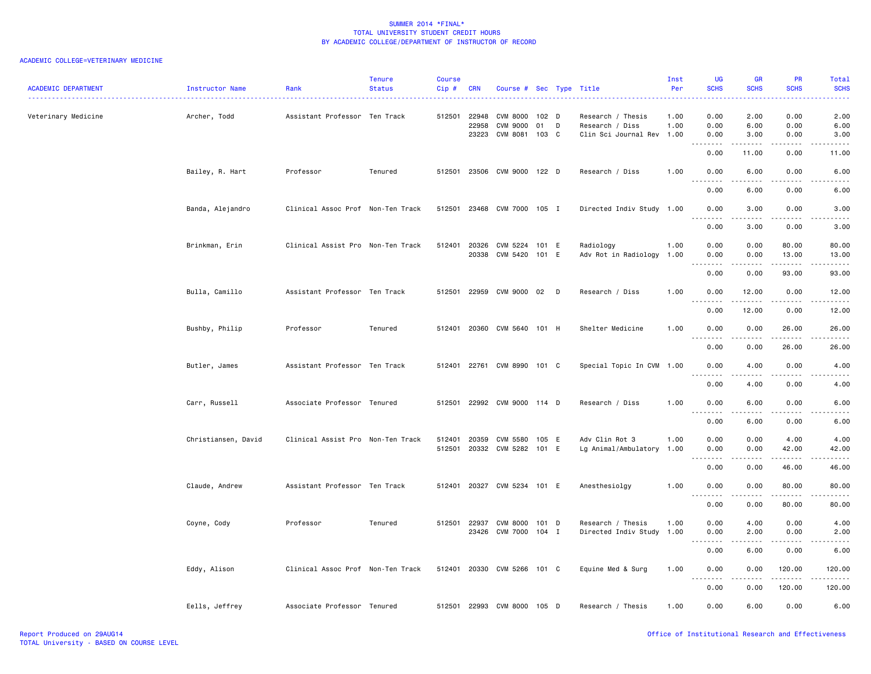| <b>ACADEMIC DEPARTMENT</b> | Instructor Name     | Rank                              | <b>Tenure</b><br><b>Status</b> | Course<br>Cip#   | <b>CRN</b>              | Course # Sec Type Title                              |                        |        |                                                                   | Inst<br>Per  | UG<br><b>SCHS</b><br>والأباد            | <b>GR</b><br><b>SCHS</b>                                                                                                          | PR<br><b>SCHS</b>                                                                                                                                             | Total<br><b>SCHS</b><br>الداعات                                                                                                                              |
|----------------------------|---------------------|-----------------------------------|--------------------------------|------------------|-------------------------|------------------------------------------------------|------------------------|--------|-------------------------------------------------------------------|--------------|-----------------------------------------|-----------------------------------------------------------------------------------------------------------------------------------|---------------------------------------------------------------------------------------------------------------------------------------------------------------|--------------------------------------------------------------------------------------------------------------------------------------------------------------|
| Veterinary Medicine        | Archer, Todd        | Assistant Professor Ten Track     |                                | 512501           | 22948<br>22958<br>23223 | <b>CVM 8000</b><br><b>CVM 9000</b><br>CVM 8081 103 C | 102 <sub>D</sub><br>01 | D      | Research / Thesis<br>Research / Diss<br>Clin Sci Journal Rev 1.00 | 1.00<br>1.00 | 0.00<br>0.00<br>0.00                    | 2.00<br>6.00<br>3.00                                                                                                              | 0.00<br>0.00<br>0.00                                                                                                                                          | 2.00<br>6.00<br>3.00                                                                                                                                         |
|                            |                     |                                   |                                |                  |                         |                                                      |                        |        |                                                                   |              | .<br>0.00                               | $\frac{1}{2}$<br>11.00                                                                                                            | .<br>0.00                                                                                                                                                     | $\frac{1}{2} \left( \frac{1}{2} \right) \left( \frac{1}{2} \right) \left( \frac{1}{2} \right) \left( \frac{1}{2} \right)$<br>11.00                           |
|                            | Bailey, R. Hart     | Professor                         | Tenured                        | 512501           |                         | 23506 CVM 9000 122 D                                 |                        |        | Research / Diss                                                   | 1.00         | 0.00<br>.                               | 6.00                                                                                                                              | 0.00                                                                                                                                                          | 6.00                                                                                                                                                         |
|                            |                     |                                   |                                |                  |                         |                                                      |                        |        |                                                                   |              | 0.00                                    | 6.00                                                                                                                              | 0.00                                                                                                                                                          | 6.00                                                                                                                                                         |
|                            | Banda, Alejandro    | Clinical Assoc Prof Non-Ten Track |                                | 512501           | 23468                   | CVM 7000 105 I                                       |                        |        | Directed Indiv Study 1.00                                         |              | 0.00<br>.                               | 3.00<br>-----                                                                                                                     | 0.00<br>د د د د                                                                                                                                               | 3.00<br>$\frac{1}{2} \left( \frac{1}{2} \right) \left( \frac{1}{2} \right) \left( \frac{1}{2} \right) \left( \frac{1}{2} \right) \left( \frac{1}{2} \right)$ |
|                            |                     |                                   |                                |                  |                         |                                                      |                        |        |                                                                   |              | 0.00                                    | 3.00                                                                                                                              | 0.00                                                                                                                                                          | 3.00                                                                                                                                                         |
|                            | Brinkman, Erin      | Clinical Assist Pro Non-Ten Track |                                | 512401           | 20326<br>20338          | CVM 5224<br>CVM 5420                                 | 101 E<br>101 E         |        | Radiology<br>Adv Rot in Radiology                                 | 1.00<br>1.00 | 0.00<br>0.00                            | 0.00<br>0.00                                                                                                                      | 80.00<br>13.00                                                                                                                                                | 80.00<br>13.00                                                                                                                                               |
|                            |                     |                                   |                                |                  |                         |                                                      |                        |        |                                                                   |              | 0.00                                    | 0.00                                                                                                                              | $\frac{1}{2} \left( \frac{1}{2} \right) \left( \frac{1}{2} \right) \left( \frac{1}{2} \right) \left( \frac{1}{2} \right) \left( \frac{1}{2} \right)$<br>93.00 | .<br>93.00                                                                                                                                                   |
|                            | Bulla, Camillo      | Assistant Professor Ten Track     |                                | 512501           | 22959                   | CVM 9000 02                                          |                        | $\Box$ | Research / Diss                                                   | 1.00         | 0.00                                    | 12.00                                                                                                                             | 0.00                                                                                                                                                          | 12.00                                                                                                                                                        |
|                            |                     |                                   |                                |                  |                         |                                                      |                        |        |                                                                   |              | <b></b><br>0.00                         | .<br>12.00                                                                                                                        | د د د د<br>0.00                                                                                                                                               | .<br>12.00                                                                                                                                                   |
|                            | Bushby, Philip      | Professor                         | Tenured                        | 512401           |                         | 20360 CVM 5640 101 H                                 |                        |        | Shelter Medicine                                                  | 1.00         | 0.00<br>$\sim$ $\sim$ $\sim$            | 0.00                                                                                                                              | 26.00                                                                                                                                                         | 26.00                                                                                                                                                        |
|                            |                     |                                   |                                |                  |                         |                                                      |                        |        |                                                                   |              | 0.00                                    | 0.00                                                                                                                              | 26.00                                                                                                                                                         | 26.00                                                                                                                                                        |
|                            | Butler, James       | Assistant Professor Ten Track     |                                | 512401           |                         | 22761 CVM 8990 101 C                                 |                        |        | Special Topic In CVM 1.00                                         |              | 0.00<br>$\sim$ $\sim$ $\sim$<br>.       | 4.00<br>.                                                                                                                         | 0.00<br>.                                                                                                                                                     | 4.00<br>$\frac{1}{2} \left( \frac{1}{2} \right) \left( \frac{1}{2} \right) \left( \frac{1}{2} \right) \left( \frac{1}{2} \right) \left( \frac{1}{2} \right)$ |
|                            |                     |                                   |                                |                  |                         |                                                      |                        |        |                                                                   |              | 0.00                                    | 4.00                                                                                                                              | 0.00                                                                                                                                                          | 4.00                                                                                                                                                         |
|                            | Carr, Russell       | Associate Professor Tenured       |                                | 512501           |                         | 22992 CVM 9000 114 D                                 |                        |        | Research / Diss                                                   | 1.00         | 0.00<br>$\sim$ $\sim$<br>.              | 6.00                                                                                                                              | 0.00<br>$\frac{1}{2}$                                                                                                                                         | 6.00<br>$- - - -$                                                                                                                                            |
|                            |                     |                                   |                                |                  |                         |                                                      |                        |        |                                                                   |              | 0.00                                    | 6.00                                                                                                                              | 0.00                                                                                                                                                          | 6.00                                                                                                                                                         |
|                            | Christiansen, David | Clinical Assist Pro Non-Ten Track |                                | 512401<br>512501 | 20359<br>20332          | CVM 5580<br>CVM 5282 101 E                           | 105 E                  |        | Adv Clin Rot 3<br>Lg Animal/Ambulatory                            | 1.00<br>1.00 | 0.00<br>0.00                            | 0.00<br>0.00                                                                                                                      | 4.00<br>42.00                                                                                                                                                 | 4.00<br>42.00                                                                                                                                                |
|                            |                     |                                   |                                |                  |                         |                                                      |                        |        |                                                                   |              | $\sim$ $\sim$<br>0.00                   | 0.00                                                                                                                              | 46.00                                                                                                                                                         | 46.00                                                                                                                                                        |
|                            | Claude, Andrew      | Assistant Professor Ten Track     |                                |                  |                         | 512401 20327 CVM 5234 101 E                          |                        |        | Anesthesiolgy                                                     | 1.00         | 0.00                                    | 0.00                                                                                                                              | 80.00                                                                                                                                                         | 80.00                                                                                                                                                        |
|                            |                     |                                   |                                |                  |                         |                                                      |                        |        |                                                                   |              | 0.00                                    | 0.00                                                                                                                              | 80.00                                                                                                                                                         | 80.00                                                                                                                                                        |
|                            | Coyne, Cody         | Professor                         | Tenured                        | 512501           | 22937<br>23426          | <b>CVM 8000</b><br>CVM 7000 104 I                    | 101 D                  |        | Research / Thesis<br>Directed Indiv Study 1.00                    | 1.00         | 0.00<br>0.00                            | 4.00<br>2.00                                                                                                                      | 0.00<br>0.00                                                                                                                                                  | 4.00<br>2.00                                                                                                                                                 |
|                            |                     |                                   |                                |                  |                         |                                                      |                        |        |                                                                   |              | والمالمات<br>0.00                       | $\frac{1}{2} \left( \frac{1}{2} \right) \left( \frac{1}{2} \right) \left( \frac{1}{2} \right) \left( \frac{1}{2} \right)$<br>6.00 | $\sim$ $\sim$ $\sim$ $\sim$<br>0.00                                                                                                                           | -----<br>6.00                                                                                                                                                |
|                            | Eddy, Alison        | Clinical Assoc Prof Non-Ten Track |                                |                  |                         | 512401 20330 CVM 5266 101 C                          |                        |        | Equine Med & Surg                                                 | 1.00         | 0.00                                    | 0.00                                                                                                                              | 120.00                                                                                                                                                        | 120.00                                                                                                                                                       |
|                            |                     |                                   |                                |                  |                         |                                                      |                        |        |                                                                   |              | $\sim$ $\sim$ $\sim$<br>د د د د<br>0.00 | $\frac{1}{2}$<br>0.00                                                                                                             | .<br>120.00                                                                                                                                                   | 120.00                                                                                                                                                       |
|                            | Eells, Jeffrey      | Associate Professor Tenured       |                                | 512501           |                         | 22993 CVM 8000 105 D                                 |                        |        | Research / Thesis                                                 | 1.00         | 0.00                                    | 6.00                                                                                                                              | 0.00                                                                                                                                                          | 6.00                                                                                                                                                         |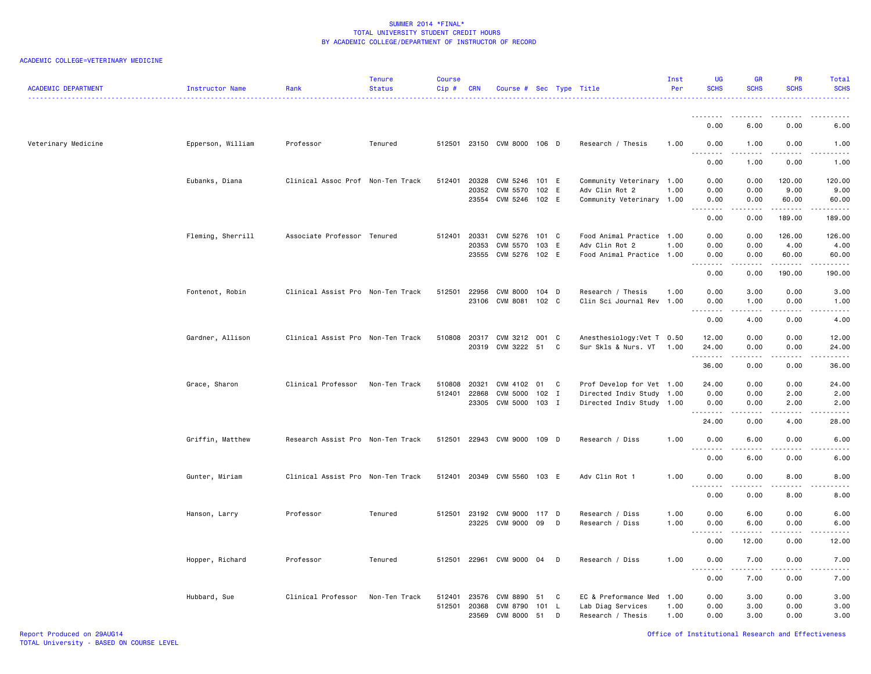| <b>ACADEMIC DEPARTMENT</b> | Instructor Name   | Rank                              | <b>Tenure</b><br><b>Status</b> | <b>Course</b><br>Cip# | CRN                   | Course # Sec Type Title     |              |   |                                             | Inst<br>Per  | UG<br><b>SCHS</b>                 | <b>GR</b><br><b>SCHS</b>                                                                                                          | <b>PR</b><br><b>SCHS</b>                                                                                                          | Total<br><b>SCHS</b>                                                                                                                                          |
|----------------------------|-------------------|-----------------------------------|--------------------------------|-----------------------|-----------------------|-----------------------------|--------------|---|---------------------------------------------|--------------|-----------------------------------|-----------------------------------------------------------------------------------------------------------------------------------|-----------------------------------------------------------------------------------------------------------------------------------|---------------------------------------------------------------------------------------------------------------------------------------------------------------|
|                            |                   |                                   |                                |                       |                       |                             |              |   |                                             |              | <u>.</u>                          | ----                                                                                                                              |                                                                                                                                   |                                                                                                                                                               |
|                            |                   |                                   |                                |                       |                       |                             |              |   |                                             |              | 0.00                              | 6.00                                                                                                                              | 0.00                                                                                                                              | 6.00                                                                                                                                                          |
| Veterinary Medicine        | Epperson, William | Professor                         | Tenured                        |                       |                       | 512501 23150 CVM 8000 106 D |              |   | Research / Thesis                           | 1.00         | 0.00<br>$\frac{1}{2}$             | 1.00<br>.                                                                                                                         | 0.00<br>.                                                                                                                         | 1.00<br>$- - - -$                                                                                                                                             |
|                            |                   |                                   |                                |                       |                       |                             |              |   |                                             |              | 0.00                              | 1.00                                                                                                                              | 0.00                                                                                                                              | 1.00                                                                                                                                                          |
|                            | Eubanks, Diana    | Clinical Assoc Prof Non-Ten Track |                                | 512401                | 20328                 | CVM 5246                    | 101 E        |   | Community Veterinary 1.00                   |              | 0.00                              | 0.00                                                                                                                              | 120.00                                                                                                                            | 120.00                                                                                                                                                        |
|                            |                   |                                   |                                |                       | 20352<br>23554        | CVM 5570<br>CVM 5246 102 E  | 102 E        |   | Adv Clin Rot 2<br>Community Veterinary 1.00 | 1.00         | 0.00<br>0.00                      | 0.00<br>0.00                                                                                                                      | 9.00<br>60.00                                                                                                                     | 9.00<br>60.00                                                                                                                                                 |
|                            |                   |                                   |                                |                       |                       |                             |              |   |                                             |              | .                                 |                                                                                                                                   | د د د د د                                                                                                                         | د د د د د                                                                                                                                                     |
|                            |                   |                                   |                                |                       |                       |                             |              |   |                                             |              | 0.00                              | 0.00                                                                                                                              | 189.00                                                                                                                            | 189.00                                                                                                                                                        |
|                            | Fleming, Sherrill | Associate Professor Tenured       |                                |                       | 512401 20331          | CVM 5276                    | 101 C        |   | Food Animal Practice 1.00                   |              | 0.00                              | 0.00                                                                                                                              | 126.00                                                                                                                            | 126.00                                                                                                                                                        |
|                            |                   |                                   |                                |                       | 20353<br>23555        | CVM 5570<br>CVM 5276        | 103<br>102 E | E | Adv Clin Rot 2<br>Food Animal Practice 1.00 | 1.00         | 0.00<br>0.00                      | 0.00<br>0.00                                                                                                                      | 4.00<br>60.00                                                                                                                     | 4.00<br>60.00                                                                                                                                                 |
|                            |                   |                                   |                                |                       |                       |                             |              |   |                                             |              | .                                 |                                                                                                                                   | .                                                                                                                                 | .                                                                                                                                                             |
|                            |                   |                                   |                                |                       |                       |                             |              |   |                                             |              | 0.00                              | 0.00                                                                                                                              | 190.00                                                                                                                            | 190.00                                                                                                                                                        |
|                            | Fontenot, Robin   | Clinical Assist Pro Non-Ten Track |                                | 512501                | 22956                 | <b>CVM 8000</b>             | 104 D        |   | Research / Thesis                           | 1.00         | 0.00                              | 3.00                                                                                                                              | 0.00                                                                                                                              | 3.00                                                                                                                                                          |
|                            |                   |                                   |                                |                       | 23106                 | CVM 8081 102 C              |              |   | Clin Sci Journal Rev 1.00                   |              | 0.00<br>.                         | 1.00<br>$   -$                                                                                                                    | 0.00<br>$\frac{1}{2}$                                                                                                             | 1.00<br>.                                                                                                                                                     |
|                            |                   |                                   |                                |                       |                       |                             |              |   |                                             |              | 0.00                              | 4.00                                                                                                                              | 0.00                                                                                                                              | 4.00                                                                                                                                                          |
|                            | Gardner, Allison  | Clinical Assist Pro Non-Ten Track |                                | 510808                | 20317                 | CVM 3212                    | 001          | C | Anesthesiology: Vet T 0.50                  |              | 12.00                             | 0.00                                                                                                                              | 0.00                                                                                                                              | 12.00                                                                                                                                                         |
|                            |                   |                                   |                                |                       |                       | 20319 CVM 3222 51           |              | C | Sur Skls & Nurs. VT                         | 1.00         | 24.00                             | 0.00                                                                                                                              | 0.00                                                                                                                              | 24.00                                                                                                                                                         |
|                            |                   |                                   |                                |                       |                       |                             |              |   |                                             |              | .<br>36.00                        | -----<br>0.00                                                                                                                     | .<br>0.00                                                                                                                         | .<br>36.00                                                                                                                                                    |
|                            | Grace, Sharon     | Clinical Professor                | Non-Ten Track                  | 510808                | 20321                 | CVM 4102                    | 01           | C | Prof Develop for Vet 1.00                   |              | 24.00                             | 0.00                                                                                                                              | 0.00                                                                                                                              | 24.00                                                                                                                                                         |
|                            |                   |                                   |                                | 512401                | 22868                 | CVM 5000                    | 102 I        |   | Directed Indiv Study 1.00                   |              | 0.00                              | 0.00                                                                                                                              | 2.00                                                                                                                              | 2.00                                                                                                                                                          |
|                            |                   |                                   |                                |                       | 23305                 | CVM 5000 103 I              |              |   | Directed Indiv Study 1.00                   |              | 0.00                              | 0.00                                                                                                                              | 2.00                                                                                                                              | 2.00<br>$\frac{1}{2} \left( \frac{1}{2} \right) \left( \frac{1}{2} \right) \left( \frac{1}{2} \right) \left( \frac{1}{2} \right) \left( \frac{1}{2} \right)$  |
|                            |                   |                                   |                                |                       |                       |                             |              |   |                                             |              | 24.00                             | 0.00                                                                                                                              | 4.00                                                                                                                              | 28.00                                                                                                                                                         |
|                            | Griffin, Matthew  | Research Assist Pro Non-Ten Track |                                |                       |                       | 512501 22943 CVM 9000       | 109 D        |   | Research / Diss                             | 1.00         | 0.00<br><u>.</u>                  | 6.00<br>.                                                                                                                         | 0.00<br>$\frac{1}{2} \left( \frac{1}{2} \right) \left( \frac{1}{2} \right) \left( \frac{1}{2} \right) \left( \frac{1}{2} \right)$ | 6.00<br>.                                                                                                                                                     |
|                            |                   |                                   |                                |                       |                       |                             |              |   |                                             |              | 0.00                              | 6.00                                                                                                                              | 0.00                                                                                                                              | 6.00                                                                                                                                                          |
|                            | Gunter, Miriam    | Clinical Assist Pro Non-Ten Track |                                |                       |                       | 512401 20349 CVM 5560 103 E |              |   | Adv Clin Rot 1                              | 1.00         | 0.00                              | 0.00                                                                                                                              | 8.00                                                                                                                              | 8.00                                                                                                                                                          |
|                            |                   |                                   |                                |                       |                       |                             |              |   |                                             |              | .<br>0.00                         | $\frac{1}{2} \left( \frac{1}{2} \right) \left( \frac{1}{2} \right) \left( \frac{1}{2} \right) \left( \frac{1}{2} \right)$<br>0.00 | $- - -$<br>8.00                                                                                                                   | .<br>8.00                                                                                                                                                     |
|                            | Hanson, Larry     | Professor                         | Tenured                        |                       | 512501 23192          | CVM 9000                    | 117 D        |   | Research / Diss                             | 1.00         | 0.00                              | 6.00                                                                                                                              | 0.00                                                                                                                              | 6.00                                                                                                                                                          |
|                            |                   |                                   |                                |                       | 23225                 | CVM 9000                    | 09           | D | Research / Diss                             | 1.00         | 0.00                              | 6.00                                                                                                                              | 0.00                                                                                                                              | 6.00                                                                                                                                                          |
|                            |                   |                                   |                                |                       |                       |                             |              |   |                                             |              | .<br>$\sim$ $\sim$ $\sim$<br>0.00 | $\omega$ is $\omega$ in $\omega$<br>12.00                                                                                         | .<br>0.00                                                                                                                         | $\frac{1}{2} \left( \frac{1}{2} \right) \left( \frac{1}{2} \right) \left( \frac{1}{2} \right) \left( \frac{1}{2} \right) \left( \frac{1}{2} \right)$<br>12.00 |
|                            | Hopper, Richard   | Professor                         | Tenured                        |                       |                       | 512501 22961 CVM 9000       | 04           | D | Research / Diss                             | 1.00         | 0.00                              | 7.00                                                                                                                              | 0.00                                                                                                                              | 7.00                                                                                                                                                          |
|                            |                   |                                   |                                |                       |                       |                             |              |   |                                             |              | 0.00                              | .<br>7.00                                                                                                                         | $\sim$ $\sim$ $\sim$<br>0.00                                                                                                      | .<br>7.00                                                                                                                                                     |
|                            |                   |                                   |                                |                       |                       |                             |              |   |                                             |              |                                   |                                                                                                                                   |                                                                                                                                   |                                                                                                                                                               |
|                            | Hubbard, Sue      | Clinical Professor                | Non-Ten Track                  | 512401                | 23576                 | <b>CVM 8890</b>             | 51<br>101 L  | C | EC & Preformance Med                        | 1.00<br>1.00 | 0.00                              | 3.00                                                                                                                              | 0.00<br>0.00                                                                                                                      | 3.00                                                                                                                                                          |
|                            |                   |                                   |                                |                       | 512501 20368<br>23569 | CVM 8790<br><b>CVM 8000</b> | 51           | D | Lab Diag Services<br>Research / Thesis      | 1.00         | 0.00<br>0.00                      | 3.00<br>3.00                                                                                                                      | 0.00                                                                                                                              | 3.00<br>3.00                                                                                                                                                  |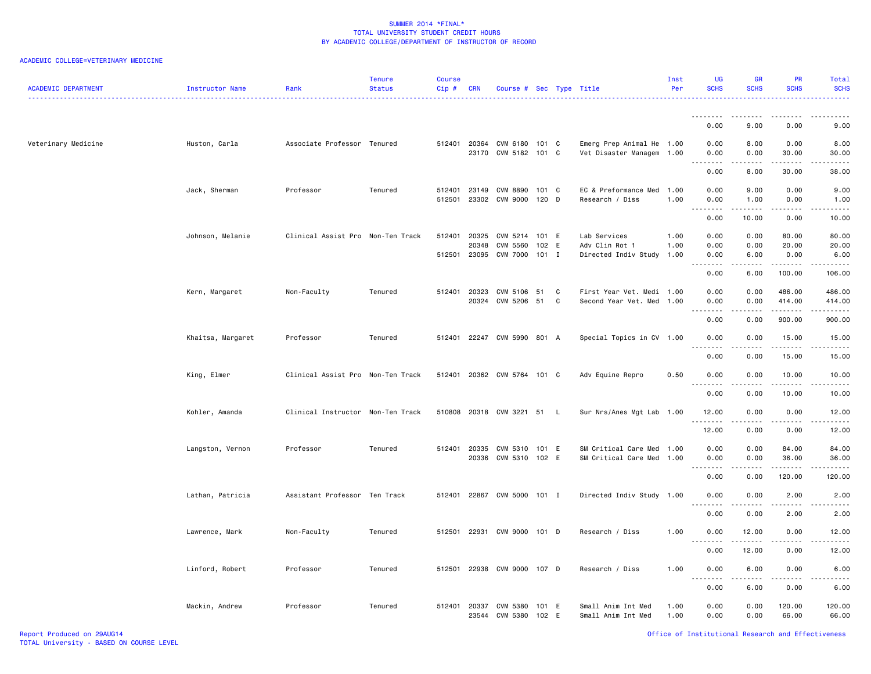| <b>ACADEMIC DEPARTMENT</b> | Instructor Name   | Rank                              | <b>Tenure</b><br><b>Status</b> | <b>Course</b><br>Cip# | <b>CRN</b>     | Course # Sec Type Title                      |       |        |                                                        | Inst<br>Per  | UG<br><b>SCHS</b>                                                                                                                 | <b>GR</b><br><b>SCHS</b>            | <b>PR</b><br><b>SCHS</b>                                                                                                                                     | Total<br><b>SCHS</b><br>.   |
|----------------------------|-------------------|-----------------------------------|--------------------------------|-----------------------|----------------|----------------------------------------------|-------|--------|--------------------------------------------------------|--------------|-----------------------------------------------------------------------------------------------------------------------------------|-------------------------------------|--------------------------------------------------------------------------------------------------------------------------------------------------------------|-----------------------------|
|                            |                   |                                   |                                |                       |                |                                              |       |        |                                                        |              | .                                                                                                                                 | .                                   | .                                                                                                                                                            | ------                      |
|                            |                   |                                   |                                |                       |                |                                              |       |        |                                                        |              | 0.00                                                                                                                              | 9.00                                | 0.00                                                                                                                                                         | 9.00                        |
| Veterinary Medicine        | Huston, Carla     | Associate Professor Tenured       |                                | 512401                |                | 20364 CVM 6180 101 C<br>23170 CVM 5182 101 C |       |        | Emerg Prep Animal He 1.00<br>Vet Disaster Managem 1.00 |              | 0.00<br>0.00<br>$\sim$ $\sim$                                                                                                     | 8.00<br>0.00                        | 0.00<br>30.00                                                                                                                                                | 8.00<br>30.00               |
|                            |                   |                                   |                                |                       |                |                                              |       |        |                                                        |              | 0.00                                                                                                                              | 8.00                                | 30.00                                                                                                                                                        | 38.00                       |
|                            | Jack, Sherman     | Professor                         | Tenured                        | 512401<br>512501      | 23149          | CVM 8890<br>23302 CVM 9000 120 D             | 101 C |        | EC & Preformance Med<br>Research / Diss                | 1.00<br>1.00 | 0.00<br>0.00                                                                                                                      | 9.00<br>1.00                        | 0.00<br>0.00                                                                                                                                                 | 9.00<br>1.00                |
|                            |                   |                                   |                                |                       |                |                                              |       |        |                                                        |              | .<br>0.00                                                                                                                         | 10.00                               | 0.00                                                                                                                                                         | 10.00                       |
|                            | Johnson, Melanie  | Clinical Assist Pro Non-Ten Track |                                | 512401                | 20325<br>20348 | CVM 5214 101 E<br>CVM 5560                   | 102   | E      | Lab Services<br>Adv Clin Rot 1                         | 1.00<br>1.00 | 0.00<br>0.00                                                                                                                      | 0.00<br>0.00                        | 80.00<br>20.00                                                                                                                                               | 80.00<br>20.00              |
|                            |                   |                                   |                                | 512501                | 23095          | CVM 7000 101 I                               |       |        | Directed Indiv Study                                   | 1.00         | 0.00<br>$\sim$ $\sim$                                                                                                             | 6.00                                | 0.00                                                                                                                                                         | 6.00<br>.                   |
|                            |                   |                                   |                                |                       |                |                                              |       |        |                                                        |              | 0.00                                                                                                                              | 6.00                                | 100.00                                                                                                                                                       | 106.00                      |
|                            | Kern, Margaret    | Non-Faculty                       | Tenured                        | 512401                | 20323          | CVM 5106 51<br>20324 CVM 5206 51             |       | C<br>C | First Year Vet. Medi 1.00<br>Second Year Vet. Med 1.00 |              | 0.00<br>0.00                                                                                                                      | 0.00<br>0.00                        | 486.00<br>414.00<br>.                                                                                                                                        | 486.00<br>414.00<br><b></b> |
|                            |                   |                                   |                                |                       |                |                                              |       |        |                                                        |              | 0.00                                                                                                                              | 0.00                                | 900.00                                                                                                                                                       | 900.00                      |
|                            | Khaitsa, Margaret | Professor                         | Tenured                        | 512401                |                | 22247 CVM 5990 801 A                         |       |        | Special Topics in CV 1.00                              |              | 0.00<br>$\sim$ $\sim$<br>$\frac{1}{2}$                                                                                            | 0.00<br>$\sim$ $\sim$ $\sim$ $\sim$ | 15.00<br>.                                                                                                                                                   | 15.00                       |
|                            |                   |                                   |                                |                       |                |                                              |       |        |                                                        |              | 0.00                                                                                                                              | 0.00                                | 15.00                                                                                                                                                        | 15.00                       |
|                            | King, Elmer       | Clinical Assist Pro Non-Ten Track |                                | 512401                |                | 20362 CVM 5764 101 C                         |       |        | Adv Equine Repro                                       | 0.50         | 0.00<br>$\frac{1}{2} \left( \frac{1}{2} \right) \left( \frac{1}{2} \right) \left( \frac{1}{2} \right) \left( \frac{1}{2} \right)$ | 0.00<br>----                        | 10.00<br>-----                                                                                                                                               | 10.00                       |
|                            |                   |                                   |                                |                       |                |                                              |       |        |                                                        |              | 0.00                                                                                                                              | 0.00                                | 10.00                                                                                                                                                        | 10.00                       |
|                            | Kohler, Amanda    | Clinical Instructor Non-Ten Track |                                |                       |                | 510808 20318 CVM 3221 51 L                   |       |        | Sur Nrs/Anes Mgt Lab 1.00                              |              | 12.00<br>.                                                                                                                        | 0.00<br>.                           | 0.00<br>$\frac{1}{2} \left( \frac{1}{2} \right) \left( \frac{1}{2} \right) \left( \frac{1}{2} \right) \left( \frac{1}{2} \right) \left( \frac{1}{2} \right)$ | 12.00<br>.                  |
|                            |                   |                                   |                                |                       |                |                                              |       |        |                                                        |              | 12.00                                                                                                                             | 0.00                                | 0.00                                                                                                                                                         | 12.00                       |
|                            | Langston, Vernon  | Professor                         | Tenured                        | 512401 20335          |                | CVM 5310 101 E                               |       |        | SM Critical Care Med 1.00                              |              | 0.00                                                                                                                              | 0.00                                | 84.00                                                                                                                                                        | 84.00                       |
|                            |                   |                                   |                                |                       | 20336          | CVM 5310 102 E                               |       |        | SM Critical Care Med                                   | 1.00         | 0.00<br>.<br>$\sim$ $\sim$ $\sim$                                                                                                 | 0.00<br>المستمات                    | 36.00<br>.                                                                                                                                                   | 36.00<br>.                  |
|                            |                   |                                   |                                |                       |                |                                              |       |        |                                                        |              | 0.00                                                                                                                              | 0.00                                | 120.00                                                                                                                                                       | 120.00                      |
|                            | Lathan, Patricia  | Assistant Professor Ten Track     |                                | 512401                | 22867          | CVM 5000 101 I                               |       |        | Directed Indiv Study 1.00                              |              | 0.00<br>.<br>$\sim$ $\sim$ $\sim$                                                                                                 | 0.00                                | 2.00                                                                                                                                                         | 2.00                        |
|                            |                   |                                   |                                |                       |                |                                              |       |        |                                                        |              | 0.00                                                                                                                              | 0.00                                | 2.00                                                                                                                                                         | 2.00                        |
|                            | Lawrence, Mark    | Non-Faculty                       | Tenured                        | 512501                |                | 22931 CVM 9000 101 D                         |       |        | Research / Diss                                        | 1.00         | 0.00                                                                                                                              | 12.00                               | 0.00                                                                                                                                                         | 12.00                       |
|                            |                   |                                   |                                |                       |                |                                              |       |        |                                                        |              | 0.00                                                                                                                              | 12.00                               | 0.00                                                                                                                                                         | 12.00                       |
|                            | Linford, Robert   | Professor                         | Tenured                        | 512501                |                | 22938 CVM 9000 107 D                         |       |        | Research / Diss                                        | 1.00         | 0.00                                                                                                                              | 6.00                                | 0.00                                                                                                                                                         | 6.00                        |
|                            |                   |                                   |                                |                       |                |                                              |       |        |                                                        |              | 0.00                                                                                                                              | 6.00                                | 0.00                                                                                                                                                         | 6.00                        |
|                            | Mackin, Andrew    | Professor                         | Tenured                        | 512401                | 20337<br>23544 | CVM 5380 101 E<br>CVM 5380                   | 102   | - E    | Small Anim Int Med<br>Small Anim Int Med               | 1.00<br>1.00 | 0.00<br>0.00                                                                                                                      | 0.00<br>0.00                        | 120.00<br>66.00                                                                                                                                              | 120.00<br>66.00             |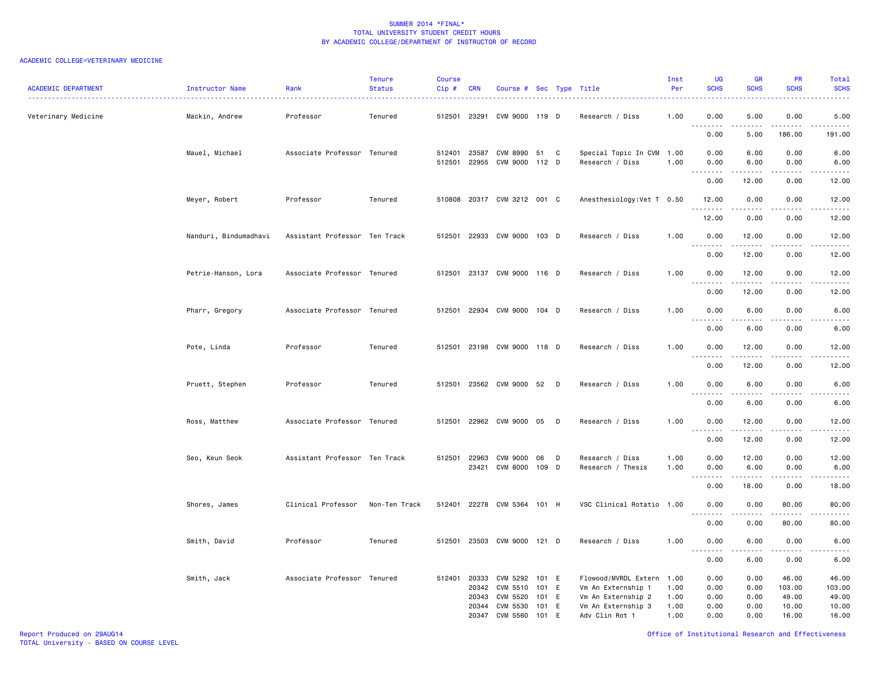| <b>ACADEMIC DEPARTMENT</b> | Instructor Name       | Rank                          | <b>Tenure</b><br><b>Status</b> | Course<br>Cip#   | <b>CRN</b>                       | Course # Sec Type Title                      |                                  |   |                                                                                        | Inst<br>Per                  | UG<br><b>SCHS</b>                                    | <b>GR</b><br><b>SCHS</b>     | PR<br><b>SCHS</b>                                                                                                                 | Total<br><b>SCHS</b>                                                                                                                                          |
|----------------------------|-----------------------|-------------------------------|--------------------------------|------------------|----------------------------------|----------------------------------------------|----------------------------------|---|----------------------------------------------------------------------------------------|------------------------------|------------------------------------------------------|------------------------------|-----------------------------------------------------------------------------------------------------------------------------------|---------------------------------------------------------------------------------------------------------------------------------------------------------------|
| Veterinary Medicine        | Mackin, Andrew        | Professor                     | Tenured                        | 512501           | 23291                            | CVM 9000 119 D                               |                                  |   | Research / Diss                                                                        | 1.00                         | 0.00<br>$\sim$ $\sim$<br>----                        | 5.00                         | 0.00                                                                                                                              | 5.00<br>المتمالين                                                                                                                                             |
|                            |                       |                               |                                |                  |                                  |                                              |                                  |   |                                                                                        |                              | 0.00                                                 | 5.00                         | 186.00                                                                                                                            | 191.00                                                                                                                                                        |
|                            | Mauel, Michael        | Associate Professor Tenured   |                                | 512401<br>512501 | 23587<br>22955                   | CVM 8990<br>CVM 9000 112 D                   | 51                               | C | Special Topic In CVM<br>Research / Diss                                                | 1.00<br>1.00                 | 0.00<br>0.00                                         | 6.00<br>6.00                 | 0.00<br>0.00                                                                                                                      | 6.00<br>6.00                                                                                                                                                  |
|                            |                       |                               |                                |                  |                                  |                                              |                                  |   |                                                                                        |                              | $\sim$ $\sim$<br>0.00                                | 12.00                        | 0.00                                                                                                                              | $\frac{1}{2} \left( \frac{1}{2} \right) \left( \frac{1}{2} \right) \left( \frac{1}{2} \right) \left( \frac{1}{2} \right) \left( \frac{1}{2} \right)$<br>12.00 |
|                            | Meyer, Robert         | Professor                     | Tenured                        |                  |                                  | 510808 20317 CVM 3212 001 C                  |                                  |   | Anesthesiology: Vet T 0.50                                                             |                              | 12.00<br>.                                           | 0.00                         | 0.00                                                                                                                              | 12.00<br>والمناصبات                                                                                                                                           |
|                            |                       |                               |                                |                  |                                  |                                              |                                  |   |                                                                                        |                              | 12.00                                                | 0.00                         | 0.00                                                                                                                              | 12.00                                                                                                                                                         |
|                            | Nanduri, Bindumadhavi | Assistant Professor Ten Track |                                |                  |                                  | 512501 22933 CVM 9000 103 D                  |                                  |   | Research / Diss                                                                        | 1.00                         | 0.00<br><u>.</u>                                     | 12.00<br>.                   | 0.00<br>$\frac{1}{2}$                                                                                                             | 12.00<br>.                                                                                                                                                    |
|                            |                       |                               |                                |                  |                                  |                                              |                                  |   |                                                                                        |                              | 0.00                                                 | 12.00                        | 0.00                                                                                                                              | 12.00                                                                                                                                                         |
|                            | Petrie-Hanson, Lora   | Associate Professor Tenured   |                                |                  |                                  | 512501 23137 CVM 9000 116 D                  |                                  |   | Research / Diss                                                                        | 1.00                         | 0.00<br>$\sim$ $\sim$ $\sim$<br>----                 | 12.00                        | 0.00<br>$- - -$                                                                                                                   | 12.00<br>$\frac{1}{2} \left( \frac{1}{2} \right) \left( \frac{1}{2} \right) \left( \frac{1}{2} \right) \left( \frac{1}{2} \right)$                            |
|                            |                       |                               |                                |                  |                                  |                                              |                                  |   |                                                                                        |                              | 0.00                                                 | 12.00                        | 0.00                                                                                                                              | 12.00                                                                                                                                                         |
|                            | Pharr, Gregory        | Associate Professor Tenured   |                                | 512501           |                                  | 22934 CVM 9000 104 D                         |                                  |   | Research / Diss                                                                        | 1.00                         | 0.00<br>$\sim$ $\sim$ $\sim$<br>.                    | 6.00<br>.                    | 0.00<br>$   -$                                                                                                                    | 6.00                                                                                                                                                          |
|                            |                       |                               |                                |                  |                                  |                                              |                                  |   |                                                                                        |                              | 0.00                                                 | 6.00                         | 0.00                                                                                                                              | 6.00                                                                                                                                                          |
|                            | Pote, Linda           | Professor                     | Tenured                        | 512501           |                                  | 23198 CVM 9000 118 D                         |                                  |   | Research / Diss                                                                        | 1.00                         | 0.00<br>$\sim$ $\sim$<br>$\sim$ $\sim$ .             | 12.00                        | 0.00                                                                                                                              | 12.00                                                                                                                                                         |
|                            |                       |                               |                                |                  |                                  |                                              |                                  |   |                                                                                        |                              | 0.00                                                 | 12.00                        | 0.00                                                                                                                              | 12.00                                                                                                                                                         |
|                            | Pruett, Stephen       | Professor                     | Tenured                        | 512501           |                                  | 23562 CVM 9000 52 D                          |                                  |   | Research / Diss                                                                        | 1.00                         | 0.00<br>$\sim$ $\sim$<br>$\sim$ $\sim$ $\sim$ $\sim$ | 6.00                         | 0.00                                                                                                                              | 6.00                                                                                                                                                          |
|                            |                       |                               |                                |                  |                                  |                                              |                                  |   |                                                                                        |                              | 0.00                                                 | 6.00                         | 0.00                                                                                                                              | 6.00                                                                                                                                                          |
|                            | Ross, Matthew         | Associate Professor Tenured   |                                |                  |                                  | 512501 22962 CVM 9000 05 D                   |                                  |   | Research / Diss                                                                        | 1.00                         | 0.00<br>----                                         | 12.00<br>$\cdots$            | 0.00<br>$\frac{1}{2}$                                                                                                             | 12.00<br>$- - - -$                                                                                                                                            |
|                            |                       |                               |                                |                  |                                  |                                              |                                  |   |                                                                                        |                              | 0.00                                                 | 12.00                        | 0.00                                                                                                                              | 12.00                                                                                                                                                         |
|                            | Seo, Keun Seok        | Assistant Professor Ten Track |                                | 512501           | 22963<br>23421                   | <b>CVM 9000</b><br>CVM 8000                  | 06<br>109 D                      | D | Research / Diss<br>Research / Thesis                                                   | 1.00<br>1.00                 | 0.00<br>0.00                                         | 12.00<br>6.00                | 0.00<br>0.00                                                                                                                      | 12.00<br>6.00                                                                                                                                                 |
|                            |                       |                               |                                |                  |                                  |                                              |                                  |   |                                                                                        |                              | $\sim$ $\sim$ $\sim$<br>-----<br>0.00                | .<br>18.00                   | $\frac{1}{2} \left( \frac{1}{2} \right) \left( \frac{1}{2} \right) \left( \frac{1}{2} \right) \left( \frac{1}{2} \right)$<br>0.00 | $\frac{1}{2} \left( \frac{1}{2} \right) \left( \frac{1}{2} \right) \left( \frac{1}{2} \right) \left( \frac{1}{2} \right) \left( \frac{1}{2} \right)$<br>18.00 |
|                            | Shores, James         | Clinical Professor            | Non-Ten Track                  | 512401           |                                  | 22278 CVM 5364 101 H                         |                                  |   | VSC Clinical Rotatio 1.00                                                              |                              | 0.00<br>$\sim$ $\sim$<br>د د د                       | 0.00                         | 80.00<br>$\frac{1}{2}$                                                                                                            | 80.00                                                                                                                                                         |
|                            |                       |                               |                                |                  |                                  |                                              |                                  |   |                                                                                        |                              | 0.00                                                 | 0.00                         | 80.00                                                                                                                             | 80.00                                                                                                                                                         |
|                            | Smith, David          | Professor                     | Tenured                        | 512501           | 23503                            | CVM 9000                                     | 121 D                            |   | Research / Diss                                                                        | 1.00                         | 0.00<br>$\sim$ $\sim$ $\sim$<br>.                    | 6.00                         | 0.00<br>- - - -                                                                                                                   | 6.00<br>$- - - -$                                                                                                                                             |
|                            |                       |                               |                                |                  |                                  |                                              |                                  |   |                                                                                        |                              | 0.00                                                 | 6.00                         | 0.00                                                                                                                              | 6.00                                                                                                                                                          |
|                            | Smith, Jack           | Associate Professor Tenured   |                                | 512401           | 20333<br>20342<br>20343<br>20344 | CVM 5292<br>CVM 5510<br>CVM 5520<br>CVM 5530 | 101 E<br>101 E<br>101 E<br>101 E |   | Flowood/MVRDL Extern<br>Vm An Externship 1<br>Vm An Externship 2<br>Vm An Externship 3 | 1.00<br>1.00<br>1.00<br>1.00 | 0.00<br>0.00<br>0.00<br>0.00                         | 0.00<br>0.00<br>0.00<br>0.00 | 46.00<br>103.00<br>49.00<br>10.00                                                                                                 | 46.00<br>103.00<br>49.00<br>10.00                                                                                                                             |
|                            |                       |                               |                                |                  | 20347                            | CVM 5560                                     | 101 E                            |   | Adv Clin Rot 1                                                                         | 1.00                         | 0.00                                                 | 0.00                         | 16.00                                                                                                                             | 16.00                                                                                                                                                         |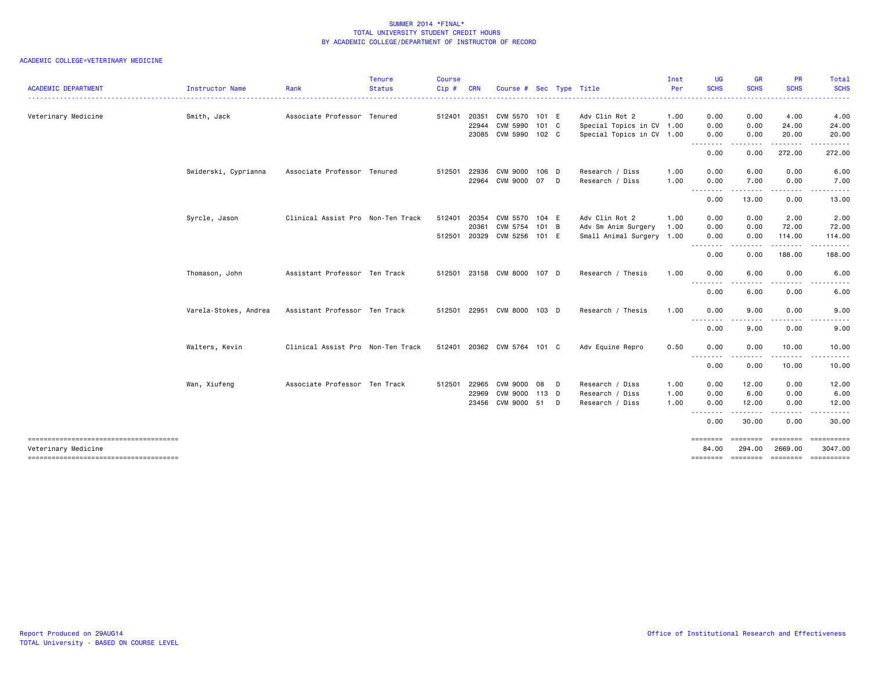| <b>ACADEMIC DEPARTMENT</b>                                   | Instructor Name       | Rank                              | <b>Tenure</b><br><b>Status</b> | <b>Course</b><br>Cip# | <b>CRN</b> | Course # Sec Type Title     |       |   |                           | Inst<br>Per | UG<br><b>SCHS</b>                                                                                                                 | <b>GR</b><br><b>SCHS</b> | PR<br><b>SCHS</b>                                                                                                                                             | Total<br><b>SCHS</b>  |
|--------------------------------------------------------------|-----------------------|-----------------------------------|--------------------------------|-----------------------|------------|-----------------------------|-------|---|---------------------------|-------------|-----------------------------------------------------------------------------------------------------------------------------------|--------------------------|---------------------------------------------------------------------------------------------------------------------------------------------------------------|-----------------------|
|                                                              |                       |                                   |                                |                       |            |                             |       |   |                           |             |                                                                                                                                   |                          |                                                                                                                                                               |                       |
| Veterinary Medicine                                          | Smith, Jack           | Associate Professor Tenured       |                                | 512401                | 20351      | CVM 5570 101 E              |       |   | Adv Clin Rot 2            | 1.00        | 0.00                                                                                                                              | 0.00                     | 4.00                                                                                                                                                          | 4.00                  |
|                                                              |                       |                                   |                                |                       | 22944      | CVM 5990                    | 101 C |   | Special Topics in CV 1.00 |             | 0.00                                                                                                                              | 0.00                     | 24.00                                                                                                                                                         | 24.00                 |
|                                                              |                       |                                   |                                |                       | 23085      | CVM 5990 102 C              |       |   | Special Topics in CV 1.00 |             | 0.00<br>.                                                                                                                         | 0.00<br>.                | 20.00<br>$\frac{1}{2} \left( \frac{1}{2} \right) \left( \frac{1}{2} \right) \left( \frac{1}{2} \right) \left( \frac{1}{2} \right) \left( \frac{1}{2} \right)$ | 20.00<br>.            |
|                                                              |                       |                                   |                                |                       |            |                             |       |   |                           |             | 0.00                                                                                                                              | 0.00                     | 272.00                                                                                                                                                        | 272.00                |
|                                                              | Swiderski, Cyprianna  | Associate Professor Tenured       |                                | 512501                | 22936      | CVM 9000                    | 106 D |   | Research / Diss           | 1.00        | 0.00                                                                                                                              | 6.00                     | 0.00                                                                                                                                                          | 6.00                  |
|                                                              |                       |                                   |                                |                       | 22964      | CVM 9000 07 D               |       |   | Research / Diss           | 1.00        | 0.00<br>--------                                                                                                                  | 7.00<br>--------         | 0.00<br>$\begin{array}{cccccccccccccc} \bullet & \bullet & \bullet & \bullet & \bullet & \bullet & \bullet \end{array}$                                       | 7.00                  |
|                                                              |                       |                                   |                                |                       |            |                             |       |   |                           |             | 0.00                                                                                                                              | 13.00                    | 0.00                                                                                                                                                          | 13.00                 |
|                                                              | Syrcle, Jason         | Clinical Assist Pro Non-Ten Track |                                | 512401                | 20354      | CVM 5570 104 E              |       |   | Adv Clin Rot 2            | 1.00        | 0.00                                                                                                                              | 0.00                     | 2.00                                                                                                                                                          | 2.00                  |
|                                                              |                       |                                   |                                |                       | 20361      | CVM 5754                    | 101 B |   | Adv Sm Anim Surgery       | 1.00        | 0.00                                                                                                                              | 0.00                     | 72.00                                                                                                                                                         | 72.00                 |
|                                                              |                       |                                   |                                | 512501                | 20329      | CVM 5256                    | 101 E |   | Small Animal Surgery 1.00 |             | 0.00<br>$\frac{1}{2} \left( \frac{1}{2} \right) \left( \frac{1}{2} \right) \left( \frac{1}{2} \right) \left( \frac{1}{2} \right)$ | 0.00<br>.                | 114.00<br>.                                                                                                                                                   | 114.00<br>.           |
|                                                              |                       |                                   |                                |                       |            |                             |       |   |                           |             | 0.00                                                                                                                              | 0.00                     | 188.00                                                                                                                                                        | 188.00                |
|                                                              | Thomason, John        | Assistant Professor Ten Track     |                                |                       |            | 512501 23158 CVM 8000 107 D |       |   | Research / Thesis         | 1.00        | 0.00                                                                                                                              | 6.00                     | 0.00                                                                                                                                                          | 6.00                  |
|                                                              |                       |                                   |                                |                       |            |                             |       |   |                           |             | .<br>0.00                                                                                                                         | .<br>6.00                | .<br>0.00                                                                                                                                                     | .<br>6.00             |
|                                                              | Varela-Stokes, Andrea | Assistant Professor Ten Track     |                                | 512501                | 22951      | CVM 8000 103 D              |       |   | Research / Thesis         | 1.00        | 0.00                                                                                                                              | 9.00                     | 0.00                                                                                                                                                          | 9.00                  |
|                                                              |                       |                                   |                                |                       |            |                             |       |   |                           |             | .<br>0.00                                                                                                                         | ----<br>9.00             | 0.00                                                                                                                                                          | .<br>9.00             |
|                                                              | Walters, Kevin        | Clinical Assist Pro Non-Ten Track |                                |                       |            | 512401 20362 CVM 5764 101 C |       |   | Adv Equine Repro          | 0.50        | 0.00                                                                                                                              | 0.00                     | 10.00                                                                                                                                                         | 10.00                 |
|                                                              |                       |                                   |                                |                       |            |                             |       |   |                           |             | $  -$<br>.<br>0.00                                                                                                                | .<br>0.00                | .<br>10.00                                                                                                                                                    | 10.00                 |
|                                                              | Wan, Xiufeng          | Associate Professor Ten Track     |                                | 512501                | 22965      | CVM 9000                    | 08    | D | Research / Diss           | 1.00        | 0.00                                                                                                                              | 12.00                    | 0.00                                                                                                                                                          | 12.00                 |
|                                                              |                       |                                   |                                |                       | 22969      | CVM 9000                    | 113 D |   | Research / Diss           | 1.00        | 0.00                                                                                                                              | 6.00                     | 0.00                                                                                                                                                          | 6.00                  |
|                                                              |                       |                                   |                                |                       |            | 23456 CVM 9000 51           |       | D | Research / Diss           | 1.00        | 0.00                                                                                                                              | 12.00                    | 0.00                                                                                                                                                          | 12.00                 |
|                                                              |                       |                                   |                                |                       |            |                             |       |   |                           |             | --------<br>0.00                                                                                                                  | .<br>30.00               | .<br>0.00                                                                                                                                                     | .<br>30.00            |
| -------------------------------------<br>Veterinary Medicine |                       |                                   |                                |                       |            |                             |       |   |                           |             | 84.00                                                                                                                             | --------<br>294.00       | ========<br>2669.00                                                                                                                                           | ==========<br>3047.00 |
| -------------------------------------                        |                       |                                   |                                |                       |            |                             |       |   |                           |             | ========                                                                                                                          | <b>ESSESSES</b>          | <b>EDESEDED</b>                                                                                                                                               | ==========            |